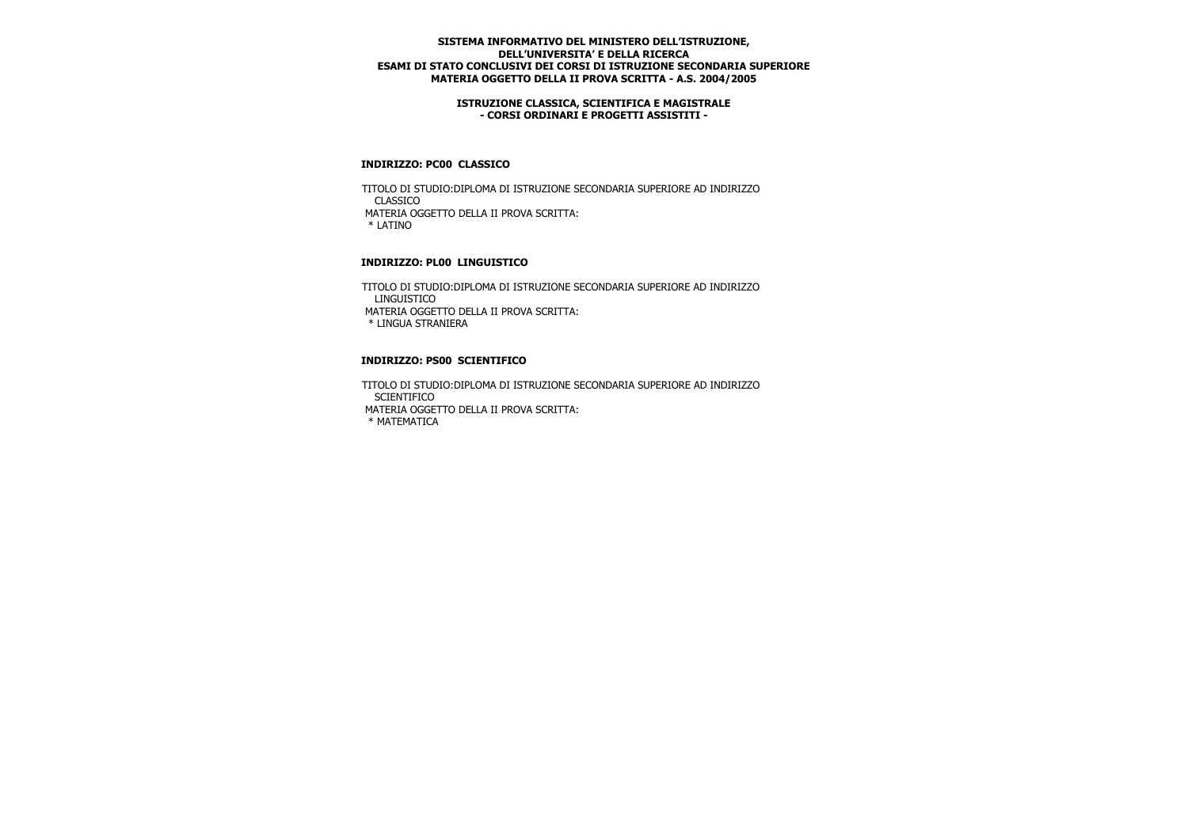### **ISTRUZIONE CLASSICA, SCIENTIFICA E MAGISTRALE - CORSI ORDINARI E PROGETTI ASSISTITI -**

### **INDIRIZZO: PC00 CLASSICO**

 TITOLO DI STUDIO:DIPLOMA DI ISTRUZIONE SECONDARIA SUPERIORE AD INDIRIZZO CLASSICO MATERIA OGGETTO DELLA II PROVA SCRITTA: \* LATINO

## **INDIRIZZO: PL00 LINGUISTICO**

 TITOLO DI STUDIO:DIPLOMA DI ISTRUZIONE SECONDARIA SUPERIORE AD INDIRIZZO LINGUISTICO MATERIA OGGETTO DELLA II PROVA SCRITTA: \* LINGUA STRANIERA

### **INDIRIZZO: PS00 SCIENTIFICO**

 TITOLO DI STUDIO:DIPLOMA DI ISTRUZIONE SECONDARIA SUPERIORE AD INDIRIZZO **SCIENTIFICO**  MATERIA OGGETTO DELLA II PROVA SCRITTA: \* MATEMATICA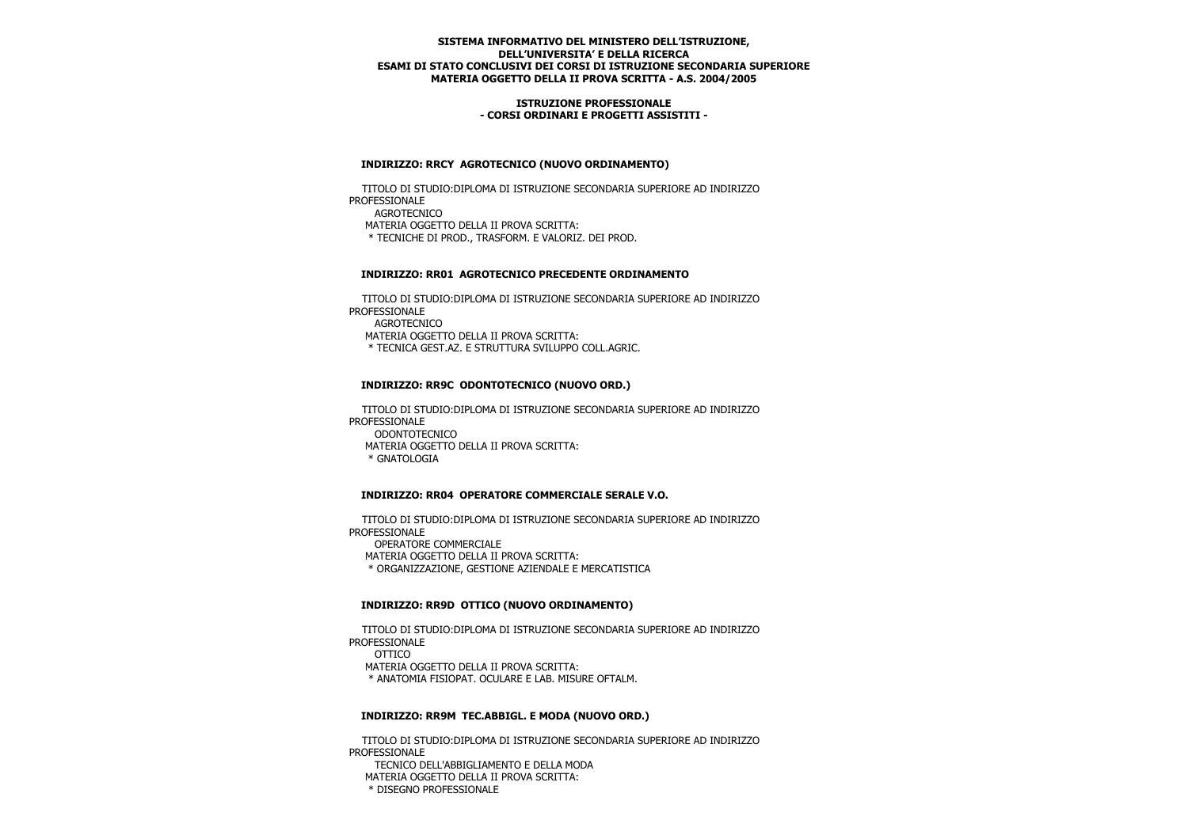### **ISTRUZIONE PROFESSIONALE - CORSI ORDINARI E PROGETTI ASSISTITI -**

### **INDIRIZZO: RRCY AGROTECNICO (NUOVO ORDINAMENTO)**

 TITOLO DI STUDIO:DIPLOMA DI ISTRUZIONE SECONDARIA SUPERIORE AD INDIRIZZO PROFESSIONALE AGROTECNICO MATERIA OGGETTO DELLA II PROVA SCRITTA: \* TECNICHE DI PROD., TRASFORM. E VALORIZ. DEI PROD.

### **INDIRIZZO: RR01 AGROTECNICO PRECEDENTE ORDINAMENTO**

 TITOLO DI STUDIO:DIPLOMA DI ISTRUZIONE SECONDARIA SUPERIORE AD INDIRIZZO PROFESSIONALE AGROTECNICO MATERIA OGGETTO DELLA II PROVA SCRITTA: \* TECNICA GEST.AZ. E STRUTTURA SVILUPPO COLL.AGRIC.

## **INDIRIZZO: RR9C ODONTOTECNICO (NUOVO ORD.)**

 TITOLO DI STUDIO:DIPLOMA DI ISTRUZIONE SECONDARIA SUPERIORE AD INDIRIZZO PROFESSIONALE ODONTOTECNICO MATERIA OGGETTO DELLA II PROVA SCRITTA: \* GNATOLOGIA

## **INDIRIZZO: RR04 OPERATORE COMMERCIALE SERALE V.O.**

 TITOLO DI STUDIO:DIPLOMA DI ISTRUZIONE SECONDARIA SUPERIORE AD INDIRIZZO PROFESSIONALE OPERATORE COMMERCIALE MATERIA OGGETTO DELLA II PROVA SCRITTA: \* ORGANIZZAZIONE, GESTIONE AZIENDALE E MERCATISTICA

#### **INDIRIZZO: RR9D OTTICO (NUOVO ORDINAMENTO)**

 TITOLO DI STUDIO:DIPLOMA DI ISTRUZIONE SECONDARIA SUPERIORE AD INDIRIZZO PROFESSIONALE OTTICO MATERIA OGGETTO DELLA II PROVA SCRITTA: \* ANATOMIA FISIOPAT. OCULARE E LAB. MISURE OFTALM.

## **INDIRIZZO: RR9M TEC.ABBIGL. E MODA (NUOVO ORD.)**

 TITOLO DI STUDIO:DIPLOMA DI ISTRUZIONE SECONDARIA SUPERIORE AD INDIRIZZO PROFESSIONALE TECNICO DELL'ABBIGLIAMENTO E DELLA MODA

 MATERIA OGGETTO DELLA II PROVA SCRITTA: \* DISEGNO PROFESSIONALE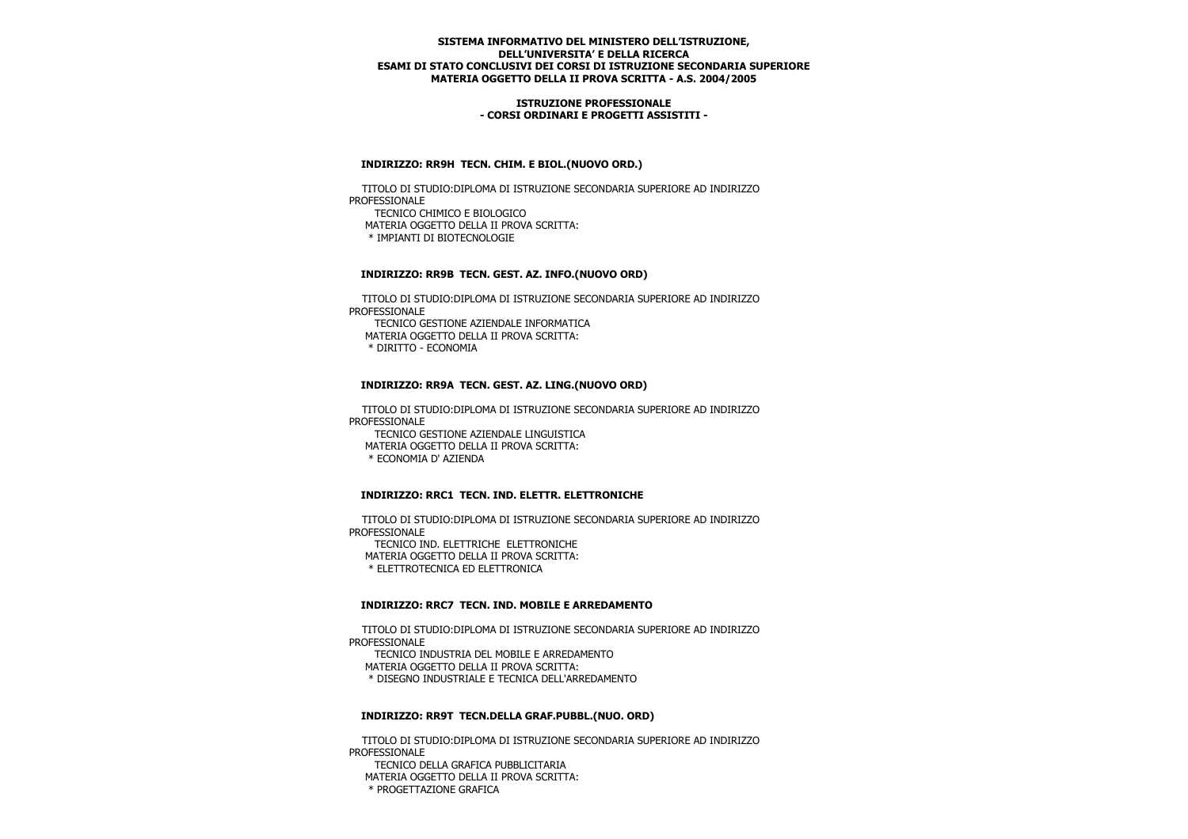### **ISTRUZIONE PROFESSIONALE - CORSI ORDINARI E PROGETTI ASSISTITI -**

### **INDIRIZZO: RR9H TECN. CHIM. E BIOL.(NUOVO ORD.)**

 TITOLO DI STUDIO:DIPLOMA DI ISTRUZIONE SECONDARIA SUPERIORE AD INDIRIZZO PROFESSIONALE TECNICO CHIMICO E BIOLOGICO MATERIA OGGETTO DELLA II PROVA SCRITTA: \* IMPIANTI DI BIOTECNOLOGIE

### **INDIRIZZO: RR9B TECN. GEST. AZ. INFO.(NUOVO ORD)**

 TITOLO DI STUDIO:DIPLOMA DI ISTRUZIONE SECONDARIA SUPERIORE AD INDIRIZZO PROFESSIONALE TECNICO GESTIONE AZIENDALE INFORMATICA MATERIA OGGETTO DELLA II PROVA SCRITTA: \* DIRITTO - ECONOMIA

### **INDIRIZZO: RR9A TECN. GEST. AZ. LING.(NUOVO ORD)**

 TITOLO DI STUDIO:DIPLOMA DI ISTRUZIONE SECONDARIA SUPERIORE AD INDIRIZZO PROFESSIONALE TECNICO GESTIONE AZIENDALE LINGUISTICA MATERIA OGGETTO DELLA II PROVA SCRITTA: \* ECONOMIA D' AZIENDA

## **INDIRIZZO: RRC1 TECN. IND. ELETTR. ELETTRONICHE**

 TITOLO DI STUDIO:DIPLOMA DI ISTRUZIONE SECONDARIA SUPERIORE AD INDIRIZZO PROFESSIONALE TECNICO IND. ELETTRICHE ELETTRONICHE MATERIA OGGETTO DELLA II PROVA SCRITTA: \* ELETTROTECNICA ED ELETTRONICA

#### **INDIRIZZO: RRC7 TECN. IND. MOBILE E ARREDAMENTO**

 TITOLO DI STUDIO:DIPLOMA DI ISTRUZIONE SECONDARIA SUPERIORE AD INDIRIZZO PROFESSIONALE TECNICO INDUSTRIA DEL MOBILE E ARREDAMENTO MATERIA OGGETTO DELLA II PROVA SCRITTA: \* DISEGNO INDUSTRIALE E TECNICA DELL'ARREDAMENTO

### **INDIRIZZO: RR9T TECN.DELLA GRAF.PUBBL.(NUO. ORD)**

 TITOLO DI STUDIO:DIPLOMA DI ISTRUZIONE SECONDARIA SUPERIORE AD INDIRIZZO PROFESSIONALE TECNICO DELLA GRAFICA PUBBLICITARIA MATERIA OGGETTO DELLA II PROVA SCRITTA:

\* PROGETTAZIONE GRAFICA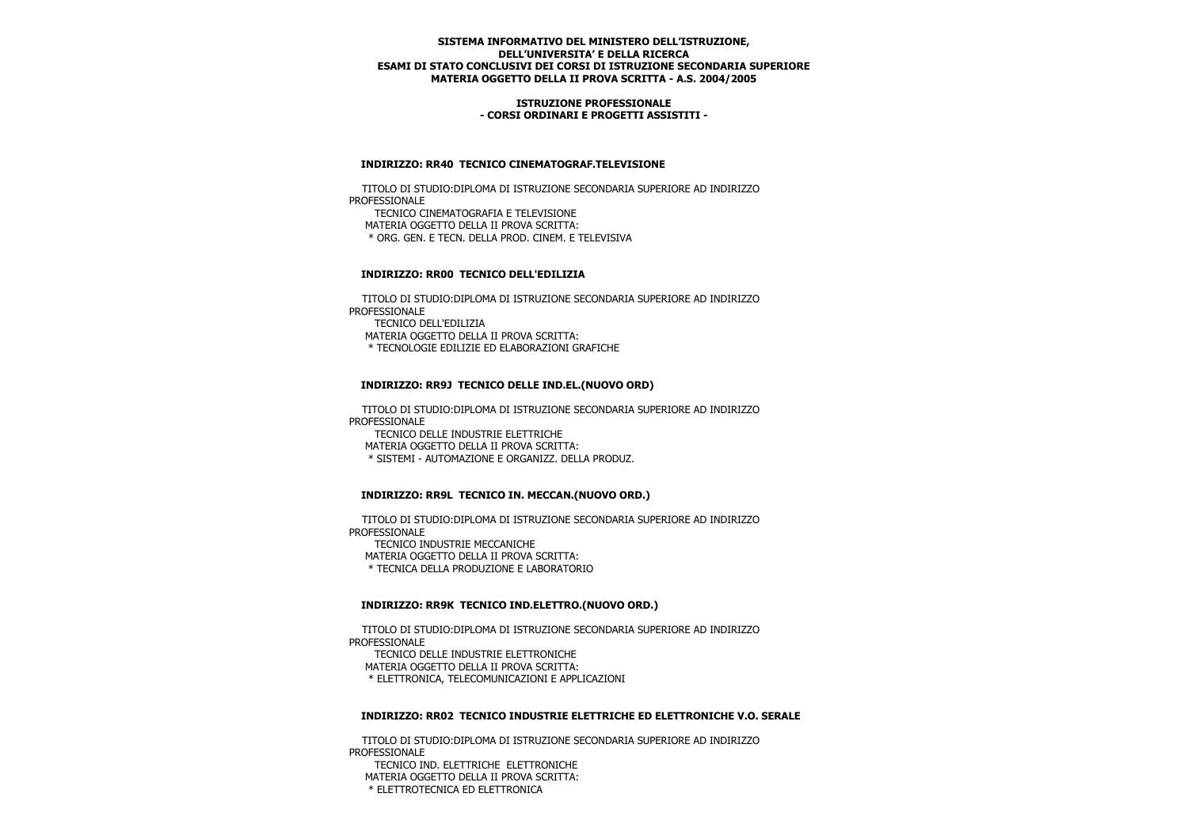### **ISTRUZIONE PROFESSIONALE - CORSI ORDINARI E PROGETTI ASSISTITI -**

### **INDIRIZZO: RR40 TECNICO CINEMATOGRAF.TELEVISIONE**

 TITOLO DI STUDIO:DIPLOMA DI ISTRUZIONE SECONDARIA SUPERIORE AD INDIRIZZO PROFESSIONALE TECNICO CINEMATOGRAFIA E TELEVISIONE MATERIA OGGETTO DELLA II PROVA SCRITTA: \* ORG. GEN. E TECN. DELLA PROD. CINEM. E TELEVISIVA

## **INDIRIZZO: RR00 TECNICO DELL'EDILIZIA**

 TITOLO DI STUDIO:DIPLOMA DI ISTRUZIONE SECONDARIA SUPERIORE AD INDIRIZZO PROFESSIONALE TECNICO DELL'EDILIZIA MATERIA OGGETTO DELLA II PROVA SCRITTA: \* TECNOLOGIE EDILIZIE ED ELABORAZIONI GRAFICHE

## **INDIRIZZO: RR9J TECNICO DELLE IND.EL.(NUOVO ORD)**

 TITOLO DI STUDIO:DIPLOMA DI ISTRUZIONE SECONDARIA SUPERIORE AD INDIRIZZO PROFESSIONALE TECNICO DELLE INDUSTRIE ELETTRICHE MATERIA OGGETTO DELLA II PROVA SCRITTA:

\* SISTEMI - AUTOMAZIONE E ORGANIZZ. DELLA PRODUZ.

## **INDIRIZZO: RR9L TECNICO IN. MECCAN.(NUOVO ORD.)**

 TITOLO DI STUDIO:DIPLOMA DI ISTRUZIONE SECONDARIA SUPERIORE AD INDIRIZZO PROFESSIONALE TECNICO INDUSTRIE MECCANICHE MATERIA OGGETTO DELLA II PROVA SCRITTA: \* TECNICA DELLA PRODUZIONE E LABORATORIO

## **INDIRIZZO: RR9K TECNICO IND.ELETTRO.(NUOVO ORD.)**

 TITOLO DI STUDIO:DIPLOMA DI ISTRUZIONE SECONDARIA SUPERIORE AD INDIRIZZO PROFESSIONALE TECNICO DELLE INDUSTRIE ELETTRONICHE MATERIA OGGETTO DELLA II PROVA SCRITTA: \* ELETTRONICA, TELECOMUNICAZIONI E APPLICAZIONI

#### **INDIRIZZO: RR02 TECNICO INDUSTRIE ELETTRICHE ED ELETTRONICHE V.O. SERALE**

 TITOLO DI STUDIO:DIPLOMA DI ISTRUZIONE SECONDARIA SUPERIORE AD INDIRIZZO PROFESSIONALE

 TECNICO IND. ELETTRICHE ELETTRONICHE MATERIA OGGETTO DELLA II PROVA SCRITTA: \* ELETTROTECNICA ED ELETTRONICA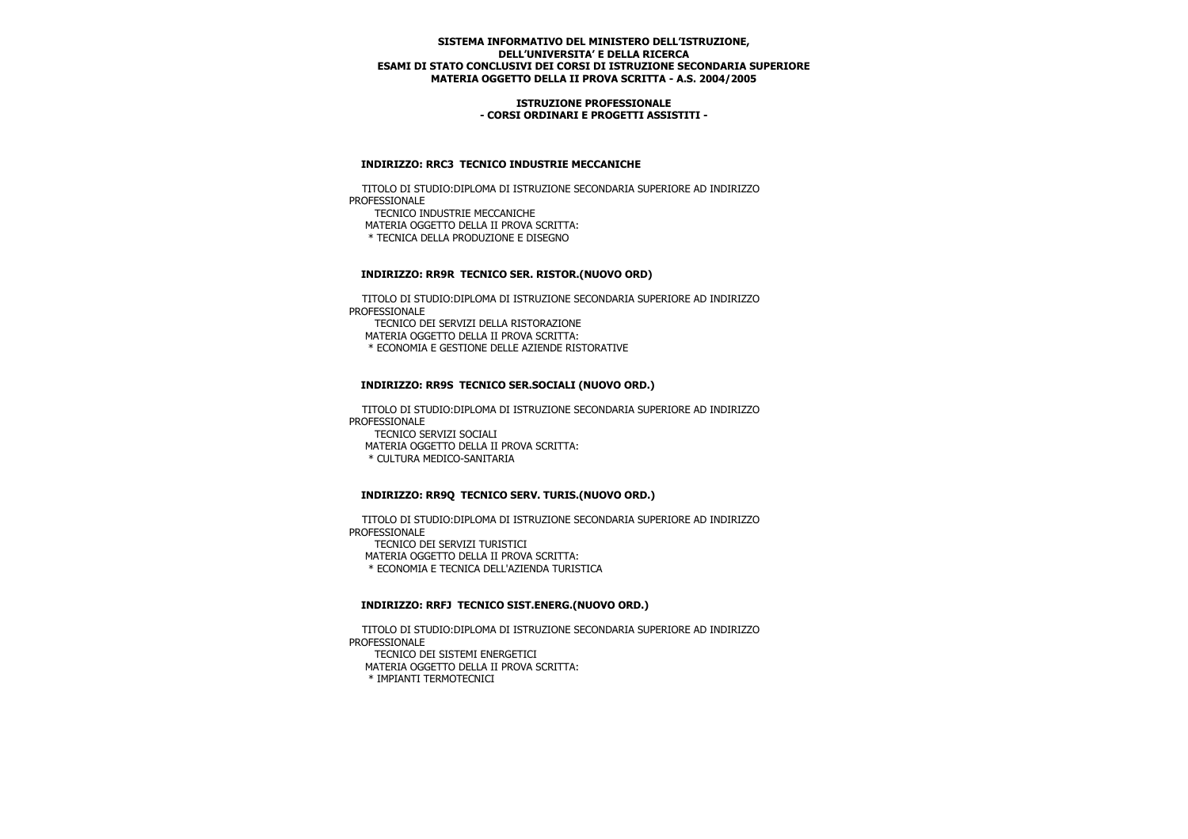### **ISTRUZIONE PROFESSIONALE - CORSI ORDINARI E PROGETTI ASSISTITI -**

### **INDIRIZZO: RRC3 TECNICO INDUSTRIE MECCANICHE**

 TITOLO DI STUDIO:DIPLOMA DI ISTRUZIONE SECONDARIA SUPERIORE AD INDIRIZZO PROFESSIONALE TECNICO INDUSTRIE MECCANICHE MATERIA OGGETTO DELLA II PROVA SCRITTA:

\* TECNICA DELLA PRODUZIONE E DISEGNO

### **INDIRIZZO: RR9R TECNICO SER. RISTOR.(NUOVO ORD)**

 TITOLO DI STUDIO:DIPLOMA DI ISTRUZIONE SECONDARIA SUPERIORE AD INDIRIZZO PROFESSIONALE

TECNICO DEI SERVIZI DELLA RISTORAZIONE

MATERIA OGGETTO DELLA II PROVA SCRITTA:

\* ECONOMIA E GESTIONE DELLE AZIENDE RISTORATIVE

### **INDIRIZZO: RR9S TECNICO SER.SOCIALI (NUOVO ORD.)**

 TITOLO DI STUDIO:DIPLOMA DI ISTRUZIONE SECONDARIA SUPERIORE AD INDIRIZZO PROFESSIONALE TECNICO SERVIZI SOCIALI MATERIA OGGETTO DELLA II PROVA SCRITTA: \* CULTURA MEDICO-SANITARIA

## **INDIRIZZO: RR9Q TECNICO SERV. TURIS.(NUOVO ORD.)**

 TITOLO DI STUDIO:DIPLOMA DI ISTRUZIONE SECONDARIA SUPERIORE AD INDIRIZZO PROFESSIONALE TECNICO DEI SERVIZI TURISTICI MATERIA OGGETTO DELLA II PROVA SCRITTA: \* ECONOMIA E TECNICA DELL'AZIENDA TURISTICA

#### **INDIRIZZO: RRFJ TECNICO SIST.ENERG.(NUOVO ORD.)**

 TITOLO DI STUDIO:DIPLOMA DI ISTRUZIONE SECONDARIA SUPERIORE AD INDIRIZZO PROFESSIONALE TECNICO DEI SISTEMI ENERGETICI MATERIA OGGETTO DELLA II PROVA SCRITTA: \* IMPIANTI TERMOTECNICI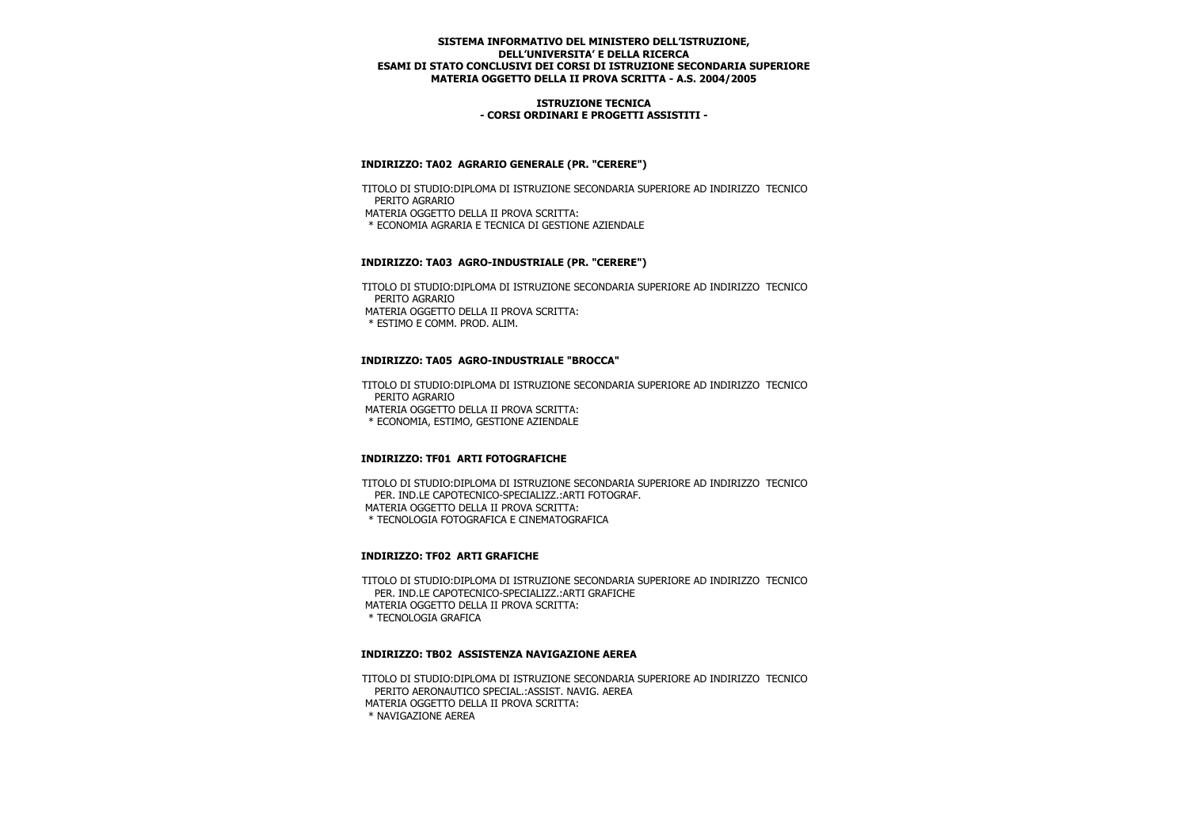### **ISTRUZIONE TECNICA - CORSI ORDINARI E PROGETTI ASSISTITI -**

## **INDIRIZZO: TA02 AGRARIO GENERALE (PR. "CERERE")**

 TITOLO DI STUDIO:DIPLOMA DI ISTRUZIONE SECONDARIA SUPERIORE AD INDIRIZZO TECNICO PERITO AGRARIO MATERIA OGGETTO DELLA II PROVA SCRITTA: \* ECONOMIA AGRARIA E TECNICA DI GESTIONE AZIENDALE

## **INDIRIZZO: TA03 AGRO-INDUSTRIALE (PR. "CERERE")**

 TITOLO DI STUDIO:DIPLOMA DI ISTRUZIONE SECONDARIA SUPERIORE AD INDIRIZZO TECNICO PERITO AGRARIO MATERIA OGGETTO DELLA II PROVA SCRITTA: \* ESTIMO E COMM. PROD. ALIM.

## **INDIRIZZO: TA05 AGRO-INDUSTRIALE "BROCCA"**

 TITOLO DI STUDIO:DIPLOMA DI ISTRUZIONE SECONDARIA SUPERIORE AD INDIRIZZO TECNICO PERITO AGRARIO MATERIA OGGETTO DELLA II PROVA SCRITTA: \* ECONOMIA, ESTIMO, GESTIONE AZIENDALE

## **INDIRIZZO: TF01 ARTI FOTOGRAFICHE**

 TITOLO DI STUDIO:DIPLOMA DI ISTRUZIONE SECONDARIA SUPERIORE AD INDIRIZZO TECNICO PER. IND.LE CAPOTECNICO-SPECIALIZZ.:ARTI FOTOGRAF. MATERIA OGGETTO DELLA II PROVA SCRITTA: \* TECNOLOGIA FOTOGRAFICA E CINEMATOGRAFICA

## **INDIRIZZO: TF02 ARTI GRAFICHE**

 TITOLO DI STUDIO:DIPLOMA DI ISTRUZIONE SECONDARIA SUPERIORE AD INDIRIZZO TECNICO PER. IND.LE CAPOTECNICO-SPECIALIZZ.:ARTI GRAFICHE MATERIA OGGETTO DELLA II PROVA SCRITTA: \* TECNOLOGIA GRAFICA

## **INDIRIZZO: TB02 ASSISTENZA NAVIGAZIONE AEREA**

 TITOLO DI STUDIO:DIPLOMA DI ISTRUZIONE SECONDARIA SUPERIORE AD INDIRIZZO TECNICO PERITO AERONAUTICO SPECIAL.:ASSIST. NAVIG. AEREA MATERIA OGGETTO DELLA II PROVA SCRITTA: \* NAVIGAZIONE AEREA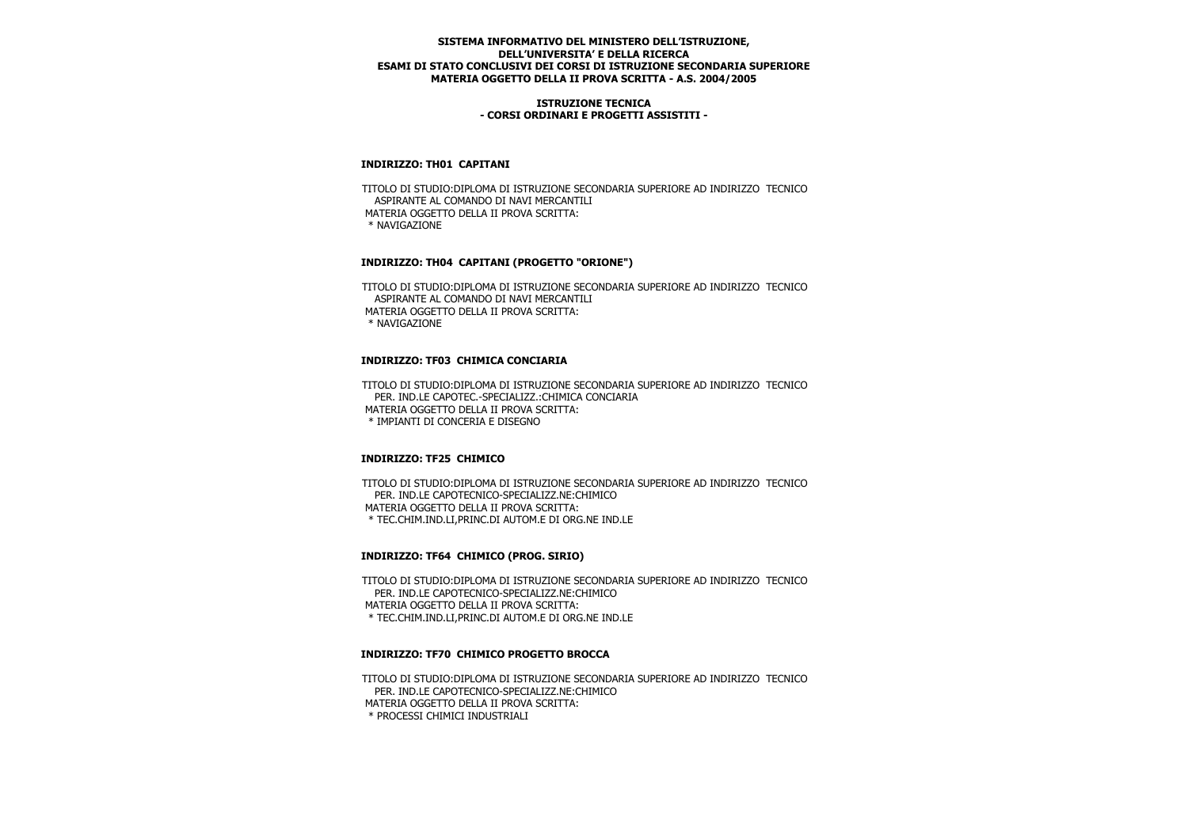### **ISTRUZIONE TECNICA - CORSI ORDINARI E PROGETTI ASSISTITI -**

### **INDIRIZZO: TH01 CAPITANI**

 TITOLO DI STUDIO:DIPLOMA DI ISTRUZIONE SECONDARIA SUPERIORE AD INDIRIZZO TECNICO ASPIRANTE AL COMANDO DI NAVI MERCANTILI MATERIA OGGETTO DELLA II PROVA SCRITTA: \* NAVIGAZIONE

## **INDIRIZZO: TH04 CAPITANI (PROGETTO "ORIONE")**

 TITOLO DI STUDIO:DIPLOMA DI ISTRUZIONE SECONDARIA SUPERIORE AD INDIRIZZO TECNICO ASPIRANTE AL COMANDO DI NAVI MERCANTILI MATERIA OGGETTO DELLA II PROVA SCRITTA: \* NAVIGAZIONE

# **INDIRIZZO: TF03 CHIMICA CONCIARIA**

 TITOLO DI STUDIO:DIPLOMA DI ISTRUZIONE SECONDARIA SUPERIORE AD INDIRIZZO TECNICO PER. IND.LE CAPOTEC.-SPECIALIZZ.:CHIMICA CONCIARIA MATERIA OGGETTO DELLA II PROVA SCRITTA: \* IMPIANTI DI CONCERIA E DISEGNO

## **INDIRIZZO: TF25 CHIMICO**

 TITOLO DI STUDIO:DIPLOMA DI ISTRUZIONE SECONDARIA SUPERIORE AD INDIRIZZO TECNICO PER. IND.LE CAPOTECNICO-SPECIALIZZ.NE:CHIMICO MATERIA OGGETTO DELLA II PROVA SCRITTA: \* TEC.CHIM.IND.LI,PRINC.DI AUTOM.E DI ORG.NE IND.LE

# **INDIRIZZO: TF64 CHIMICO (PROG. SIRIO)**

 TITOLO DI STUDIO:DIPLOMA DI ISTRUZIONE SECONDARIA SUPERIORE AD INDIRIZZO TECNICO PER. IND.LE CAPOTECNICO-SPECIALIZZ.NE:CHIMICO MATERIA OGGETTO DELLA II PROVA SCRITTA: \* TEC.CHIM.IND.LI,PRINC.DI AUTOM.E DI ORG.NE IND.LE

## **INDIRIZZO: TF70 CHIMICO PROGETTO BROCCA**

 TITOLO DI STUDIO:DIPLOMA DI ISTRUZIONE SECONDARIA SUPERIORE AD INDIRIZZO TECNICO PER. IND.LE CAPOTECNICO-SPECIALIZZ.NE:CHIMICO MATERIA OGGETTO DELLA II PROVA SCRITTA: \* PROCESSI CHIMICI INDUSTRIALI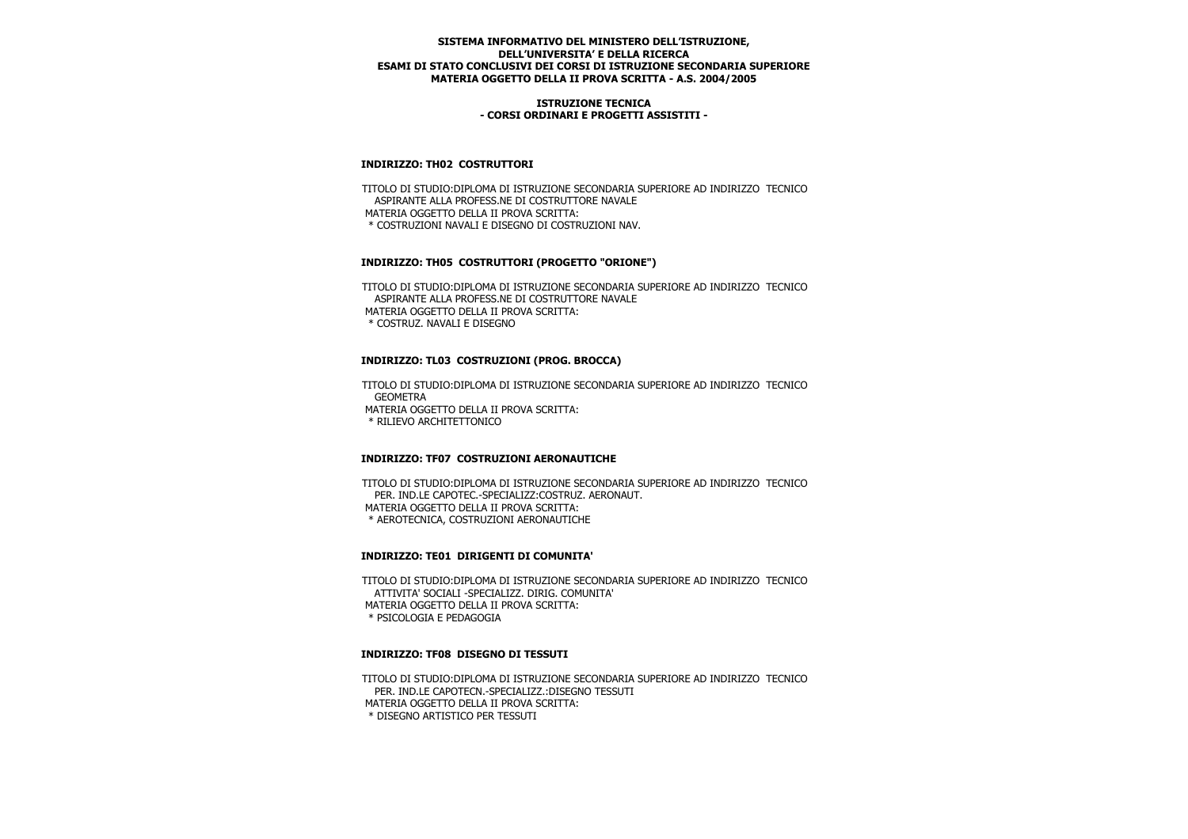### **ISTRUZIONE TECNICA - CORSI ORDINARI E PROGETTI ASSISTITI -**

## **INDIRIZZO: TH02 COSTRUTTORI**

 TITOLO DI STUDIO:DIPLOMA DI ISTRUZIONE SECONDARIA SUPERIORE AD INDIRIZZO TECNICO ASPIRANTE ALLA PROFESS.NE DI COSTRUTTORE NAVALE MATERIA OGGETTO DELLA II PROVA SCRITTA: \* COSTRUZIONI NAVALI E DISEGNO DI COSTRUZIONI NAV.

## **INDIRIZZO: TH05 COSTRUTTORI (PROGETTO "ORIONE")**

 TITOLO DI STUDIO:DIPLOMA DI ISTRUZIONE SECONDARIA SUPERIORE AD INDIRIZZO TECNICO ASPIRANTE ALLA PROFESS.NE DI COSTRUTTORE NAVALE MATERIA OGGETTO DELLA II PROVA SCRITTA: \* COSTRUZ. NAVALI E DISEGNO

### **INDIRIZZO: TL03 COSTRUZIONI (PROG. BROCCA)**

 TITOLO DI STUDIO:DIPLOMA DI ISTRUZIONE SECONDARIA SUPERIORE AD INDIRIZZO TECNICO **GEOMETRA**  MATERIA OGGETTO DELLA II PROVA SCRITTA: \* RILIEVO ARCHITETTONICO

## **INDIRIZZO: TF07 COSTRUZIONI AERONAUTICHE**

 TITOLO DI STUDIO:DIPLOMA DI ISTRUZIONE SECONDARIA SUPERIORE AD INDIRIZZO TECNICO PER. IND.LE CAPOTEC.-SPECIALIZZ:COSTRUZ. AERONAUT. MATERIA OGGETTO DELLA II PROVA SCRITTA: \* AEROTECNICA, COSTRUZIONI AERONAUTICHE

## **INDIRIZZO: TE01 DIRIGENTI DI COMUNITA'**

 TITOLO DI STUDIO:DIPLOMA DI ISTRUZIONE SECONDARIA SUPERIORE AD INDIRIZZO TECNICO ATTIVITA' SOCIALI -SPECIALIZZ. DIRIG. COMUNITA' MATERIA OGGETTO DELLA II PROVA SCRITTA: \* PSICOLOGIA E PEDAGOGIA

#### **INDIRIZZO: TF08 DISEGNO DI TESSUTI**

 TITOLO DI STUDIO:DIPLOMA DI ISTRUZIONE SECONDARIA SUPERIORE AD INDIRIZZO TECNICO PER. IND.LE CAPOTECN.-SPECIALIZZ.:DISEGNO TESSUTI MATERIA OGGETTO DELLA II PROVA SCRITTA: \* DISEGNO ARTISTICO PER TESSUTI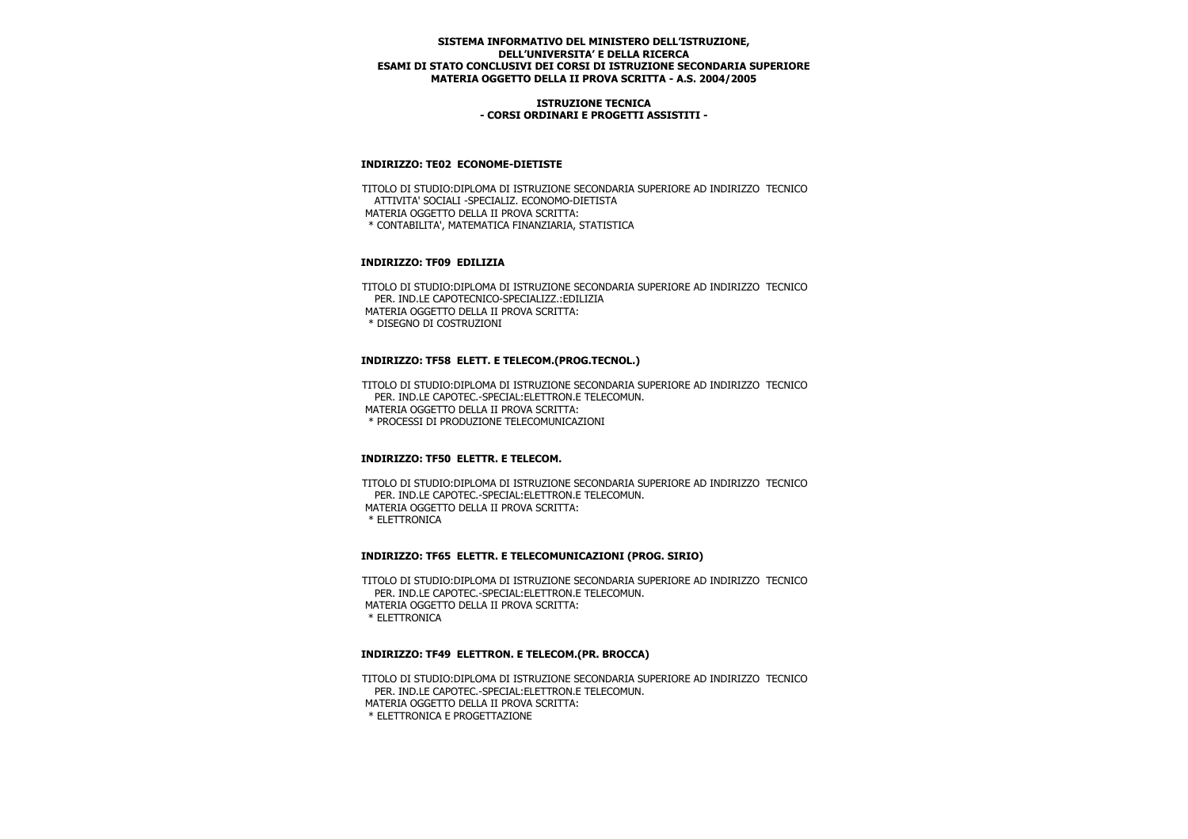### **ISTRUZIONE TECNICA - CORSI ORDINARI E PROGETTI ASSISTITI -**

### **INDIRIZZO: TE02 ECONOME-DIETISTE**

 TITOLO DI STUDIO:DIPLOMA DI ISTRUZIONE SECONDARIA SUPERIORE AD INDIRIZZO TECNICO ATTIVITA' SOCIALI -SPECIALIZ. ECONOMO-DIETISTA MATERIA OGGETTO DELLA II PROVA SCRITTA: \* CONTABILITA', MATEMATICA FINANZIARIA, STATISTICA

## **INDIRIZZO: TF09 EDILIZIA**

 TITOLO DI STUDIO:DIPLOMA DI ISTRUZIONE SECONDARIA SUPERIORE AD INDIRIZZO TECNICO PER. IND.LE CAPOTECNICO-SPECIALIZZ.:EDILIZIA MATERIA OGGETTO DELLA II PROVA SCRITTA: \* DISEGNO DI COSTRUZIONI

## **INDIRIZZO: TF58 ELETT. E TELECOM.(PROG.TECNOL.)**

 TITOLO DI STUDIO:DIPLOMA DI ISTRUZIONE SECONDARIA SUPERIORE AD INDIRIZZO TECNICO PER. IND.LE CAPOTEC.-SPECIAL:ELETTRON.E TELECOMUN. MATERIA OGGETTO DELLA II PROVA SCRITTA: \* PROCESSI DI PRODUZIONE TELECOMUNICAZIONI

## **INDIRIZZO: TF50 ELETTR. E TELECOM.**

 TITOLO DI STUDIO:DIPLOMA DI ISTRUZIONE SECONDARIA SUPERIORE AD INDIRIZZO TECNICO PER. IND.LE CAPOTEC.-SPECIAL:ELETTRON.E TELECOMUN. MATERIA OGGETTO DELLA II PROVA SCRITTA: \* ELETTRONICA

#### **INDIRIZZO: TF65 ELETTR. E TELECOMUNICAZIONI (PROG. SIRIO)**

 TITOLO DI STUDIO:DIPLOMA DI ISTRUZIONE SECONDARIA SUPERIORE AD INDIRIZZO TECNICO PER. IND.LE CAPOTEC.-SPECIAL:ELETTRON.E TELECOMUN. MATERIA OGGETTO DELLA II PROVA SCRITTA: \* ELETTRONICA

#### **INDIRIZZO: TF49 ELETTRON. E TELECOM.(PR. BROCCA)**

 TITOLO DI STUDIO:DIPLOMA DI ISTRUZIONE SECONDARIA SUPERIORE AD INDIRIZZO TECNICO PER. IND.LE CAPOTEC.-SPECIAL:ELETTRON.E TELECOMUN. MATERIA OGGETTO DELLA II PROVA SCRITTA: \* ELETTRONICA E PROGETTAZIONE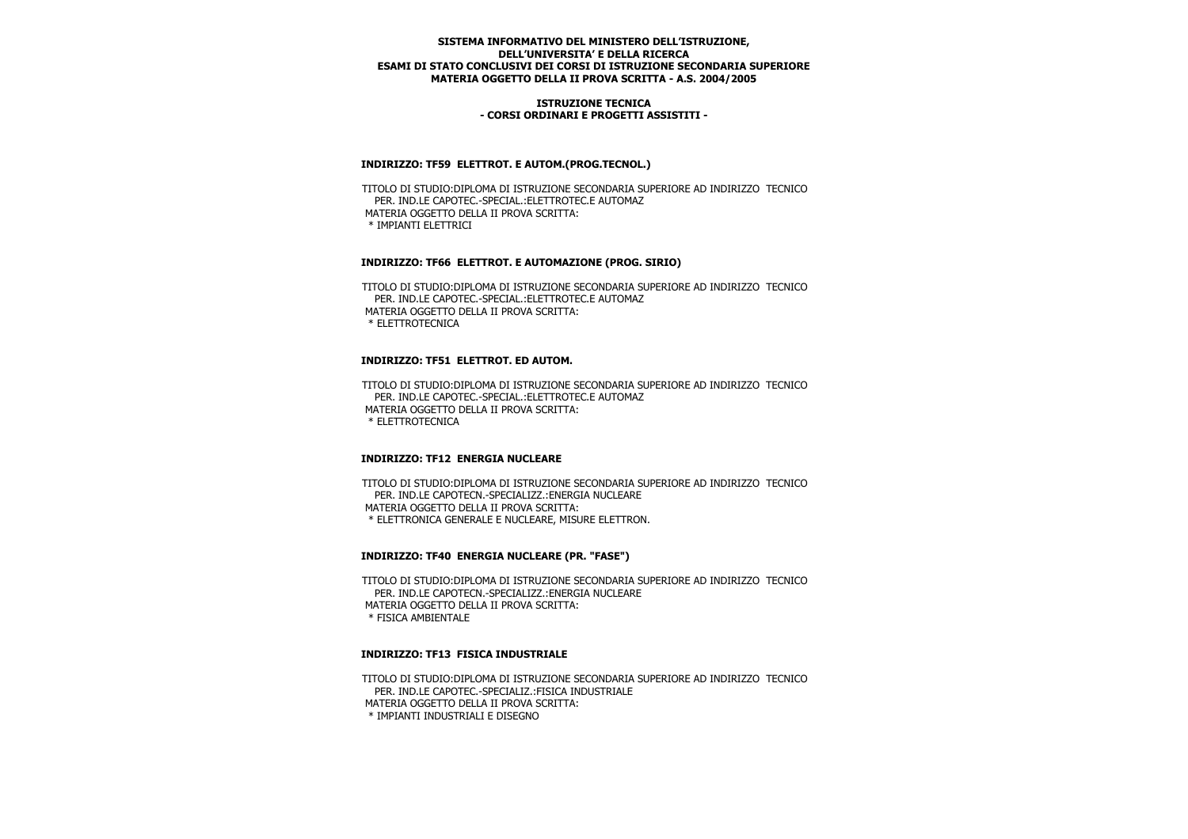### **ISTRUZIONE TECNICA - CORSI ORDINARI E PROGETTI ASSISTITI -**

### **INDIRIZZO: TF59 ELETTROT. E AUTOM.(PROG.TECNOL.)**

 TITOLO DI STUDIO:DIPLOMA DI ISTRUZIONE SECONDARIA SUPERIORE AD INDIRIZZO TECNICO PER. IND.LE CAPOTEC.-SPECIAL.:ELETTROTEC.E AUTOMAZ MATERIA OGGETTO DELLA II PROVA SCRITTA: \* IMPIANTI ELETTRICI

### **INDIRIZZO: TF66 ELETTROT. E AUTOMAZIONE (PROG. SIRIO)**

 TITOLO DI STUDIO:DIPLOMA DI ISTRUZIONE SECONDARIA SUPERIORE AD INDIRIZZO TECNICO PER. IND.LE CAPOTEC.-SPECIAL.:ELETTROTEC.E AUTOMAZ MATERIA OGGETTO DELLA II PROVA SCRITTA: \* ELETTROTECNICA

## **INDIRIZZO: TF51 ELETTROT. ED AUTOM.**

 TITOLO DI STUDIO:DIPLOMA DI ISTRUZIONE SECONDARIA SUPERIORE AD INDIRIZZO TECNICO PER. IND.LE CAPOTEC.-SPECIAL.:ELETTROTEC.E AUTOMAZ MATERIA OGGETTO DELLA II PROVA SCRITTA: \* ELETTROTECNICA

#### **INDIRIZZO: TF12 ENERGIA NUCLEARE**

 TITOLO DI STUDIO:DIPLOMA DI ISTRUZIONE SECONDARIA SUPERIORE AD INDIRIZZO TECNICO PER. IND.LE CAPOTECN.-SPECIALIZZ.:ENERGIA NUCLEARE MATERIA OGGETTO DELLA II PROVA SCRITTA: \* ELETTRONICA GENERALE E NUCLEARE, MISURE ELETTRON.

## **INDIRIZZO: TF40 ENERGIA NUCLEARE (PR. "FASE")**

 TITOLO DI STUDIO:DIPLOMA DI ISTRUZIONE SECONDARIA SUPERIORE AD INDIRIZZO TECNICO PER. IND.LE CAPOTECN.-SPECIALIZZ.:ENERGIA NUCLEARE MATERIA OGGETTO DELLA II PROVA SCRITTA: \* FISICA AMBIENTALE

#### **INDIRIZZO: TF13 FISICA INDUSTRIALE**

 TITOLO DI STUDIO:DIPLOMA DI ISTRUZIONE SECONDARIA SUPERIORE AD INDIRIZZO TECNICO PER. IND.LE CAPOTEC.-SPECIALIZ.:FISICA INDUSTRIALE MATERIA OGGETTO DELLA II PROVA SCRITTA: \* IMPIANTI INDUSTRIALI E DISEGNO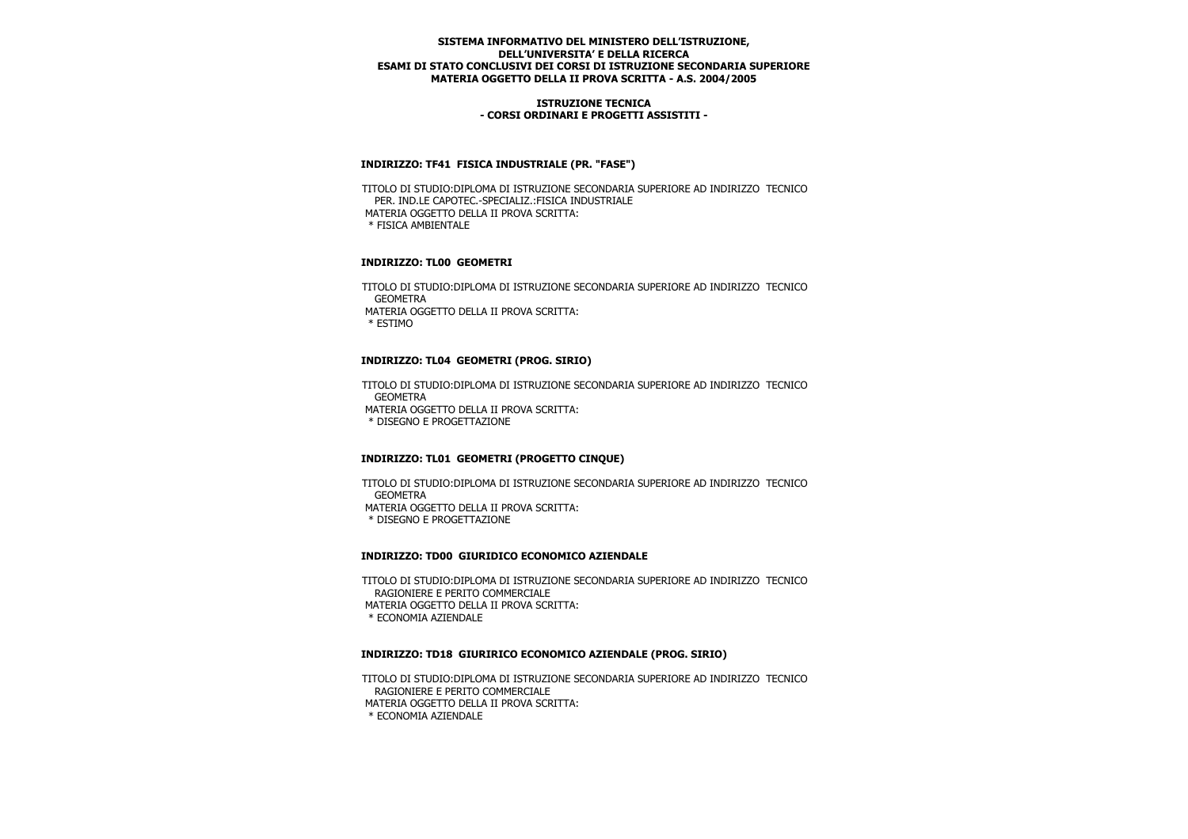### **ISTRUZIONE TECNICA - CORSI ORDINARI E PROGETTI ASSISTITI -**

## **INDIRIZZO: TF41 FISICA INDUSTRIALE (PR. "FASE")**

 TITOLO DI STUDIO:DIPLOMA DI ISTRUZIONE SECONDARIA SUPERIORE AD INDIRIZZO TECNICO PER. IND.LE CAPOTEC.-SPECIALIZ.:FISICA INDUSTRIALE MATERIA OGGETTO DELLA II PROVA SCRITTA: \* FISICA AMBIENTALE

### **INDIRIZZO: TL00 GEOMETRI**

 TITOLO DI STUDIO:DIPLOMA DI ISTRUZIONE SECONDARIA SUPERIORE AD INDIRIZZO TECNICO GEOMETRA MATERIA OGGETTO DELLA II PROVA SCRITTA: \* ESTIMO

## **INDIRIZZO: TL04 GEOMETRI (PROG. SIRIO)**

 TITOLO DI STUDIO:DIPLOMA DI ISTRUZIONE SECONDARIA SUPERIORE AD INDIRIZZO TECNICO **GEOMETRA**  MATERIA OGGETTO DELLA II PROVA SCRITTA: \* DISEGNO E PROGETTAZIONE

## **INDIRIZZO: TL01 GEOMETRI (PROGETTO CINQUE)**

 TITOLO DI STUDIO:DIPLOMA DI ISTRUZIONE SECONDARIA SUPERIORE AD INDIRIZZO TECNICO GEOMETRA MATERIA OGGETTO DELLA II PROVA SCRITTA: \* DISEGNO E PROGETTAZIONE

## **INDIRIZZO: TD00 GIURIDICO ECONOMICO AZIENDALE**

 TITOLO DI STUDIO:DIPLOMA DI ISTRUZIONE SECONDARIA SUPERIORE AD INDIRIZZO TECNICO RAGIONIERE E PERITO COMMERCIALE MATERIA OGGETTO DELLA II PROVA SCRITTA: \* ECONOMIA AZIENDALE

## **INDIRIZZO: TD18 GIURIRICO ECONOMICO AZIENDALE (PROG. SIRIO)**

 TITOLO DI STUDIO:DIPLOMA DI ISTRUZIONE SECONDARIA SUPERIORE AD INDIRIZZO TECNICO RAGIONIERE E PERITO COMMERCIALE MATERIA OGGETTO DELLA II PROVA SCRITTA: \* ECONOMIA AZIENDALE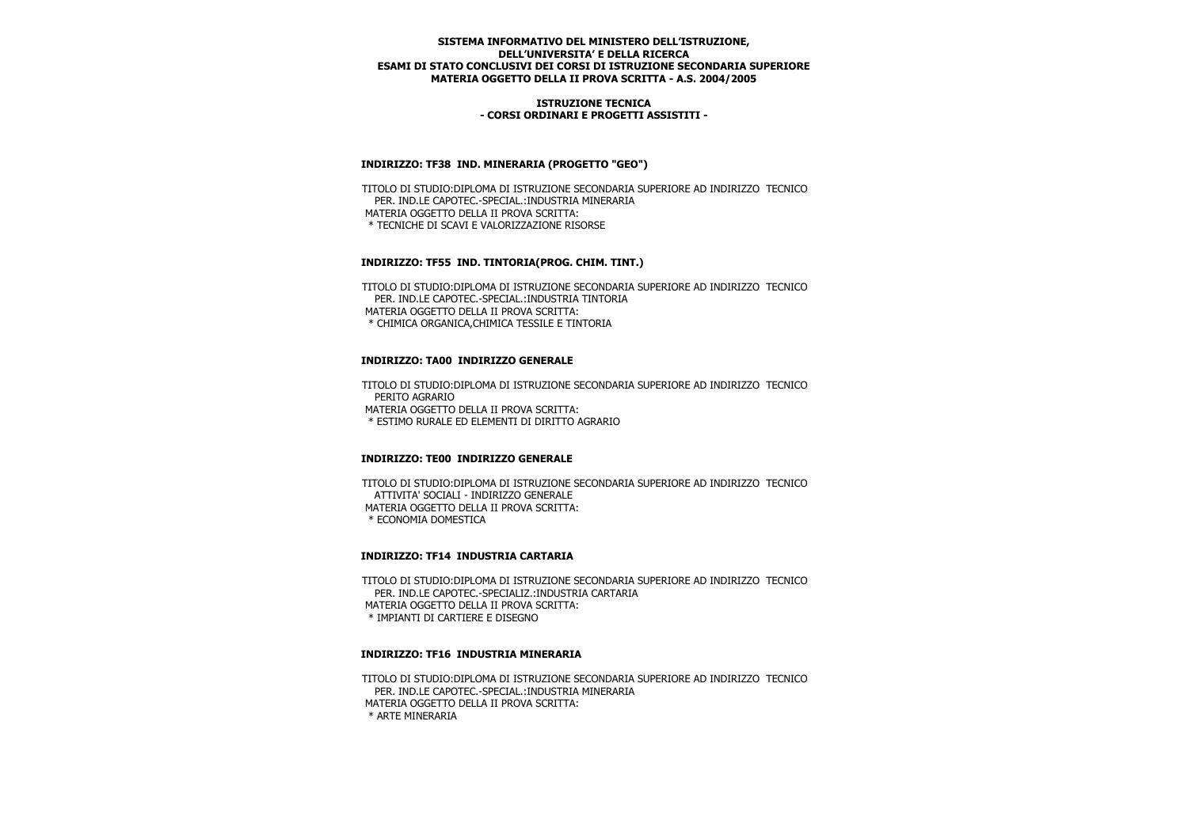### **ISTRUZIONE TECNICA - CORSI ORDINARI E PROGETTI ASSISTITI -**

### **INDIRIZZO: TF38 IND. MINERARIA (PROGETTO "GEO")**

 TITOLO DI STUDIO:DIPLOMA DI ISTRUZIONE SECONDARIA SUPERIORE AD INDIRIZZO TECNICO PER. IND.LE CAPOTEC.-SPECIAL.:INDUSTRIA MINERARIA MATERIA OGGETTO DELLA II PROVA SCRITTA: \* TECNICHE DI SCAVI E VALORIZZAZIONE RISORSE

## **INDIRIZZO: TF55 IND. TINTORIA(PROG. CHIM. TINT.)**

 TITOLO DI STUDIO:DIPLOMA DI ISTRUZIONE SECONDARIA SUPERIORE AD INDIRIZZO TECNICO PER. IND.LE CAPOTEC.-SPECIAL.:INDUSTRIA TINTORIA MATERIA OGGETTO DELLA II PROVA SCRITTA: \* CHIMICA ORGANICA,CHIMICA TESSILE E TINTORIA

### **INDIRIZZO: TA00 INDIRIZZO GENERALE**

 TITOLO DI STUDIO:DIPLOMA DI ISTRUZIONE SECONDARIA SUPERIORE AD INDIRIZZO TECNICO PERITO AGRARIO MATERIA OGGETTO DELLA II PROVA SCRITTA: \* ESTIMO RURALE ED ELEMENTI DI DIRITTO AGRARIO

#### **INDIRIZZO: TE00 INDIRIZZO GENERALE**

 TITOLO DI STUDIO:DIPLOMA DI ISTRUZIONE SECONDARIA SUPERIORE AD INDIRIZZO TECNICO ATTIVITA' SOCIALI - INDIRIZZO GENERALE MATERIA OGGETTO DELLA II PROVA SCRITTA: \* ECONOMIA DOMESTICA

#### **INDIRIZZO: TF14 INDUSTRIA CARTARIA**

 TITOLO DI STUDIO:DIPLOMA DI ISTRUZIONE SECONDARIA SUPERIORE AD INDIRIZZO TECNICO PER. IND.LE CAPOTEC.-SPECIALIZ.:INDUSTRIA CARTARIA MATERIA OGGETTO DELLA II PROVA SCRITTA: \* IMPIANTI DI CARTIERE E DISEGNO

#### **INDIRIZZO: TF16 INDUSTRIA MINERARIA**

 TITOLO DI STUDIO:DIPLOMA DI ISTRUZIONE SECONDARIA SUPERIORE AD INDIRIZZO TECNICO PER. IND.LE CAPOTEC.-SPECIAL.:INDUSTRIA MINERARIA MATERIA OGGETTO DELLA II PROVA SCRITTA: \* ARTE MINERARIA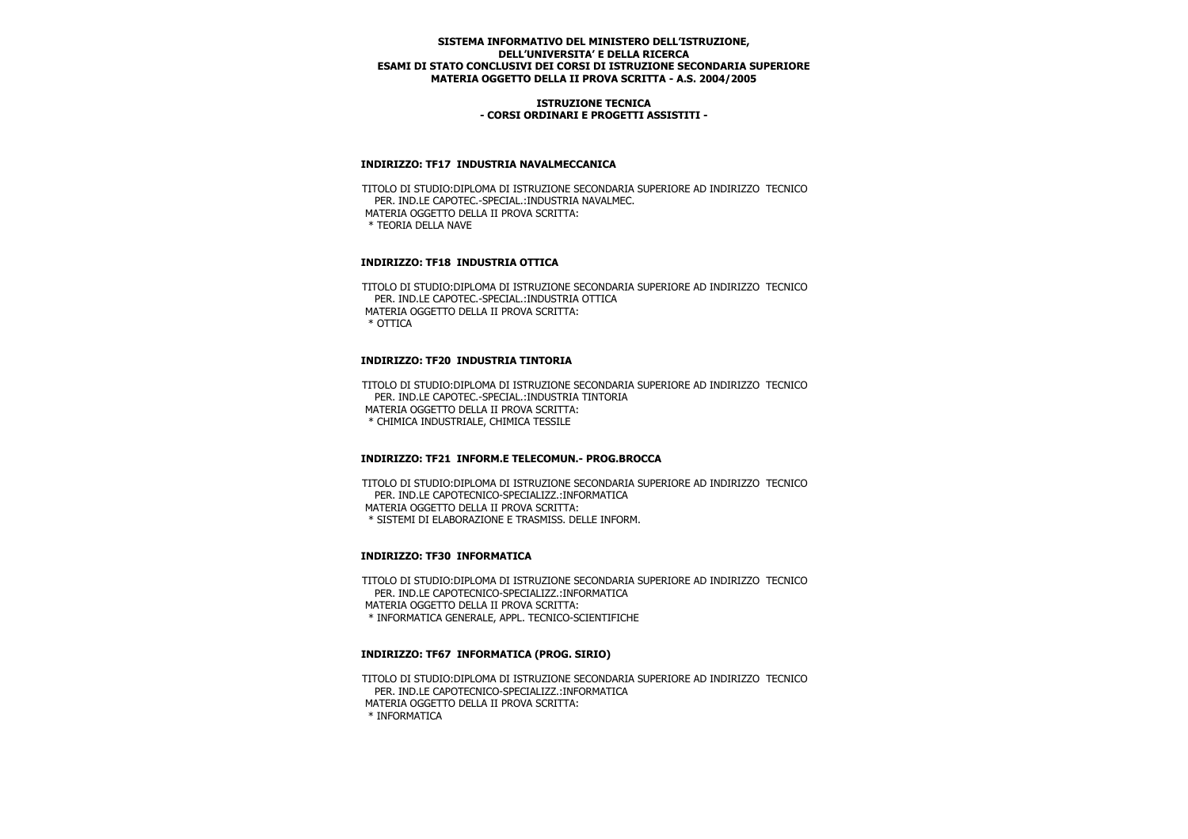### **ISTRUZIONE TECNICA - CORSI ORDINARI E PROGETTI ASSISTITI -**

### **INDIRIZZO: TF17 INDUSTRIA NAVALMECCANICA**

 TITOLO DI STUDIO:DIPLOMA DI ISTRUZIONE SECONDARIA SUPERIORE AD INDIRIZZO TECNICO PER. IND.LE CAPOTEC.-SPECIAL.:INDUSTRIA NAVALMEC. MATERIA OGGETTO DELLA II PROVA SCRITTA: \* TEORIA DELLA NAVE

## **INDIRIZZO: TF18 INDUSTRIA OTTICA**

 TITOLO DI STUDIO:DIPLOMA DI ISTRUZIONE SECONDARIA SUPERIORE AD INDIRIZZO TECNICO PER. IND.LE CAPOTEC.-SPECIAL.:INDUSTRIA OTTICA MATERIA OGGETTO DELLA II PROVA SCRITTA: \* OTTICA

### **INDIRIZZO: TF20 INDUSTRIA TINTORIA**

 TITOLO DI STUDIO:DIPLOMA DI ISTRUZIONE SECONDARIA SUPERIORE AD INDIRIZZO TECNICO PER. IND.LE CAPOTEC.-SPECIAL.:INDUSTRIA TINTORIA MATERIA OGGETTO DELLA II PROVA SCRITTA: \* CHIMICA INDUSTRIALE, CHIMICA TESSILE

#### **INDIRIZZO: TF21 INFORM.E TELECOMUN.- PROG.BROCCA**

 TITOLO DI STUDIO:DIPLOMA DI ISTRUZIONE SECONDARIA SUPERIORE AD INDIRIZZO TECNICO PER. IND.LE CAPOTECNICO-SPECIALIZZ.:INFORMATICA MATERIA OGGETTO DELLA II PROVA SCRITTA: \* SISTEMI DI ELABORAZIONE E TRASMISS. DELLE INFORM.

## **INDIRIZZO: TF30 INFORMATICA**

 TITOLO DI STUDIO:DIPLOMA DI ISTRUZIONE SECONDARIA SUPERIORE AD INDIRIZZO TECNICO PER. IND.LE CAPOTECNICO-SPECIALIZZ.:INFORMATICA MATERIA OGGETTO DELLA II PROVA SCRITTA: \* INFORMATICA GENERALE, APPL. TECNICO-SCIENTIFICHE

## **INDIRIZZO: TF67 INFORMATICA (PROG. SIRIO)**

 TITOLO DI STUDIO:DIPLOMA DI ISTRUZIONE SECONDARIA SUPERIORE AD INDIRIZZO TECNICO PER. IND.LE CAPOTECNICO-SPECIALIZZ.:INFORMATICA MATERIA OGGETTO DELLA II PROVA SCRITTA: \* INFORMATICA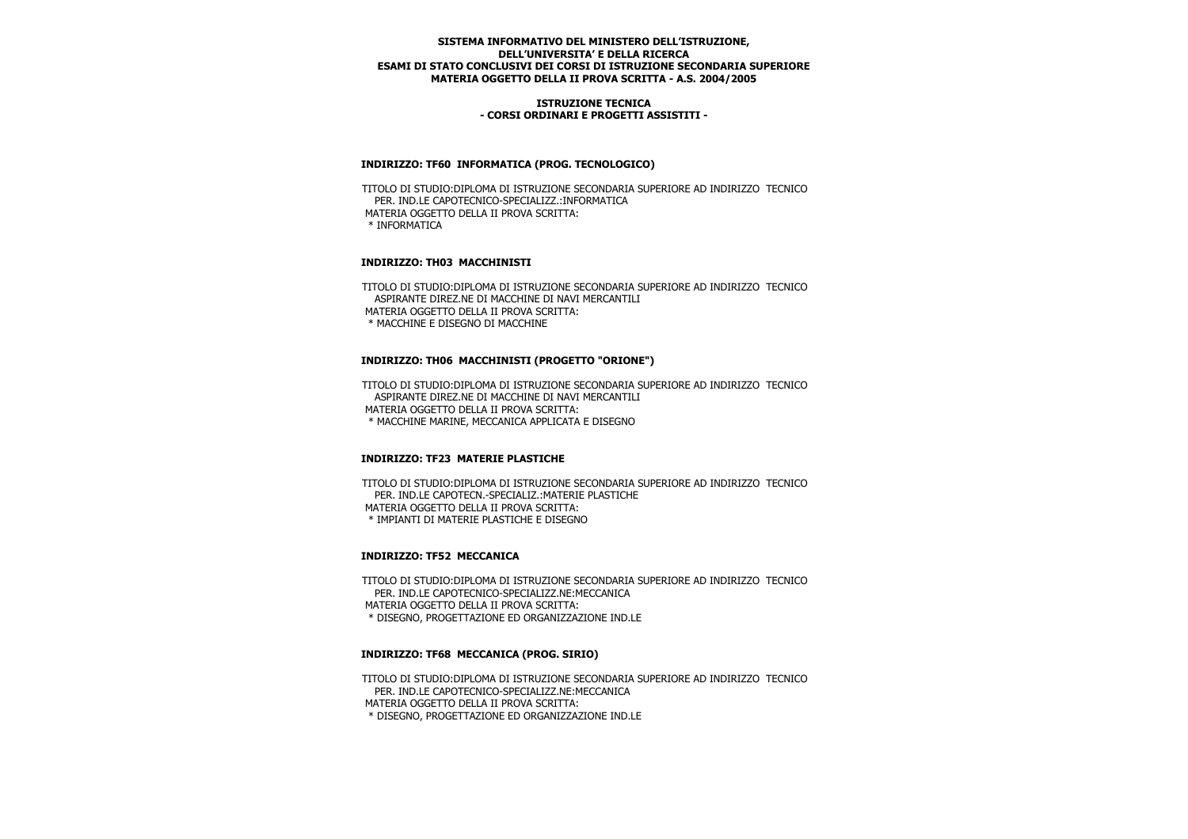### **ISTRUZIONE TECNICA - CORSI ORDINARI E PROGETTI ASSISTITI -**

### **INDIRIZZO: TF60 INFORMATICA (PROG. TECNOLOGICO)**

 TITOLO DI STUDIO:DIPLOMA DI ISTRUZIONE SECONDARIA SUPERIORE AD INDIRIZZO TECNICO PER. IND.LE CAPOTECNICO-SPECIALIZZ.:INFORMATICA MATERIA OGGETTO DELLA II PROVA SCRITTA: \* INFORMATICA

## **INDIRIZZO: TH03 MACCHINISTI**

 TITOLO DI STUDIO:DIPLOMA DI ISTRUZIONE SECONDARIA SUPERIORE AD INDIRIZZO TECNICO ASPIRANTE DIREZ.NE DI MACCHINE DI NAVI MERCANTILI MATERIA OGGETTO DELLA II PROVA SCRITTA: \* MACCHINE E DISEGNO DI MACCHINE

## **INDIRIZZO: TH06 MACCHINISTI (PROGETTO "ORIONE")**

 TITOLO DI STUDIO:DIPLOMA DI ISTRUZIONE SECONDARIA SUPERIORE AD INDIRIZZO TECNICO ASPIRANTE DIREZ.NE DI MACCHINE DI NAVI MERCANTILI MATERIA OGGETTO DELLA II PROVA SCRITTA: \* MACCHINE MARINE, MECCANICA APPLICATA E DISEGNO

## **INDIRIZZO: TF23 MATERIE PLASTICHE**

 TITOLO DI STUDIO:DIPLOMA DI ISTRUZIONE SECONDARIA SUPERIORE AD INDIRIZZO TECNICO PER. IND.LE CAPOTECN.-SPECIALIZ.:MATERIE PLASTICHE MATERIA OGGETTO DELLA II PROVA SCRITTA: \* IMPIANTI DI MATERIE PLASTICHE E DISEGNO

## **INDIRIZZO: TF52 MECCANICA**

 TITOLO DI STUDIO:DIPLOMA DI ISTRUZIONE SECONDARIA SUPERIORE AD INDIRIZZO TECNICO PER. IND.LE CAPOTECNICO-SPECIALIZZ.NE:MECCANICA MATERIA OGGETTO DELLA II PROVA SCRITTA: \* DISEGNO, PROGETTAZIONE ED ORGANIZZAZIONE IND.LE

### **INDIRIZZO: TF68 MECCANICA (PROG. SIRIO)**

 TITOLO DI STUDIO:DIPLOMA DI ISTRUZIONE SECONDARIA SUPERIORE AD INDIRIZZO TECNICO PER. IND.LE CAPOTECNICO-SPECIALIZZ.NE:MECCANICA MATERIA OGGETTO DELLA II PROVA SCRITTA: \* DISEGNO, PROGETTAZIONE ED ORGANIZZAZIONE IND.LE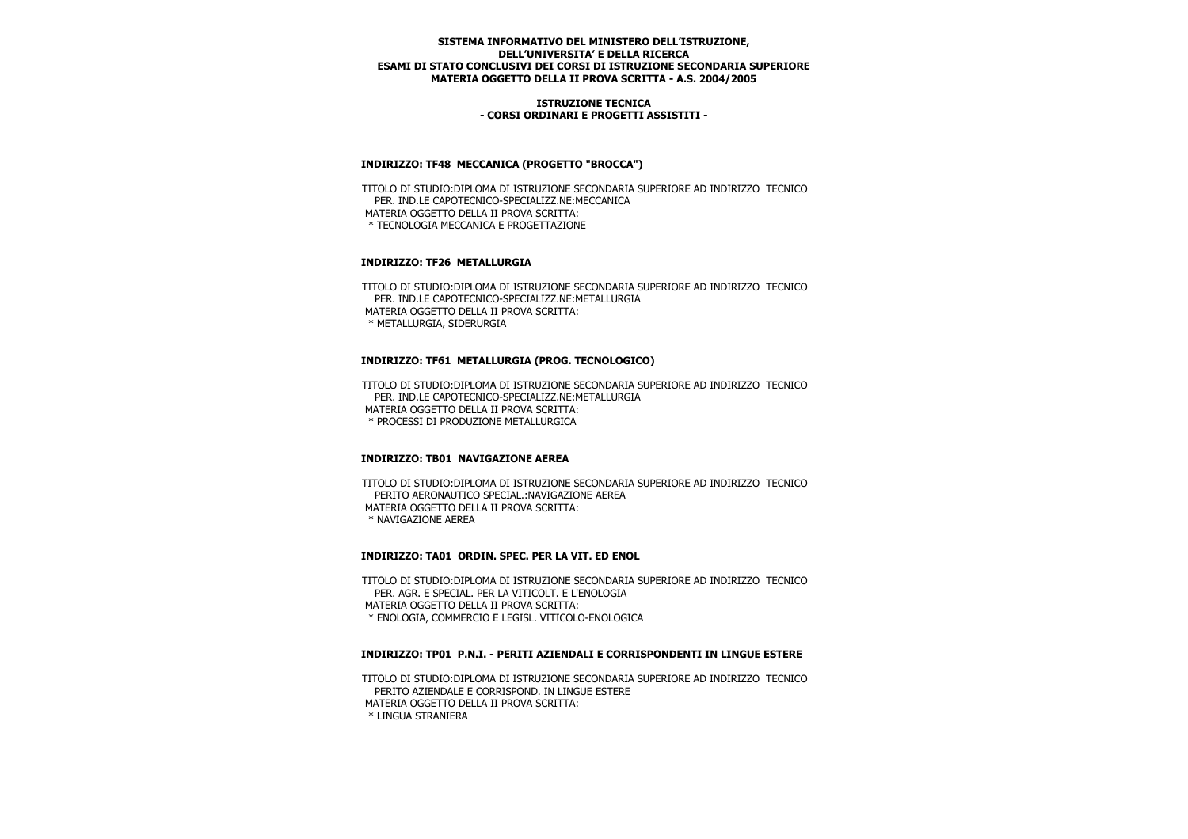### **ISTRUZIONE TECNICA - CORSI ORDINARI E PROGETTI ASSISTITI -**

# **INDIRIZZO: TF48 MECCANICA (PROGETTO "BROCCA")**

 TITOLO DI STUDIO:DIPLOMA DI ISTRUZIONE SECONDARIA SUPERIORE AD INDIRIZZO TECNICO PER. IND.LE CAPOTECNICO-SPECIALIZZ.NE:MECCANICA MATERIA OGGETTO DELLA II PROVA SCRITTA: \* TECNOLOGIA MECCANICA E PROGETTAZIONE

# **INDIRIZZO: TF26 METALLURGIA**

 TITOLO DI STUDIO:DIPLOMA DI ISTRUZIONE SECONDARIA SUPERIORE AD INDIRIZZO TECNICO PER. IND.LE CAPOTECNICO-SPECIALIZZ.NE:METALLURGIA MATERIA OGGETTO DELLA II PROVA SCRITTA: \* METALLURGIA, SIDERURGIA

## **INDIRIZZO: TF61 METALLURGIA (PROG. TECNOLOGICO)**

 TITOLO DI STUDIO:DIPLOMA DI ISTRUZIONE SECONDARIA SUPERIORE AD INDIRIZZO TECNICO PER. IND.LE CAPOTECNICO-SPECIALIZZ.NE:METALLURGIA MATERIA OGGETTO DELLA II PROVA SCRITTA: \* PROCESSI DI PRODUZIONE METALLURGICA

## **INDIRIZZO: TB01 NAVIGAZIONE AEREA**

 TITOLO DI STUDIO:DIPLOMA DI ISTRUZIONE SECONDARIA SUPERIORE AD INDIRIZZO TECNICO PERITO AERONAUTICO SPECIAL.:NAVIGAZIONE AEREA MATERIA OGGETTO DELLA II PROVA SCRITTA: \* NAVIGAZIONE AEREA

## **INDIRIZZO: TA01 ORDIN. SPEC. PER LA VIT. ED ENOL**

 TITOLO DI STUDIO:DIPLOMA DI ISTRUZIONE SECONDARIA SUPERIORE AD INDIRIZZO TECNICO PER. AGR. E SPECIAL. PER LA VITICOLT. E L'ENOLOGIA MATERIA OGGETTO DELLA II PROVA SCRITTA: \* ENOLOGIA, COMMERCIO E LEGISL. VITICOLO-ENOLOGICA

## **INDIRIZZO: TP01 P.N.I. - PERITI AZIENDALI E CORRISPONDENTI IN LINGUE ESTERE**

 TITOLO DI STUDIO:DIPLOMA DI ISTRUZIONE SECONDARIA SUPERIORE AD INDIRIZZO TECNICO PERITO AZIENDALE E CORRISPOND. IN LINGUE ESTERE MATERIA OGGETTO DELLA II PROVA SCRITTA: \* LINGUA STRANIERA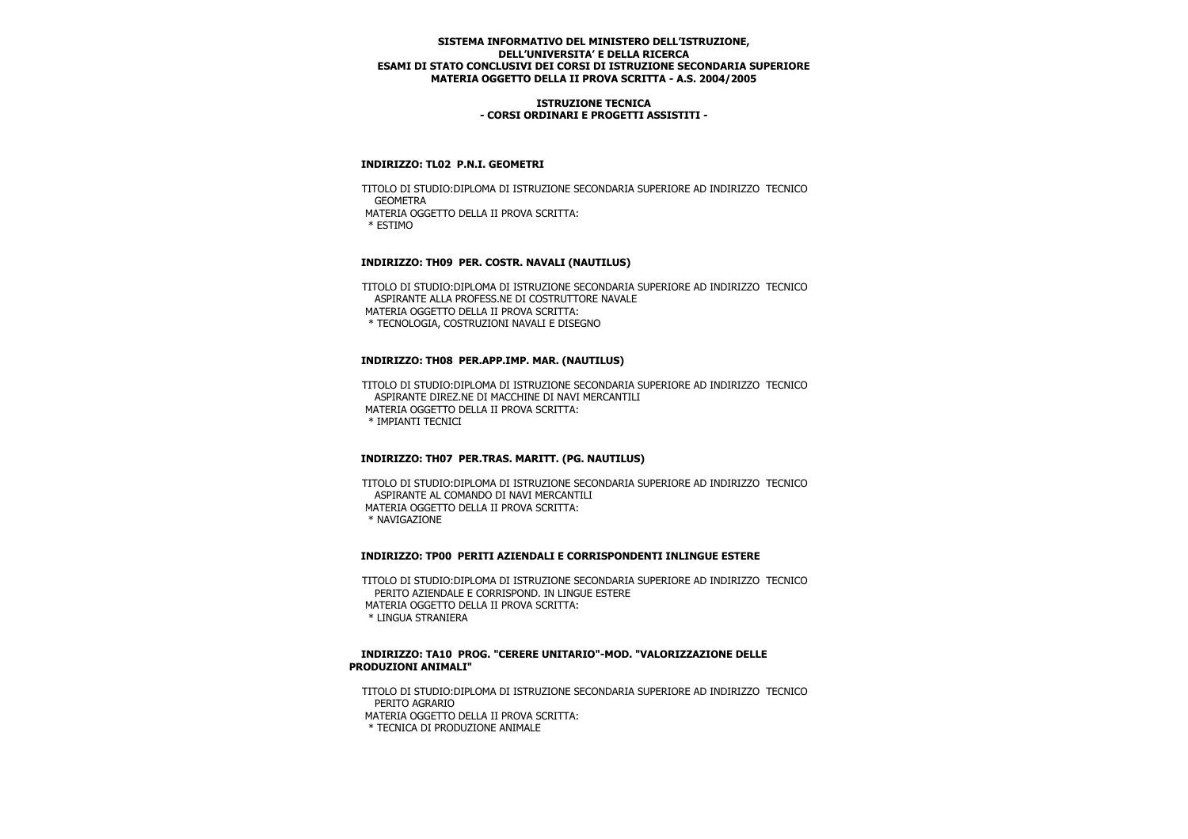### **ISTRUZIONE TECNICA - CORSI ORDINARI E PROGETTI ASSISTITI -**

### **INDIRIZZO: TL02 P.N.I. GEOMETRI**

 TITOLO DI STUDIO:DIPLOMA DI ISTRUZIONE SECONDARIA SUPERIORE AD INDIRIZZO TECNICO **GEOMETRA**  MATERIA OGGETTO DELLA II PROVA SCRITTA: \* ESTIMO

## **INDIRIZZO: TH09 PER. COSTR. NAVALI (NAUTILUS)**

 TITOLO DI STUDIO:DIPLOMA DI ISTRUZIONE SECONDARIA SUPERIORE AD INDIRIZZO TECNICO ASPIRANTE ALLA PROFESS.NE DI COSTRUTTORE NAVALE MATERIA OGGETTO DELLA II PROVA SCRITTA: \* TECNOLOGIA, COSTRUZIONI NAVALI E DISEGNO

### **INDIRIZZO: TH08 PER.APP.IMP. MAR. (NAUTILUS)**

 TITOLO DI STUDIO:DIPLOMA DI ISTRUZIONE SECONDARIA SUPERIORE AD INDIRIZZO TECNICO ASPIRANTE DIREZ.NE DI MACCHINE DI NAVI MERCANTILI MATERIA OGGETTO DELLA II PROVA SCRITTA: \* IMPIANTI TECNICI

## **INDIRIZZO: TH07 PER.TRAS. MARITT. (PG. NAUTILUS)**

 TITOLO DI STUDIO:DIPLOMA DI ISTRUZIONE SECONDARIA SUPERIORE AD INDIRIZZO TECNICO ASPIRANTE AL COMANDO DI NAVI MERCANTILI MATERIA OGGETTO DELLA II PROVA SCRITTA: \* NAVIGAZIONE

#### **INDIRIZZO: TP00 PERITI AZIENDALI E CORRISPONDENTI INLINGUE ESTERE**

 TITOLO DI STUDIO:DIPLOMA DI ISTRUZIONE SECONDARIA SUPERIORE AD INDIRIZZO TECNICO PERITO AZIENDALE E CORRISPOND. IN LINGUE ESTERE MATERIA OGGETTO DELLA II PROVA SCRITTA: \* LINGUA STRANIERA

### **INDIRIZZO: TA10 PROG. "CERERE UNITARIO"-MOD. "VALORIZZAZIONE DELLE PRODUZIONI ANIMALI"**

 TITOLO DI STUDIO:DIPLOMA DI ISTRUZIONE SECONDARIA SUPERIORE AD INDIRIZZO TECNICO PERITO AGRARIO MATERIA OGGETTO DELLA II PROVA SCRITTA: \* TECNICA DI PRODUZIONE ANIMALE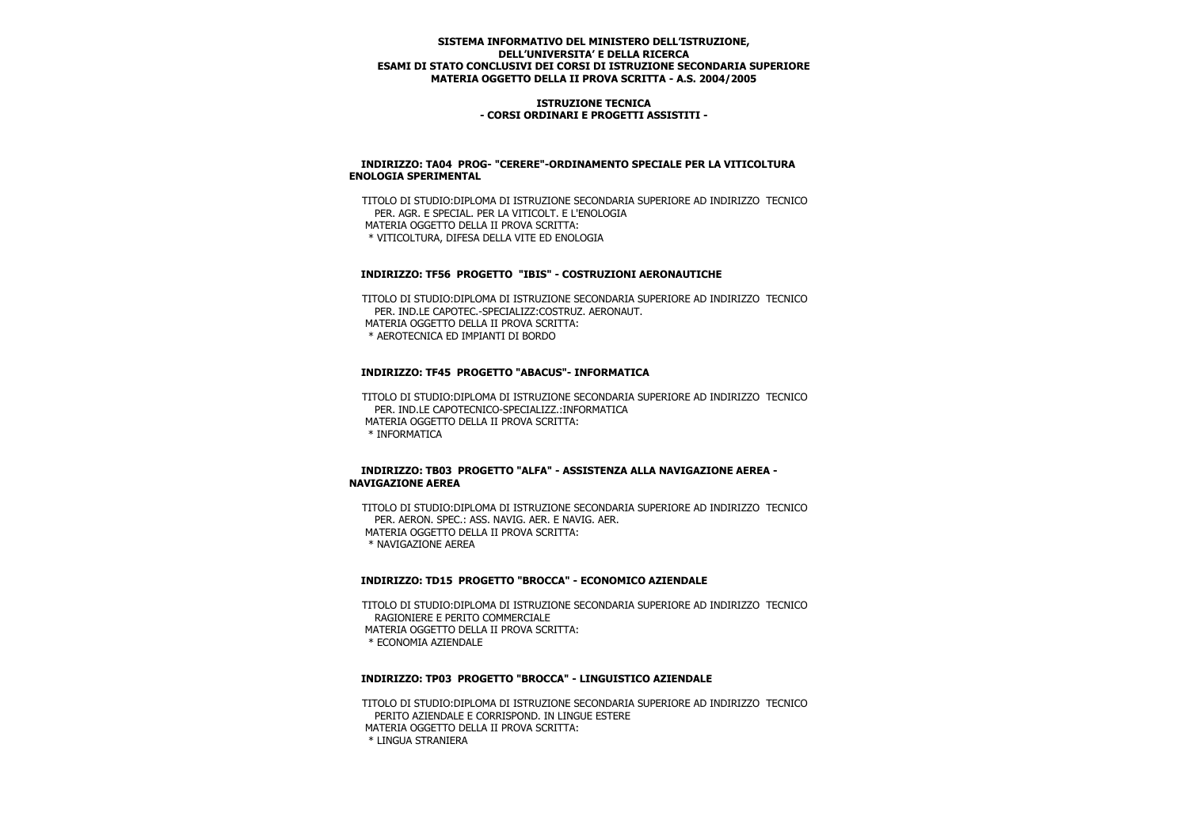#### **ISTRUZIONE TECNICA - CORSI ORDINARI E PROGETTI ASSISTITI -**

### **INDIRIZZO: TA04 PROG- "CERERE"-ORDINAMENTO SPECIALE PER LA VITICOLTURA ENOLOGIA SPERIMENTAL**

 TITOLO DI STUDIO:DIPLOMA DI ISTRUZIONE SECONDARIA SUPERIORE AD INDIRIZZO TECNICO PER. AGR. E SPECIAL. PER LA VITICOLT. E L'ENOLOGIA MATERIA OGGETTO DELLA II PROVA SCRITTA: \* VITICOLTURA, DIFESA DELLA VITE ED ENOLOGIA

### **INDIRIZZO: TF56 PROGETTO "IBIS" - COSTRUZIONI AERONAUTICHE**

 TITOLO DI STUDIO:DIPLOMA DI ISTRUZIONE SECONDARIA SUPERIORE AD INDIRIZZO TECNICO PER. IND. LE CAPOTEC - SPECIALIZZ: COSTRUZ. AERONAUT. MATERIA OGGETTO DELLA II PROVA SCRITTA: \* AEROTECNICA ED IMPIANTI DI BORDO

## **INDIRIZZO: TF45 PROGETTO "ABACUS"- INFORMATICA**

 TITOLO DI STUDIO:DIPLOMA DI ISTRUZIONE SECONDARIA SUPERIORE AD INDIRIZZO TECNICO PER. IND.LE CAPOTECNICO-SPECIALIZZ.:INFORMATICA MATERIA OGGETTO DELLA II PROVA SCRITTA: \* INFORMATICA

### **INDIRIZZO: TB03 PROGETTO "ALFA" - ASSISTENZA ALLA NAVIGAZIONE AEREA - NAVIGAZIONE AEREA**

 TITOLO DI STUDIO:DIPLOMA DI ISTRUZIONE SECONDARIA SUPERIORE AD INDIRIZZO TECNICO PER. AERON. SPEC.: ASS. NAVIG. AER. E NAVIG. AER. MATERIA OGGETTO DELLA II PROVA SCRITTA: \* NAVIGAZIONE AEREA

# **INDIRIZZO: TD15 PROGETTO "BROCCA" - ECONOMICO AZIENDALE**

 TITOLO DI STUDIO:DIPLOMA DI ISTRUZIONE SECONDARIA SUPERIORE AD INDIRIZZO TECNICO RAGIONIERE E PERITO COMMERCIALE MATERIA OGGETTO DELLA II PROVA SCRITTA: \* ECONOMIA AZIENDALE

#### **INDIRIZZO: TP03 PROGETTO "BROCCA" - LINGUISTICO AZIENDALE**

 TITOLO DI STUDIO:DIPLOMA DI ISTRUZIONE SECONDARIA SUPERIORE AD INDIRIZZO TECNICO PERITO AZIENDALE E CORRISPOND. IN LINGUE ESTERE MATERIA OGGETTO DELLA II PROVA SCRITTA: \* LINGUA STRANIERA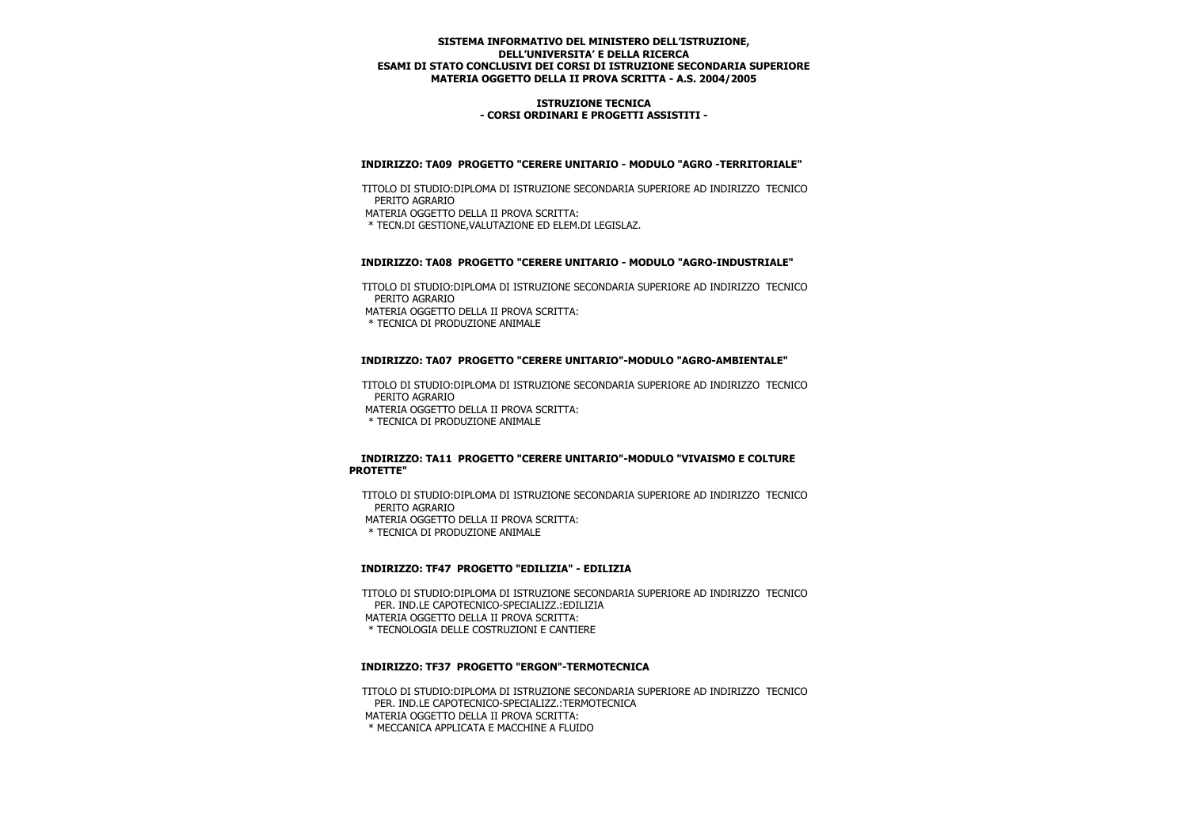### **ISTRUZIONE TECNICA - CORSI ORDINARI E PROGETTI ASSISTITI -**

### **INDIRIZZO: TA09 PROGETTO "CERERE UNITARIO - MODULO "AGRO -TERRITORIALE"**

 TITOLO DI STUDIO:DIPLOMA DI ISTRUZIONE SECONDARIA SUPERIORE AD INDIRIZZO TECNICO PERITO AGRARIO MATERIA OGGETTO DELLA II PROVA SCRITTA: \* TECN.DI GESTIONE,VALUTAZIONE ED ELEM.DI LEGISLAZ.

## **INDIRIZZO: TA08 PROGETTO "CERERE UNITARIO - MODULO "AGRO-INDUSTRIALE"**

 TITOLO DI STUDIO:DIPLOMA DI ISTRUZIONE SECONDARIA SUPERIORE AD INDIRIZZO TECNICO PERITO AGRARIO MATERIA OGGETTO DELLA II PROVA SCRITTA:

\* TECNICA DI PRODUZIONE ANIMALE

## **INDIRIZZO: TA07 PROGETTO "CERERE UNITARIO"-MODULO "AGRO-AMBIENTALE"**

 TITOLO DI STUDIO:DIPLOMA DI ISTRUZIONE SECONDARIA SUPERIORE AD INDIRIZZO TECNICO PERITO AGRARIO MATERIA OGGETTO DELLA II PROVA SCRITTA: \* TECNICA DI PRODUZIONE ANIMALE

### **INDIRIZZO: TA11 PROGETTO "CERERE UNITARIO"-MODULO "VIVAISMO E COLTURE PROTETTE"**

 TITOLO DI STUDIO:DIPLOMA DI ISTRUZIONE SECONDARIA SUPERIORE AD INDIRIZZO TECNICO PERITO AGRARIO

MATERIA OGGETTO DELLA II PROVA SCRITTA:

\* TECNICA DI PRODUZIONE ANIMALE

## **INDIRIZZO: TF47 PROGETTO "EDILIZIA" - EDILIZIA**

 TITOLO DI STUDIO:DIPLOMA DI ISTRUZIONE SECONDARIA SUPERIORE AD INDIRIZZO TECNICO PER. IND.LE CAPOTECNICO-SPECIALIZZ.:EDILIZIA MATERIA OGGETTO DELLA II PROVA SCRITTA: \* TECNOLOGIA DELLE COSTRUZIONI E CANTIERE

## **INDIRIZZO: TF37 PROGETTO "ERGON"-TERMOTECNICA**

 TITOLO DI STUDIO:DIPLOMA DI ISTRUZIONE SECONDARIA SUPERIORE AD INDIRIZZO TECNICO PER. IND.LE CAPOTECNICO-SPECIALIZZ.:TERMOTECNICA MATERIA OGGETTO DELLA II PROVA SCRITTA: \* MECCANICA APPLICATA E MACCHINE A FLUIDO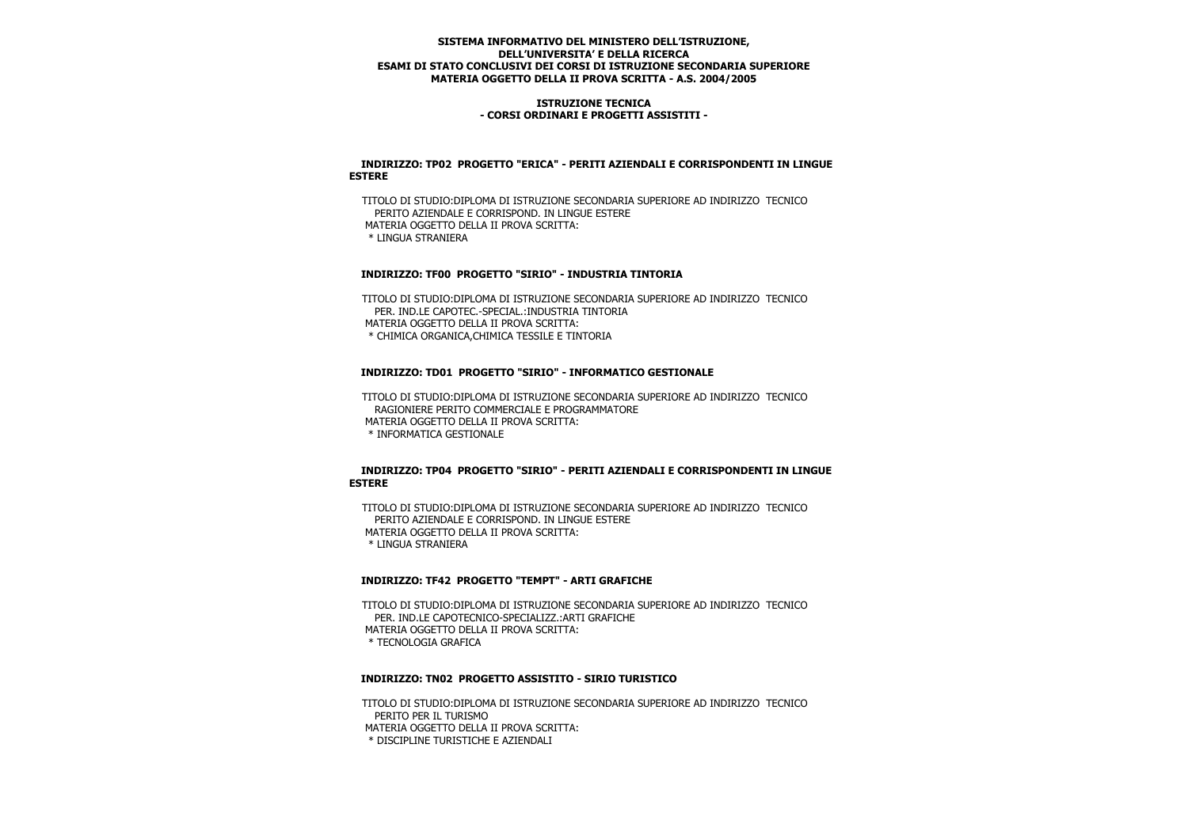### **ISTRUZIONE TECNICA - CORSI ORDINARI E PROGETTI ASSISTITI -**

### **INDIRIZZO: TP02 PROGETTO "ERICA" - PERITI AZIENDALI E CORRISPONDENTI IN LINGUE ESTERE**

 TITOLO DI STUDIO:DIPLOMA DI ISTRUZIONE SECONDARIA SUPERIORE AD INDIRIZZO TECNICO PERITO AZIENDALE E CORRISPOND. IN LINGUE ESTERE MATERIA OGGETTO DELLA II PROVA SCRITTA: \* LINGUA STRANIERA

### **INDIRIZZO: TF00 PROGETTO "SIRIO" - INDUSTRIA TINTORIA**

 TITOLO DI STUDIO:DIPLOMA DI ISTRUZIONE SECONDARIA SUPERIORE AD INDIRIZZO TECNICO PER. IND LE CAPOTEC -SPECIAL. INDUSTRIA TINTORIA MATERIA OGGETTO DELLA II PROVA SCRITTA: \* CHIMICA ORGANICA,CHIMICA TESSILE E TINTORIA

### **INDIRIZZO: TD01 PROGETTO "SIRIO" - INFORMATICO GESTIONALE**

 TITOLO DI STUDIO:DIPLOMA DI ISTRUZIONE SECONDARIA SUPERIORE AD INDIRIZZO TECNICO RAGIONIERE PERITO COMMERCIALE E PROGRAMMATORE MATERIA OGGETTO DELLA II PROVA SCRITTA: \* INFORMATICA GESTIONALE

### **INDIRIZZO: TP04 PROGETTO "SIRIO" - PERITI AZIENDALI E CORRISPONDENTI IN LINGUE ESTERE**

 TITOLO DI STUDIO:DIPLOMA DI ISTRUZIONE SECONDARIA SUPERIORE AD INDIRIZZO TECNICO PERITO AZIENDALE E CORRISPOND. IN LINGUE ESTERE MATERIA OGGETTO DELLA II PROVA SCRITTA: \* LINGUA STRANIERA

### **INDIRIZZO: TF42 PROGETTO "TEMPT" - ARTI GRAFICHE**

 TITOLO DI STUDIO:DIPLOMA DI ISTRUZIONE SECONDARIA SUPERIORE AD INDIRIZZO TECNICO PER. IND.LE CAPOTECNICO-SPECIALIZZ.:ARTI GRAFICHE MATERIA OGGETTO DELLA II PROVA SCRITTA: \* TECNOLOGIA GRAFICA

#### **INDIRIZZO: TN02 PROGETTO ASSISTITO - SIRIO TURISTICO**

 TITOLO DI STUDIO:DIPLOMA DI ISTRUZIONE SECONDARIA SUPERIORE AD INDIRIZZO TECNICO PERITO PER IL TURISMO MATERIA OGGETTO DELLA II PROVA SCRITTA: \* DISCIPLINE TURISTICHE E AZIENDALI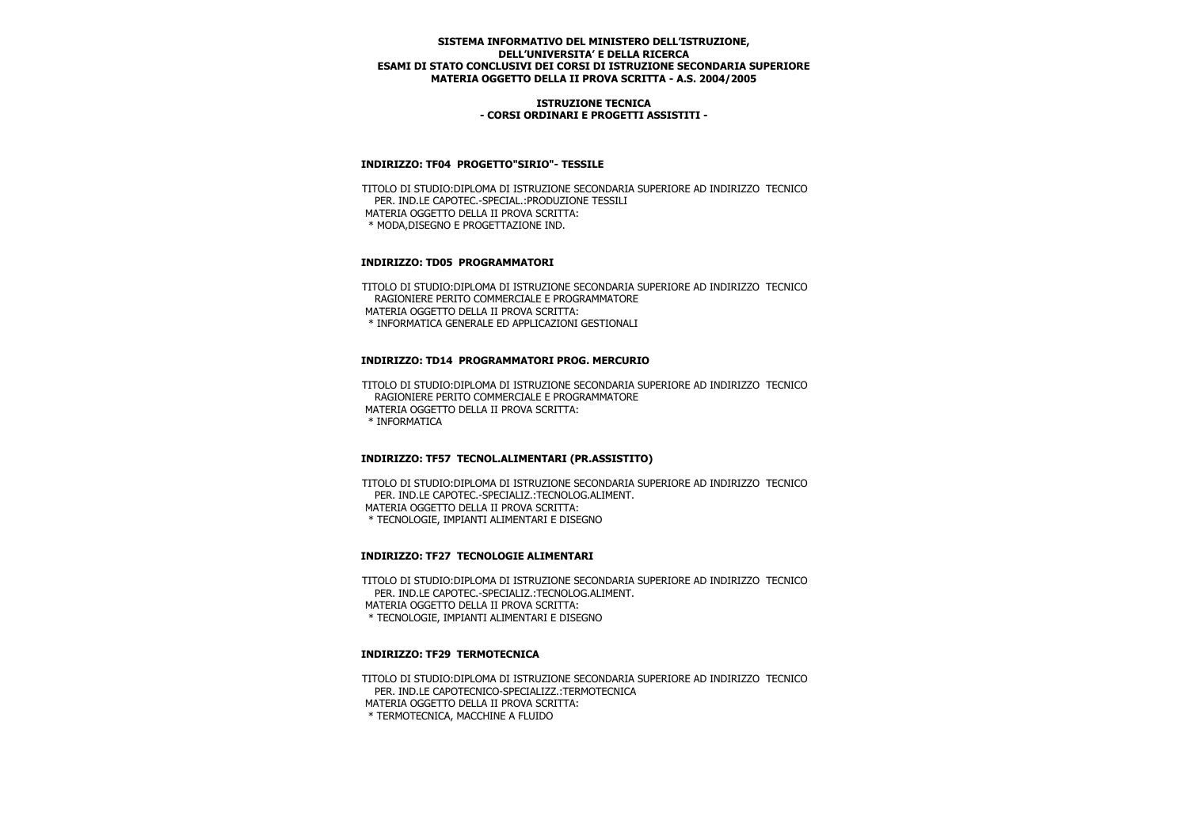### **ISTRUZIONE TECNICA - CORSI ORDINARI E PROGETTI ASSISTITI -**

### **INDIRIZZO: TF04 PROGETTO"SIRIO"- TESSILE**

 TITOLO DI STUDIO:DIPLOMA DI ISTRUZIONE SECONDARIA SUPERIORE AD INDIRIZZO TECNICO PER. IND.LE CAPOTEC.-SPECIAL.:PRODUZIONE TESSILI MATERIA OGGETTO DELLA II PROVA SCRITTA: \* MODA,DISEGNO E PROGETTAZIONE IND.

## **INDIRIZZO: TD05 PROGRAMMATORI**

 TITOLO DI STUDIO:DIPLOMA DI ISTRUZIONE SECONDARIA SUPERIORE AD INDIRIZZO TECNICO RAGIONIERE PERITO COMMERCIALE E PROGRAMMATORE MATERIA OGGETTO DELLA II PROVA SCRITTA: \* INFORMATICA GENERALE ED APPLICAZIONI GESTIONALI

### **INDIRIZZO: TD14 PROGRAMMATORI PROG. MERCURIO**

 TITOLO DI STUDIO:DIPLOMA DI ISTRUZIONE SECONDARIA SUPERIORE AD INDIRIZZO TECNICO RAGIONIERE PERITO COMMERCIALE E PROGRAMMATORE MATERIA OGGETTO DELLA II PROVA SCRITTA: \* INFORMATICA

## **INDIRIZZO: TF57 TECNOL.ALIMENTARI (PR.ASSISTITO)**

 TITOLO DI STUDIO:DIPLOMA DI ISTRUZIONE SECONDARIA SUPERIORE AD INDIRIZZO TECNICO PER. IND.LE CAPOTEC.-SPECIALIZ.:TECNOLOG.ALIMENT. MATERIA OGGETTO DELLA II PROVA SCRITTA: \* TECNOLOGIE, IMPIANTI ALIMENTARI E DISEGNO

## **INDIRIZZO: TF27 TECNOLOGIE ALIMENTARI**

 TITOLO DI STUDIO:DIPLOMA DI ISTRUZIONE SECONDARIA SUPERIORE AD INDIRIZZO TECNICO PER. IND.LE CAPOTEC.-SPECIALIZ.:TECNOLOG.ALIMENT. MATERIA OGGETTO DELLA II PROVA SCRITTA: \* TECNOLOGIE, IMPIANTI ALIMENTARI E DISEGNO

### **INDIRIZZO: TF29 TERMOTECNICA**

 TITOLO DI STUDIO:DIPLOMA DI ISTRUZIONE SECONDARIA SUPERIORE AD INDIRIZZO TECNICO PER. IND.LE CAPOTECNICO-SPECIALIZZ.:TERMOTECNICA MATERIA OGGETTO DELLA II PROVA SCRITTA: \* TERMOTECNICA, MACCHINE A FLUIDO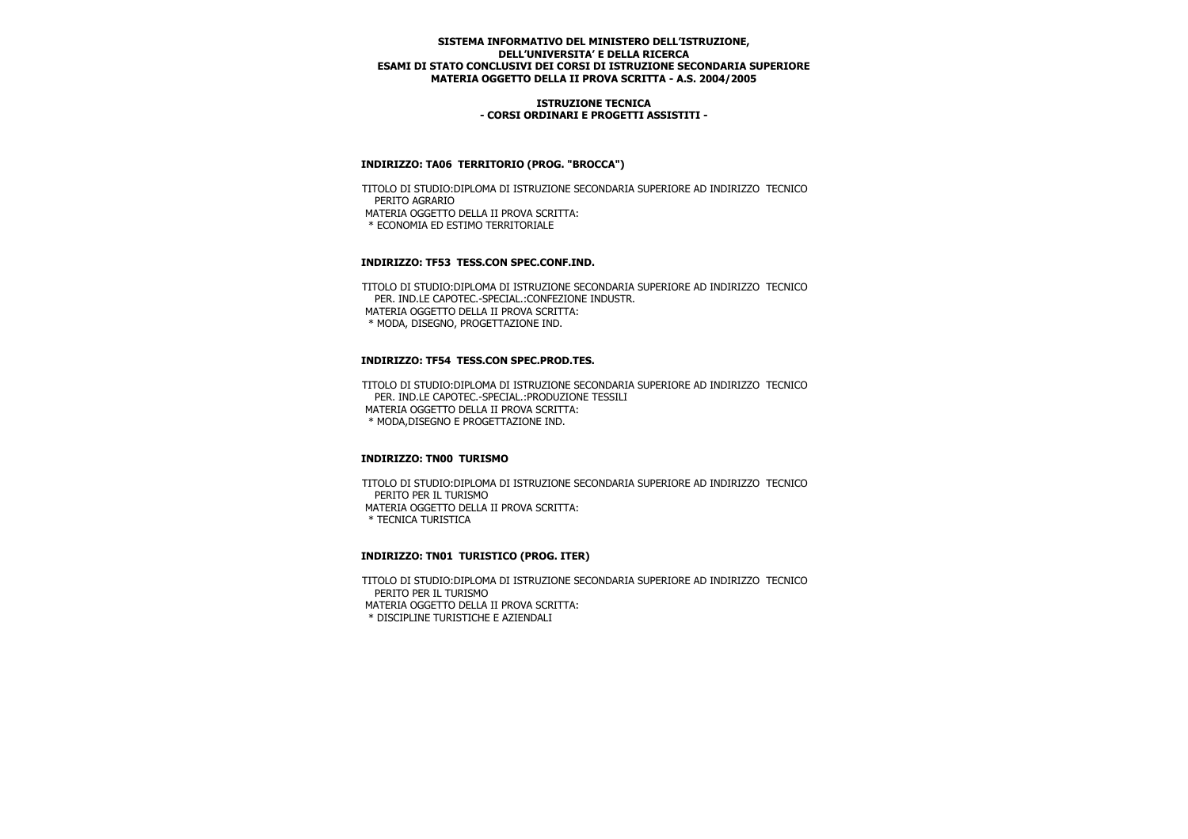### **ISTRUZIONE TECNICA - CORSI ORDINARI E PROGETTI ASSISTITI -**

## **INDIRIZZO: TA06 TERRITORIO (PROG. "BROCCA")**

 TITOLO DI STUDIO:DIPLOMA DI ISTRUZIONE SECONDARIA SUPERIORE AD INDIRIZZO TECNICO PERITO AGRARIO MATERIA OGGETTO DELLA II PROVA SCRITTA: \* ECONOMIA ED ESTIMO TERRITORIALE

### **INDIRIZZO: TF53 TESS.CON SPEC.CONF.IND.**

 TITOLO DI STUDIO:DIPLOMA DI ISTRUZIONE SECONDARIA SUPERIORE AD INDIRIZZO TECNICO PER. IND.LE CAPOTEC.-SPECIAL.:CONFEZIONE INDUSTR. MATERIA OGGETTO DELLA II PROVA SCRITTA: \* MODA, DISEGNO, PROGETTAZIONE IND.

### **INDIRIZZO: TF54 TESS.CON SPEC.PROD.TES.**

 TITOLO DI STUDIO:DIPLOMA DI ISTRUZIONE SECONDARIA SUPERIORE AD INDIRIZZO TECNICO PER. IND.LE CAPOTEC.-SPECIAL.:PRODUZIONE TESSILI MATERIA OGGETTO DELLA II PROVA SCRITTA: \* MODA,DISEGNO E PROGETTAZIONE IND.

#### **INDIRIZZO: TN00 TURISMO**

 TITOLO DI STUDIO:DIPLOMA DI ISTRUZIONE SECONDARIA SUPERIORE AD INDIRIZZO TECNICO PERITO PER IL TURISMO MATERIA OGGETTO DELLA II PROVA SCRITTA: \* TECNICA TURISTICA

#### **INDIRIZZO: TN01 TURISTICO (PROG. ITER)**

 TITOLO DI STUDIO:DIPLOMA DI ISTRUZIONE SECONDARIA SUPERIORE AD INDIRIZZO TECNICO PERITO PER IL TURISMO MATERIA OGGETTO DELLA II PROVA SCRITTA: \* DISCIPLINE TURISTICHE E AZIENDALI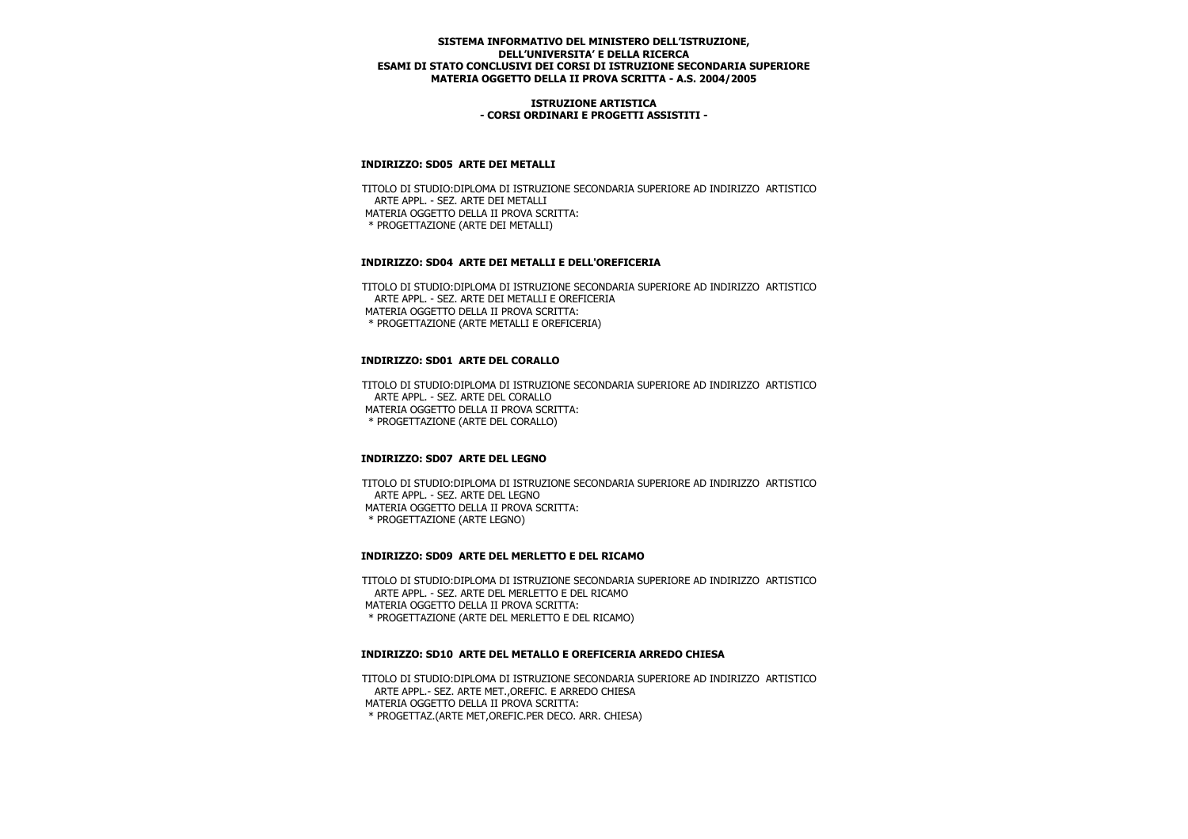### **ISTRUZIONE ARTISTICA - CORSI ORDINARI E PROGETTI ASSISTITI -**

## **INDIRIZZO: SD05 ARTE DEI METALLI**

 TITOLO DI STUDIO:DIPLOMA DI ISTRUZIONE SECONDARIA SUPERIORE AD INDIRIZZO ARTISTICO ARTE APPL. - SEZ. ARTE DEI METALLI MATERIA OGGETTO DELLA II PROVA SCRITTA: \* PROGETTAZIONE (ARTE DEI METALLI)

### **INDIRIZZO: SD04 ARTE DEI METALLI E DELL'OREFICERIA**

 TITOLO DI STUDIO:DIPLOMA DI ISTRUZIONE SECONDARIA SUPERIORE AD INDIRIZZO ARTISTICO ARTE APPL. - SEZ. ARTE DEI METALLI E OREFICERIA MATERIA OGGETTO DELLA II PROVA SCRITTA: \* PROGETTAZIONE (ARTE METALLI E OREFICERIA)

## **INDIRIZZO: SD01 ARTE DEL CORALLO**

 TITOLO DI STUDIO:DIPLOMA DI ISTRUZIONE SECONDARIA SUPERIORE AD INDIRIZZO ARTISTICO ARTE APPL. - SEZ. ARTE DEL CORALLO MATERIA OGGETTO DELLA II PROVA SCRITTA: \* PROGETTAZIONE (ARTE DEL CORALLO)

## **INDIRIZZO: SD07 ARTE DEL LEGNO**

 TITOLO DI STUDIO:DIPLOMA DI ISTRUZIONE SECONDARIA SUPERIORE AD INDIRIZZO ARTISTICO ARTE APPL. - SEZ. ARTE DEL LEGNO MATERIA OGGETTO DELLA II PROVA SCRITTA: \* PROGETTAZIONE (ARTE LEGNO)

#### **INDIRIZZO: SD09 ARTE DEL MERLETTO E DEL RICAMO**

 TITOLO DI STUDIO:DIPLOMA DI ISTRUZIONE SECONDARIA SUPERIORE AD INDIRIZZO ARTISTICO ARTE APPL. - SEZ. ARTE DEL MERLETTO E DEL RICAMO MATERIA OGGETTO DELLA II PROVA SCRITTA: \* PROGETTAZIONE (ARTE DEL MERLETTO E DEL RICAMO)

#### **INDIRIZZO: SD10 ARTE DEL METALLO E OREFICERIA ARREDO CHIESA**

 TITOLO DI STUDIO:DIPLOMA DI ISTRUZIONE SECONDARIA SUPERIORE AD INDIRIZZO ARTISTICO ARTE APPL.- SEZ. ARTE MET.,OREFIC. E ARREDO CHIESA MATERIA OGGETTO DELLA II PROVA SCRITTA: \* PROGETTAZ.(ARTE MET,OREFIC.PER DECO. ARR. CHIESA)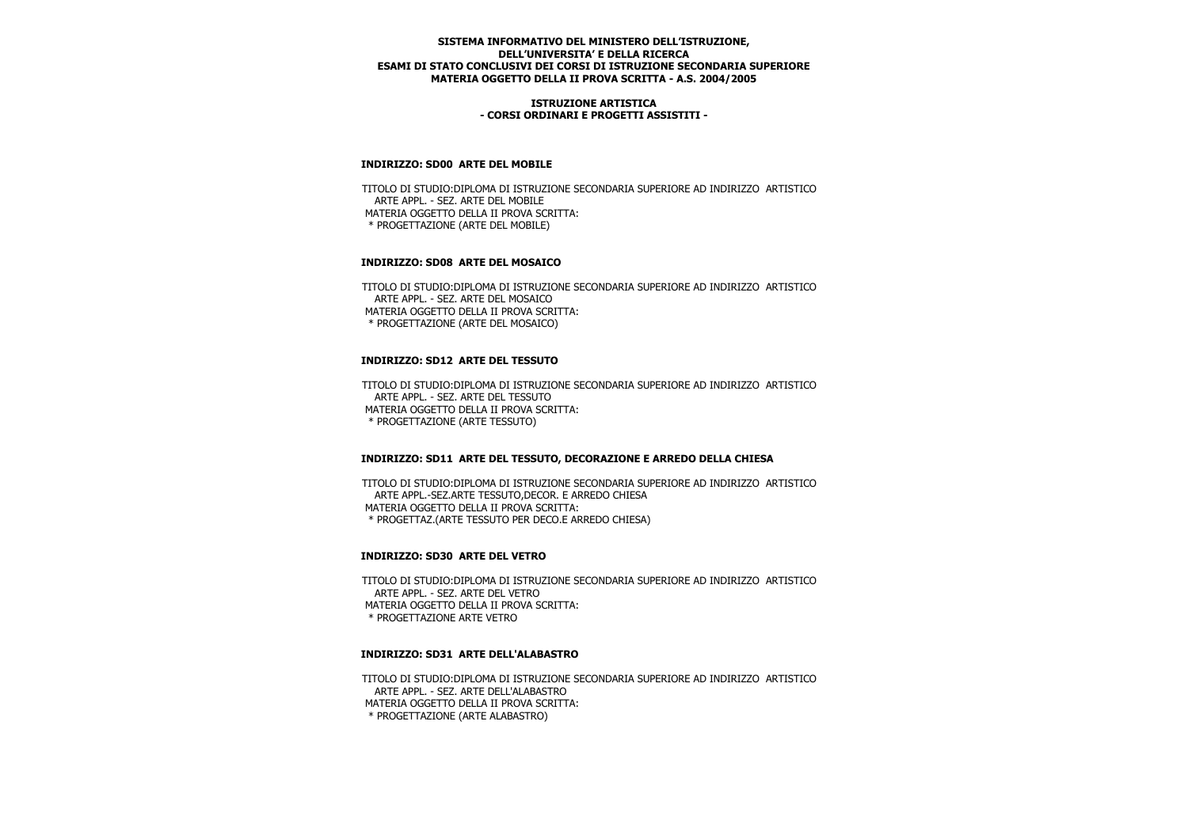### **ISTRUZIONE ARTISTICA - CORSI ORDINARI E PROGETTI ASSISTITI -**

## **INDIRIZZO: SD00 ARTE DEL MOBILE**

 TITOLO DI STUDIO:DIPLOMA DI ISTRUZIONE SECONDARIA SUPERIORE AD INDIRIZZO ARTISTICO ARTE APPL. - SEZ. ARTE DEL MOBILE MATERIA OGGETTO DELLA II PROVA SCRITTA: \* PROGETTAZIONE (ARTE DEL MOBILE)

## **INDIRIZZO: SD08 ARTE DEL MOSAICO**

 TITOLO DI STUDIO:DIPLOMA DI ISTRUZIONE SECONDARIA SUPERIORE AD INDIRIZZO ARTISTICO ARTE APPL. - SEZ. ARTE DEL MOSAICO MATERIA OGGETTO DELLA II PROVA SCRITTA: \* PROGETTAZIONE (ARTE DEL MOSAICO)

## **INDIRIZZO: SD12 ARTE DEL TESSUTO**

 TITOLO DI STUDIO:DIPLOMA DI ISTRUZIONE SECONDARIA SUPERIORE AD INDIRIZZO ARTISTICO ARTE APPL. - SEZ. ARTE DEL TESSUTO MATERIA OGGETTO DELLA II PROVA SCRITTA: \* PROGETTAZIONE (ARTE TESSUTO)

#### **INDIRIZZO: SD11 ARTE DEL TESSUTO, DECORAZIONE E ARREDO DELLA CHIESA**

 TITOLO DI STUDIO:DIPLOMA DI ISTRUZIONE SECONDARIA SUPERIORE AD INDIRIZZO ARTISTICO ARTE APPL.-SEZ.ARTE TESSUTO,DECOR. E ARREDO CHIESA MATERIA OGGETTO DELLA II PROVA SCRITTA: \* PROGETTAZ.(ARTE TESSUTO PER DECO.E ARREDO CHIESA)

## **INDIRIZZO: SD30 ARTE DEL VETRO**

 TITOLO DI STUDIO:DIPLOMA DI ISTRUZIONE SECONDARIA SUPERIORE AD INDIRIZZO ARTISTICO ARTE APPL. - SEZ. ARTE DEL VETRO MATERIA OGGETTO DELLA II PROVA SCRITTA: \* PROGETTAZIONE ARTE VETRO

#### **INDIRIZZO: SD31 ARTE DELL'ALABASTRO**

 TITOLO DI STUDIO:DIPLOMA DI ISTRUZIONE SECONDARIA SUPERIORE AD INDIRIZZO ARTISTICO ARTE APPL. - SEZ. ARTE DELL'ALABASTRO MATERIA OGGETTO DELLA II PROVA SCRITTA: \* PROGETTAZIONE (ARTE ALABASTRO)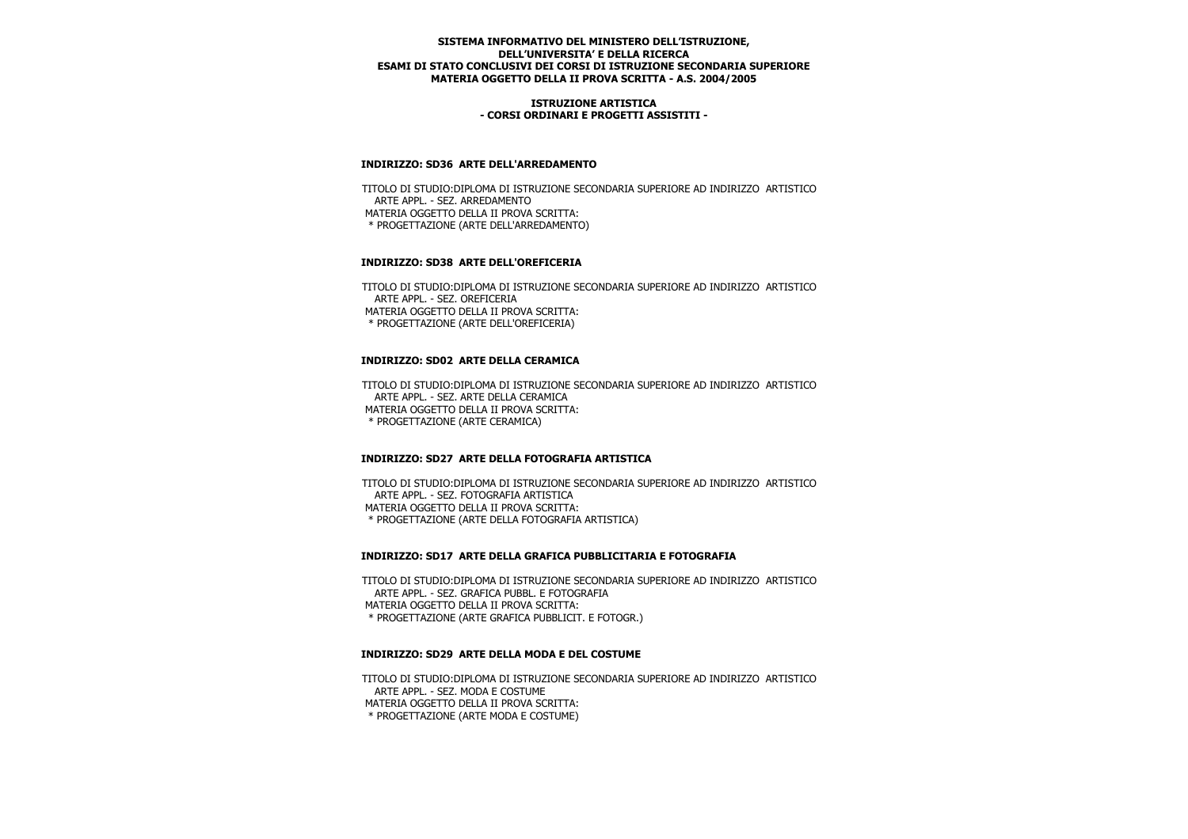### **ISTRUZIONE ARTISTICA - CORSI ORDINARI E PROGETTI ASSISTITI -**

## **INDIRIZZO: SD36 ARTE DELL'ARREDAMENTO**

 TITOLO DI STUDIO:DIPLOMA DI ISTRUZIONE SECONDARIA SUPERIORE AD INDIRIZZO ARTISTICO ARTE APPL. - SEZ. ARREDAMENTO MATERIA OGGETTO DELLA II PROVA SCRITTA: \* PROGETTAZIONE (ARTE DELL'ARREDAMENTO)

## **INDIRIZZO: SD38 ARTE DELL'OREFICERIA**

 TITOLO DI STUDIO:DIPLOMA DI ISTRUZIONE SECONDARIA SUPERIORE AD INDIRIZZO ARTISTICO ARTE APPL. - SEZ. OREFICERIA MATERIA OGGETTO DELLA II PROVA SCRITTA: \* PROGETTAZIONE (ARTE DELL'OREFICERIA)

## **INDIRIZZO: SD02 ARTE DELLA CERAMICA**

 TITOLO DI STUDIO:DIPLOMA DI ISTRUZIONE SECONDARIA SUPERIORE AD INDIRIZZO ARTISTICO ARTE APPL. - SEZ. ARTE DELLA CERAMICA MATERIA OGGETTO DELLA II PROVA SCRITTA: \* PROGETTAZIONE (ARTE CERAMICA)

## **INDIRIZZO: SD27 ARTE DELLA FOTOGRAFIA ARTISTICA**

 TITOLO DI STUDIO:DIPLOMA DI ISTRUZIONE SECONDARIA SUPERIORE AD INDIRIZZO ARTISTICO ARTE APPL. - SEZ. FOTOGRAFIA ARTISTICA MATERIA OGGETTO DELLA II PROVA SCRITTA: \* PROGETTAZIONE (ARTE DELLA FOTOGRAFIA ARTISTICA)

#### **INDIRIZZO: SD17 ARTE DELLA GRAFICA PUBBLICITARIA E FOTOGRAFIA**

 TITOLO DI STUDIO:DIPLOMA DI ISTRUZIONE SECONDARIA SUPERIORE AD INDIRIZZO ARTISTICO ARTE APPL. - SEZ. GRAFICA PUBBL. E FOTOGRAFIA MATERIA OGGETTO DELLA II PROVA SCRITTA: \* PROGETTAZIONE (ARTE GRAFICA PUBBLICIT. E FOTOGR.)

#### **INDIRIZZO: SD29 ARTE DELLA MODA E DEL COSTUME**

 TITOLO DI STUDIO:DIPLOMA DI ISTRUZIONE SECONDARIA SUPERIORE AD INDIRIZZO ARTISTICO ARTE APPL. - SEZ. MODA E COSTUME MATERIA OGGETTO DELLA II PROVA SCRITTA: \* PROGETTAZIONE (ARTE MODA E COSTUME)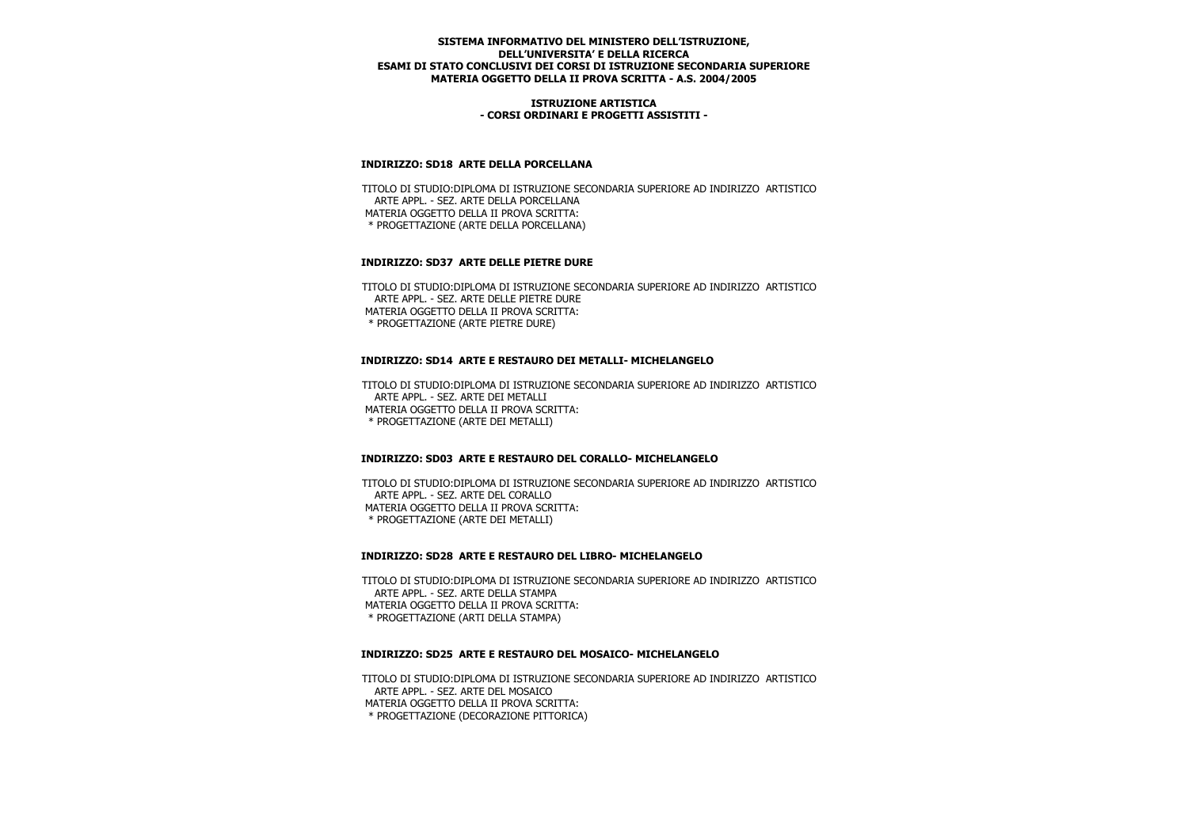### **ISTRUZIONE ARTISTICA - CORSI ORDINARI E PROGETTI ASSISTITI -**

### **INDIRIZZO: SD18 ARTE DELLA PORCELLANA**

 TITOLO DI STUDIO:DIPLOMA DI ISTRUZIONE SECONDARIA SUPERIORE AD INDIRIZZO ARTISTICO ARTE APPL. - SEZ. ARTE DELLA PORCELLANA MATERIA OGGETTO DELLA II PROVA SCRITTA: \* PROGETTAZIONE (ARTE DELLA PORCELLANA)

## **INDIRIZZO: SD37 ARTE DELLE PIETRE DURE**

 TITOLO DI STUDIO:DIPLOMA DI ISTRUZIONE SECONDARIA SUPERIORE AD INDIRIZZO ARTISTICO ARTE APPL. - SEZ. ARTE DELLE PIETRE DURE MATERIA OGGETTO DELLA II PROVA SCRITTA: \* PROGETTAZIONE (ARTE PIETRE DURE)

### **INDIRIZZO: SD14 ARTE E RESTAURO DEI METALLI- MICHELANGELO**

 TITOLO DI STUDIO:DIPLOMA DI ISTRUZIONE SECONDARIA SUPERIORE AD INDIRIZZO ARTISTICO ARTE APPL. - SEZ. ARTE DEI METALLI MATERIA OGGETTO DELLA II PROVA SCRITTA: \* PROGETTAZIONE (ARTE DEI METALLI)

## **INDIRIZZO: SD03 ARTE E RESTAURO DEL CORALLO- MICHELANGELO**

 TITOLO DI STUDIO:DIPLOMA DI ISTRUZIONE SECONDARIA SUPERIORE AD INDIRIZZO ARTISTICO ARTE APPL. - SEZ. ARTE DEL CORALLO MATERIA OGGETTO DELLA II PROVA SCRITTA: \* PROGETTAZIONE (ARTE DEI METALLI)

#### **INDIRIZZO: SD28 ARTE E RESTAURO DEL LIBRO- MICHELANGELO**

 TITOLO DI STUDIO:DIPLOMA DI ISTRUZIONE SECONDARIA SUPERIORE AD INDIRIZZO ARTISTICO ARTE APPL. - SEZ. ARTE DELLA STAMPA MATERIA OGGETTO DELLA II PROVA SCRITTA: \* PROGETTAZIONE (ARTI DELLA STAMPA)

#### **INDIRIZZO: SD25 ARTE E RESTAURO DEL MOSAICO- MICHELANGELO**

 TITOLO DI STUDIO:DIPLOMA DI ISTRUZIONE SECONDARIA SUPERIORE AD INDIRIZZO ARTISTICO ARTE APPL. - SEZ. ARTE DEL MOSAICO MATERIA OGGETTO DELLA II PROVA SCRITTA: \* PROGETTAZIONE (DECORAZIONE PITTORICA)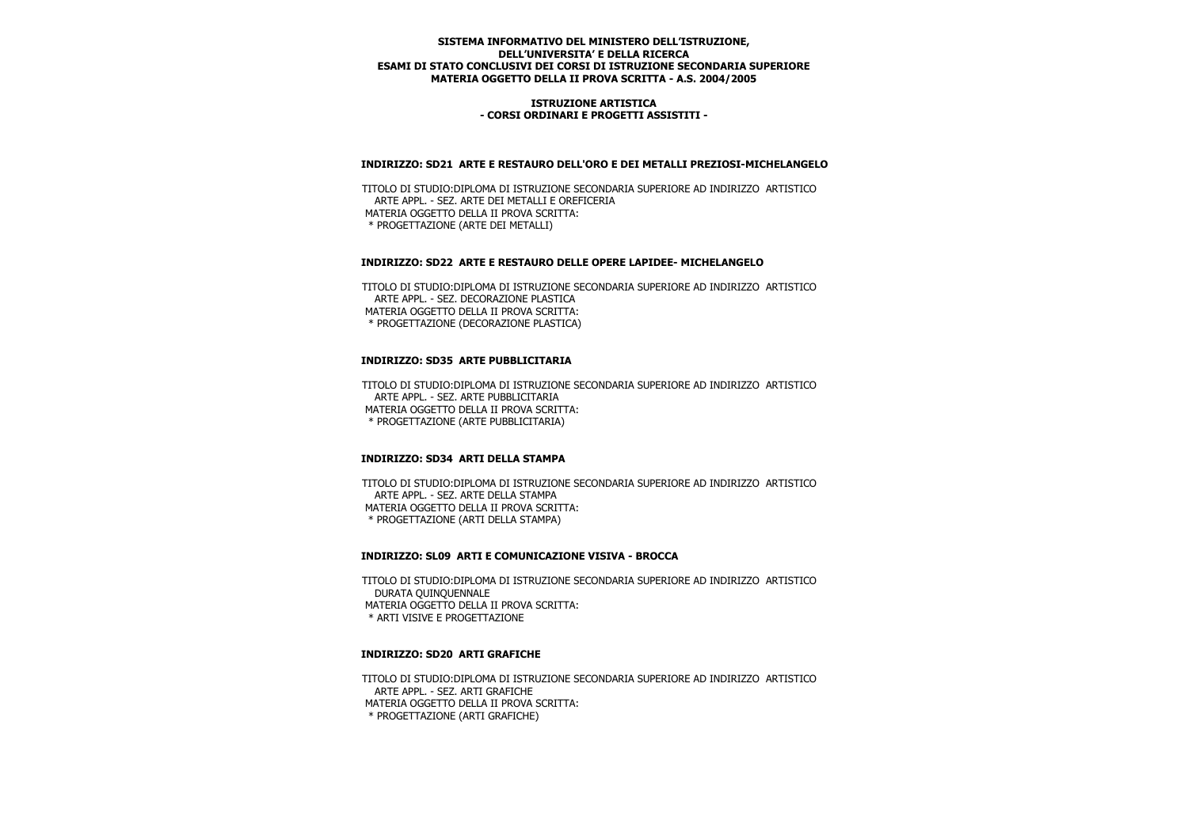### **ISTRUZIONE ARTISTICA - CORSI ORDINARI E PROGETTI ASSISTITI -**

### **INDIRIZZO: SD21 ARTE E RESTAURO DELL'ORO E DEI METALLI PREZIOSI-MICHELANGELO**

 TITOLO DI STUDIO:DIPLOMA DI ISTRUZIONE SECONDARIA SUPERIORE AD INDIRIZZO ARTISTICO ARTE APPL. - SEZ. ARTE DEI METALLI E OREFICERIA MATERIA OGGETTO DELLA II PROVA SCRITTA: \* PROGETTAZIONE (ARTE DEI METALLI)

### **INDIRIZZO: SD22 ARTE E RESTAURO DELLE OPERE LAPIDEE- MICHELANGELO**

 TITOLO DI STUDIO:DIPLOMA DI ISTRUZIONE SECONDARIA SUPERIORE AD INDIRIZZO ARTISTICO ARTE APPL. - SEZ. DECORAZIONE PLASTICA MATERIA OGGETTO DELLA II PROVA SCRITTA: \* PROGETTAZIONE (DECORAZIONE PLASTICA)

## **INDIRIZZO: SD35 ARTE PUBBLICITARIA**

 TITOLO DI STUDIO:DIPLOMA DI ISTRUZIONE SECONDARIA SUPERIORE AD INDIRIZZO ARTISTICO ARTE APPL. - SEZ. ARTE PUBBLICITARIA MATERIA OGGETTO DELLA II PROVA SCRITTA: \* PROGETTAZIONE (ARTE PUBBLICITARIA)

## **INDIRIZZO: SD34 ARTI DELLA STAMPA**

 TITOLO DI STUDIO:DIPLOMA DI ISTRUZIONE SECONDARIA SUPERIORE AD INDIRIZZO ARTISTICO ARTE APPL. - SEZ. ARTE DELLA STAMPA MATERIA OGGETTO DELLA II PROVA SCRITTA: \* PROGETTAZIONE (ARTI DELLA STAMPA)

#### **INDIRIZZO: SL09 ARTI E COMUNICAZIONE VISIVA - BROCCA**

 TITOLO DI STUDIO:DIPLOMA DI ISTRUZIONE SECONDARIA SUPERIORE AD INDIRIZZO ARTISTICO DURATA QUINQUENNALE MATERIA OGGETTO DELLA II PROVA SCRITTA: \* ARTI VISIVE E PROGETTAZIONE

### **INDIRIZZO: SD20 ARTI GRAFICHE**

 TITOLO DI STUDIO:DIPLOMA DI ISTRUZIONE SECONDARIA SUPERIORE AD INDIRIZZO ARTISTICO ARTE APPL. - SEZ. ARTI GRAFICHE MATERIA OGGETTO DELLA II PROVA SCRITTA: \* PROGETTAZIONE (ARTI GRAFICHE)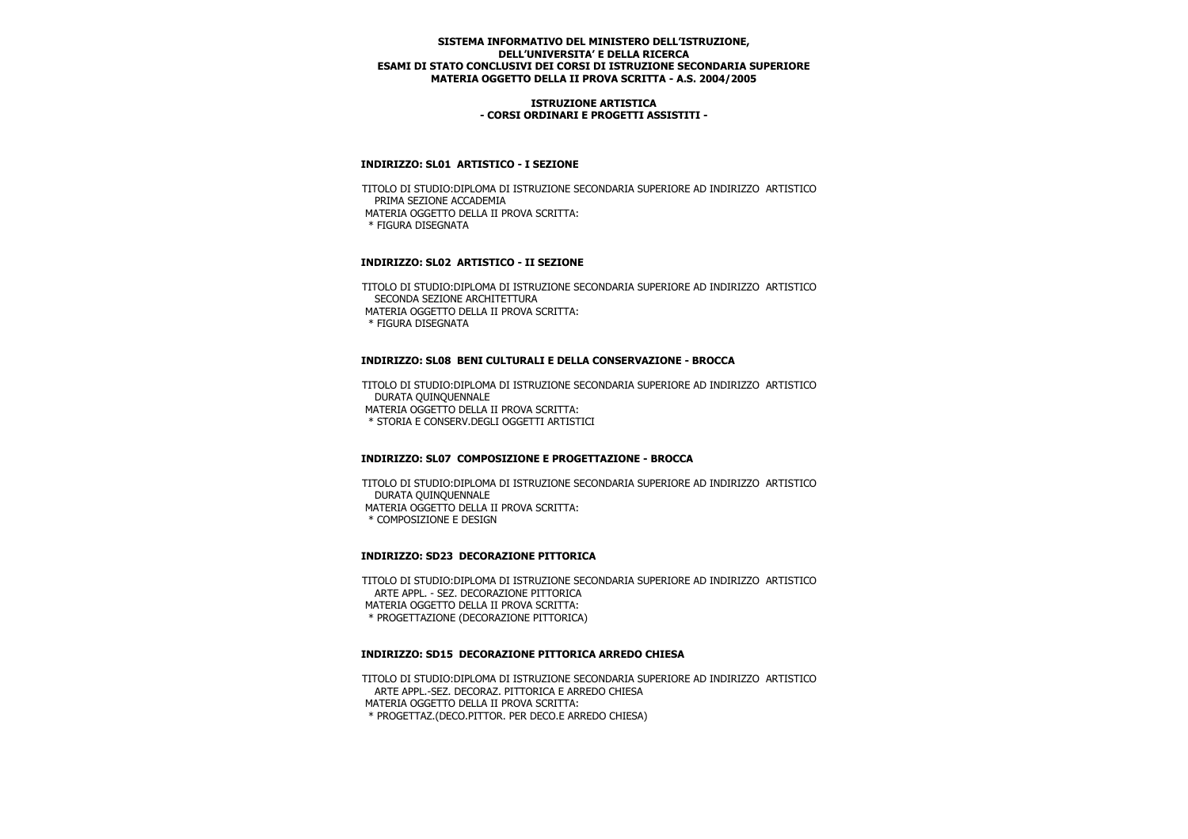### **ISTRUZIONE ARTISTICA - CORSI ORDINARI E PROGETTI ASSISTITI -**

## **INDIRIZZO: SL01 ARTISTICO - I SEZIONE**

 TITOLO DI STUDIO:DIPLOMA DI ISTRUZIONE SECONDARIA SUPERIORE AD INDIRIZZO ARTISTICO PRIMA SEZIONE ACCADEMIA MATERIA OGGETTO DELLA II PROVA SCRITTA: \* FIGURA DISEGNATA

## **INDIRIZZO: SL02 ARTISTICO - II SEZIONE**

 TITOLO DI STUDIO:DIPLOMA DI ISTRUZIONE SECONDARIA SUPERIORE AD INDIRIZZO ARTISTICO SECONDA SEZIONE ARCHITETTURA MATERIA OGGETTO DELLA II PROVA SCRITTA: \* FIGURA DISEGNATA

### **INDIRIZZO: SL08 BENI CULTURALI E DELLA CONSERVAZIONE - BROCCA**

 TITOLO DI STUDIO:DIPLOMA DI ISTRUZIONE SECONDARIA SUPERIORE AD INDIRIZZO ARTISTICO DURATA QUINQUENNALE MATERIA OGGETTO DELLA II PROVA SCRITTA: \* STORIA E CONSERV.DEGLI OGGETTI ARTISTICI

## **INDIRIZZO: SL07 COMPOSIZIONE E PROGETTAZIONE - BROCCA**

 TITOLO DI STUDIO:DIPLOMA DI ISTRUZIONE SECONDARIA SUPERIORE AD INDIRIZZO ARTISTICO DURATA QUINQUENNALE MATERIA OGGETTO DELLA II PROVA SCRITTA: \* COMPOSIZIONE E DESIGN

## **INDIRIZZO: SD23 DECORAZIONE PITTORICA**

 TITOLO DI STUDIO:DIPLOMA DI ISTRUZIONE SECONDARIA SUPERIORE AD INDIRIZZO ARTISTICO ARTE APPL. - SEZ. DECORAZIONE PITTORICA MATERIA OGGETTO DELLA II PROVA SCRITTA: \* PROGETTAZIONE (DECORAZIONE PITTORICA)

#### **INDIRIZZO: SD15 DECORAZIONE PITTORICA ARREDO CHIESA**

 TITOLO DI STUDIO:DIPLOMA DI ISTRUZIONE SECONDARIA SUPERIORE AD INDIRIZZO ARTISTICO ARTE APPL.-SEZ. DECORAZ. PITTORICA E ARREDO CHIESA MATERIA OGGETTO DELLA II PROVA SCRITTA: \* PROGETTAZ.(DECO.PITTOR. PER DECO.E ARREDO CHIESA)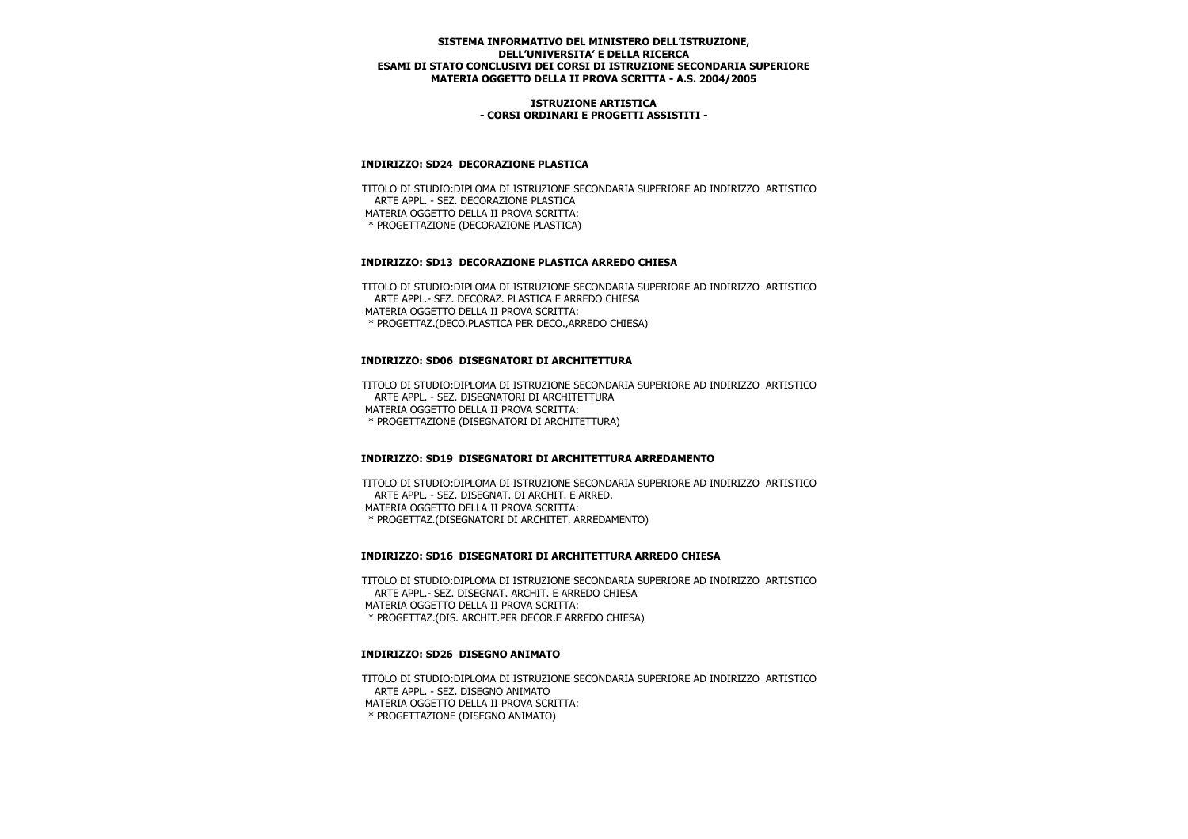### **ISTRUZIONE ARTISTICA - CORSI ORDINARI E PROGETTI ASSISTITI -**

## **INDIRIZZO: SD24 DECORAZIONE PLASTICA**

 TITOLO DI STUDIO:DIPLOMA DI ISTRUZIONE SECONDARIA SUPERIORE AD INDIRIZZO ARTISTICO ARTE APPL. - SEZ. DECORAZIONE PLASTICA MATERIA OGGETTO DELLA II PROVA SCRITTA: \* PROGETTAZIONE (DECORAZIONE PLASTICA)

## **INDIRIZZO: SD13 DECORAZIONE PLASTICA ARREDO CHIESA**

 TITOLO DI STUDIO:DIPLOMA DI ISTRUZIONE SECONDARIA SUPERIORE AD INDIRIZZO ARTISTICO ARTE APPL.- SEZ. DECORAZ. PLASTICA E ARREDO CHIESA MATERIA OGGETTO DELLA II PROVA SCRITTA: \* PROGETTAZ.(DECO.PLASTICA PER DECO.,ARREDO CHIESA)

### **INDIRIZZO: SD06 DISEGNATORI DI ARCHITETTURA**

 TITOLO DI STUDIO:DIPLOMA DI ISTRUZIONE SECONDARIA SUPERIORE AD INDIRIZZO ARTISTICO ARTE APPL. - SEZ. DISEGNATORI DI ARCHITETTURA MATERIA OGGETTO DELLA II PROVA SCRITTA: \* PROGETTAZIONE (DISEGNATORI DI ARCHITETTURA)

## **INDIRIZZO: SD19 DISEGNATORI DI ARCHITETTURA ARREDAMENTO**

 TITOLO DI STUDIO:DIPLOMA DI ISTRUZIONE SECONDARIA SUPERIORE AD INDIRIZZO ARTISTICO ARTE APPL. - SEZ. DISEGNAT. DI ARCHIT. E ARRED. MATERIA OGGETTO DELLA II PROVA SCRITTA: \* PROGETTAZ.(DISEGNATORI DI ARCHITET. ARREDAMENTO)

#### **INDIRIZZO: SD16 DISEGNATORI DI ARCHITETTURA ARREDO CHIESA**

 TITOLO DI STUDIO:DIPLOMA DI ISTRUZIONE SECONDARIA SUPERIORE AD INDIRIZZO ARTISTICO ARTE APPL.- SEZ. DISEGNAT. ARCHIT. E ARREDO CHIESA MATERIA OGGETTO DELLA II PROVA SCRITTA: \* PROGETTAZ.(DIS. ARCHIT.PER DECOR.E ARREDO CHIESA)

### **INDIRIZZO: SD26 DISEGNO ANIMATO**

 TITOLO DI STUDIO:DIPLOMA DI ISTRUZIONE SECONDARIA SUPERIORE AD INDIRIZZO ARTISTICO ARTE APPL. - SEZ. DISEGNO ANIMATO MATERIA OGGETTO DELLA II PROVA SCRITTA: \* PROGETTAZIONE (DISEGNO ANIMATO)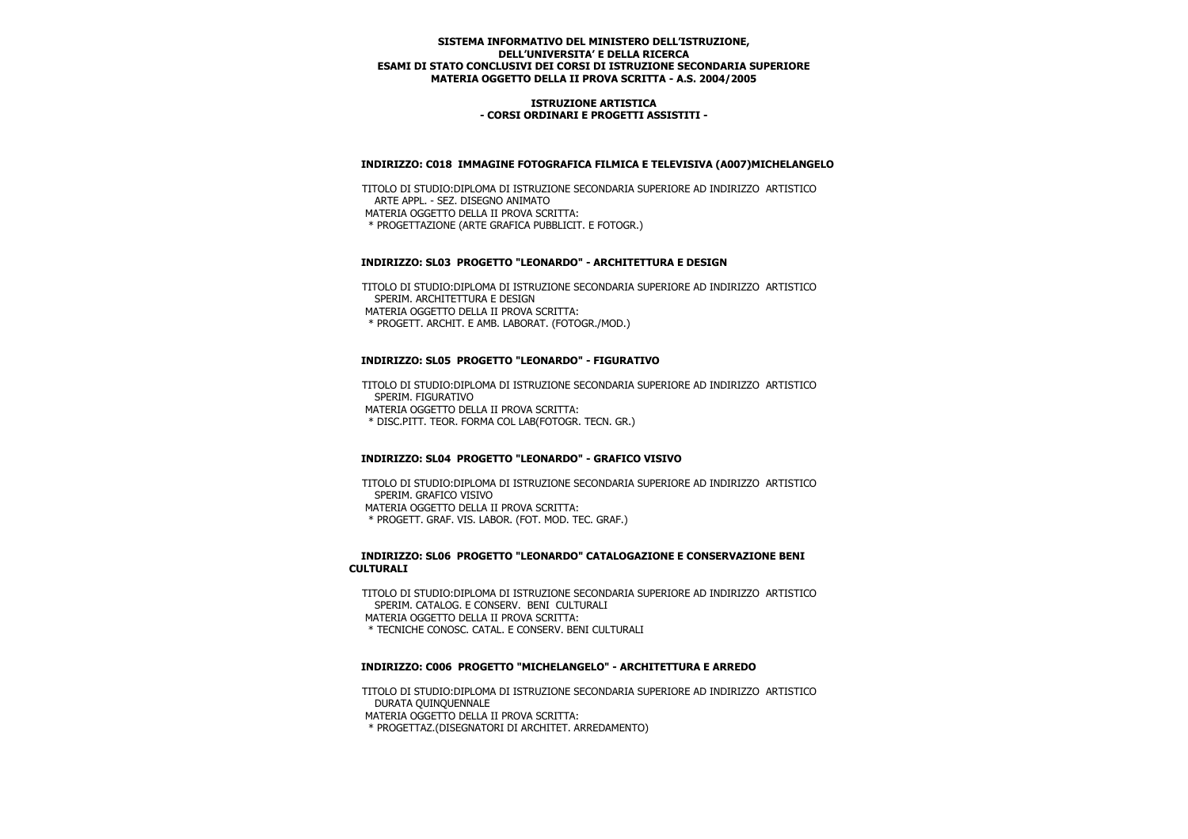### **ISTRUZIONE ARTISTICA - CORSI ORDINARI E PROGETTI ASSISTITI -**

## **INDIRIZZO: C018 IMMAGINE FOTOGRAFICA FILMICA E TELEVISIVA (A007)MICHELANGELO**

 TITOLO DI STUDIO:DIPLOMA DI ISTRUZIONE SECONDARIA SUPERIORE AD INDIRIZZO ARTISTICO ARTE APPL. - SEZ. DISEGNO ANIMATO MATERIA OGGETTO DELLA II PROVA SCRITTA: \* PROGETTAZIONE (ARTE GRAFICA PUBBLICIT. E FOTOGR.)

### **INDIRIZZO: SL03 PROGETTO "LEONARDO" - ARCHITETTURA E DESIGN**

 TITOLO DI STUDIO:DIPLOMA DI ISTRUZIONE SECONDARIA SUPERIORE AD INDIRIZZO ARTISTICO SPERIM. ARCHITETTURA E DESIGN MATERIA OGGETTO DELLA II PROVA SCRITTA: \* PROGETT. ARCHIT. E AMB. LABORAT. (FOTOGR./MOD.)

### **INDIRIZZO: SL05 PROGETTO "LEONARDO" - FIGURATIVO**

 TITOLO DI STUDIO:DIPLOMA DI ISTRUZIONE SECONDARIA SUPERIORE AD INDIRIZZO ARTISTICO SPERIM. FIGURATIVO MATERIA OGGETTO DELLA II PROVA SCRITTA: \* DISC.PITT. TEOR. FORMA COL LAB(FOTOGR. TECN. GR.)

## **INDIRIZZO: SL04 PROGETTO "LEONARDO" - GRAFICO VISIVO**

 TITOLO DI STUDIO:DIPLOMA DI ISTRUZIONE SECONDARIA SUPERIORE AD INDIRIZZO ARTISTICO SPERIM. GRAFICO VISIVO MATERIA OGGETTO DELLA II PROVA SCRITTA: \* PROGETT. GRAF. VIS. LABOR. (FOT. MOD. TEC. GRAF.)

### **INDIRIZZO: SL06 PROGETTO "LEONARDO" CATALOGAZIONE E CONSERVAZIONE BENI CULTURALI**

 TITOLO DI STUDIO:DIPLOMA DI ISTRUZIONE SECONDARIA SUPERIORE AD INDIRIZZO ARTISTICO SPERIM. CATALOG. E CONSERV. BENI CULTURALI MATERIA OGGETTO DELLA II PROVA SCRITTA: \* TECNICHE CONOSC. CATAL. E CONSERV. BENI CULTURALI

#### **INDIRIZZO: C006 PROGETTO "MICHELANGELO" - ARCHITETTURA E ARREDO**

 TITOLO DI STUDIO:DIPLOMA DI ISTRUZIONE SECONDARIA SUPERIORE AD INDIRIZZO ARTISTICO DURATA QUINQUENNALE

MATERIA OGGETTO DELLA II PROVA SCRITTA:

\* PROGETTAZ.(DISEGNATORI DI ARCHITET. ARREDAMENTO)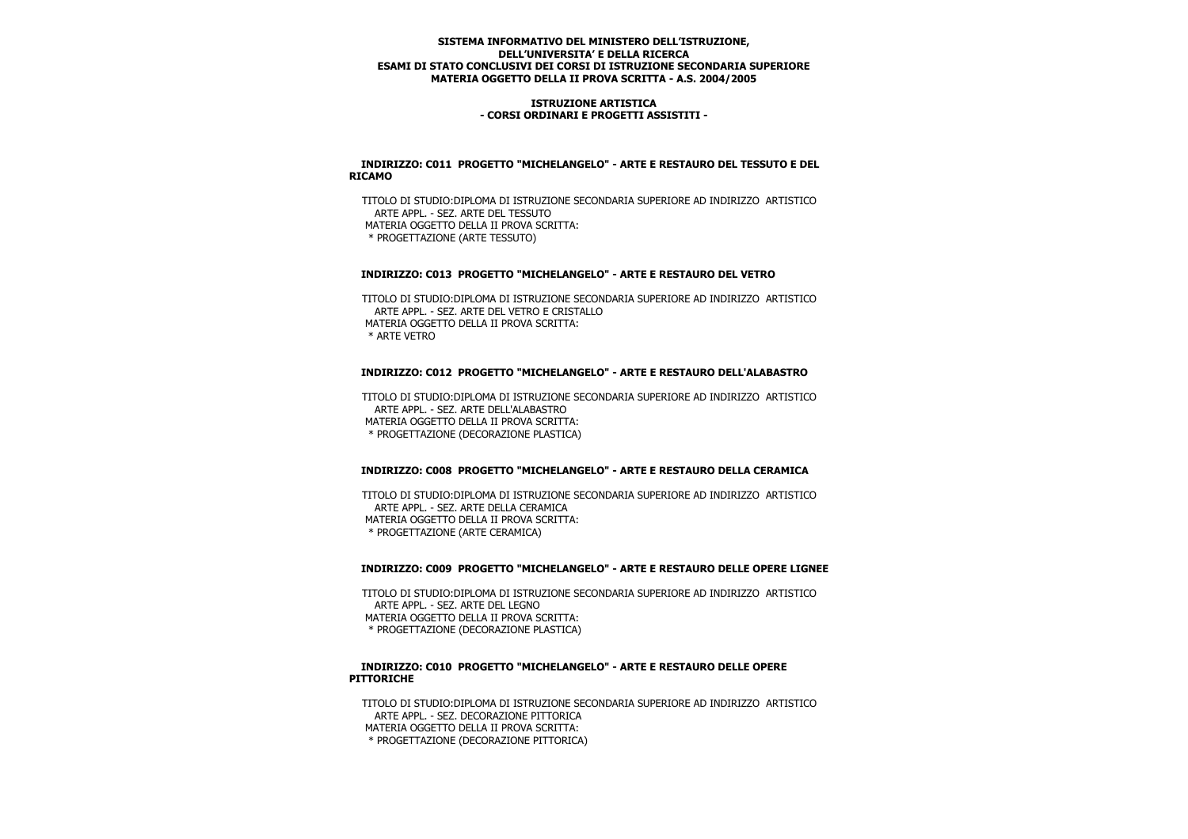### **ISTRUZIONE ARTISTICA - CORSI ORDINARI E PROGETTI ASSISTITI -**

### **INDIRIZZO: C011 PROGETTO "MICHELANGELO" - ARTE E RESTAURO DEL TESSUTO E DEL RICAMO**

 TITOLO DI STUDIO:DIPLOMA DI ISTRUZIONE SECONDARIA SUPERIORE AD INDIRIZZO ARTISTICO ARTE APPL. - SEZ. ARTE DEL TESSUTO MATERIA OGGETTO DELLA II PROVA SCRITTA: \* PROGETTAZIONE (ARTE TESSUTO)

## **INDIRIZZO: C013 PROGETTO "MICHELANGELO" - ARTE E RESTAURO DEL VETRO**

 TITOLO DI STUDIO:DIPLOMA DI ISTRUZIONE SECONDARIA SUPERIORE AD INDIRIZZO ARTISTICO ARTE APPL. - SEZ. ARTE DEL VETRO E CRISTALLO MATERIA OGGETTO DELLA II PROVA SCRITTA: \* ARTE VETRO

## **INDIRIZZO: C012 PROGETTO "MICHELANGELO" - ARTE E RESTAURO DELL'ALABASTRO**

 TITOLO DI STUDIO:DIPLOMA DI ISTRUZIONE SECONDARIA SUPERIORE AD INDIRIZZO ARTISTICO ARTE APPL. - SEZ. ARTE DELL'ALABASTRO MATERIA OGGETTO DELLA II PROVA SCRITTA: \* PROGETTAZIONE (DECORAZIONE PLASTICA)

## **INDIRIZZO: C008 PROGETTO "MICHELANGELO" - ARTE E RESTAURO DELLA CERAMICA**

 TITOLO DI STUDIO:DIPLOMA DI ISTRUZIONE SECONDARIA SUPERIORE AD INDIRIZZO ARTISTICO ARTE APPL. - SEZ. ARTE DELLA CERAMICA MATERIA OGGETTO DELLA II PROVA SCRITTA: \* PROGETTAZIONE (ARTE CERAMICA)

# **INDIRIZZO: C009 PROGETTO "MICHELANGELO" - ARTE E RESTAURO DELLE OPERE LIGNEE**

 TITOLO DI STUDIO:DIPLOMA DI ISTRUZIONE SECONDARIA SUPERIORE AD INDIRIZZO ARTISTICO ARTE APPL. - SEZ. ARTE DEL LEGNO MATERIA OGGETTO DELLA II PROVA SCRITTA: \* PROGETTAZIONE (DECORAZIONE PLASTICA)

#### **INDIRIZZO: C010 PROGETTO "MICHELANGELO" - ARTE E RESTAURO DELLE OPERE PITTORICHE**

 TITOLO DI STUDIO:DIPLOMA DI ISTRUZIONE SECONDARIA SUPERIORE AD INDIRIZZO ARTISTICO ARTE APPL. - SEZ. DECORAZIONE PITTORICA MATERIA OGGETTO DELLA II PROVA SCRITTA: \* PROGETTAZIONE (DECORAZIONE PITTORICA)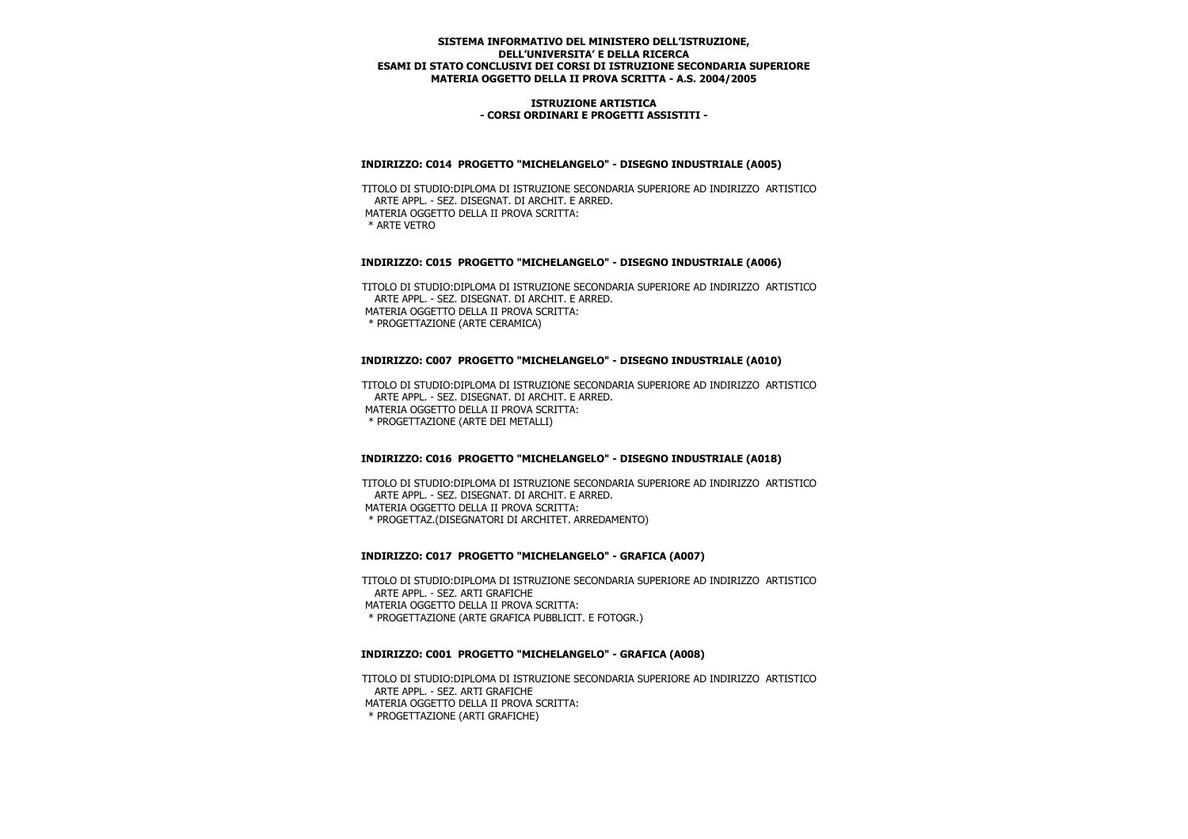### **ISTRUZIONE ARTISTICA - CORSI ORDINARI E PROGETTI ASSISTITI -**

### **INDIRIZZO: C014 PROGETTO "MICHELANGELO" - DISEGNO INDUSTRIALE (A005)**

 TITOLO DI STUDIO:DIPLOMA DI ISTRUZIONE SECONDARIA SUPERIORE AD INDIRIZZO ARTISTICO ARTE APPL. - SEZ. DISEGNAT. DI ARCHIT. E ARRED. MATERIA OGGETTO DELLA II PROVA SCRITTA: \* ARTE VETRO

### **INDIRIZZO: C015 PROGETTO "MICHELANGELO" - DISEGNO INDUSTRIALE (A006)**

 TITOLO DI STUDIO:DIPLOMA DI ISTRUZIONE SECONDARIA SUPERIORE AD INDIRIZZO ARTISTICO ARTE APPL. - SEZ. DISEGNAT. DI ARCHIT. E ARRED. MATERIA OGGETTO DELLA II PROVA SCRITTA: \* PROGETTAZIONE (ARTE CERAMICA)

## **INDIRIZZO: C007 PROGETTO "MICHELANGELO" - DISEGNO INDUSTRIALE (A010)**

 TITOLO DI STUDIO:DIPLOMA DI ISTRUZIONE SECONDARIA SUPERIORE AD INDIRIZZO ARTISTICO ARTE APPL. - SEZ. DISEGNAT. DI ARCHIT. E ARRED. MATERIA OGGETTO DELLA II PROVA SCRITTA: \* PROGETTAZIONE (ARTE DEI METALLI)

## **INDIRIZZO: C016 PROGETTO "MICHELANGELO" - DISEGNO INDUSTRIALE (A018)**

 TITOLO DI STUDIO:DIPLOMA DI ISTRUZIONE SECONDARIA SUPERIORE AD INDIRIZZO ARTISTICO ARTE APPL. - SEZ. DISEGNAT. DI ARCHIT. E ARRED. MATERIA OGGETTO DELLA II PROVA SCRITTA: \* PROGETTAZ.(DISEGNATORI DI ARCHITET. ARREDAMENTO)

#### **INDIRIZZO: C017 PROGETTO "MICHELANGELO" - GRAFICA (A007)**

 TITOLO DI STUDIO:DIPLOMA DI ISTRUZIONE SECONDARIA SUPERIORE AD INDIRIZZO ARTISTICO ARTE APPL. - SEZ. ARTI GRAFICHE MATERIA OGGETTO DELLA II PROVA SCRITTA: \* PROGETTAZIONE (ARTE GRAFICA PUBBLICIT. E FOTOGR.)

#### **INDIRIZZO: C001 PROGETTO "MICHELANGELO" - GRAFICA (A008)**

 TITOLO DI STUDIO:DIPLOMA DI ISTRUZIONE SECONDARIA SUPERIORE AD INDIRIZZO ARTISTICO ARTE APPL. - SEZ. ARTI GRAFICHE MATERIA OGGETTO DELLA II PROVA SCRITTA: \* PROGETTAZIONE (ARTI GRAFICHE)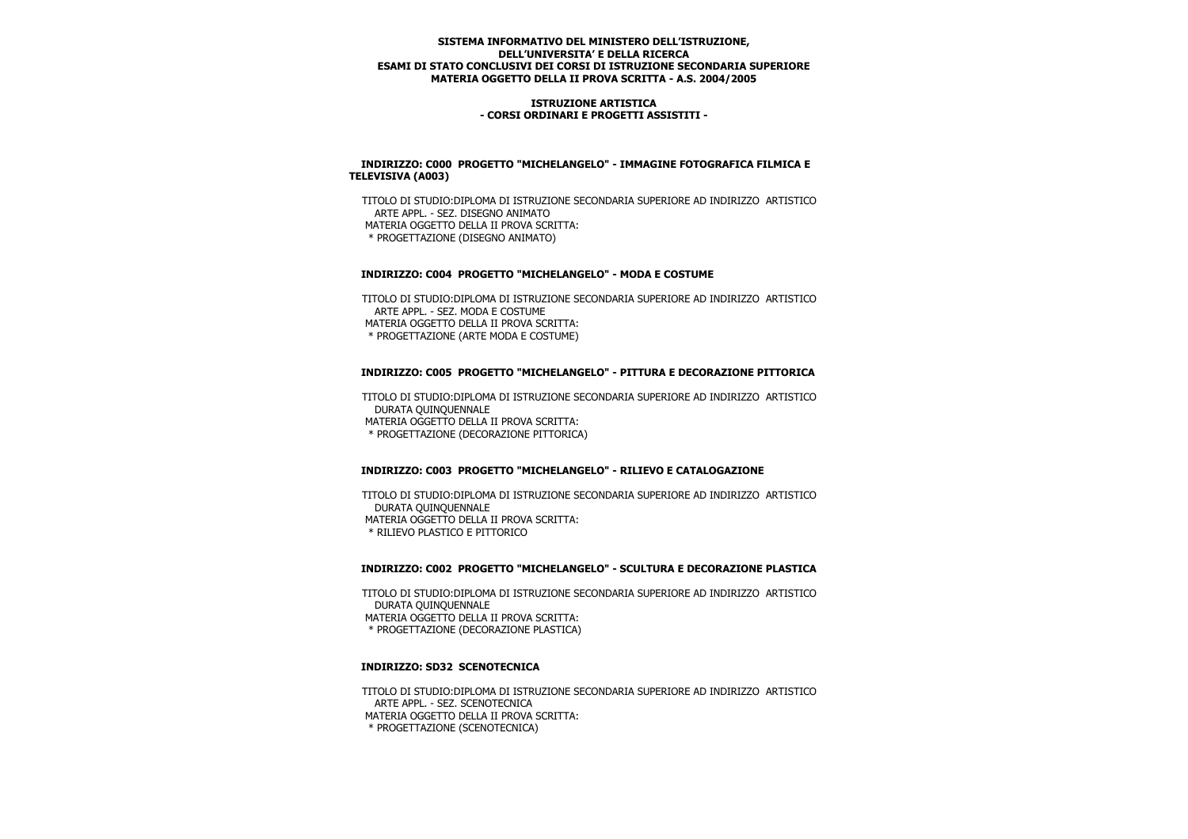### **ISTRUZIONE ARTISTICA - CORSI ORDINARI E PROGETTI ASSISTITI -**

### **INDIRIZZO: C000 PROGETTO "MICHELANGELO" - IMMAGINE FOTOGRAFICA FILMICA E TELEVISIVA (A003)**

 TITOLO DI STUDIO:DIPLOMA DI ISTRUZIONE SECONDARIA SUPERIORE AD INDIRIZZO ARTISTICO ARTE APPL. - SEZ. DISEGNO ANIMATO MATERIA OGGETTO DELLA II PROVA SCRITTA: \* PROGETTAZIONE (DISEGNO ANIMATO)

## **INDIRIZZO: C004 PROGETTO "MICHELANGELO" - MODA E COSTUME**

 TITOLO DI STUDIO:DIPLOMA DI ISTRUZIONE SECONDARIA SUPERIORE AD INDIRIZZO ARTISTICO ARTE APPL. - SEZ. MODA E COSTUME MATERIA OGGETTO DELLA II PROVA SCRITTA: \* PROGETTAZIONE (ARTE MODA E COSTUME)

# **INDIRIZZO: C005 PROGETTO "MICHELANGELO" - PITTURA E DECORAZIONE PITTORICA**

 TITOLO DI STUDIO:DIPLOMA DI ISTRUZIONE SECONDARIA SUPERIORE AD INDIRIZZO ARTISTICO DURATA QUINQUENNALE MATERIA OGGETTO DELLA II PROVA SCRITTA: \* PROGETTAZIONE (DECORAZIONE PITTORICA)

## **INDIRIZZO: C003 PROGETTO "MICHELANGELO" - RILIEVO E CATALOGAZIONE**

 TITOLO DI STUDIO:DIPLOMA DI ISTRUZIONE SECONDARIA SUPERIORE AD INDIRIZZO ARTISTICO DURATA QUINQUENNALE MATERIA OGGETTO DELLA II PROVA SCRITTA: \* RILIEVO PLASTICO E PITTORICO

# **INDIRIZZO: C002 PROGETTO "MICHELANGELO" - SCULTURA E DECORAZIONE PLASTICA**

 TITOLO DI STUDIO:DIPLOMA DI ISTRUZIONE SECONDARIA SUPERIORE AD INDIRIZZO ARTISTICO DURATA QUINQUENNALE MATERIA OGGETTO DELLA II PROVA SCRITTA: \* PROGETTAZIONE (DECORAZIONE PLASTICA)

#### **INDIRIZZO: SD32 SCENOTECNICA**

 TITOLO DI STUDIO:DIPLOMA DI ISTRUZIONE SECONDARIA SUPERIORE AD INDIRIZZO ARTISTICO ARTE APPL. - SEZ. SCENOTECNICA MATERIA OGGETTO DELLA II PROVA SCRITTA:

\* PROGETTAZIONE (SCENOTECNICA)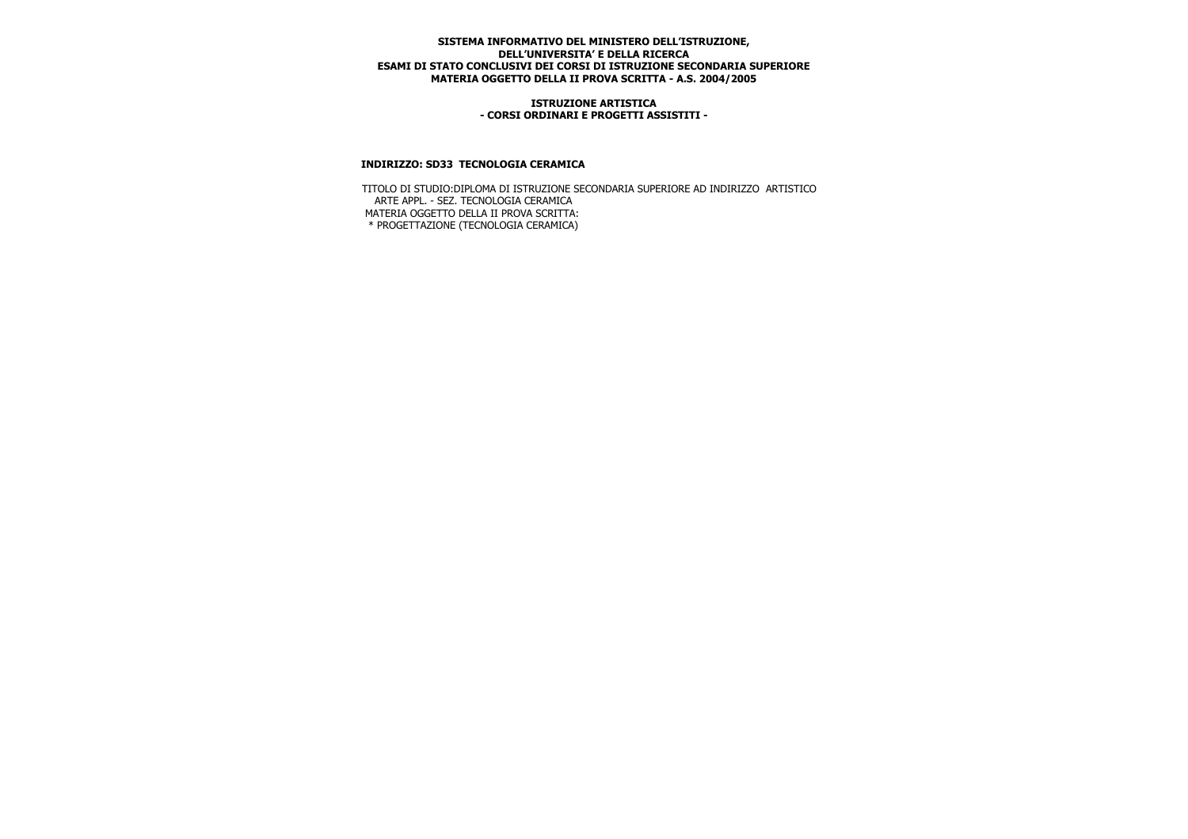#### **ISTRUZIONE ARTISTICA - CORSI ORDINARI E PROGETTI ASSISTITI -**

### **INDIRIZZO: SD33 TECNOLOGIA CERAMICA**

 TITOLO DI STUDIO:DIPLOMA DI ISTRUZIONE SECONDARIA SUPERIORE AD INDIRIZZO ARTISTICO ARTE APPL. - SEZ. TECNOLOGIA CERAMICA MATERIA OGGETTO DELLA II PROVA SCRITTA: \* PROGETTAZIONE (TECNOLOGIA CERAMICA)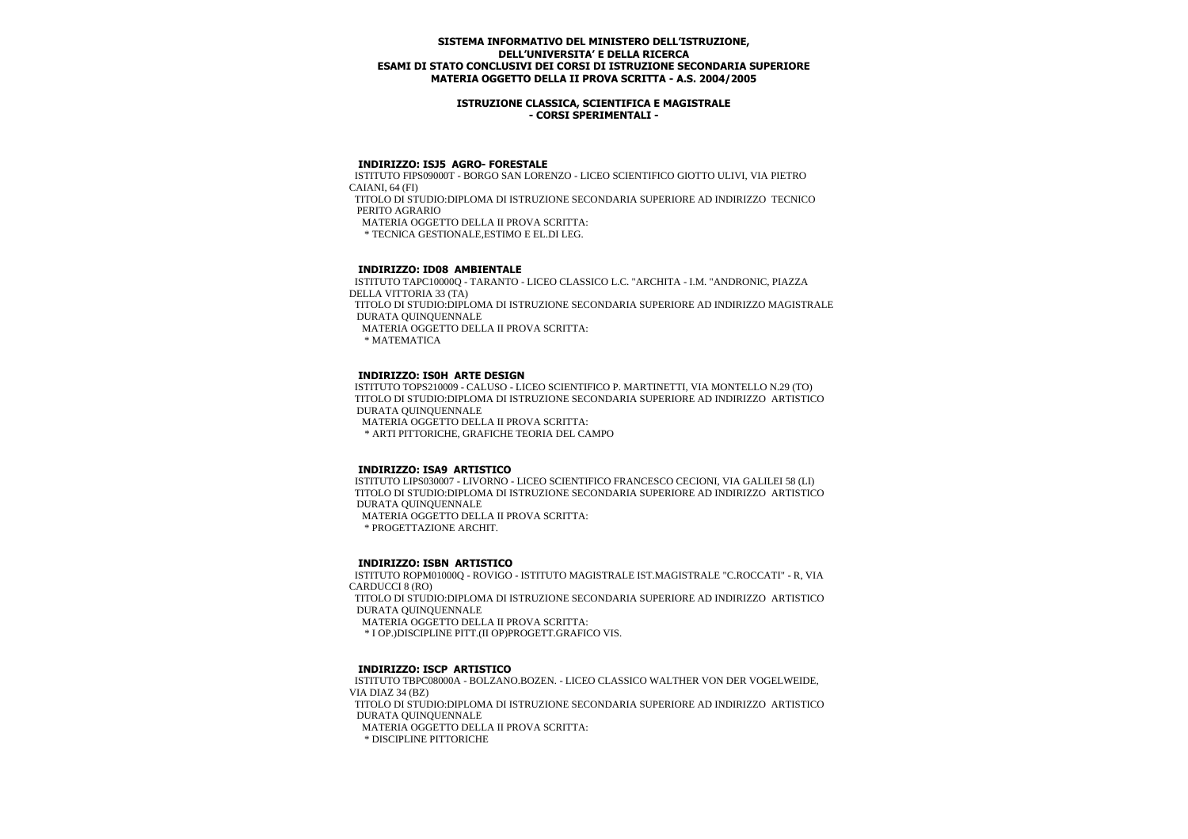### **ISTRUZIONE CLASSICA, SCIENTIFICA E MAGISTRALE - CORSI SPERIMENTALI -**

## **INDIRIZZO: ISJ5 AGRO- FORESTALE**

 ISTITUTO FIPS09000T - BORGO SAN LORENZO - LICEO SCIENTIFICO GIOTTO ULIVI, VIA PIETRO CAIANI, 64 (FI)

 TITOLO DI STUDIO:DIPLOMA DI ISTRUZIONE SECONDARIA SUPERIORE AD INDIRIZZO TECNICO PERITO AGRARIO

MATERIA OGGETTO DELLA II PROVA SCRITTA:

\* TECNICA GESTIONALE,ESTIMO E EL.DI LEG.

## **INDIRIZZO: ID08 AMBIENTALE**

 ISTITUTO TAPC10000Q - TARANTO - LICEO CLASSICO L.C. "ARCHITA - I.M. "ANDRONIC, PIAZZA DELLA VITTORIA 33 (TA) TITOLO DI STUDIO:DIPLOMA DI ISTRUZIONE SECONDARIA SUPERIORE AD INDIRIZZO MAGISTRALE DURATA QUINQUENNALE

MATERIA OGGETTO DELLA II PROVA SCRITTA:

\* MATEMATICA

### **INDIRIZZO: IS0H ARTE DESIGN**

 ISTITUTO TOPS210009 - CALUSO - LICEO SCIENTIFICO P. MARTINETTI, VIA MONTELLO N.29 (TO) TITOLO DI STUDIO:DIPLOMA DI ISTRUZIONE SECONDARIA SUPERIORE AD INDIRIZZO ARTISTICO DURATA QUINQUENNALE

MATERIA OGGETTO DELLA II PROVA SCRITTA:

\* ARTI PITTORICHE, GRAFICHE TEORIA DEL CAMPO

#### **INDIRIZZO: ISA9 ARTISTICO**

 ISTITUTO LIPS030007 - LIVORNO - LICEO SCIENTIFICO FRANCESCO CECIONI, VIA GALILEI 58 (LI) TITOLO DI STUDIO:DIPLOMA DI ISTRUZIONE SECONDARIA SUPERIORE AD INDIRIZZO ARTISTICO DURATA QUINQUENNALE

MATERIA OGGETTO DELLA II PROVA SCRITTA:

\* PROGETTAZIONE ARCHIT.

#### **INDIRIZZO: ISBN ARTISTICO**

 ISTITUTO ROPM01000Q - ROVIGO - ISTITUTO MAGISTRALE IST.MAGISTRALE "C.ROCCATI" - R, VIA CARDUCCI 8 (RO)

 TITOLO DI STUDIO:DIPLOMA DI ISTRUZIONE SECONDARIA SUPERIORE AD INDIRIZZO ARTISTICO DURATA QUINQUENNALE

MATERIA OGGETTO DELLA II PROVA SCRITTA:

\* I OP.)DISCIPLINE PITT.(II OP)PROGETT.GRAFICO VIS.

## **INDIRIZZO: ISCP ARTISTICO**

 ISTITUTO TBPC08000A - BOLZANO.BOZEN. - LICEO CLASSICO WALTHER VON DER VOGELWEIDE, VIA DIAZ 34 (BZ) TITOLO DI STUDIO:DIPLOMA DI ISTRUZIONE SECONDARIA SUPERIORE AD INDIRIZZO ARTISTICO DURATA QUINQUENNALE

MATERIA OGGETTO DELLA II PROVA SCRITTA:

\* DISCIPLINE PITTORICHE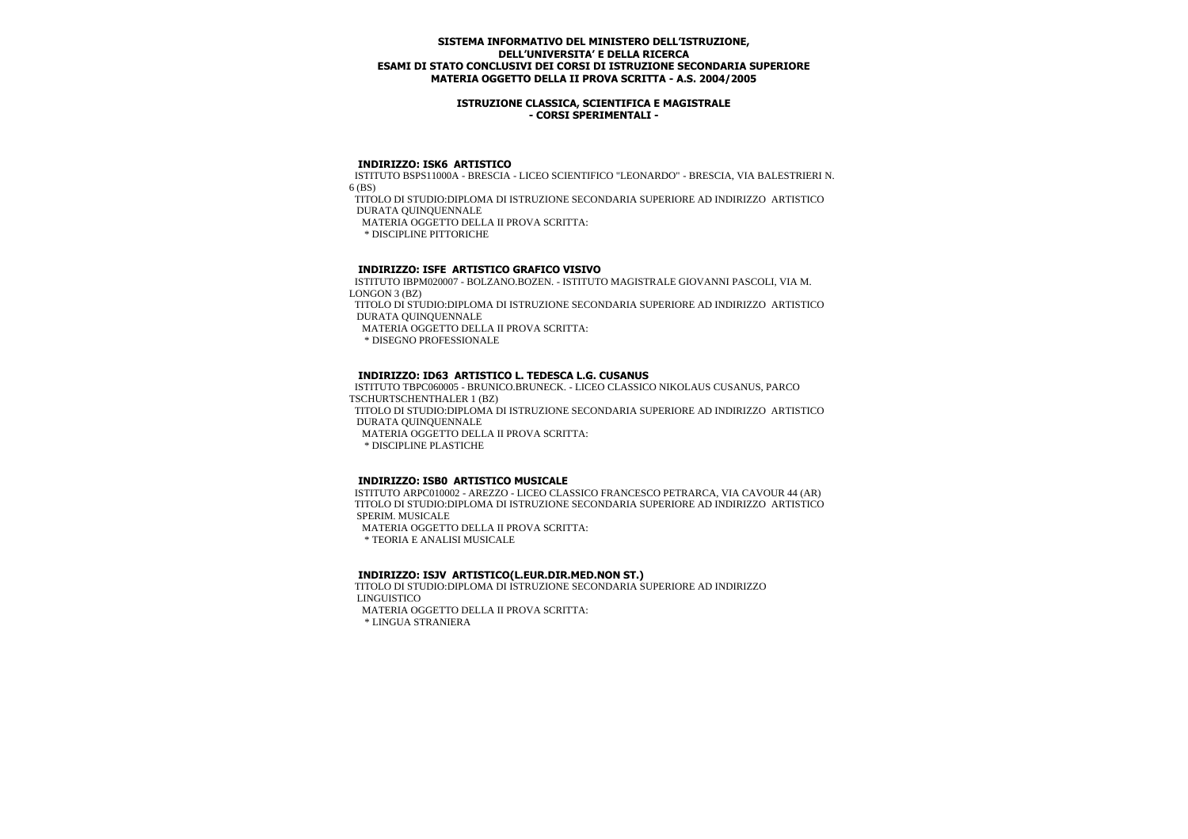### **ISTRUZIONE CLASSICA, SCIENTIFICA E MAGISTRALE - CORSI SPERIMENTALI -**

#### **INDIRIZZO: ISK6 ARTISTICO**

 ISTITUTO BSPS11000A - BRESCIA - LICEO SCIENTIFICO "LEONARDO" - BRESCIA, VIA BALESTRIERI N. 6 (BS)

 TITOLO DI STUDIO:DIPLOMA DI ISTRUZIONE SECONDARIA SUPERIORE AD INDIRIZZO ARTISTICO DURATA QUINQUENNALE

MATERIA OGGETTO DELLA II PROVA SCRITTA:

\* DISCIPLINE PITTORICHE

### **INDIRIZZO: ISFE ARTISTICO GRAFICO VISIVO**

 ISTITUTO IBPM020007 - BOLZANO.BOZEN. - ISTITUTO MAGISTRALE GIOVANNI PASCOLI, VIA M. LONGON 3 (BZ)

 TITOLO DI STUDIO:DIPLOMA DI ISTRUZIONE SECONDARIA SUPERIORE AD INDIRIZZO ARTISTICO DURATA QUINQUENNALE

MATERIA OGGETTO DELLA II PROVA SCRITTA:

\* DISEGNO PROFESSIONALE

#### **INDIRIZZO: ID63 ARTISTICO L. TEDESCA L.G. CUSANUS**

 ISTITUTO TBPC060005 - BRUNICO.BRUNECK. - LICEO CLASSICO NIKOLAUS CUSANUS, PARCO TSCHURTSCHENTHALER 1 (BZ) TITOLO DI STUDIO:DIPLOMA DI ISTRUZIONE SECONDARIA SUPERIORE AD INDIRIZZO ARTISTICO DURATA QUINQUENNALE MATERIA OGGETTO DELLA II PROVA SCRITTA:

\* DISCIPLINE PLASTICHE

#### **INDIRIZZO: ISB0 ARTISTICO MUSICALE**

 ISTITUTO ARPC010002 - AREZZO - LICEO CLASSICO FRANCESCO PETRARCA, VIA CAVOUR 44 (AR) TITOLO DI STUDIO:DIPLOMA DI ISTRUZIONE SECONDARIA SUPERIORE AD INDIRIZZO ARTISTICO SPERIM. MUSICALE MATERIA OGGETTO DELLA II PROVA SCRITTA:

\* TEORIA E ANALISI MUSICALE

#### **INDIRIZZO: ISJV ARTISTICO(L.EUR.DIR.MED.NON ST.)**

 TITOLO DI STUDIO:DIPLOMA DI ISTRUZIONE SECONDARIA SUPERIORE AD INDIRIZZO LINGUISTICO

MATERIA OGGETTO DELLA II PROVA SCRITTA:

\* LINGUA STRANIERA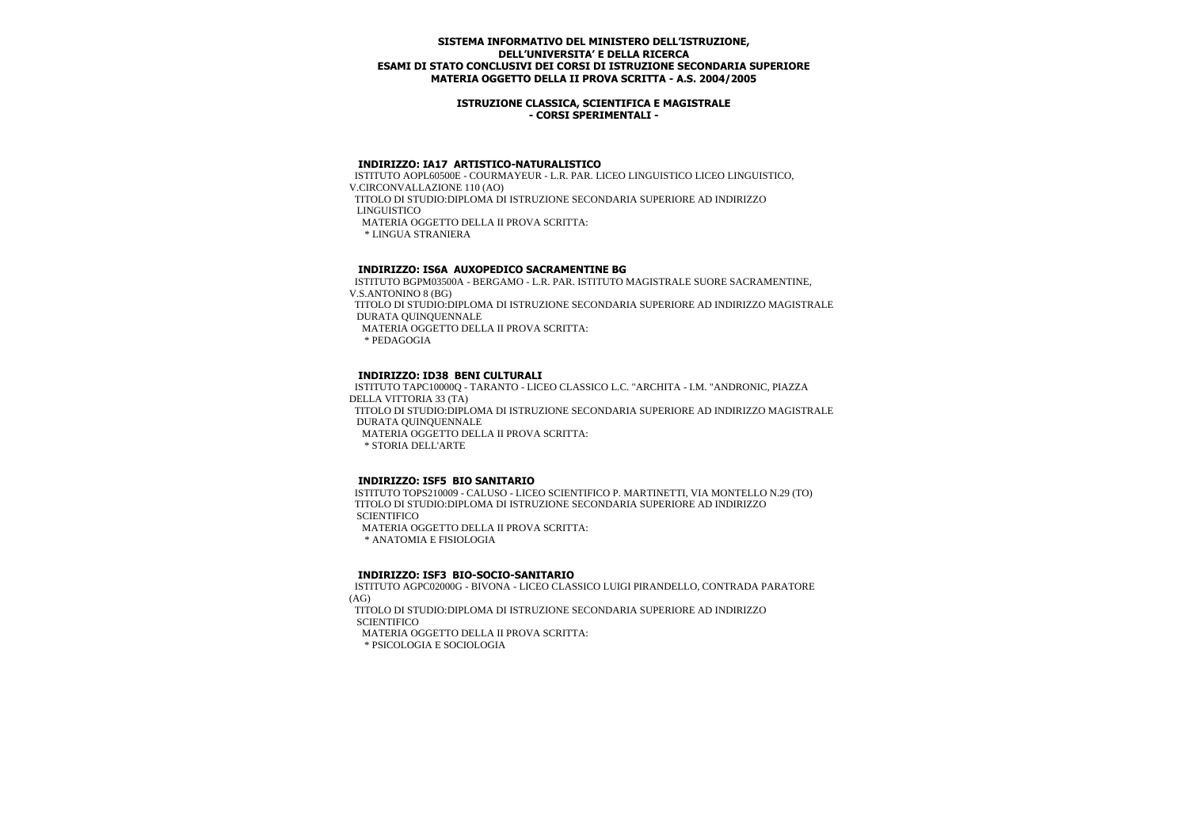### **ISTRUZIONE CLASSICA, SCIENTIFICA E MAGISTRALE - CORSI SPERIMENTALI -**

#### **INDIRIZZO: IA17 ARTISTICO-NATURALISTICO**

 ISTITUTO AOPL60500E - COURMAYEUR - L.R. PAR. LICEO LINGUISTICO LICEO LINGUISTICO, V.CIRCONVALLAZIONE 110 (AO) TITOLO DI STUDIO:DIPLOMA DI ISTRUZIONE SECONDARIA SUPERIORE AD INDIRIZZO LINGUISTICO MATERIA OGGETTO DELLA II PROVA SCRITTA: \* LINGUA STRANIERA

### **INDIRIZZO: IS6A AUXOPEDICO SACRAMENTINE BG**

 ISTITUTO BGPM03500A - BERGAMO - L.R. PAR. ISTITUTO MAGISTRALE SUORE SACRAMENTINE, V.S.ANTONINO 8 (BG) TITOLO DI STUDIO:DIPLOMA DI ISTRUZIONE SECONDARIA SUPERIORE AD INDIRIZZO MAGISTRALE

DURATA QUINQUENNALE

MATERIA OGGETTO DELLA II PROVA SCRITTA:

\* PEDAGOGIA

### **INDIRIZZO: ID38 BENI CULTURALI**

 ISTITUTO TAPC10000Q - TARANTO - LICEO CLASSICO L.C. "ARCHITA - I.M. "ANDRONIC, PIAZZA DELLA VITTORIA 33 (TA) TITOLO DI STUDIO:DIPLOMA DI ISTRUZIONE SECONDARIA SUPERIORE AD INDIRIZZO MAGISTRALE DURATA QUINQUENNALE MATERIA OGGETTO DELLA II PROVA SCRITTA: \* STORIA DELL'ARTE

#### **INDIRIZZO: ISF5 BIO SANITARIO**

 ISTITUTO TOPS210009 - CALUSO - LICEO SCIENTIFICO P. MARTINETTI, VIA MONTELLO N.29 (TO) TITOLO DI STUDIO:DIPLOMA DI ISTRUZIONE SECONDARIA SUPERIORE AD INDIRIZZO **SCIENTIFICO**  MATERIA OGGETTO DELLA II PROVA SCRITTA: \* ANATOMIA E FISIOLOGIA

#### **INDIRIZZO: ISF3 BIO-SOCIO-SANITARIO**

 ISTITUTO AGPC02000G - BIVONA - LICEO CLASSICO LUIGI PIRANDELLO, CONTRADA PARATORE (AG)

 TITOLO DI STUDIO:DIPLOMA DI ISTRUZIONE SECONDARIA SUPERIORE AD INDIRIZZO **SCIENTIFICO** 

MATERIA OGGETTO DELLA II PROVA SCRITTA:

\* PSICOLOGIA E SOCIOLOGIA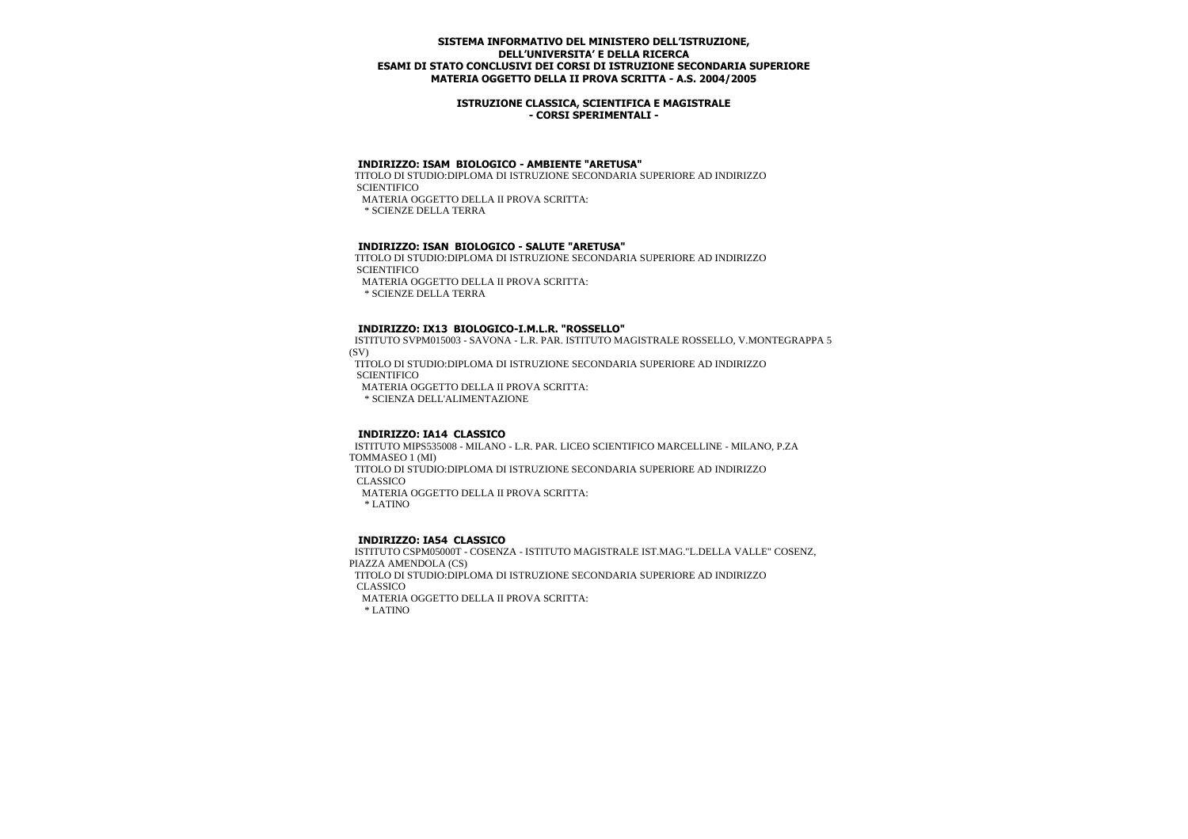### **ISTRUZIONE CLASSICA, SCIENTIFICA E MAGISTRALE - CORSI SPERIMENTALI -**

## **INDIRIZZO: ISAM BIOLOGICO - AMBIENTE "ARETUSA"**

 TITOLO DI STUDIO:DIPLOMA DI ISTRUZIONE SECONDARIA SUPERIORE AD INDIRIZZO **SCIENTIFICO** MATERIA OGGETTO DELLA II PROVA SCRITTA:

\* SCIENZE DELLA TERRA

#### **INDIRIZZO: ISAN BIOLOGICO - SALUTE "ARETUSA"**

 TITOLO DI STUDIO:DIPLOMA DI ISTRUZIONE SECONDARIA SUPERIORE AD INDIRIZZO **SCIENTIFICO**  MATERIA OGGETTO DELLA II PROVA SCRITTA: \* SCIENZE DELLA TERRA

#### **INDIRIZZO: IX13 BIOLOGICO-I.M.L.R. "ROSSELLO"**

 ISTITUTO SVPM015003 - SAVONA - L.R. PAR. ISTITUTO MAGISTRALE ROSSELLO, V.MONTEGRAPPA 5 (SV)

 TITOLO DI STUDIO:DIPLOMA DI ISTRUZIONE SECONDARIA SUPERIORE AD INDIRIZZO **SCIENTIFICO** 

MATERIA OGGETTO DELLA II PROVA SCRITTA:

\* SCIENZA DELL'ALIMENTAZIONE

## **INDIRIZZO: IA14 CLASSICO**

 ISTITUTO MIPS535008 - MILANO - L.R. PAR. LICEO SCIENTIFICO MARCELLINE - MILANO, P.ZA TOMMASEO 1 (MI) TITOLO DI STUDIO:DIPLOMA DI ISTRUZIONE SECONDARIA SUPERIORE AD INDIRIZZO CLASSICO MATERIA OGGETTO DELLA II PROVA SCRITTA: \* LATINO

#### **INDIRIZZO: IA54 CLASSICO**

 ISTITUTO CSPM05000T - COSENZA - ISTITUTO MAGISTRALE IST.MAG."L.DELLA VALLE" COSENZ, PIAZZA AMENDOLA (CS) TITOLO DI STUDIO:DIPLOMA DI ISTRUZIONE SECONDARIA SUPERIORE AD INDIRIZZO CLASSICO MATERIA OGGETTO DELLA II PROVA SCRITTA: \* LATINO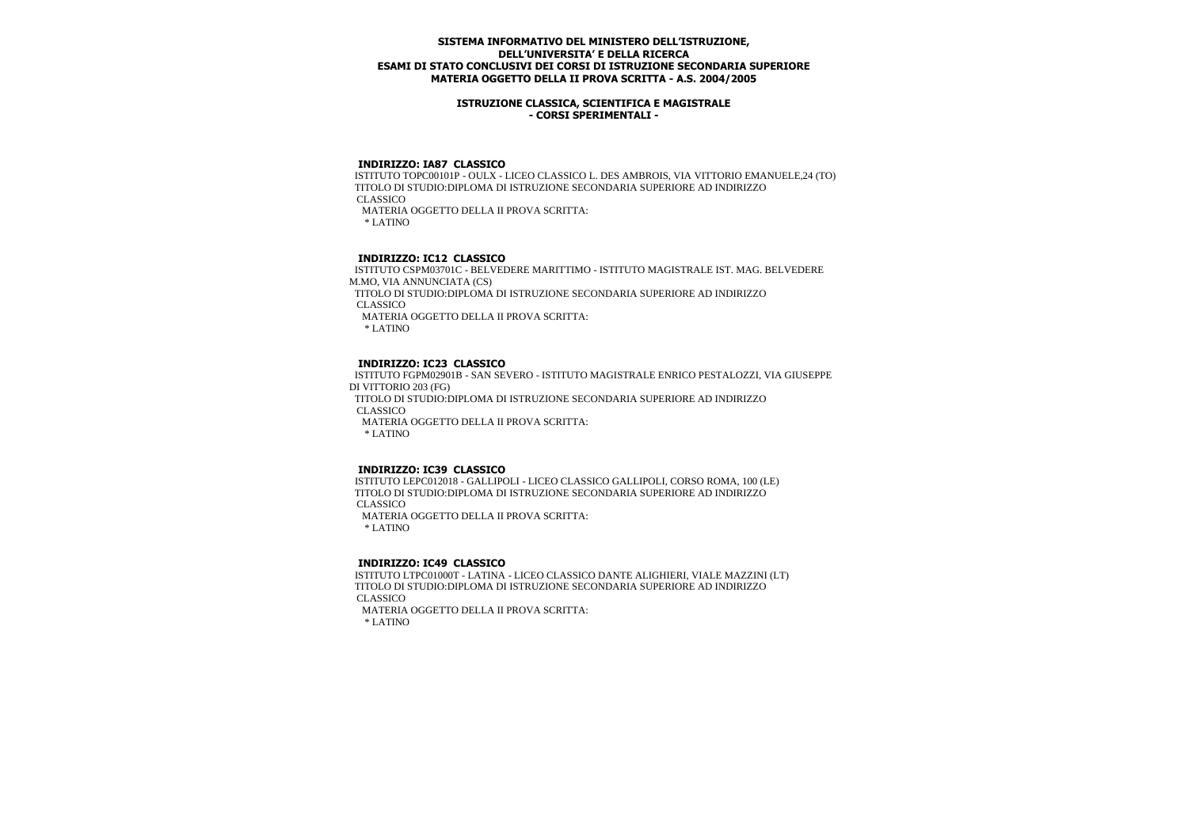### **ISTRUZIONE CLASSICA, SCIENTIFICA E MAGISTRALE - CORSI SPERIMENTALI -**

### **INDIRIZZO: IA87 CLASSICO**

 ISTITUTO TOPC00101P - OULX - LICEO CLASSICO L. DES AMBROIS, VIA VITTORIO EMANUELE,24 (TO) TITOLO DI STUDIO:DIPLOMA DI ISTRUZIONE SECONDARIA SUPERIORE AD INDIRIZZO CLASSICO MATERIA OGGETTO DELLA II PROVA SCRITTA: \* LATINO

## **INDIRIZZO: IC12 CLASSICO**

 ISTITUTO CSPM03701C - BELVEDERE MARITTIMO - ISTITUTO MAGISTRALE IST. MAG. BELVEDERE M.MO, VIA ANNUNCIATA (CS) TITOLO DI STUDIO:DIPLOMA DI ISTRUZIONE SECONDARIA SUPERIORE AD INDIRIZZO CLASSICO MATERIA OGGETTO DELLA II PROVA SCRITTA: \* LATINO

## **INDIRIZZO: IC23 CLASSICO**

 ISTITUTO FGPM02901B - SAN SEVERO - ISTITUTO MAGISTRALE ENRICO PESTALOZZI, VIA GIUSEPPE DI VITTORIO 203 (FG) TITOLO DI STUDIO:DIPLOMA DI ISTRUZIONE SECONDARIA SUPERIORE AD INDIRIZZO CLASSICO MATERIA OGGETTO DELLA II PROVA SCRITTA: \* LATINO

#### **INDIRIZZO: IC39 CLASSICO**

 ISTITUTO LEPC012018 - GALLIPOLI - LICEO CLASSICO GALLIPOLI, CORSO ROMA, 100 (LE) TITOLO DI STUDIO:DIPLOMA DI ISTRUZIONE SECONDARIA SUPERIORE AD INDIRIZZO CLASSICO MATERIA OGGETTO DELLA II PROVA SCRITTA:

\* LATINO

#### **INDIRIZZO: IC49 CLASSICO**

 ISTITUTO LTPC01000T - LATINA - LICEO CLASSICO DANTE ALIGHIERI, VIALE MAZZINI (LT) TITOLO DI STUDIO:DIPLOMA DI ISTRUZIONE SECONDARIA SUPERIORE AD INDIRIZZO CLASSICO

 MATERIA OGGETTO DELLA II PROVA SCRITTA: \* LATINO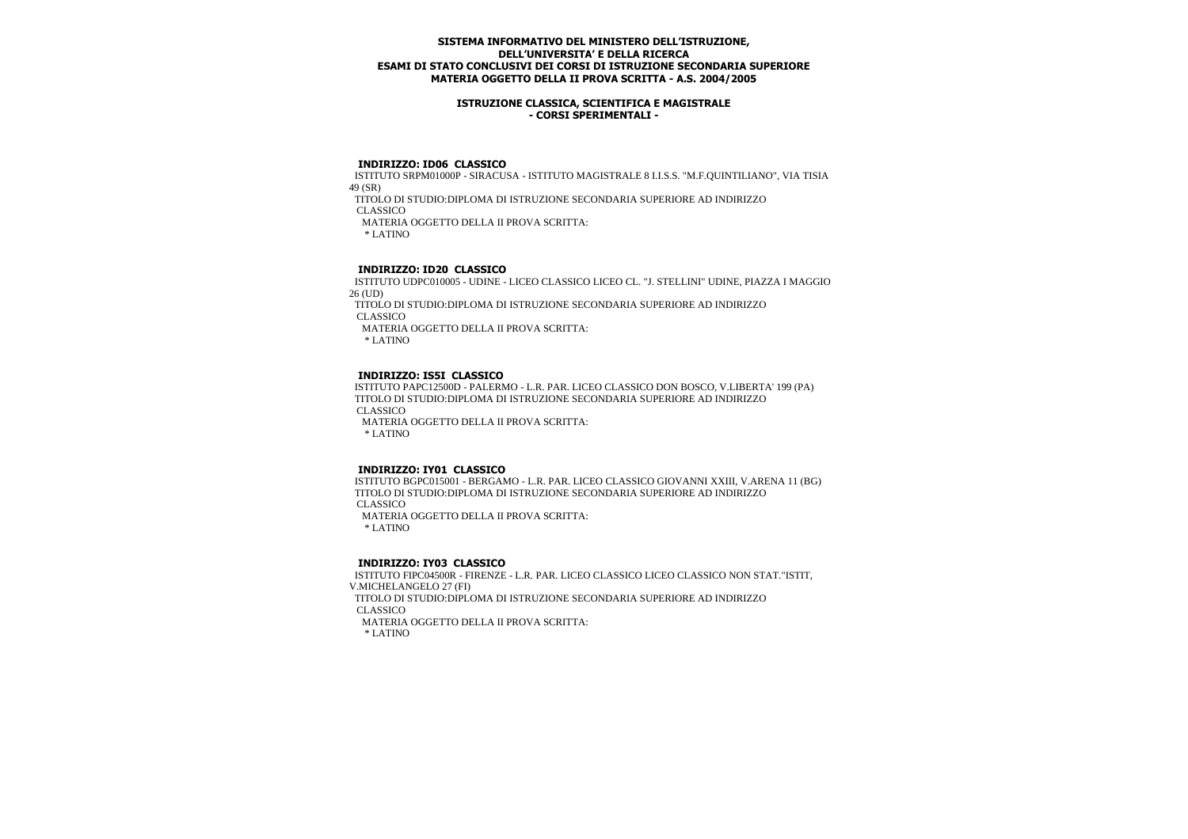### **ISTRUZIONE CLASSICA, SCIENTIFICA E MAGISTRALE - CORSI SPERIMENTALI -**

### **INDIRIZZO: ID06 CLASSICO**

 ISTITUTO SRPM01000P - SIRACUSA - ISTITUTO MAGISTRALE 8 I.I.S.S. "M.F.QUINTILIANO", VIA TISIA 49 (SR)

TITOLO DI STUDIO:DIPLOMA DI ISTRUZIONE SECONDARIA SUPERIORE AD INDIRIZZO

CLASSICO

MATERIA OGGETTO DELLA II PROVA SCRITTA:

\* LATINO

# **INDIRIZZO: ID20 CLASSICO**

 ISTITUTO UDPC010005 - UDINE - LICEO CLASSICO LICEO CL. "J. STELLINI" UDINE, PIAZZA I MAGGIO 26 (UD)

 TITOLO DI STUDIO:DIPLOMA DI ISTRUZIONE SECONDARIA SUPERIORE AD INDIRIZZO CLASSICO

MATERIA OGGETTO DELLA II PROVA SCRITTA:

\* LATINO

## **INDIRIZZO: IS5I CLASSICO**

 ISTITUTO PAPC12500D - PALERMO - L.R. PAR. LICEO CLASSICO DON BOSCO, V.LIBERTA' 199 (PA) TITOLO DI STUDIO:DIPLOMA DI ISTRUZIONE SECONDARIA SUPERIORE AD INDIRIZZO CLASSICO MATERIA OGGETTO DELLA II PROVA SCRITTA: \* LATINO

# **INDIRIZZO: IY01 CLASSICO**

 ISTITUTO BGPC015001 - BERGAMO - L.R. PAR. LICEO CLASSICO GIOVANNI XXIII, V.ARENA 11 (BG) TITOLO DI STUDIO:DIPLOMA DI ISTRUZIONE SECONDARIA SUPERIORE AD INDIRIZZO CLASSICO MATERIA OGGETTO DELLA II PROVA SCRITTA:

\* LATINO

#### **INDIRIZZO: IY03 CLASSICO**

 ISTITUTO FIPC04500R - FIRENZE - L.R. PAR. LICEO CLASSICO LICEO CLASSICO NON STAT."ISTIT, V.MICHELANGELO 27 (FI) TITOLO DI STUDIO:DIPLOMA DI ISTRUZIONE SECONDARIA SUPERIORE AD INDIRIZZO CLASSICO MATERIA OGGETTO DELLA II PROVA SCRITTA: \* LATINO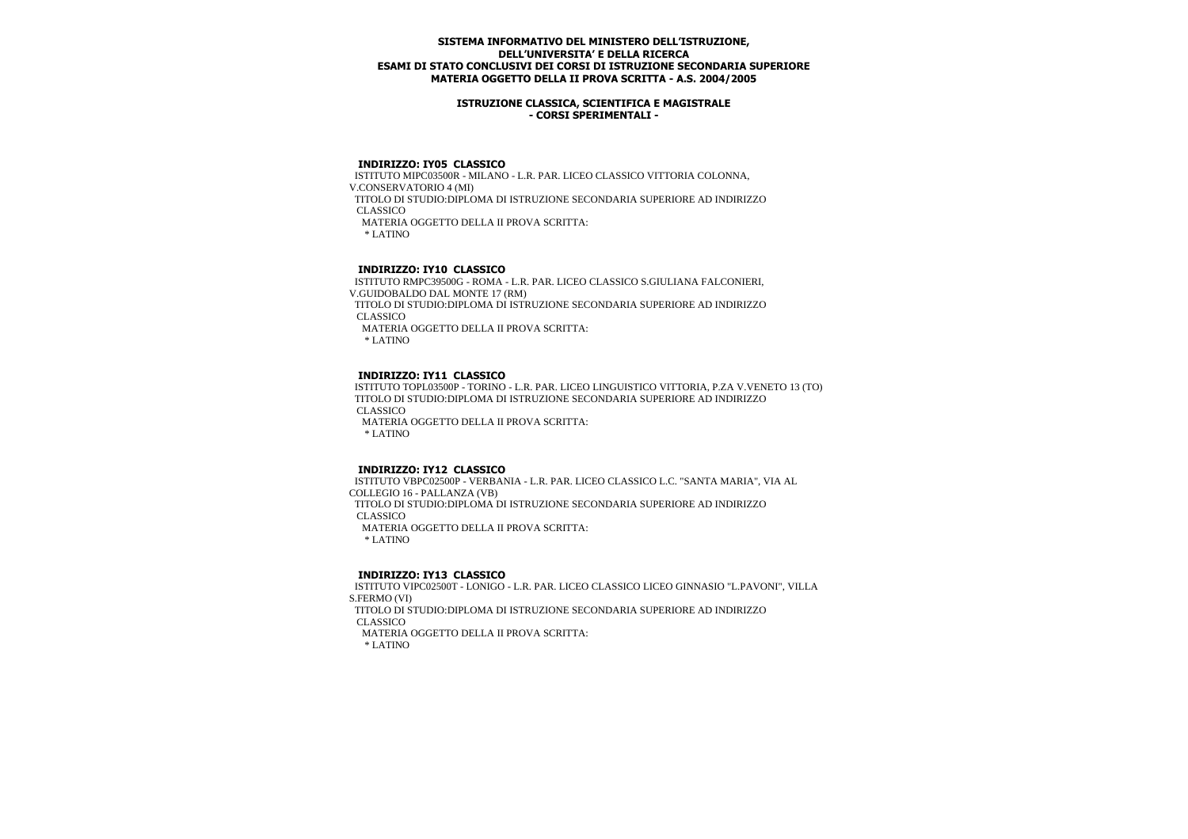### **ISTRUZIONE CLASSICA, SCIENTIFICA E MAGISTRALE - CORSI SPERIMENTALI -**

### **INDIRIZZO: IY05 CLASSICO**

 ISTITUTO MIPC03500R - MILANO - L.R. PAR. LICEO CLASSICO VITTORIA COLONNA, V.CONSERVATORIO 4 (MI) TITOLO DI STUDIO:DIPLOMA DI ISTRUZIONE SECONDARIA SUPERIORE AD INDIRIZZO **CLASSICO**  MATERIA OGGETTO DELLA II PROVA SCRITTA: \* LATINO

## **INDIRIZZO: IY10 CLASSICO**

 ISTITUTO RMPC39500G - ROMA - L.R. PAR. LICEO CLASSICO S.GIULIANA FALCONIERI, V.GUIDOBALDO DAL MONTE 17 (RM) TITOLO DI STUDIO:DIPLOMA DI ISTRUZIONE SECONDARIA SUPERIORE AD INDIRIZZO CLASSICO MATERIA OGGETTO DELLA II PROVA SCRITTA: \* LATINO

## **INDIRIZZO: IY11 CLASSICO**

 ISTITUTO TOPL03500P - TORINO - L.R. PAR. LICEO LINGUISTICO VITTORIA, P.ZA V.VENETO 13 (TO) TITOLO DI STUDIO:DIPLOMA DI ISTRUZIONE SECONDARIA SUPERIORE AD INDIRIZZO CLASSICO MATERIA OGGETTO DELLA II PROVA SCRITTA: \* LATINO

#### **INDIRIZZO: IY12 CLASSICO**

 ISTITUTO VBPC02500P - VERBANIA - L.R. PAR. LICEO CLASSICO L.C. "SANTA MARIA", VIA AL COLLEGIO 16 - PALLANZA (VB) TITOLO DI STUDIO:DIPLOMA DI ISTRUZIONE SECONDARIA SUPERIORE AD INDIRIZZO CLASSICO MATERIA OGGETTO DELLA II PROVA SCRITTA: \* LATINO

#### **INDIRIZZO: IY13 CLASSICO**

 ISTITUTO VIPC02500T - LONIGO - L.R. PAR. LICEO CLASSICO LICEO GINNASIO "L.PAVONI", VILLA S.FERMO (VI) TITOLO DI STUDIO:DIPLOMA DI ISTRUZIONE SECONDARIA SUPERIORE AD INDIRIZZO CLASSICO MATERIA OGGETTO DELLA II PROVA SCRITTA: \* LATINO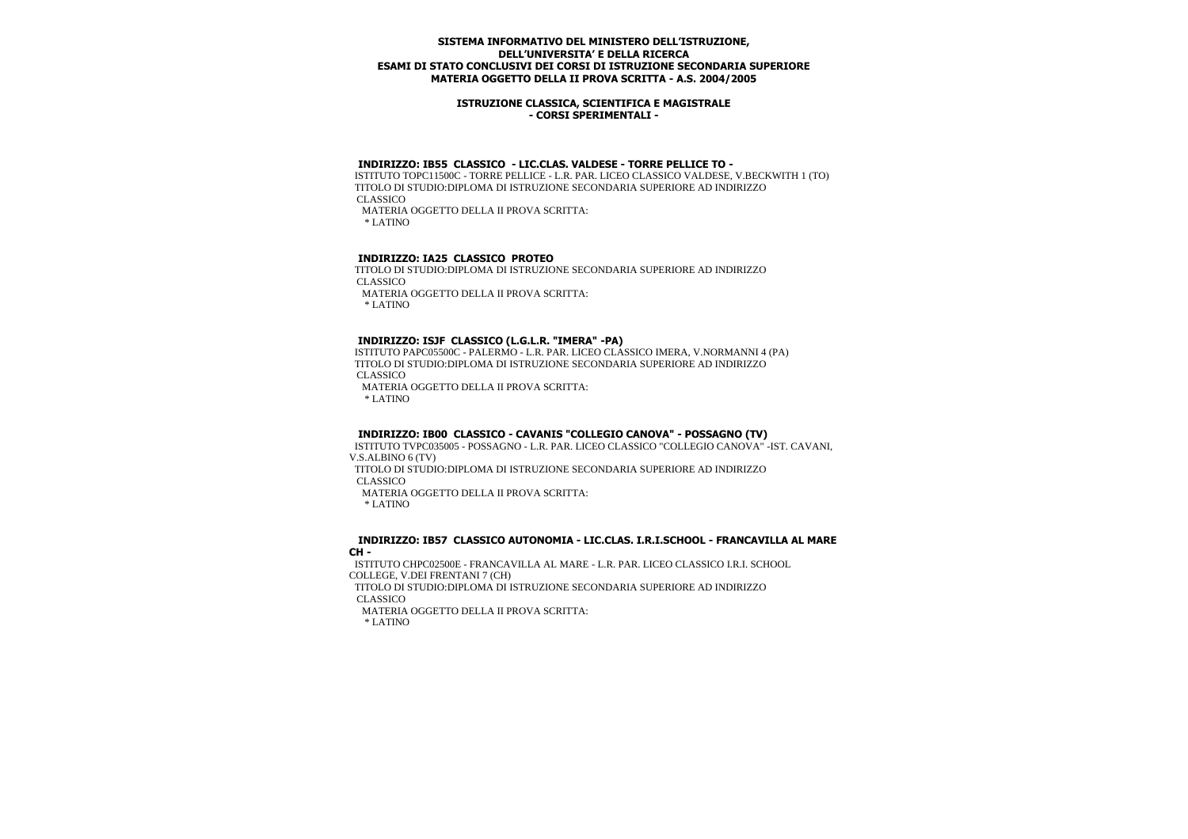### **ISTRUZIONE CLASSICA, SCIENTIFICA E MAGISTRALE - CORSI SPERIMENTALI -**

# **INDIRIZZO: IB55 CLASSICO - LIC.CLAS. VALDESE - TORRE PELLICE TO -**

 ISTITUTO TOPC11500C - TORRE PELLICE - L.R. PAR. LICEO CLASSICO VALDESE, V.BECKWITH 1 (TO) TITOLO DI STUDIO:DIPLOMA DI ISTRUZIONE SECONDARIA SUPERIORE AD INDIRIZZO CLASSICO MATERIA OGGETTO DELLA II PROVA SCRITTA:

\* LATINO

## **INDIRIZZO: IA25 CLASSICO PROTEO**

 TITOLO DI STUDIO:DIPLOMA DI ISTRUZIONE SECONDARIA SUPERIORE AD INDIRIZZO CLASSICO MATERIA OGGETTO DELLA II PROVA SCRITTA: \* LATINO

## **INDIRIZZO: ISJF CLASSICO (L.G.L.R. "IMERA" -PA)**

 ISTITUTO PAPC05500C - PALERMO - L.R. PAR. LICEO CLASSICO IMERA, V.NORMANNI 4 (PA) TITOLO DI STUDIO:DIPLOMA DI ISTRUZIONE SECONDARIA SUPERIORE AD INDIRIZZO CLASSICO MATERIA OGGETTO DELLA II PROVA SCRITTA: \* LATINO

# **INDIRIZZO: IB00 CLASSICO - CAVANIS "COLLEGIO CANOVA" - POSSAGNO (TV)**

 ISTITUTO TVPC035005 - POSSAGNO - L.R. PAR. LICEO CLASSICO "COLLEGIO CANOVA" -IST. CAVANI, V.S.ALBINO 6 (TV)

 TITOLO DI STUDIO:DIPLOMA DI ISTRUZIONE SECONDARIA SUPERIORE AD INDIRIZZO CLASSICO

MATERIA OGGETTO DELLA II PROVA SCRITTA:

\* LATINO

#### **INDIRIZZO: IB57 CLASSICO AUTONOMIA - LIC.CLAS. I.R.I.SCHOOL - FRANCAVILLA AL MARE CH -**

 ISTITUTO CHPC02500E - FRANCAVILLA AL MARE - L.R. PAR. LICEO CLASSICO I.R.I. SCHOOL COLLEGE, V.DEI FRENTANI 7 (CH)

 TITOLO DI STUDIO:DIPLOMA DI ISTRUZIONE SECONDARIA SUPERIORE AD INDIRIZZO CLASSICO

 MATERIA OGGETTO DELLA II PROVA SCRITTA: \* LATINO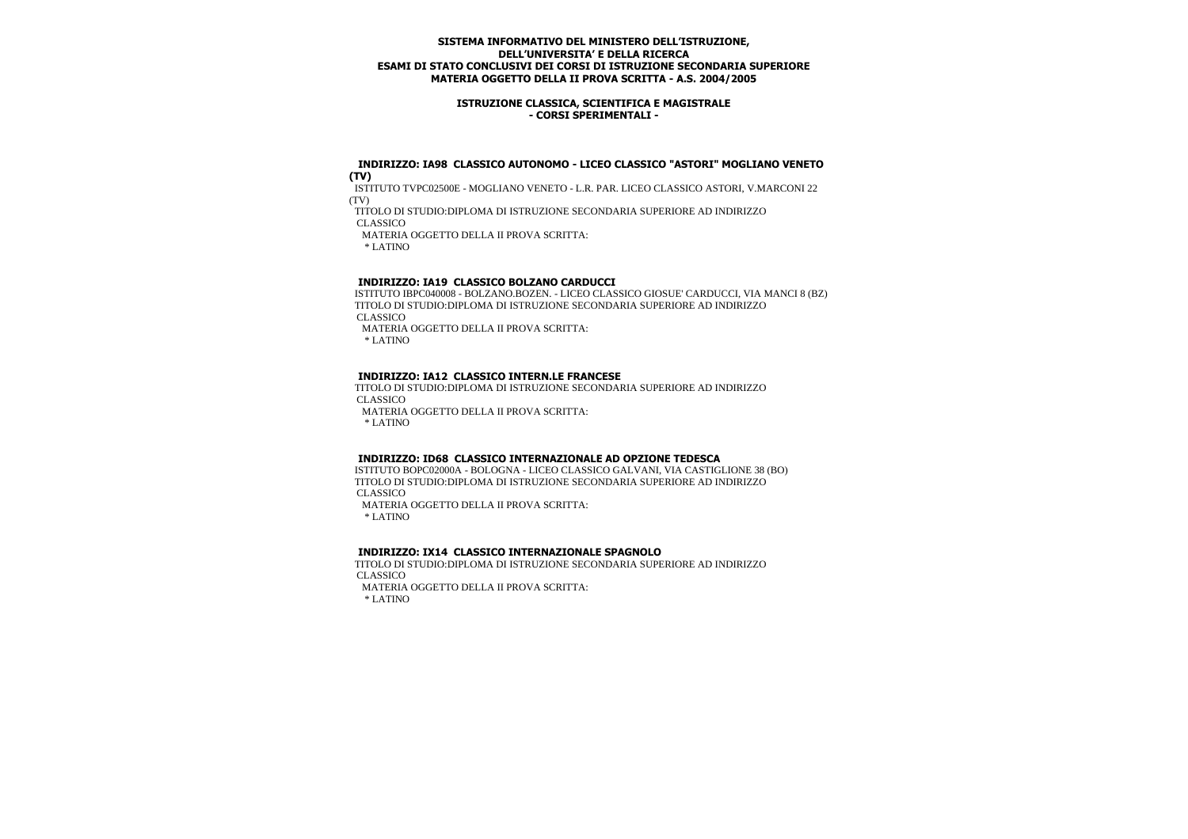### **ISTRUZIONE CLASSICA, SCIENTIFICA E MAGISTRALE - CORSI SPERIMENTALI -**

#### **INDIRIZZO: IA98 CLASSICO AUTONOMO - LICEO CLASSICO "ASTORI" MOGLIANO VENETO (TV)**

 ISTITUTO TVPC02500E - MOGLIANO VENETO - L.R. PAR. LICEO CLASSICO ASTORI, V.MARCONI 22 (TV)

TITOLO DI STUDIO:DIPLOMA DI ISTRUZIONE SECONDARIA SUPERIORE AD INDIRIZZO

CLASSICO

MATERIA OGGETTO DELLA II PROVA SCRITTA:

\* LATINO

# **INDIRIZZO: IA19 CLASSICO BOLZANO CARDUCCI**

 ISTITUTO IBPC040008 - BOLZANO.BOZEN. - LICEO CLASSICO GIOSUE' CARDUCCI, VIA MANCI 8 (BZ) TITOLO DI STUDIO:DIPLOMA DI ISTRUZIONE SECONDARIA SUPERIORE AD INDIRIZZO CLASSICO

MATERIA OGGETTO DELLA II PROVA SCRITTA:

\* LATINO

# **INDIRIZZO: IA12 CLASSICO INTERN.LE FRANCESE**

 TITOLO DI STUDIO:DIPLOMA DI ISTRUZIONE SECONDARIA SUPERIORE AD INDIRIZZO CLASSICO

MATERIA OGGETTO DELLA II PROVA SCRITTA:

\* LATINO

# **INDIRIZZO: ID68 CLASSICO INTERNAZIONALE AD OPZIONE TEDESCA**

 ISTITUTO BOPC02000A - BOLOGNA - LICEO CLASSICO GALVANI, VIA CASTIGLIONE 38 (BO) TITOLO DI STUDIO:DIPLOMA DI ISTRUZIONE SECONDARIA SUPERIORE AD INDIRIZZO CLASSICO

 MATERIA OGGETTO DELLA II PROVA SCRITTA: \* LATINO

# **INDIRIZZO: IX14 CLASSICO INTERNAZIONALE SPAGNOLO**

 TITOLO DI STUDIO:DIPLOMA DI ISTRUZIONE SECONDARIA SUPERIORE AD INDIRIZZO CLASSICO

MATERIA OGGETTO DELLA II PROVA SCRITTA:

\* LATINO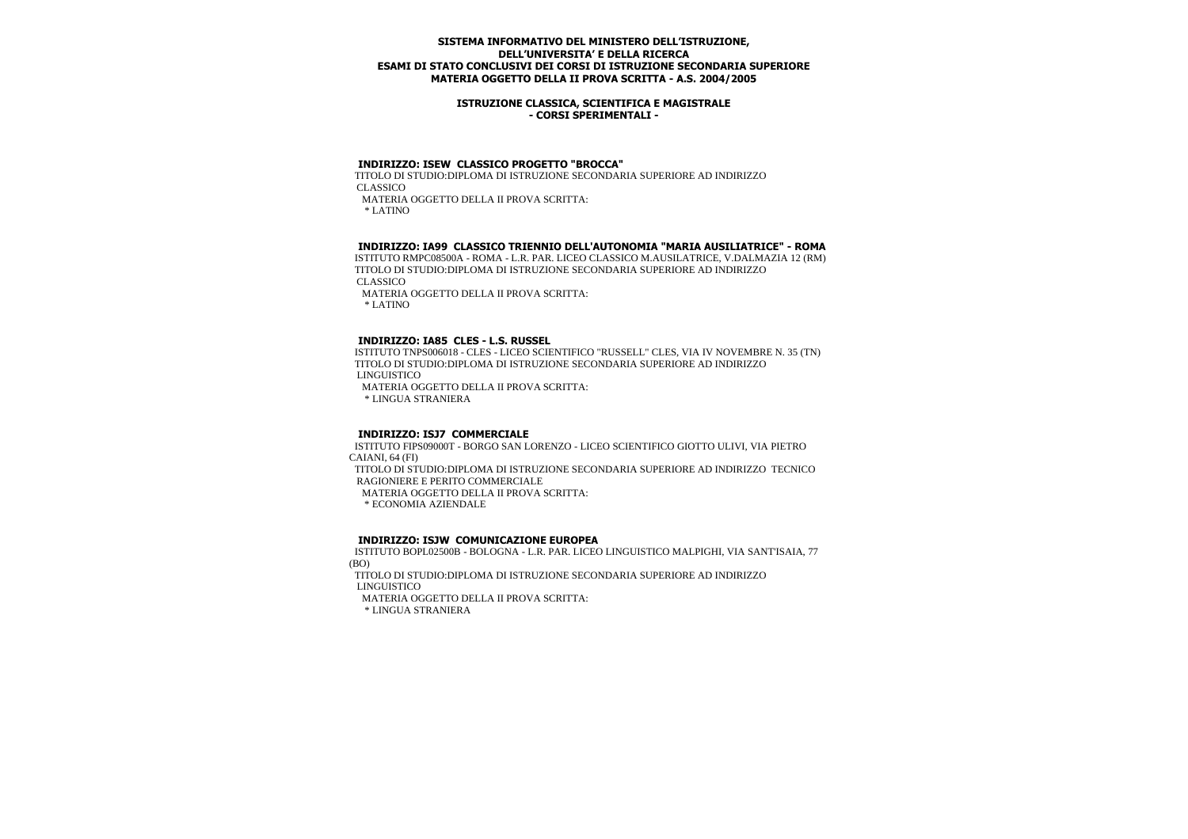### **ISTRUZIONE CLASSICA, SCIENTIFICA E MAGISTRALE - CORSI SPERIMENTALI -**

# **INDIRIZZO: ISEW CLASSICO PROGETTO "BROCCA"**

 TITOLO DI STUDIO:DIPLOMA DI ISTRUZIONE SECONDARIA SUPERIORE AD INDIRIZZO CLASSICO MATERIA OGGETTO DELLA II PROVA SCRITTA:

\* LATINO

#### **INDIRIZZO: IA99 CLASSICO TRIENNIO DELL'AUTONOMIA "MARIA AUSILIATRICE" - ROMA**

 ISTITUTO RMPC08500A - ROMA - L.R. PAR. LICEO CLASSICO M.AUSILATRICE, V.DALMAZIA 12 (RM) TITOLO DI STUDIO:DIPLOMA DI ISTRUZIONE SECONDARIA SUPERIORE AD INDIRIZZO CLASSICO

MATERIA OGGETTO DELLA II PROVA SCRITTA:

\* LATINO

#### **INDIRIZZO: IA85 CLES - L.S. RUSSEL**

 ISTITUTO TNPS006018 - CLES - LICEO SCIENTIFICO "RUSSELL" CLES, VIA IV NOVEMBRE N. 35 (TN) TITOLO DI STUDIO:DIPLOMA DI ISTRUZIONE SECONDARIA SUPERIORE AD INDIRIZZO LINGUISTICO MATERIA OGGETTO DELLA II PROVA SCRITTA:

\* LINGUA STRANIERA

## **INDIRIZZO: ISJ7 COMMERCIALE**

 ISTITUTO FIPS09000T - BORGO SAN LORENZO - LICEO SCIENTIFICO GIOTTO ULIVI, VIA PIETRO CAIANI, 64 (FI) TITOLO DI STUDIO:DIPLOMA DI ISTRUZIONE SECONDARIA SUPERIORE AD INDIRIZZO TECNICO RAGIONIERE E PERITO COMMERCIALE MATERIA OGGETTO DELLA II PROVA SCRITTA: \* ECONOMIA AZIENDALE

#### **INDIRIZZO: ISJW COMUNICAZIONE EUROPEA**

 ISTITUTO BOPL02500B - BOLOGNA - L.R. PAR. LICEO LINGUISTICO MALPIGHI, VIA SANT'ISAIA, 77 (BO)

 TITOLO DI STUDIO:DIPLOMA DI ISTRUZIONE SECONDARIA SUPERIORE AD INDIRIZZO LINGUISTICO

MATERIA OGGETTO DELLA II PROVA SCRITTA: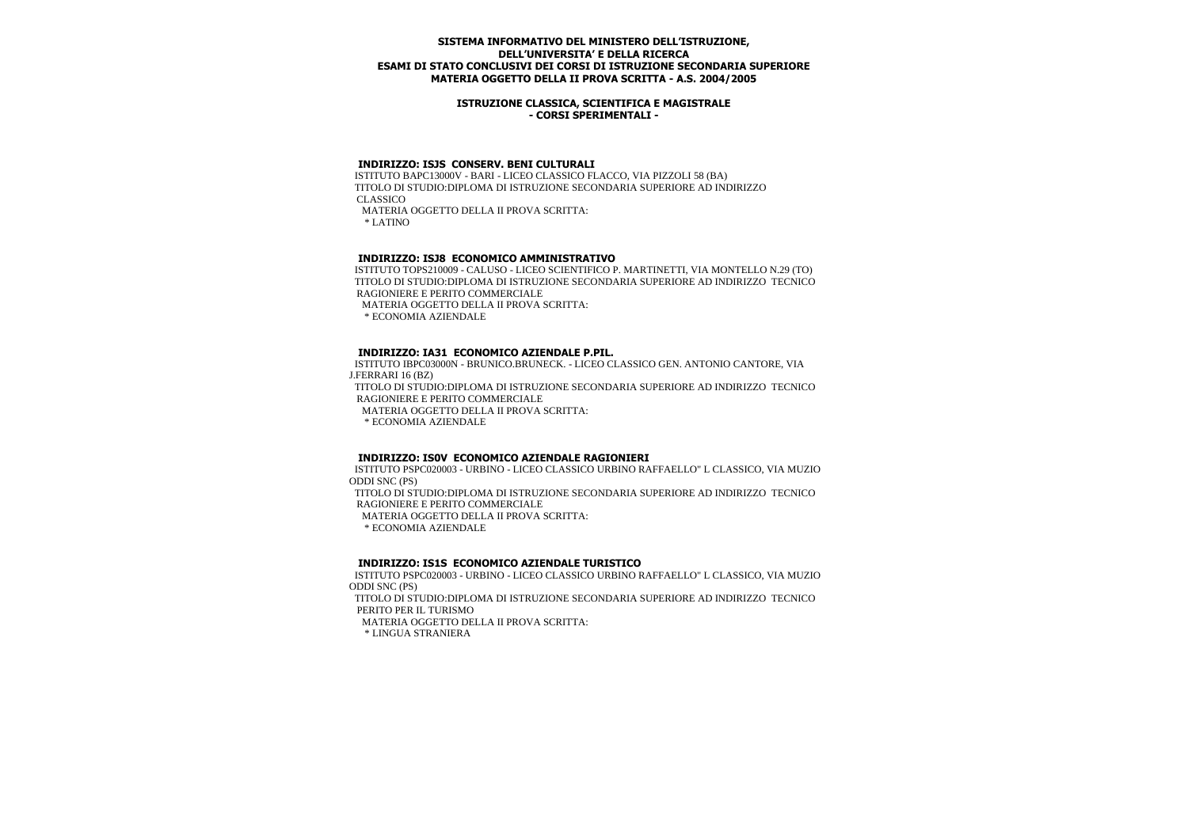### **ISTRUZIONE CLASSICA, SCIENTIFICA E MAGISTRALE - CORSI SPERIMENTALI -**

#### **INDIRIZZO: ISJS CONSERV. BENI CULTURALI**

 ISTITUTO BAPC13000V - BARI - LICEO CLASSICO FLACCO, VIA PIZZOLI 58 (BA) TITOLO DI STUDIO:DIPLOMA DI ISTRUZIONE SECONDARIA SUPERIORE AD INDIRIZZO CLASSICO MATERIA OGGETTO DELLA II PROVA SCRITTA: \* LATINO

#### **INDIRIZZO: ISJ8 ECONOMICO AMMINISTRATIVO**

 ISTITUTO TOPS210009 - CALUSO - LICEO SCIENTIFICO P. MARTINETTI, VIA MONTELLO N.29 (TO) TITOLO DI STUDIO:DIPLOMA DI ISTRUZIONE SECONDARIA SUPERIORE AD INDIRIZZO TECNICO RAGIONIERE E PERITO COMMERCIALE

MATERIA OGGETTO DELLA II PROVA SCRITTA:

\* ECONOMIA AZIENDALE

#### **INDIRIZZO: IA31 ECONOMICO AZIENDALE P.PIL.**

 ISTITUTO IBPC03000N - BRUNICO.BRUNECK. - LICEO CLASSICO GEN. ANTONIO CANTORE, VIA J.FERRARI 16 (BZ)

 TITOLO DI STUDIO:DIPLOMA DI ISTRUZIONE SECONDARIA SUPERIORE AD INDIRIZZO TECNICO RAGIONIERE E PERITO COMMERCIALE

MATERIA OGGETTO DELLA II PROVA SCRITTA:

\* ECONOMIA AZIENDALE

#### **INDIRIZZO: IS0V ECONOMICO AZIENDALE RAGIONIERI**

 ISTITUTO PSPC020003 - URBINO - LICEO CLASSICO URBINO RAFFAELLO" L CLASSICO, VIA MUZIO ODDI SNC (PS)

 TITOLO DI STUDIO:DIPLOMA DI ISTRUZIONE SECONDARIA SUPERIORE AD INDIRIZZO TECNICO RAGIONIERE E PERITO COMMERCIALE

MATERIA OGGETTO DELLA II PROVA SCRITTA:

\* ECONOMIA AZIENDALE

#### **INDIRIZZO: IS1S ECONOMICO AZIENDALE TURISTICO**

 ISTITUTO PSPC020003 - URBINO - LICEO CLASSICO URBINO RAFFAELLO" L CLASSICO, VIA MUZIO ODDI SNC (PS) TITOLO DI STUDIO:DIPLOMA DI ISTRUZIONE SECONDARIA SUPERIORE AD INDIRIZZO TECNICO PERITO PER IL TURISMO MATERIA OGGETTO DELLA II PROVA SCRITTA: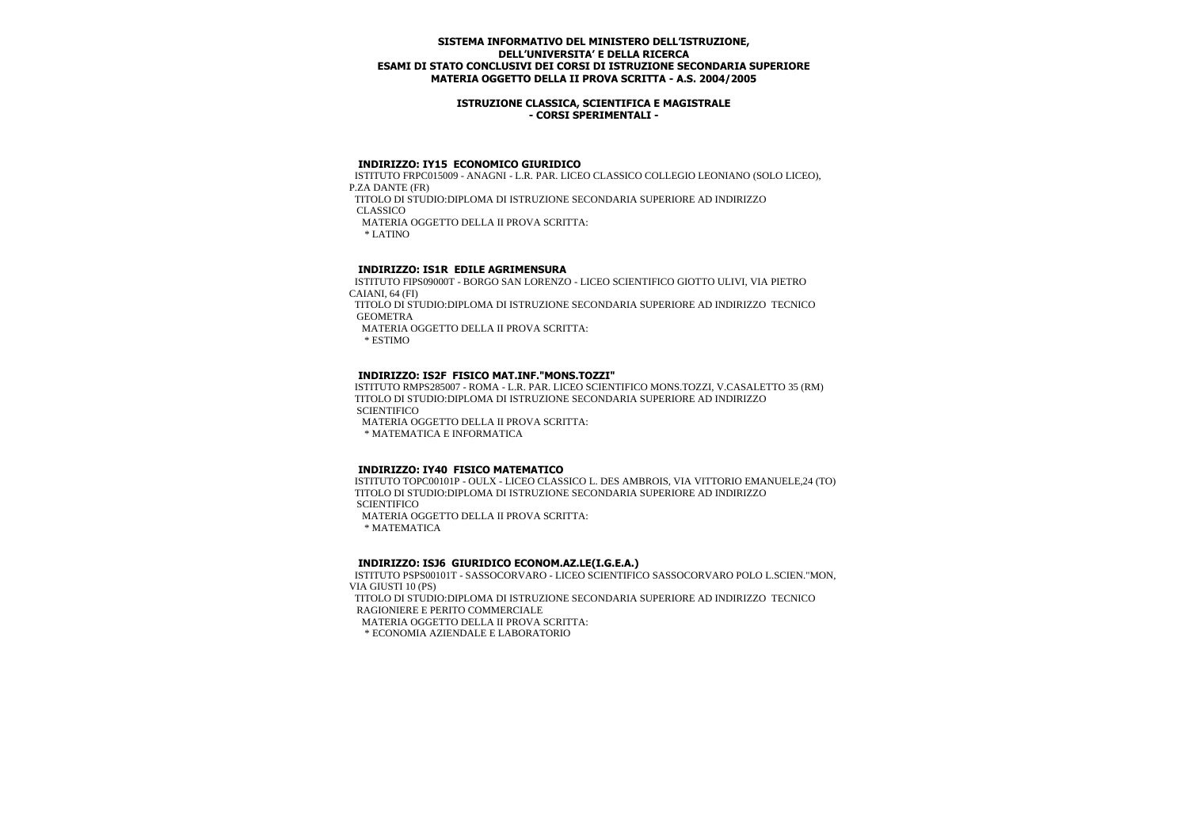### **ISTRUZIONE CLASSICA, SCIENTIFICA E MAGISTRALE - CORSI SPERIMENTALI -**

#### **INDIRIZZO: IY15 ECONOMICO GIURIDICO**

 ISTITUTO FRPC015009 - ANAGNI - L.R. PAR. LICEO CLASSICO COLLEGIO LEONIANO (SOLO LICEO), P.ZA DANTE (FR)

 TITOLO DI STUDIO:DIPLOMA DI ISTRUZIONE SECONDARIA SUPERIORE AD INDIRIZZO CLASSICO

MATERIA OGGETTO DELLA II PROVA SCRITTA:

\* LATINO

# **INDIRIZZO: IS1R EDILE AGRIMENSURA**

 ISTITUTO FIPS09000T - BORGO SAN LORENZO - LICEO SCIENTIFICO GIOTTO ULIVI, VIA PIETRO CAIANI, 64 (FI)

 TITOLO DI STUDIO:DIPLOMA DI ISTRUZIONE SECONDARIA SUPERIORE AD INDIRIZZO TECNICO **GEOMETRA** 

MATERIA OGGETTO DELLA II PROVA SCRITTA:

\* ESTIMO

# **INDIRIZZO: IS2F FISICO MAT.INF."MONS.TOZZI"**

 ISTITUTO RMPS285007 - ROMA - L.R. PAR. LICEO SCIENTIFICO MONS.TOZZI, V.CASALETTO 35 (RM) TITOLO DI STUDIO:DIPLOMA DI ISTRUZIONE SECONDARIA SUPERIORE AD INDIRIZZO **SCIENTIFICO** 

MATERIA OGGETTO DELLA II PROVA SCRITTA:

\* MATEMATICA E INFORMATICA

# **INDIRIZZO: IY40 FISICO MATEMATICO**

 ISTITUTO TOPC00101P - OULX - LICEO CLASSICO L. DES AMBROIS, VIA VITTORIO EMANUELE,24 (TO) TITOLO DI STUDIO:DIPLOMA DI ISTRUZIONE SECONDARIA SUPERIORE AD INDIRIZZO **SCIENTIFICO** 

MATERIA OGGETTO DELLA II PROVA SCRITTA:

\* MATEMATICA

# **INDIRIZZO: ISJ6 GIURIDICO ECONOM.AZ.LE(I.G.E.A.)**

 ISTITUTO PSPS00101T - SASSOCORVARO - LICEO SCIENTIFICO SASSOCORVARO POLO L.SCIEN."MON, VIA GIUSTI 10 (PS)

 TITOLO DI STUDIO:DIPLOMA DI ISTRUZIONE SECONDARIA SUPERIORE AD INDIRIZZO TECNICO RAGIONIERE E PERITO COMMERCIALE

MATERIA OGGETTO DELLA II PROVA SCRITTA:

\* ECONOMIA AZIENDALE E LABORATORIO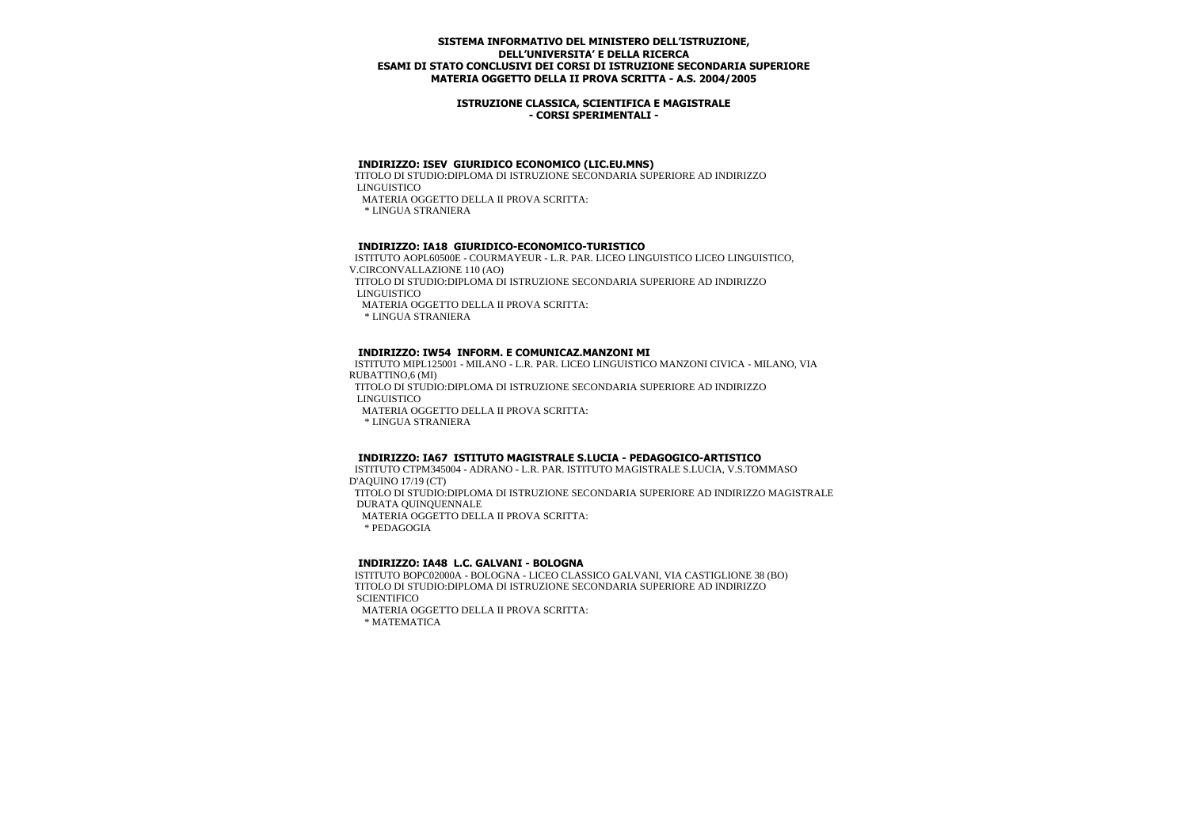### **ISTRUZIONE CLASSICA, SCIENTIFICA E MAGISTRALE - CORSI SPERIMENTALI -**

#### **INDIRIZZO: ISEV GIURIDICO ECONOMICO (LIC.EU.MNS)**

 TITOLO DI STUDIO:DIPLOMA DI ISTRUZIONE SECONDARIA SUPERIORE AD INDIRIZZO LINGUISTICO MATERIA OGGETTO DELLA II PROVA SCRITTA:

\* LINGUA STRANIERA

### **INDIRIZZO: IA18 GIURIDICO-ECONOMICO-TURISTICO**

 ISTITUTO AOPL60500E - COURMAYEUR - L.R. PAR. LICEO LINGUISTICO LICEO LINGUISTICO, V.CIRCONVALLAZIONE 110 (AO) TITOLO DI STUDIO:DIPLOMA DI ISTRUZIONE SECONDARIA SUPERIORE AD INDIRIZZO LINGUISTICO MATERIA OGGETTO DELLA II PROVA SCRITTA: \* LINGUA STRANIERA

## **INDIRIZZO: IW54 INFORM. E COMUNICAZ.MANZONI MI**

 ISTITUTO MIPL125001 - MILANO - L.R. PAR. LICEO LINGUISTICO MANZONI CIVICA - MILANO, VIA RUBATTINO,6 (MI)

 TITOLO DI STUDIO:DIPLOMA DI ISTRUZIONE SECONDARIA SUPERIORE AD INDIRIZZO LINGUISTICO

MATERIA OGGETTO DELLA II PROVA SCRITTA:

\* LINGUA STRANIERA

#### **INDIRIZZO: IA67 ISTITUTO MAGISTRALE S.LUCIA - PEDAGOGICO-ARTISTICO**

 ISTITUTO CTPM345004 - ADRANO - L.R. PAR. ISTITUTO MAGISTRALE S.LUCIA, V.S.TOMMASO D'AQUINO 17/19 (CT) TITOLO DI STUDIO:DIPLOMA DI ISTRUZIONE SECONDARIA SUPERIORE AD INDIRIZZO MAGISTRALE DURATA QUINQUENNALE MATERIA OGGETTO DELLA II PROVA SCRITTA:

\* PEDAGOGIA

# **INDIRIZZO: IA48 L.C. GALVANI - BOLOGNA**

 ISTITUTO BOPC02000A - BOLOGNA - LICEO CLASSICO GALVANI, VIA CASTIGLIONE 38 (BO) TITOLO DI STUDIO:DIPLOMA DI ISTRUZIONE SECONDARIA SUPERIORE AD INDIRIZZO **SCIENTIFICO** 

 MATERIA OGGETTO DELLA II PROVA SCRITTA: \* MATEMATICA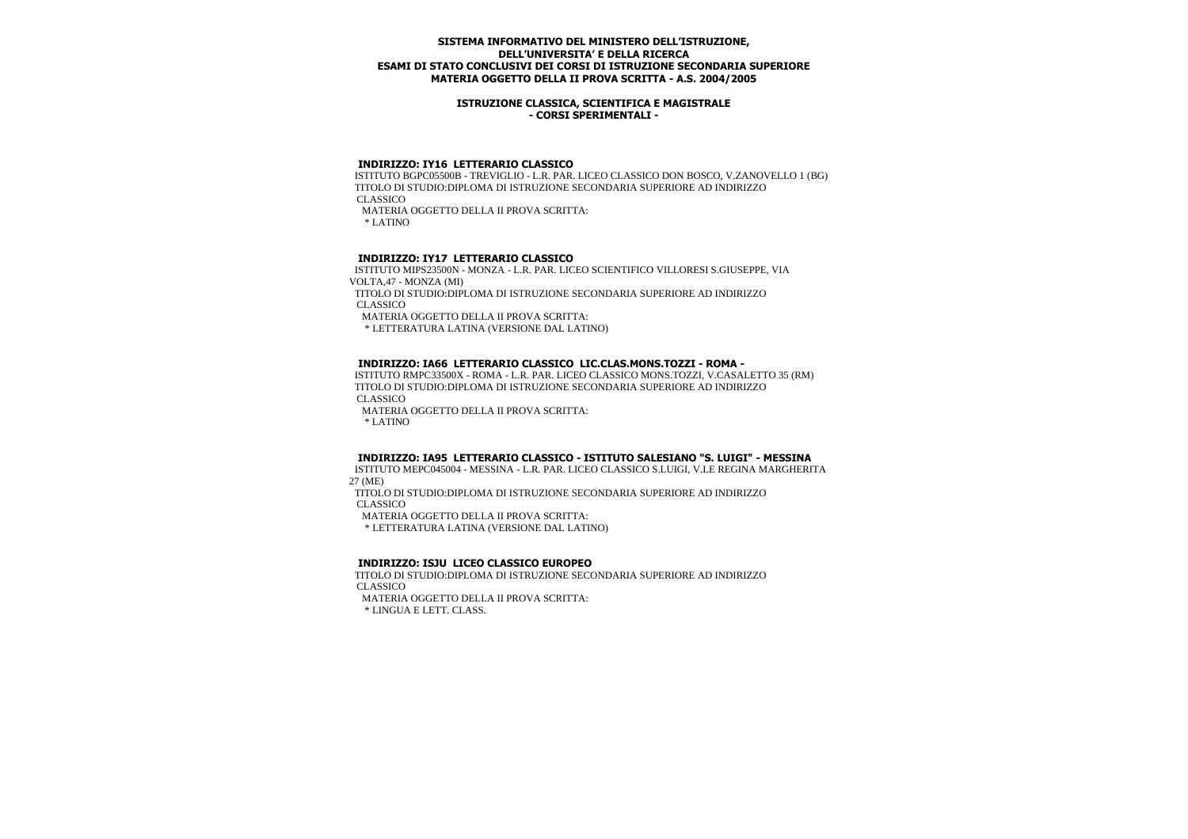### **ISTRUZIONE CLASSICA, SCIENTIFICA E MAGISTRALE - CORSI SPERIMENTALI -**

#### **INDIRIZZO: IY16 LETTERARIO CLASSICO**

 ISTITUTO BGPC05500B - TREVIGLIO - L.R. PAR. LICEO CLASSICO DON BOSCO, V.ZANOVELLO 1 (BG) TITOLO DI STUDIO:DIPLOMA DI ISTRUZIONE SECONDARIA SUPERIORE AD INDIRIZZO CLASSICO MATERIA OGGETTO DELLA II PROVA SCRITTA: \* LATINO

# **INDIRIZZO: IY17 LETTERARIO CLASSICO**

 ISTITUTO MIPS23500N - MONZA - L.R. PAR. LICEO SCIENTIFICO VILLORESI S.GIUSEPPE, VIA VOLTA,47 - MONZA (MI)

 TITOLO DI STUDIO:DIPLOMA DI ISTRUZIONE SECONDARIA SUPERIORE AD INDIRIZZO CLASSICO

MATERIA OGGETTO DELLA II PROVA SCRITTA:

\* LETTERATURA LATINA (VERSIONE DAL LATINO)

## **INDIRIZZO: IA66 LETTERARIO CLASSICO LIC.CLAS.MONS.TOZZI - ROMA -**

 ISTITUTO RMPC33500X - ROMA - L.R. PAR. LICEO CLASSICO MONS.TOZZI, V.CASALETTO 35 (RM) TITOLO DI STUDIO:DIPLOMA DI ISTRUZIONE SECONDARIA SUPERIORE AD INDIRIZZO CLASSICO

MATERIA OGGETTO DELLA II PROVA SCRITTA:

\* LATINO

# **INDIRIZZO: IA95 LETTERARIO CLASSICO - ISTITUTO SALESIANO "S. LUIGI" - MESSINA**

 ISTITUTO MEPC045004 - MESSINA - L.R. PAR. LICEO CLASSICO S.LUIGI, V.LE REGINA MARGHERITA 27 (ME)

 TITOLO DI STUDIO:DIPLOMA DI ISTRUZIONE SECONDARIA SUPERIORE AD INDIRIZZO CLASSICO

MATERIA OGGETTO DELLA II PROVA SCRITTA:

\* LETTERATURA LATINA (VERSIONE DAL LATINO)

#### **INDIRIZZO: ISJU LICEO CLASSICO EUROPEO**

 TITOLO DI STUDIO:DIPLOMA DI ISTRUZIONE SECONDARIA SUPERIORE AD INDIRIZZO CLASSICO MATERIA OGGETTO DELLA II PROVA SCRITTA:

\* LINGUA E LETT. CLASS.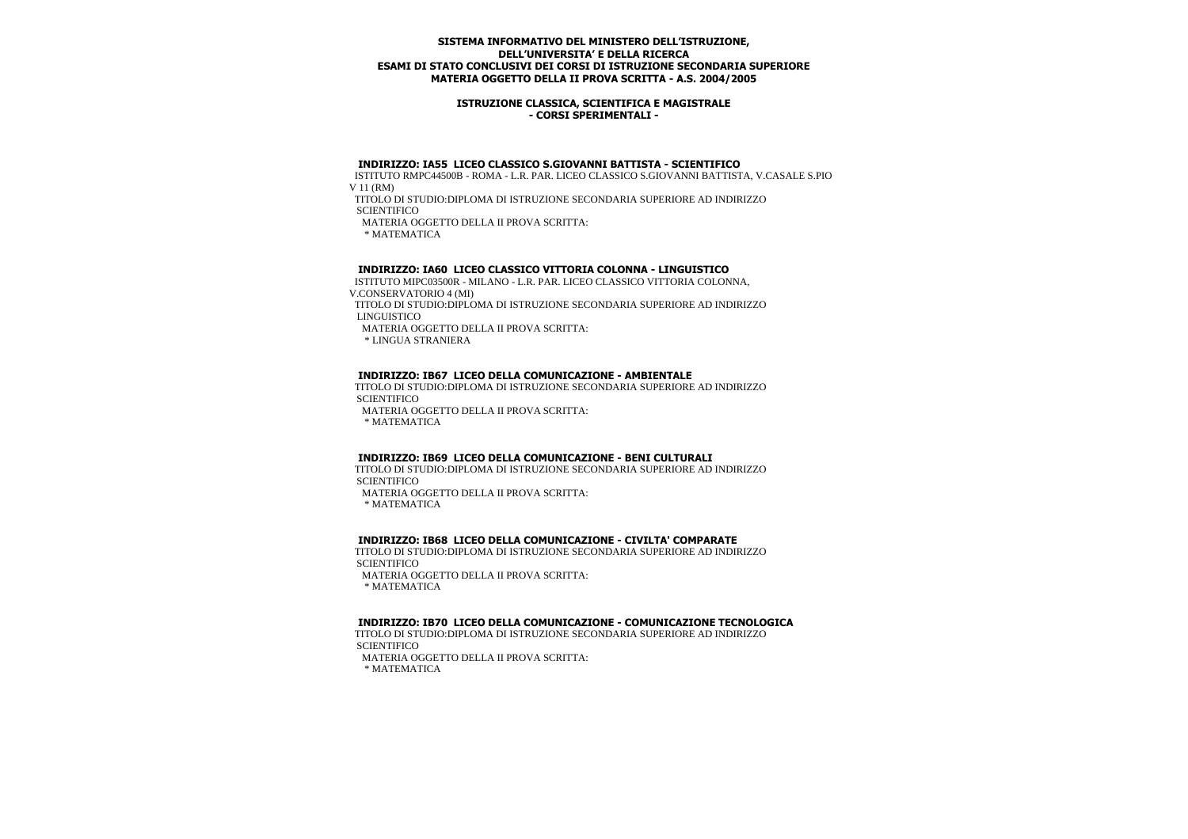### **ISTRUZIONE CLASSICA, SCIENTIFICA E MAGISTRALE - CORSI SPERIMENTALI -**

#### **INDIRIZZO: IA55 LICEO CLASSICO S.GIOVANNI BATTISTA - SCIENTIFICO**

 ISTITUTO RMPC44500B - ROMA - L.R. PAR. LICEO CLASSICO S.GIOVANNI BATTISTA, V.CASALE S.PIO V 11 (RM)

TITOLO DI STUDIO:DIPLOMA DI ISTRUZIONE SECONDARIA SUPERIORE AD INDIRIZZO

**SCIENTIFICO** 

MATERIA OGGETTO DELLA II PROVA SCRITTA:

\* MATEMATICA

## **INDIRIZZO: IA60 LICEO CLASSICO VITTORIA COLONNA - LINGUISTICO**

 ISTITUTO MIPC03500R - MILANO - L.R. PAR. LICEO CLASSICO VITTORIA COLONNA, V.CONSERVATORIO 4 (MI)

 TITOLO DI STUDIO:DIPLOMA DI ISTRUZIONE SECONDARIA SUPERIORE AD INDIRIZZO LINGUISTICO

MATERIA OGGETTO DELLA II PROVA SCRITTA:

\* LINGUA STRANIERA

#### **INDIRIZZO: IB67 LICEO DELLA COMUNICAZIONE - AMBIENTALE**

 TITOLO DI STUDIO:DIPLOMA DI ISTRUZIONE SECONDARIA SUPERIORE AD INDIRIZZO **SCIENTIFICO** 

MATERIA OGGETTO DELLA II PROVA SCRITTA:

\* MATEMATICA

#### **INDIRIZZO: IB69 LICEO DELLA COMUNICAZIONE - BENI CULTURALI**

 TITOLO DI STUDIO:DIPLOMA DI ISTRUZIONE SECONDARIA SUPERIORE AD INDIRIZZO **SCIENTIFICO** 

MATERIA OGGETTO DELLA II PROVA SCRITTA:

\* MATEMATICA

#### **INDIRIZZO: IB68 LICEO DELLA COMUNICAZIONE - CIVILTA' COMPARATE**

 TITOLO DI STUDIO:DIPLOMA DI ISTRUZIONE SECONDARIA SUPERIORE AD INDIRIZZO **SCIENTIFICO** MATERIA OGGETTO DELLA II PROVA SCRITTA:

\* MATEMATICA

## **INDIRIZZO: IB70 LICEO DELLA COMUNICAZIONE - COMUNICAZIONE TECNOLOGICA**

 TITOLO DI STUDIO:DIPLOMA DI ISTRUZIONE SECONDARIA SUPERIORE AD INDIRIZZO **SCIENTIFICO** 

MATERIA OGGETTO DELLA II PROVA SCRITTA:

\* MATEMATICA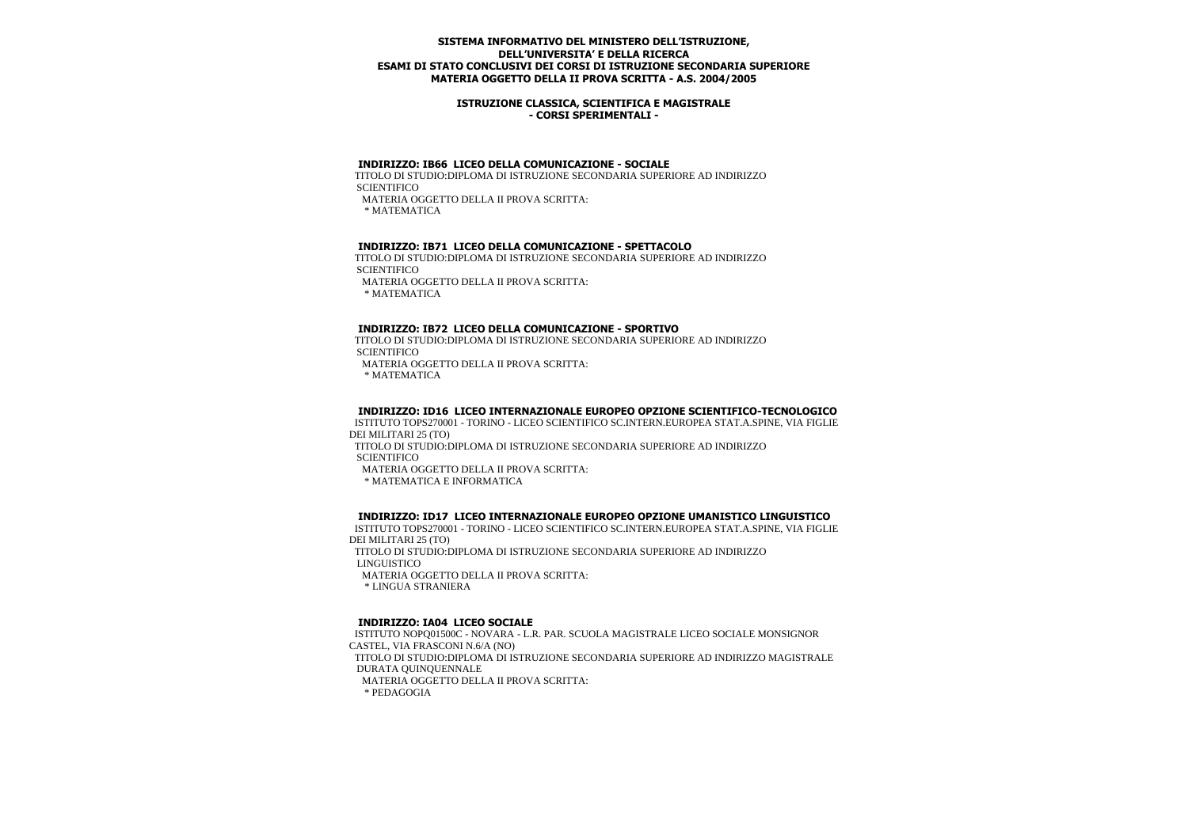#### **ISTRUZIONE CLASSICA, SCIENTIFICA E MAGISTRALE - CORSI SPERIMENTALI -**

#### **INDIRIZZO: IB66 LICEO DELLA COMUNICAZIONE - SOCIALE**

 TITOLO DI STUDIO:DIPLOMA DI ISTRUZIONE SECONDARIA SUPERIORE AD INDIRIZZO **SCIENTIFICO** MATERIA OGGETTO DELLA II PROVA SCRITTA:

\* MATEMATICA

### **INDIRIZZO: IB71 LICEO DELLA COMUNICAZIONE - SPETTACOLO**

 TITOLO DI STUDIO:DIPLOMA DI ISTRUZIONE SECONDARIA SUPERIORE AD INDIRIZZO **SCIENTIFICO**  MATERIA OGGETTO DELLA II PROVA SCRITTA: \* MATEMATICA

#### **INDIRIZZO: IB72 LICEO DELLA COMUNICAZIONE - SPORTIVO**

 TITOLO DI STUDIO:DIPLOMA DI ISTRUZIONE SECONDARIA SUPERIORE AD INDIRIZZO **SCIENTIFICO** 

MATERIA OGGETTO DELLA II PROVA SCRITTA:

\* MATEMATICA

#### **INDIRIZZO: ID16 LICEO INTERNAZIONALE EUROPEO OPZIONE SCIENTIFICO-TECNOLOGICO**

 ISTITUTO TOPS270001 - TORINO - LICEO SCIENTIFICO SC.INTERN.EUROPEA STAT.A.SPINE, VIA FIGLIE DEI MILITARI 25 (TO)

 TITOLO DI STUDIO:DIPLOMA DI ISTRUZIONE SECONDARIA SUPERIORE AD INDIRIZZO **SCIENTIFICO** 

MATERIA OGGETTO DELLA II PROVA SCRITTA:

\* MATEMATICA E INFORMATICA

#### **INDIRIZZO: ID17 LICEO INTERNAZIONALE EUROPEO OPZIONE UMANISTICO LINGUISTICO**

 ISTITUTO TOPS270001 - TORINO - LICEO SCIENTIFICO SC.INTERN.EUROPEA STAT.A.SPINE, VIA FIGLIE DEI MILITARI 25 (TO)

 TITOLO DI STUDIO:DIPLOMA DI ISTRUZIONE SECONDARIA SUPERIORE AD INDIRIZZO LINGUISTICO

MATERIA OGGETTO DELLA II PROVA SCRITTA:

\* LINGUA STRANIERA

#### **INDIRIZZO: IA04 LICEO SOCIALE**

 ISTITUTO NOPQ01500C - NOVARA - L.R. PAR. SCUOLA MAGISTRALE LICEO SOCIALE MONSIGNOR CASTEL, VIA FRASCONI N.6/A (NO) TITOLO DI STUDIO:DIPLOMA DI ISTRUZIONE SECONDARIA SUPERIORE AD INDIRIZZO MAGISTRALE DURATA QUINQUENNALE MATERIA OGGETTO DELLA II PROVA SCRITTA: \* PEDAGOGIA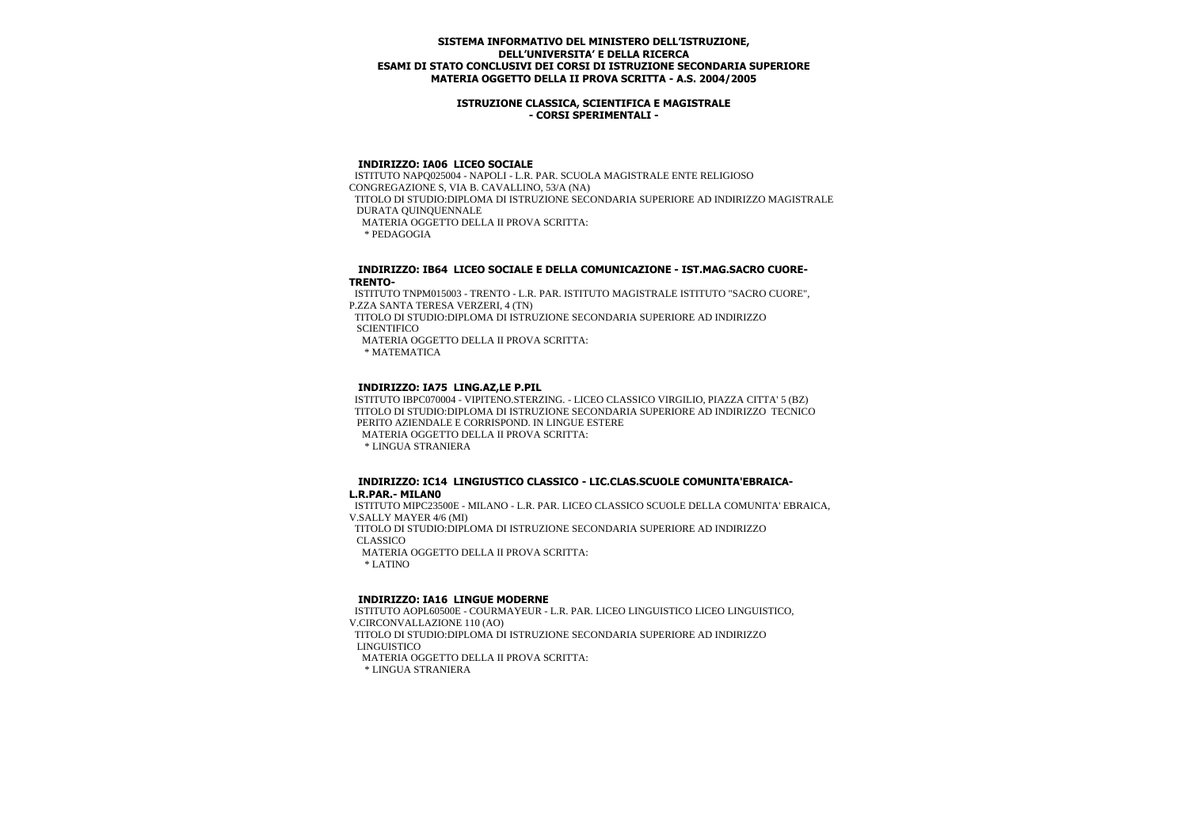### **ISTRUZIONE CLASSICA, SCIENTIFICA E MAGISTRALE - CORSI SPERIMENTALI -**

## **INDIRIZZO: IA06 LICEO SOCIALE**

 ISTITUTO NAPQ025004 - NAPOLI - L.R. PAR. SCUOLA MAGISTRALE ENTE RELIGIOSO CONGREGAZIONE S, VIA B. CAVALLINO, 53/A (NA) TITOLO DI STUDIO:DIPLOMA DI ISTRUZIONE SECONDARIA SUPERIORE AD INDIRIZZO MAGISTRALE DURATA QUINQUENNALE MATERIA OGGETTO DELLA II PROVA SCRITTA: \* PEDAGOGIA

#### **INDIRIZZO: IB64 LICEO SOCIALE E DELLA COMUNICAZIONE - IST.MAG.SACRO CUORE-TRENTO-**

 ISTITUTO TNPM015003 - TRENTO - L.R. PAR. ISTITUTO MAGISTRALE ISTITUTO "SACRO CUORE", P.ZZA SANTA TERESA VERZERI, 4 (TN)

 TITOLO DI STUDIO:DIPLOMA DI ISTRUZIONE SECONDARIA SUPERIORE AD INDIRIZZO **SCIENTIFICO** 

MATERIA OGGETTO DELLA II PROVA SCRITTA:

\* MATEMATICA

#### **INDIRIZZO: IA75 LING.AZ,LE P.PIL**

 ISTITUTO IBPC070004 - VIPITENO.STERZING. - LICEO CLASSICO VIRGILIO, PIAZZA CITTA' 5 (BZ) TITOLO DI STUDIO:DIPLOMA DI ISTRUZIONE SECONDARIA SUPERIORE AD INDIRIZZO TECNICO PERITO AZIENDALE E CORRISPOND. IN LINGUE ESTERE MATERIA OGGETTO DELLA II PROVA SCRITTA:

\* LINGUA STRANIERA

#### **INDIRIZZO: IC14 LINGIUSTICO CLASSICO - LIC.CLAS.SCUOLE COMUNITA'EBRAICA-L.R.PAR.- MILAN0**

 ISTITUTO MIPC23500E - MILANO - L.R. PAR. LICEO CLASSICO SCUOLE DELLA COMUNITA' EBRAICA, V.SALLY MAYER 4/6 (MI)

 TITOLO DI STUDIO:DIPLOMA DI ISTRUZIONE SECONDARIA SUPERIORE AD INDIRIZZO CLASSICO

MATERIA OGGETTO DELLA II PROVA SCRITTA:

\* LATINO

#### **INDIRIZZO: IA16 LINGUE MODERNE**

 ISTITUTO AOPL60500E - COURMAYEUR - L.R. PAR. LICEO LINGUISTICO LICEO LINGUISTICO, V.CIRCONVALLAZIONE 110 (AO) TITOLO DI STUDIO:DIPLOMA DI ISTRUZIONE SECONDARIA SUPERIORE AD INDIRIZZO LINGUISTICO MATERIA OGGETTO DELLA II PROVA SCRITTA: \* LINGUA STRANIERA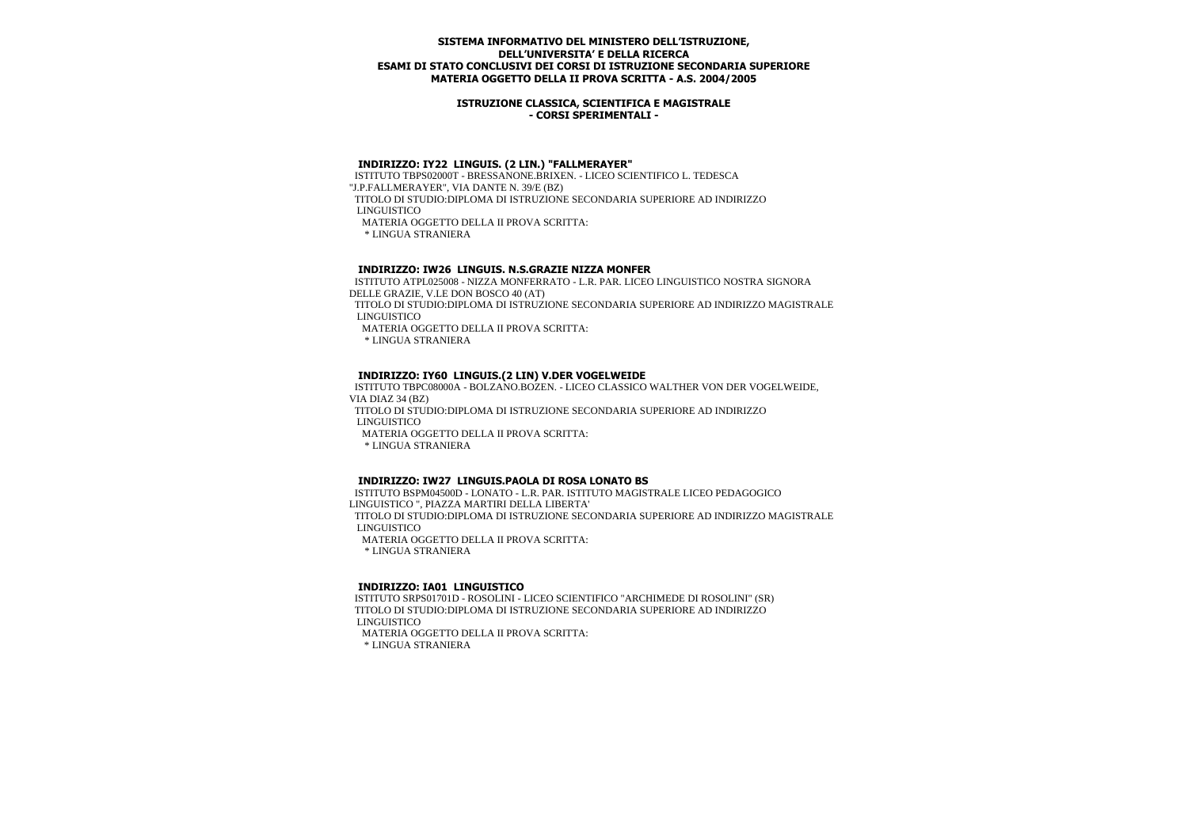### **ISTRUZIONE CLASSICA, SCIENTIFICA E MAGISTRALE - CORSI SPERIMENTALI -**

# **INDIRIZZO: IY22 LINGUIS. (2 LIN.) "FALLMERAYER"**

 ISTITUTO TBPS02000T - BRESSANONE.BRIXEN. - LICEO SCIENTIFICO L. TEDESCA "J.P.FALLMERAYER", VIA DANTE N. 39/E (BZ) TITOLO DI STUDIO:DIPLOMA DI ISTRUZIONE SECONDARIA SUPERIORE AD INDIRIZZO LINGUISTICO MATERIA OGGETTO DELLA II PROVA SCRITTA:

\* LINGUA STRANIERA

## **INDIRIZZO: IW26 LINGUIS. N.S.GRAZIE NIZZA MONFER**

 ISTITUTO ATPL025008 - NIZZA MONFERRATO - L.R. PAR. LICEO LINGUISTICO NOSTRA SIGNORA DELLE GRAZIE, V.LE DON BOSCO 40 (AT)

 TITOLO DI STUDIO:DIPLOMA DI ISTRUZIONE SECONDARIA SUPERIORE AD INDIRIZZO MAGISTRALE LINGUISTICO

MATERIA OGGETTO DELLA II PROVA SCRITTA:

\* LINGUA STRANIERA

#### **INDIRIZZO: IY60 LINGUIS.(2 LIN) V.DER VOGELWEIDE**

 ISTITUTO TBPC08000A - BOLZANO.BOZEN. - LICEO CLASSICO WALTHER VON DER VOGELWEIDE, VIA DIAZ 34 (BZ)

 TITOLO DI STUDIO:DIPLOMA DI ISTRUZIONE SECONDARIA SUPERIORE AD INDIRIZZO LINGUISTICO

MATERIA OGGETTO DELLA II PROVA SCRITTA:

\* LINGUA STRANIERA

#### **INDIRIZZO: IW27 LINGUIS.PAOLA DI ROSA LONATO BS**

 ISTITUTO BSPM04500D - LONATO - L.R. PAR. ISTITUTO MAGISTRALE LICEO PEDAGOGICO LINGUISTICO ", PIAZZA MARTIRI DELLA LIBERTA' TITOLO DI STUDIO:DIPLOMA DI ISTRUZIONE SECONDARIA SUPERIORE AD INDIRIZZO MAGISTRALE LINGUISTICO MATERIA OGGETTO DELLA II PROVA SCRITTA: \* LINGUA STRANIERA

#### **INDIRIZZO: IA01 LINGUISTICO**

 ISTITUTO SRPS01701D - ROSOLINI - LICEO SCIENTIFICO "ARCHIMEDE DI ROSOLINI" (SR) TITOLO DI STUDIO:DIPLOMA DI ISTRUZIONE SECONDARIA SUPERIORE AD INDIRIZZO LINGUISTICO MATERIA OGGETTO DELLA II PROVA SCRITTA: \* LINGUA STRANIERA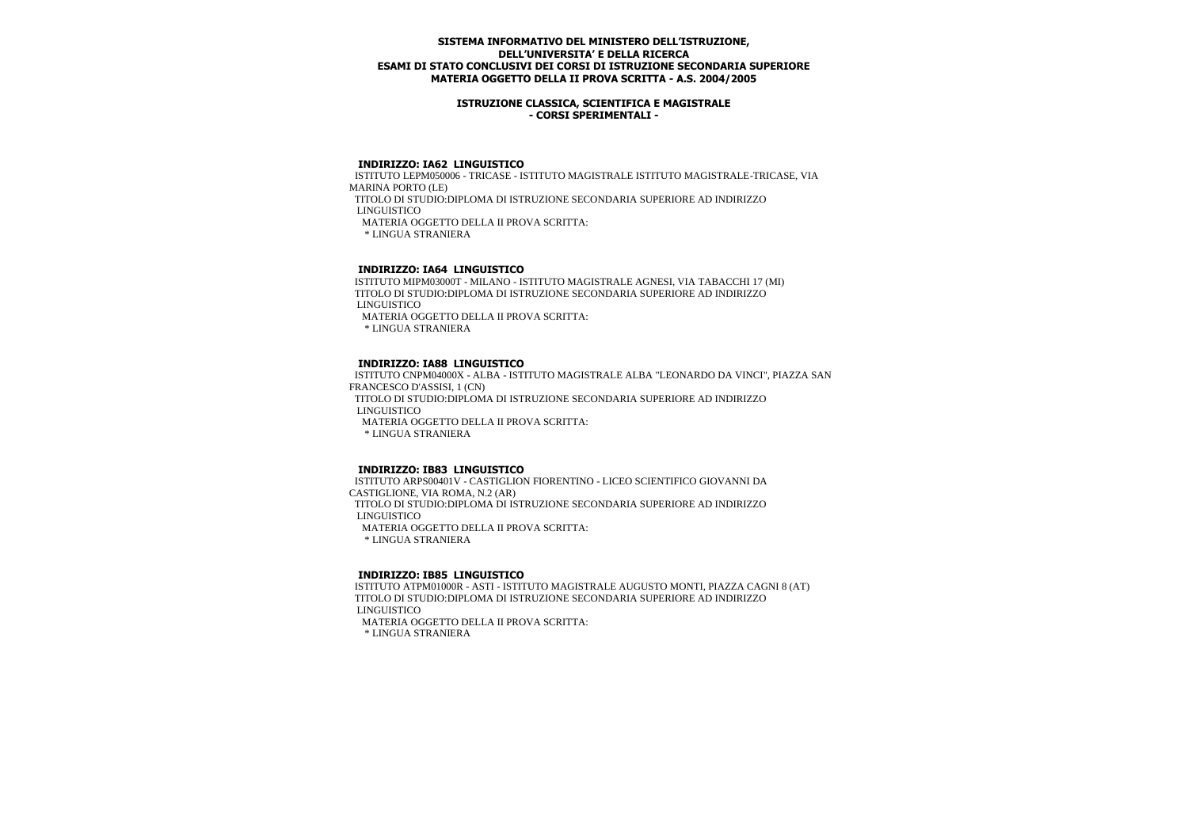### **ISTRUZIONE CLASSICA, SCIENTIFICA E MAGISTRALE - CORSI SPERIMENTALI -**

#### **INDIRIZZO: IA62 LINGUISTICO**

 ISTITUTO LEPM050006 - TRICASE - ISTITUTO MAGISTRALE ISTITUTO MAGISTRALE-TRICASE, VIA MARINA PORTO (LE)

 TITOLO DI STUDIO:DIPLOMA DI ISTRUZIONE SECONDARIA SUPERIORE AD INDIRIZZO LINGUISTICO

MATERIA OGGETTO DELLA II PROVA SCRITTA:

\* LINGUA STRANIERA

## **INDIRIZZO: IA64 LINGUISTICO**

 ISTITUTO MIPM03000T - MILANO - ISTITUTO MAGISTRALE AGNESI, VIA TABACCHI 17 (MI) TITOLO DI STUDIO:DIPLOMA DI ISTRUZIONE SECONDARIA SUPERIORE AD INDIRIZZO LINGUISTICO MATERIA OGGETTO DELLA II PROVA SCRITTA: \* LINGUA STRANIERA

#### **INDIRIZZO: IA88 LINGUISTICO**

 ISTITUTO CNPM04000X - ALBA - ISTITUTO MAGISTRALE ALBA "LEONARDO DA VINCI", PIAZZA SAN FRANCESCO D'ASSISI, 1 (CN) TITOLO DI STUDIO:DIPLOMA DI ISTRUZIONE SECONDARIA SUPERIORE AD INDIRIZZO LINGUISTICO MATERIA OGGETTO DELLA II PROVA SCRITTA: \* LINGUA STRANIERA

#### **INDIRIZZO: IB83 LINGUISTICO**

 ISTITUTO ARPS00401V - CASTIGLION FIORENTINO - LICEO SCIENTIFICO GIOVANNI DA CASTIGLIONE, VIA ROMA, N.2 (AR) TITOLO DI STUDIO:DIPLOMA DI ISTRUZIONE SECONDARIA SUPERIORE AD INDIRIZZO LINGUISTICO MATERIA OGGETTO DELLA II PROVA SCRITTA: \* LINGUA STRANIERA

## **INDIRIZZO: IB85 LINGUISTICO**

 ISTITUTO ATPM01000R - ASTI - ISTITUTO MAGISTRALE AUGUSTO MONTI, PIAZZA CAGNI 8 (AT) TITOLO DI STUDIO:DIPLOMA DI ISTRUZIONE SECONDARIA SUPERIORE AD INDIRIZZO LINGUISTICO

MATERIA OGGETTO DELLA II PROVA SCRITTA: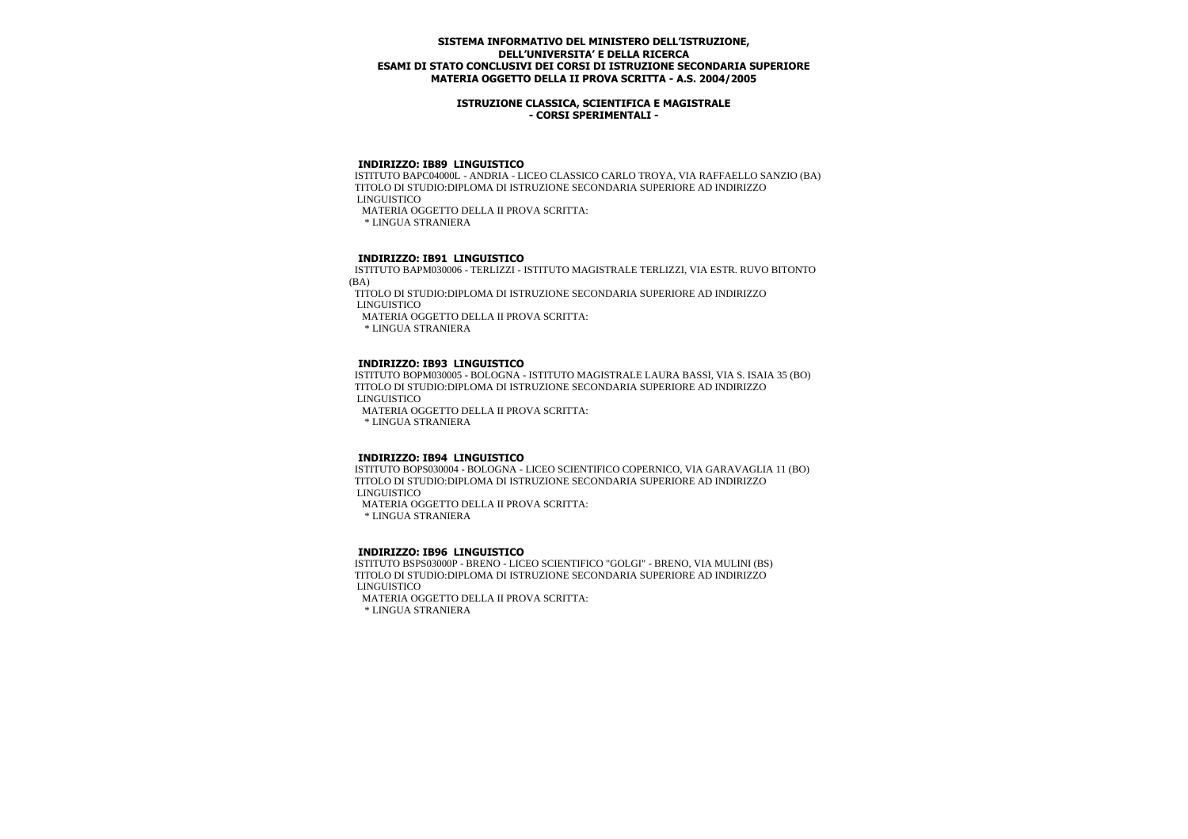### **ISTRUZIONE CLASSICA, SCIENTIFICA E MAGISTRALE - CORSI SPERIMENTALI -**

#### **INDIRIZZO: IB89 LINGUISTICO**

 ISTITUTO BAPC04000L - ANDRIA - LICEO CLASSICO CARLO TROYA, VIA RAFFAELLO SANZIO (BA) TITOLO DI STUDIO:DIPLOMA DI ISTRUZIONE SECONDARIA SUPERIORE AD INDIRIZZO LINGUISTICO

MATERIA OGGETTO DELLA II PROVA SCRITTA:

\* LINGUA STRANIERA

## **INDIRIZZO: IB91 LINGUISTICO**

 ISTITUTO BAPM030006 - TERLIZZI - ISTITUTO MAGISTRALE TERLIZZI, VIA ESTR. RUVO BITONTO (BA)

 TITOLO DI STUDIO:DIPLOMA DI ISTRUZIONE SECONDARIA SUPERIORE AD INDIRIZZO LINGUISTICO

MATERIA OGGETTO DELLA II PROVA SCRITTA:

\* LINGUA STRANIERA

#### **INDIRIZZO: IB93 LINGUISTICO**

 ISTITUTO BOPM030005 - BOLOGNA - ISTITUTO MAGISTRALE LAURA BASSI, VIA S. ISAIA 35 (BO) TITOLO DI STUDIO:DIPLOMA DI ISTRUZIONE SECONDARIA SUPERIORE AD INDIRIZZO LINGUISTICO

MATERIA OGGETTO DELLA II PROVA SCRITTA:

\* LINGUA STRANIERA

### **INDIRIZZO: IB94 LINGUISTICO**

 ISTITUTO BOPS030004 - BOLOGNA - LICEO SCIENTIFICO COPERNICO, VIA GARAVAGLIA 11 (BO) TITOLO DI STUDIO:DIPLOMA DI ISTRUZIONE SECONDARIA SUPERIORE AD INDIRIZZO LINGUISTICO

MATERIA OGGETTO DELLA II PROVA SCRITTA:

\* LINGUA STRANIERA

#### **INDIRIZZO: IB96 LINGUISTICO**

 ISTITUTO BSPS03000P - BRENO - LICEO SCIENTIFICO "GOLGI" - BRENO, VIA MULINI (BS) TITOLO DI STUDIO:DIPLOMA DI ISTRUZIONE SECONDARIA SUPERIORE AD INDIRIZZO LINGUISTICO MATERIA OGGETTO DELLA II PROVA SCRITTA: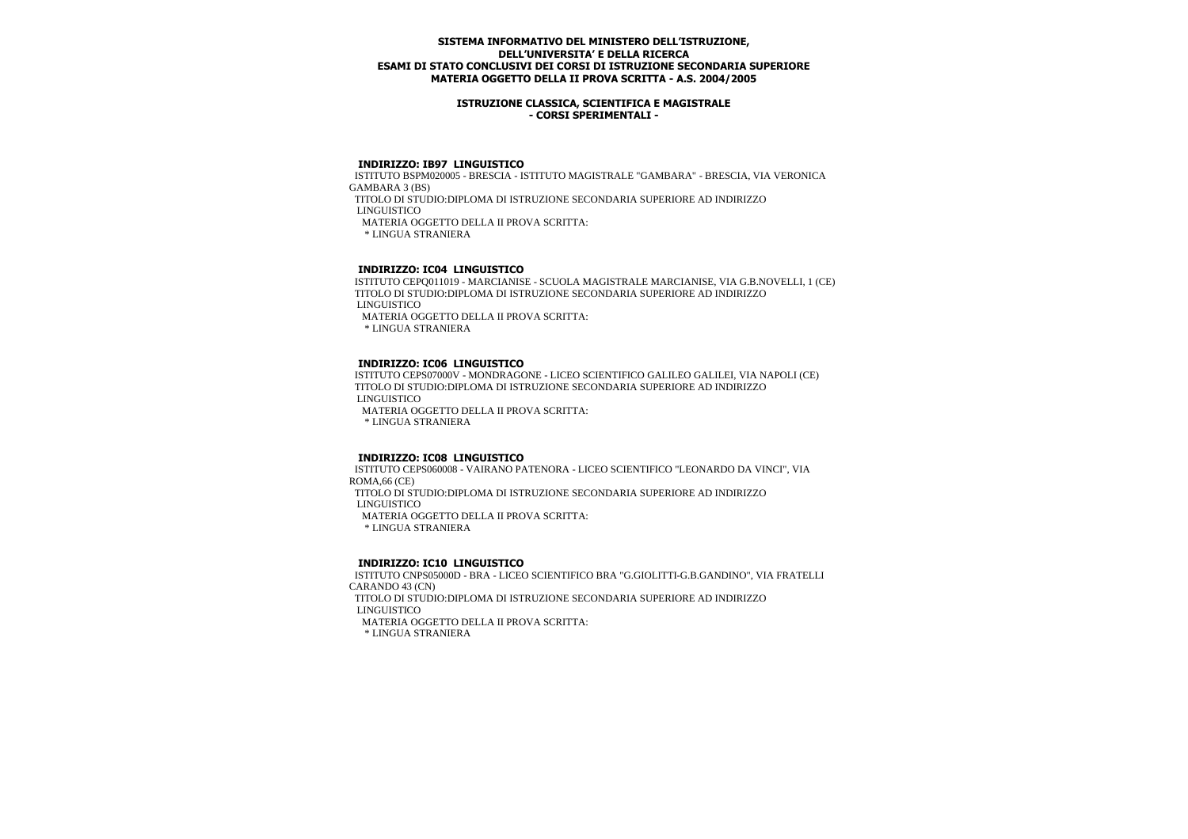### **ISTRUZIONE CLASSICA, SCIENTIFICA E MAGISTRALE - CORSI SPERIMENTALI -**

#### **INDIRIZZO: IB97 LINGUISTICO**

 ISTITUTO BSPM020005 - BRESCIA - ISTITUTO MAGISTRALE "GAMBARA" - BRESCIA, VIA VERONICA GAMBARA 3 (BS)

TITOLO DI STUDIO:DIPLOMA DI ISTRUZIONE SECONDARIA SUPERIORE AD INDIRIZZO

LINGUISTICO

MATERIA OGGETTO DELLA II PROVA SCRITTA:

\* LINGUA STRANIERA

# **INDIRIZZO: IC04 LINGUISTICO**

 ISTITUTO CEPQ011019 - MARCIANISE - SCUOLA MAGISTRALE MARCIANISE, VIA G.B.NOVELLI, 1 (CE) TITOLO DI STUDIO:DIPLOMA DI ISTRUZIONE SECONDARIA SUPERIORE AD INDIRIZZO LINGUISTICO

MATERIA OGGETTO DELLA II PROVA SCRITTA:

\* LINGUA STRANIERA

#### **INDIRIZZO: IC06 LINGUISTICO**

 ISTITUTO CEPS07000V - MONDRAGONE - LICEO SCIENTIFICO GALILEO GALILEI, VIA NAPOLI (CE) TITOLO DI STUDIO:DIPLOMA DI ISTRUZIONE SECONDARIA SUPERIORE AD INDIRIZZO LINGUISTICO

MATERIA OGGETTO DELLA II PROVA SCRITTA:

\* LINGUA STRANIERA

### **INDIRIZZO: IC08 LINGUISTICO**

 ISTITUTO CEPS060008 - VAIRANO PATENORA - LICEO SCIENTIFICO "LEONARDO DA VINCI", VIA ROMA,66 (CE) TITOLO DI STUDIO:DIPLOMA DI ISTRUZIONE SECONDARIA SUPERIORE AD INDIRIZZO LINGUISTICO MATERIA OGGETTO DELLA II PROVA SCRITTA: \* LINGUA STRANIERA

 **INDIRIZZO: IC10 LINGUISTICO**

 ISTITUTO CNPS05000D - BRA - LICEO SCIENTIFICO BRA "G.GIOLITTI-G.B.GANDINO", VIA FRATELLI CARANDO 43 (CN) TITOLO DI STUDIO:DIPLOMA DI ISTRUZIONE SECONDARIA SUPERIORE AD INDIRIZZO LINGUISTICO MATERIA OGGETTO DELLA II PROVA SCRITTA: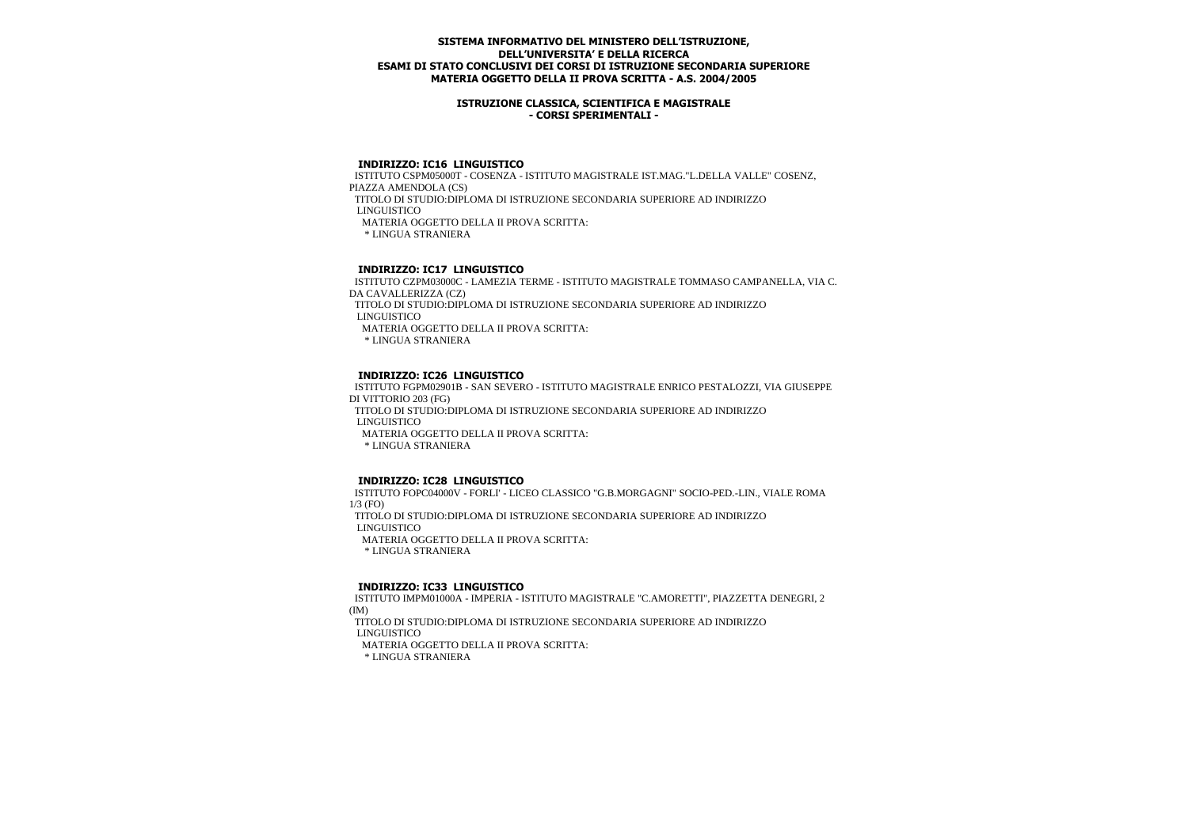### **ISTRUZIONE CLASSICA, SCIENTIFICA E MAGISTRALE - CORSI SPERIMENTALI -**

#### **INDIRIZZO: IC16 LINGUISTICO**

 ISTITUTO CSPM05000T - COSENZA - ISTITUTO MAGISTRALE IST.MAG."L.DELLA VALLE" COSENZ, PIAZZA AMENDOLA (CS) TITOLO DI STUDIO:DIPLOMA DI ISTRUZIONE SECONDARIA SUPERIORE AD INDIRIZZO LINGUISTICO MATERIA OGGETTO DELLA II PROVA SCRITTA: \* LINGUA STRANIERA

## **INDIRIZZO: IC17 LINGUISTICO**

 ISTITUTO CZPM03000C - LAMEZIA TERME - ISTITUTO MAGISTRALE TOMMASO CAMPANELLA, VIA C. DA CAVALLERIZZA (CZ) TITOLO DI STUDIO:DIPLOMA DI ISTRUZIONE SECONDARIA SUPERIORE AD INDIRIZZO LINGUISTICO MATERIA OGGETTO DELLA II PROVA SCRITTA: \* LINGUA STRANIERA

#### **INDIRIZZO: IC26 LINGUISTICO**

 ISTITUTO FGPM02901B - SAN SEVERO - ISTITUTO MAGISTRALE ENRICO PESTALOZZI, VIA GIUSEPPE DI VITTORIO 203 (FG) TITOLO DI STUDIO:DIPLOMA DI ISTRUZIONE SECONDARIA SUPERIORE AD INDIRIZZO LINGUISTICO MATERIA OGGETTO DELLA II PROVA SCRITTA: \* LINGUA STRANIERA

#### **INDIRIZZO: IC28 LINGUISTICO**

 ISTITUTO FOPC04000V - FORLI' - LICEO CLASSICO "G.B.MORGAGNI" SOCIO-PED.-LIN., VIALE ROMA 1/3 (FO)

TITOLO DI STUDIO:DIPLOMA DI ISTRUZIONE SECONDARIA SUPERIORE AD INDIRIZZO

LINGUISTICO

MATERIA OGGETTO DELLA II PROVA SCRITTA:

\* LINGUA STRANIERA

#### **INDIRIZZO: IC33 LINGUISTICO**

 ISTITUTO IMPM01000A - IMPERIA - ISTITUTO MAGISTRALE "C.AMORETTI", PIAZZETTA DENEGRI, 2 (IM)

 TITOLO DI STUDIO:DIPLOMA DI ISTRUZIONE SECONDARIA SUPERIORE AD INDIRIZZO LINGUISTICO

MATERIA OGGETTO DELLA II PROVA SCRITTA: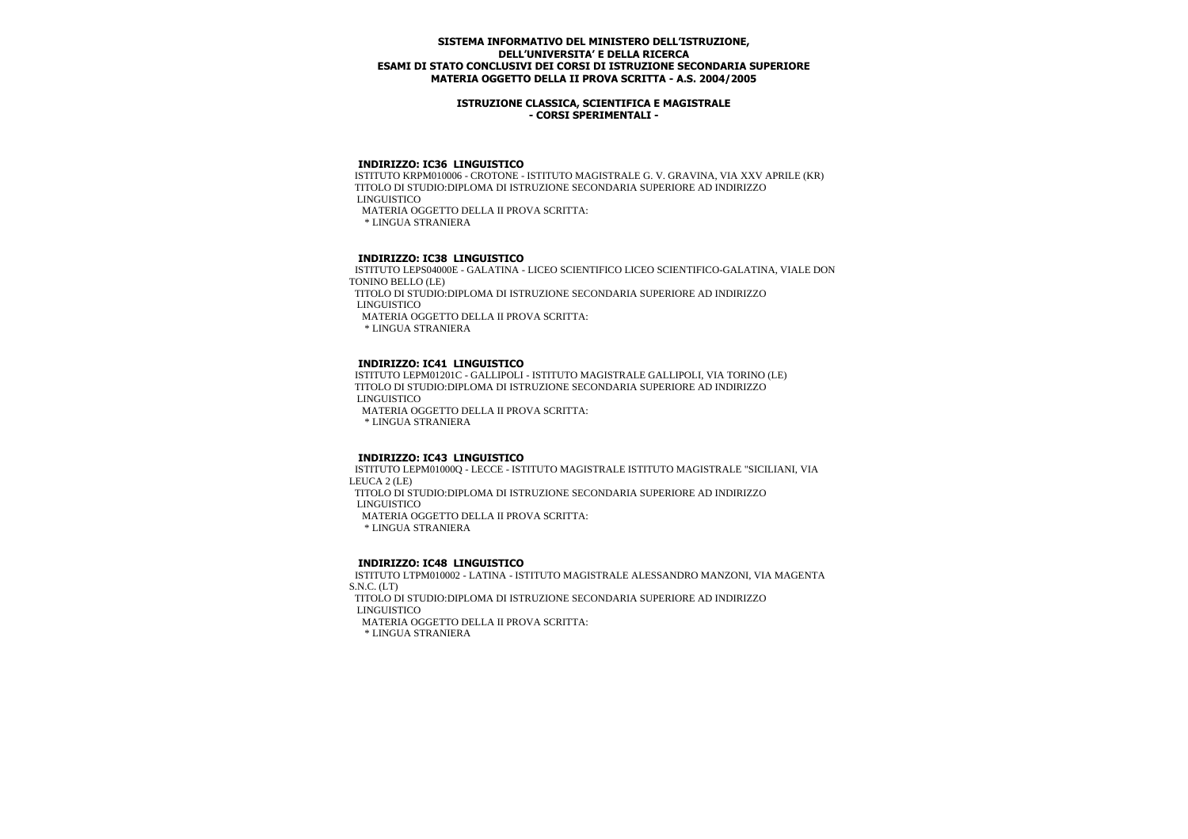### **ISTRUZIONE CLASSICA, SCIENTIFICA E MAGISTRALE - CORSI SPERIMENTALI -**

### **INDIRIZZO: IC36 LINGUISTICO**

 ISTITUTO KRPM010006 - CROTONE - ISTITUTO MAGISTRALE G. V. GRAVINA, VIA XXV APRILE (KR) TITOLO DI STUDIO:DIPLOMA DI ISTRUZIONE SECONDARIA SUPERIORE AD INDIRIZZO LINGUISTICO MATERIA OGGETTO DELLA II PROVA SCRITTA:

\* LINGUA STRANIERA

## **INDIRIZZO: IC38 LINGUISTICO**

 ISTITUTO LEPS04000E - GALATINA - LICEO SCIENTIFICO LICEO SCIENTIFICO-GALATINA, VIALE DON TONINO BELLO (LE) TITOLO DI STUDIO:DIPLOMA DI ISTRUZIONE SECONDARIA SUPERIORE AD INDIRIZZO LINGUISTICO

MATERIA OGGETTO DELLA II PROVA SCRITTA:

\* LINGUA STRANIERA

#### **INDIRIZZO: IC41 LINGUISTICO**

 ISTITUTO LEPM01201C - GALLIPOLI - ISTITUTO MAGISTRALE GALLIPOLI, VIA TORINO (LE) TITOLO DI STUDIO:DIPLOMA DI ISTRUZIONE SECONDARIA SUPERIORE AD INDIRIZZO LINGUISTICO

MATERIA OGGETTO DELLA II PROVA SCRITTA:

\* LINGUA STRANIERA

#### **INDIRIZZO: IC43 LINGUISTICO**

 ISTITUTO LEPM01000Q - LECCE - ISTITUTO MAGISTRALE ISTITUTO MAGISTRALE "SICILIANI, VIA LEUCA 2 (LE) TITOLO DI STUDIO:DIPLOMA DI ISTRUZIONE SECONDARIA SUPERIORE AD INDIRIZZO LINGUISTICO MATERIA OGGETTO DELLA II PROVA SCRITTA: \* LINGUA STRANIERA

#### **INDIRIZZO: IC48 LINGUISTICO**

 ISTITUTO LTPM010002 - LATINA - ISTITUTO MAGISTRALE ALESSANDRO MANZONI, VIA MAGENTA S.N.C. (LT) TITOLO DI STUDIO:DIPLOMA DI ISTRUZIONE SECONDARIA SUPERIORE AD INDIRIZZO LINGUISTICO MATERIA OGGETTO DELLA II PROVA SCRITTA: \* LINGUA STRANIERA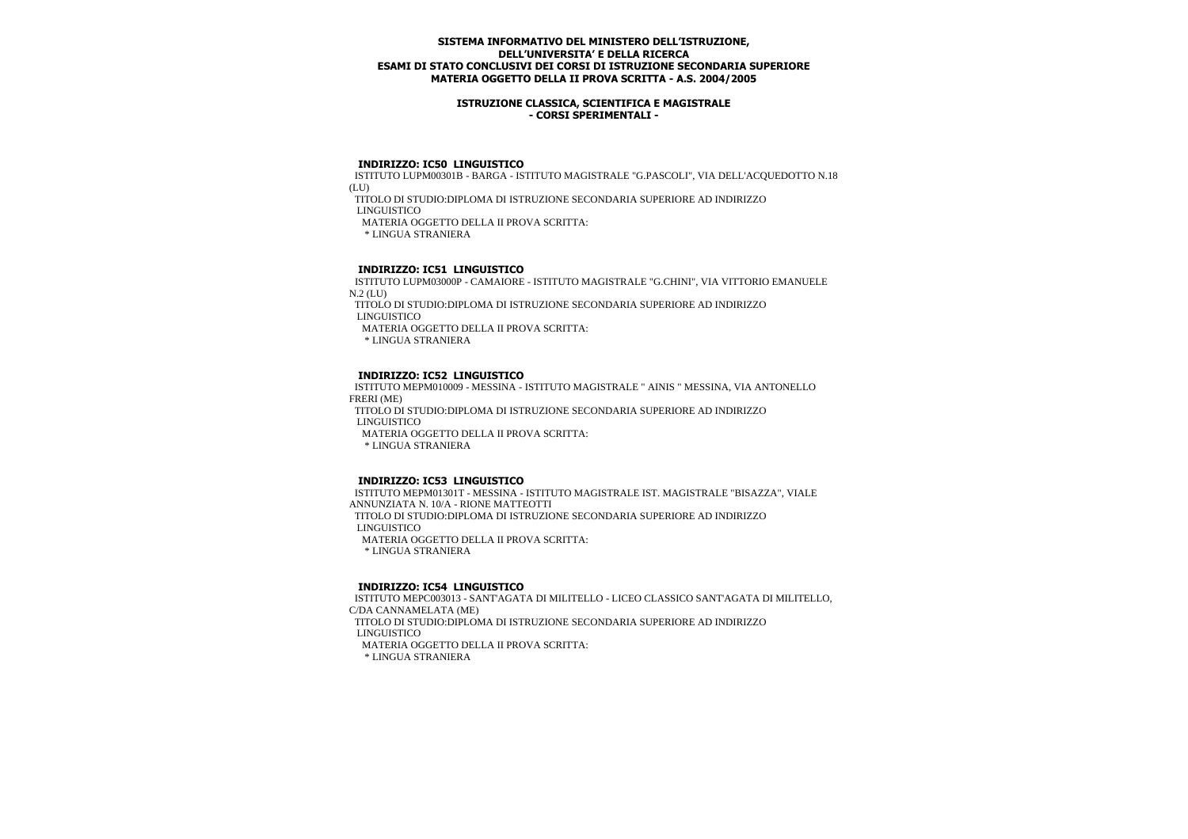### **ISTRUZIONE CLASSICA, SCIENTIFICA E MAGISTRALE - CORSI SPERIMENTALI -**

#### **INDIRIZZO: IC50 LINGUISTICO**

 ISTITUTO LUPM00301B - BARGA - ISTITUTO MAGISTRALE "G.PASCOLI", VIA DELL'ACQUEDOTTO N.18 (LU)

TITOLO DI STUDIO:DIPLOMA DI ISTRUZIONE SECONDARIA SUPERIORE AD INDIRIZZO

LINGUISTICO

MATERIA OGGETTO DELLA II PROVA SCRITTA:

\* LINGUA STRANIERA

# **INDIRIZZO: IC51 LINGUISTICO**

 ISTITUTO LUPM03000P - CAMAIORE - ISTITUTO MAGISTRALE "G.CHINI", VIA VITTORIO EMANUELE  $N.2$  (LID)

 TITOLO DI STUDIO:DIPLOMA DI ISTRUZIONE SECONDARIA SUPERIORE AD INDIRIZZO LINGUISTICO

MATERIA OGGETTO DELLA II PROVA SCRITTA:

\* LINGUA STRANIERA

## **INDIRIZZO: IC52 LINGUISTICO**

 ISTITUTO MEPM010009 - MESSINA - ISTITUTO MAGISTRALE " AINIS " MESSINA, VIA ANTONELLO FRERI (ME)

 TITOLO DI STUDIO:DIPLOMA DI ISTRUZIONE SECONDARIA SUPERIORE AD INDIRIZZO LINGUISTICO

MATERIA OGGETTO DELLA II PROVA SCRITTA:

\* LINGUA STRANIERA

# **INDIRIZZO: IC53 LINGUISTICO**

 ISTITUTO MEPM01301T - MESSINA - ISTITUTO MAGISTRALE IST. MAGISTRALE "BISAZZA", VIALE ANNUNZIATA N. 10/A - RIONE MATTEOTTI TITOLO DI STUDIO:DIPLOMA DI ISTRUZIONE SECONDARIA SUPERIORE AD INDIRIZZO LINGUISTICO MATERIA OGGETTO DELLA II PROVA SCRITTA: \* LINGUA STRANIERA

# **INDIRIZZO: IC54 LINGUISTICO**

 ISTITUTO MEPC003013 - SANT'AGATA DI MILITELLO - LICEO CLASSICO SANT'AGATA DI MILITELLO, C/DA CANNAMELATA (ME) TITOLO DI STUDIO:DIPLOMA DI ISTRUZIONE SECONDARIA SUPERIORE AD INDIRIZZO LINGUISTICO MATERIA OGGETTO DELLA II PROVA SCRITTA: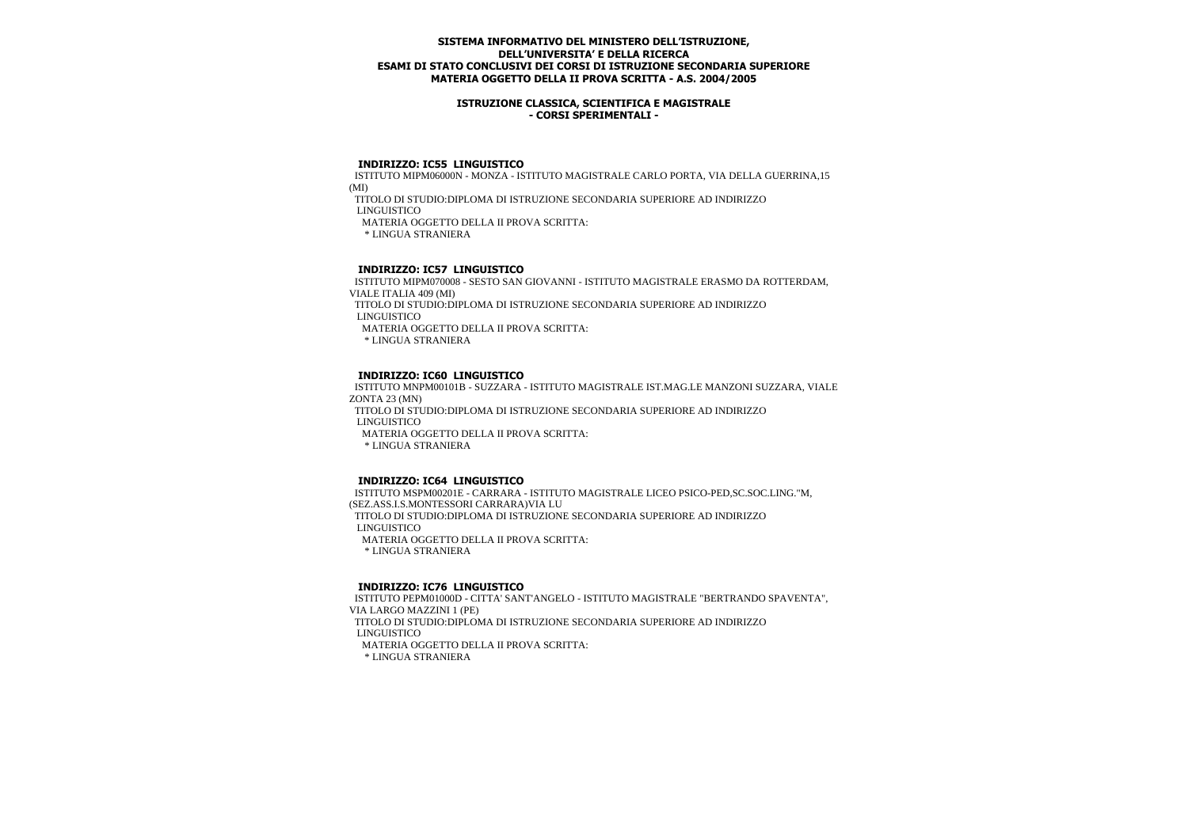### **ISTRUZIONE CLASSICA, SCIENTIFICA E MAGISTRALE - CORSI SPERIMENTALI -**

#### **INDIRIZZO: IC55 LINGUISTICO**

 ISTITUTO MIPM06000N - MONZA - ISTITUTO MAGISTRALE CARLO PORTA, VIA DELLA GUERRINA,15 (MI)

TITOLO DI STUDIO:DIPLOMA DI ISTRUZIONE SECONDARIA SUPERIORE AD INDIRIZZO

LINGUISTICO

MATERIA OGGETTO DELLA II PROVA SCRITTA:

\* LINGUA STRANIERA

## **INDIRIZZO: IC57 LINGUISTICO**

 ISTITUTO MIPM070008 - SESTO SAN GIOVANNI - ISTITUTO MAGISTRALE ERASMO DA ROTTERDAM, VIALE ITALIA 409 (MI)

 TITOLO DI STUDIO:DIPLOMA DI ISTRUZIONE SECONDARIA SUPERIORE AD INDIRIZZO LINGUISTICO

MATERIA OGGETTO DELLA II PROVA SCRITTA:

\* LINGUA STRANIERA

## **INDIRIZZO: IC60 LINGUISTICO**

 ISTITUTO MNPM00101B - SUZZARA - ISTITUTO MAGISTRALE IST.MAG.LE MANZONI SUZZARA, VIALE ZONTA 23 (MN)

 TITOLO DI STUDIO:DIPLOMA DI ISTRUZIONE SECONDARIA SUPERIORE AD INDIRIZZO LINGUISTICO

MATERIA OGGETTO DELLA II PROVA SCRITTA:

\* LINGUA STRANIERA

#### **INDIRIZZO: IC64 LINGUISTICO**

 ISTITUTO MSPM00201E - CARRARA - ISTITUTO MAGISTRALE LICEO PSICO-PED,SC.SOC.LING."M, (SEZ.ASS.I.S.MONTESSORI CARRARA)VIA LU TITOLO DI STUDIO:DIPLOMA DI ISTRUZIONE SECONDARIA SUPERIORE AD INDIRIZZO LINGUISTICO MATERIA OGGETTO DELLA II PROVA SCRITTA: \* LINGUA STRANIERA

#### **INDIRIZZO: IC76 LINGUISTICO**

 ISTITUTO PEPM01000D - CITTA' SANT'ANGELO - ISTITUTO MAGISTRALE "BERTRANDO SPAVENTA", VIA LARGO MAZZINI 1 (PE) TITOLO DI STUDIO:DIPLOMA DI ISTRUZIONE SECONDARIA SUPERIORE AD INDIRIZZO LINGUISTICO MATERIA OGGETTO DELLA II PROVA SCRITTA: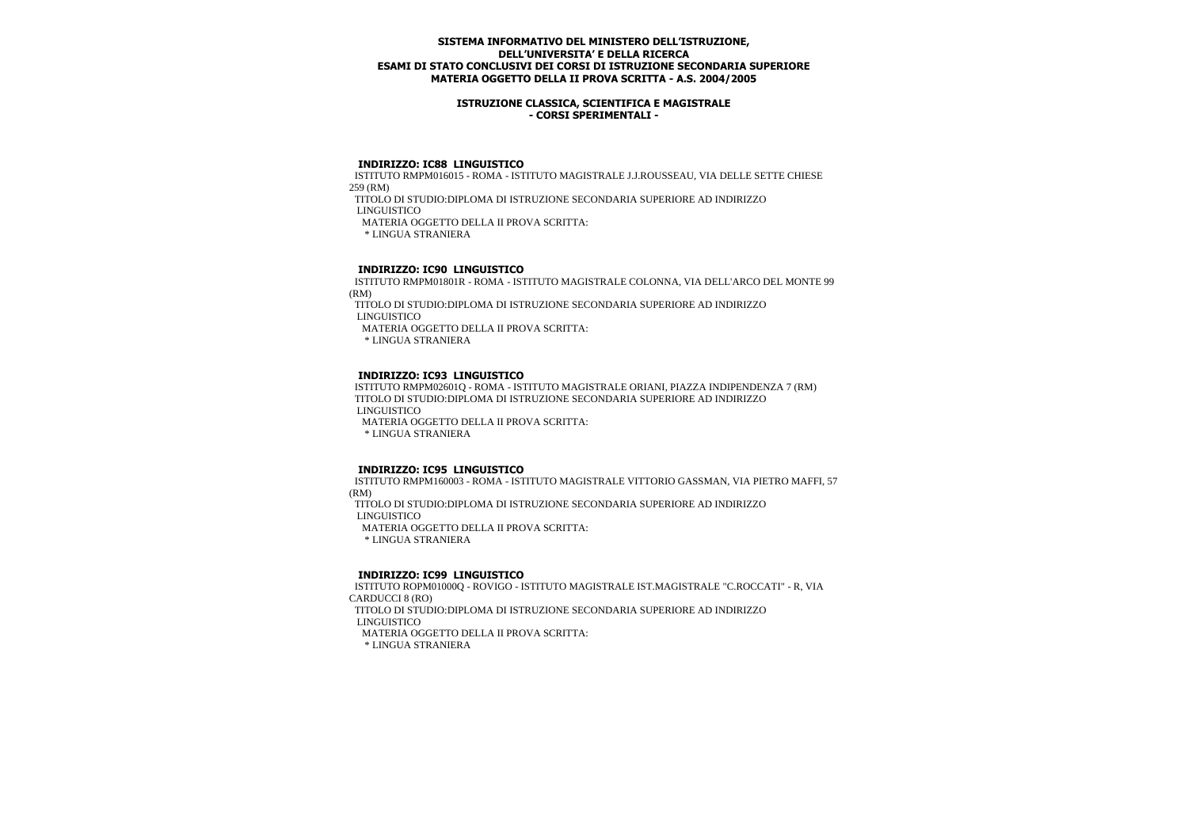### **ISTRUZIONE CLASSICA, SCIENTIFICA E MAGISTRALE - CORSI SPERIMENTALI -**

#### **INDIRIZZO: IC88 LINGUISTICO**

 ISTITUTO RMPM016015 - ROMA - ISTITUTO MAGISTRALE J.J.ROUSSEAU, VIA DELLE SETTE CHIESE 259 (RM)

TITOLO DI STUDIO:DIPLOMA DI ISTRUZIONE SECONDARIA SUPERIORE AD INDIRIZZO

LINGUISTICO

MATERIA OGGETTO DELLA II PROVA SCRITTA:

\* LINGUA STRANIERA

## **INDIRIZZO: IC90 LINGUISTICO**

 ISTITUTO RMPM01801R - ROMA - ISTITUTO MAGISTRALE COLONNA, VIA DELL'ARCO DEL MONTE 99 (RM)

 TITOLO DI STUDIO:DIPLOMA DI ISTRUZIONE SECONDARIA SUPERIORE AD INDIRIZZO LINGUISTICO

MATERIA OGGETTO DELLA II PROVA SCRITTA:

\* LINGUA STRANIERA

#### **INDIRIZZO: IC93 LINGUISTICO**

 ISTITUTO RMPM02601Q - ROMA - ISTITUTO MAGISTRALE ORIANI, PIAZZA INDIPENDENZA 7 (RM) TITOLO DI STUDIO:DIPLOMA DI ISTRUZIONE SECONDARIA SUPERIORE AD INDIRIZZO LINGUISTICO MATERIA OGGETTO DELLA II PROVA SCRITTA:

\* LINGUA STRANIERA

#### **INDIRIZZO: IC95 LINGUISTICO**

 ISTITUTO RMPM160003 - ROMA - ISTITUTO MAGISTRALE VITTORIO GASSMAN, VIA PIETRO MAFFI, 57 (RM) TITOLO DI STUDIO:DIPLOMA DI ISTRUZIONE SECONDARIA SUPERIORE AD INDIRIZZO LINGUISTICO MATERIA OGGETTO DELLA II PROVA SCRITTA:

\* LINGUA STRANIERA

## **INDIRIZZO: IC99 LINGUISTICO**

 ISTITUTO ROPM01000Q - ROVIGO - ISTITUTO MAGISTRALE IST.MAGISTRALE "C.ROCCATI" - R, VIA CARDUCCI 8 (RO) TITOLO DI STUDIO:DIPLOMA DI ISTRUZIONE SECONDARIA SUPERIORE AD INDIRIZZO LINGUISTICO MATERIA OGGETTO DELLA II PROVA SCRITTA: \* LINGUA STRANIERA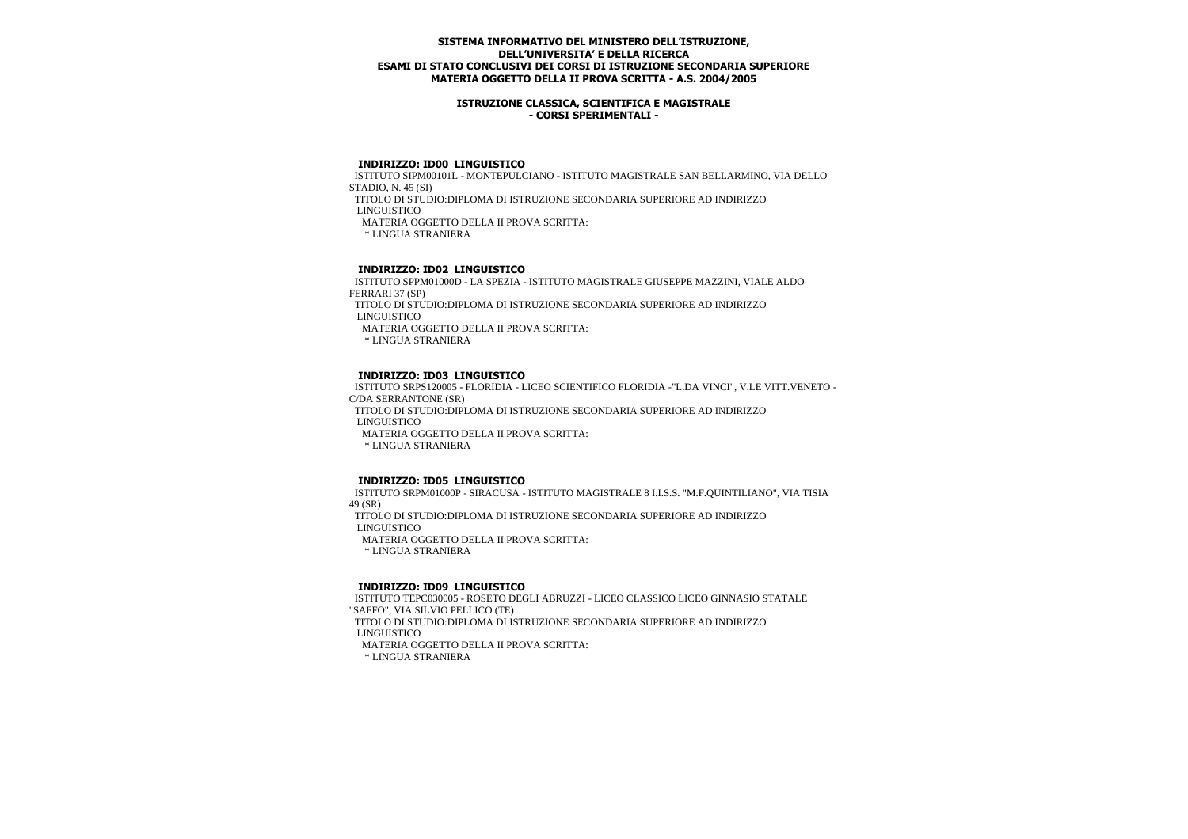### **ISTRUZIONE CLASSICA, SCIENTIFICA E MAGISTRALE - CORSI SPERIMENTALI -**

#### **INDIRIZZO: ID00 LINGUISTICO**

 ISTITUTO SIPM00101L - MONTEPULCIANO - ISTITUTO MAGISTRALE SAN BELLARMINO, VIA DELLO STADIO, N. 45 (SI)

TITOLO DI STUDIO:DIPLOMA DI ISTRUZIONE SECONDARIA SUPERIORE AD INDIRIZZO

LINGUISTICO

MATERIA OGGETTO DELLA II PROVA SCRITTA:

\* LINGUA STRANIERA

# **INDIRIZZO: ID02 LINGUISTICO**

 ISTITUTO SPPM01000D - LA SPEZIA - ISTITUTO MAGISTRALE GIUSEPPE MAZZINI, VIALE ALDO FERRARI 37 (SP)

 TITOLO DI STUDIO:DIPLOMA DI ISTRUZIONE SECONDARIA SUPERIORE AD INDIRIZZO LINGUISTICO

MATERIA OGGETTO DELLA II PROVA SCRITTA:

\* LINGUA STRANIERA

### **INDIRIZZO: ID03 LINGUISTICO**

 ISTITUTO SRPS120005 - FLORIDIA - LICEO SCIENTIFICO FLORIDIA -"L.DA VINCI", V.LE VITT.VENETO - C/DA SERRANTONE (SR) TITOLO DI STUDIO:DIPLOMA DI ISTRUZIONE SECONDARIA SUPERIORE AD INDIRIZZO LINGUISTICO MATERIA OGGETTO DELLA II PROVA SCRITTA:

\* LINGUA STRANIERA

#### **INDIRIZZO: ID05 LINGUISTICO**

 ISTITUTO SRPM01000P - SIRACUSA - ISTITUTO MAGISTRALE 8 I.I.S.S. "M.F.QUINTILIANO", VIA TISIA 49 (SR)

 TITOLO DI STUDIO:DIPLOMA DI ISTRUZIONE SECONDARIA SUPERIORE AD INDIRIZZO LINGUISTICO

MATERIA OGGETTO DELLA II PROVA SCRITTA:

\* LINGUA STRANIERA

#### **INDIRIZZO: ID09 LINGUISTICO**

 ISTITUTO TEPC030005 - ROSETO DEGLI ABRUZZI - LICEO CLASSICO LICEO GINNASIO STATALE "SAFFO", VIA SILVIO PELLICO (TE) TITOLO DI STUDIO:DIPLOMA DI ISTRUZIONE SECONDARIA SUPERIORE AD INDIRIZZO LINGUISTICO MATERIA OGGETTO DELLA II PROVA SCRITTA: \* LINGUA STRANIERA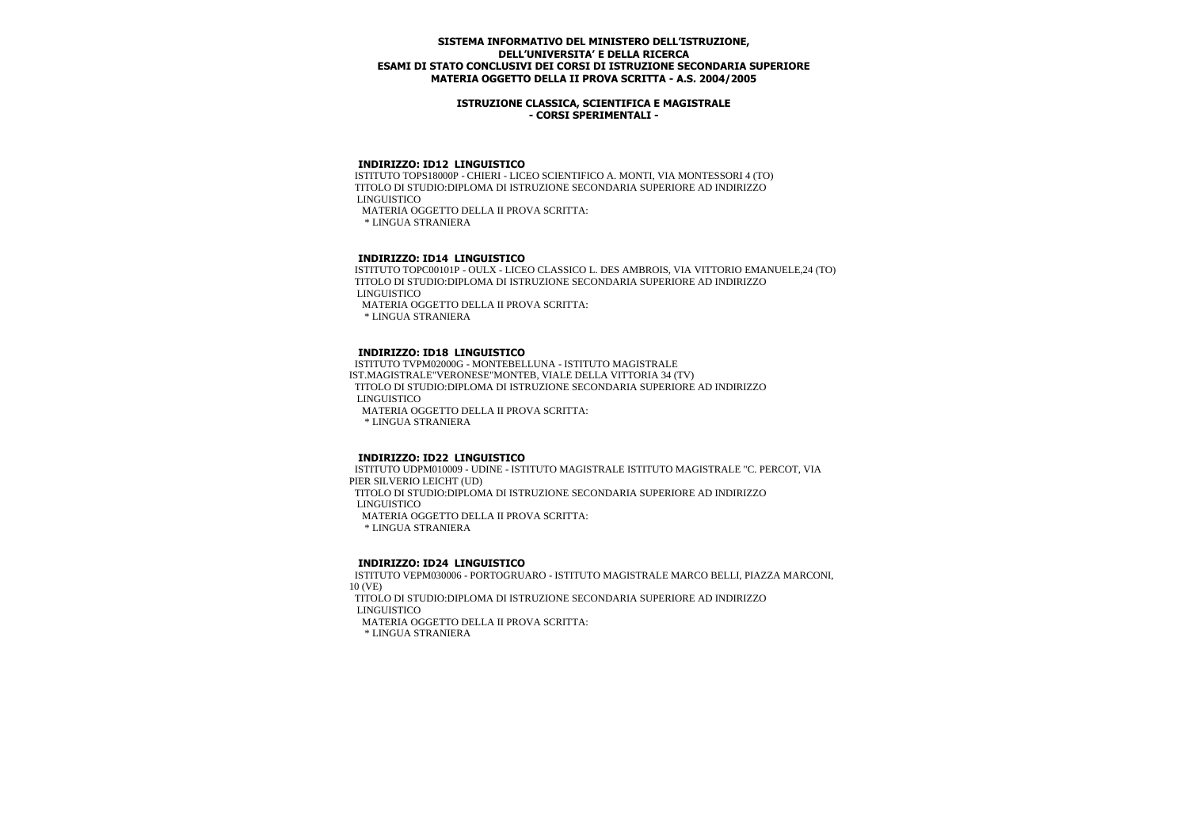### **ISTRUZIONE CLASSICA, SCIENTIFICA E MAGISTRALE - CORSI SPERIMENTALI -**

### **INDIRIZZO: ID12 LINGUISTICO**

 ISTITUTO TOPS18000P - CHIERI - LICEO SCIENTIFICO A. MONTI, VIA MONTESSORI 4 (TO) TITOLO DI STUDIO:DIPLOMA DI ISTRUZIONE SECONDARIA SUPERIORE AD INDIRIZZO LINGUISTICO MATERIA OGGETTO DELLA II PROVA SCRITTA:

\* LINGUA STRANIERA

## **INDIRIZZO: ID14 LINGUISTICO**

 ISTITUTO TOPC00101P - OULX - LICEO CLASSICO L. DES AMBROIS, VIA VITTORIO EMANUELE,24 (TO) TITOLO DI STUDIO:DIPLOMA DI ISTRUZIONE SECONDARIA SUPERIORE AD INDIRIZZO LINGUISTICO

MATERIA OGGETTO DELLA II PROVA SCRITTA:

\* LINGUA STRANIERA

## **INDIRIZZO: ID18 LINGUISTICO**

 ISTITUTO TVPM02000G - MONTEBELLUNA - ISTITUTO MAGISTRALE IST.MAGISTRALE"VERONESE"MONTEB, VIALE DELLA VITTORIA 34 (TV) TITOLO DI STUDIO:DIPLOMA DI ISTRUZIONE SECONDARIA SUPERIORE AD INDIRIZZO LINGUISTICO MATERIA OGGETTO DELLA II PROVA SCRITTA:

\* LINGUA STRANIERA

#### **INDIRIZZO: ID22 LINGUISTICO**

 ISTITUTO UDPM010009 - UDINE - ISTITUTO MAGISTRALE ISTITUTO MAGISTRALE "C. PERCOT, VIA PIER SILVERIO LEICHT (UD) TITOLO DI STUDIO:DIPLOMA DI ISTRUZIONE SECONDARIA SUPERIORE AD INDIRIZZO LINGUISTICO MATERIA OGGETTO DELLA II PROVA SCRITTA:

\* LINGUA STRANIERA

#### **INDIRIZZO: ID24 LINGUISTICO**

 ISTITUTO VEPM030006 - PORTOGRUARO - ISTITUTO MAGISTRALE MARCO BELLI, PIAZZA MARCONI, 10 (VE) TITOLO DI STUDIO:DIPLOMA DI ISTRUZIONE SECONDARIA SUPERIORE AD INDIRIZZO LINGUISTICO

MATERIA OGGETTO DELLA II PROVA SCRITTA: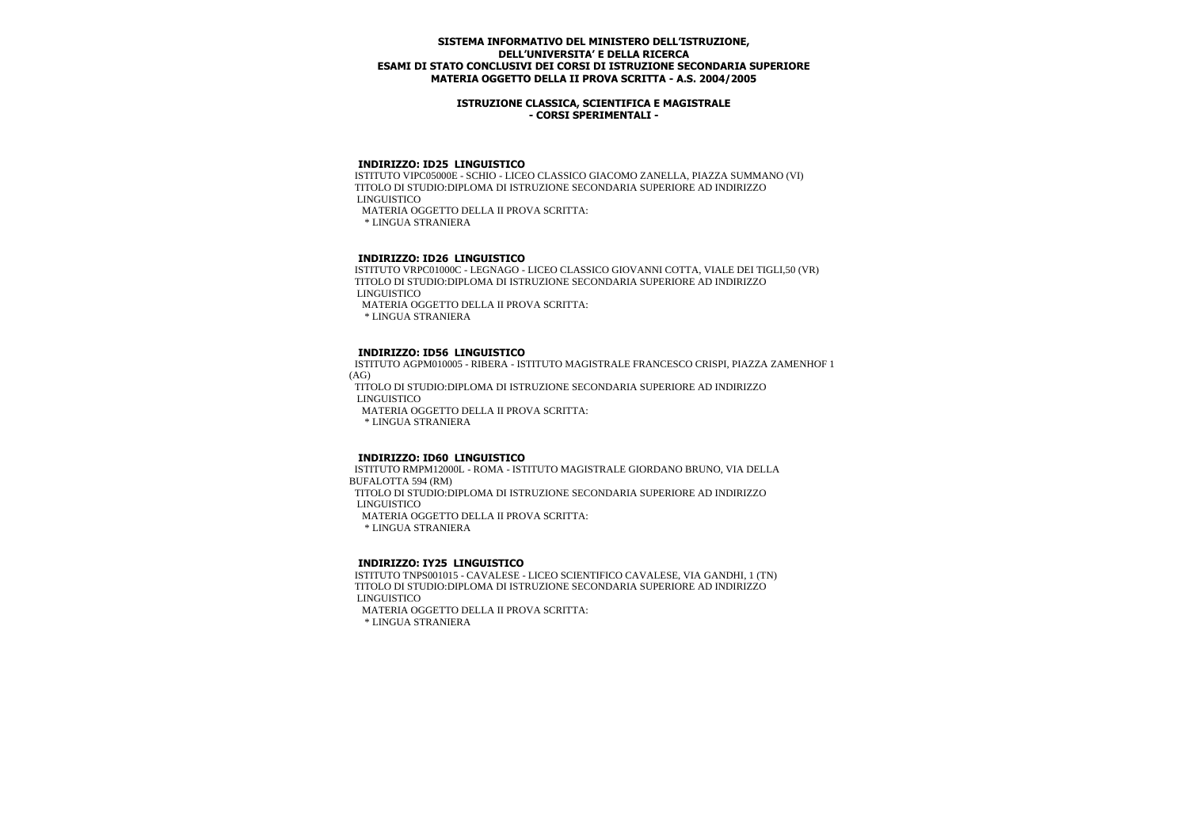### **ISTRUZIONE CLASSICA, SCIENTIFICA E MAGISTRALE - CORSI SPERIMENTALI -**

### **INDIRIZZO: ID25 LINGUISTICO**

 ISTITUTO VIPC05000E - SCHIO - LICEO CLASSICO GIACOMO ZANELLA, PIAZZA SUMMANO (VI) TITOLO DI STUDIO:DIPLOMA DI ISTRUZIONE SECONDARIA SUPERIORE AD INDIRIZZO LINGUISTICO MATERIA OGGETTO DELLA II PROVA SCRITTA:

\* LINGUA STRANIERA

## **INDIRIZZO: ID26 LINGUISTICO**

 ISTITUTO VRPC01000C - LEGNAGO - LICEO CLASSICO GIOVANNI COTTA, VIALE DEI TIGLI,50 (VR) TITOLO DI STUDIO:DIPLOMA DI ISTRUZIONE SECONDARIA SUPERIORE AD INDIRIZZO LINGUISTICO

MATERIA OGGETTO DELLA II PROVA SCRITTA:

\* LINGUA STRANIERA

## **INDIRIZZO: ID56 LINGUISTICO**

 ISTITUTO AGPM010005 - RIBERA - ISTITUTO MAGISTRALE FRANCESCO CRISPI, PIAZZA ZAMENHOF 1 (AG)

 TITOLO DI STUDIO:DIPLOMA DI ISTRUZIONE SECONDARIA SUPERIORE AD INDIRIZZO LINGUISTICO

MATERIA OGGETTO DELLA II PROVA SCRITTA:

\* LINGUA STRANIERA

#### **INDIRIZZO: ID60 LINGUISTICO**

 ISTITUTO RMPM12000L - ROMA - ISTITUTO MAGISTRALE GIORDANO BRUNO, VIA DELLA BUFALOTTA 594 (RM) TITOLO DI STUDIO:DIPLOMA DI ISTRUZIONE SECONDARIA SUPERIORE AD INDIRIZZO LINGUISTICO MATERIA OGGETTO DELLA II PROVA SCRITTA:

\* LINGUA STRANIERA

#### **INDIRIZZO: IY25 LINGUISTICO**

 ISTITUTO TNPS001015 - CAVALESE - LICEO SCIENTIFICO CAVALESE, VIA GANDHI, 1 (TN) TITOLO DI STUDIO:DIPLOMA DI ISTRUZIONE SECONDARIA SUPERIORE AD INDIRIZZO LINGUISTICO

MATERIA OGGETTO DELLA II PROVA SCRITTA: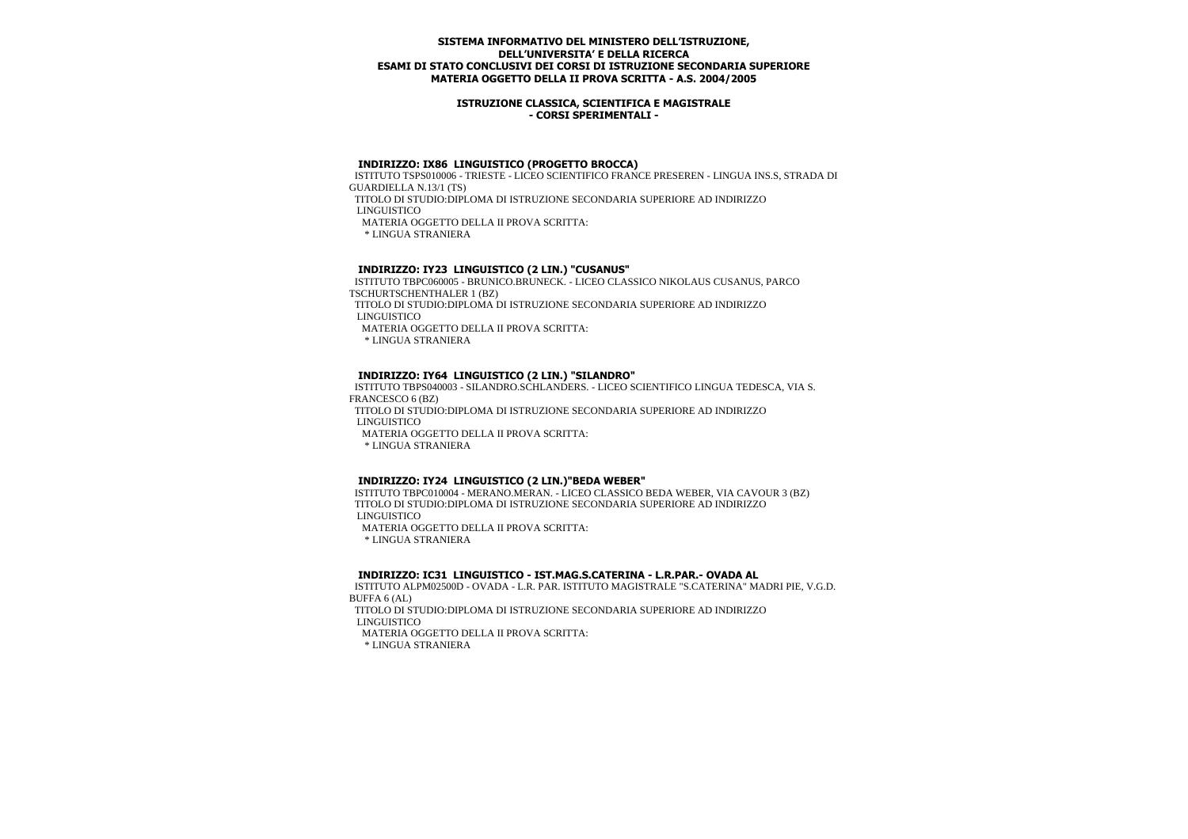### **ISTRUZIONE CLASSICA, SCIENTIFICA E MAGISTRALE - CORSI SPERIMENTALI -**

#### **INDIRIZZO: IX86 LINGUISTICO (PROGETTO BROCCA)**

 ISTITUTO TSPS010006 - TRIESTE - LICEO SCIENTIFICO FRANCE PRESEREN - LINGUA INS.S, STRADA DI GUARDIELLA N.13/1 (TS)

TITOLO DI STUDIO:DIPLOMA DI ISTRUZIONE SECONDARIA SUPERIORE AD INDIRIZZO

LINGUISTICO

MATERIA OGGETTO DELLA II PROVA SCRITTA:

\* LINGUA STRANIERA

## **INDIRIZZO: IY23 LINGUISTICO (2 LIN.) "CUSANUS"**

 ISTITUTO TBPC060005 - BRUNICO.BRUNECK. - LICEO CLASSICO NIKOLAUS CUSANUS, PARCO TSCHURTSCHENTHALER 1 (BZ)

 TITOLO DI STUDIO:DIPLOMA DI ISTRUZIONE SECONDARIA SUPERIORE AD INDIRIZZO LINGUISTICO

MATERIA OGGETTO DELLA II PROVA SCRITTA:

\* LINGUA STRANIERA

## **INDIRIZZO: IY64 LINGUISTICO (2 LIN.) "SILANDRO"**

 ISTITUTO TBPS040003 - SILANDRO.SCHLANDERS. - LICEO SCIENTIFICO LINGUA TEDESCA, VIA S. FRANCESCO 6 (BZ)

 TITOLO DI STUDIO:DIPLOMA DI ISTRUZIONE SECONDARIA SUPERIORE AD INDIRIZZO LINGUISTICO

MATERIA OGGETTO DELLA II PROVA SCRITTA:

\* LINGUA STRANIERA

#### **INDIRIZZO: IY24 LINGUISTICO (2 LIN.)"BEDA WEBER"**

 ISTITUTO TBPC010004 - MERANO.MERAN. - LICEO CLASSICO BEDA WEBER, VIA CAVOUR 3 (BZ) TITOLO DI STUDIO:DIPLOMA DI ISTRUZIONE SECONDARIA SUPERIORE AD INDIRIZZO LINGUISTICO MATERIA OGGETTO DELLA II PROVA SCRITTA: \* LINGUA STRANIERA

### **INDIRIZZO: IC31 LINGUISTICO - IST.MAG.S.CATERINA - L.R.PAR.- OVADA AL**

 ISTITUTO ALPM02500D - OVADA - L.R. PAR. ISTITUTO MAGISTRALE "S.CATERINA" MADRI PIE, V.G.D. BUFFA 6 (AL)

 TITOLO DI STUDIO:DIPLOMA DI ISTRUZIONE SECONDARIA SUPERIORE AD INDIRIZZO LINGUISTICO

MATERIA OGGETTO DELLA II PROVA SCRITTA: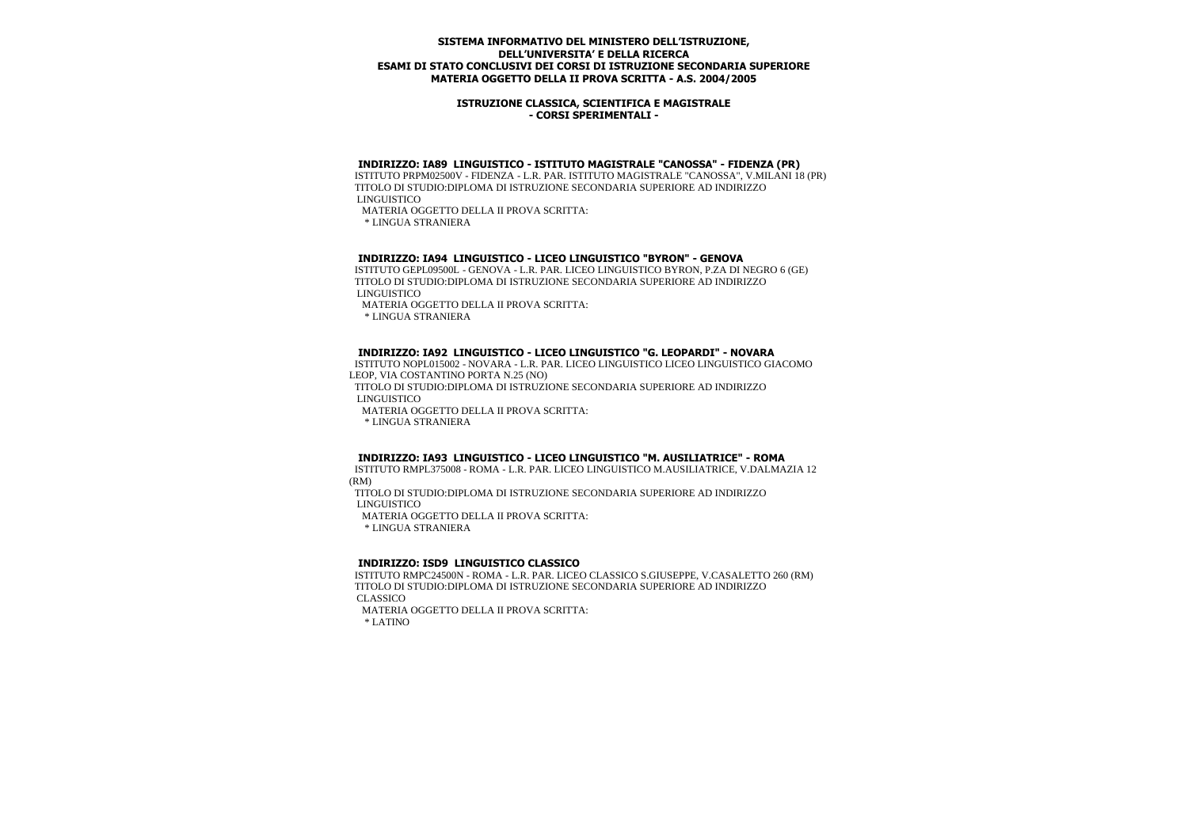### **ISTRUZIONE CLASSICA, SCIENTIFICA E MAGISTRALE - CORSI SPERIMENTALI -**

#### **INDIRIZZO: IA89 LINGUISTICO - ISTITUTO MAGISTRALE "CANOSSA" - FIDENZA (PR)**

 ISTITUTO PRPM02500V - FIDENZA - L.R. PAR. ISTITUTO MAGISTRALE "CANOSSA", V.MILANI 18 (PR) TITOLO DI STUDIO:DIPLOMA DI ISTRUZIONE SECONDARIA SUPERIORE AD INDIRIZZO LINGUISTICO

MATERIA OGGETTO DELLA II PROVA SCRITTA:

\* LINGUA STRANIERA

## **INDIRIZZO: IA94 LINGUISTICO - LICEO LINGUISTICO "BYRON" - GENOVA**

 ISTITUTO GEPL09500L - GENOVA - L.R. PAR. LICEO LINGUISTICO BYRON, P.ZA DI NEGRO 6 (GE) TITOLO DI STUDIO:DIPLOMA DI ISTRUZIONE SECONDARIA SUPERIORE AD INDIRIZZO LINGUISTICO

MATERIA OGGETTO DELLA II PROVA SCRITTA:

\* LINGUA STRANIERA

#### **INDIRIZZO: IA92 LINGUISTICO - LICEO LINGUISTICO "G. LEOPARDI" - NOVARA**

 ISTITUTO NOPL015002 - NOVARA - L.R. PAR. LICEO LINGUISTICO LICEO LINGUISTICO GIACOMO LEOP, VIA COSTANTINO PORTA N.25 (NO)

 TITOLO DI STUDIO:DIPLOMA DI ISTRUZIONE SECONDARIA SUPERIORE AD INDIRIZZO LINGUISTICO

MATERIA OGGETTO DELLA II PROVA SCRITTA:

\* LINGUA STRANIERA

### **INDIRIZZO: IA93 LINGUISTICO - LICEO LINGUISTICO "M. AUSILIATRICE" - ROMA**

 ISTITUTO RMPL375008 - ROMA - L.R. PAR. LICEO LINGUISTICO M.AUSILIATRICE, V.DALMAZIA 12 (RM)

 TITOLO DI STUDIO:DIPLOMA DI ISTRUZIONE SECONDARIA SUPERIORE AD INDIRIZZO LINGUISTICO

MATERIA OGGETTO DELLA II PROVA SCRITTA:

\* LINGUA STRANIERA

#### **INDIRIZZO: ISD9 LINGUISTICO CLASSICO**

 ISTITUTO RMPC24500N - ROMA - L.R. PAR. LICEO CLASSICO S.GIUSEPPE, V.CASALETTO 260 (RM) TITOLO DI STUDIO:DIPLOMA DI ISTRUZIONE SECONDARIA SUPERIORE AD INDIRIZZO CLASSICO

 MATERIA OGGETTO DELLA II PROVA SCRITTA: \* LATINO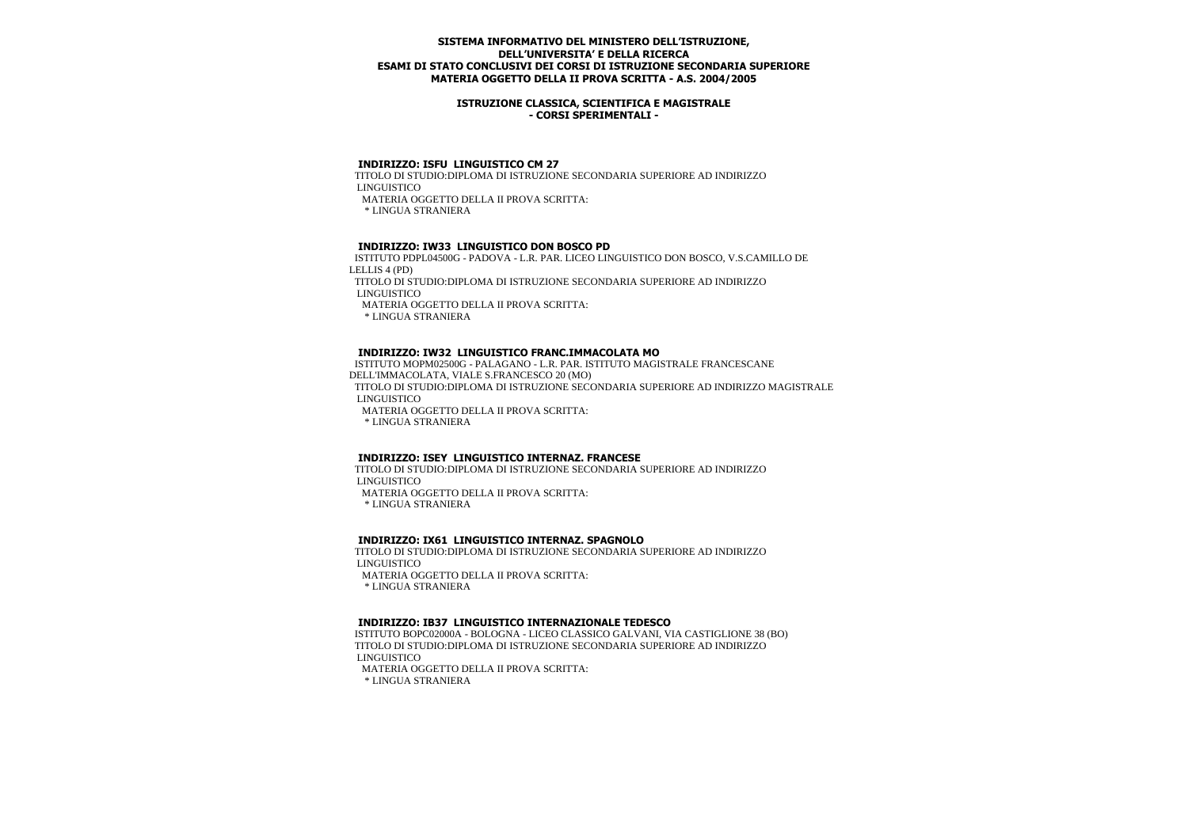### **ISTRUZIONE CLASSICA, SCIENTIFICA E MAGISTRALE - CORSI SPERIMENTALI -**

#### **INDIRIZZO: ISFU LINGUISTICO CM 27**

 TITOLO DI STUDIO:DIPLOMA DI ISTRUZIONE SECONDARIA SUPERIORE AD INDIRIZZO LINGUISTICO MATERIA OGGETTO DELLA II PROVA SCRITTA:

\* LINGUA STRANIERA

#### **INDIRIZZO: IW33 LINGUISTICO DON BOSCO PD**

 ISTITUTO PDPL04500G - PADOVA - L.R. PAR. LICEO LINGUISTICO DON BOSCO, V.S.CAMILLO DE LELLIS 4 (PD) TITOLO DI STUDIO:DIPLOMA DI ISTRUZIONE SECONDARIA SUPERIORE AD INDIRIZZO LINGUISTICO MATERIA OGGETTO DELLA II PROVA SCRITTA:

\* LINGUA STRANIERA

#### **INDIRIZZO: IW32 LINGUISTICO FRANC.IMMACOLATA MO**

 ISTITUTO MOPM02500G - PALAGANO - L.R. PAR. ISTITUTO MAGISTRALE FRANCESCANE DELL'IMMACOLATA, VIALE S.FRANCESCO 20 (MO) TITOLO DI STUDIO:DIPLOMA DI ISTRUZIONE SECONDARIA SUPERIORE AD INDIRIZZO MAGISTRALE LINGUISTICO MATERIA OGGETTO DELLA II PROVA SCRITTA:

\* LINGUA STRANIERA

#### **INDIRIZZO: ISEY LINGUISTICO INTERNAZ. FRANCESE**

 TITOLO DI STUDIO:DIPLOMA DI ISTRUZIONE SECONDARIA SUPERIORE AD INDIRIZZO LINGUISTICO MATERIA OGGETTO DELLA II PROVA SCRITTA: \* LINGUA STRANIERA

#### **INDIRIZZO: IX61 LINGUISTICO INTERNAZ. SPAGNOLO**

 TITOLO DI STUDIO:DIPLOMA DI ISTRUZIONE SECONDARIA SUPERIORE AD INDIRIZZO LINGUISTICO

MATERIA OGGETTO DELLA II PROVA SCRITTA:

\* LINGUA STRANIERA

# **INDIRIZZO: IB37 LINGUISTICO INTERNAZIONALE TEDESCO**

 ISTITUTO BOPC02000A - BOLOGNA - LICEO CLASSICO GALVANI, VIA CASTIGLIONE 38 (BO) TITOLO DI STUDIO:DIPLOMA DI ISTRUZIONE SECONDARIA SUPERIORE AD INDIRIZZO LINGUISTICO MATERIA OGGETTO DELLA II PROVA SCRITTA: \* LINGUA STRANIERA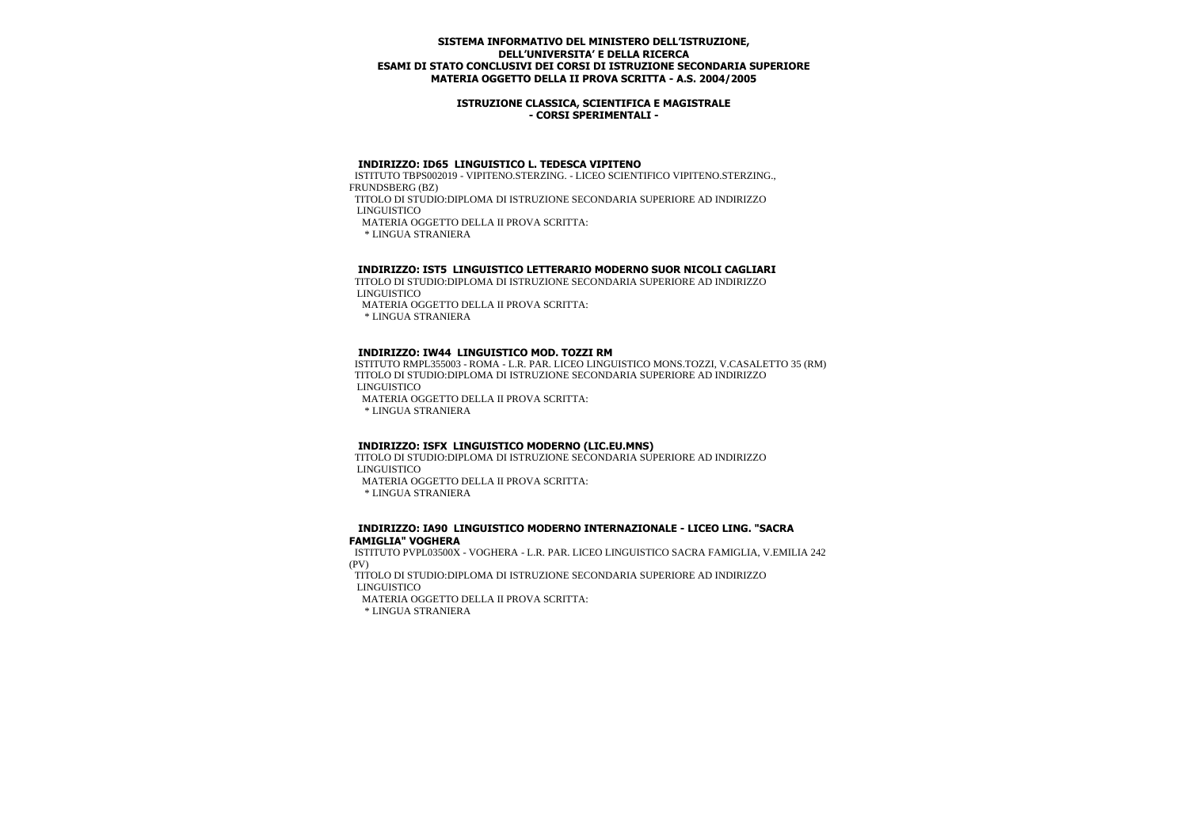### **ISTRUZIONE CLASSICA, SCIENTIFICA E MAGISTRALE - CORSI SPERIMENTALI -**

#### **INDIRIZZO: ID65 LINGUISTICO L. TEDESCA VIPITENO**

 ISTITUTO TBPS002019 - VIPITENO.STERZING. - LICEO SCIENTIFICO VIPITENO.STERZING., FRUNDSBERG (BZ)

 TITOLO DI STUDIO:DIPLOMA DI ISTRUZIONE SECONDARIA SUPERIORE AD INDIRIZZO LINGUISTICO

MATERIA OGGETTO DELLA II PROVA SCRITTA:

\* LINGUA STRANIERA

### **INDIRIZZO: IST5 LINGUISTICO LETTERARIO MODERNO SUOR NICOLI CAGLIARI**

 TITOLO DI STUDIO:DIPLOMA DI ISTRUZIONE SECONDARIA SUPERIORE AD INDIRIZZO LINGUISTICO

MATERIA OGGETTO DELLA II PROVA SCRITTA:

\* LINGUA STRANIERA

#### **INDIRIZZO: IW44 LINGUISTICO MOD. TOZZI RM**

 ISTITUTO RMPL355003 - ROMA - L.R. PAR. LICEO LINGUISTICO MONS.TOZZI, V.CASALETTO 35 (RM) TITOLO DI STUDIO:DIPLOMA DI ISTRUZIONE SECONDARIA SUPERIORE AD INDIRIZZO LINGUISTICO

MATERIA OGGETTO DELLA II PROVA SCRITTA:

\* LINGUA STRANIERA

#### **INDIRIZZO: ISFX LINGUISTICO MODERNO (LIC.EU.MNS)**

 TITOLO DI STUDIO:DIPLOMA DI ISTRUZIONE SECONDARIA SUPERIORE AD INDIRIZZO LINGUISTICO

MATERIA OGGETTO DELLA II PROVA SCRITTA:

\* LINGUA STRANIERA

#### **INDIRIZZO: IA90 LINGUISTICO MODERNO INTERNAZIONALE - LICEO LING. "SACRA FAMIGLIA" VOGHERA**

 ISTITUTO PVPL03500X - VOGHERA - L.R. PAR. LICEO LINGUISTICO SACRA FAMIGLIA, V.EMILIA 242 (PV)

 TITOLO DI STUDIO:DIPLOMA DI ISTRUZIONE SECONDARIA SUPERIORE AD INDIRIZZO LINGUISTICO

MATERIA OGGETTO DELLA II PROVA SCRITTA: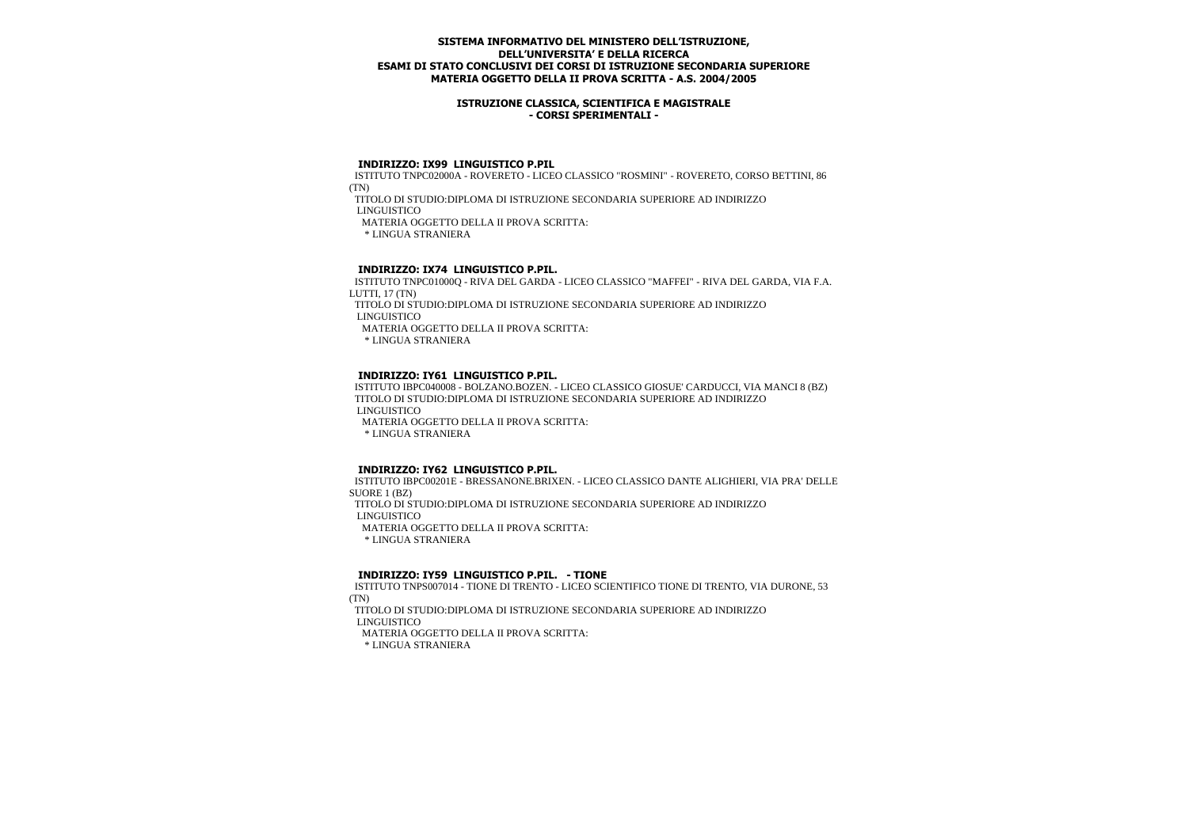### **ISTRUZIONE CLASSICA, SCIENTIFICA E MAGISTRALE - CORSI SPERIMENTALI -**

#### **INDIRIZZO: IX99 LINGUISTICO P.PIL**

 ISTITUTO TNPC02000A - ROVERETO - LICEO CLASSICO "ROSMINI" - ROVERETO, CORSO BETTINI, 86 (TN)

TITOLO DI STUDIO:DIPLOMA DI ISTRUZIONE SECONDARIA SUPERIORE AD INDIRIZZO

LINGUISTICO

MATERIA OGGETTO DELLA II PROVA SCRITTA:

\* LINGUA STRANIERA

# **INDIRIZZO: IX74 LINGUISTICO P.PIL.**

 ISTITUTO TNPC01000Q - RIVA DEL GARDA - LICEO CLASSICO "MAFFEI" - RIVA DEL GARDA, VIA F.A. LUTTI, 17 (TN)

 TITOLO DI STUDIO:DIPLOMA DI ISTRUZIONE SECONDARIA SUPERIORE AD INDIRIZZO LINGUISTICO

MATERIA OGGETTO DELLA II PROVA SCRITTA:

\* LINGUA STRANIERA

## **INDIRIZZO: IY61 LINGUISTICO P.PIL.**

 ISTITUTO IBPC040008 - BOLZANO.BOZEN. - LICEO CLASSICO GIOSUE' CARDUCCI, VIA MANCI 8 (BZ) TITOLO DI STUDIO:DIPLOMA DI ISTRUZIONE SECONDARIA SUPERIORE AD INDIRIZZO LINGUISTICO MATERIA OGGETTO DELLA II PROVA SCRITTA:

\* LINGUA STRANIERA

# **INDIRIZZO: IY62 LINGUISTICO P.PIL.**

 ISTITUTO IBPC00201E - BRESSANONE.BRIXEN. - LICEO CLASSICO DANTE ALIGHIERI, VIA PRA' DELLE SUORE 1 (BZ) TITOLO DI STUDIO:DIPLOMA DI ISTRUZIONE SECONDARIA SUPERIORE AD INDIRIZZO LINGUISTICO MATERIA OGGETTO DELLA II PROVA SCRITTA:

\* LINGUA STRANIERA

### **INDIRIZZO: IY59 LINGUISTICO P.PIL. - TIONE**

 ISTITUTO TNPS007014 - TIONE DI TRENTO - LICEO SCIENTIFICO TIONE DI TRENTO, VIA DURONE, 53 (TN)

 TITOLO DI STUDIO:DIPLOMA DI ISTRUZIONE SECONDARIA SUPERIORE AD INDIRIZZO LINGUISTICO

MATERIA OGGETTO DELLA II PROVA SCRITTA: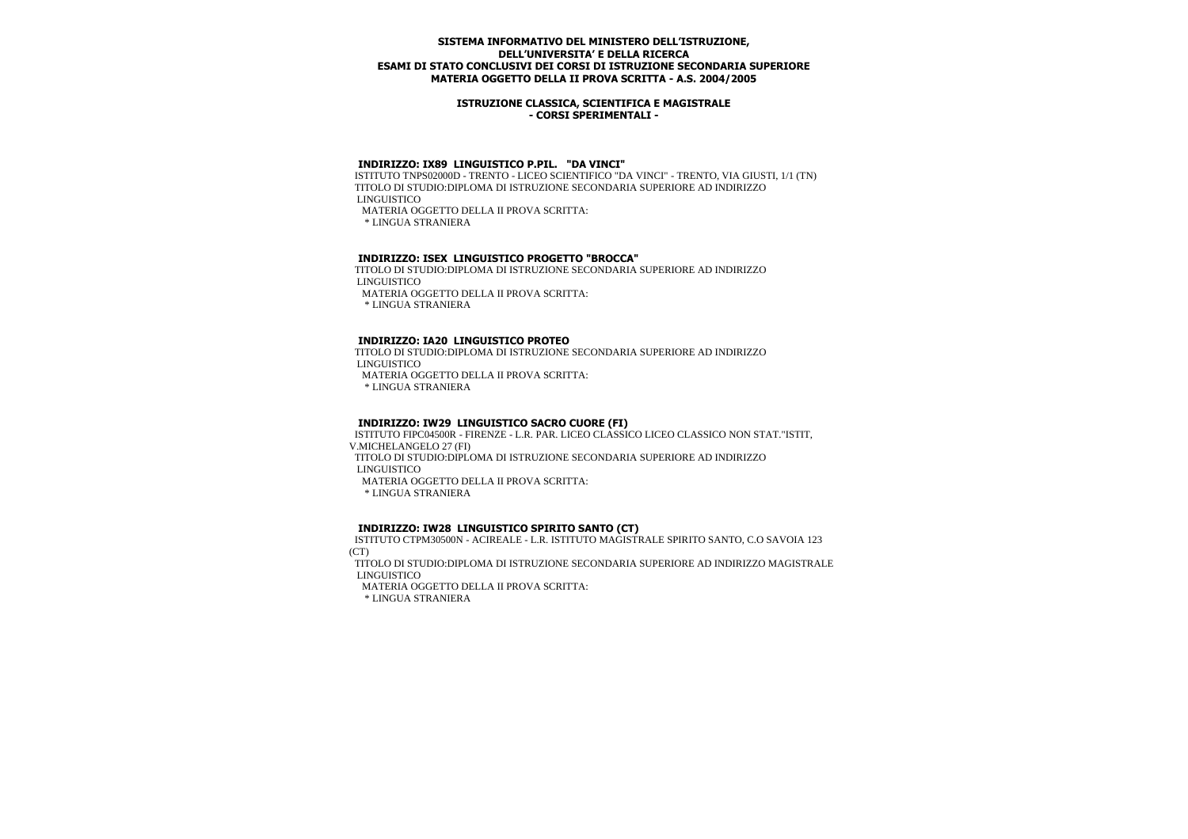### **ISTRUZIONE CLASSICA, SCIENTIFICA E MAGISTRALE - CORSI SPERIMENTALI -**

# **INDIRIZZO: IX89 LINGUISTICO P.PIL. "DA VINCI"**

 ISTITUTO TNPS02000D - TRENTO - LICEO SCIENTIFICO "DA VINCI" - TRENTO, VIA GIUSTI, 1/1 (TN) TITOLO DI STUDIO:DIPLOMA DI ISTRUZIONE SECONDARIA SUPERIORE AD INDIRIZZO LINGUISTICO

MATERIA OGGETTO DELLA II PROVA SCRITTA:

\* LINGUA STRANIERA

# **INDIRIZZO: ISEX LINGUISTICO PROGETTO "BROCCA"**

 TITOLO DI STUDIO:DIPLOMA DI ISTRUZIONE SECONDARIA SUPERIORE AD INDIRIZZO LINGUISTICO

MATERIA OGGETTO DELLA II PROVA SCRITTA:

\* LINGUA STRANIERA

## **INDIRIZZO: IA20 LINGUISTICO PROTEO**

 TITOLO DI STUDIO:DIPLOMA DI ISTRUZIONE SECONDARIA SUPERIORE AD INDIRIZZO LINGUISTICO

MATERIA OGGETTO DELLA II PROVA SCRITTA:

\* LINGUA STRANIERA

#### **INDIRIZZO: IW29 LINGUISTICO SACRO CUORE (FI)**

 ISTITUTO FIPC04500R - FIRENZE - L.R. PAR. LICEO CLASSICO LICEO CLASSICO NON STAT."ISTIT, V.MICHELANGELO 27 (FI) TITOLO DI STUDIO:DIPLOMA DI ISTRUZIONE SECONDARIA SUPERIORE AD INDIRIZZO LINGUISTICO MATERIA OGGETTO DELLA II PROVA SCRITTA:

\* LINGUA STRANIERA

# **INDIRIZZO: IW28 LINGUISTICO SPIRITO SANTO (CT)**

 ISTITUTO CTPM30500N - ACIREALE - L.R. ISTITUTO MAGISTRALE SPIRITO SANTO, C.O SAVOIA 123 (CT)

 TITOLO DI STUDIO:DIPLOMA DI ISTRUZIONE SECONDARIA SUPERIORE AD INDIRIZZO MAGISTRALE LINGUISTICO

MATERIA OGGETTO DELLA II PROVA SCRITTA: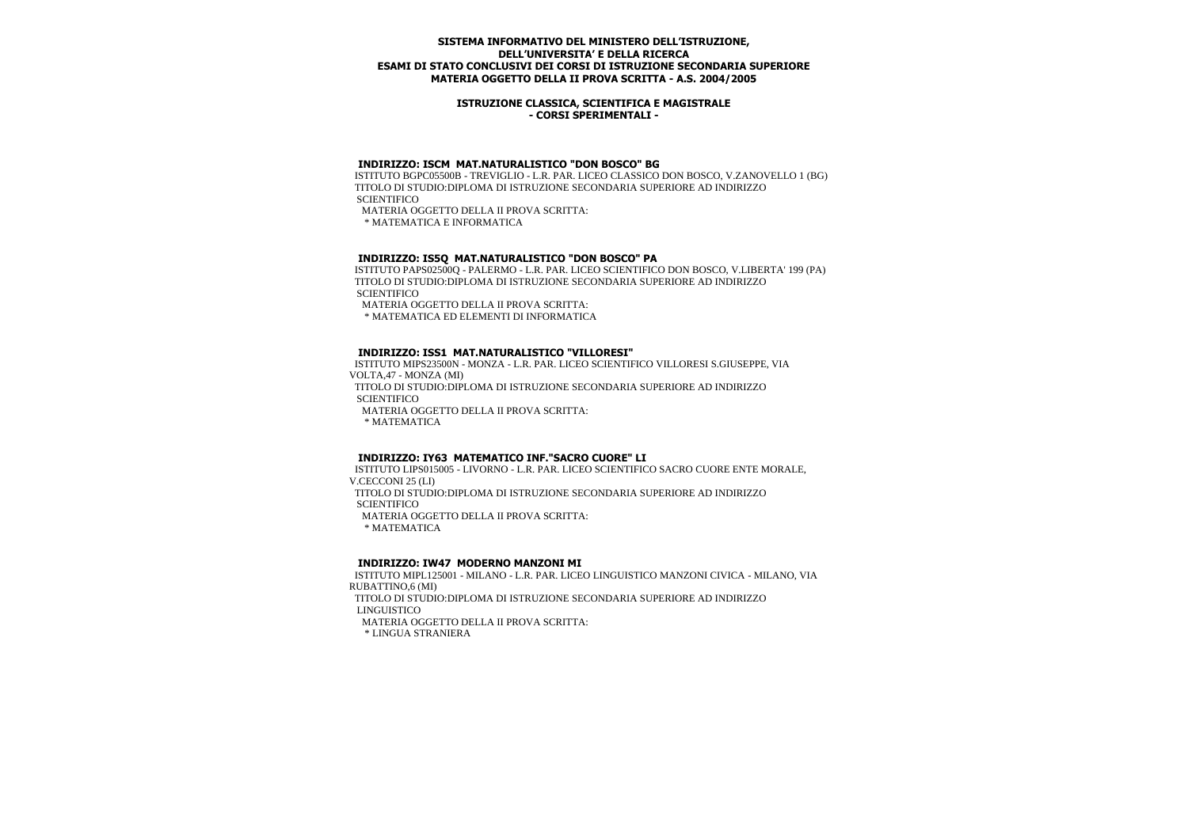### **ISTRUZIONE CLASSICA, SCIENTIFICA E MAGISTRALE - CORSI SPERIMENTALI -**

## **INDIRIZZO: ISCM MAT.NATURALISTICO "DON BOSCO" BG**

 ISTITUTO BGPC05500B - TREVIGLIO - L.R. PAR. LICEO CLASSICO DON BOSCO, V.ZANOVELLO 1 (BG) TITOLO DI STUDIO:DIPLOMA DI ISTRUZIONE SECONDARIA SUPERIORE AD INDIRIZZO **SCIENTIFICO** 

MATERIA OGGETTO DELLA II PROVA SCRITTA:

\* MATEMATICA E INFORMATICA

#### **INDIRIZZO: IS5Q MAT.NATURALISTICO "DON BOSCO" PA**

 ISTITUTO PAPS02500Q - PALERMO - L.R. PAR. LICEO SCIENTIFICO DON BOSCO, V.LIBERTA' 199 (PA) TITOLO DI STUDIO:DIPLOMA DI ISTRUZIONE SECONDARIA SUPERIORE AD INDIRIZZO **SCIENTIFICO** 

MATERIA OGGETTO DELLA II PROVA SCRITTA:

\* MATEMATICA ED ELEMENTI DI INFORMATICA

#### **INDIRIZZO: ISS1 MAT.NATURALISTICO "VILLORESI"**

 ISTITUTO MIPS23500N - MONZA - L.R. PAR. LICEO SCIENTIFICO VILLORESI S.GIUSEPPE, VIA VOLTA,47 - MONZA (MI) TITOLO DI STUDIO:DIPLOMA DI ISTRUZIONE SECONDARIA SUPERIORE AD INDIRIZZO **SCIENTIFICO** 

MATERIA OGGETTO DELLA II PROVA SCRITTA:

\* MATEMATICA

### **INDIRIZZO: IY63 MATEMATICO INF."SACRO CUORE" LI**

 ISTITUTO LIPS015005 - LIVORNO - L.R. PAR. LICEO SCIENTIFICO SACRO CUORE ENTE MORALE, V.CECCONI 25 (LI) TITOLO DI STUDIO:DIPLOMA DI ISTRUZIONE SECONDARIA SUPERIORE AD INDIRIZZO **SCIENTIFICO** MATERIA OGGETTO DELLA II PROVA SCRITTA:

\* MATEMATICA

# **INDIRIZZO: IW47 MODERNO MANZONI MI**

 ISTITUTO MIPL125001 - MILANO - L.R. PAR. LICEO LINGUISTICO MANZONI CIVICA - MILANO, VIA RUBATTINO,6 (MI) TITOLO DI STUDIO:DIPLOMA DI ISTRUZIONE SECONDARIA SUPERIORE AD INDIRIZZO LINGUISTICO MATERIA OGGETTO DELLA II PROVA SCRITTA: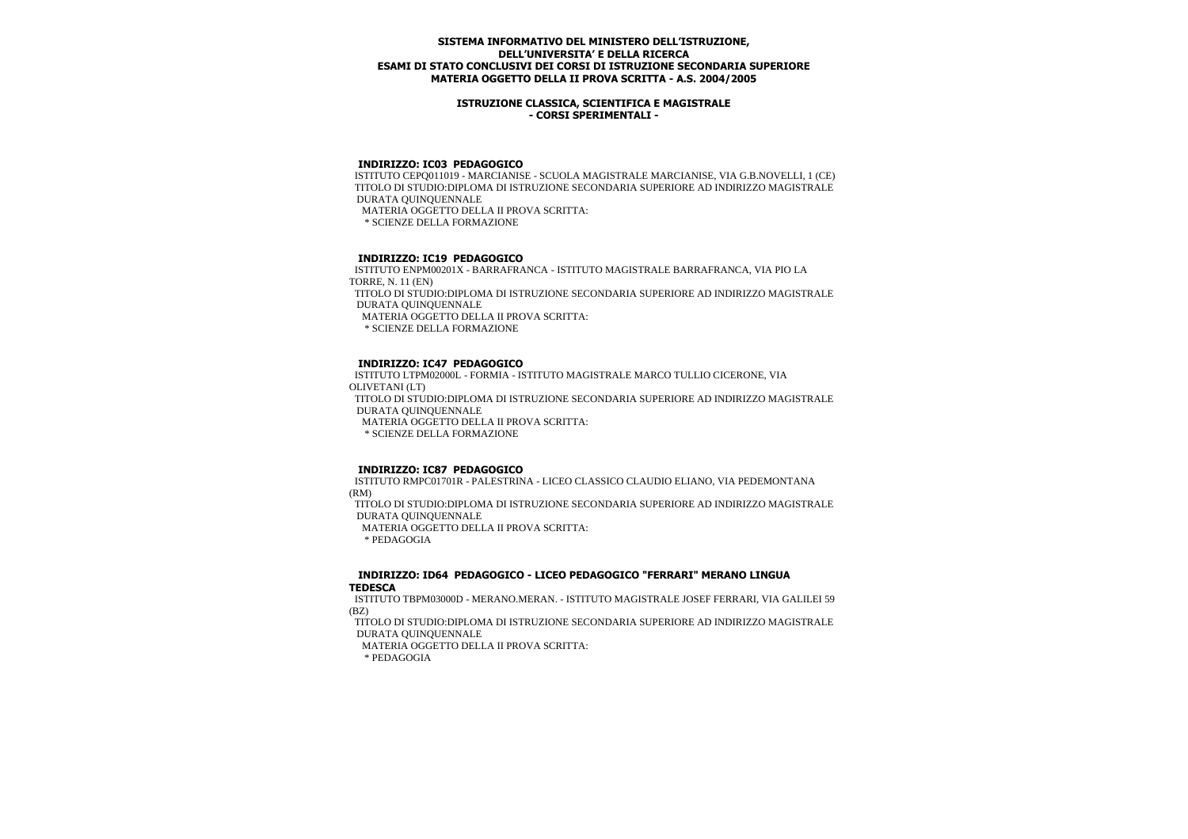### **ISTRUZIONE CLASSICA, SCIENTIFICA E MAGISTRALE - CORSI SPERIMENTALI -**

### **INDIRIZZO: IC03 PEDAGOGICO**

 ISTITUTO CEPQ011019 - MARCIANISE - SCUOLA MAGISTRALE MARCIANISE, VIA G.B.NOVELLI, 1 (CE) TITOLO DI STUDIO:DIPLOMA DI ISTRUZIONE SECONDARIA SUPERIORE AD INDIRIZZO MAGISTRALE DURATA QUINQUENNALE MATERIA OGGETTO DELLA II PROVA SCRITTA: \* SCIENZE DELLA FORMAZIONE

## **INDIRIZZO: IC19 PEDAGOGICO**

 ISTITUTO ENPM00201X - BARRAFRANCA - ISTITUTO MAGISTRALE BARRAFRANCA, VIA PIO LA TORRE, N. 11 (EN) TITOLO DI STUDIO:DIPLOMA DI ISTRUZIONE SECONDARIA SUPERIORE AD INDIRIZZO MAGISTRALE DURATA QUINQUENNALE MATERIA OGGETTO DELLA II PROVA SCRITTA: \* SCIENZE DELLA FORMAZIONE

## **INDIRIZZO: IC47 PEDAGOGICO**

 ISTITUTO LTPM02000L - FORMIA - ISTITUTO MAGISTRALE MARCO TULLIO CICERONE, VIA OLIVETANI (LT) TITOLO DI STUDIO:DIPLOMA DI ISTRUZIONE SECONDARIA SUPERIORE AD INDIRIZZO MAGISTRALE DURATA QUINQUENNALE MATERIA OGGETTO DELLA II PROVA SCRITTA: \* SCIENZE DELLA FORMAZIONE

#### **INDIRIZZO: IC87 PEDAGOGICO**

 ISTITUTO RMPC01701R - PALESTRINA - LICEO CLASSICO CLAUDIO ELIANO, VIA PEDEMONTANA (RM)

 TITOLO DI STUDIO:DIPLOMA DI ISTRUZIONE SECONDARIA SUPERIORE AD INDIRIZZO MAGISTRALE DURATA QUINQUENNALE

MATERIA OGGETTO DELLA II PROVA SCRITTA:

\* PEDAGOGIA

#### **INDIRIZZO: ID64 PEDAGOGICO - LICEO PEDAGOGICO "FERRARI" MERANO LINGUA TEDESCA**

 ISTITUTO TBPM03000D - MERANO.MERAN. - ISTITUTO MAGISTRALE JOSEF FERRARI, VIA GALILEI 59 (BZ)

 TITOLO DI STUDIO:DIPLOMA DI ISTRUZIONE SECONDARIA SUPERIORE AD INDIRIZZO MAGISTRALE DURATA QUINQUENNALE

MATERIA OGGETTO DELLA II PROVA SCRITTA:

\* PEDAGOGIA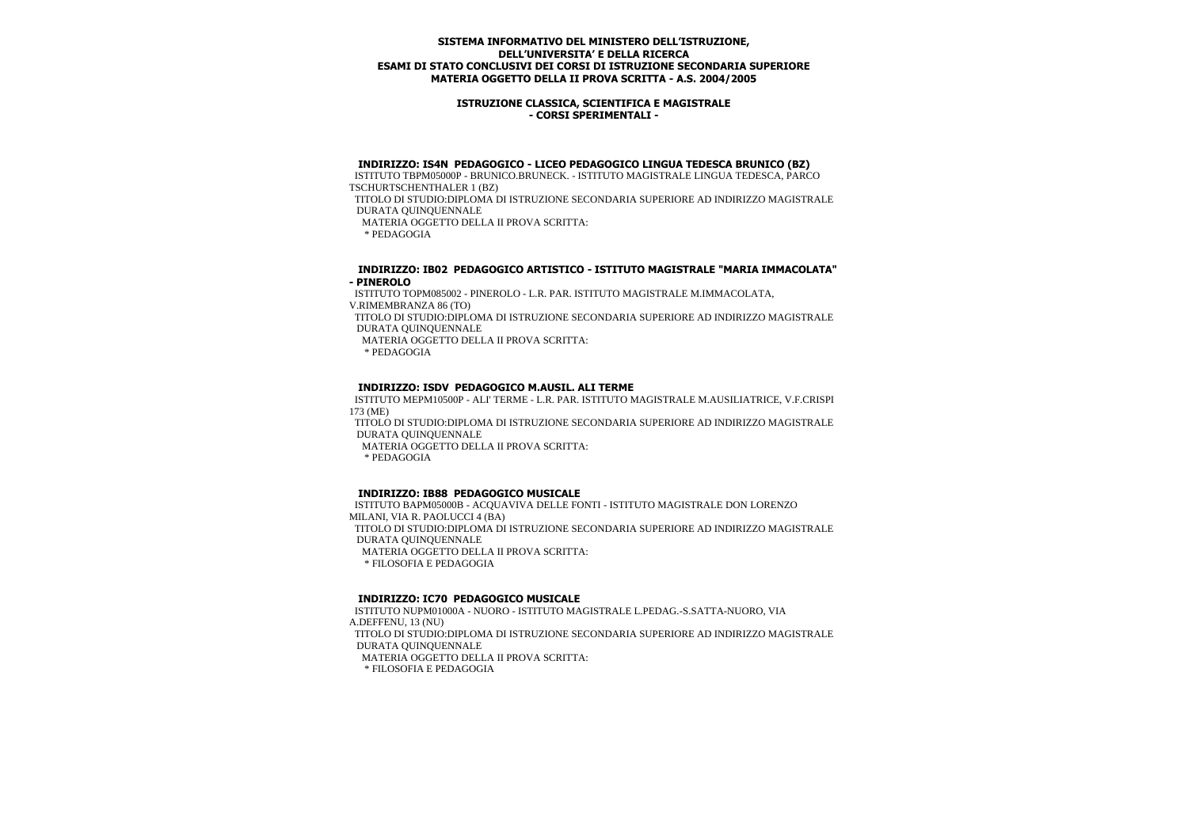### **ISTRUZIONE CLASSICA, SCIENTIFICA E MAGISTRALE - CORSI SPERIMENTALI -**

#### **INDIRIZZO: IS4N PEDAGOGICO - LICEO PEDAGOGICO LINGUA TEDESCA BRUNICO (BZ)**

 ISTITUTO TBPM05000P - BRUNICO.BRUNECK. - ISTITUTO MAGISTRALE LINGUA TEDESCA, PARCO TSCHURTSCHENTHALER 1 (BZ)

 TITOLO DI STUDIO:DIPLOMA DI ISTRUZIONE SECONDARIA SUPERIORE AD INDIRIZZO MAGISTRALE DURATA QUINQUENNALE

MATERIA OGGETTO DELLA II PROVA SCRITTA:

\* PEDAGOGIA

#### **INDIRIZZO: IB02 PEDAGOGICO ARTISTICO - ISTITUTO MAGISTRALE "MARIA IMMACOLATA" - PINEROLO**

 ISTITUTO TOPM085002 - PINEROLO - L.R. PAR. ISTITUTO MAGISTRALE M.IMMACOLATA, V.RIMEMBRANZA 86 (TO)

 TITOLO DI STUDIO:DIPLOMA DI ISTRUZIONE SECONDARIA SUPERIORE AD INDIRIZZO MAGISTRALE DURATA QUINQUENNALE

MATERIA OGGETTO DELLA II PROVA SCRITTA:

\* PEDAGOGIA

#### **INDIRIZZO: ISDV PEDAGOGICO M.AUSIL. ALI TERME**

 ISTITUTO MEPM10500P - ALI' TERME - L.R. PAR. ISTITUTO MAGISTRALE M.AUSILIATRICE, V.F.CRISPI 173 (ME)

 TITOLO DI STUDIO:DIPLOMA DI ISTRUZIONE SECONDARIA SUPERIORE AD INDIRIZZO MAGISTRALE DURATA QUINQUENNALE

MATERIA OGGETTO DELLA II PROVA SCRITTA:

\* PEDAGOGIA

#### **INDIRIZZO: IB88 PEDAGOGICO MUSICALE**

 ISTITUTO BAPM05000B - ACQUAVIVA DELLE FONTI - ISTITUTO MAGISTRALE DON LORENZO MILANI, VIA R. PAOLUCCI 4 (BA) TITOLO DI STUDIO:DIPLOMA DI ISTRUZIONE SECONDARIA SUPERIORE AD INDIRIZZO MAGISTRALE DURATA QUINQUENNALE MATERIA OGGETTO DELLA II PROVA SCRITTA: \* FILOSOFIA E PEDAGOGIA

#### **INDIRIZZO: IC70 PEDAGOGICO MUSICALE**

 ISTITUTO NUPM01000A - NUORO - ISTITUTO MAGISTRALE L.PEDAG.-S.SATTA-NUORO, VIA A.DEFFENU, 13 (NU) TITOLO DI STUDIO:DIPLOMA DI ISTRUZIONE SECONDARIA SUPERIORE AD INDIRIZZO MAGISTRALE DURATA QUINQUENNALE MATERIA OGGETTO DELLA II PROVA SCRITTA: \* FILOSOFIA E PEDAGOGIA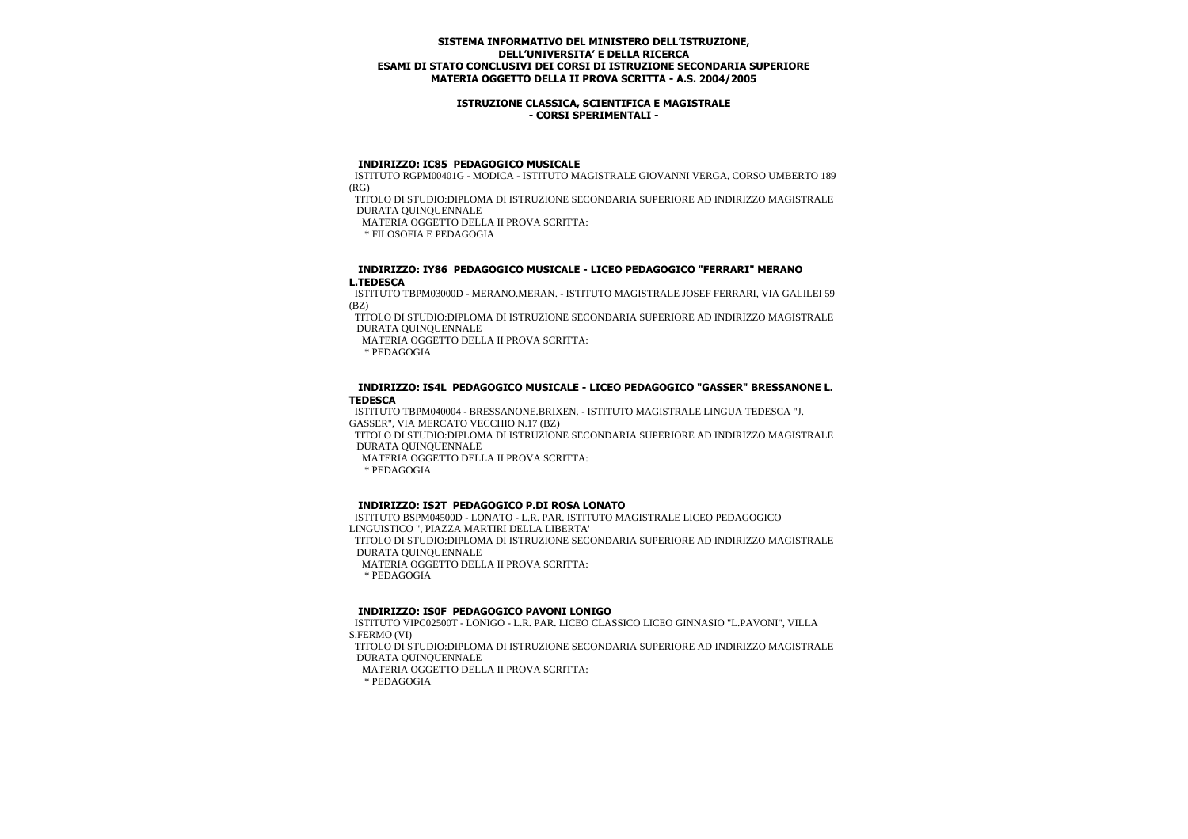### **ISTRUZIONE CLASSICA, SCIENTIFICA E MAGISTRALE - CORSI SPERIMENTALI -**

#### **INDIRIZZO: IC85 PEDAGOGICO MUSICALE**

 ISTITUTO RGPM00401G - MODICA - ISTITUTO MAGISTRALE GIOVANNI VERGA, CORSO UMBERTO 189 (RG)

 TITOLO DI STUDIO:DIPLOMA DI ISTRUZIONE SECONDARIA SUPERIORE AD INDIRIZZO MAGISTRALE DURATA QUINQUENNALE

MATERIA OGGETTO DELLA II PROVA SCRITTA:

\* FILOSOFIA E PEDAGOGIA

#### **INDIRIZZO: IY86 PEDAGOGICO MUSICALE - LICEO PEDAGOGICO "FERRARI" MERANO L.TEDESCA**

 ISTITUTO TBPM03000D - MERANO.MERAN. - ISTITUTO MAGISTRALE JOSEF FERRARI, VIA GALILEI 59 (BZ)

 TITOLO DI STUDIO:DIPLOMA DI ISTRUZIONE SECONDARIA SUPERIORE AD INDIRIZZO MAGISTRALE DURATA QUINQUENNALE

MATERIA OGGETTO DELLA II PROVA SCRITTA:

\* PEDAGOGIA

### **INDIRIZZO: IS4L PEDAGOGICO MUSICALE - LICEO PEDAGOGICO "GASSER" BRESSANONE L. TEDESCA**

 ISTITUTO TBPM040004 - BRESSANONE.BRIXEN. - ISTITUTO MAGISTRALE LINGUA TEDESCA "J. GASSER", VIA MERCATO VECCHIO N.17 (BZ)

 TITOLO DI STUDIO:DIPLOMA DI ISTRUZIONE SECONDARIA SUPERIORE AD INDIRIZZO MAGISTRALE DURATA QUINQUENNALE

MATERIA OGGETTO DELLA II PROVA SCRITTA:

\* PEDAGOGIA

#### **INDIRIZZO: IS2T PEDAGOGICO P.DI ROSA LONATO**

 ISTITUTO BSPM04500D - LONATO - L.R. PAR. ISTITUTO MAGISTRALE LICEO PEDAGOGICO LINGUISTICO ", PIAZZA MARTIRI DELLA LIBERTA' TITOLO DI STUDIO:DIPLOMA DI ISTRUZIONE SECONDARIA SUPERIORE AD INDIRIZZO MAGISTRALE DURATA QUINQUENNALE MATERIA OGGETTO DELLA II PROVA SCRITTA: \* PEDAGOGIA

#### **INDIRIZZO: IS0F PEDAGOGICO PAVONI LONIGO**

 ISTITUTO VIPC02500T - LONIGO - L.R. PAR. LICEO CLASSICO LICEO GINNASIO "L.PAVONI", VILLA S.FERMO (VI) TITOLO DI STUDIO:DIPLOMA DI ISTRUZIONE SECONDARIA SUPERIORE AD INDIRIZZO MAGISTRALE DURATA QUINQUENNALE MATERIA OGGETTO DELLA II PROVA SCRITTA: \* PEDAGOGIA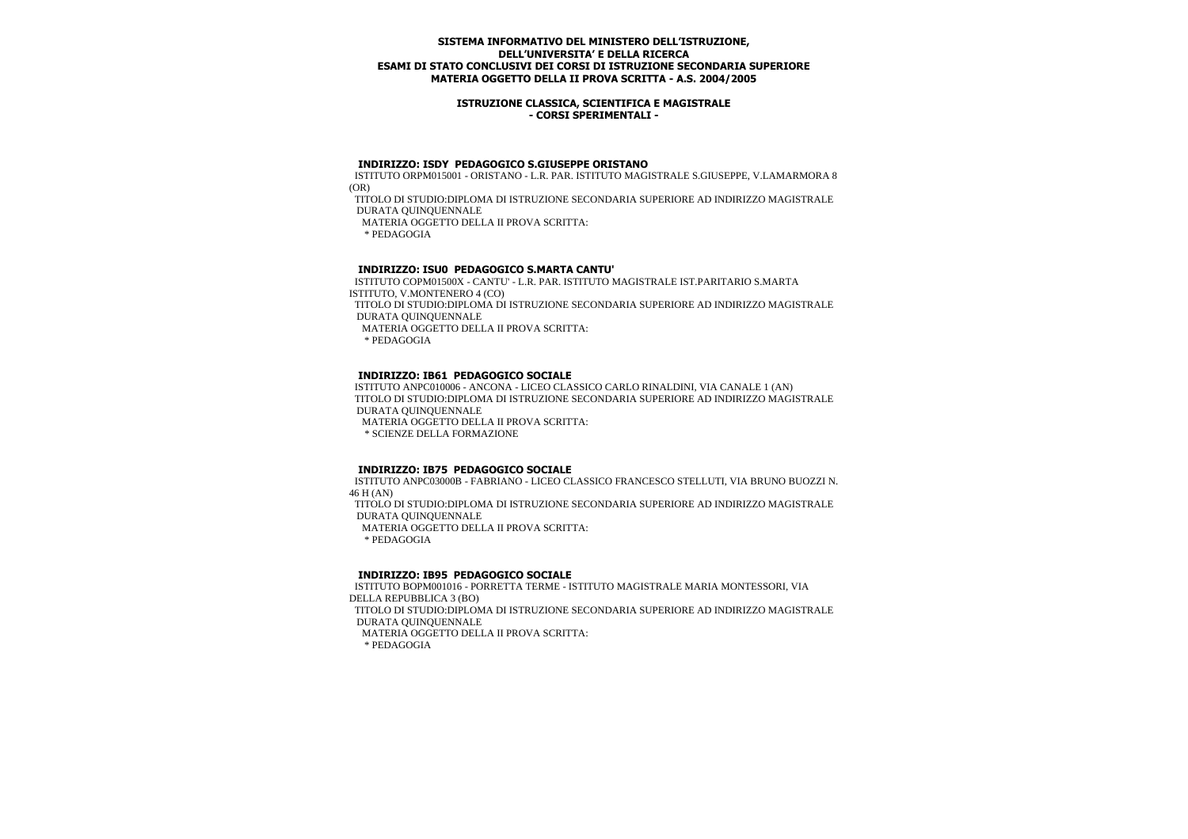### **ISTRUZIONE CLASSICA, SCIENTIFICA E MAGISTRALE - CORSI SPERIMENTALI -**

#### **INDIRIZZO: ISDY PEDAGOGICO S.GIUSEPPE ORISTANO**

 ISTITUTO ORPM015001 - ORISTANO - L.R. PAR. ISTITUTO MAGISTRALE S.GIUSEPPE, V.LAMARMORA 8 (OR)

 TITOLO DI STUDIO:DIPLOMA DI ISTRUZIONE SECONDARIA SUPERIORE AD INDIRIZZO MAGISTRALE DURATA QUINQUENNALE

MATERIA OGGETTO DELLA II PROVA SCRITTA:

\* PEDAGOGIA

## **INDIRIZZO: ISU0 PEDAGOGICO S.MARTA CANTU'**

 ISTITUTO COPM01500X - CANTU' - L.R. PAR. ISTITUTO MAGISTRALE IST.PARITARIO S.MARTA ISTITUTO, V.MONTENERO 4 (CO) TITOLO DI STUDIO:DIPLOMA DI ISTRUZIONE SECONDARIA SUPERIORE AD INDIRIZZO MAGISTRALE DURATA QUINQUENNALE MATERIA OGGETTO DELLA II PROVA SCRITTA:

\* PEDAGOGIA

### **INDIRIZZO: IB61 PEDAGOGICO SOCIALE**

 ISTITUTO ANPC010006 - ANCONA - LICEO CLASSICO CARLO RINALDINI, VIA CANALE 1 (AN) TITOLO DI STUDIO:DIPLOMA DI ISTRUZIONE SECONDARIA SUPERIORE AD INDIRIZZO MAGISTRALE DURATA QUINQUENNALE MATERIA OGGETTO DELLA II PROVA SCRITTA: \* SCIENZE DELLA FORMAZIONE

### **INDIRIZZO: IB75 PEDAGOGICO SOCIALE**

 ISTITUTO ANPC03000B - FABRIANO - LICEO CLASSICO FRANCESCO STELLUTI, VIA BRUNO BUOZZI N. 46 H (AN) TITOLO DI STUDIO:DIPLOMA DI ISTRUZIONE SECONDARIA SUPERIORE AD INDIRIZZO MAGISTRALE DURATA QUINQUENNALE MATERIA OGGETTO DELLA II PROVA SCRITTA: \* PEDAGOGIA

### **INDIRIZZO: IB95 PEDAGOGICO SOCIALE**

 ISTITUTO BOPM001016 - PORRETTA TERME - ISTITUTO MAGISTRALE MARIA MONTESSORI, VIA DELLA REPUBBLICA 3 (BO) TITOLO DI STUDIO:DIPLOMA DI ISTRUZIONE SECONDARIA SUPERIORE AD INDIRIZZO MAGISTRALE DURATA QUINQUENNALE MATERIA OGGETTO DELLA II PROVA SCRITTA: \* PEDAGOGIA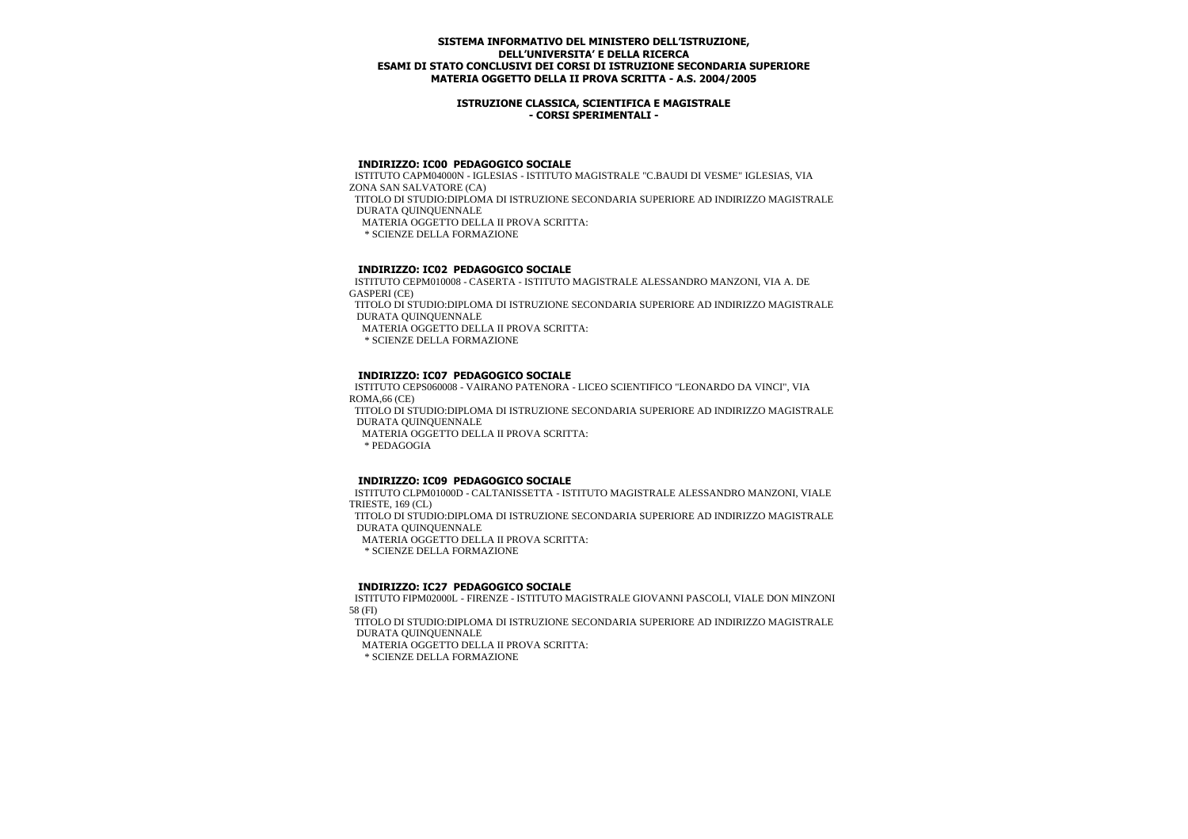### **ISTRUZIONE CLASSICA, SCIENTIFICA E MAGISTRALE - CORSI SPERIMENTALI -**

# **INDIRIZZO: IC00 PEDAGOGICO SOCIALE**

 ISTITUTO CAPM04000N - IGLESIAS - ISTITUTO MAGISTRALE "C.BAUDI DI VESME" IGLESIAS, VIA ZONA SAN SALVATORE (CA) TITOLO DI STUDIO:DIPLOMA DI ISTRUZIONE SECONDARIA SUPERIORE AD INDIRIZZO MAGISTRALE DURATA QUINQUENNALE MATERIA OGGETTO DELLA II PROVA SCRITTA: \* SCIENZE DELLA FORMAZIONE

# **INDIRIZZO: IC02 PEDAGOGICO SOCIALE**

 ISTITUTO CEPM010008 - CASERTA - ISTITUTO MAGISTRALE ALESSANDRO MANZONI, VIA A. DE GASPERI (CE)

 TITOLO DI STUDIO:DIPLOMA DI ISTRUZIONE SECONDARIA SUPERIORE AD INDIRIZZO MAGISTRALE DURATA QUINQUENNALE

MATERIA OGGETTO DELLA II PROVA SCRITTA:

\* SCIENZE DELLA FORMAZIONE

## **INDIRIZZO: IC07 PEDAGOGICO SOCIALE**

 ISTITUTO CEPS060008 - VAIRANO PATENORA - LICEO SCIENTIFICO "LEONARDO DA VINCI", VIA ROMA,66 (CE) TITOLO DI STUDIO:DIPLOMA DI ISTRUZIONE SECONDARIA SUPERIORE AD INDIRIZZO MAGISTRALE DURATA QUINQUENNALE MATERIA OGGETTO DELLA II PROVA SCRITTA: \* PEDAGOGIA

# **INDIRIZZO: IC09 PEDAGOGICO SOCIALE**

 ISTITUTO CLPM01000D - CALTANISSETTA - ISTITUTO MAGISTRALE ALESSANDRO MANZONI, VIALE TRIESTE, 169 (CL) TITOLO DI STUDIO:DIPLOMA DI ISTRUZIONE SECONDARIA SUPERIORE AD INDIRIZZO MAGISTRALE DURATA QUINQUENNALE MATERIA OGGETTO DELLA II PROVA SCRITTA: \* SCIENZE DELLA FORMAZIONE

### **INDIRIZZO: IC27 PEDAGOGICO SOCIALE**

 ISTITUTO FIPM02000L - FIRENZE - ISTITUTO MAGISTRALE GIOVANNI PASCOLI, VIALE DON MINZONI 58 (FI)

 TITOLO DI STUDIO:DIPLOMA DI ISTRUZIONE SECONDARIA SUPERIORE AD INDIRIZZO MAGISTRALE DURATA QUINQUENNALE

MATERIA OGGETTO DELLA II PROVA SCRITTA:

\* SCIENZE DELLA FORMAZIONE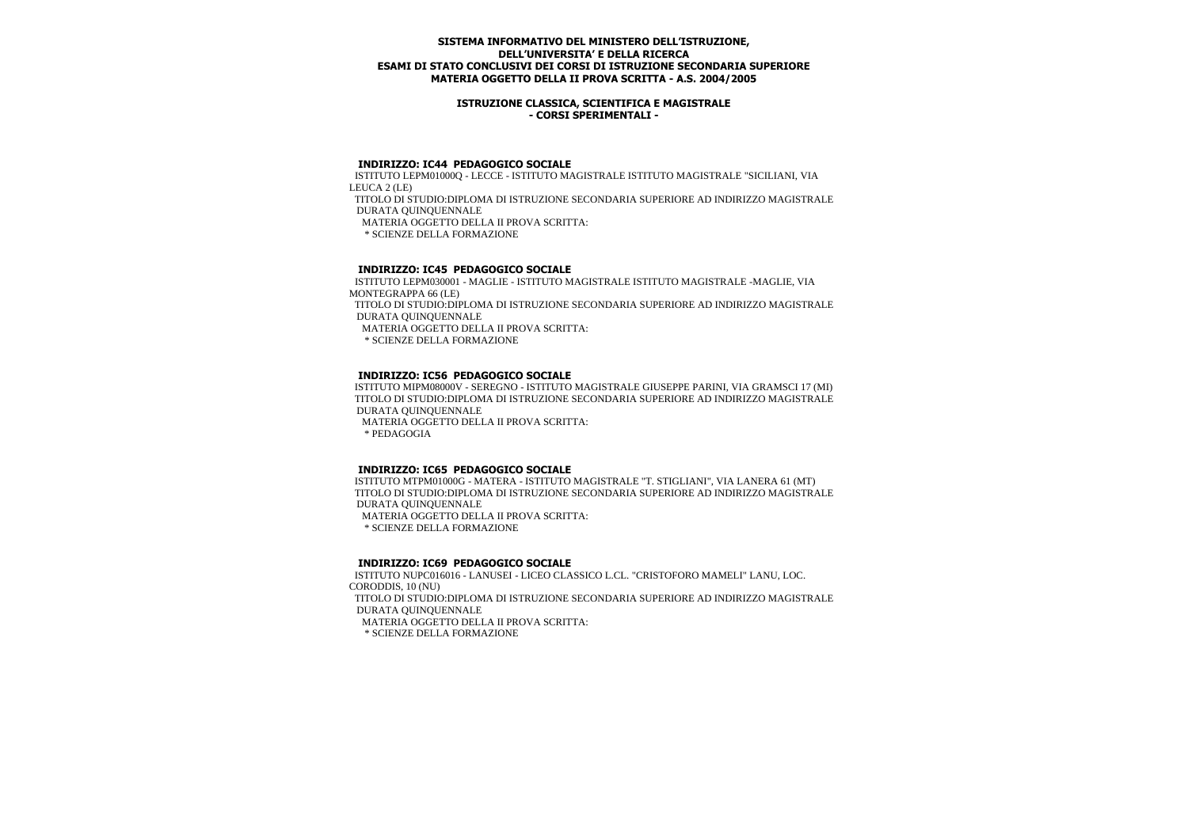### **ISTRUZIONE CLASSICA, SCIENTIFICA E MAGISTRALE - CORSI SPERIMENTALI -**

### **INDIRIZZO: IC44 PEDAGOGICO SOCIALE**

 ISTITUTO LEPM01000Q - LECCE - ISTITUTO MAGISTRALE ISTITUTO MAGISTRALE "SICILIANI, VIA LEUCA 2 (LE) TITOLO DI STUDIO:DIPLOMA DI ISTRUZIONE SECONDARIA SUPERIORE AD INDIRIZZO MAGISTRALE DURATA QUINQUENNALE MATERIA OGGETTO DELLA II PROVA SCRITTA: \* SCIENZE DELLA FORMAZIONE

# **INDIRIZZO: IC45 PEDAGOGICO SOCIALE**

 ISTITUTO LEPM030001 - MAGLIE - ISTITUTO MAGISTRALE ISTITUTO MAGISTRALE -MAGLIE, VIA MONTEGRAPPA 66 (LE) TITOLO DI STUDIO:DIPLOMA DI ISTRUZIONE SECONDARIA SUPERIORE AD INDIRIZZO MAGISTRALE DURATA QUINQUENNALE MATERIA OGGETTO DELLA II PROVA SCRITTA:

\* SCIENZE DELLA FORMAZIONE

# **INDIRIZZO: IC56 PEDAGOGICO SOCIALE**

 ISTITUTO MIPM08000V - SEREGNO - ISTITUTO MAGISTRALE GIUSEPPE PARINI, VIA GRAMSCI 17 (MI) TITOLO DI STUDIO:DIPLOMA DI ISTRUZIONE SECONDARIA SUPERIORE AD INDIRIZZO MAGISTRALE DURATA QUINQUENNALE MATERIA OGGETTO DELLA II PROVA SCRITTA:

\* PEDAGOGIA

# **INDIRIZZO: IC65 PEDAGOGICO SOCIALE**

 ISTITUTO MTPM01000G - MATERA - ISTITUTO MAGISTRALE "T. STIGLIANI", VIA LANERA 61 (MT) TITOLO DI STUDIO:DIPLOMA DI ISTRUZIONE SECONDARIA SUPERIORE AD INDIRIZZO MAGISTRALE DURATA QUINQUENNALE

MATERIA OGGETTO DELLA II PROVA SCRITTA:

\* SCIENZE DELLA FORMAZIONE

### **INDIRIZZO: IC69 PEDAGOGICO SOCIALE**

 ISTITUTO NUPC016016 - LANUSEI - LICEO CLASSICO L.CL. "CRISTOFORO MAMELI" LANU, LOC. CORODDIS, 10 (NU) TITOLO DI STUDIO:DIPLOMA DI ISTRUZIONE SECONDARIA SUPERIORE AD INDIRIZZO MAGISTRALE DURATA QUINQUENNALE MATERIA OGGETTO DELLA II PROVA SCRITTA: \* SCIENZE DELLA FORMAZIONE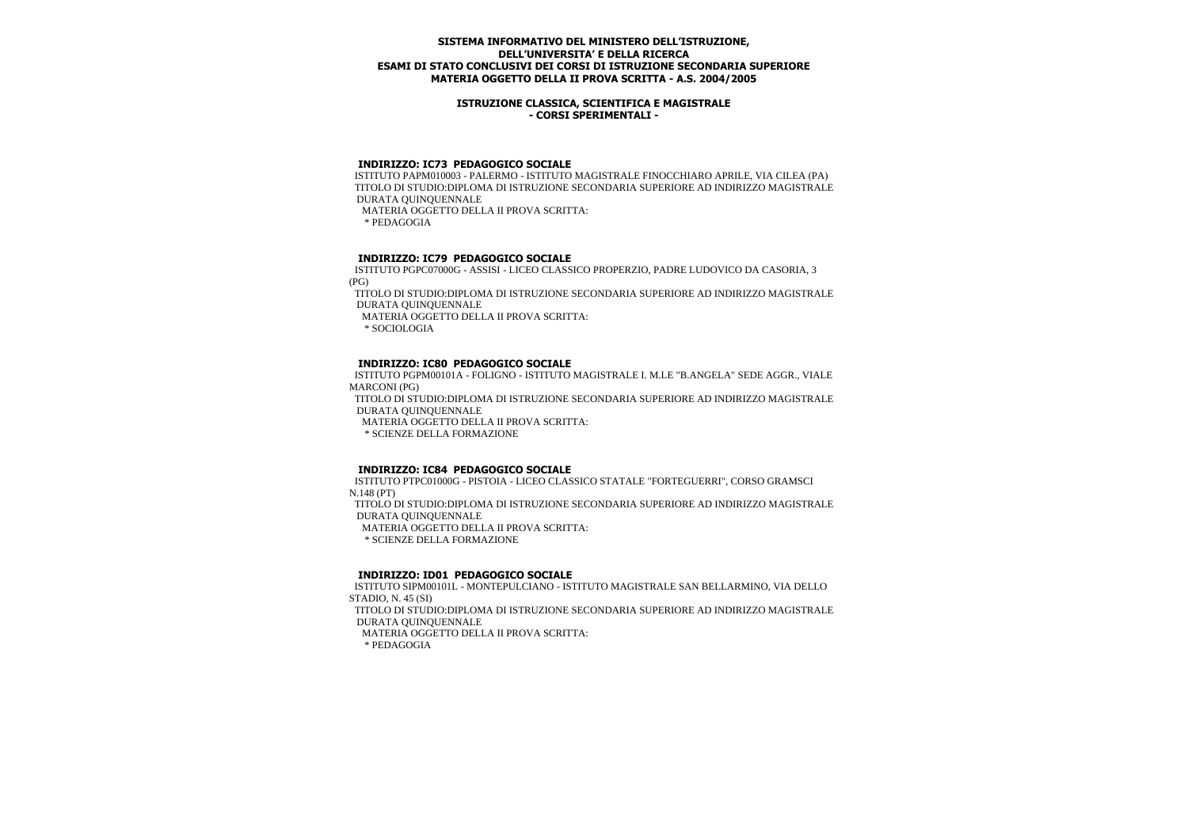### **ISTRUZIONE CLASSICA, SCIENTIFICA E MAGISTRALE - CORSI SPERIMENTALI -**

### **INDIRIZZO: IC73 PEDAGOGICO SOCIALE**

 ISTITUTO PAPM010003 - PALERMO - ISTITUTO MAGISTRALE FINOCCHIARO APRILE, VIA CILEA (PA) TITOLO DI STUDIO:DIPLOMA DI ISTRUZIONE SECONDARIA SUPERIORE AD INDIRIZZO MAGISTRALE DURATA QUINQUENNALE MATERIA OGGETTO DELLA II PROVA SCRITTA:

\* PEDAGOGIA

## **INDIRIZZO: IC79 PEDAGOGICO SOCIALE**

 ISTITUTO PGPC07000G - ASSISI - LICEO CLASSICO PROPERZIO, PADRE LUDOVICO DA CASORIA, 3 (PG)

 TITOLO DI STUDIO:DIPLOMA DI ISTRUZIONE SECONDARIA SUPERIORE AD INDIRIZZO MAGISTRALE DURATA QUINQUENNALE

MATERIA OGGETTO DELLA II PROVA SCRITTA:

\* SOCIOLOGIA

## **INDIRIZZO: IC80 PEDAGOGICO SOCIALE**

 ISTITUTO PGPM00101A - FOLIGNO - ISTITUTO MAGISTRALE I. M.LE "B.ANGELA" SEDE AGGR., VIALE MARCONI (PG)

 TITOLO DI STUDIO:DIPLOMA DI ISTRUZIONE SECONDARIA SUPERIORE AD INDIRIZZO MAGISTRALE DURATA QUINQUENNALE

MATERIA OGGETTO DELLA II PROVA SCRITTA:

\* SCIENZE DELLA FORMAZIONE

### **INDIRIZZO: IC84 PEDAGOGICO SOCIALE**

 ISTITUTO PTPC01000G - PISTOIA - LICEO CLASSICO STATALE "FORTEGUERRI", CORSO GRAMSCI N.148 (PT) TITOLO DI STUDIO:DIPLOMA DI ISTRUZIONE SECONDARIA SUPERIORE AD INDIRIZZO MAGISTRALE DURATA QUINQUENNALE MATERIA OGGETTO DELLA II PROVA SCRITTA:

\* SCIENZE DELLA FORMAZIONE

## **INDIRIZZO: ID01 PEDAGOGICO SOCIALE**

 ISTITUTO SIPM00101L - MONTEPULCIANO - ISTITUTO MAGISTRALE SAN BELLARMINO, VIA DELLO STADIO, N. 45 (SI) TITOLO DI STUDIO:DIPLOMA DI ISTRUZIONE SECONDARIA SUPERIORE AD INDIRIZZO MAGISTRALE DURATA QUINQUENNALE MATERIA OGGETTO DELLA II PROVA SCRITTA: \* PEDAGOGIA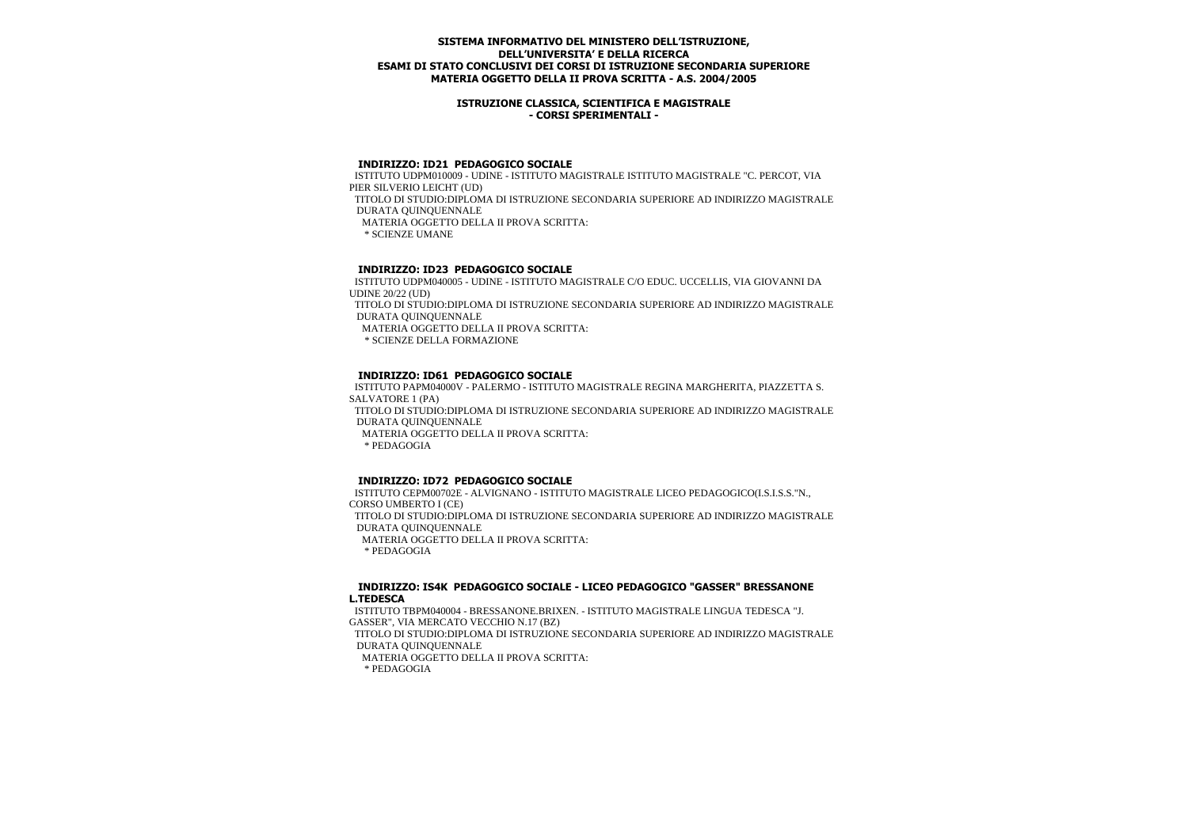### **ISTRUZIONE CLASSICA, SCIENTIFICA E MAGISTRALE - CORSI SPERIMENTALI -**

# **INDIRIZZO: ID21 PEDAGOGICO SOCIALE**

 ISTITUTO UDPM010009 - UDINE - ISTITUTO MAGISTRALE ISTITUTO MAGISTRALE "C. PERCOT, VIA PIER SILVERIO LEICHT (UD) TITOLO DI STUDIO:DIPLOMA DI ISTRUZIONE SECONDARIA SUPERIORE AD INDIRIZZO MAGISTRALE DURATA QUINQUENNALE MATERIA OGGETTO DELLA II PROVA SCRITTA: \* SCIENZE UMANE

# **INDIRIZZO: ID23 PEDAGOGICO SOCIALE**

 ISTITUTO UDPM040005 - UDINE - ISTITUTO MAGISTRALE C/O EDUC. UCCELLIS, VIA GIOVANNI DA UDINE 20/22 (UD)

 TITOLO DI STUDIO:DIPLOMA DI ISTRUZIONE SECONDARIA SUPERIORE AD INDIRIZZO MAGISTRALE DURATA QUINQUENNALE

MATERIA OGGETTO DELLA II PROVA SCRITTA:

\* SCIENZE DELLA FORMAZIONE

## **INDIRIZZO: ID61 PEDAGOGICO SOCIALE**

 ISTITUTO PAPM04000V - PALERMO - ISTITUTO MAGISTRALE REGINA MARGHERITA, PIAZZETTA S. SALVATORE 1 (PA) TITOLO DI STUDIO:DIPLOMA DI ISTRUZIONE SECONDARIA SUPERIORE AD INDIRIZZO MAGISTRALE DURATA QUINQUENNALE MATERIA OGGETTO DELLA II PROVA SCRITTA: \* PEDAGOGIA

# **INDIRIZZO: ID72 PEDAGOGICO SOCIALE**

 ISTITUTO CEPM00702E - ALVIGNANO - ISTITUTO MAGISTRALE LICEO PEDAGOGICO(I.S.I.S.S."N., CORSO UMBERTO I (CE) TITOLO DI STUDIO:DIPLOMA DI ISTRUZIONE SECONDARIA SUPERIORE AD INDIRIZZO MAGISTRALE DURATA QUINQUENNALE MATERIA OGGETTO DELLA II PROVA SCRITTA: \* PEDAGOGIA

#### **INDIRIZZO: IS4K PEDAGOGICO SOCIALE - LICEO PEDAGOGICO "GASSER" BRESSANONE L.TEDESCA**

 ISTITUTO TBPM040004 - BRESSANONE.BRIXEN. - ISTITUTO MAGISTRALE LINGUA TEDESCA "J. GASSER", VIA MERCATO VECCHIO N.17 (BZ) TITOLO DI STUDIO:DIPLOMA DI ISTRUZIONE SECONDARIA SUPERIORE AD INDIRIZZO MAGISTRALE DURATA QUINQUENNALE MATERIA OGGETTO DELLA II PROVA SCRITTA: \* PEDAGOGIA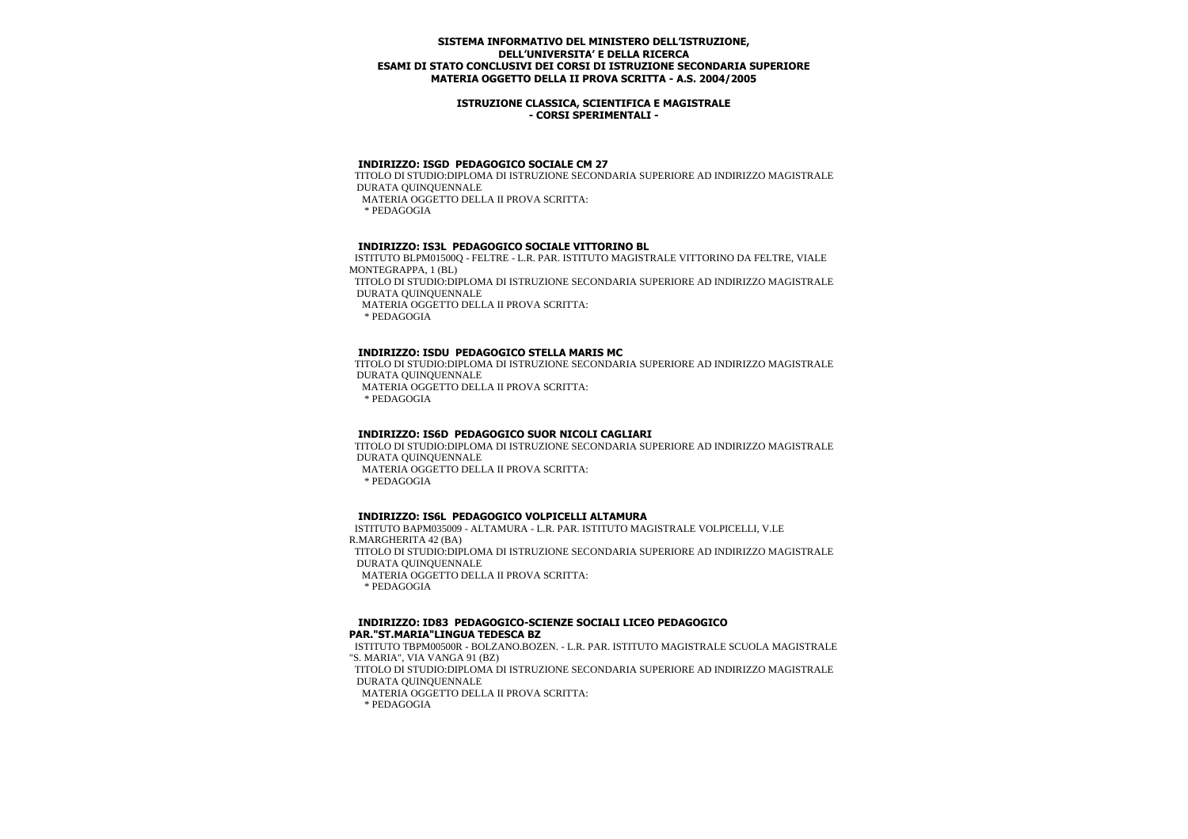### **ISTRUZIONE CLASSICA, SCIENTIFICA E MAGISTRALE - CORSI SPERIMENTALI -**

# **INDIRIZZO: ISGD PEDAGOGICO SOCIALE CM 27**

 TITOLO DI STUDIO:DIPLOMA DI ISTRUZIONE SECONDARIA SUPERIORE AD INDIRIZZO MAGISTRALE DURATA QUINQUENNALE MATERIA OGGETTO DELLA II PROVA SCRITTA: \* PEDAGOGIA

## **INDIRIZZO: IS3L PEDAGOGICO SOCIALE VITTORINO BL**

 ISTITUTO BLPM01500Q - FELTRE - L.R. PAR. ISTITUTO MAGISTRALE VITTORINO DA FELTRE, VIALE MONTEGRAPPA, 1 (BL) TITOLO DI STUDIO:DIPLOMA DI ISTRUZIONE SECONDARIA SUPERIORE AD INDIRIZZO MAGISTRALE DURATA QUINQUENNALE MATERIA OGGETTO DELLA II PROVA SCRITTA: \* PEDAGOGIA

## **INDIRIZZO: ISDU PEDAGOGICO STELLA MARIS MC**

 TITOLO DI STUDIO:DIPLOMA DI ISTRUZIONE SECONDARIA SUPERIORE AD INDIRIZZO MAGISTRALE DURATA QUINQUENNALE MATERIA OGGETTO DELLA II PROVA SCRITTA: \* PEDAGOGIA

# **INDIRIZZO: IS6D PEDAGOGICO SUOR NICOLI CAGLIARI**

 TITOLO DI STUDIO:DIPLOMA DI ISTRUZIONE SECONDARIA SUPERIORE AD INDIRIZZO MAGISTRALE DURATA QUINQUENNALE MATERIA OGGETTO DELLA II PROVA SCRITTA:

\* PEDAGOGIA

# **INDIRIZZO: IS6L PEDAGOGICO VOLPICELLI ALTAMURA**

 ISTITUTO BAPM035009 - ALTAMURA - L.R. PAR. ISTITUTO MAGISTRALE VOLPICELLI, V.LE R.MARGHERITA 42 (BA) TITOLO DI STUDIO:DIPLOMA DI ISTRUZIONE SECONDARIA SUPERIORE AD INDIRIZZO MAGISTRALE DURATA QUINQUENNALE MATERIA OGGETTO DELLA II PROVA SCRITTA: \* PEDAGOGIA

## **INDIRIZZO: ID83 PEDAGOGICO-SCIENZE SOCIALI LICEO PEDAGOGICO PAR."ST.MARIA"LINGUA TEDESCA BZ**

 ISTITUTO TBPM00500R - BOLZANO.BOZEN. - L.R. PAR. ISTITUTO MAGISTRALE SCUOLA MAGISTRALE "S. MARIA", VIA VANGA 91 (BZ) TITOLO DI STUDIO:DIPLOMA DI ISTRUZIONE SECONDARIA SUPERIORE AD INDIRIZZO MAGISTRALE DURATA QUINQUENNALE MATERIA OGGETTO DELLA II PROVA SCRITTA: \* PEDAGOGIA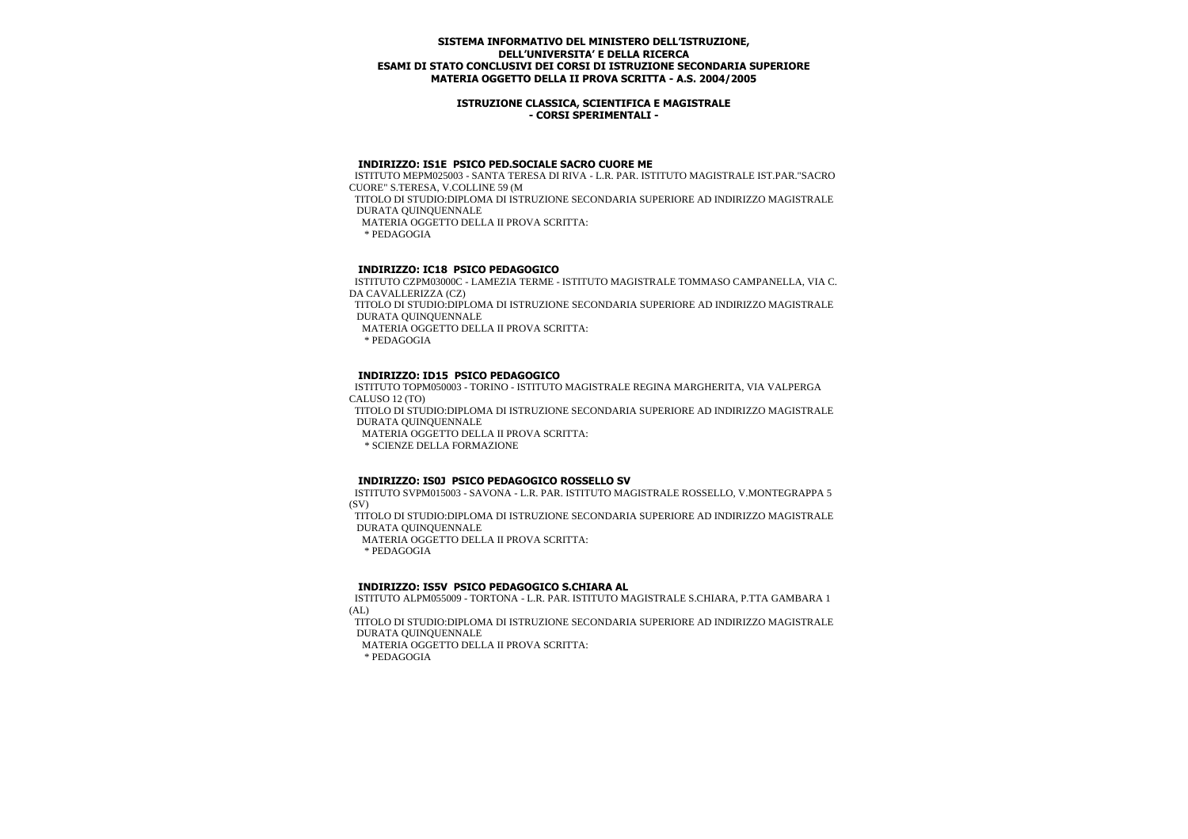### **ISTRUZIONE CLASSICA, SCIENTIFICA E MAGISTRALE - CORSI SPERIMENTALI -**

#### **INDIRIZZO: IS1E PSICO PED.SOCIALE SACRO CUORE ME**

 ISTITUTO MEPM025003 - SANTA TERESA DI RIVA - L.R. PAR. ISTITUTO MAGISTRALE IST.PAR."SACRO CUORE" S.TERESA, V.COLLINE 59 (M TITOLO DI STUDIO:DIPLOMA DI ISTRUZIONE SECONDARIA SUPERIORE AD INDIRIZZO MAGISTRALE DURATA QUINQUENNALE MATERIA OGGETTO DELLA II PROVA SCRITTA: \* PEDAGOGIA

## **INDIRIZZO: IC18 PSICO PEDAGOGICO**

 ISTITUTO CZPM03000C - LAMEZIA TERME - ISTITUTO MAGISTRALE TOMMASO CAMPANELLA, VIA C. DA CAVALLERIZZA (CZ) TITOLO DI STUDIO:DIPLOMA DI ISTRUZIONE SECONDARIA SUPERIORE AD INDIRIZZO MAGISTRALE DURATA QUINQUENNALE

MATERIA OGGETTO DELLA II PROVA SCRITTA:

\* PEDAGOGIA

### **INDIRIZZO: ID15 PSICO PEDAGOGICO**

 ISTITUTO TOPM050003 - TORINO - ISTITUTO MAGISTRALE REGINA MARGHERITA, VIA VALPERGA CALUSO 12 (TO)

 TITOLO DI STUDIO:DIPLOMA DI ISTRUZIONE SECONDARIA SUPERIORE AD INDIRIZZO MAGISTRALE DURATA QUINQUENNALE

MATERIA OGGETTO DELLA II PROVA SCRITTA:

\* SCIENZE DELLA FORMAZIONE

### **INDIRIZZO: IS0J PSICO PEDAGOGICO ROSSELLO SV**

 ISTITUTO SVPM015003 - SAVONA - L.R. PAR. ISTITUTO MAGISTRALE ROSSELLO, V.MONTEGRAPPA 5 (SV)

 TITOLO DI STUDIO:DIPLOMA DI ISTRUZIONE SECONDARIA SUPERIORE AD INDIRIZZO MAGISTRALE DURATA QUINQUENNALE

MATERIA OGGETTO DELLA II PROVA SCRITTA:

\* PEDAGOGIA

### **INDIRIZZO: IS5V PSICO PEDAGOGICO S.CHIARA AL**

 ISTITUTO ALPM055009 - TORTONA - L.R. PAR. ISTITUTO MAGISTRALE S.CHIARA, P.TTA GAMBARA 1 (AL)

 TITOLO DI STUDIO:DIPLOMA DI ISTRUZIONE SECONDARIA SUPERIORE AD INDIRIZZO MAGISTRALE DURATA QUINQUENNALE

MATERIA OGGETTO DELLA II PROVA SCRITTA: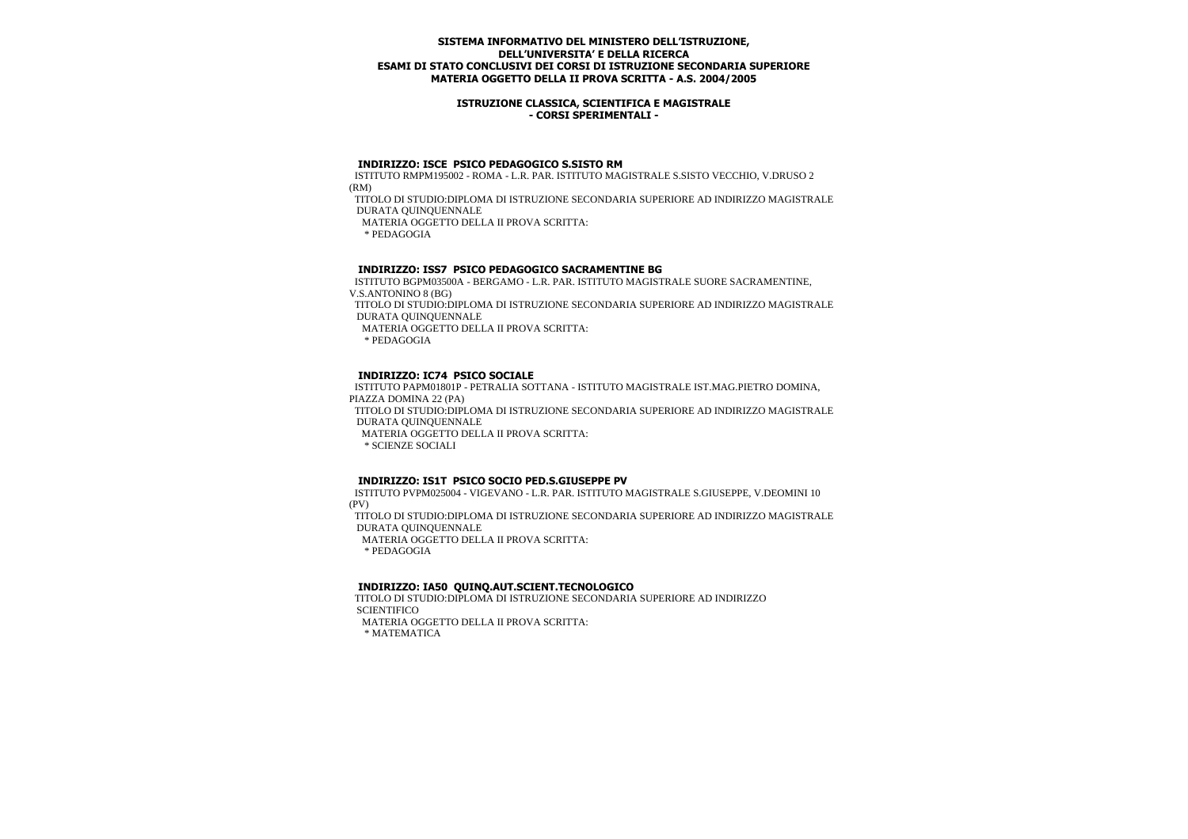### **ISTRUZIONE CLASSICA, SCIENTIFICA E MAGISTRALE - CORSI SPERIMENTALI -**

#### **INDIRIZZO: ISCE PSICO PEDAGOGICO S.SISTO RM**

 ISTITUTO RMPM195002 - ROMA - L.R. PAR. ISTITUTO MAGISTRALE S.SISTO VECCHIO, V.DRUSO 2 (RM)

 TITOLO DI STUDIO:DIPLOMA DI ISTRUZIONE SECONDARIA SUPERIORE AD INDIRIZZO MAGISTRALE DURATA QUINQUENNALE

MATERIA OGGETTO DELLA II PROVA SCRITTA:

\* PEDAGOGIA

## **INDIRIZZO: ISS7 PSICO PEDAGOGICO SACRAMENTINE BG**

 ISTITUTO BGPM03500A - BERGAMO - L.R. PAR. ISTITUTO MAGISTRALE SUORE SACRAMENTINE, V.S.ANTONINO 8 (BG)

 TITOLO DI STUDIO:DIPLOMA DI ISTRUZIONE SECONDARIA SUPERIORE AD INDIRIZZO MAGISTRALE DURATA QUINQUENNALE

MATERIA OGGETTO DELLA II PROVA SCRITTA:

\* PEDAGOGIA

## **INDIRIZZO: IC74 PSICO SOCIALE**

 ISTITUTO PAPM01801P - PETRALIA SOTTANA - ISTITUTO MAGISTRALE IST.MAG.PIETRO DOMINA, PIAZZA DOMINA 22 (PA) TITOLO DI STUDIO:DIPLOMA DI ISTRUZIONE SECONDARIA SUPERIORE AD INDIRIZZO MAGISTRALE DURATA QUINQUENNALE MATERIA OGGETTO DELLA II PROVA SCRITTA: \* SCIENZE SOCIALI

### **INDIRIZZO: IS1T PSICO SOCIO PED.S.GIUSEPPE PV**

 ISTITUTO PVPM025004 - VIGEVANO - L.R. PAR. ISTITUTO MAGISTRALE S.GIUSEPPE, V.DEOMINI 10 (PV)

 TITOLO DI STUDIO:DIPLOMA DI ISTRUZIONE SECONDARIA SUPERIORE AD INDIRIZZO MAGISTRALE DURATA QUINQUENNALE

MATERIA OGGETTO DELLA II PROVA SCRITTA:

\* PEDAGOGIA

### **INDIRIZZO: IA50 QUINQ.AUT.SCIENT.TECNOLOGICO**

 TITOLO DI STUDIO:DIPLOMA DI ISTRUZIONE SECONDARIA SUPERIORE AD INDIRIZZO **SCIENTIFICO** MATERIA OGGETTO DELLA II PROVA SCRITTA: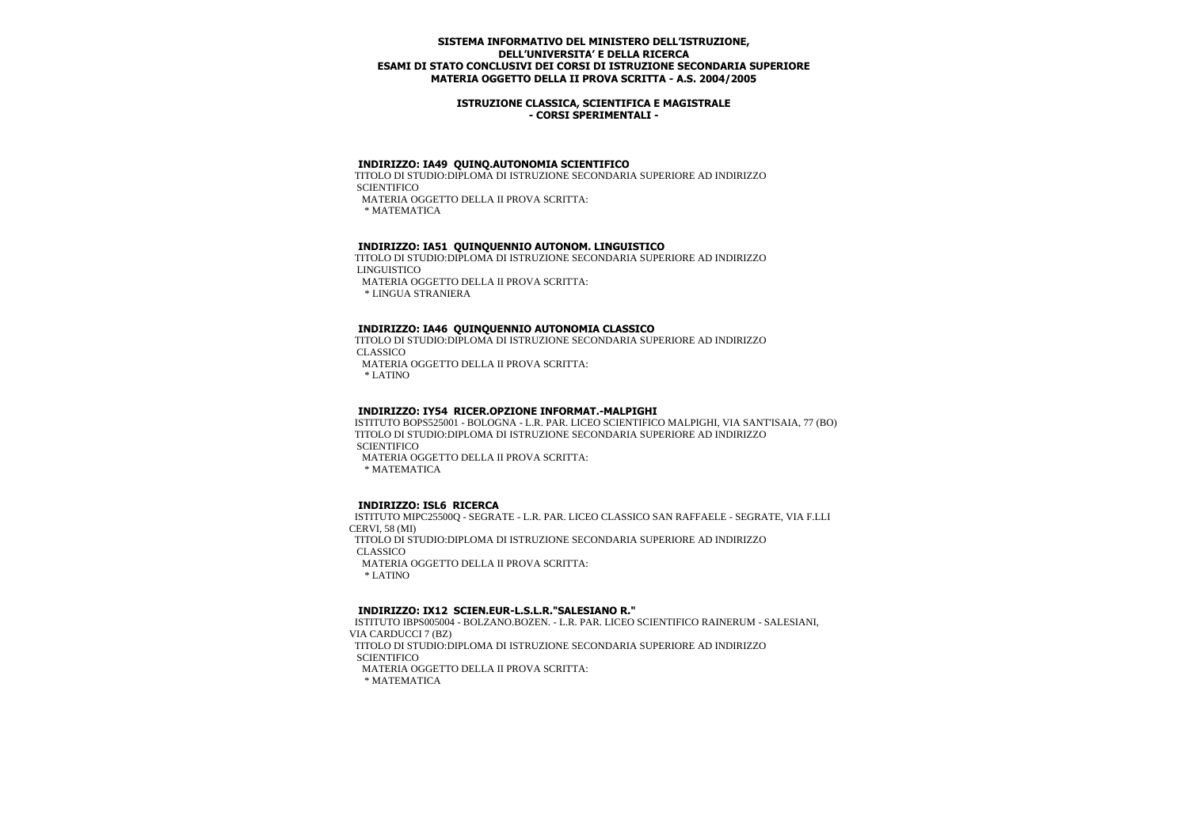### **ISTRUZIONE CLASSICA, SCIENTIFICA E MAGISTRALE - CORSI SPERIMENTALI -**

## **INDIRIZZO: IA49 QUINQ.AUTONOMIA SCIENTIFICO**

 TITOLO DI STUDIO:DIPLOMA DI ISTRUZIONE SECONDARIA SUPERIORE AD INDIRIZZO **SCIENTIFICO** MATERIA OGGETTO DELLA II PROVA SCRITTA:

\* MATEMATICA

### **INDIRIZZO: IA51 QUINQUENNIO AUTONOM. LINGUISTICO**

 TITOLO DI STUDIO:DIPLOMA DI ISTRUZIONE SECONDARIA SUPERIORE AD INDIRIZZO LINGUISTICO MATERIA OGGETTO DELLA II PROVA SCRITTA: \* LINGUA STRANIERA

#### **INDIRIZZO: IA46 QUINQUENNIO AUTONOMIA CLASSICO**

 TITOLO DI STUDIO:DIPLOMA DI ISTRUZIONE SECONDARIA SUPERIORE AD INDIRIZZO CLASSICO MATERIA OGGETTO DELLA II PROVA SCRITTA:

\* LATINO

#### **INDIRIZZO: IY54 RICER.OPZIONE INFORMAT.-MALPIGHI**

 ISTITUTO BOPS525001 - BOLOGNA - L.R. PAR. LICEO SCIENTIFICO MALPIGHI, VIA SANT'ISAIA, 77 (BO) TITOLO DI STUDIO:DIPLOMA DI ISTRUZIONE SECONDARIA SUPERIORE AD INDIRIZZO **SCIENTIFICO** MATERIA OGGETTO DELLA II PROVA SCRITTA:

\* MATEMATICA

#### **INDIRIZZO: ISL6 RICERCA**

 ISTITUTO MIPC25500Q - SEGRATE - L.R. PAR. LICEO CLASSICO SAN RAFFAELE - SEGRATE, VIA F.LLI CERVI, 58 (MI) TITOLO DI STUDIO:DIPLOMA DI ISTRUZIONE SECONDARIA SUPERIORE AD INDIRIZZO CLASSICO MATERIA OGGETTO DELLA II PROVA SCRITTA: \* LATINO

#### **INDIRIZZO: IX12 SCIEN.EUR-L.S.L.R."SALESIANO R."**

 ISTITUTO IBPS005004 - BOLZANO.BOZEN. - L.R. PAR. LICEO SCIENTIFICO RAINERUM - SALESIANI, VIA CARDUCCI 7 (BZ) TITOLO DI STUDIO:DIPLOMA DI ISTRUZIONE SECONDARIA SUPERIORE AD INDIRIZZO **SCIENTIFICO**  MATERIA OGGETTO DELLA II PROVA SCRITTA: \* MATEMATICA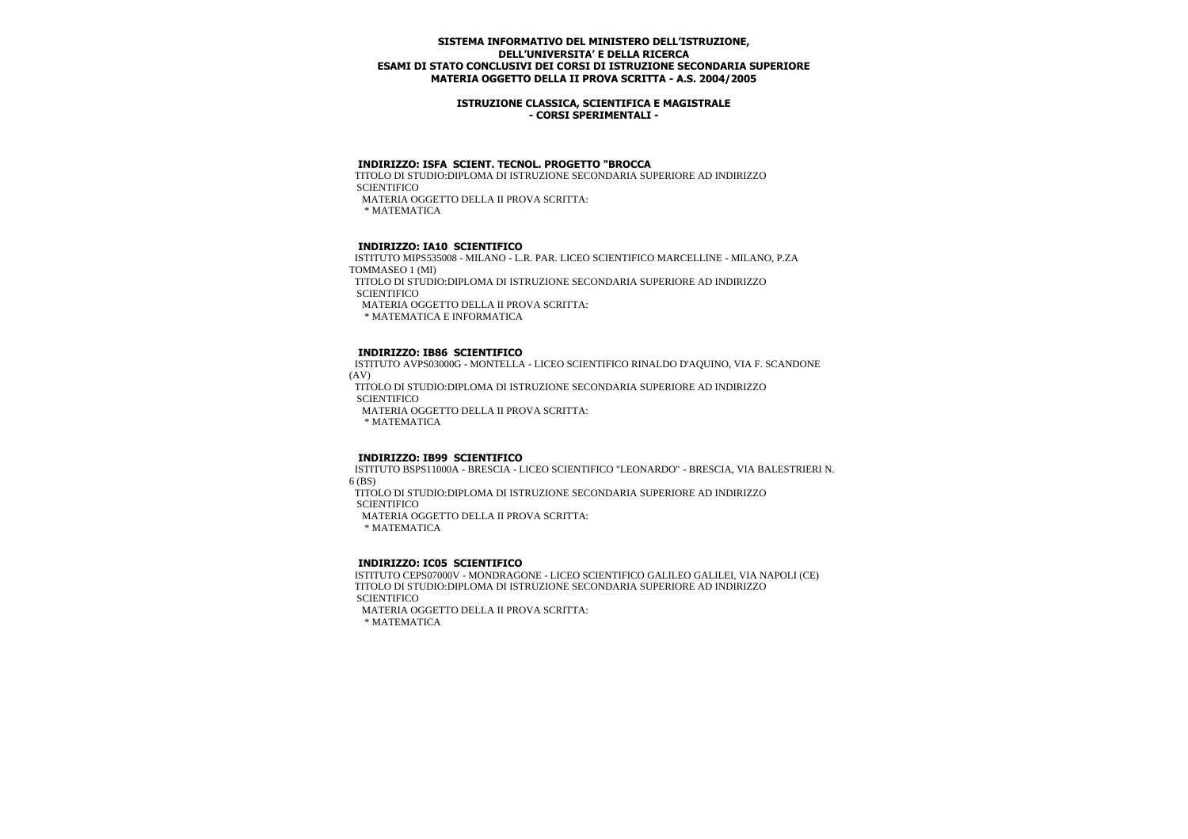### **ISTRUZIONE CLASSICA, SCIENTIFICA E MAGISTRALE - CORSI SPERIMENTALI -**

## **INDIRIZZO: ISFA SCIENT. TECNOL. PROGETTO "BROCCA**

 TITOLO DI STUDIO:DIPLOMA DI ISTRUZIONE SECONDARIA SUPERIORE AD INDIRIZZO **SCIENTIFICO** MATERIA OGGETTO DELLA II PROVA SCRITTA:

\* MATEMATICA

### **INDIRIZZO: IA10 SCIENTIFICO**

 ISTITUTO MIPS535008 - MILANO - L.R. PAR. LICEO SCIENTIFICO MARCELLINE - MILANO, P.ZA TOMMASEO 1 (MI) TITOLO DI STUDIO:DIPLOMA DI ISTRUZIONE SECONDARIA SUPERIORE AD INDIRIZZO **SCIENTIFICO**  MATERIA OGGETTO DELLA II PROVA SCRITTA: \* MATEMATICA E INFORMATICA

### **INDIRIZZO: IB86 SCIENTIFICO**

 ISTITUTO AVPS03000G - MONTELLA - LICEO SCIENTIFICO RINALDO D'AQUINO, VIA F. SCANDONE (AV)

 TITOLO DI STUDIO:DIPLOMA DI ISTRUZIONE SECONDARIA SUPERIORE AD INDIRIZZO **SCIENTIFICO** 

MATERIA OGGETTO DELLA II PROVA SCRITTA:

\* MATEMATICA

#### **INDIRIZZO: IB99 SCIENTIFICO**

 ISTITUTO BSPS11000A - BRESCIA - LICEO SCIENTIFICO "LEONARDO" - BRESCIA, VIA BALESTRIERI N. 6 (BS)

 TITOLO DI STUDIO:DIPLOMA DI ISTRUZIONE SECONDARIA SUPERIORE AD INDIRIZZO **SCIENTIFICO** 

MATERIA OGGETTO DELLA II PROVA SCRITTA:

\* MATEMATICA

### **INDIRIZZO: IC05 SCIENTIFICO**

 ISTITUTO CEPS07000V - MONDRAGONE - LICEO SCIENTIFICO GALILEO GALILEI, VIA NAPOLI (CE) TITOLO DI STUDIO:DIPLOMA DI ISTRUZIONE SECONDARIA SUPERIORE AD INDIRIZZO **SCIENTIFICO** 

MATERIA OGGETTO DELLA II PROVA SCRITTA: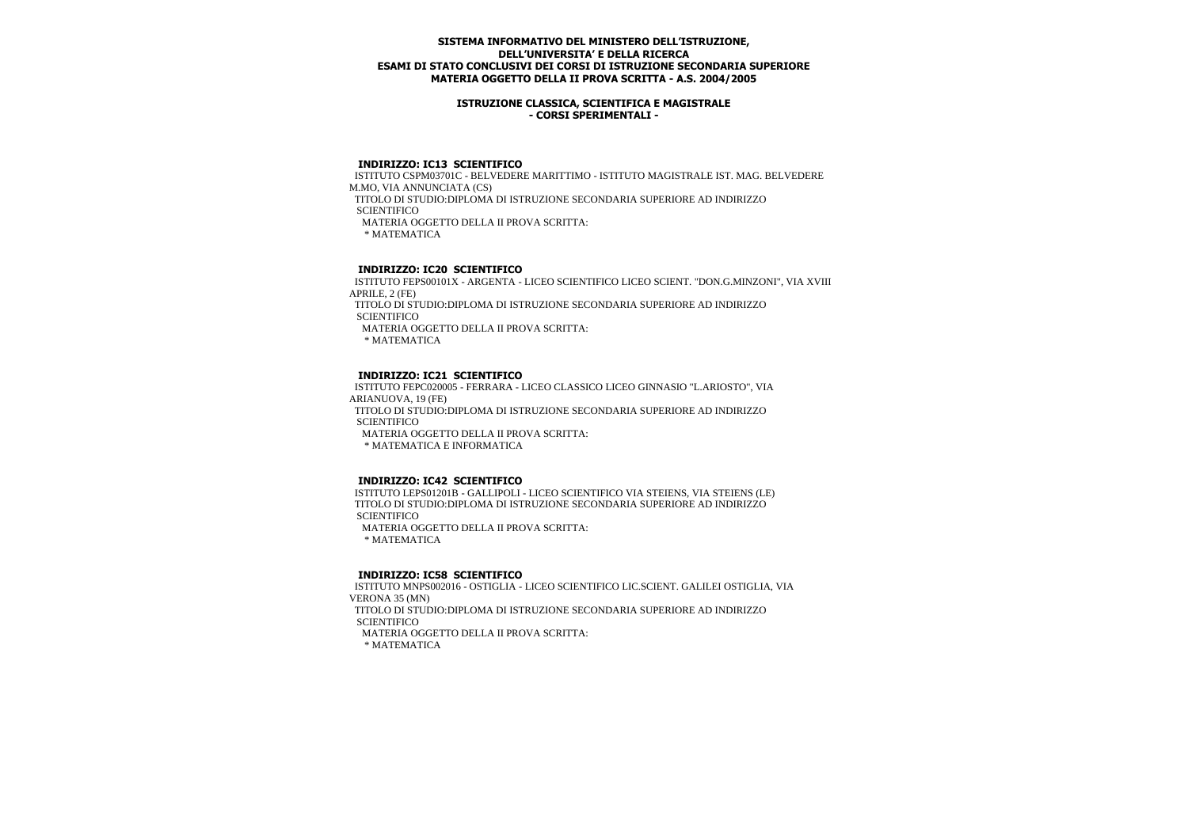### **ISTRUZIONE CLASSICA, SCIENTIFICA E MAGISTRALE - CORSI SPERIMENTALI -**

### **INDIRIZZO: IC13 SCIENTIFICO**

 ISTITUTO CSPM03701C - BELVEDERE MARITTIMO - ISTITUTO MAGISTRALE IST. MAG. BELVEDERE M.MO, VIA ANNUNCIATA (CS) TITOLO DI STUDIO:DIPLOMA DI ISTRUZIONE SECONDARIA SUPERIORE AD INDIRIZZO **SCIENTIFICO**  MATERIA OGGETTO DELLA II PROVA SCRITTA: \* MATEMATICA

# **INDIRIZZO: IC20 SCIENTIFICO**

 ISTITUTO FEPS00101X - ARGENTA - LICEO SCIENTIFICO LICEO SCIENT. "DON.G.MINZONI", VIA XVIII APRILE, 2 (FE)

 TITOLO DI STUDIO:DIPLOMA DI ISTRUZIONE SECONDARIA SUPERIORE AD INDIRIZZO **SCIENTIFICO** 

MATERIA OGGETTO DELLA II PROVA SCRITTA:

\* MATEMATICA

## **INDIRIZZO: IC21 SCIENTIFICO**

 ISTITUTO FEPC020005 - FERRARA - LICEO CLASSICO LICEO GINNASIO "L.ARIOSTO", VIA ARIANUOVA, 19 (FE) TITOLO DI STUDIO:DIPLOMA DI ISTRUZIONE SECONDARIA SUPERIORE AD INDIRIZZO **SCIENTIFICO**  MATERIA OGGETTO DELLA II PROVA SCRITTA: \* MATEMATICA E INFORMATICA

### **INDIRIZZO: IC42 SCIENTIFICO**

 ISTITUTO LEPS01201B - GALLIPOLI - LICEO SCIENTIFICO VIA STEIENS, VIA STEIENS (LE) TITOLO DI STUDIO:DIPLOMA DI ISTRUZIONE SECONDARIA SUPERIORE AD INDIRIZZO **SCIENTIFICO**  MATERIA OGGETTO DELLA II PROVA SCRITTA: \* MATEMATICA

## **INDIRIZZO: IC58 SCIENTIFICO**

 ISTITUTO MNPS002016 - OSTIGLIA - LICEO SCIENTIFICO LIC.SCIENT. GALILEI OSTIGLIA, VIA VERONA 35 (MN) TITOLO DI STUDIO:DIPLOMA DI ISTRUZIONE SECONDARIA SUPERIORE AD INDIRIZZO **SCIENTIFICO**  MATERIA OGGETTO DELLA II PROVA SCRITTA: \* MATEMATICA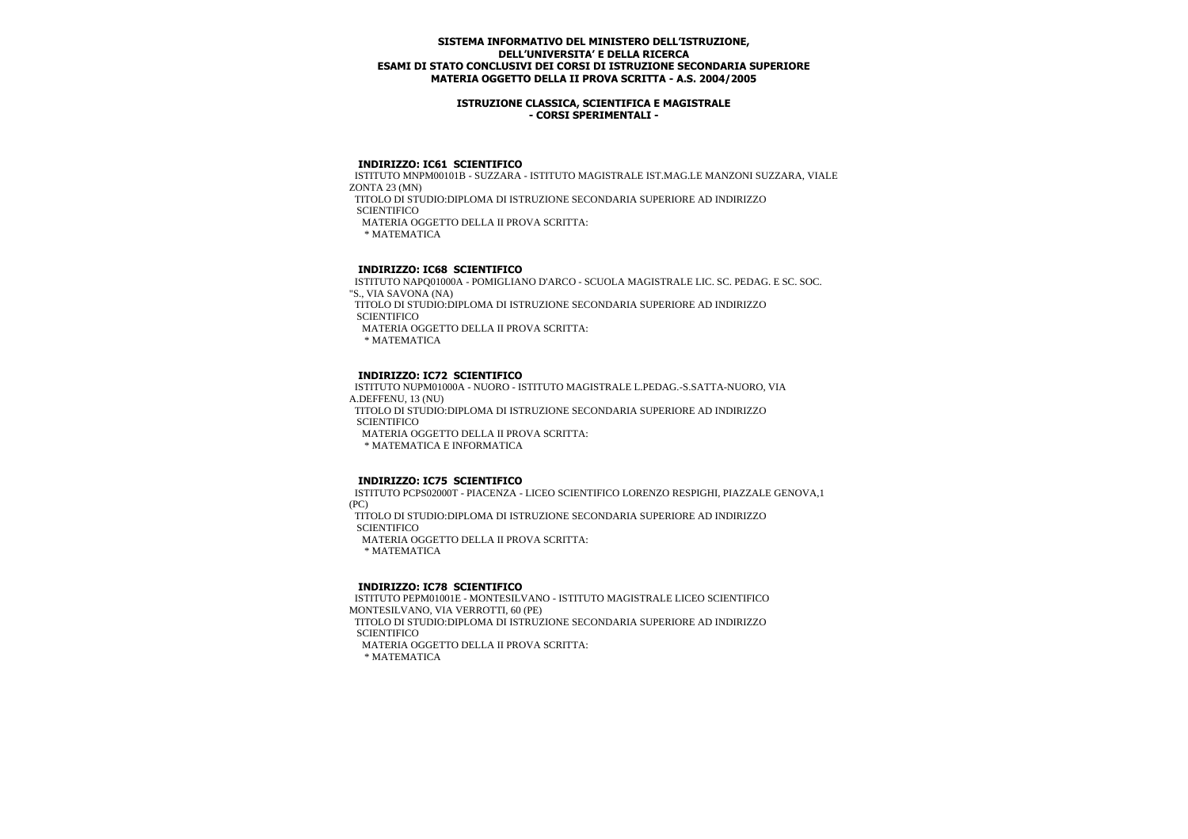### **ISTRUZIONE CLASSICA, SCIENTIFICA E MAGISTRALE - CORSI SPERIMENTALI -**

#### **INDIRIZZO: IC61 SCIENTIFICO**

 ISTITUTO MNPM00101B - SUZZARA - ISTITUTO MAGISTRALE IST.MAG.LE MANZONI SUZZARA, VIALE ZONTA 23 (MN) TITOLO DI STUDIO:DIPLOMA DI ISTRUZIONE SECONDARIA SUPERIORE AD INDIRIZZO

**SCIENTIFICO** 

MATERIA OGGETTO DELLA II PROVA SCRITTA:

\* MATEMATICA

## **INDIRIZZO: IC68 SCIENTIFICO**

 ISTITUTO NAPQ01000A - POMIGLIANO D'ARCO - SCUOLA MAGISTRALE LIC. SC. PEDAG. E SC. SOC. "S., VIA SAVONA (NA)

 TITOLO DI STUDIO:DIPLOMA DI ISTRUZIONE SECONDARIA SUPERIORE AD INDIRIZZO **SCIENTIFICO** 

MATERIA OGGETTO DELLA II PROVA SCRITTA:

\* MATEMATICA

## **INDIRIZZO: IC72 SCIENTIFICO**

 ISTITUTO NUPM01000A - NUORO - ISTITUTO MAGISTRALE L.PEDAG.-S.SATTA-NUORO, VIA A.DEFFENU, 13 (NU)

 TITOLO DI STUDIO:DIPLOMA DI ISTRUZIONE SECONDARIA SUPERIORE AD INDIRIZZO **SCIENTIFICO** 

MATERIA OGGETTO DELLA II PROVA SCRITTA:

\* MATEMATICA E INFORMATICA

### **INDIRIZZO: IC75 SCIENTIFICO**

 ISTITUTO PCPS02000T - PIACENZA - LICEO SCIENTIFICO LORENZO RESPIGHI, PIAZZALE GENOVA,1 (PC)

 TITOLO DI STUDIO:DIPLOMA DI ISTRUZIONE SECONDARIA SUPERIORE AD INDIRIZZO **SCIENTIFICO** 

MATERIA OGGETTO DELLA II PROVA SCRITTA:

\* MATEMATICA

#### **INDIRIZZO: IC78 SCIENTIFICO**

 ISTITUTO PEPM01001E - MONTESILVANO - ISTITUTO MAGISTRALE LICEO SCIENTIFICO MONTESILVANO, VIA VERROTTI, 60 (PE)

 TITOLO DI STUDIO:DIPLOMA DI ISTRUZIONE SECONDARIA SUPERIORE AD INDIRIZZO **SCIENTIFICO** 

MATERIA OGGETTO DELLA II PROVA SCRITTA: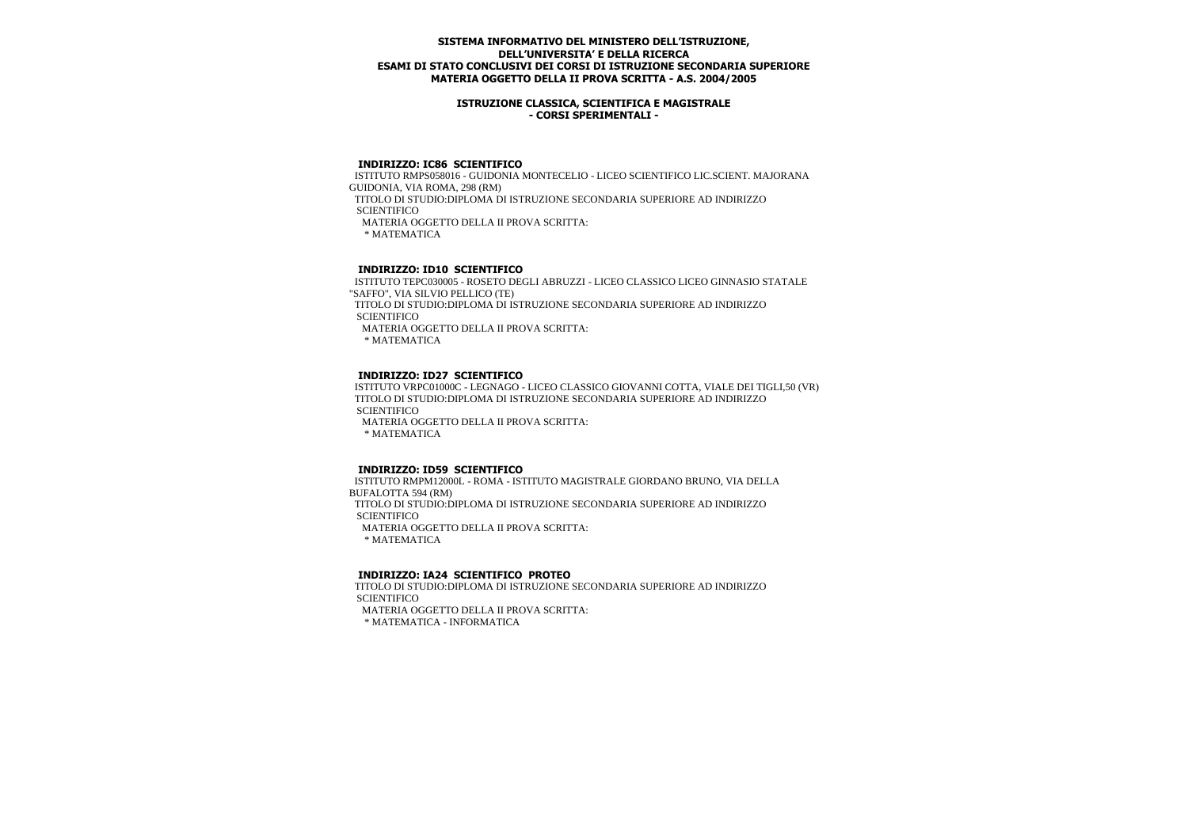### **ISTRUZIONE CLASSICA, SCIENTIFICA E MAGISTRALE - CORSI SPERIMENTALI -**

### **INDIRIZZO: IC86 SCIENTIFICO**

 ISTITUTO RMPS058016 - GUIDONIA MONTECELIO - LICEO SCIENTIFICO LIC.SCIENT. MAJORANA GUIDONIA, VIA ROMA, 298 (RM) TITOLO DI STUDIO:DIPLOMA DI ISTRUZIONE SECONDARIA SUPERIORE AD INDIRIZZO **SCIENTIFICO**  MATERIA OGGETTO DELLA II PROVA SCRITTA: \* MATEMATICA

# **INDIRIZZO: ID10 SCIENTIFICO**

 ISTITUTO TEPC030005 - ROSETO DEGLI ABRUZZI - LICEO CLASSICO LICEO GINNASIO STATALE "SAFFO", VIA SILVIO PELLICO (TE) TITOLO DI STUDIO:DIPLOMA DI ISTRUZIONE SECONDARIA SUPERIORE AD INDIRIZZO **SCIENTIFICO**  MATERIA OGGETTO DELLA II PROVA SCRITTA: \* MATEMATICA

## **INDIRIZZO: ID27 SCIENTIFICO**

 ISTITUTO VRPC01000C - LEGNAGO - LICEO CLASSICO GIOVANNI COTTA, VIALE DEI TIGLI,50 (VR) TITOLO DI STUDIO:DIPLOMA DI ISTRUZIONE SECONDARIA SUPERIORE AD INDIRIZZO **SCIENTIFICO**  MATERIA OGGETTO DELLA II PROVA SCRITTA: \* MATEMATICA

### **INDIRIZZO: ID59 SCIENTIFICO**

 ISTITUTO RMPM12000L - ROMA - ISTITUTO MAGISTRALE GIORDANO BRUNO, VIA DELLA BUFALOTTA 594 (RM) TITOLO DI STUDIO:DIPLOMA DI ISTRUZIONE SECONDARIA SUPERIORE AD INDIRIZZO **SCIENTIFICO**  MATERIA OGGETTO DELLA II PROVA SCRITTA: \* MATEMATICA

# **INDIRIZZO: IA24 SCIENTIFICO PROTEO**

 TITOLO DI STUDIO:DIPLOMA DI ISTRUZIONE SECONDARIA SUPERIORE AD INDIRIZZO **SCIENTIFICO** MATERIA OGGETTO DELLA II PROVA SCRITTA:

\* MATEMATICA - INFORMATICA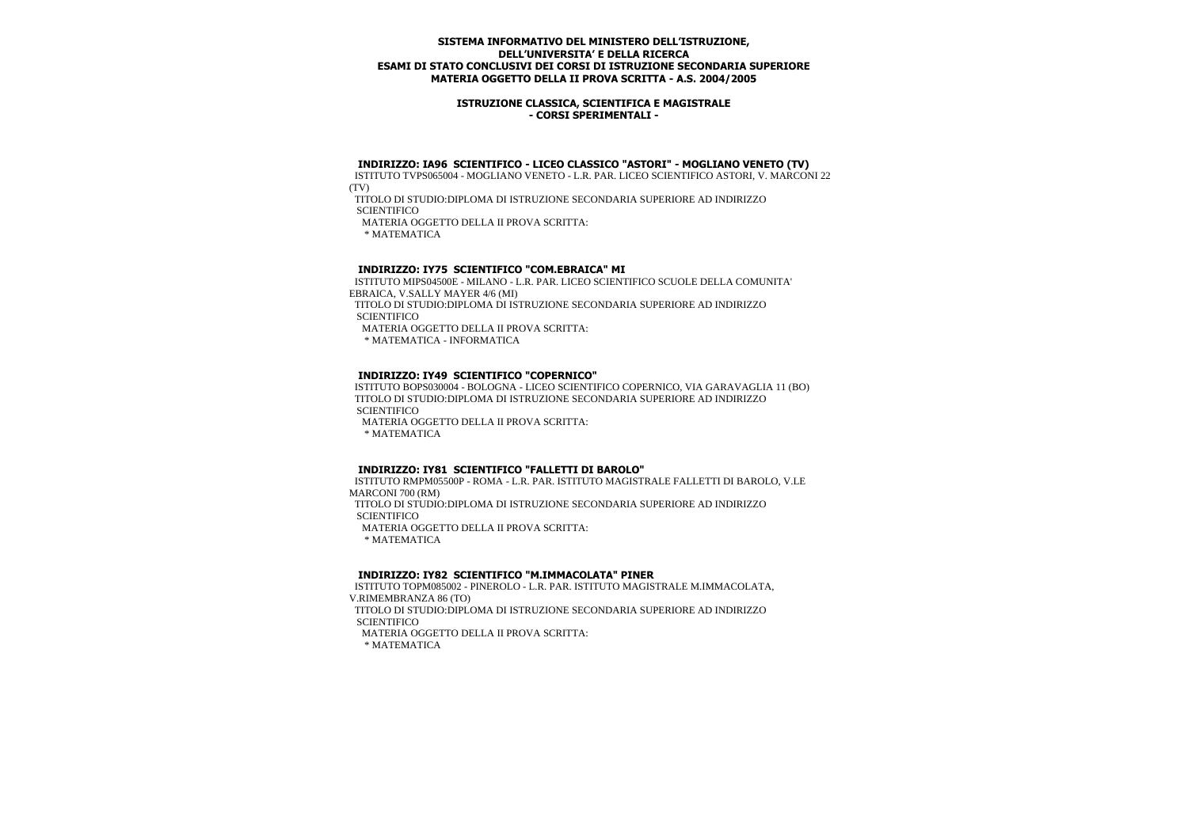### **ISTRUZIONE CLASSICA, SCIENTIFICA E MAGISTRALE - CORSI SPERIMENTALI -**

### **INDIRIZZO: IA96 SCIENTIFICO - LICEO CLASSICO "ASTORI" - MOGLIANO VENETO (TV)**

 ISTITUTO TVPS065004 - MOGLIANO VENETO - L.R. PAR. LICEO SCIENTIFICO ASTORI, V. MARCONI 22 (TV)

 TITOLO DI STUDIO:DIPLOMA DI ISTRUZIONE SECONDARIA SUPERIORE AD INDIRIZZO **SCIENTIFICO** 

MATERIA OGGETTO DELLA II PROVA SCRITTA:

\* MATEMATICA

## **INDIRIZZO: IY75 SCIENTIFICO "COM.EBRAICA" MI**

 ISTITUTO MIPS04500E - MILANO - L.R. PAR. LICEO SCIENTIFICO SCUOLE DELLA COMUNITA' EBRAICA, V.SALLY MAYER 4/6 (MI)

 TITOLO DI STUDIO:DIPLOMA DI ISTRUZIONE SECONDARIA SUPERIORE AD INDIRIZZO **SCIENTIFICO** 

MATERIA OGGETTO DELLA II PROVA SCRITTA:

\* MATEMATICA - INFORMATICA

## **INDIRIZZO: IY49 SCIENTIFICO "COPERNICO"**

 ISTITUTO BOPS030004 - BOLOGNA - LICEO SCIENTIFICO COPERNICO, VIA GARAVAGLIA 11 (BO) TITOLO DI STUDIO:DIPLOMA DI ISTRUZIONE SECONDARIA SUPERIORE AD INDIRIZZO **SCIENTIFICO** 

MATERIA OGGETTO DELLA II PROVA SCRITTA:

\* MATEMATICA

### **INDIRIZZO: IY81 SCIENTIFICO "FALLETTI DI BAROLO"**

 ISTITUTO RMPM05500P - ROMA - L.R. PAR. ISTITUTO MAGISTRALE FALLETTI DI BAROLO, V.LE MARCONI 700 (RM) TITOLO DI STUDIO:DIPLOMA DI ISTRUZIONE SECONDARIA SUPERIORE AD INDIRIZZO **SCIENTIFICO**  MATERIA OGGETTO DELLA II PROVA SCRITTA: \* MATEMATICA

### **INDIRIZZO: IY82 SCIENTIFICO "M.IMMACOLATA" PINER**

 ISTITUTO TOPM085002 - PINEROLO - L.R. PAR. ISTITUTO MAGISTRALE M.IMMACOLATA, V.RIMEMBRANZA 86 (TO) TITOLO DI STUDIO:DIPLOMA DI ISTRUZIONE SECONDARIA SUPERIORE AD INDIRIZZO **SCIENTIFICO**  MATERIA OGGETTO DELLA II PROVA SCRITTA: \* MATEMATICA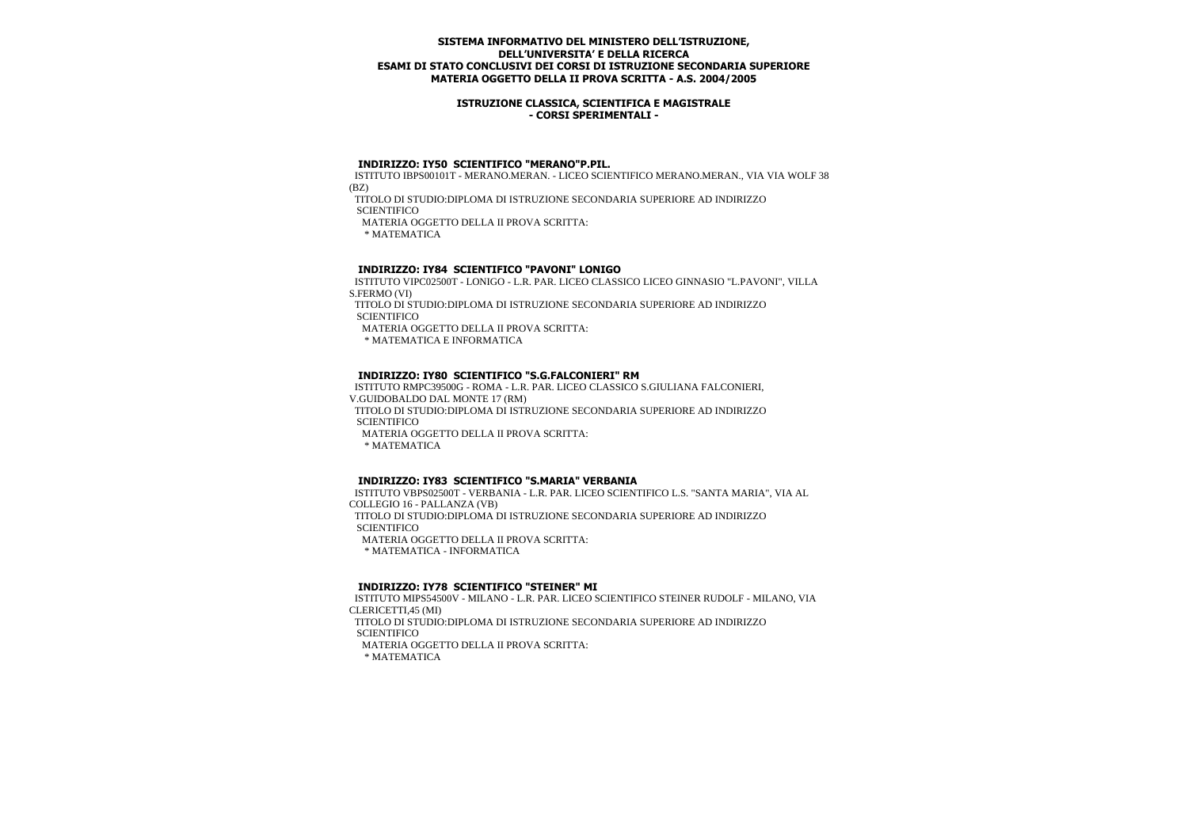### **ISTRUZIONE CLASSICA, SCIENTIFICA E MAGISTRALE - CORSI SPERIMENTALI -**

## **INDIRIZZO: IY50 SCIENTIFICO "MERANO"P.PIL.**

 ISTITUTO IBPS00101T - MERANO.MERAN. - LICEO SCIENTIFICO MERANO.MERAN., VIA VIA WOLF 38 (BZ)

TITOLO DI STUDIO:DIPLOMA DI ISTRUZIONE SECONDARIA SUPERIORE AD INDIRIZZO

**SCIENTIFICO** 

MATERIA OGGETTO DELLA II PROVA SCRITTA:

\* MATEMATICA

## **INDIRIZZO: IY84 SCIENTIFICO "PAVONI" LONIGO**

 ISTITUTO VIPC02500T - LONIGO - L.R. PAR. LICEO CLASSICO LICEO GINNASIO "L.PAVONI", VILLA S.FERMO (VI)

 TITOLO DI STUDIO:DIPLOMA DI ISTRUZIONE SECONDARIA SUPERIORE AD INDIRIZZO **SCIENTIFICO** 

MATERIA OGGETTO DELLA II PROVA SCRITTA:

\* MATEMATICA E INFORMATICA

## **INDIRIZZO: IY80 SCIENTIFICO "S.G.FALCONIERI" RM**

 ISTITUTO RMPC39500G - ROMA - L.R. PAR. LICEO CLASSICO S.GIULIANA FALCONIERI, V.GUIDOBALDO DAL MONTE 17 (RM)

 TITOLO DI STUDIO:DIPLOMA DI ISTRUZIONE SECONDARIA SUPERIORE AD INDIRIZZO **SCIENTIFICO** 

MATERIA OGGETTO DELLA II PROVA SCRITTA:

\* MATEMATICA

### **INDIRIZZO: IY83 SCIENTIFICO "S.MARIA" VERBANIA**

 ISTITUTO VBPS02500T - VERBANIA - L.R. PAR. LICEO SCIENTIFICO L.S. "SANTA MARIA", VIA AL COLLEGIO 16 - PALLANZA (VB) TITOLO DI STUDIO:DIPLOMA DI ISTRUZIONE SECONDARIA SUPERIORE AD INDIRIZZO **SCIENTIFICO**  MATERIA OGGETTO DELLA II PROVA SCRITTA: \* MATEMATICA - INFORMATICA

### **INDIRIZZO: IY78 SCIENTIFICO "STEINER" MI**

 ISTITUTO MIPS54500V - MILANO - L.R. PAR. LICEO SCIENTIFICO STEINER RUDOLF - MILANO, VIA CLERICETTI,45 (MI) TITOLO DI STUDIO:DIPLOMA DI ISTRUZIONE SECONDARIA SUPERIORE AD INDIRIZZO **SCIENTIFICO** MATERIA OGGETTO DELLA II PROVA SCRITTA: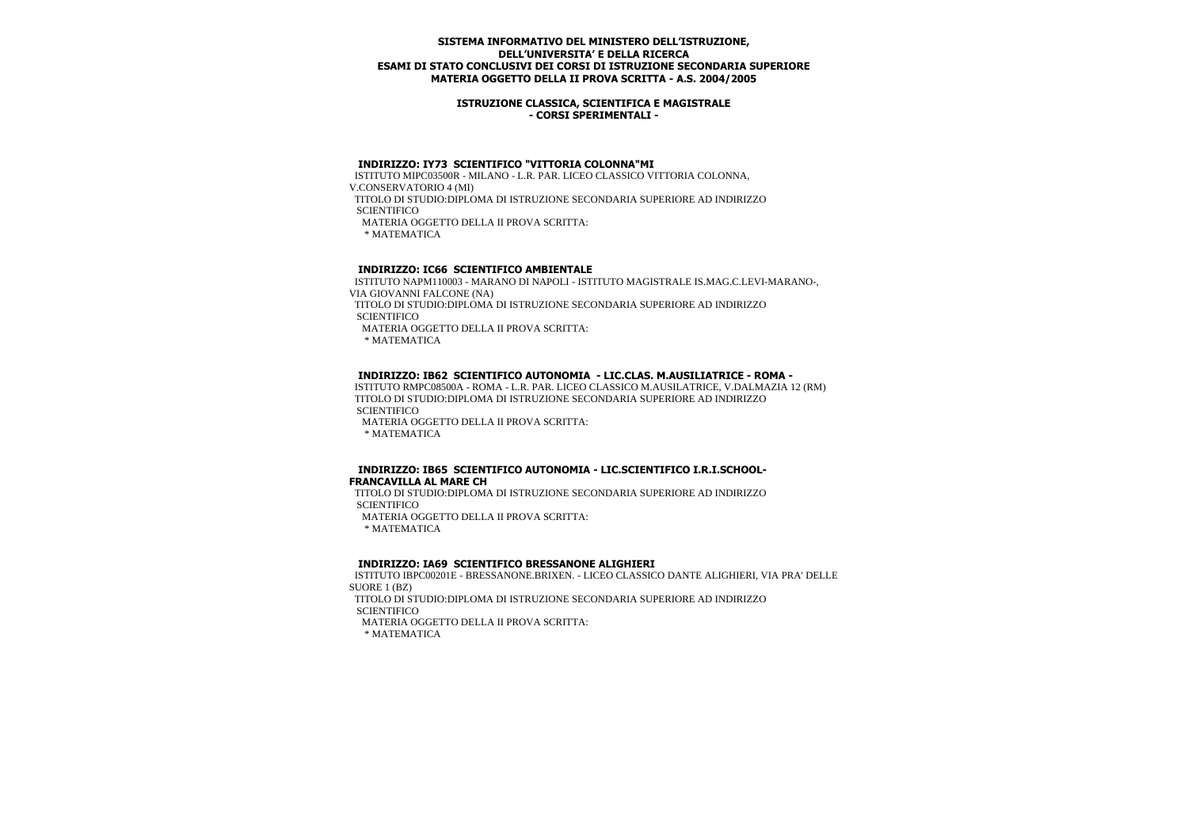### **ISTRUZIONE CLASSICA, SCIENTIFICA E MAGISTRALE - CORSI SPERIMENTALI -**

## **INDIRIZZO: IY73 SCIENTIFICO "VITTORIA COLONNA"MI**

 ISTITUTO MIPC03500R - MILANO - L.R. PAR. LICEO CLASSICO VITTORIA COLONNA, V.CONSERVATORIO 4 (MI) TITOLO DI STUDIO:DIPLOMA DI ISTRUZIONE SECONDARIA SUPERIORE AD INDIRIZZO **SCIENTIFICO**  MATERIA OGGETTO DELLA II PROVA SCRITTA: \* MATEMATICA

## **INDIRIZZO: IC66 SCIENTIFICO AMBIENTALE**

 ISTITUTO NAPM110003 - MARANO DI NAPOLI - ISTITUTO MAGISTRALE IS.MAG.C.LEVI-MARANO-, VIA GIOVANNI FALCONE (NA)

 TITOLO DI STUDIO:DIPLOMA DI ISTRUZIONE SECONDARIA SUPERIORE AD INDIRIZZO **SCIENTIFICO** 

MATERIA OGGETTO DELLA II PROVA SCRITTA:

\* MATEMATICA

### **INDIRIZZO: IB62 SCIENTIFICO AUTONOMIA - LIC.CLAS. M.AUSILIATRICE - ROMA -**

 ISTITUTO RMPC08500A - ROMA - L.R. PAR. LICEO CLASSICO M.AUSILATRICE, V.DALMAZIA 12 (RM) TITOLO DI STUDIO:DIPLOMA DI ISTRUZIONE SECONDARIA SUPERIORE AD INDIRIZZO **SCIENTIFICO** 

 MATERIA OGGETTO DELLA II PROVA SCRITTA: \* MATEMATICA

#### **INDIRIZZO: IB65 SCIENTIFICO AUTONOMIA - LIC.SCIENTIFICO I.R.I.SCHOOL-FRANCAVILLA AL MARE CH**

 TITOLO DI STUDIO:DIPLOMA DI ISTRUZIONE SECONDARIA SUPERIORE AD INDIRIZZO **SCIENTIFICO** MATERIA OGGETTO DELLA II PROVA SCRITTA:

\* MATEMATICA

 **INDIRIZZO: IA69 SCIENTIFICO BRESSANONE ALIGHIERI**

 ISTITUTO IBPC00201E - BRESSANONE.BRIXEN. - LICEO CLASSICO DANTE ALIGHIERI, VIA PRA' DELLE SUORE 1 (BZ) TITOLO DI STUDIO:DIPLOMA DI ISTRUZIONE SECONDARIA SUPERIORE AD INDIRIZZO

**SCIENTIFICO** 

MATERIA OGGETTO DELLA II PROVA SCRITTA: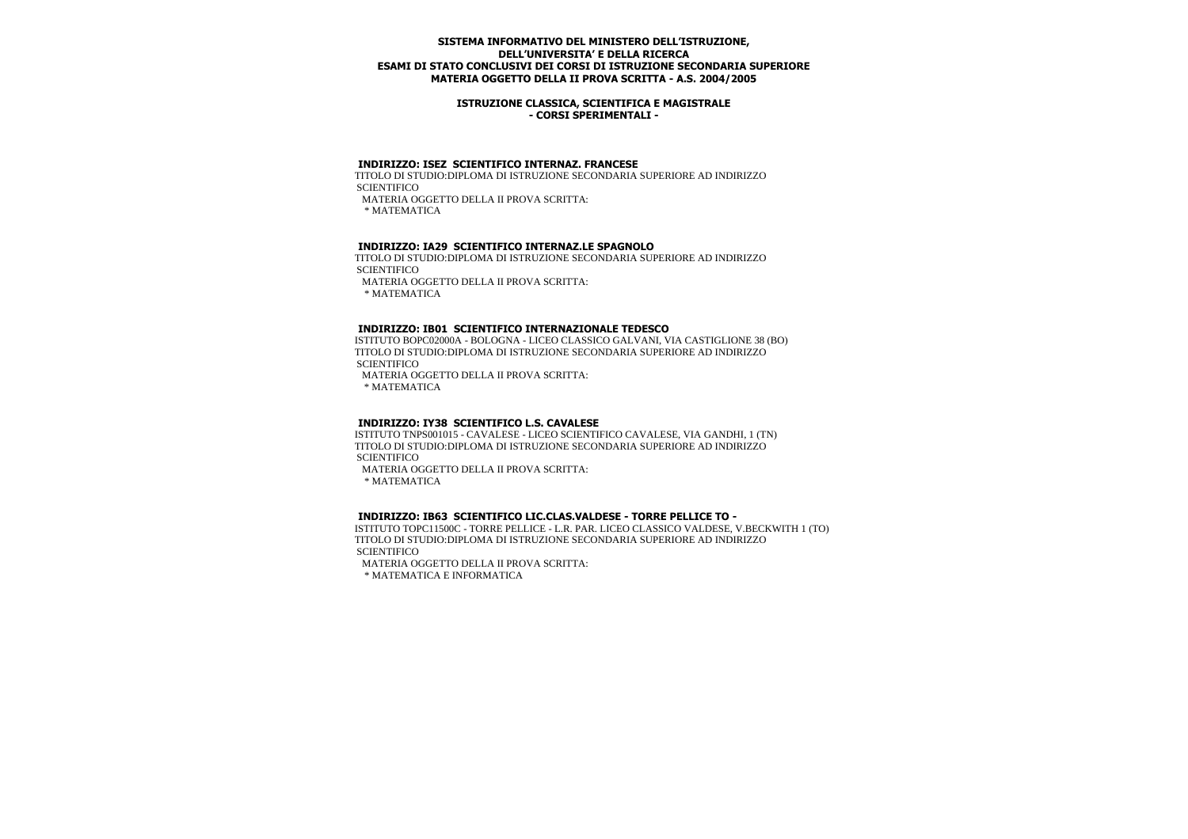### **ISTRUZIONE CLASSICA, SCIENTIFICA E MAGISTRALE - CORSI SPERIMENTALI -**

#### **INDIRIZZO: ISEZ SCIENTIFICO INTERNAZ. FRANCESE**

 TITOLO DI STUDIO:DIPLOMA DI ISTRUZIONE SECONDARIA SUPERIORE AD INDIRIZZO **SCIENTIFICO** 

MATERIA OGGETTO DELLA II PROVA SCRITTA:

\* MATEMATICA

### **INDIRIZZO: IA29 SCIENTIFICO INTERNAZ.LE SPAGNOLO**

 TITOLO DI STUDIO:DIPLOMA DI ISTRUZIONE SECONDARIA SUPERIORE AD INDIRIZZO **SCIENTIFICO** 

MATERIA OGGETTO DELLA II PROVA SCRITTA:

\* MATEMATICA

#### **INDIRIZZO: IB01 SCIENTIFICO INTERNAZIONALE TEDESCO**

 ISTITUTO BOPC02000A - BOLOGNA - LICEO CLASSICO GALVANI, VIA CASTIGLIONE 38 (BO) TITOLO DI STUDIO:DIPLOMA DI ISTRUZIONE SECONDARIA SUPERIORE AD INDIRIZZO **SCIENTIFICO** 

MATERIA OGGETTO DELLA II PROVA SCRITTA:

\* MATEMATICA

### **INDIRIZZO: IY38 SCIENTIFICO L.S. CAVALESE**

 ISTITUTO TNPS001015 - CAVALESE - LICEO SCIENTIFICO CAVALESE, VIA GANDHI, 1 (TN) TITOLO DI STUDIO:DIPLOMA DI ISTRUZIONE SECONDARIA SUPERIORE AD INDIRIZZO **SCIENTIFICO** 

MATERIA OGGETTO DELLA II PROVA SCRITTA:

\* MATEMATICA

### **INDIRIZZO: IB63 SCIENTIFICO LIC.CLAS.VALDESE - TORRE PELLICE TO -**

 ISTITUTO TOPC11500C - TORRE PELLICE - L.R. PAR. LICEO CLASSICO VALDESE, V.BECKWITH 1 (TO) TITOLO DI STUDIO:DIPLOMA DI ISTRUZIONE SECONDARIA SUPERIORE AD INDIRIZZO **SCIENTIFICO** 

MATERIA OGGETTO DELLA II PROVA SCRITTA:

\* MATEMATICA E INFORMATICA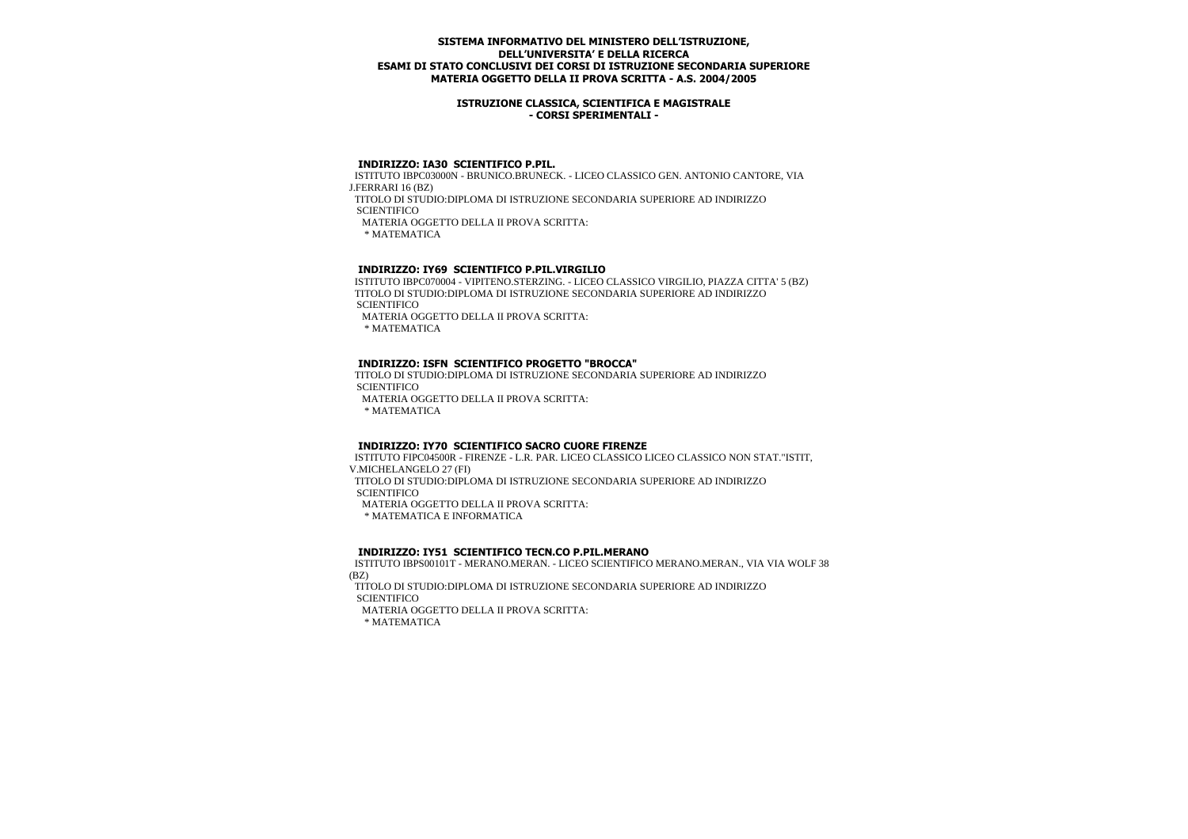### **ISTRUZIONE CLASSICA, SCIENTIFICA E MAGISTRALE - CORSI SPERIMENTALI -**

### **INDIRIZZO: IA30 SCIENTIFICO P.PIL.**

 ISTITUTO IBPC03000N - BRUNICO.BRUNECK. - LICEO CLASSICO GEN. ANTONIO CANTORE, VIA J.FERRARI 16 (BZ)

 TITOLO DI STUDIO:DIPLOMA DI ISTRUZIONE SECONDARIA SUPERIORE AD INDIRIZZO **SCIENTIFICO** 

MATERIA OGGETTO DELLA II PROVA SCRITTA:

\* MATEMATICA

# **INDIRIZZO: IY69 SCIENTIFICO P.PIL.VIRGILIO**

 ISTITUTO IBPC070004 - VIPITENO.STERZING. - LICEO CLASSICO VIRGILIO, PIAZZA CITTA' 5 (BZ) TITOLO DI STUDIO:DIPLOMA DI ISTRUZIONE SECONDARIA SUPERIORE AD INDIRIZZO **SCIENTIFICO** 

MATERIA OGGETTO DELLA II PROVA SCRITTA:

\* MATEMATICA

## **INDIRIZZO: ISFN SCIENTIFICO PROGETTO "BROCCA"**

 TITOLO DI STUDIO:DIPLOMA DI ISTRUZIONE SECONDARIA SUPERIORE AD INDIRIZZO **SCIENTIFICO** 

MATERIA OGGETTO DELLA II PROVA SCRITTA:

\* MATEMATICA

### **INDIRIZZO: IY70 SCIENTIFICO SACRO CUORE FIRENZE**

 ISTITUTO FIPC04500R - FIRENZE - L.R. PAR. LICEO CLASSICO LICEO CLASSICO NON STAT."ISTIT, V.MICHELANGELO 27 (FI)

 TITOLO DI STUDIO:DIPLOMA DI ISTRUZIONE SECONDARIA SUPERIORE AD INDIRIZZO **SCIENTIFICO** 

MATERIA OGGETTO DELLA II PROVA SCRITTA:

\* MATEMATICA E INFORMATICA

### **INDIRIZZO: IY51 SCIENTIFICO TECN.CO P.PIL.MERANO**

 ISTITUTO IBPS00101T - MERANO.MERAN. - LICEO SCIENTIFICO MERANO.MERAN., VIA VIA WOLF 38 (BZ)

 TITOLO DI STUDIO:DIPLOMA DI ISTRUZIONE SECONDARIA SUPERIORE AD INDIRIZZO **SCIENTIFICO** 

MATERIA OGGETTO DELLA II PROVA SCRITTA: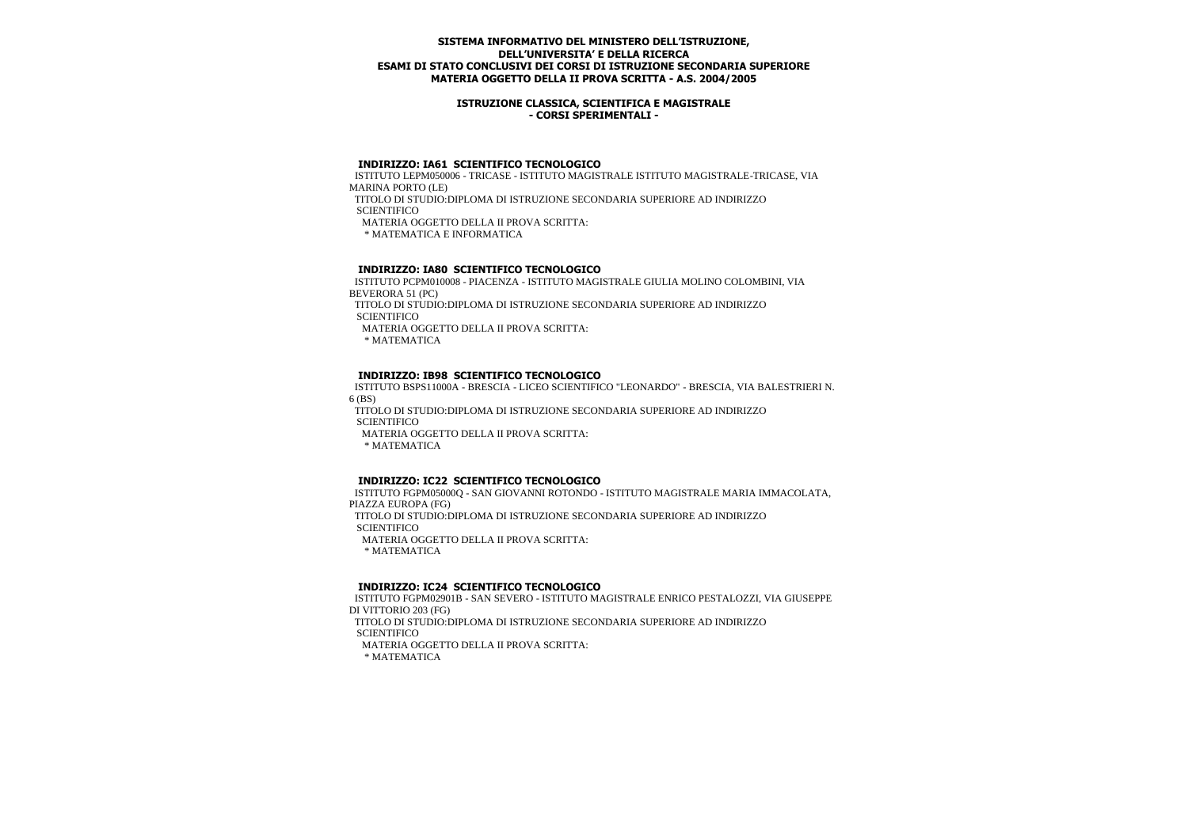### **ISTRUZIONE CLASSICA, SCIENTIFICA E MAGISTRALE - CORSI SPERIMENTALI -**

### **INDIRIZZO: IA61 SCIENTIFICO TECNOLOGICO**

 ISTITUTO LEPM050006 - TRICASE - ISTITUTO MAGISTRALE ISTITUTO MAGISTRALE-TRICASE, VIA MARINA PORTO (LE)

 TITOLO DI STUDIO:DIPLOMA DI ISTRUZIONE SECONDARIA SUPERIORE AD INDIRIZZO **SCIENTIFICO** 

MATERIA OGGETTO DELLA II PROVA SCRITTA:

\* MATEMATICA E INFORMATICA

## **INDIRIZZO: IA80 SCIENTIFICO TECNOLOGICO**

 ISTITUTO PCPM010008 - PIACENZA - ISTITUTO MAGISTRALE GIULIA MOLINO COLOMBINI, VIA BEVERORA 51 (PC)

 TITOLO DI STUDIO:DIPLOMA DI ISTRUZIONE SECONDARIA SUPERIORE AD INDIRIZZO **SCIENTIFICO** 

MATERIA OGGETTO DELLA II PROVA SCRITTA:

\* MATEMATICA

## **INDIRIZZO: IB98 SCIENTIFICO TECNOLOGICO**

 ISTITUTO BSPS11000A - BRESCIA - LICEO SCIENTIFICO "LEONARDO" - BRESCIA, VIA BALESTRIERI N. 6 (BS)

 TITOLO DI STUDIO:DIPLOMA DI ISTRUZIONE SECONDARIA SUPERIORE AD INDIRIZZO **SCIENTIFICO** 

MATERIA OGGETTO DELLA II PROVA SCRITTA:

\* MATEMATICA

### **INDIRIZZO: IC22 SCIENTIFICO TECNOLOGICO**

 ISTITUTO FGPM05000Q - SAN GIOVANNI ROTONDO - ISTITUTO MAGISTRALE MARIA IMMACOLATA, PIAZZA EUROPA (FG) TITOLO DI STUDIO:DIPLOMA DI ISTRUZIONE SECONDARIA SUPERIORE AD INDIRIZZO **SCIENTIFICO**  MATERIA OGGETTO DELLA II PROVA SCRITTA: \* MATEMATICA

### **INDIRIZZO: IC24 SCIENTIFICO TECNOLOGICO**

 ISTITUTO FGPM02901B - SAN SEVERO - ISTITUTO MAGISTRALE ENRICO PESTALOZZI, VIA GIUSEPPE DI VITTORIO 203 (FG)

 TITOLO DI STUDIO:DIPLOMA DI ISTRUZIONE SECONDARIA SUPERIORE AD INDIRIZZO **SCIENTIFICO** 

MATERIA OGGETTO DELLA II PROVA SCRITTA: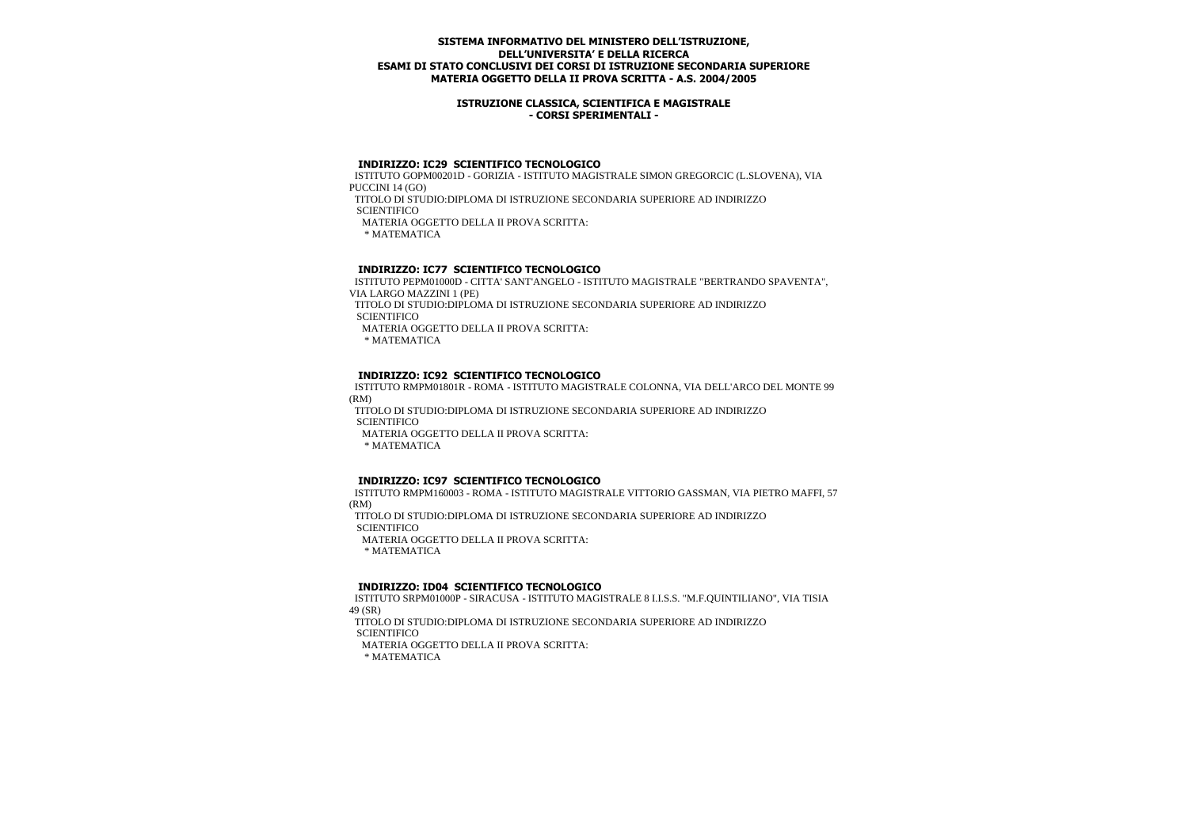### **ISTRUZIONE CLASSICA, SCIENTIFICA E MAGISTRALE - CORSI SPERIMENTALI -**

### **INDIRIZZO: IC29 SCIENTIFICO TECNOLOGICO**

 ISTITUTO GOPM00201D - GORIZIA - ISTITUTO MAGISTRALE SIMON GREGORCIC (L.SLOVENA), VIA PUCCINI 14 (GO)

TITOLO DI STUDIO:DIPLOMA DI ISTRUZIONE SECONDARIA SUPERIORE AD INDIRIZZO

**SCIENTIFICO** 

MATERIA OGGETTO DELLA II PROVA SCRITTA:

\* MATEMATICA

# **INDIRIZZO: IC77 SCIENTIFICO TECNOLOGICO**

 ISTITUTO PEPM01000D - CITTA' SANT'ANGELO - ISTITUTO MAGISTRALE "BERTRANDO SPAVENTA", VIA LARGO MAZZINI 1 (PE)

 TITOLO DI STUDIO:DIPLOMA DI ISTRUZIONE SECONDARIA SUPERIORE AD INDIRIZZO **SCIENTIFICO** 

MATERIA OGGETTO DELLA II PROVA SCRITTA:

\* MATEMATICA

# **INDIRIZZO: IC92 SCIENTIFICO TECNOLOGICO**

 ISTITUTO RMPM01801R - ROMA - ISTITUTO MAGISTRALE COLONNA, VIA DELL'ARCO DEL MONTE 99 (RM)

 TITOLO DI STUDIO:DIPLOMA DI ISTRUZIONE SECONDARIA SUPERIORE AD INDIRIZZO **SCIENTIFICO** 

MATERIA OGGETTO DELLA II PROVA SCRITTA:

\* MATEMATICA

# **INDIRIZZO: IC97 SCIENTIFICO TECNOLOGICO**

 ISTITUTO RMPM160003 - ROMA - ISTITUTO MAGISTRALE VITTORIO GASSMAN, VIA PIETRO MAFFI, 57 (RM)

TITOLO DI STUDIO:DIPLOMA DI ISTRUZIONE SECONDARIA SUPERIORE AD INDIRIZZO

**SCIENTIFICO** 

MATERIA OGGETTO DELLA II PROVA SCRITTA:

\* MATEMATICA

# **INDIRIZZO: ID04 SCIENTIFICO TECNOLOGICO**

 ISTITUTO SRPM01000P - SIRACUSA - ISTITUTO MAGISTRALE 8 I.I.S.S. "M.F.QUINTILIANO", VIA TISIA 49 (SR)

 TITOLO DI STUDIO:DIPLOMA DI ISTRUZIONE SECONDARIA SUPERIORE AD INDIRIZZO **SCIENTIFICO** 

MATERIA OGGETTO DELLA II PROVA SCRITTA: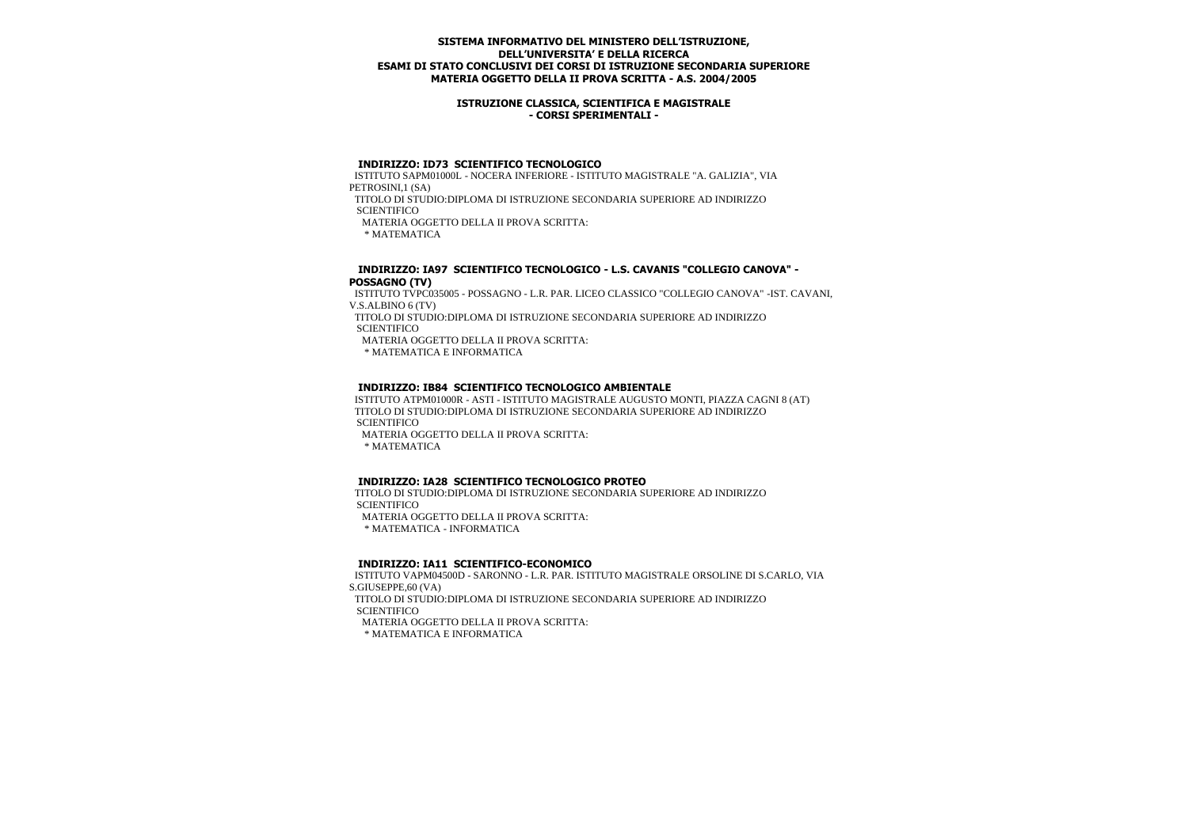### **ISTRUZIONE CLASSICA, SCIENTIFICA E MAGISTRALE - CORSI SPERIMENTALI -**

### **INDIRIZZO: ID73 SCIENTIFICO TECNOLOGICO**

 ISTITUTO SAPM01000L - NOCERA INFERIORE - ISTITUTO MAGISTRALE "A. GALIZIA", VIA PETROSINI,1 (SA)

 TITOLO DI STUDIO:DIPLOMA DI ISTRUZIONE SECONDARIA SUPERIORE AD INDIRIZZO **SCIENTIFICO** 

MATERIA OGGETTO DELLA II PROVA SCRITTA:

\* MATEMATICA

### **INDIRIZZO: IA97 SCIENTIFICO TECNOLOGICO - L.S. CAVANIS "COLLEGIO CANOVA" - POSSAGNO (TV)**

 ISTITUTO TVPC035005 - POSSAGNO - L.R. PAR. LICEO CLASSICO "COLLEGIO CANOVA" -IST. CAVANI, V.S.ALBINO 6 (TV)

 TITOLO DI STUDIO:DIPLOMA DI ISTRUZIONE SECONDARIA SUPERIORE AD INDIRIZZO **SCIENTIFICO** 

MATERIA OGGETTO DELLA II PROVA SCRITTA:

\* MATEMATICA E INFORMATICA

## **INDIRIZZO: IB84 SCIENTIFICO TECNOLOGICO AMBIENTALE**

 ISTITUTO ATPM01000R - ASTI - ISTITUTO MAGISTRALE AUGUSTO MONTI, PIAZZA CAGNI 8 (AT) TITOLO DI STUDIO:DIPLOMA DI ISTRUZIONE SECONDARIA SUPERIORE AD INDIRIZZO **SCIENTIFICO** 

MATERIA OGGETTO DELLA II PROVA SCRITTA:

\* MATEMATICA

# **INDIRIZZO: IA28 SCIENTIFICO TECNOLOGICO PROTEO**

 TITOLO DI STUDIO:DIPLOMA DI ISTRUZIONE SECONDARIA SUPERIORE AD INDIRIZZO **SCIENTIFICO** 

MATERIA OGGETTO DELLA II PROVA SCRITTA:

\* MATEMATICA - INFORMATICA

### **INDIRIZZO: IA11 SCIENTIFICO-ECONOMICO**

 ISTITUTO VAPM04500D - SARONNO - L.R. PAR. ISTITUTO MAGISTRALE ORSOLINE DI S.CARLO, VIA S.GIUSEPPE,60 (VA) TITOLO DI STUDIO:DIPLOMA DI ISTRUZIONE SECONDARIA SUPERIORE AD INDIRIZZO **SCIENTIFICO** 

MATERIA OGGETTO DELLA II PROVA SCRITTA:

\* MATEMATICA E INFORMATICA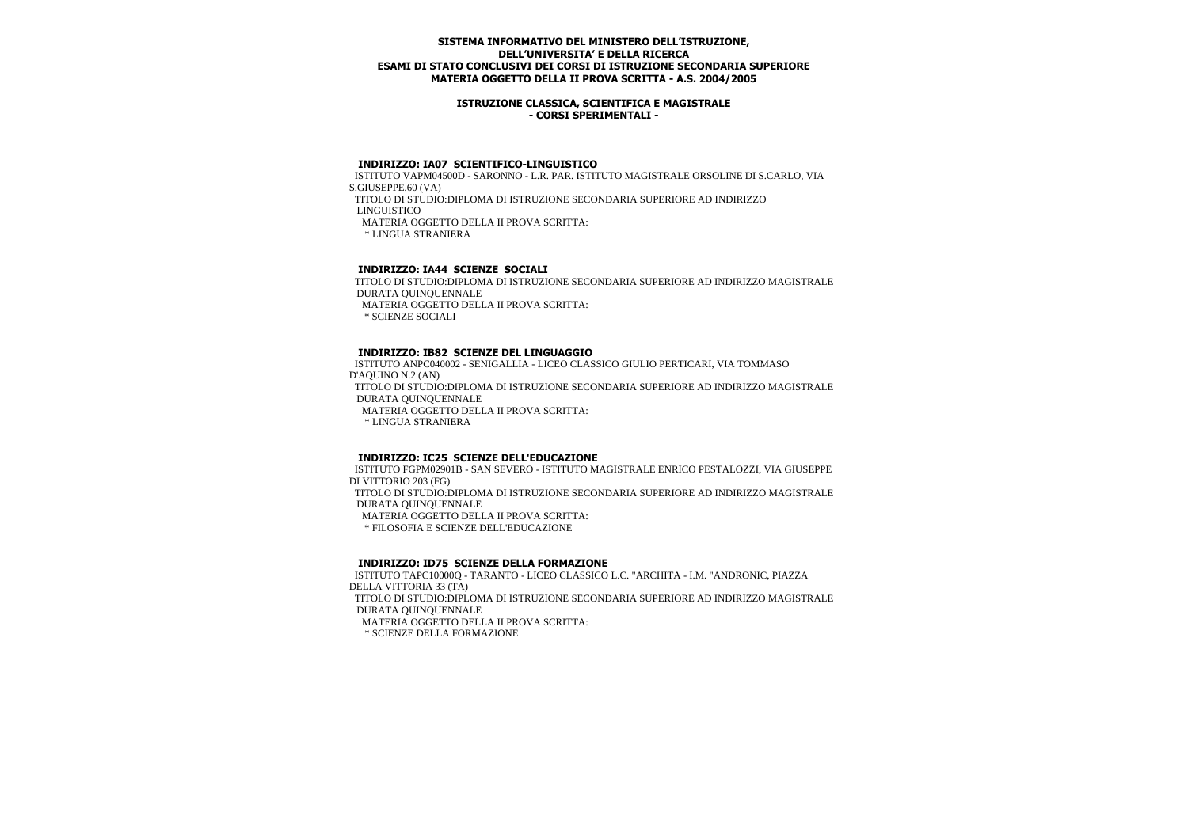### **ISTRUZIONE CLASSICA, SCIENTIFICA E MAGISTRALE - CORSI SPERIMENTALI -**

### **INDIRIZZO: IA07 SCIENTIFICO-LINGUISTICO**

 ISTITUTO VAPM04500D - SARONNO - L.R. PAR. ISTITUTO MAGISTRALE ORSOLINE DI S.CARLO, VIA S.GIUSEPPE,60 (VA) TITOLO DI STUDIO:DIPLOMA DI ISTRUZIONE SECONDARIA SUPERIORE AD INDIRIZZO LINGUISTICO MATERIA OGGETTO DELLA II PROVA SCRITTA: \* LINGUA STRANIERA

# **INDIRIZZO: IA44 SCIENZE SOCIALI**

 TITOLO DI STUDIO:DIPLOMA DI ISTRUZIONE SECONDARIA SUPERIORE AD INDIRIZZO MAGISTRALE DURATA QUINQUENNALE

MATERIA OGGETTO DELLA II PROVA SCRITTA:

\* SCIENZE SOCIALI

### **INDIRIZZO: IB82 SCIENZE DEL LINGUAGGIO**

 ISTITUTO ANPC040002 - SENIGALLIA - LICEO CLASSICO GIULIO PERTICARI, VIA TOMMASO D'AQUINO N.2 (AN) TITOLO DI STUDIO:DIPLOMA DI ISTRUZIONE SECONDARIA SUPERIORE AD INDIRIZZO MAGISTRALE DURATA QUINQUENNALE MATERIA OGGETTO DELLA II PROVA SCRITTA: \* LINGUA STRANIERA

### **INDIRIZZO: IC25 SCIENZE DELL'EDUCAZIONE**

 ISTITUTO FGPM02901B - SAN SEVERO - ISTITUTO MAGISTRALE ENRICO PESTALOZZI, VIA GIUSEPPE DI VITTORIO 203 (FG) TITOLO DI STUDIO:DIPLOMA DI ISTRUZIONE SECONDARIA SUPERIORE AD INDIRIZZO MAGISTRALE DURATA QUINQUENNALE MATERIA OGGETTO DELLA II PROVA SCRITTA: \* FILOSOFIA E SCIENZE DELL'EDUCAZIONE

### **INDIRIZZO: ID75 SCIENZE DELLA FORMAZIONE**

 ISTITUTO TAPC10000Q - TARANTO - LICEO CLASSICO L.C. "ARCHITA - I.M. "ANDRONIC, PIAZZA DELLA VITTORIA 33 (TA) TITOLO DI STUDIO:DIPLOMA DI ISTRUZIONE SECONDARIA SUPERIORE AD INDIRIZZO MAGISTRALE DURATA QUINQUENNALE MATERIA OGGETTO DELLA II PROVA SCRITTA:

\* SCIENZE DELLA FORMAZIONE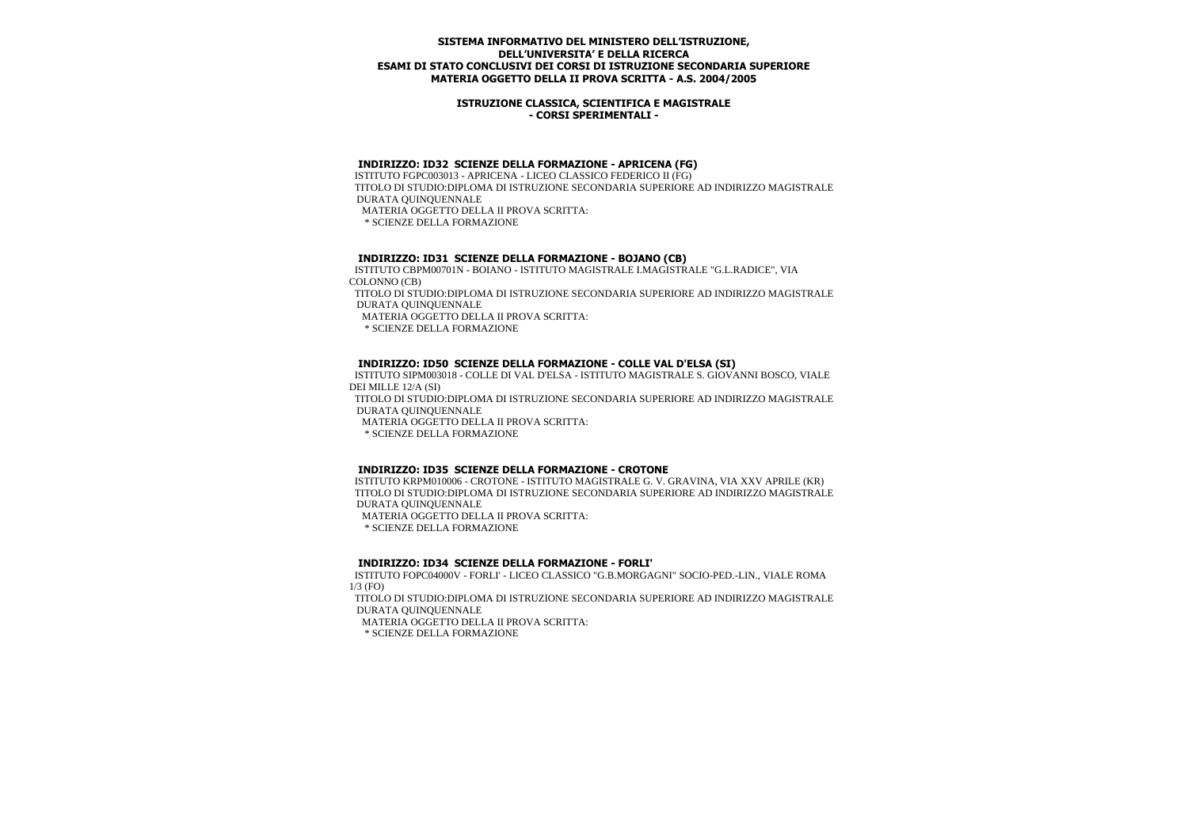### **ISTRUZIONE CLASSICA, SCIENTIFICA E MAGISTRALE - CORSI SPERIMENTALI -**

### **INDIRIZZO: ID32 SCIENZE DELLA FORMAZIONE - APRICENA (FG)**

 ISTITUTO FGPC003013 - APRICENA - LICEO CLASSICO FEDERICO II (FG) TITOLO DI STUDIO:DIPLOMA DI ISTRUZIONE SECONDARIA SUPERIORE AD INDIRIZZO MAGISTRALE DURATA QUINQUENNALE MATERIA OGGETTO DELLA II PROVA SCRITTA:

\* SCIENZE DELLA FORMAZIONE

### **INDIRIZZO: ID31 SCIENZE DELLA FORMAZIONE - BOJANO (CB)**

 ISTITUTO CBPM00701N - BOIANO - ISTITUTO MAGISTRALE I.MAGISTRALE "G.L.RADICE", VIA COLONNO (CB) TITOLO DI STUDIO:DIPLOMA DI ISTRUZIONE SECONDARIA SUPERIORE AD INDIRIZZO MAGISTRALE DURATA QUINQUENNALE MATERIA OGGETTO DELLA II PROVA SCRITTA: \* SCIENZE DELLA FORMAZIONE

## **INDIRIZZO: ID50 SCIENZE DELLA FORMAZIONE - COLLE VAL D'ELSA (SI)**

 ISTITUTO SIPM003018 - COLLE DI VAL D'ELSA - ISTITUTO MAGISTRALE S. GIOVANNI BOSCO, VIALE DEI MILLE 12/A (SI) TITOLO DI STUDIO:DIPLOMA DI ISTRUZIONE SECONDARIA SUPERIORE AD INDIRIZZO MAGISTRALE DURATA QUINQUENNALE MATERIA OGGETTO DELLA II PROVA SCRITTA: \* SCIENZE DELLA FORMAZIONE

### **INDIRIZZO: ID35 SCIENZE DELLA FORMAZIONE - CROTONE**

 ISTITUTO KRPM010006 - CROTONE - ISTITUTO MAGISTRALE G. V. GRAVINA, VIA XXV APRILE (KR) TITOLO DI STUDIO:DIPLOMA DI ISTRUZIONE SECONDARIA SUPERIORE AD INDIRIZZO MAGISTRALE DURATA QUINQUENNALE

MATERIA OGGETTO DELLA II PROVA SCRITTA:

\* SCIENZE DELLA FORMAZIONE

### **INDIRIZZO: ID34 SCIENZE DELLA FORMAZIONE - FORLI'**

 ISTITUTO FOPC04000V - FORLI' - LICEO CLASSICO "G.B.MORGAGNI" SOCIO-PED.-LIN., VIALE ROMA 1/3 (FO)

 TITOLO DI STUDIO:DIPLOMA DI ISTRUZIONE SECONDARIA SUPERIORE AD INDIRIZZO MAGISTRALE DURATA QUINQUENNALE

MATERIA OGGETTO DELLA II PROVA SCRITTA:

\* SCIENZE DELLA FORMAZIONE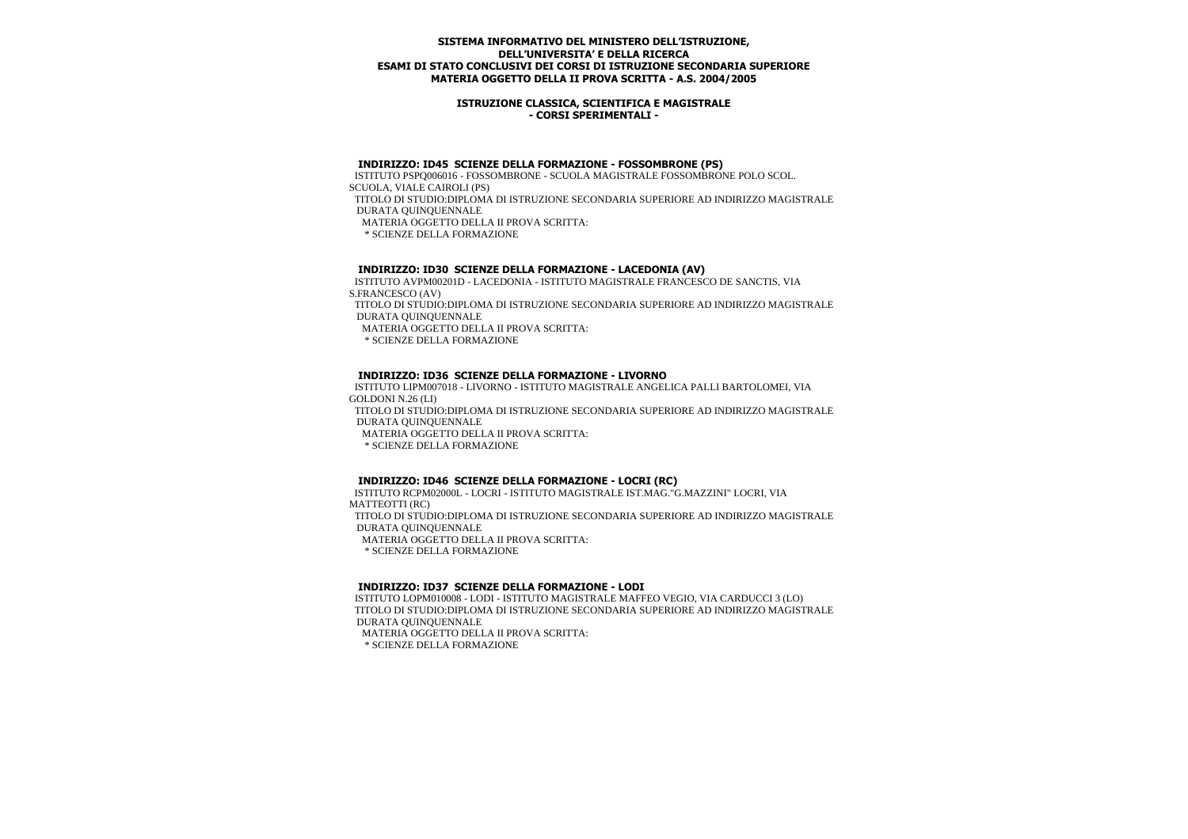### **ISTRUZIONE CLASSICA, SCIENTIFICA E MAGISTRALE - CORSI SPERIMENTALI -**

#### **INDIRIZZO: ID45 SCIENZE DELLA FORMAZIONE - FOSSOMBRONE (PS)**

 ISTITUTO PSPQ006016 - FOSSOMBRONE - SCUOLA MAGISTRALE FOSSOMBRONE POLO SCOL. SCUOLA, VIALE CAIROLI (PS) TITOLO DI STUDIO:DIPLOMA DI ISTRUZIONE SECONDARIA SUPERIORE AD INDIRIZZO MAGISTRALE DURATA QUINQUENNALE MATERIA OGGETTO DELLA II PROVA SCRITTA: \* SCIENZE DELLA FORMAZIONE

## **INDIRIZZO: ID30 SCIENZE DELLA FORMAZIONE - LACEDONIA (AV)**

 ISTITUTO AVPM00201D - LACEDONIA - ISTITUTO MAGISTRALE FRANCESCO DE SANCTIS, VIA S.FRANCESCO (AV) TITOLO DI STUDIO:DIPLOMA DI ISTRUZIONE SECONDARIA SUPERIORE AD INDIRIZZO MAGISTRALE DURATA QUINQUENNALE MATERIA OGGETTO DELLA II PROVA SCRITTA: \* SCIENZE DELLA FORMAZIONE

## **INDIRIZZO: ID36 SCIENZE DELLA FORMAZIONE - LIVORNO**

 ISTITUTO LIPM007018 - LIVORNO - ISTITUTO MAGISTRALE ANGELICA PALLI BARTOLOMEI, VIA GOLDONI N.26 (LI) TITOLO DI STUDIO:DIPLOMA DI ISTRUZIONE SECONDARIA SUPERIORE AD INDIRIZZO MAGISTRALE DURATA QUINQUENNALE MATERIA OGGETTO DELLA II PROVA SCRITTA: \* SCIENZE DELLA FORMAZIONE

### **INDIRIZZO: ID46 SCIENZE DELLA FORMAZIONE - LOCRI (RC)**

 ISTITUTO RCPM02000L - LOCRI - ISTITUTO MAGISTRALE IST.MAG."G.MAZZINI" LOCRI, VIA MATTEOTTI (RC) TITOLO DI STUDIO:DIPLOMA DI ISTRUZIONE SECONDARIA SUPERIORE AD INDIRIZZO MAGISTRALE DURATA QUINQUENNALE MATERIA OGGETTO DELLA II PROVA SCRITTA: \* SCIENZE DELLA FORMAZIONE

### **INDIRIZZO: ID37 SCIENZE DELLA FORMAZIONE - LODI**

 ISTITUTO LOPM010008 - LODI - ISTITUTO MAGISTRALE MAFFEO VEGIO, VIA CARDUCCI 3 (LO) TITOLO DI STUDIO:DIPLOMA DI ISTRUZIONE SECONDARIA SUPERIORE AD INDIRIZZO MAGISTRALE DURATA QUINQUENNALE MATERIA OGGETTO DELLA II PROVA SCRITTA: \* SCIENZE DELLA FORMAZIONE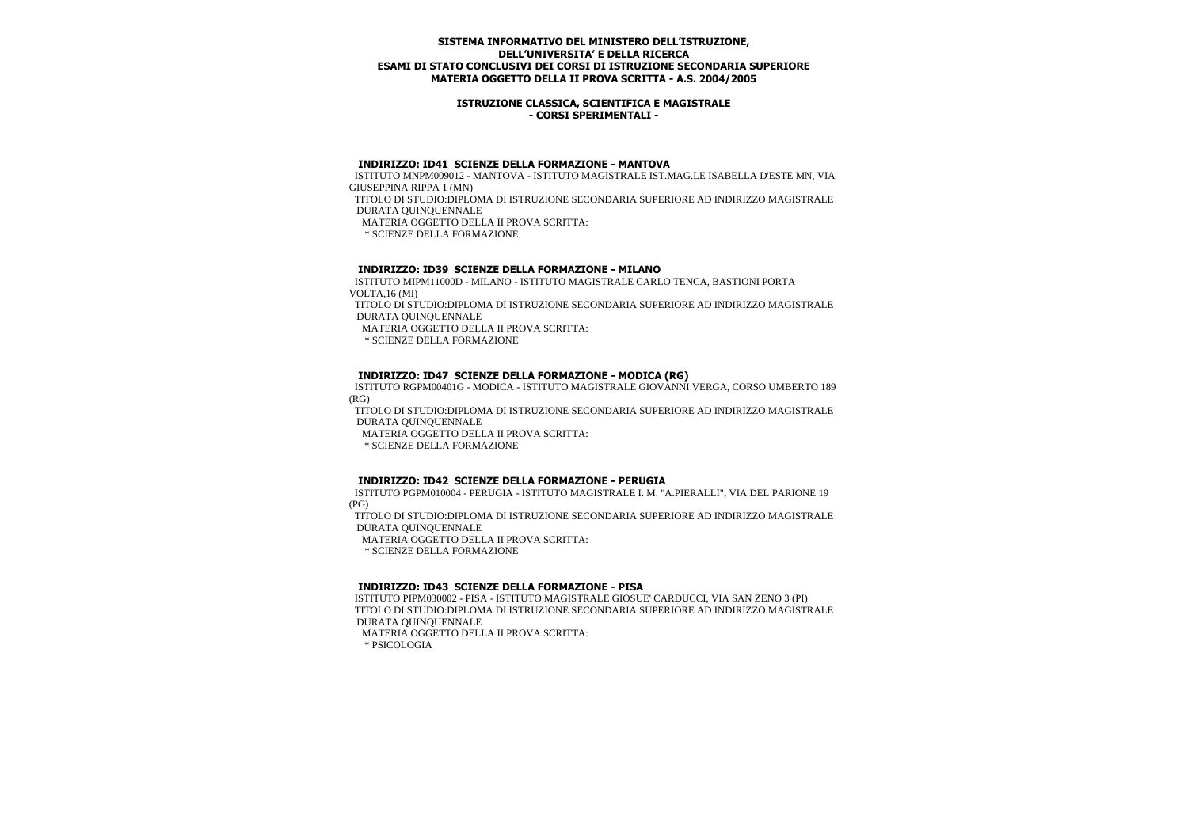### **ISTRUZIONE CLASSICA, SCIENTIFICA E MAGISTRALE - CORSI SPERIMENTALI -**

## **INDIRIZZO: ID41 SCIENZE DELLA FORMAZIONE - MANTOVA**

 ISTITUTO MNPM009012 - MANTOVA - ISTITUTO MAGISTRALE IST.MAG.LE ISABELLA D'ESTE MN, VIA GIUSEPPINA RIPPA 1 (MN)

 TITOLO DI STUDIO:DIPLOMA DI ISTRUZIONE SECONDARIA SUPERIORE AD INDIRIZZO MAGISTRALE DURATA QUINQUENNALE

MATERIA OGGETTO DELLA II PROVA SCRITTA:

\* SCIENZE DELLA FORMAZIONE

### **INDIRIZZO: ID39 SCIENZE DELLA FORMAZIONE - MILANO**

 ISTITUTO MIPM11000D - MILANO - ISTITUTO MAGISTRALE CARLO TENCA, BASTIONI PORTA VOLTA,16 (MI)

 TITOLO DI STUDIO:DIPLOMA DI ISTRUZIONE SECONDARIA SUPERIORE AD INDIRIZZO MAGISTRALE DURATA QUINQUENNALE

MATERIA OGGETTO DELLA II PROVA SCRITTA:

\* SCIENZE DELLA FORMAZIONE

## **INDIRIZZO: ID47 SCIENZE DELLA FORMAZIONE - MODICA (RG)**

 ISTITUTO RGPM00401G - MODICA - ISTITUTO MAGISTRALE GIOVANNI VERGA, CORSO UMBERTO 189 (RG)

 TITOLO DI STUDIO:DIPLOMA DI ISTRUZIONE SECONDARIA SUPERIORE AD INDIRIZZO MAGISTRALE DURATA QUINQUENNALE

MATERIA OGGETTO DELLA II PROVA SCRITTA:

\* SCIENZE DELLA FORMAZIONE

### **INDIRIZZO: ID42 SCIENZE DELLA FORMAZIONE - PERUGIA**

 ISTITUTO PGPM010004 - PERUGIA - ISTITUTO MAGISTRALE I. M. "A.PIERALLI", VIA DEL PARIONE 19 (PG)

 TITOLO DI STUDIO:DIPLOMA DI ISTRUZIONE SECONDARIA SUPERIORE AD INDIRIZZO MAGISTRALE DURATA QUINQUENNALE

MATERIA OGGETTO DELLA II PROVA SCRITTA:

\* SCIENZE DELLA FORMAZIONE

### **INDIRIZZO: ID43 SCIENZE DELLA FORMAZIONE - PISA**

 ISTITUTO PIPM030002 - PISA - ISTITUTO MAGISTRALE GIOSUE' CARDUCCI, VIA SAN ZENO 3 (PI) TITOLO DI STUDIO:DIPLOMA DI ISTRUZIONE SECONDARIA SUPERIORE AD INDIRIZZO MAGISTRALE DURATA QUINQUENNALE MATERIA OGGETTO DELLA II PROVA SCRITTA: \* PSICOLOGIA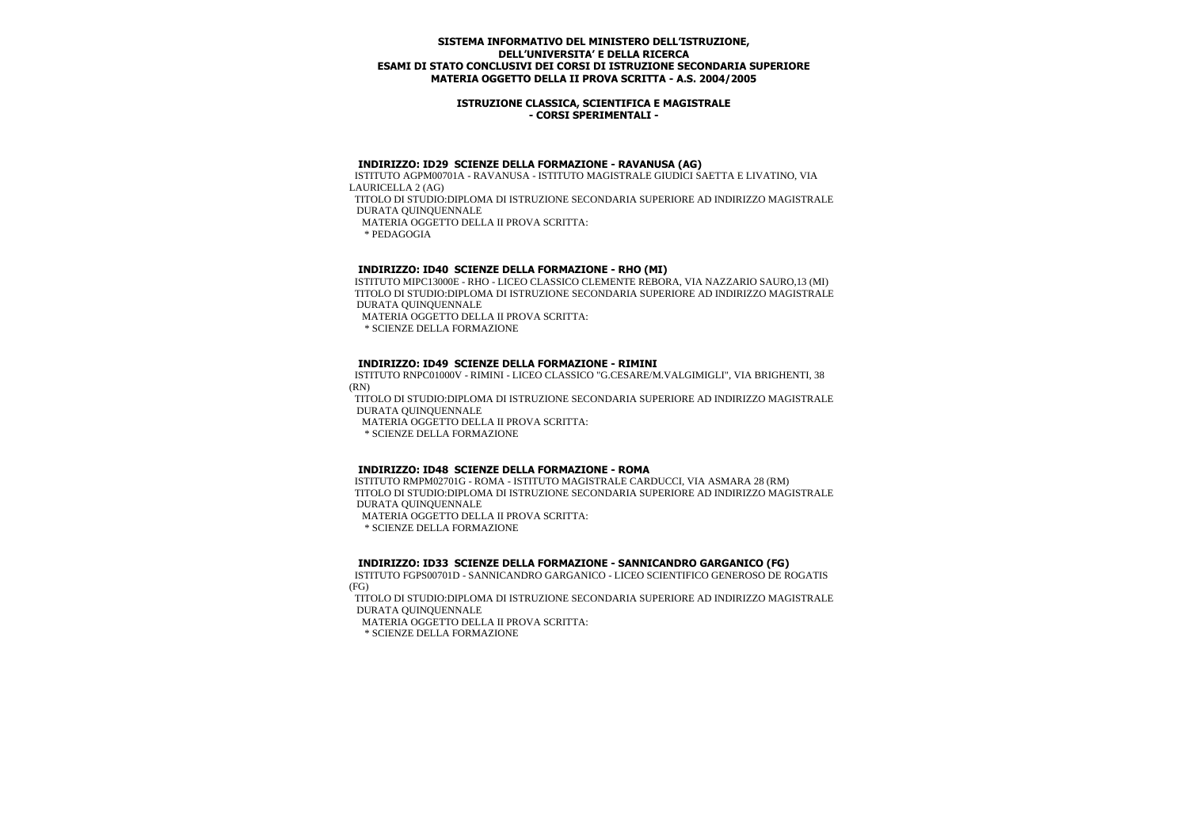### **ISTRUZIONE CLASSICA, SCIENTIFICA E MAGISTRALE - CORSI SPERIMENTALI -**

#### **INDIRIZZO: ID29 SCIENZE DELLA FORMAZIONE - RAVANUSA (AG)**

 ISTITUTO AGPM00701A - RAVANUSA - ISTITUTO MAGISTRALE GIUDICI SAETTA E LIVATINO, VIA LAURICELLA 2 (AG) TITOLO DI STUDIO:DIPLOMA DI ISTRUZIONE SECONDARIA SUPERIORE AD INDIRIZZO MAGISTRALE

DURATA QUINQUENNALE

MATERIA OGGETTO DELLA II PROVA SCRITTA:

\* PEDAGOGIA

## **INDIRIZZO: ID40 SCIENZE DELLA FORMAZIONE - RHO (MI)**

 ISTITUTO MIPC13000E - RHO - LICEO CLASSICO CLEMENTE REBORA, VIA NAZZARIO SAURO,13 (MI) TITOLO DI STUDIO:DIPLOMA DI ISTRUZIONE SECONDARIA SUPERIORE AD INDIRIZZO MAGISTRALE DURATA QUINQUENNALE

MATERIA OGGETTO DELLA II PROVA SCRITTA:

\* SCIENZE DELLA FORMAZIONE

## **INDIRIZZO: ID49 SCIENZE DELLA FORMAZIONE - RIMINI**

 ISTITUTO RNPC01000V - RIMINI - LICEO CLASSICO "G.CESARE/M.VALGIMIGLI", VIA BRIGHENTI, 38 (RN)

 TITOLO DI STUDIO:DIPLOMA DI ISTRUZIONE SECONDARIA SUPERIORE AD INDIRIZZO MAGISTRALE DURATA QUINQUENNALE

MATERIA OGGETTO DELLA II PROVA SCRITTA:

\* SCIENZE DELLA FORMAZIONE

### **INDIRIZZO: ID48 SCIENZE DELLA FORMAZIONE - ROMA**

 ISTITUTO RMPM02701G - ROMA - ISTITUTO MAGISTRALE CARDUCCI, VIA ASMARA 28 (RM) TITOLO DI STUDIO:DIPLOMA DI ISTRUZIONE SECONDARIA SUPERIORE AD INDIRIZZO MAGISTRALE DURATA QUINQUENNALE

MATERIA OGGETTO DELLA II PROVA SCRITTA:

\* SCIENZE DELLA FORMAZIONE

### **INDIRIZZO: ID33 SCIENZE DELLA FORMAZIONE - SANNICANDRO GARGANICO (FG)**

 ISTITUTO FGPS00701D - SANNICANDRO GARGANICO - LICEO SCIENTIFICO GENEROSO DE ROGATIS (FG)

 TITOLO DI STUDIO:DIPLOMA DI ISTRUZIONE SECONDARIA SUPERIORE AD INDIRIZZO MAGISTRALE DURATA QUINQUENNALE

MATERIA OGGETTO DELLA II PROVA SCRITTA:

\* SCIENZE DELLA FORMAZIONE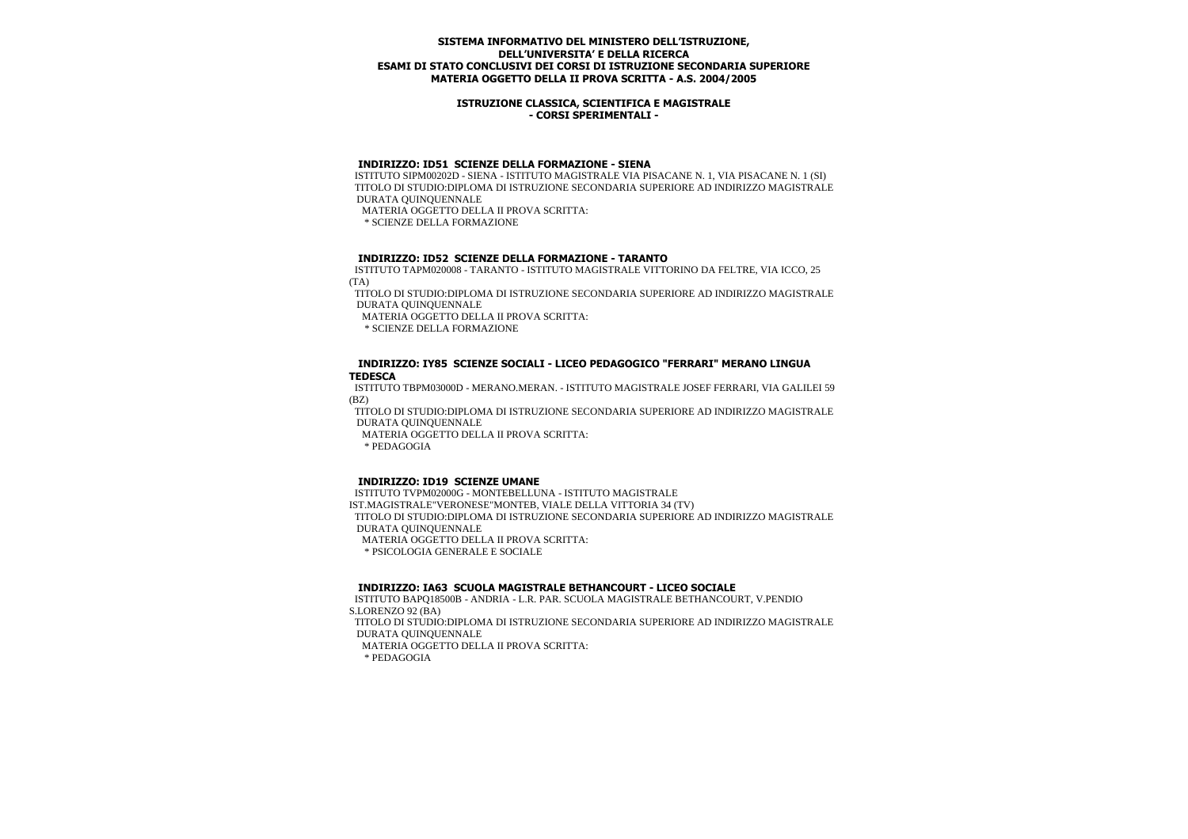### **ISTRUZIONE CLASSICA, SCIENTIFICA E MAGISTRALE - CORSI SPERIMENTALI -**

#### **INDIRIZZO: ID51 SCIENZE DELLA FORMAZIONE - SIENA**

 ISTITUTO SIPM00202D - SIENA - ISTITUTO MAGISTRALE VIA PISACANE N. 1, VIA PISACANE N. 1 (SI) TITOLO DI STUDIO:DIPLOMA DI ISTRUZIONE SECONDARIA SUPERIORE AD INDIRIZZO MAGISTRALE DURATA QUINQUENNALE

MATERIA OGGETTO DELLA II PROVA SCRITTA:

\* SCIENZE DELLA FORMAZIONE

### **INDIRIZZO: ID52 SCIENZE DELLA FORMAZIONE - TARANTO**

 ISTITUTO TAPM020008 - TARANTO - ISTITUTO MAGISTRALE VITTORINO DA FELTRE, VIA ICCO, 25 (TA)

 TITOLO DI STUDIO:DIPLOMA DI ISTRUZIONE SECONDARIA SUPERIORE AD INDIRIZZO MAGISTRALE DURATA QUINQUENNALE

MATERIA OGGETTO DELLA II PROVA SCRITTA:

\* SCIENZE DELLA FORMAZIONE

#### **INDIRIZZO: IY85 SCIENZE SOCIALI - LICEO PEDAGOGICO "FERRARI" MERANO LINGUA TEDESCA**

 ISTITUTO TBPM03000D - MERANO.MERAN. - ISTITUTO MAGISTRALE JOSEF FERRARI, VIA GALILEI 59 (BZ)

 TITOLO DI STUDIO:DIPLOMA DI ISTRUZIONE SECONDARIA SUPERIORE AD INDIRIZZO MAGISTRALE DURATA QUINQUENNALE

MATERIA OGGETTO DELLA II PROVA SCRITTA:

\* PEDAGOGIA

### **INDIRIZZO: ID19 SCIENZE UMANE**

 ISTITUTO TVPM02000G - MONTEBELLUNA - ISTITUTO MAGISTRALE IST.MAGISTRALE"VERONESE"MONTEB, VIALE DELLA VITTORIA 34 (TV) TITOLO DI STUDIO:DIPLOMA DI ISTRUZIONE SECONDARIA SUPERIORE AD INDIRIZZO MAGISTRALE DURATA QUINQUENNALE MATERIA OGGETTO DELLA II PROVA SCRITTA: \* PSICOLOGIA GENERALE E SOCIALE

### **INDIRIZZO: IA63 SCUOLA MAGISTRALE BETHANCOURT - LICEO SOCIALE**

 ISTITUTO BAPQ18500B - ANDRIA - L.R. PAR. SCUOLA MAGISTRALE BETHANCOURT, V.PENDIO S.LORENZO 92 (BA)

 TITOLO DI STUDIO:DIPLOMA DI ISTRUZIONE SECONDARIA SUPERIORE AD INDIRIZZO MAGISTRALE DURATA QUINQUENNALE

MATERIA OGGETTO DELLA II PROVA SCRITTA: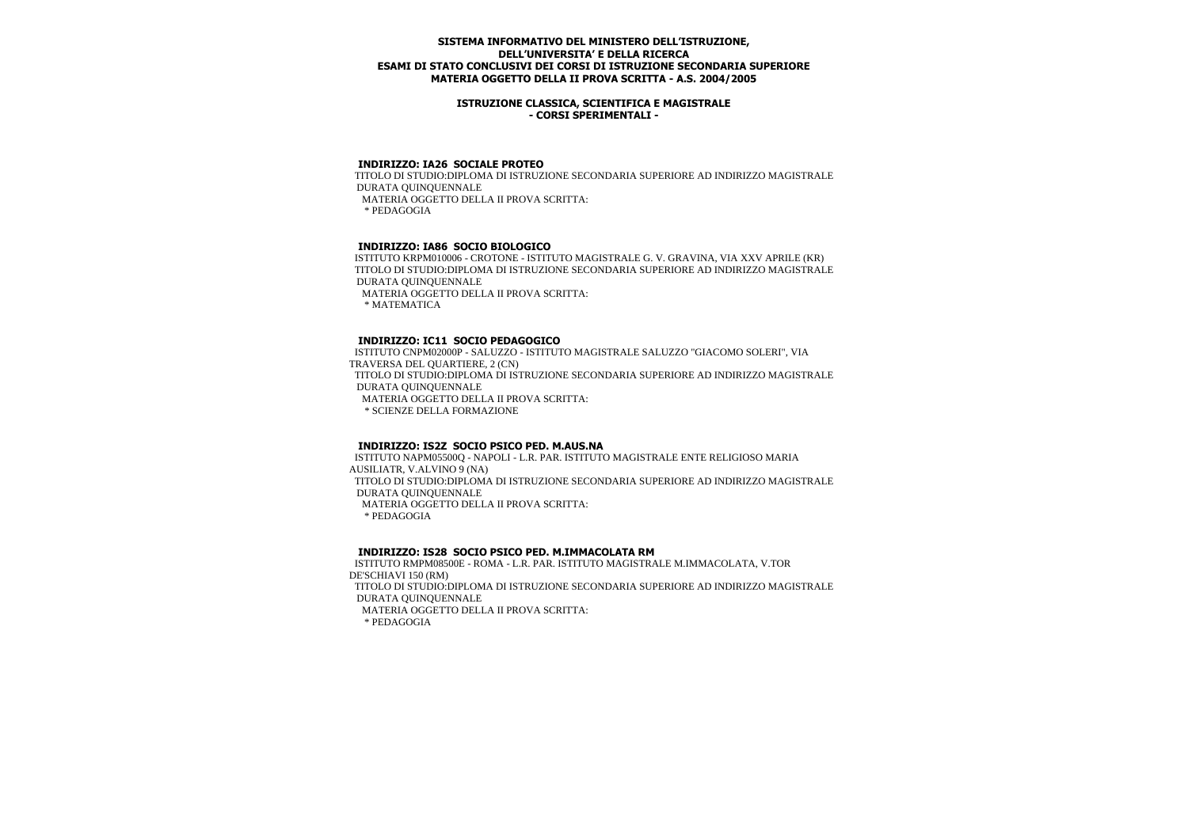### **ISTRUZIONE CLASSICA, SCIENTIFICA E MAGISTRALE - CORSI SPERIMENTALI -**

# **INDIRIZZO: IA26 SOCIALE PROTEO**

 TITOLO DI STUDIO:DIPLOMA DI ISTRUZIONE SECONDARIA SUPERIORE AD INDIRIZZO MAGISTRALE DURATA QUINQUENNALE MATERIA OGGETTO DELLA II PROVA SCRITTA: \* PEDAGOGIA

## **INDIRIZZO: IA86 SOCIO BIOLOGICO**

 ISTITUTO KRPM010006 - CROTONE - ISTITUTO MAGISTRALE G. V. GRAVINA, VIA XXV APRILE (KR) TITOLO DI STUDIO:DIPLOMA DI ISTRUZIONE SECONDARIA SUPERIORE AD INDIRIZZO MAGISTRALE DURATA QUINQUENNALE MATERIA OGGETTO DELLA II PROVA SCRITTA: \* MATEMATICA

# **INDIRIZZO: IC11 SOCIO PEDAGOGICO**

 ISTITUTO CNPM02000P - SALUZZO - ISTITUTO MAGISTRALE SALUZZO "GIACOMO SOLERI", VIA TRAVERSA DEL QUARTIERE, 2 (CN) TITOLO DI STUDIO:DIPLOMA DI ISTRUZIONE SECONDARIA SUPERIORE AD INDIRIZZO MAGISTRALE DURATA QUINQUENNALE MATERIA OGGETTO DELLA II PROVA SCRITTA: \* SCIENZE DELLA FORMAZIONE

# **INDIRIZZO: IS2Z SOCIO PSICO PED. M.AUS.NA**

 ISTITUTO NAPM05500Q - NAPOLI - L.R. PAR. ISTITUTO MAGISTRALE ENTE RELIGIOSO MARIA AUSILIATR, V.ALVINO 9 (NA) TITOLO DI STUDIO:DIPLOMA DI ISTRUZIONE SECONDARIA SUPERIORE AD INDIRIZZO MAGISTRALE DURATA QUINQUENNALE MATERIA OGGETTO DELLA II PROVA SCRITTA: \* PEDAGOGIA

### **INDIRIZZO: IS28 SOCIO PSICO PED. M.IMMACOLATA RM**

 ISTITUTO RMPM08500E - ROMA - L.R. PAR. ISTITUTO MAGISTRALE M.IMMACOLATA, V.TOR DE'SCHIAVI 150 (RM) TITOLO DI STUDIO:DIPLOMA DI ISTRUZIONE SECONDARIA SUPERIORE AD INDIRIZZO MAGISTRALE DURATA QUINQUENNALE MATERIA OGGETTO DELLA II PROVA SCRITTA: \* PEDAGOGIA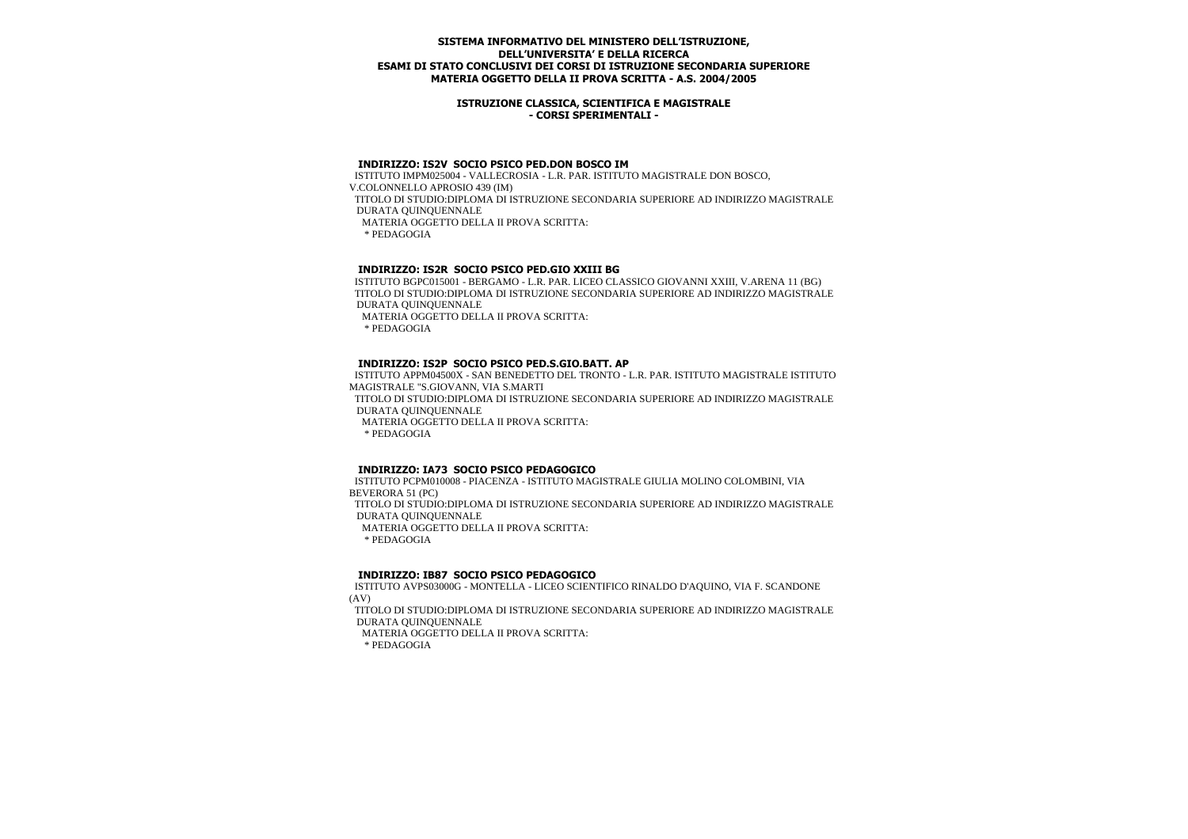### **ISTRUZIONE CLASSICA, SCIENTIFICA E MAGISTRALE - CORSI SPERIMENTALI -**

## **INDIRIZZO: IS2V SOCIO PSICO PED.DON BOSCO IM**

 ISTITUTO IMPM025004 - VALLECROSIA - L.R. PAR. ISTITUTO MAGISTRALE DON BOSCO, V.COLONNELLO APROSIO 439 (IM) TITOLO DI STUDIO:DIPLOMA DI ISTRUZIONE SECONDARIA SUPERIORE AD INDIRIZZO MAGISTRALE DURATA QUINQUENNALE MATERIA OGGETTO DELLA II PROVA SCRITTA: \* PEDAGOGIA

## **INDIRIZZO: IS2R SOCIO PSICO PED.GIO XXIII BG**

 ISTITUTO BGPC015001 - BERGAMO - L.R. PAR. LICEO CLASSICO GIOVANNI XXIII, V.ARENA 11 (BG) TITOLO DI STUDIO:DIPLOMA DI ISTRUZIONE SECONDARIA SUPERIORE AD INDIRIZZO MAGISTRALE DURATA QUINQUENNALE MATERIA OGGETTO DELLA II PROVA SCRITTA: \* PEDAGOGIA

### **INDIRIZZO: IS2P SOCIO PSICO PED.S.GIO.BATT. AP**

 ISTITUTO APPM04500X - SAN BENEDETTO DEL TRONTO - L.R. PAR. ISTITUTO MAGISTRALE ISTITUTO MAGISTRALE "S.GIOVANN, VIA S.MARTI TITOLO DI STUDIO:DIPLOMA DI ISTRUZIONE SECONDARIA SUPERIORE AD INDIRIZZO MAGISTRALE DURATA QUINQUENNALE MATERIA OGGETTO DELLA II PROVA SCRITTA: \* PEDAGOGIA

### **INDIRIZZO: IA73 SOCIO PSICO PEDAGOGICO**

 ISTITUTO PCPM010008 - PIACENZA - ISTITUTO MAGISTRALE GIULIA MOLINO COLOMBINI, VIA BEVERORA 51 (PC) TITOLO DI STUDIO:DIPLOMA DI ISTRUZIONE SECONDARIA SUPERIORE AD INDIRIZZO MAGISTRALE DURATA QUINQUENNALE MATERIA OGGETTO DELLA II PROVA SCRITTA: \* PEDAGOGIA

### **INDIRIZZO: IB87 SOCIO PSICO PEDAGOGICO**

 ISTITUTO AVPS03000G - MONTELLA - LICEO SCIENTIFICO RINALDO D'AQUINO, VIA F. SCANDONE (AV)

 TITOLO DI STUDIO:DIPLOMA DI ISTRUZIONE SECONDARIA SUPERIORE AD INDIRIZZO MAGISTRALE DURATA QUINQUENNALE MATERIA OGGETTO DELLA II PROVA SCRITTA: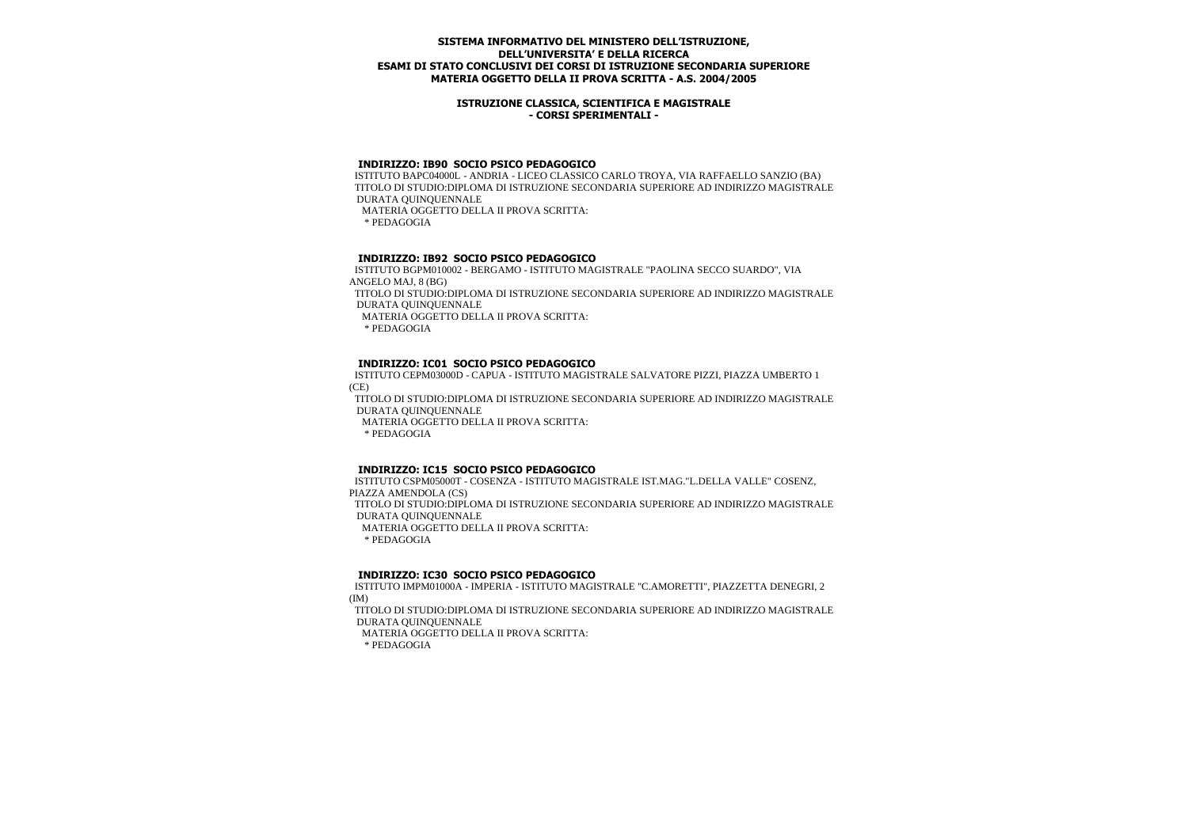### **ISTRUZIONE CLASSICA, SCIENTIFICA E MAGISTRALE - CORSI SPERIMENTALI -**

## **INDIRIZZO: IB90 SOCIO PSICO PEDAGOGICO**

 ISTITUTO BAPC04000L - ANDRIA - LICEO CLASSICO CARLO TROYA, VIA RAFFAELLO SANZIO (BA) TITOLO DI STUDIO:DIPLOMA DI ISTRUZIONE SECONDARIA SUPERIORE AD INDIRIZZO MAGISTRALE DURATA QUINQUENNALE MATERIA OGGETTO DELLA II PROVA SCRITTA:

\* PEDAGOGIA

# **INDIRIZZO: IB92 SOCIO PSICO PEDAGOGICO**

 ISTITUTO BGPM010002 - BERGAMO - ISTITUTO MAGISTRALE "PAOLINA SECCO SUARDO", VIA ANGELO MAJ, 8 (BG) TITOLO DI STUDIO:DIPLOMA DI ISTRUZIONE SECONDARIA SUPERIORE AD INDIRIZZO MAGISTRALE DURATA QUINQUENNALE

MATERIA OGGETTO DELLA II PROVA SCRITTA:

\* PEDAGOGIA

# **INDIRIZZO: IC01 SOCIO PSICO PEDAGOGICO**

 ISTITUTO CEPM03000D - CAPUA - ISTITUTO MAGISTRALE SALVATORE PIZZI, PIAZZA UMBERTO 1 (CE)

 TITOLO DI STUDIO:DIPLOMA DI ISTRUZIONE SECONDARIA SUPERIORE AD INDIRIZZO MAGISTRALE DURATA QUINQUENNALE

MATERIA OGGETTO DELLA II PROVA SCRITTA:

\* PEDAGOGIA

# **INDIRIZZO: IC15 SOCIO PSICO PEDAGOGICO**

 ISTITUTO CSPM05000T - COSENZA - ISTITUTO MAGISTRALE IST.MAG."L.DELLA VALLE" COSENZ, PIAZZA AMENDOLA (CS) TITOLO DI STUDIO:DIPLOMA DI ISTRUZIONE SECONDARIA SUPERIORE AD INDIRIZZO MAGISTRALE DURATA QUINQUENNALE MATERIA OGGETTO DELLA II PROVA SCRITTA: \* PEDAGOGIA

# **INDIRIZZO: IC30 SOCIO PSICO PEDAGOGICO**

 ISTITUTO IMPM01000A - IMPERIA - ISTITUTO MAGISTRALE "C.AMORETTI", PIAZZETTA DENEGRI, 2 (IM)

 TITOLO DI STUDIO:DIPLOMA DI ISTRUZIONE SECONDARIA SUPERIORE AD INDIRIZZO MAGISTRALE DURATA QUINQUENNALE MATERIA OGGETTO DELLA II PROVA SCRITTA: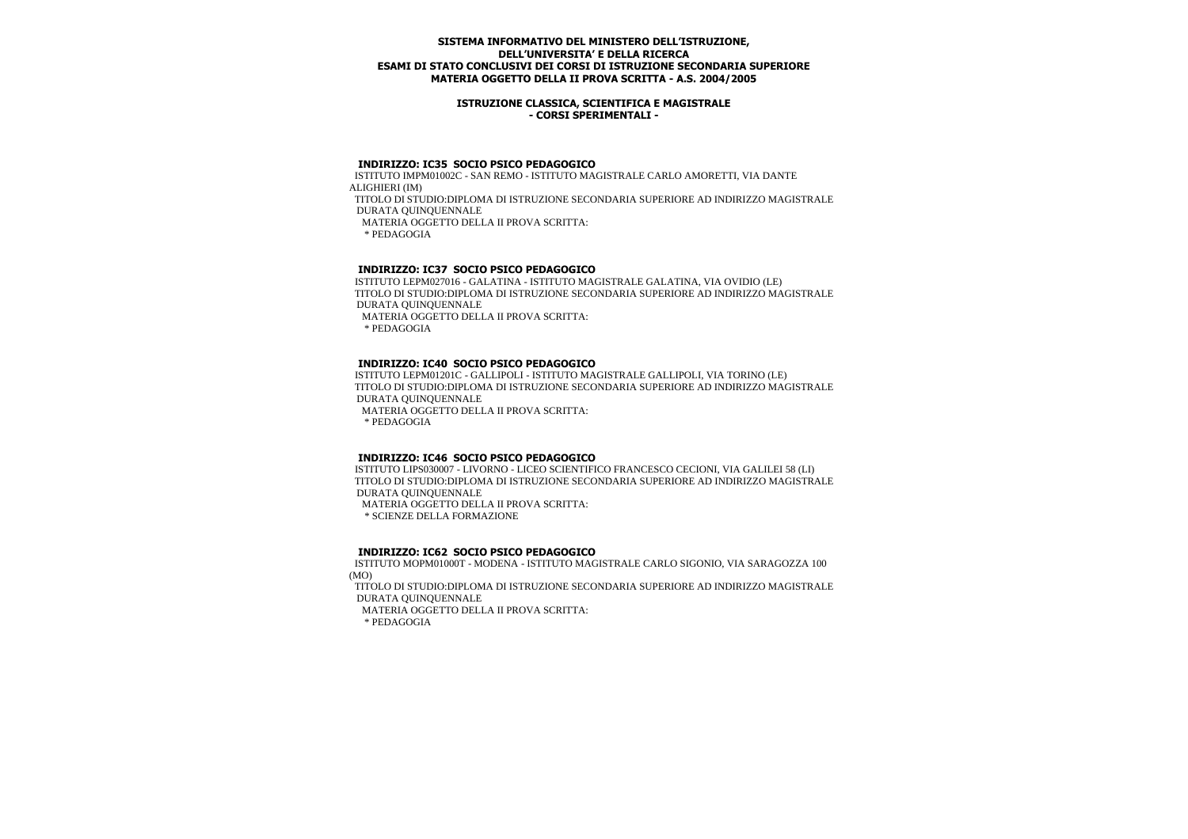### **ISTRUZIONE CLASSICA, SCIENTIFICA E MAGISTRALE - CORSI SPERIMENTALI -**

## **INDIRIZZO: IC35 SOCIO PSICO PEDAGOGICO**

 ISTITUTO IMPM01002C - SAN REMO - ISTITUTO MAGISTRALE CARLO AMORETTI, VIA DANTE ALIGHIERI (IM) TITOLO DI STUDIO:DIPLOMA DI ISTRUZIONE SECONDARIA SUPERIORE AD INDIRIZZO MAGISTRALE

DURATA QUINQUENNALE

MATERIA OGGETTO DELLA II PROVA SCRITTA:

\* PEDAGOGIA

## **INDIRIZZO: IC37 SOCIO PSICO PEDAGOGICO**

 ISTITUTO LEPM027016 - GALATINA - ISTITUTO MAGISTRALE GALATINA, VIA OVIDIO (LE) TITOLO DI STUDIO:DIPLOMA DI ISTRUZIONE SECONDARIA SUPERIORE AD INDIRIZZO MAGISTRALE DURATA QUINQUENNALE

MATERIA OGGETTO DELLA II PROVA SCRITTA:

\* PEDAGOGIA

### **INDIRIZZO: IC40 SOCIO PSICO PEDAGOGICO**

 ISTITUTO LEPM01201C - GALLIPOLI - ISTITUTO MAGISTRALE GALLIPOLI, VIA TORINO (LE) TITOLO DI STUDIO:DIPLOMA DI ISTRUZIONE SECONDARIA SUPERIORE AD INDIRIZZO MAGISTRALE DURATA QUINQUENNALE

MATERIA OGGETTO DELLA II PROVA SCRITTA:

\* PEDAGOGIA

### **INDIRIZZO: IC46 SOCIO PSICO PEDAGOGICO**

 ISTITUTO LIPS030007 - LIVORNO - LICEO SCIENTIFICO FRANCESCO CECIONI, VIA GALILEI 58 (LI) TITOLO DI STUDIO:DIPLOMA DI ISTRUZIONE SECONDARIA SUPERIORE AD INDIRIZZO MAGISTRALE DURATA QUINQUENNALE

MATERIA OGGETTO DELLA II PROVA SCRITTA:

\* SCIENZE DELLA FORMAZIONE

### **INDIRIZZO: IC62 SOCIO PSICO PEDAGOGICO**

 ISTITUTO MOPM01000T - MODENA - ISTITUTO MAGISTRALE CARLO SIGONIO, VIA SARAGOZZA 100 (MO)

 TITOLO DI STUDIO:DIPLOMA DI ISTRUZIONE SECONDARIA SUPERIORE AD INDIRIZZO MAGISTRALE DURATA QUINQUENNALE

MATERIA OGGETTO DELLA II PROVA SCRITTA: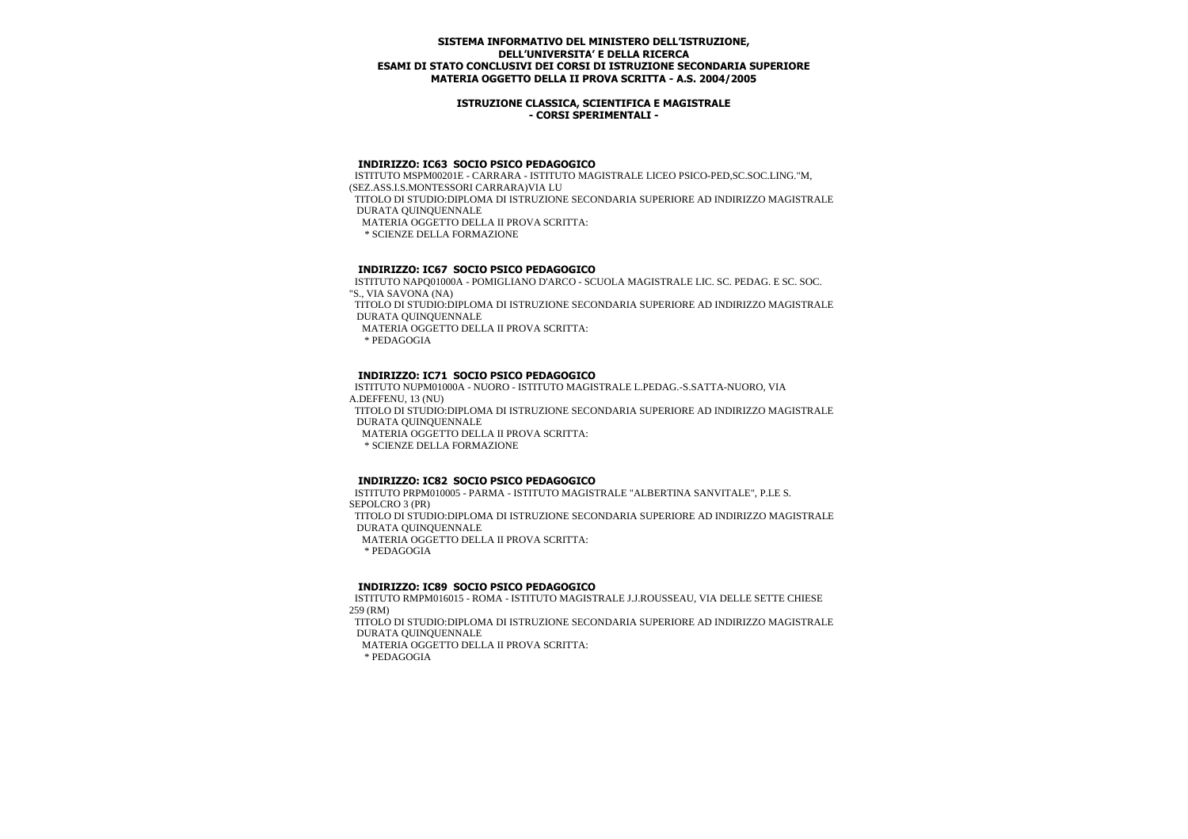### **ISTRUZIONE CLASSICA, SCIENTIFICA E MAGISTRALE - CORSI SPERIMENTALI -**

## **INDIRIZZO: IC63 SOCIO PSICO PEDAGOGICO**

 ISTITUTO MSPM00201E - CARRARA - ISTITUTO MAGISTRALE LICEO PSICO-PED,SC.SOC.LING."M, (SEZ.ASS.I.S.MONTESSORI CARRARA)VIA LU TITOLO DI STUDIO:DIPLOMA DI ISTRUZIONE SECONDARIA SUPERIORE AD INDIRIZZO MAGISTRALE DURATA QUINQUENNALE MATERIA OGGETTO DELLA II PROVA SCRITTA: \* SCIENZE DELLA FORMAZIONE

## **INDIRIZZO: IC67 SOCIO PSICO PEDAGOGICO**

 ISTITUTO NAPQ01000A - POMIGLIANO D'ARCO - SCUOLA MAGISTRALE LIC. SC. PEDAG. E SC. SOC. "S., VIA SAVONA (NA) TITOLO DI STUDIO:DIPLOMA DI ISTRUZIONE SECONDARIA SUPERIORE AD INDIRIZZO MAGISTRALE DURATA QUINQUENNALE MATERIA OGGETTO DELLA II PROVA SCRITTA:

\* PEDAGOGIA

## **INDIRIZZO: IC71 SOCIO PSICO PEDAGOGICO**

 ISTITUTO NUPM01000A - NUORO - ISTITUTO MAGISTRALE L.PEDAG.-S.SATTA-NUORO, VIA A.DEFFENU, 13 (NU) TITOLO DI STUDIO:DIPLOMA DI ISTRUZIONE SECONDARIA SUPERIORE AD INDIRIZZO MAGISTRALE DURATA QUINQUENNALE MATERIA OGGETTO DELLA II PROVA SCRITTA: \* SCIENZE DELLA FORMAZIONE

### **INDIRIZZO: IC82 SOCIO PSICO PEDAGOGICO**

 ISTITUTO PRPM010005 - PARMA - ISTITUTO MAGISTRALE "ALBERTINA SANVITALE", P.LE S. SEPOLCRO 3 (PR) TITOLO DI STUDIO:DIPLOMA DI ISTRUZIONE SECONDARIA SUPERIORE AD INDIRIZZO MAGISTRALE DURATA QUINQUENNALE MATERIA OGGETTO DELLA II PROVA SCRITTA: \* PEDAGOGIA

### **INDIRIZZO: IC89 SOCIO PSICO PEDAGOGICO**

 ISTITUTO RMPM016015 - ROMA - ISTITUTO MAGISTRALE J.J.ROUSSEAU, VIA DELLE SETTE CHIESE 259 (RM)

 TITOLO DI STUDIO:DIPLOMA DI ISTRUZIONE SECONDARIA SUPERIORE AD INDIRIZZO MAGISTRALE DURATA QUINQUENNALE

MATERIA OGGETTO DELLA II PROVA SCRITTA: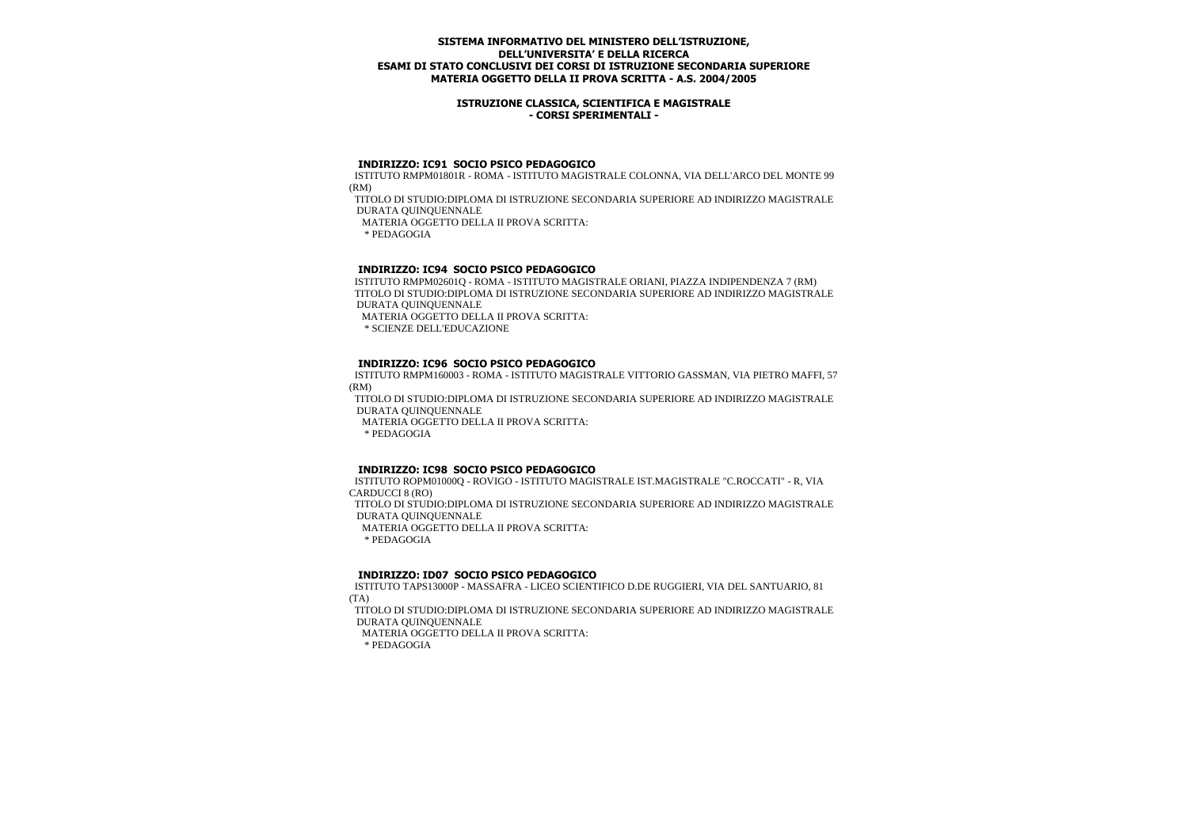### **ISTRUZIONE CLASSICA, SCIENTIFICA E MAGISTRALE - CORSI SPERIMENTALI -**

### **INDIRIZZO: IC91 SOCIO PSICO PEDAGOGICO**

 ISTITUTO RMPM01801R - ROMA - ISTITUTO MAGISTRALE COLONNA, VIA DELL'ARCO DEL MONTE 99 (RM)

 TITOLO DI STUDIO:DIPLOMA DI ISTRUZIONE SECONDARIA SUPERIORE AD INDIRIZZO MAGISTRALE DURATA QUINQUENNALE

MATERIA OGGETTO DELLA II PROVA SCRITTA:

\* PEDAGOGIA

### **INDIRIZZO: IC94 SOCIO PSICO PEDAGOGICO**

 ISTITUTO RMPM02601Q - ROMA - ISTITUTO MAGISTRALE ORIANI, PIAZZA INDIPENDENZA 7 (RM) TITOLO DI STUDIO:DIPLOMA DI ISTRUZIONE SECONDARIA SUPERIORE AD INDIRIZZO MAGISTRALE DURATA QUINQUENNALE

MATERIA OGGETTO DELLA II PROVA SCRITTA:

\* SCIENZE DELL'EDUCAZIONE

## **INDIRIZZO: IC96 SOCIO PSICO PEDAGOGICO**

 ISTITUTO RMPM160003 - ROMA - ISTITUTO MAGISTRALE VITTORIO GASSMAN, VIA PIETRO MAFFI, 57 (RM)

 TITOLO DI STUDIO:DIPLOMA DI ISTRUZIONE SECONDARIA SUPERIORE AD INDIRIZZO MAGISTRALE DURATA QUINQUENNALE

MATERIA OGGETTO DELLA II PROVA SCRITTA:

\* PEDAGOGIA

### **INDIRIZZO: IC98 SOCIO PSICO PEDAGOGICO**

 ISTITUTO ROPM01000Q - ROVIGO - ISTITUTO MAGISTRALE IST.MAGISTRALE "C.ROCCATI" - R, VIA CARDUCCI 8 (RO) TITOLO DI STUDIO:DIPLOMA DI ISTRUZIONE SECONDARIA SUPERIORE AD INDIRIZZO MAGISTRALE DURATA QUINQUENNALE MATERIA OGGETTO DELLA II PROVA SCRITTA: \* PEDAGOGIA

## **INDIRIZZO: ID07 SOCIO PSICO PEDAGOGICO**

 ISTITUTO TAPS13000P - MASSAFRA - LICEO SCIENTIFICO D.DE RUGGIERI, VIA DEL SANTUARIO, 81 (TA)

 TITOLO DI STUDIO:DIPLOMA DI ISTRUZIONE SECONDARIA SUPERIORE AD INDIRIZZO MAGISTRALE DURATA QUINQUENNALE MATERIA OGGETTO DELLA II PROVA SCRITTA: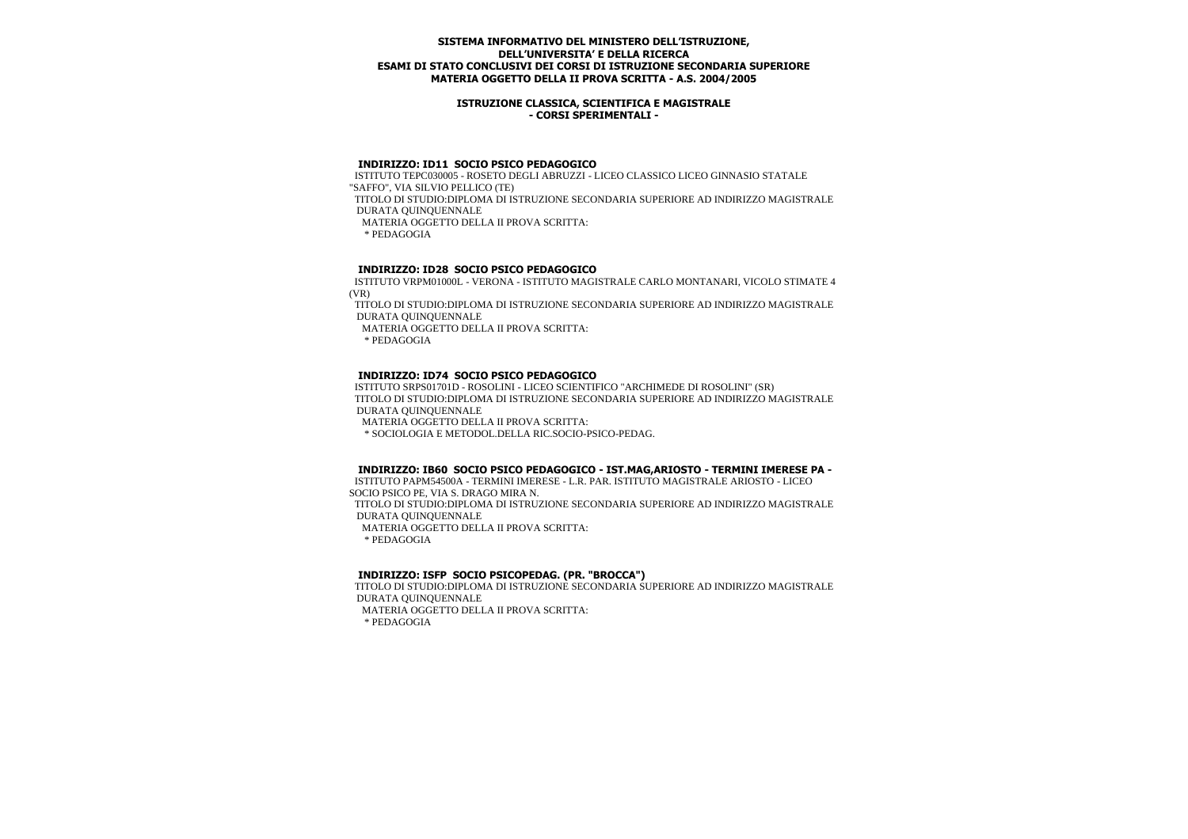### **ISTRUZIONE CLASSICA, SCIENTIFICA E MAGISTRALE - CORSI SPERIMENTALI -**

# **INDIRIZZO: ID11 SOCIO PSICO PEDAGOGICO**

 ISTITUTO TEPC030005 - ROSETO DEGLI ABRUZZI - LICEO CLASSICO LICEO GINNASIO STATALE "SAFFO", VIA SILVIO PELLICO (TE) TITOLO DI STUDIO:DIPLOMA DI ISTRUZIONE SECONDARIA SUPERIORE AD INDIRIZZO MAGISTRALE DURATA QUINQUENNALE MATERIA OGGETTO DELLA II PROVA SCRITTA: \* PEDAGOGIA

# **INDIRIZZO: ID28 SOCIO PSICO PEDAGOGICO**

 ISTITUTO VRPM01000L - VERONA - ISTITUTO MAGISTRALE CARLO MONTANARI, VICOLO STIMATE 4 (VR)

 TITOLO DI STUDIO:DIPLOMA DI ISTRUZIONE SECONDARIA SUPERIORE AD INDIRIZZO MAGISTRALE DURATA QUINQUENNALE

MATERIA OGGETTO DELLA II PROVA SCRITTA:

\* PEDAGOGIA

## **INDIRIZZO: ID74 SOCIO PSICO PEDAGOGICO**

 ISTITUTO SRPS01701D - ROSOLINI - LICEO SCIENTIFICO "ARCHIMEDE DI ROSOLINI" (SR) TITOLO DI STUDIO:DIPLOMA DI ISTRUZIONE SECONDARIA SUPERIORE AD INDIRIZZO MAGISTRALE DURATA QUINQUENNALE

MATERIA OGGETTO DELLA II PROVA SCRITTA:

\* SOCIOLOGIA E METODOL.DELLA RIC.SOCIO-PSICO-PEDAG.

### **INDIRIZZO: IB60 SOCIO PSICO PEDAGOGICO - IST.MAG,ARIOSTO - TERMINI IMERESE PA -**

 ISTITUTO PAPM54500A - TERMINI IMERESE - L.R. PAR. ISTITUTO MAGISTRALE ARIOSTO - LICEO SOCIO PSICO PE, VIA S. DRAGO MIRA N.

 TITOLO DI STUDIO:DIPLOMA DI ISTRUZIONE SECONDARIA SUPERIORE AD INDIRIZZO MAGISTRALE DURATA QUINQUENNALE

MATERIA OGGETTO DELLA II PROVA SCRITTA:

\* PEDAGOGIA

## **INDIRIZZO: ISFP SOCIO PSICOPEDAG. (PR. "BROCCA")**

 TITOLO DI STUDIO:DIPLOMA DI ISTRUZIONE SECONDARIA SUPERIORE AD INDIRIZZO MAGISTRALE DURATA QUINQUENNALE

MATERIA OGGETTO DELLA II PROVA SCRITTA: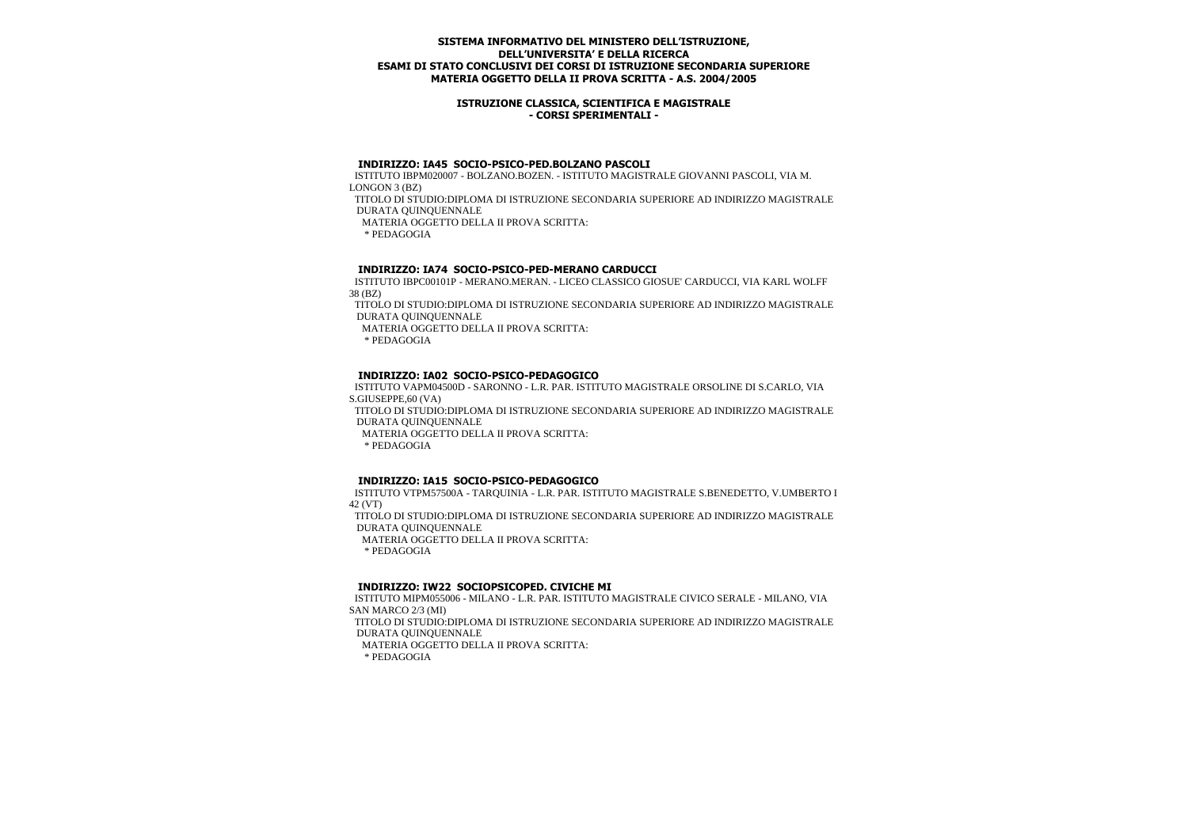### **ISTRUZIONE CLASSICA, SCIENTIFICA E MAGISTRALE - CORSI SPERIMENTALI -**

#### **INDIRIZZO: IA45 SOCIO-PSICO-PED.BOLZANO PASCOLI**

 ISTITUTO IBPM020007 - BOLZANO.BOZEN. - ISTITUTO MAGISTRALE GIOVANNI PASCOLI, VIA M. LONGON 3 (BZ)

 TITOLO DI STUDIO:DIPLOMA DI ISTRUZIONE SECONDARIA SUPERIORE AD INDIRIZZO MAGISTRALE DURATA QUINQUENNALE

MATERIA OGGETTO DELLA II PROVA SCRITTA:

\* PEDAGOGIA

### **INDIRIZZO: IA74 SOCIO-PSICO-PED-MERANO CARDUCCI**

 ISTITUTO IBPC00101P - MERANO.MERAN. - LICEO CLASSICO GIOSUE' CARDUCCI, VIA KARL WOLFF 38 (BZ)

 TITOLO DI STUDIO:DIPLOMA DI ISTRUZIONE SECONDARIA SUPERIORE AD INDIRIZZO MAGISTRALE DURATA QUINQUENNALE

MATERIA OGGETTO DELLA II PROVA SCRITTA:

\* PEDAGOGIA

### **INDIRIZZO: IA02 SOCIO-PSICO-PEDAGOGICO**

 ISTITUTO VAPM04500D - SARONNO - L.R. PAR. ISTITUTO MAGISTRALE ORSOLINE DI S.CARLO, VIA S.GIUSEPPE,60 (VA)

 TITOLO DI STUDIO:DIPLOMA DI ISTRUZIONE SECONDARIA SUPERIORE AD INDIRIZZO MAGISTRALE DURATA QUINQUENNALE

MATERIA OGGETTO DELLA II PROVA SCRITTA:

\* PEDAGOGIA

### **INDIRIZZO: IA15 SOCIO-PSICO-PEDAGOGICO**

 ISTITUTO VTPM57500A - TARQUINIA - L.R. PAR. ISTITUTO MAGISTRALE S.BENEDETTO, V.UMBERTO I 42 (VT)

 TITOLO DI STUDIO:DIPLOMA DI ISTRUZIONE SECONDARIA SUPERIORE AD INDIRIZZO MAGISTRALE DURATA QUINQUENNALE

MATERIA OGGETTO DELLA II PROVA SCRITTA:

\* PEDAGOGIA

### **INDIRIZZO: IW22 SOCIOPSICOPED. CIVICHE MI**

 ISTITUTO MIPM055006 - MILANO - L.R. PAR. ISTITUTO MAGISTRALE CIVICO SERALE - MILANO, VIA SAN MARCO 2/3 (MI)

 TITOLO DI STUDIO:DIPLOMA DI ISTRUZIONE SECONDARIA SUPERIORE AD INDIRIZZO MAGISTRALE DURATA QUINQUENNALE

MATERIA OGGETTO DELLA II PROVA SCRITTA: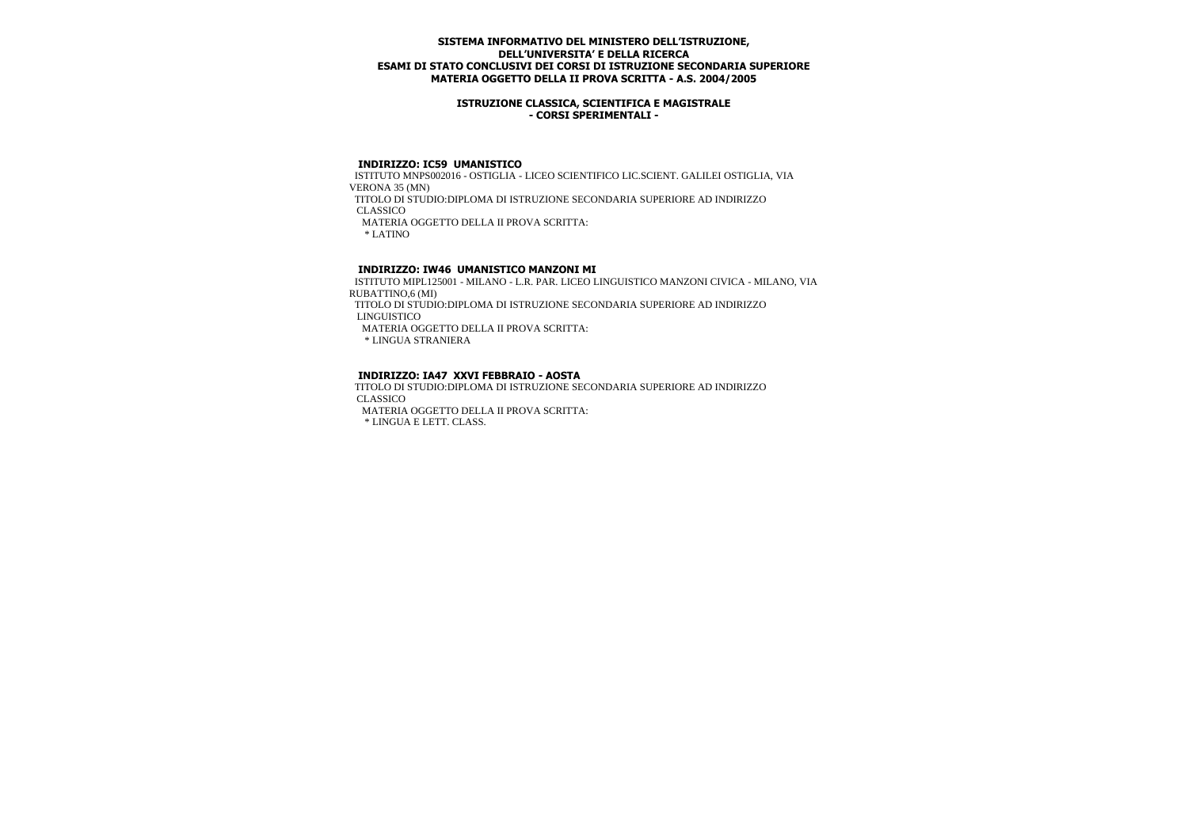### **ISTRUZIONE CLASSICA, SCIENTIFICA E MAGISTRALE - CORSI SPERIMENTALI -**

### **INDIRIZZO: IC59 UMANISTICO**

 ISTITUTO MNPS002016 - OSTIGLIA - LICEO SCIENTIFICO LIC.SCIENT. GALILEI OSTIGLIA, VIA VERONA 35 (MN) TITOLO DI STUDIO:DIPLOMA DI ISTRUZIONE SECONDARIA SUPERIORE AD INDIRIZZO **CLASSICO**  MATERIA OGGETTO DELLA II PROVA SCRITTA: \* LATINO

# **INDIRIZZO: IW46 UMANISTICO MANZONI MI**

 ISTITUTO MIPL125001 - MILANO - L.R. PAR. LICEO LINGUISTICO MANZONI CIVICA - MILANO, VIA RUBATTINO,6 (MI)

 TITOLO DI STUDIO:DIPLOMA DI ISTRUZIONE SECONDARIA SUPERIORE AD INDIRIZZO LINGUISTICO

MATERIA OGGETTO DELLA II PROVA SCRITTA:

\* LINGUA STRANIERA

### **INDIRIZZO: IA47 XXVI FEBBRAIO - AOSTA**

 TITOLO DI STUDIO:DIPLOMA DI ISTRUZIONE SECONDARIA SUPERIORE AD INDIRIZZO CLASSICO

MATERIA OGGETTO DELLA II PROVA SCRITTA:

\* LINGUA E LETT. CLASS.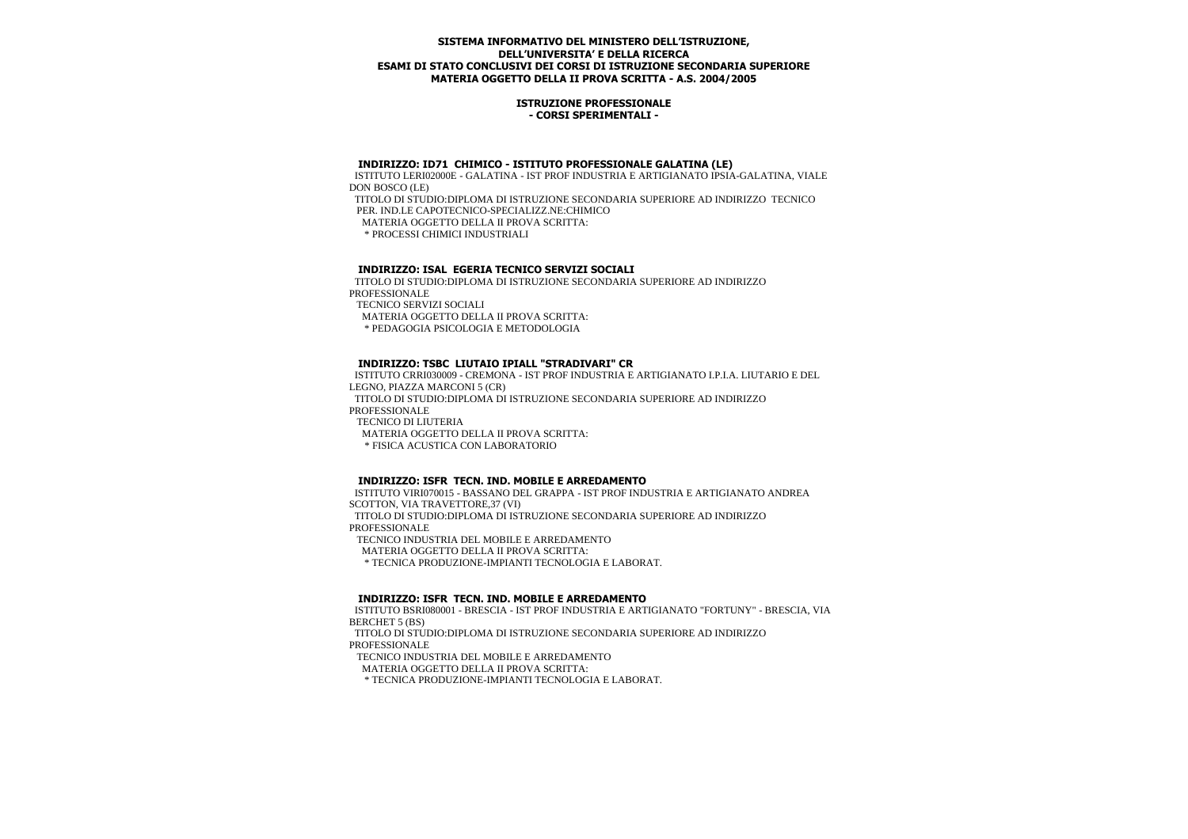#### **ISTRUZIONE PROFESSIONALE - CORSI SPERIMENTALI -**

#### **INDIRIZZO: ID71 CHIMICO - ISTITUTO PROFESSIONALE GALATINA (LE)**

 ISTITUTO LERI02000E - GALATINA - IST PROF INDUSTRIA E ARTIGIANATO IPSIA-GALATINA, VIALE DON BOSCO (LE) TITOLO DI STUDIO:DIPLOMA DI ISTRUZIONE SECONDARIA SUPERIORE AD INDIRIZZO TECNICO PER. IND.LE CAPOTECNICO-SPECIALIZZ.NE:CHIMICO MATERIA OGGETTO DELLA II PROVA SCRITTA:

\* PROCESSI CHIMICI INDUSTRIALI

# **INDIRIZZO: ISAL EGERIA TECNICO SERVIZI SOCIALI**

 TITOLO DI STUDIO:DIPLOMA DI ISTRUZIONE SECONDARIA SUPERIORE AD INDIRIZZO **PROFESSIONALE**  TECNICO SERVIZI SOCIALI MATERIA OGGETTO DELLA II PROVA SCRITTA: \* PEDAGOGIA PSICOLOGIA E METODOLOGIA

#### **INDIRIZZO: TSBC LIUTAIO IPIALL "STRADIVARI" CR**

 ISTITUTO CRRI030009 - CREMONA - IST PROF INDUSTRIA E ARTIGIANATO I.P.I.A. LIUTARIO E DEL LEGNO, PIAZZA MARCONI 5 (CR) TITOLO DI STUDIO:DIPLOMA DI ISTRUZIONE SECONDARIA SUPERIORE AD INDIRIZZO PROFESSIONALE TECNICO DI LIUTERIA MATERIA OGGETTO DELLA II PROVA SCRITTA: \* FISICA ACUSTICA CON LABORATORIO

#### **INDIRIZZO: ISFR TECN. IND. MOBILE E ARREDAMENTO**

 ISTITUTO VIRI070015 - BASSANO DEL GRAPPA - IST PROF INDUSTRIA E ARTIGIANATO ANDREA SCOTTON, VIA TRAVETTORE,37 (VI) TITOLO DI STUDIO:DIPLOMA DI ISTRUZIONE SECONDARIA SUPERIORE AD INDIRIZZO

PROFESSIONALE

TECNICO INDUSTRIA DEL MOBILE E ARREDAMENTO

MATERIA OGGETTO DELLA II PROVA SCRITTA:

\* TECNICA PRODUZIONE-IMPIANTI TECNOLOGIA E LABORAT.

#### **INDIRIZZO: ISFR TECN. IND. MOBILE E ARREDAMENTO**

 ISTITUTO BSRI080001 - BRESCIA - IST PROF INDUSTRIA E ARTIGIANATO "FORTUNY" - BRESCIA, VIA BERCHET 5 (BS)

 TITOLO DI STUDIO:DIPLOMA DI ISTRUZIONE SECONDARIA SUPERIORE AD INDIRIZZO PROFESSIONALE

TECNICO INDUSTRIA DEL MOBILE E ARREDAMENTO

MATERIA OGGETTO DELLA II PROVA SCRITTA:

\* TECNICA PRODUZIONE-IMPIANTI TECNOLOGIA E LABORAT.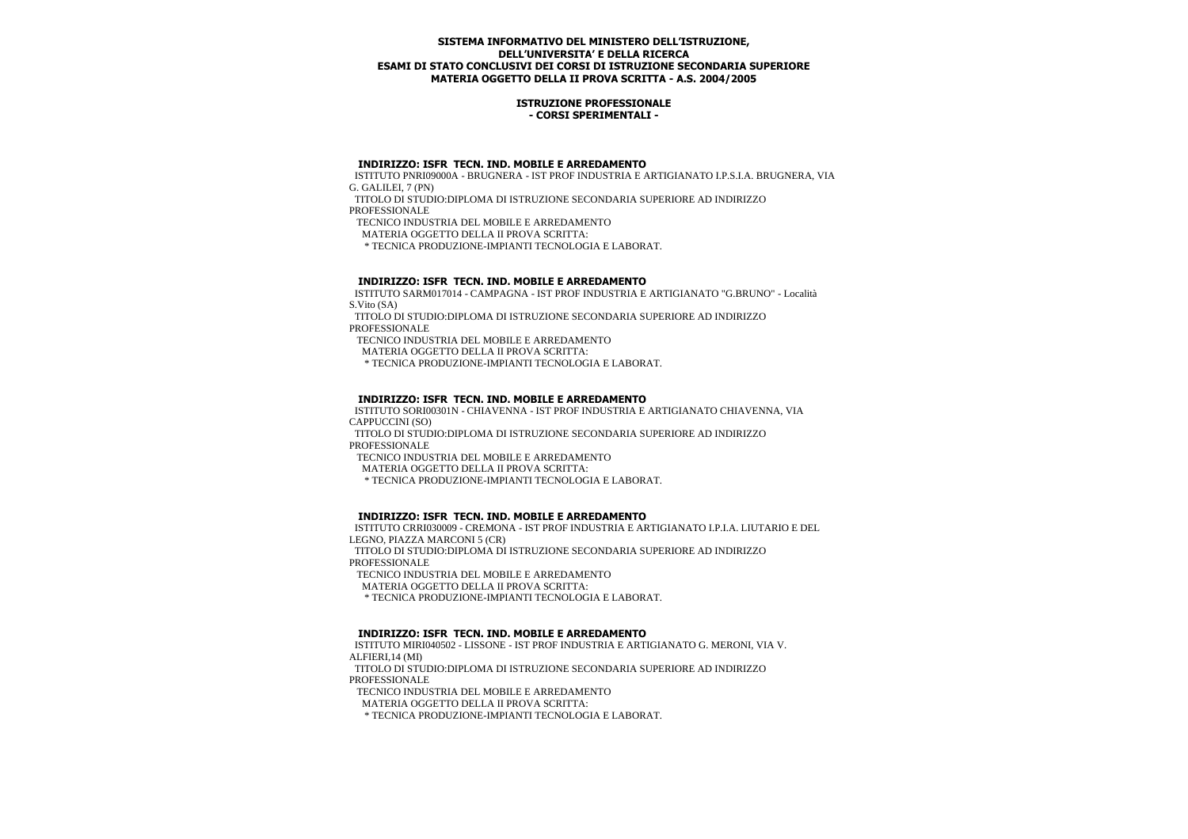#### **ISTRUZIONE PROFESSIONALE - CORSI SPERIMENTALI -**

#### **INDIRIZZO: ISFR TECN. IND. MOBILE E ARREDAMENTO**

 ISTITUTO PNRI09000A - BRUGNERA - IST PROF INDUSTRIA E ARTIGIANATO I.P.S.I.A. BRUGNERA, VIA G. GALILEI, 7 (PN)

 TITOLO DI STUDIO:DIPLOMA DI ISTRUZIONE SECONDARIA SUPERIORE AD INDIRIZZO **PROFESSIONALE** 

TECNICO INDUSTRIA DEL MOBILE E ARREDAMENTO

MATERIA OGGETTO DELLA II PROVA SCRITTA:

\* TECNICA PRODUZIONE-IMPIANTI TECNOLOGIA E LABORAT.

## **INDIRIZZO: ISFR TECN. IND. MOBILE E ARREDAMENTO**

 ISTITUTO SARM017014 - CAMPAGNA - IST PROF INDUSTRIA E ARTIGIANATO "G.BRUNO" - Località S.Vito (SA)

 TITOLO DI STUDIO:DIPLOMA DI ISTRUZIONE SECONDARIA SUPERIORE AD INDIRIZZO PROFESSIONALE

TECNICO INDUSTRIA DEL MOBILE E ARREDAMENTO

MATERIA OGGETTO DELLA II PROVA SCRITTA:

\* TECNICA PRODUZIONE-IMPIANTI TECNOLOGIA E LABORAT.

## **INDIRIZZO: ISFR TECN. IND. MOBILE E ARREDAMENTO**

 ISTITUTO SORI00301N - CHIAVENNA - IST PROF INDUSTRIA E ARTIGIANATO CHIAVENNA, VIA CAPPUCCINI (SO)

 TITOLO DI STUDIO:DIPLOMA DI ISTRUZIONE SECONDARIA SUPERIORE AD INDIRIZZO PROFESSIONALE

TECNICO INDUSTRIA DEL MOBILE E ARREDAMENTO

MATERIA OGGETTO DELLA II PROVA SCRITTA:

\* TECNICA PRODUZIONE-IMPIANTI TECNOLOGIA E LABORAT.

## **INDIRIZZO: ISFR TECN. IND. MOBILE E ARREDAMENTO**

 ISTITUTO CRRI030009 - CREMONA - IST PROF INDUSTRIA E ARTIGIANATO I.P.I.A. LIUTARIO E DEL LEGNO, PIAZZA MARCONI 5 (CR)

 TITOLO DI STUDIO:DIPLOMA DI ISTRUZIONE SECONDARIA SUPERIORE AD INDIRIZZO **PROFESSIONALE** 

TECNICO INDUSTRIA DEL MOBILE E ARREDAMENTO

MATERIA OGGETTO DELLA II PROVA SCRITTA:

\* TECNICA PRODUZIONE-IMPIANTI TECNOLOGIA E LABORAT.

## **INDIRIZZO: ISFR TECN. IND. MOBILE E ARREDAMENTO**

 ISTITUTO MIRI040502 - LISSONE - IST PROF INDUSTRIA E ARTIGIANATO G. MERONI, VIA V. ALFIERI,14 (MI)

 TITOLO DI STUDIO:DIPLOMA DI ISTRUZIONE SECONDARIA SUPERIORE AD INDIRIZZO PROFESSIONALE

TECNICO INDUSTRIA DEL MOBILE E ARREDAMENTO

MATERIA OGGETTO DELLA II PROVA SCRITTA:

\* TECNICA PRODUZIONE-IMPIANTI TECNOLOGIA E LABORAT.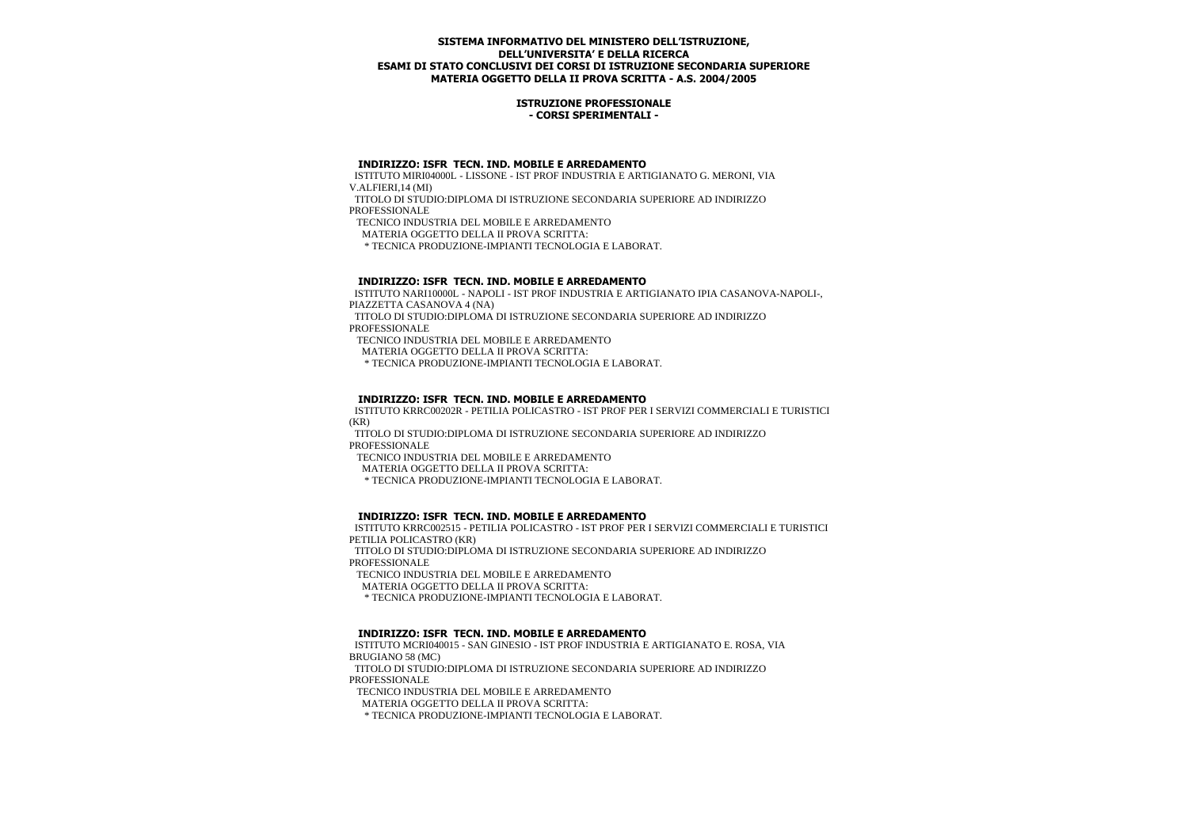#### **ISTRUZIONE PROFESSIONALE - CORSI SPERIMENTALI -**

#### **INDIRIZZO: ISFR TECN. IND. MOBILE E ARREDAMENTO**

 ISTITUTO MIRI04000L - LISSONE - IST PROF INDUSTRIA E ARTIGIANATO G. MERONI, VIA V.ALFIERI,14 (MI)

 TITOLO DI STUDIO:DIPLOMA DI ISTRUZIONE SECONDARIA SUPERIORE AD INDIRIZZO **PROFESSIONALE** 

TECNICO INDUSTRIA DEL MOBILE E ARREDAMENTO

MATERIA OGGETTO DELLA II PROVA SCRITTA:

\* TECNICA PRODUZIONE-IMPIANTI TECNOLOGIA E LABORAT.

## **INDIRIZZO: ISFR TECN. IND. MOBILE E ARREDAMENTO**

 ISTITUTO NARI10000L - NAPOLI - IST PROF INDUSTRIA E ARTIGIANATO IPIA CASANOVA-NAPOLI-, PIAZZETTA CASANOVA 4 (NA)

 TITOLO DI STUDIO:DIPLOMA DI ISTRUZIONE SECONDARIA SUPERIORE AD INDIRIZZO PROFESSIONALE

TECNICO INDUSTRIA DEL MOBILE E ARREDAMENTO

MATERIA OGGETTO DELLA II PROVA SCRITTA:

\* TECNICA PRODUZIONE-IMPIANTI TECNOLOGIA E LABORAT.

# **INDIRIZZO: ISFR TECN. IND. MOBILE E ARREDAMENTO**

 ISTITUTO KRRC00202R - PETILIA POLICASTRO - IST PROF PER I SERVIZI COMMERCIALI E TURISTICI  $(KR)$ 

 TITOLO DI STUDIO:DIPLOMA DI ISTRUZIONE SECONDARIA SUPERIORE AD INDIRIZZO PROFESSIONALE

TECNICO INDUSTRIA DEL MOBILE E ARREDAMENTO

MATERIA OGGETTO DELLA II PROVA SCRITTA:

\* TECNICA PRODUZIONE-IMPIANTI TECNOLOGIA E LABORAT.

## **INDIRIZZO: ISFR TECN. IND. MOBILE E ARREDAMENTO**

 ISTITUTO KRRC002515 - PETILIA POLICASTRO - IST PROF PER I SERVIZI COMMERCIALI E TURISTICI PETILIA POLICASTRO (KR)

 TITOLO DI STUDIO:DIPLOMA DI ISTRUZIONE SECONDARIA SUPERIORE AD INDIRIZZO **PROFESSIONALE** 

TECNICO INDUSTRIA DEL MOBILE E ARREDAMENTO

MATERIA OGGETTO DELLA II PROVA SCRITTA:

\* TECNICA PRODUZIONE-IMPIANTI TECNOLOGIA E LABORAT.

## **INDIRIZZO: ISFR TECN. IND. MOBILE E ARREDAMENTO**

 ISTITUTO MCRI040015 - SAN GINESIO - IST PROF INDUSTRIA E ARTIGIANATO E. ROSA, VIA BRUGIANO 58 (MC)

 TITOLO DI STUDIO:DIPLOMA DI ISTRUZIONE SECONDARIA SUPERIORE AD INDIRIZZO PROFESSIONALE

TECNICO INDUSTRIA DEL MOBILE E ARREDAMENTO

MATERIA OGGETTO DELLA II PROVA SCRITTA:

\* TECNICA PRODUZIONE-IMPIANTI TECNOLOGIA E LABORAT.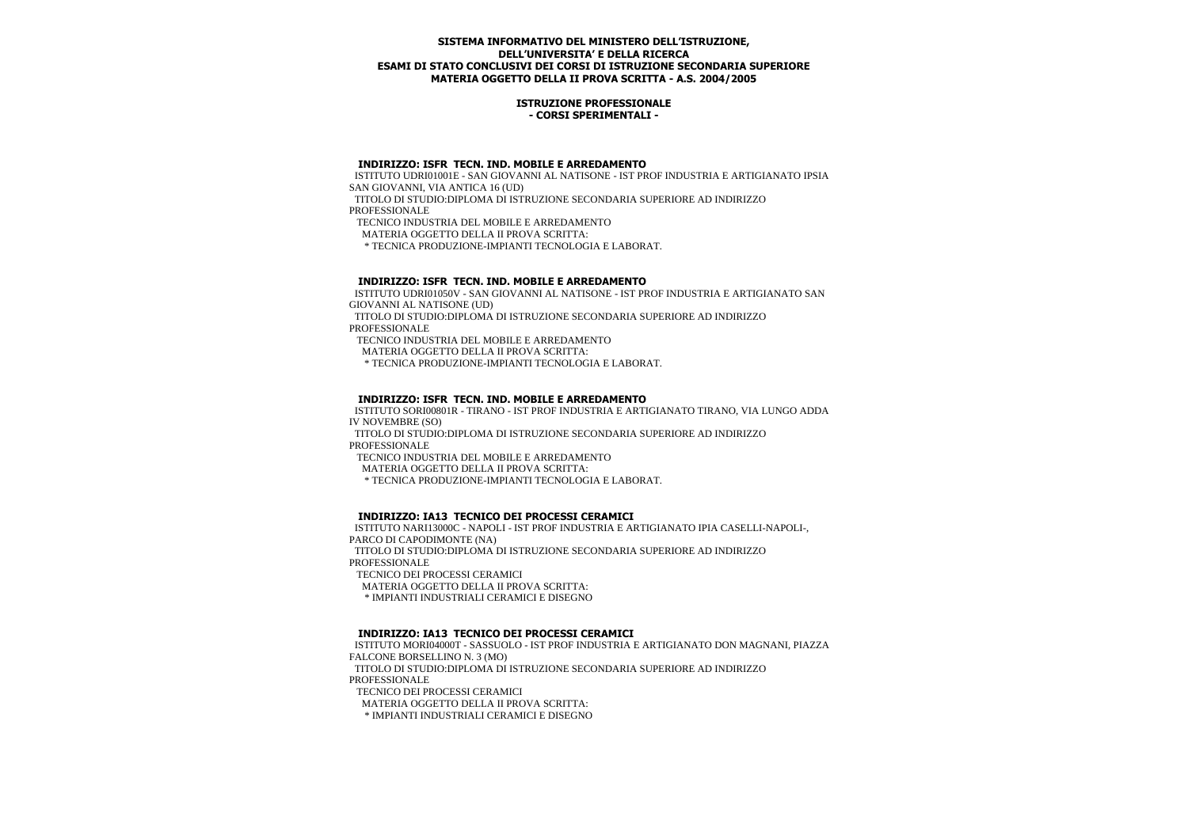#### **ISTRUZIONE PROFESSIONALE - CORSI SPERIMENTALI -**

#### **INDIRIZZO: ISFR TECN. IND. MOBILE E ARREDAMENTO**

 ISTITUTO UDRI01001E - SAN GIOVANNI AL NATISONE - IST PROF INDUSTRIA E ARTIGIANATO IPSIA SAN GIOVANNI, VIA ANTICA 16 (UD)

 TITOLO DI STUDIO:DIPLOMA DI ISTRUZIONE SECONDARIA SUPERIORE AD INDIRIZZO **PROFESSIONALE** 

TECNICO INDUSTRIA DEL MOBILE E ARREDAMENTO

MATERIA OGGETTO DELLA II PROVA SCRITTA:

\* TECNICA PRODUZIONE-IMPIANTI TECNOLOGIA E LABORAT.

## **INDIRIZZO: ISFR TECN. IND. MOBILE E ARREDAMENTO**

 ISTITUTO UDRI01050V - SAN GIOVANNI AL NATISONE - IST PROF INDUSTRIA E ARTIGIANATO SAN GIOVANNI AL NATISONE (UD)

 TITOLO DI STUDIO:DIPLOMA DI ISTRUZIONE SECONDARIA SUPERIORE AD INDIRIZZO PROFESSIONALE

TECNICO INDUSTRIA DEL MOBILE E ARREDAMENTO

MATERIA OGGETTO DELLA II PROVA SCRITTA:

\* TECNICA PRODUZIONE-IMPIANTI TECNOLOGIA E LABORAT.

# **INDIRIZZO: ISFR TECN. IND. MOBILE E ARREDAMENTO**

 ISTITUTO SORI00801R - TIRANO - IST PROF INDUSTRIA E ARTIGIANATO TIRANO, VIA LUNGO ADDA IV NOVEMBRE (SO)

 TITOLO DI STUDIO:DIPLOMA DI ISTRUZIONE SECONDARIA SUPERIORE AD INDIRIZZO PROFESSIONALE

TECNICO INDUSTRIA DEL MOBILE E ARREDAMENTO

MATERIA OGGETTO DELLA II PROVA SCRITTA:

\* TECNICA PRODUZIONE-IMPIANTI TECNOLOGIA E LABORAT.

## **INDIRIZZO: IA13 TECNICO DEI PROCESSI CERAMICI**

 ISTITUTO NARI13000C - NAPOLI - IST PROF INDUSTRIA E ARTIGIANATO IPIA CASELLI-NAPOLI-, PARCO DI CAPODIMONTE (NA)

TITOLO DI STUDIO:DIPLOMA DI ISTRUZIONE SECONDARIA SUPERIORE AD INDIRIZZO **PROFESSIONALE** 

TECNICO DEI PROCESSI CERAMICI

MATERIA OGGETTO DELLA II PROVA SCRITTA:

\* IMPIANTI INDUSTRIALI CERAMICI E DISEGNO

## **INDIRIZZO: IA13 TECNICO DEI PROCESSI CERAMICI**

 ISTITUTO MORI04000T - SASSUOLO - IST PROF INDUSTRIA E ARTIGIANATO DON MAGNANI, PIAZZA FALCONE BORSELLINO N. 3 (MO) TITOLO DI STUDIO:DIPLOMA DI ISTRUZIONE SECONDARIA SUPERIORE AD INDIRIZZO PROFESSIONALE TECNICO DEI PROCESSI CERAMICI

MATERIA OGGETTO DELLA II PROVA SCRITTA:

\* IMPIANTI INDUSTRIALI CERAMICI E DISEGNO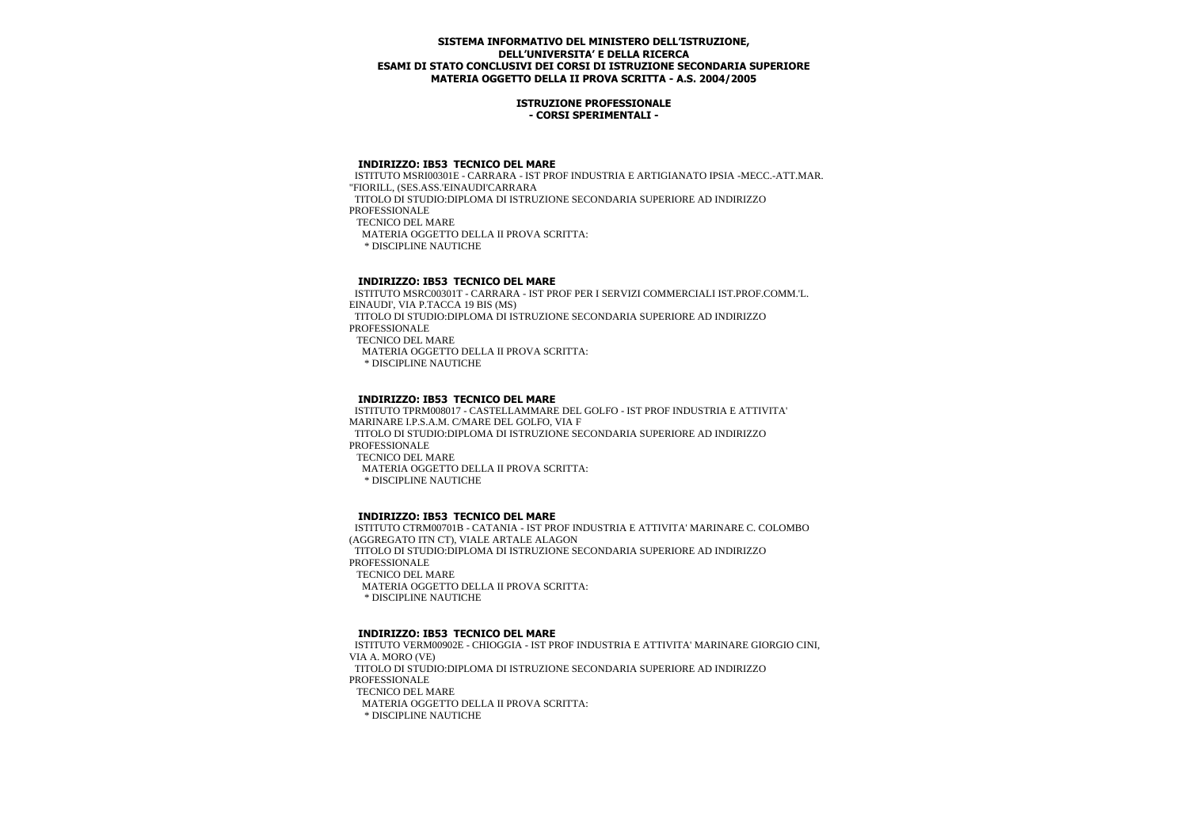#### **ISTRUZIONE PROFESSIONALE - CORSI SPERIMENTALI -**

#### **INDIRIZZO: IB53 TECNICO DEL MARE**

 ISTITUTO MSRI00301E - CARRARA - IST PROF INDUSTRIA E ARTIGIANATO IPSIA -MECC.-ATT.MAR. "FIORILL, (SES.ASS.'EINAUDI'CARRARA TITOLO DI STUDIO:DIPLOMA DI ISTRUZIONE SECONDARIA SUPERIORE AD INDIRIZZO **PROFESSIONALE**  TECNICO DEL MARE MATERIA OGGETTO DELLA II PROVA SCRITTA: \* DISCIPLINE NAUTICHE

#### **INDIRIZZO: IB53 TECNICO DEL MARE**

 ISTITUTO MSRC00301T - CARRARA - IST PROF PER I SERVIZI COMMERCIALI IST.PROF.COMM.'L. EINAUDI', VIA P.TACCA 19 BIS (MS) TITOLO DI STUDIO:DIPLOMA DI ISTRUZIONE SECONDARIA SUPERIORE AD INDIRIZZO PROFESSIONALE TECNICO DEL MARE MATERIA OGGETTO DELLA II PROVA SCRITTA: \* DISCIPLINE NAUTICHE

## **INDIRIZZO: IB53 TECNICO DEL MARE**

 ISTITUTO TPRM008017 - CASTELLAMMARE DEL GOLFO - IST PROF INDUSTRIA E ATTIVITA' MARINARE I.P.S.A.M. C/MARE DEL GOLFO, VIA F TITOLO DI STUDIO:DIPLOMA DI ISTRUZIONE SECONDARIA SUPERIORE AD INDIRIZZO PROFESSIONALE TECNICO DEL MARE MATERIA OGGETTO DELLA II PROVA SCRITTA: \* DISCIPLINE NAUTICHE

## **INDIRIZZO: IB53 TECNICO DEL MARE**

 ISTITUTO CTRM00701B - CATANIA - IST PROF INDUSTRIA E ATTIVITA' MARINARE C. COLOMBO (AGGREGATO ITN CT), VIALE ARTALE ALAGON TITOLO DI STUDIO:DIPLOMA DI ISTRUZIONE SECONDARIA SUPERIORE AD INDIRIZZO **PROFESSIONALE**  TECNICO DEL MARE MATERIA OGGETTO DELLA II PROVA SCRITTA: \* DISCIPLINE NAUTICHE

## **INDIRIZZO: IB53 TECNICO DEL MARE**

 ISTITUTO VERM00902E - CHIOGGIA - IST PROF INDUSTRIA E ATTIVITA' MARINARE GIORGIO CINI, VIA A. MORO (VE) TITOLO DI STUDIO:DIPLOMA DI ISTRUZIONE SECONDARIA SUPERIORE AD INDIRIZZO PROFESSIONALE TECNICO DEL MARE MATERIA OGGETTO DELLA II PROVA SCRITTA: \* DISCIPLINE NAUTICHE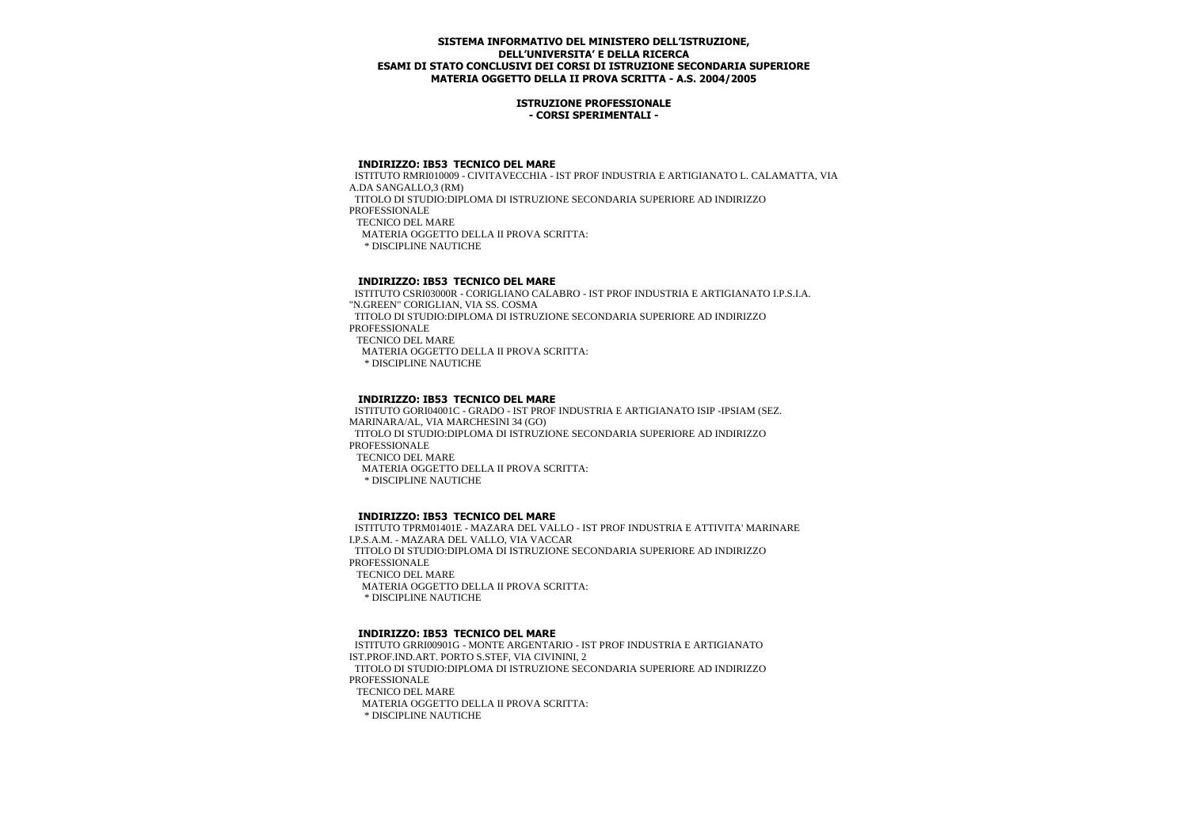#### **ISTRUZIONE PROFESSIONALE - CORSI SPERIMENTALI -**

#### **INDIRIZZO: IB53 TECNICO DEL MARE**

 ISTITUTO RMRI010009 - CIVITAVECCHIA - IST PROF INDUSTRIA E ARTIGIANATO L. CALAMATTA, VIA A.DA SANGALLO,3 (RM) TITOLO DI STUDIO:DIPLOMA DI ISTRUZIONE SECONDARIA SUPERIORE AD INDIRIZZO **PROFESSIONALE**  TECNICO DEL MARE MATERIA OGGETTO DELLA II PROVA SCRITTA: \* DISCIPLINE NAUTICHE

#### **INDIRIZZO: IB53 TECNICO DEL MARE**

 ISTITUTO CSRI03000R - CORIGLIANO CALABRO - IST PROF INDUSTRIA E ARTIGIANATO I.P.S.I.A. "N.GREEN" CORIGLIAN, VIA SS. COSMA TITOLO DI STUDIO:DIPLOMA DI ISTRUZIONE SECONDARIA SUPERIORE AD INDIRIZZO PROFESSIONALE TECNICO DEL MARE MATERIA OGGETTO DELLA II PROVA SCRITTA: \* DISCIPLINE NAUTICHE

## **INDIRIZZO: IB53 TECNICO DEL MARE**

 ISTITUTO GORI04001C - GRADO - IST PROF INDUSTRIA E ARTIGIANATO ISIP -IPSIAM (SEZ. MARINARA/AL, VIA MARCHESINI 34 (GO) TITOLO DI STUDIO:DIPLOMA DI ISTRUZIONE SECONDARIA SUPERIORE AD INDIRIZZO PROFESSIONALE TECNICO DEL MARE MATERIA OGGETTO DELLA II PROVA SCRITTA: \* DISCIPLINE NAUTICHE

## **INDIRIZZO: IB53 TECNICO DEL MARE**

 ISTITUTO TPRM01401E - MAZARA DEL VALLO - IST PROF INDUSTRIA E ATTIVITA' MARINARE I.P.S.A.M. - MAZARA DEL VALLO, VIA VACCAR TITOLO DI STUDIO:DIPLOMA DI ISTRUZIONE SECONDARIA SUPERIORE AD INDIRIZZO **PROFESSIONALE**  TECNICO DEL MARE MATERIA OGGETTO DELLA II PROVA SCRITTA: \* DISCIPLINE NAUTICHE

#### **INDIRIZZO: IB53 TECNICO DEL MARE**

 ISTITUTO GRRI00901G - MONTE ARGENTARIO - IST PROF INDUSTRIA E ARTIGIANATO IST.PROF.IND.ART. PORTO S.STEF, VIA CIVININI, 2 TITOLO DI STUDIO:DIPLOMA DI ISTRUZIONE SECONDARIA SUPERIORE AD INDIRIZZO PROFESSIONALE TECNICO DEL MARE MATERIA OGGETTO DELLA II PROVA SCRITTA: \* DISCIPLINE NAUTICHE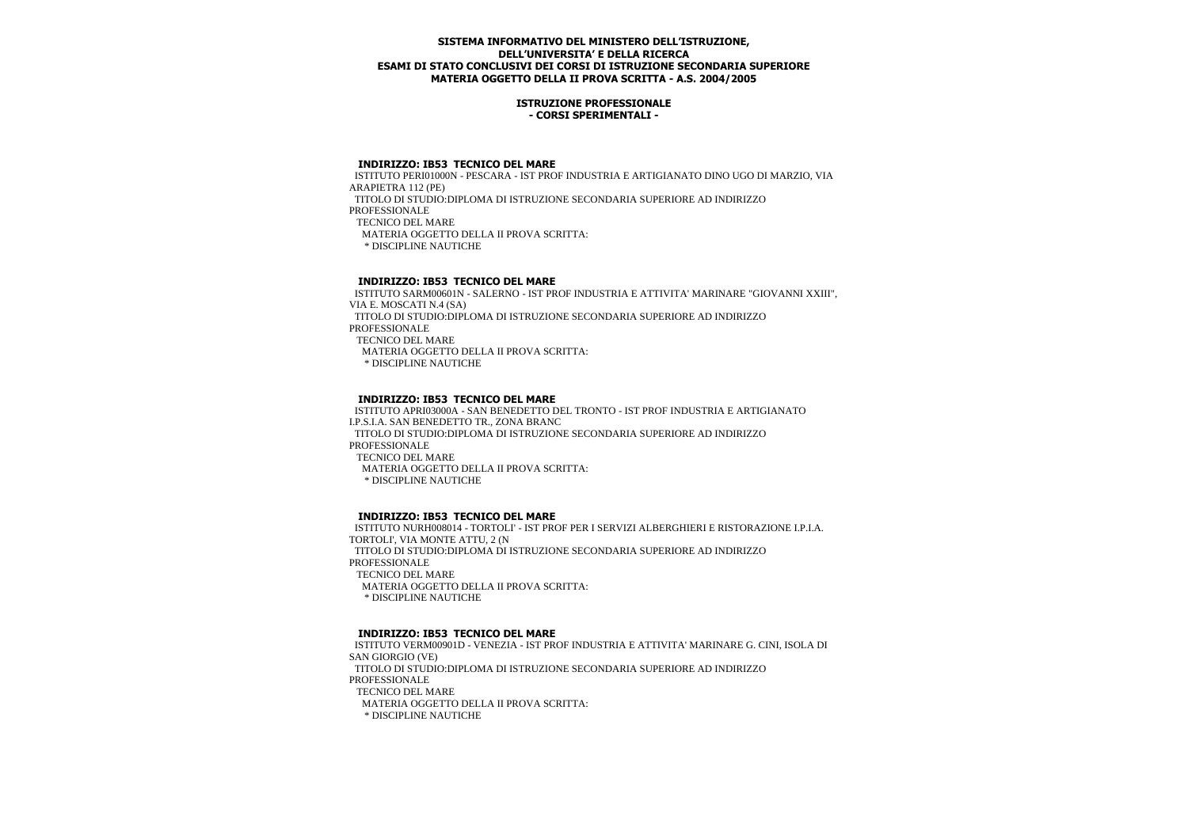#### **ISTRUZIONE PROFESSIONALE - CORSI SPERIMENTALI -**

#### **INDIRIZZO: IB53 TECNICO DEL MARE**

 ISTITUTO PERI01000N - PESCARA - IST PROF INDUSTRIA E ARTIGIANATO DINO UGO DI MARZIO, VIA ARAPIETRA 112 (PE) TITOLO DI STUDIO:DIPLOMA DI ISTRUZIONE SECONDARIA SUPERIORE AD INDIRIZZO **PROFESSIONALE**  TECNICO DEL MARE MATERIA OGGETTO DELLA II PROVA SCRITTA: \* DISCIPLINE NAUTICHE

#### **INDIRIZZO: IB53 TECNICO DEL MARE**

 ISTITUTO SARM00601N - SALERNO - IST PROF INDUSTRIA E ATTIVITA' MARINARE "GIOVANNI XXIII", VIA E. MOSCATI N.4 (SA) TITOLO DI STUDIO:DIPLOMA DI ISTRUZIONE SECONDARIA SUPERIORE AD INDIRIZZO PROFESSIONALE TECNICO DEL MARE MATERIA OGGETTO DELLA II PROVA SCRITTA: \* DISCIPLINE NAUTICHE

## **INDIRIZZO: IB53 TECNICO DEL MARE**

 ISTITUTO APRI03000A - SAN BENEDETTO DEL TRONTO - IST PROF INDUSTRIA E ARTIGIANATO I.P.S.I.A. SAN BENEDETTO TR., ZONA BRANC TITOLO DI STUDIO:DIPLOMA DI ISTRUZIONE SECONDARIA SUPERIORE AD INDIRIZZO PROFESSIONALE TECNICO DEL MARE MATERIA OGGETTO DELLA II PROVA SCRITTA: \* DISCIPLINE NAUTICHE

## **INDIRIZZO: IB53 TECNICO DEL MARE**

 ISTITUTO NURH008014 - TORTOLI' - IST PROF PER I SERVIZI ALBERGHIERI E RISTORAZIONE I.P.I.A. TORTOLI', VIA MONTE ATTU, 2 (N TITOLO DI STUDIO:DIPLOMA DI ISTRUZIONE SECONDARIA SUPERIORE AD INDIRIZZO **PROFESSIONALE**  TECNICO DEL MARE MATERIA OGGETTO DELLA II PROVA SCRITTA: \* DISCIPLINE NAUTICHE

#### **INDIRIZZO: IB53 TECNICO DEL MARE**

 ISTITUTO VERM00901D - VENEZIA - IST PROF INDUSTRIA E ATTIVITA' MARINARE G. CINI, ISOLA DI SAN GIORGIO (VE) TITOLO DI STUDIO:DIPLOMA DI ISTRUZIONE SECONDARIA SUPERIORE AD INDIRIZZO PROFESSIONALE TECNICO DEL MARE MATERIA OGGETTO DELLA II PROVA SCRITTA: \* DISCIPLINE NAUTICHE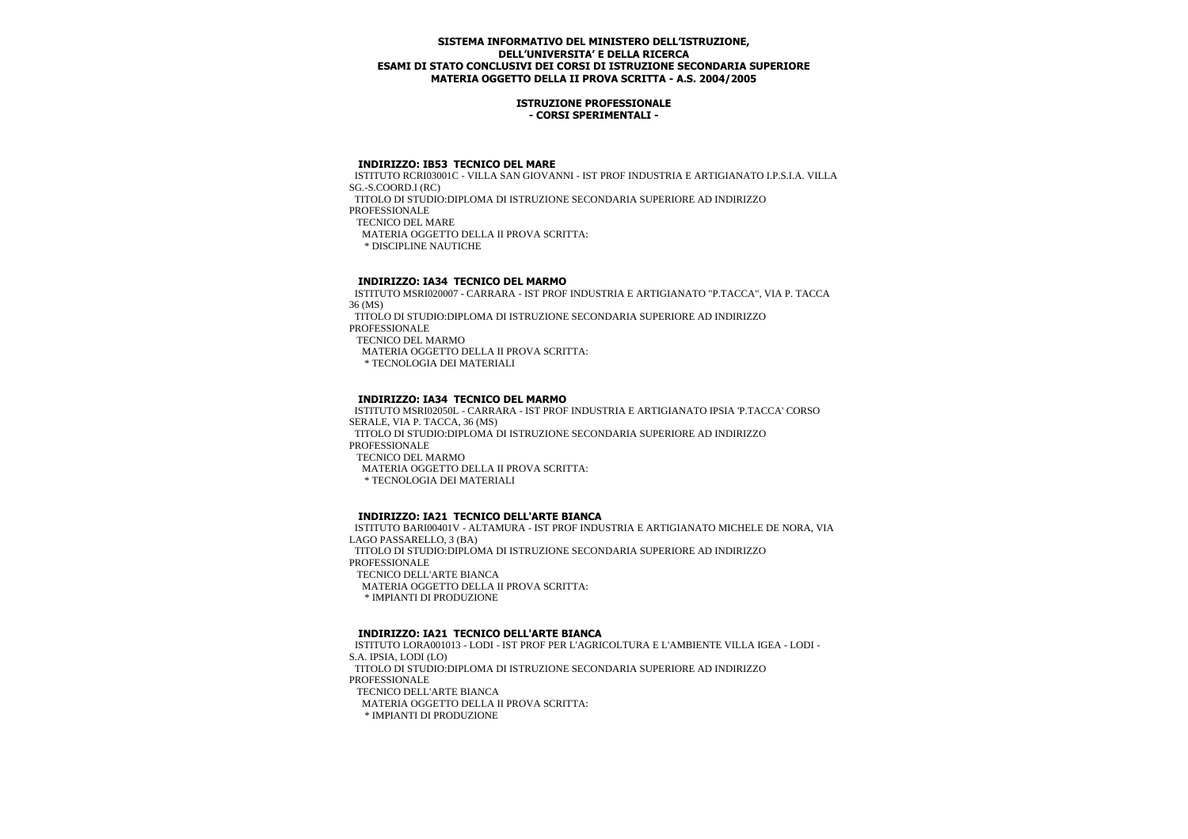#### **ISTRUZIONE PROFESSIONALE - CORSI SPERIMENTALI -**

#### **INDIRIZZO: IB53 TECNICO DEL MARE**

 ISTITUTO RCRI03001C - VILLA SAN GIOVANNI - IST PROF INDUSTRIA E ARTIGIANATO I.P.S.I.A. VILLA SG.-S.COORD.I (RC)

TITOLO DI STUDIO:DIPLOMA DI ISTRUZIONE SECONDARIA SUPERIORE AD INDIRIZZO

**PROFESSIONALE** 

TECNICO DEL MARE

MATERIA OGGETTO DELLA II PROVA SCRITTA:

\* DISCIPLINE NAUTICHE

## **INDIRIZZO: IA34 TECNICO DEL MARMO**

 ISTITUTO MSRI020007 - CARRARA - IST PROF INDUSTRIA E ARTIGIANATO "P.TACCA", VIA P. TACCA 36 (MS) TITOLO DI STUDIO:DIPLOMA DI ISTRUZIONE SECONDARIA SUPERIORE AD INDIRIZZO PROFESSIONALE TECNICO DEL MARMO MATERIA OGGETTO DELLA II PROVA SCRITTA: \* TECNOLOGIA DEI MATERIALI

# **INDIRIZZO: IA34 TECNICO DEL MARMO**

 ISTITUTO MSRI02050L - CARRARA - IST PROF INDUSTRIA E ARTIGIANATO IPSIA 'P.TACCA' CORSO SERALE, VIA P. TACCA, 36 (MS) TITOLO DI STUDIO:DIPLOMA DI ISTRUZIONE SECONDARIA SUPERIORE AD INDIRIZZO PROFESSIONALE TECNICO DEL MARMO MATERIA OGGETTO DELLA II PROVA SCRITTA: \* TECNOLOGIA DEI MATERIALI

## **INDIRIZZO: IA21 TECNICO DELL'ARTE BIANCA**

 ISTITUTO BARI00401V - ALTAMURA - IST PROF INDUSTRIA E ARTIGIANATO MICHELE DE NORA, VIA LAGO PASSARELLO, 3 (BA) TITOLO DI STUDIO:DIPLOMA DI ISTRUZIONE SECONDARIA SUPERIORE AD INDIRIZZO **PROFESSIONALE**  TECNICO DELL'ARTE BIANCA MATERIA OGGETTO DELLA II PROVA SCRITTA:

\* IMPIANTI DI PRODUZIONE

## **INDIRIZZO: IA21 TECNICO DELL'ARTE BIANCA**

 ISTITUTO LORA001013 - LODI - IST PROF PER L'AGRICOLTURA E L'AMBIENTE VILLA IGEA - LODI - S.A. IPSIA, LODI (LO) TITOLO DI STUDIO:DIPLOMA DI ISTRUZIONE SECONDARIA SUPERIORE AD INDIRIZZO PROFESSIONALE TECNICO DELL'ARTE BIANCA MATERIA OGGETTO DELLA II PROVA SCRITTA: \* IMPIANTI DI PRODUZIONE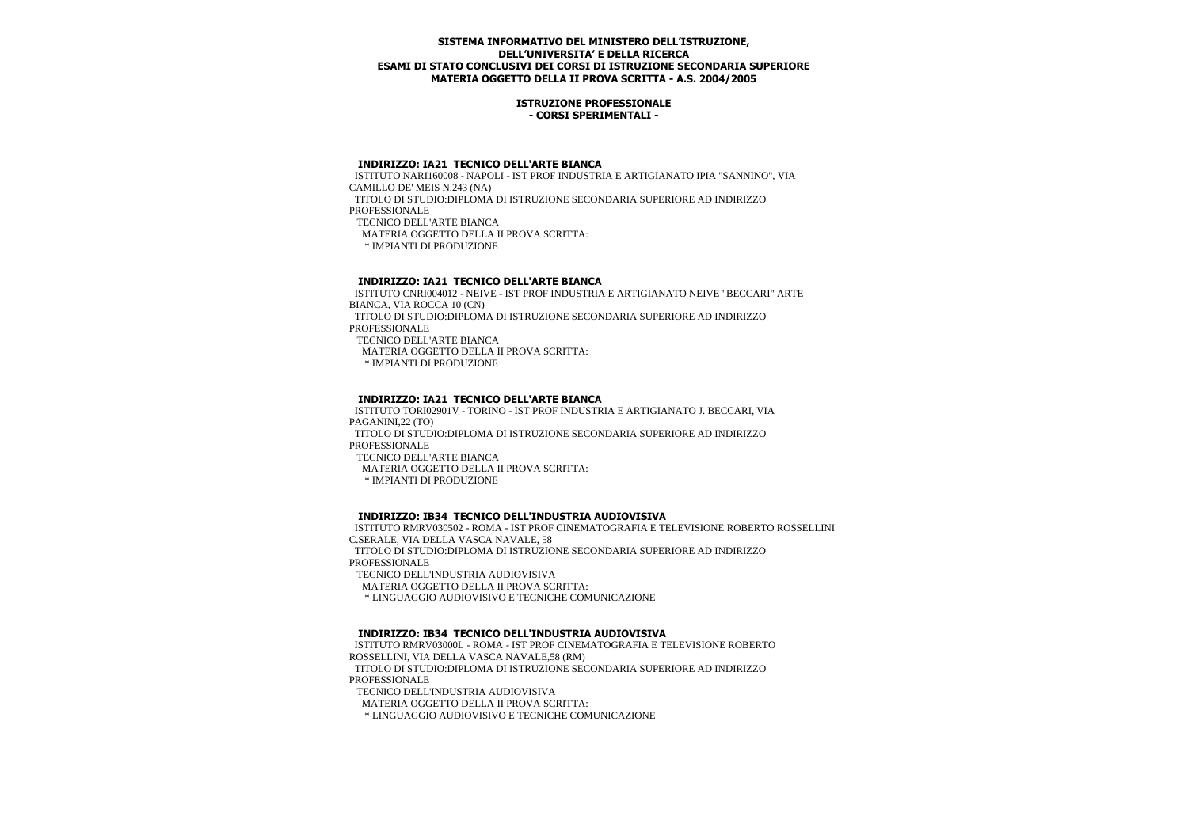#### **ISTRUZIONE PROFESSIONALE - CORSI SPERIMENTALI -**

## **INDIRIZZO: IA21 TECNICO DELL'ARTE BIANCA**

 ISTITUTO NARI160008 - NAPOLI - IST PROF INDUSTRIA E ARTIGIANATO IPIA "SANNINO", VIA CAMILLO DE' MEIS N.243 (NA) TITOLO DI STUDIO:DIPLOMA DI ISTRUZIONE SECONDARIA SUPERIORE AD INDIRIZZO **PROFESSIONALE** TECNICO DELL'ARTE BIANCA

 MATERIA OGGETTO DELLA II PROVA SCRITTA: \* IMPIANTI DI PRODUZIONE

#### **INDIRIZZO: IA21 TECNICO DELL'ARTE BIANCA**

 ISTITUTO CNRI004012 - NEIVE - IST PROF INDUSTRIA E ARTIGIANATO NEIVE "BECCARI" ARTE BIANCA, VIA ROCCA 10 (CN) TITOLO DI STUDIO:DIPLOMA DI ISTRUZIONE SECONDARIA SUPERIORE AD INDIRIZZO PROFESSIONALE TECNICO DELL'ARTE BIANCA MATERIA OGGETTO DELLA II PROVA SCRITTA: \* IMPIANTI DI PRODUZIONE

## **INDIRIZZO: IA21 TECNICO DELL'ARTE BIANCA**

 ISTITUTO TORI02901V - TORINO - IST PROF INDUSTRIA E ARTIGIANATO J. BECCARI, VIA PAGANINI 22 (TO) TITOLO DI STUDIO:DIPLOMA DI ISTRUZIONE SECONDARIA SUPERIORE AD INDIRIZZO PROFESSIONALE TECNICO DELL'ARTE BIANCA MATERIA OGGETTO DELLA II PROVA SCRITTA: \* IMPIANTI DI PRODUZIONE

# **INDIRIZZO: IB34 TECNICO DELL'INDUSTRIA AUDIOVISIVA**

 ISTITUTO RMRV030502 - ROMA - IST PROF CINEMATOGRAFIA E TELEVISIONE ROBERTO ROSSELLINI C.SERALE, VIA DELLA VASCA NAVALE, 58 TITOLO DI STUDIO:DIPLOMA DI ISTRUZIONE SECONDARIA SUPERIORE AD INDIRIZZO **PROFESSIONALE** TECNICO DELL'INDUSTRIA AUDIOVISIVA

MATERIA OGGETTO DELLA II PROVA SCRITTA:

\* LINGUAGGIO AUDIOVISIVO E TECNICHE COMUNICAZIONE

## **INDIRIZZO: IB34 TECNICO DELL'INDUSTRIA AUDIOVISIVA**

 ISTITUTO RMRV03000L - ROMA - IST PROF CINEMATOGRAFIA E TELEVISIONE ROBERTO ROSSELLINI, VIA DELLA VASCA NAVALE,58 (RM) TITOLO DI STUDIO:DIPLOMA DI ISTRUZIONE SECONDARIA SUPERIORE AD INDIRIZZO PROFESSIONALE

TECNICO DELL'INDUSTRIA AUDIOVISIVA

MATERIA OGGETTO DELLA II PROVA SCRITTA:

\* LINGUAGGIO AUDIOVISIVO E TECNICHE COMUNICAZIONE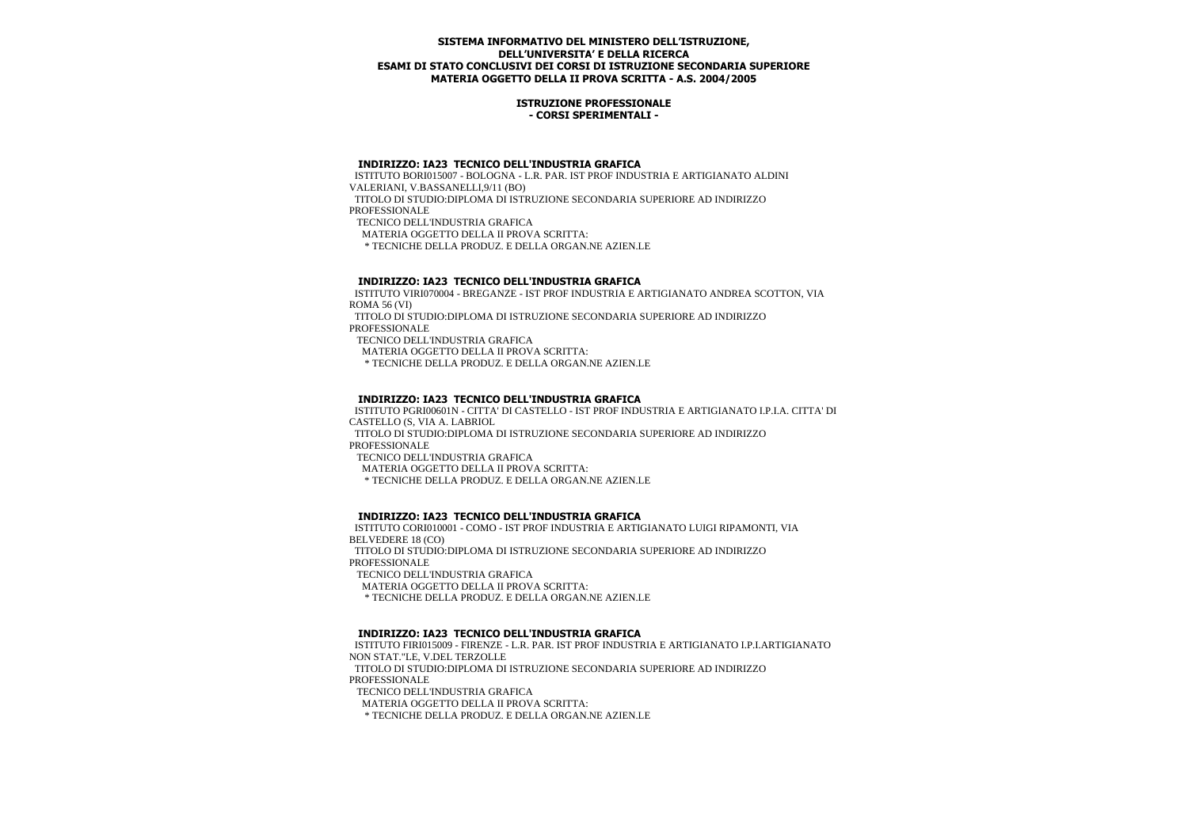#### **ISTRUZIONE PROFESSIONALE - CORSI SPERIMENTALI -**

#### **INDIRIZZO: IA23 TECNICO DELL'INDUSTRIA GRAFICA**

 ISTITUTO BORI015007 - BOLOGNA - L.R. PAR. IST PROF INDUSTRIA E ARTIGIANATO ALDINI VALERIANI, V.BASSANELLI,9/11 (BO)

 TITOLO DI STUDIO:DIPLOMA DI ISTRUZIONE SECONDARIA SUPERIORE AD INDIRIZZO **PROFESSIONALE** 

TECNICO DELL'INDUSTRIA GRAFICA

MATERIA OGGETTO DELLA II PROVA SCRITTA:

\* TECNICHE DELLA PRODUZ. E DELLA ORGAN.NE AZIEN.LE

#### **INDIRIZZO: IA23 TECNICO DELL'INDUSTRIA GRAFICA**

 ISTITUTO VIRI070004 - BREGANZE - IST PROF INDUSTRIA E ARTIGIANATO ANDREA SCOTTON, VIA ROMA 56 (VI)

 TITOLO DI STUDIO:DIPLOMA DI ISTRUZIONE SECONDARIA SUPERIORE AD INDIRIZZO PROFESSIONALE

TECNICO DELL'INDUSTRIA GRAFICA

MATERIA OGGETTO DELLA II PROVA SCRITTA:

\* TECNICHE DELLA PRODUZ. E DELLA ORGAN.NE AZIEN.LE

# **INDIRIZZO: IA23 TECNICO DELL'INDUSTRIA GRAFICA**

 ISTITUTO PGRI00601N - CITTA' DI CASTELLO - IST PROF INDUSTRIA E ARTIGIANATO I.P.I.A. CITTA' DI CASTELLO (S, VIA A. LABRIOL

 TITOLO DI STUDIO:DIPLOMA DI ISTRUZIONE SECONDARIA SUPERIORE AD INDIRIZZO PROFESSIONALE

TECNICO DELL'INDUSTRIA GRAFICA

MATERIA OGGETTO DELLA II PROVA SCRITTA:

\* TECNICHE DELLA PRODUZ. E DELLA ORGAN.NE AZIEN.LE

## **INDIRIZZO: IA23 TECNICO DELL'INDUSTRIA GRAFICA**

 ISTITUTO CORI010001 - COMO - IST PROF INDUSTRIA E ARTIGIANATO LUIGI RIPAMONTI, VIA BELVEDERE 18 (CO) TITOLO DI STUDIO:DIPLOMA DI ISTRUZIONE SECONDARIA SUPERIORE AD INDIRIZZO **PROFESSIONALE** 

TECNICO DELL'INDUSTRIA GRAFICA

MATERIA OGGETTO DELLA II PROVA SCRITTA:

\* TECNICHE DELLA PRODUZ. E DELLA ORGAN.NE AZIEN.LE

## **INDIRIZZO: IA23 TECNICO DELL'INDUSTRIA GRAFICA**

 ISTITUTO FIRI015009 - FIRENZE - L.R. PAR. IST PROF INDUSTRIA E ARTIGIANATO I.P.I.ARTIGIANATO NON STAT."LE, V.DEL TERZOLLE TITOLO DI STUDIO:DIPLOMA DI ISTRUZIONE SECONDARIA SUPERIORE AD INDIRIZZO PROFESSIONALE TECNICO DELL'INDUSTRIA GRAFICA MATERIA OGGETTO DELLA II PROVA SCRITTA:

\* TECNICHE DELLA PRODUZ. E DELLA ORGAN.NE AZIEN.LE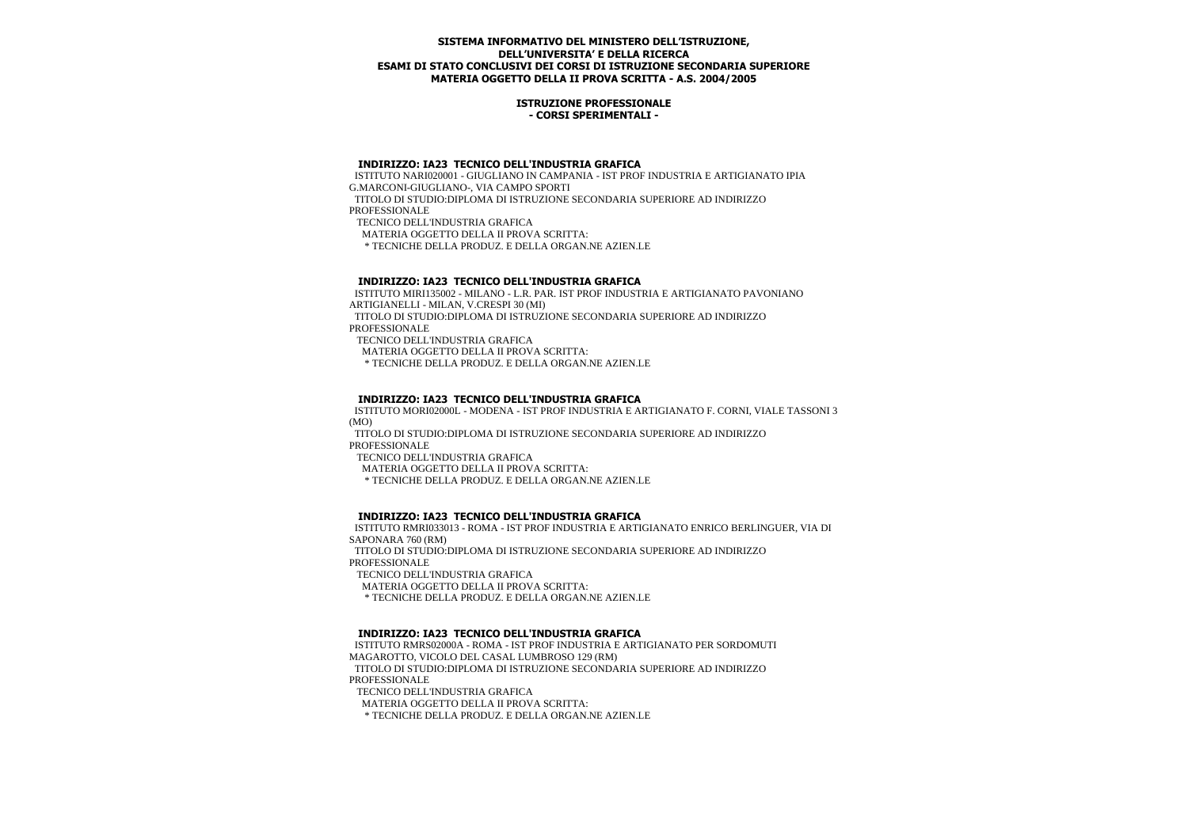#### **ISTRUZIONE PROFESSIONALE - CORSI SPERIMENTALI -**

#### **INDIRIZZO: IA23 TECNICO DELL'INDUSTRIA GRAFICA**

 ISTITUTO NARI020001 - GIUGLIANO IN CAMPANIA - IST PROF INDUSTRIA E ARTIGIANATO IPIA G.MARCONI-GIUGLIANO-, VIA CAMPO SPORTI TITOLO DI STUDIO:DIPLOMA DI ISTRUZIONE SECONDARIA SUPERIORE AD INDIRIZZO PROFESSIONALE

TECNICO DELL'INDUSTRIA GRAFICA

MATERIA OGGETTO DELLA II PROVA SCRITTA:

\* TECNICHE DELLA PRODUZ. E DELLA ORGAN.NE AZIEN.LE

## **INDIRIZZO: IA23 TECNICO DELL'INDUSTRIA GRAFICA**

 ISTITUTO MIRI135002 - MILANO - L.R. PAR. IST PROF INDUSTRIA E ARTIGIANATO PAVONIANO ARTIGIANELLI - MILAN, V.CRESPI 30 (MI) TITOLO DI STUDIO:DIPLOMA DI ISTRUZIONE SECONDARIA SUPERIORE AD INDIRIZZO PROFESSIONALE

TECNICO DELL'INDUSTRIA GRAFICA

MATERIA OGGETTO DELLA II PROVA SCRITTA:

\* TECNICHE DELLA PRODUZ. E DELLA ORGAN.NE AZIEN.LE

# **INDIRIZZO: IA23 TECNICO DELL'INDUSTRIA GRAFICA**

 ISTITUTO MORI02000L - MODENA - IST PROF INDUSTRIA E ARTIGIANATO F. CORNI, VIALE TASSONI 3 (MO)

 TITOLO DI STUDIO:DIPLOMA DI ISTRUZIONE SECONDARIA SUPERIORE AD INDIRIZZO PROFESSIONALE

TECNICO DELL'INDUSTRIA GRAFICA

MATERIA OGGETTO DELLA II PROVA SCRITTA:

\* TECNICHE DELLA PRODUZ. E DELLA ORGAN.NE AZIEN.LE

## **INDIRIZZO: IA23 TECNICO DELL'INDUSTRIA GRAFICA**

 ISTITUTO RMRI033013 - ROMA - IST PROF INDUSTRIA E ARTIGIANATO ENRICO BERLINGUER, VIA DI SAPONARA 760 (RM)

 TITOLO DI STUDIO:DIPLOMA DI ISTRUZIONE SECONDARIA SUPERIORE AD INDIRIZZO **PROFESSIONALE** 

TECNICO DELL'INDUSTRIA GRAFICA

MATERIA OGGETTO DELLA II PROVA SCRITTA:

\* TECNICHE DELLA PRODUZ. E DELLA ORGAN.NE AZIEN.LE

# **INDIRIZZO: IA23 TECNICO DELL'INDUSTRIA GRAFICA**

 ISTITUTO RMRS02000A - ROMA - IST PROF INDUSTRIA E ARTIGIANATO PER SORDOMUTI MAGAROTTO, VICOLO DEL CASAL LUMBROSO 129 (RM) TITOLO DI STUDIO:DIPLOMA DI ISTRUZIONE SECONDARIA SUPERIORE AD INDIRIZZO PROFESSIONALE TECNICO DELL'INDUSTRIA GRAFICA

MATERIA OGGETTO DELLA II PROVA SCRITTA:

\* TECNICHE DELLA PRODUZ. E DELLA ORGAN.NE AZIEN.LE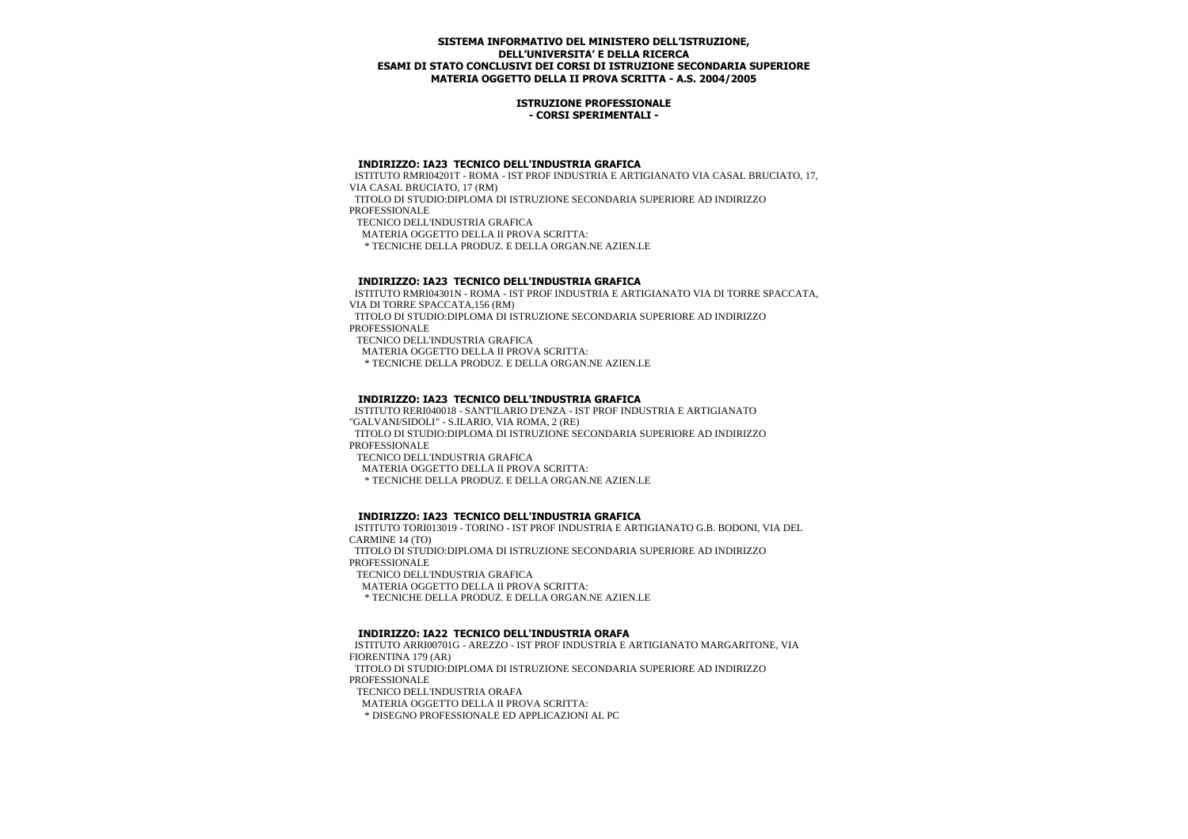#### **ISTRUZIONE PROFESSIONALE - CORSI SPERIMENTALI -**

#### **INDIRIZZO: IA23 TECNICO DELL'INDUSTRIA GRAFICA**

 ISTITUTO RMRI04201T - ROMA - IST PROF INDUSTRIA E ARTIGIANATO VIA CASAL BRUCIATO, 17, VIA CASAL BRUCIATO, 17 (RM)

 TITOLO DI STUDIO:DIPLOMA DI ISTRUZIONE SECONDARIA SUPERIORE AD INDIRIZZO **PROFESSIONALE** 

TECNICO DELL'INDUSTRIA GRAFICA

MATERIA OGGETTO DELLA II PROVA SCRITTA:

\* TECNICHE DELLA PRODUZ. E DELLA ORGAN.NE AZIEN.LE

#### **INDIRIZZO: IA23 TECNICO DELL'INDUSTRIA GRAFICA**

 ISTITUTO RMRI04301N - ROMA - IST PROF INDUSTRIA E ARTIGIANATO VIA DI TORRE SPACCATA, VIA DI TORRE SPACCATA,156 (RM) TITOLO DI STUDIO:DIPLOMA DI ISTRUZIONE SECONDARIA SUPERIORE AD INDIRIZZO PROFESSIONALE TECNICO DELL'INDUSTRIA GRAFICA

MATERIA OGGETTO DELLA II PROVA SCRITTA:

\* TECNICHE DELLA PRODUZ. E DELLA ORGAN.NE AZIEN.LE

## **INDIRIZZO: IA23 TECNICO DELL'INDUSTRIA GRAFICA**

 ISTITUTO RERI040018 - SANT'ILARIO D'ENZA - IST PROF INDUSTRIA E ARTIGIANATO "GALVANI/SIDOLI" - S.ILARIO, VIA ROMA, 2 (RE) TITOLO DI STUDIO:DIPLOMA DI ISTRUZIONE SECONDARIA SUPERIORE AD INDIRIZZO PROFESSIONALE

TECNICO DELL'INDUSTRIA GRAFICA

MATERIA OGGETTO DELLA II PROVA SCRITTA:

\* TECNICHE DELLA PRODUZ. E DELLA ORGAN.NE AZIEN.LE

## **INDIRIZZO: IA23 TECNICO DELL'INDUSTRIA GRAFICA**

 ISTITUTO TORI013019 - TORINO - IST PROF INDUSTRIA E ARTIGIANATO G.B. BODONI, VIA DEL CARMINE 14 (TO)

 TITOLO DI STUDIO:DIPLOMA DI ISTRUZIONE SECONDARIA SUPERIORE AD INDIRIZZO **PROFESSIONALE** 

TECNICO DELL'INDUSTRIA GRAFICA

MATERIA OGGETTO DELLA II PROVA SCRITTA:

\* TECNICHE DELLA PRODUZ. E DELLA ORGAN.NE AZIEN.LE

# **INDIRIZZO: IA22 TECNICO DELL'INDUSTRIA ORAFA**

 ISTITUTO ARRI00701G - AREZZO - IST PROF INDUSTRIA E ARTIGIANATO MARGARITONE, VIA FIORENTINA 179 (AR) TITOLO DI STUDIO:DIPLOMA DI ISTRUZIONE SECONDARIA SUPERIORE AD INDIRIZZO PROFESSIONALE

TECNICO DELL'INDUSTRIA ORAFA

MATERIA OGGETTO DELLA II PROVA SCRITTA:

\* DISEGNO PROFESSIONALE ED APPLICAZIONI AL PC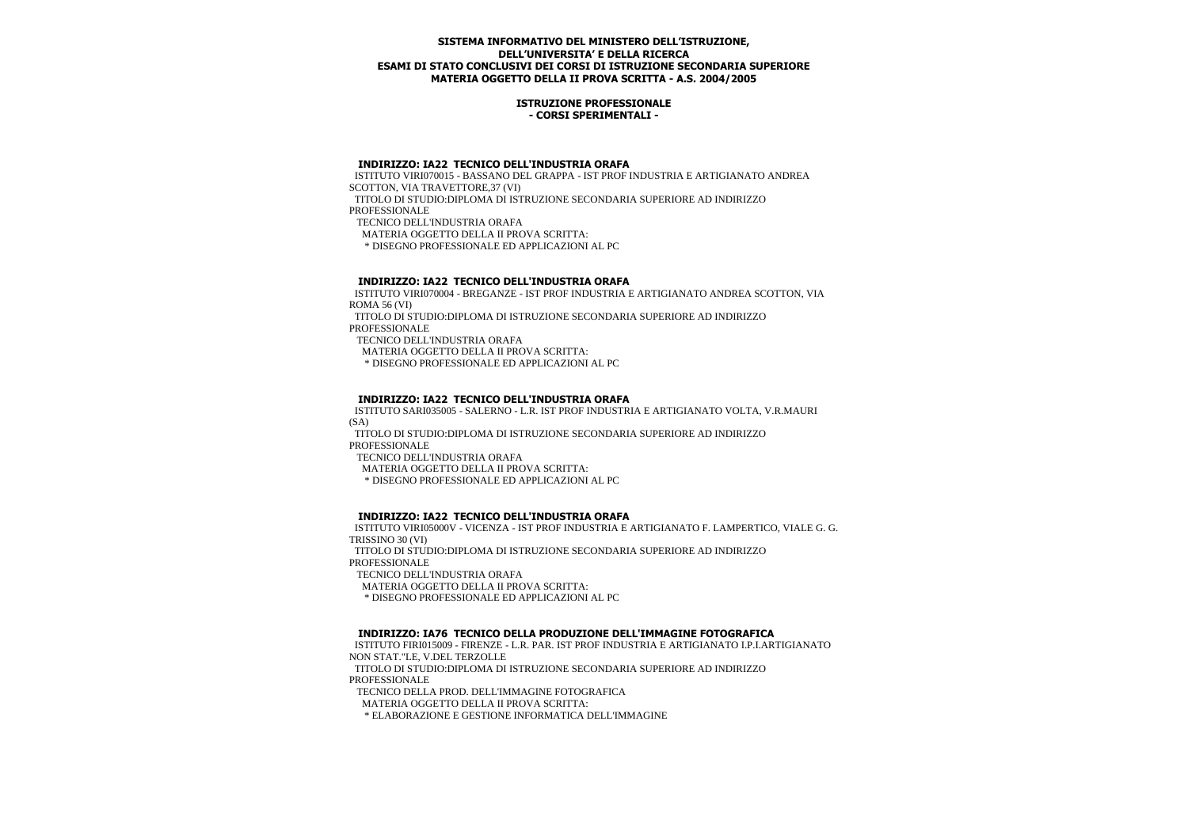#### **ISTRUZIONE PROFESSIONALE - CORSI SPERIMENTALI -**

#### **INDIRIZZO: IA22 TECNICO DELL'INDUSTRIA ORAFA**

 ISTITUTO VIRI070015 - BASSANO DEL GRAPPA - IST PROF INDUSTRIA E ARTIGIANATO ANDREA SCOTTON, VIA TRAVETTORE,37 (VI)

 TITOLO DI STUDIO:DIPLOMA DI ISTRUZIONE SECONDARIA SUPERIORE AD INDIRIZZO **PROFESSIONALE** 

TECNICO DELL'INDUSTRIA ORAFA

MATERIA OGGETTO DELLA II PROVA SCRITTA:

\* DISEGNO PROFESSIONALE ED APPLICAZIONI AL PC

#### **INDIRIZZO: IA22 TECNICO DELL'INDUSTRIA ORAFA**

 ISTITUTO VIRI070004 - BREGANZE - IST PROF INDUSTRIA E ARTIGIANATO ANDREA SCOTTON, VIA ROMA 56 (VI)

 TITOLO DI STUDIO:DIPLOMA DI ISTRUZIONE SECONDARIA SUPERIORE AD INDIRIZZO PROFESSIONALE

TECNICO DELL'INDUSTRIA ORAFA

MATERIA OGGETTO DELLA II PROVA SCRITTA:

\* DISEGNO PROFESSIONALE ED APPLICAZIONI AL PC

# **INDIRIZZO: IA22 TECNICO DELL'INDUSTRIA ORAFA**

 ISTITUTO SARI035005 - SALERNO - L.R. IST PROF INDUSTRIA E ARTIGIANATO VOLTA, V.R.MAURI (SA)

 TITOLO DI STUDIO:DIPLOMA DI ISTRUZIONE SECONDARIA SUPERIORE AD INDIRIZZO PROFESSIONALE

TECNICO DELL'INDUSTRIA ORAFA

MATERIA OGGETTO DELLA II PROVA SCRITTA:

\* DISEGNO PROFESSIONALE ED APPLICAZIONI AL PC

## **INDIRIZZO: IA22 TECNICO DELL'INDUSTRIA ORAFA**

 ISTITUTO VIRI05000V - VICENZA - IST PROF INDUSTRIA E ARTIGIANATO F. LAMPERTICO, VIALE G. G. TRISSINO 30 (VI)

 TITOLO DI STUDIO:DIPLOMA DI ISTRUZIONE SECONDARIA SUPERIORE AD INDIRIZZO **PROFESSIONALE** 

TECNICO DELL'INDUSTRIA ORAFA

MATERIA OGGETTO DELLA II PROVA SCRITTA:

\* DISEGNO PROFESSIONALE ED APPLICAZIONI AL PC

## **INDIRIZZO: IA76 TECNICO DELLA PRODUZIONE DELL'IMMAGINE FOTOGRAFICA**

 ISTITUTO FIRI015009 - FIRENZE - L.R. PAR. IST PROF INDUSTRIA E ARTIGIANATO I.P.I.ARTIGIANATO NON STAT."LE, V.DEL TERZOLLE

 TITOLO DI STUDIO:DIPLOMA DI ISTRUZIONE SECONDARIA SUPERIORE AD INDIRIZZO PROFESSIONALE

TECNICO DELLA PROD. DELL'IMMAGINE FOTOGRAFICA

MATERIA OGGETTO DELLA II PROVA SCRITTA:

\* ELABORAZIONE E GESTIONE INFORMATICA DELL'IMMAGINE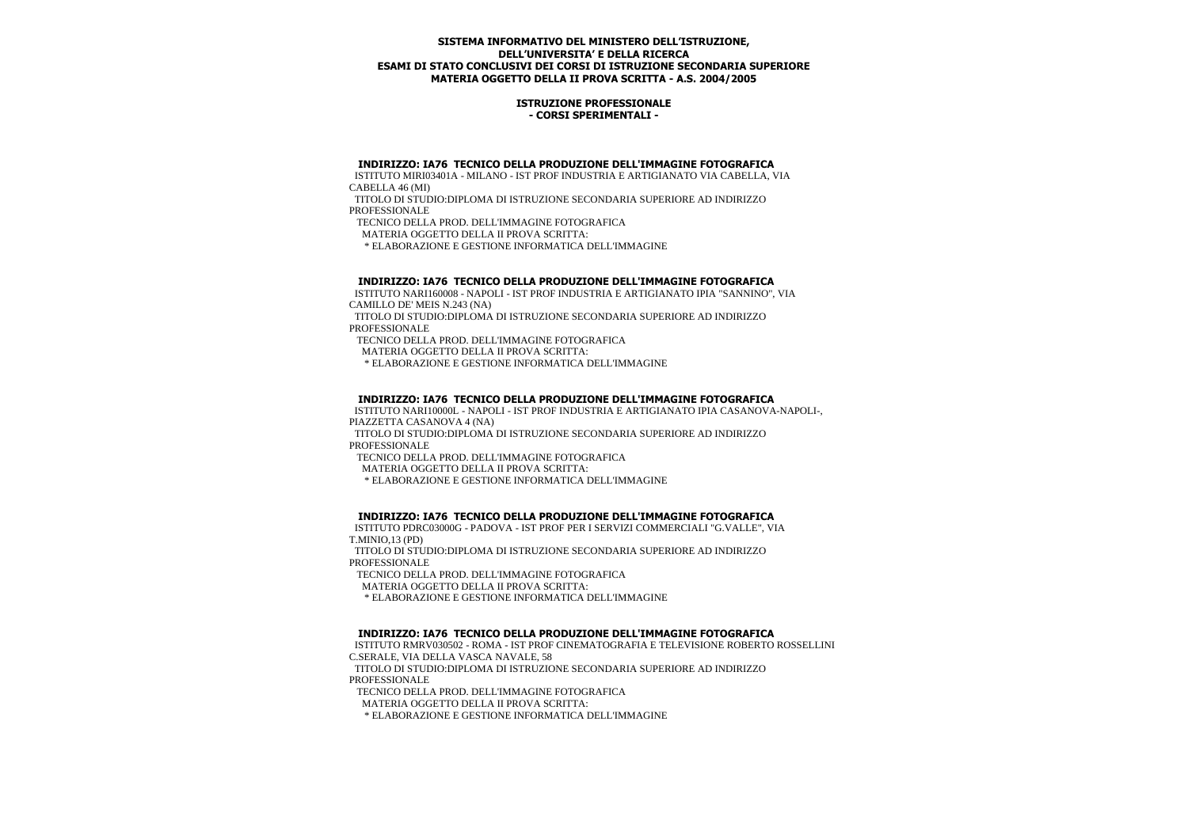#### **ISTRUZIONE PROFESSIONALE - CORSI SPERIMENTALI -**

#### **INDIRIZZO: IA76 TECNICO DELLA PRODUZIONE DELL'IMMAGINE FOTOGRAFICA**

 ISTITUTO MIRI03401A - MILANO - IST PROF INDUSTRIA E ARTIGIANATO VIA CABELLA, VIA CABELLA 46 (MI)

 TITOLO DI STUDIO:DIPLOMA DI ISTRUZIONE SECONDARIA SUPERIORE AD INDIRIZZO PROFESSIONALE

TECNICO DELLA PROD. DELL'IMMAGINE FOTOGRAFICA

MATERIA OGGETTO DELLA II PROVA SCRITTA:

\* ELABORAZIONE E GESTIONE INFORMATICA DELL'IMMAGINE

#### **INDIRIZZO: IA76 TECNICO DELLA PRODUZIONE DELL'IMMAGINE FOTOGRAFICA**

 ISTITUTO NARI160008 - NAPOLI - IST PROF INDUSTRIA E ARTIGIANATO IPIA "SANNINO", VIA CAMILLO DE' MEIS N.243 (NA)

 TITOLO DI STUDIO:DIPLOMA DI ISTRUZIONE SECONDARIA SUPERIORE AD INDIRIZZO PROFESSIONALE

TECNICO DELLA PROD. DELL'IMMAGINE FOTOGRAFICA

MATERIA OGGETTO DELLA II PROVA SCRITTA:

\* ELABORAZIONE E GESTIONE INFORMATICA DELL'IMMAGINE

# **INDIRIZZO: IA76 TECNICO DELLA PRODUZIONE DELL'IMMAGINE FOTOGRAFICA**

 ISTITUTO NARI10000L - NAPOLI - IST PROF INDUSTRIA E ARTIGIANATO IPIA CASANOVA-NAPOLI-, PIAZZETTA CASANOVA 4 (NA)

 TITOLO DI STUDIO:DIPLOMA DI ISTRUZIONE SECONDARIA SUPERIORE AD INDIRIZZO PROFESSIONALE

TECNICO DELLA PROD. DELL'IMMAGINE FOTOGRAFICA

MATERIA OGGETTO DELLA II PROVA SCRITTA:

\* ELABORAZIONE E GESTIONE INFORMATICA DELL'IMMAGINE

## **INDIRIZZO: IA76 TECNICO DELLA PRODUZIONE DELL'IMMAGINE FOTOGRAFICA**

 ISTITUTO PDRC03000G - PADOVA - IST PROF PER I SERVIZI COMMERCIALI "G.VALLE", VIA T.MINIO,13 (PD)

 TITOLO DI STUDIO:DIPLOMA DI ISTRUZIONE SECONDARIA SUPERIORE AD INDIRIZZO **PROFESSIONALE** 

TECNICO DELLA PROD. DELL'IMMAGINE FOTOGRAFICA

MATERIA OGGETTO DELLA II PROVA SCRITTA:

\* ELABORAZIONE E GESTIONE INFORMATICA DELL'IMMAGINE

## **INDIRIZZO: IA76 TECNICO DELLA PRODUZIONE DELL'IMMAGINE FOTOGRAFICA**

 ISTITUTO RMRV030502 - ROMA - IST PROF CINEMATOGRAFIA E TELEVISIONE ROBERTO ROSSELLINI C.SERALE, VIA DELLA VASCA NAVALE, 58

 TITOLO DI STUDIO:DIPLOMA DI ISTRUZIONE SECONDARIA SUPERIORE AD INDIRIZZO PROFESSIONALE

TECNICO DELLA PROD. DELL'IMMAGINE FOTOGRAFICA

MATERIA OGGETTO DELLA II PROVA SCRITTA:

\* ELABORAZIONE E GESTIONE INFORMATICA DELL'IMMAGINE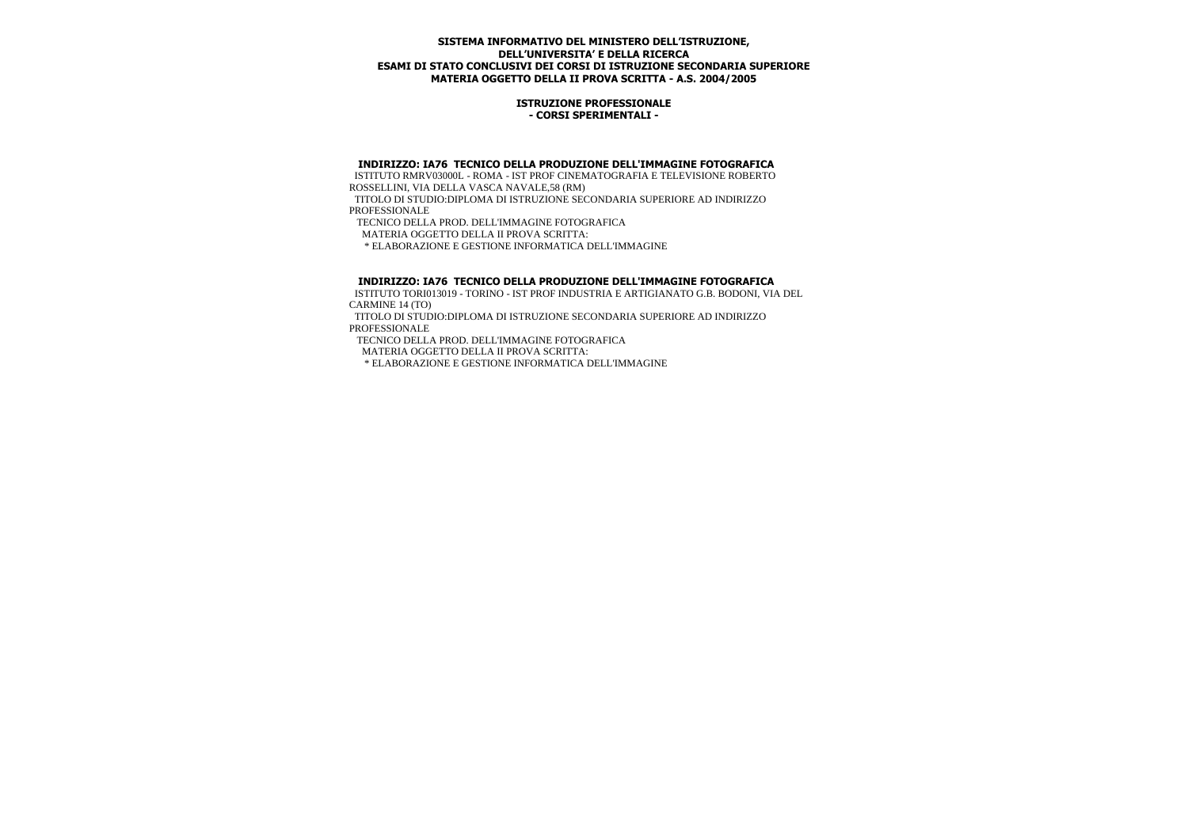#### **ISTRUZIONE PROFESSIONALE - CORSI SPERIMENTALI -**

## **INDIRIZZO: IA76 TECNICO DELLA PRODUZIONE DELL'IMMAGINE FOTOGRAFICA**

 ISTITUTO RMRV03000L - ROMA - IST PROF CINEMATOGRAFIA E TELEVISIONE ROBERTO ROSSELLINI, VIA DELLA VASCA NAVALE,58 (RM)

 TITOLO DI STUDIO:DIPLOMA DI ISTRUZIONE SECONDARIA SUPERIORE AD INDIRIZZO PROFESSIONALE

 TECNICO DELLA PROD. DELL'IMMAGINE FOTOGRAFICA MATERIA OGGETTO DELLA II PROVA SCRITTA:

\* ELABORAZIONE E GESTIONE INFORMATICA DELL'IMMAGINE

#### **INDIRIZZO: IA76 TECNICO DELLA PRODUZIONE DELL'IMMAGINE FOTOGRAFICA**

 ISTITUTO TORI013019 - TORINO - IST PROF INDUSTRIA E ARTIGIANATO G.B. BODONI, VIA DEL CARMINE 14 (TO)

 TITOLO DI STUDIO:DIPLOMA DI ISTRUZIONE SECONDARIA SUPERIORE AD INDIRIZZO PROFESSIONALE

TECNICO DELLA PROD. DELL'IMMAGINE FOTOGRAFICA

MATERIA OGGETTO DELLA II PROVA SCRITTA:

\* ELABORAZIONE E GESTIONE INFORMATICA DELL'IMMAGINE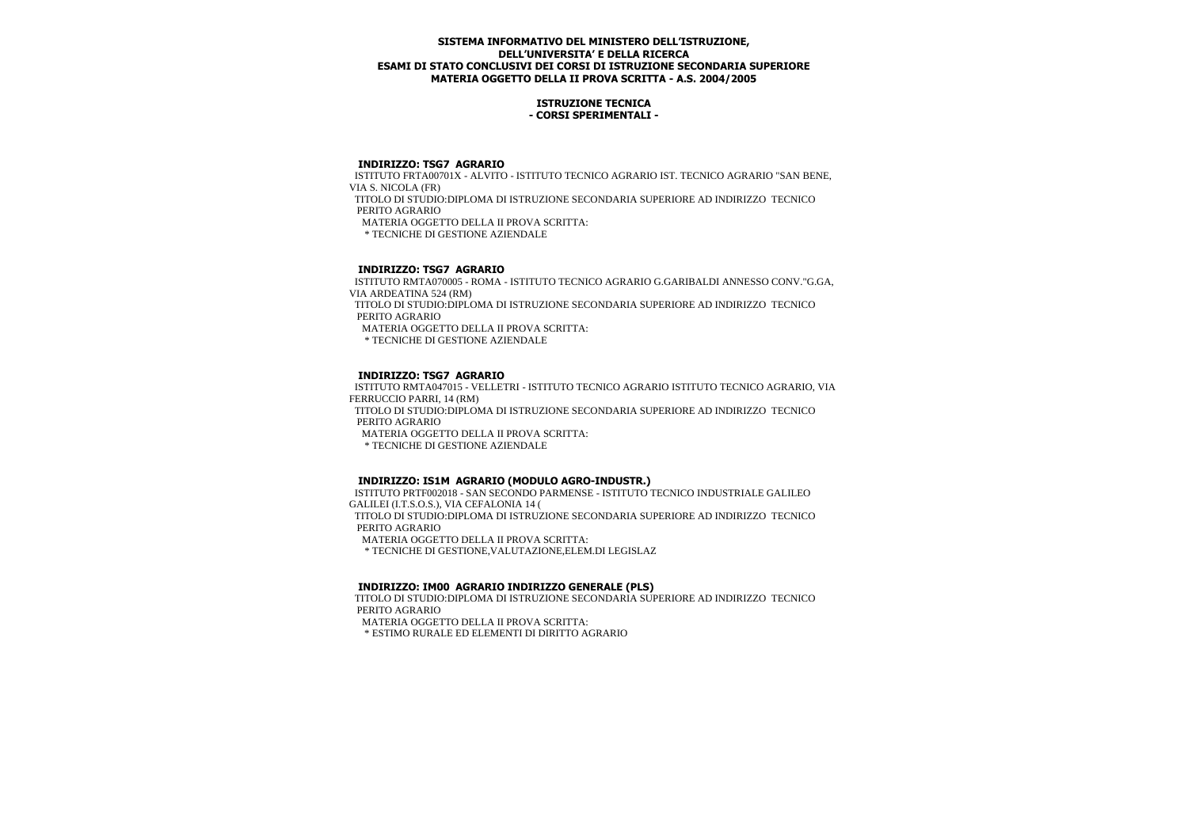## **ISTRUZIONE TECNICA - CORSI SPERIMENTALI -**

## **INDIRIZZO: TSG7 AGRARIO**

 ISTITUTO FRTA00701X - ALVITO - ISTITUTO TECNICO AGRARIO IST. TECNICO AGRARIO "SAN BENE, VIA S. NICOLA (FR)

 TITOLO DI STUDIO:DIPLOMA DI ISTRUZIONE SECONDARIA SUPERIORE AD INDIRIZZO TECNICO PERITO AGRARIO

MATERIA OGGETTO DELLA II PROVA SCRITTA:

\* TECNICHE DI GESTIONE AZIENDALE

# **INDIRIZZO: TSG7 AGRARIO**

 ISTITUTO RMTA070005 - ROMA - ISTITUTO TECNICO AGRARIO G.GARIBALDI ANNESSO CONV."G.GA, VIA ARDEATINA 524 (RM) TITOLO DI STUDIO:DIPLOMA DI ISTRUZIONE SECONDARIA SUPERIORE AD INDIRIZZO TECNICO PERITO AGRARIO MATERIA OGGETTO DELLA II PROVA SCRITTA: \* TECNICHE DI GESTIONE AZIENDALE

# **INDIRIZZO: TSG7 AGRARIO**

 ISTITUTO RMTA047015 - VELLETRI - ISTITUTO TECNICO AGRARIO ISTITUTO TECNICO AGRARIO, VIA FERRUCCIO PARRI, 14 (RM) TITOLO DI STUDIO:DIPLOMA DI ISTRUZIONE SECONDARIA SUPERIORE AD INDIRIZZO TECNICO PERITO AGRARIO MATERIA OGGETTO DELLA II PROVA SCRITTA: \* TECNICHE DI GESTIONE AZIENDALE

# **INDIRIZZO: IS1M AGRARIO (MODULO AGRO-INDUSTR.)**

 ISTITUTO PRTF002018 - SAN SECONDO PARMENSE - ISTITUTO TECNICO INDUSTRIALE GALILEO GALILEI (I.T.S.O.S.), VIA CEFALONIA 14 ( TITOLO DI STUDIO:DIPLOMA DI ISTRUZIONE SECONDARIA SUPERIORE AD INDIRIZZO TECNICO PERITO AGRARIO MATERIA OGGETTO DELLA II PROVA SCRITTA: \* TECNICHE DI GESTIONE,VALUTAZIONE,ELEM.DI LEGISLAZ

## **INDIRIZZO: IM00 AGRARIO INDIRIZZO GENERALE (PLS)**

 TITOLO DI STUDIO:DIPLOMA DI ISTRUZIONE SECONDARIA SUPERIORE AD INDIRIZZO TECNICO PERITO AGRARIO

MATERIA OGGETTO DELLA II PROVA SCRITTA:

\* ESTIMO RURALE ED ELEMENTI DI DIRITTO AGRARIO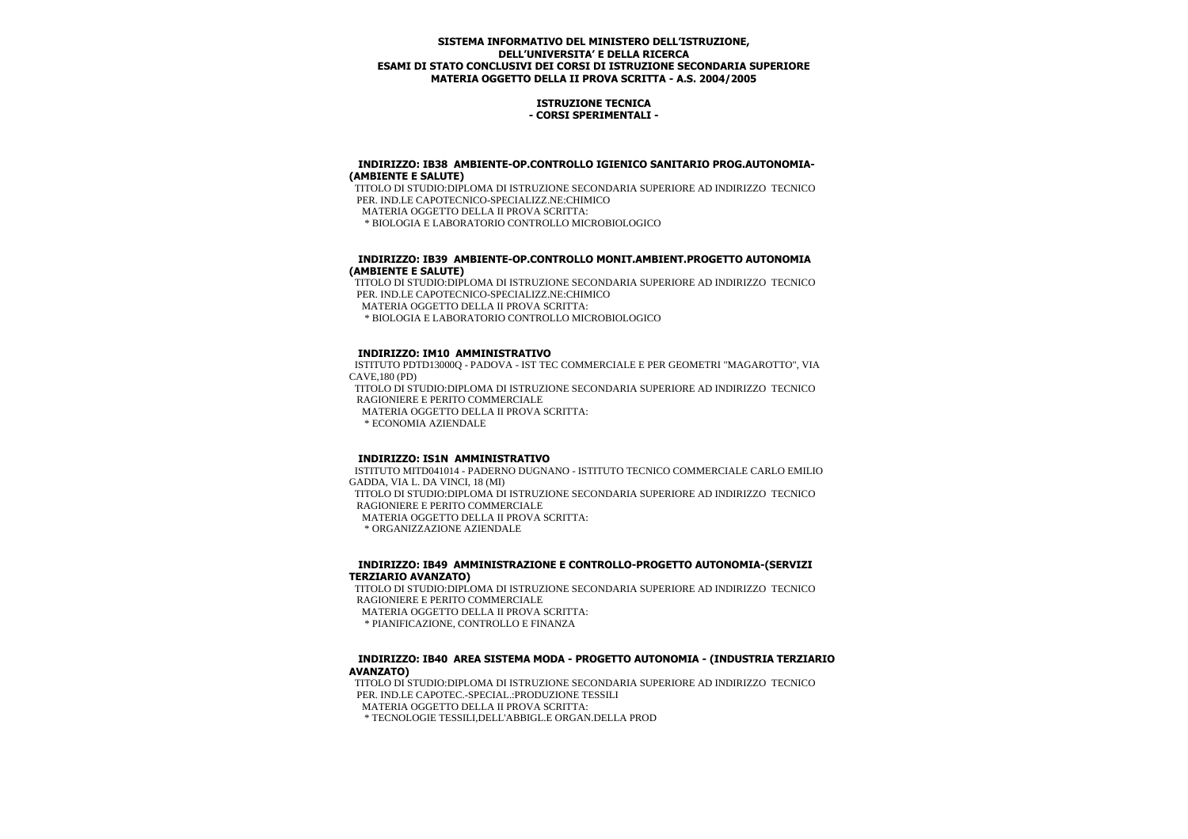# **ISTRUZIONE TECNICA - CORSI SPERIMENTALI -**

#### **INDIRIZZO: IB38 AMBIENTE-OP.CONTROLLO IGIENICO SANITARIO PROG.AUTONOMIA- (AMBIENTE E SALUTE)**

 TITOLO DI STUDIO:DIPLOMA DI ISTRUZIONE SECONDARIA SUPERIORE AD INDIRIZZO TECNICO PER. IND.LE CAPOTECNICO-SPECIALIZZ.NE:CHIMICO MATERIA OGGETTO DELLA II PROVA SCRITTA: \* BIOLOGIA E LABORATORIO CONTROLLO MICROBIOLOGICO

# **INDIRIZZO: IB39 AMBIENTE-OP.CONTROLLO MONIT.AMBIENT.PROGETTO AUTONOMIA (AMBIENTE E SALUTE)**

 TITOLO DI STUDIO:DIPLOMA DI ISTRUZIONE SECONDARIA SUPERIORE AD INDIRIZZO TECNICO PER. IND.LE CAPOTECNICO-SPECIALIZZ NE:CHIMICO

MATERIA OGGETTO DELLA II PROVA SCRITTA:

\* BIOLOGIA E LABORATORIO CONTROLLO MICROBIOLOGICO

# **INDIRIZZO: IM10 AMMINISTRATIVO**

 ISTITUTO PDTD13000Q - PADOVA - IST TEC COMMERCIALE E PER GEOMETRI "MAGAROTTO", VIA CAVE,180 (PD)

 TITOLO DI STUDIO:DIPLOMA DI ISTRUZIONE SECONDARIA SUPERIORE AD INDIRIZZO TECNICO RAGIONIERE E PERITO COMMERCIALE

MATERIA OGGETTO DELLA II PROVA SCRITTA:

\* ECONOMIA AZIENDALE

## **INDIRIZZO: IS1N AMMINISTRATIVO**

 ISTITUTO MITD041014 - PADERNO DUGNANO - ISTITUTO TECNICO COMMERCIALE CARLO EMILIO GADDA, VIA L. DA VINCI, 18 (MI) TITOLO DI STUDIO:DIPLOMA DI ISTRUZIONE SECONDARIA SUPERIORE AD INDIRIZZO TECNICO RAGIONIERE E PERITO COMMERCIALE MATERIA OGGETTO DELLA II PROVA SCRITTA:

\* ORGANIZZAZIONE AZIENDALE

# **INDIRIZZO: IB49 AMMINISTRAZIONE E CONTROLLO-PROGETTO AUTONOMIA-(SERVIZI TERZIARIO AVANZATO)**

 TITOLO DI STUDIO:DIPLOMA DI ISTRUZIONE SECONDARIA SUPERIORE AD INDIRIZZO TECNICO RAGIONIERE E PERITO COMMERCIALE

MATERIA OGGETTO DELLA II PROVA SCRITTA:

\* PIANIFICAZIONE, CONTROLLO E FINANZA

## **INDIRIZZO: IB40 AREA SISTEMA MODA - PROGETTO AUTONOMIA - (INDUSTRIA TERZIARIO AVANZATO)**

 TITOLO DI STUDIO:DIPLOMA DI ISTRUZIONE SECONDARIA SUPERIORE AD INDIRIZZO TECNICO PER. IND.LE CAPOTEC.-SPECIAL.:PRODUZIONE TESSILI MATERIA OGGETTO DELLA II PROVA SCRITTA:

\* TECNOLOGIE TESSILI,DELL'ABBIGL.E ORGAN.DELLA PROD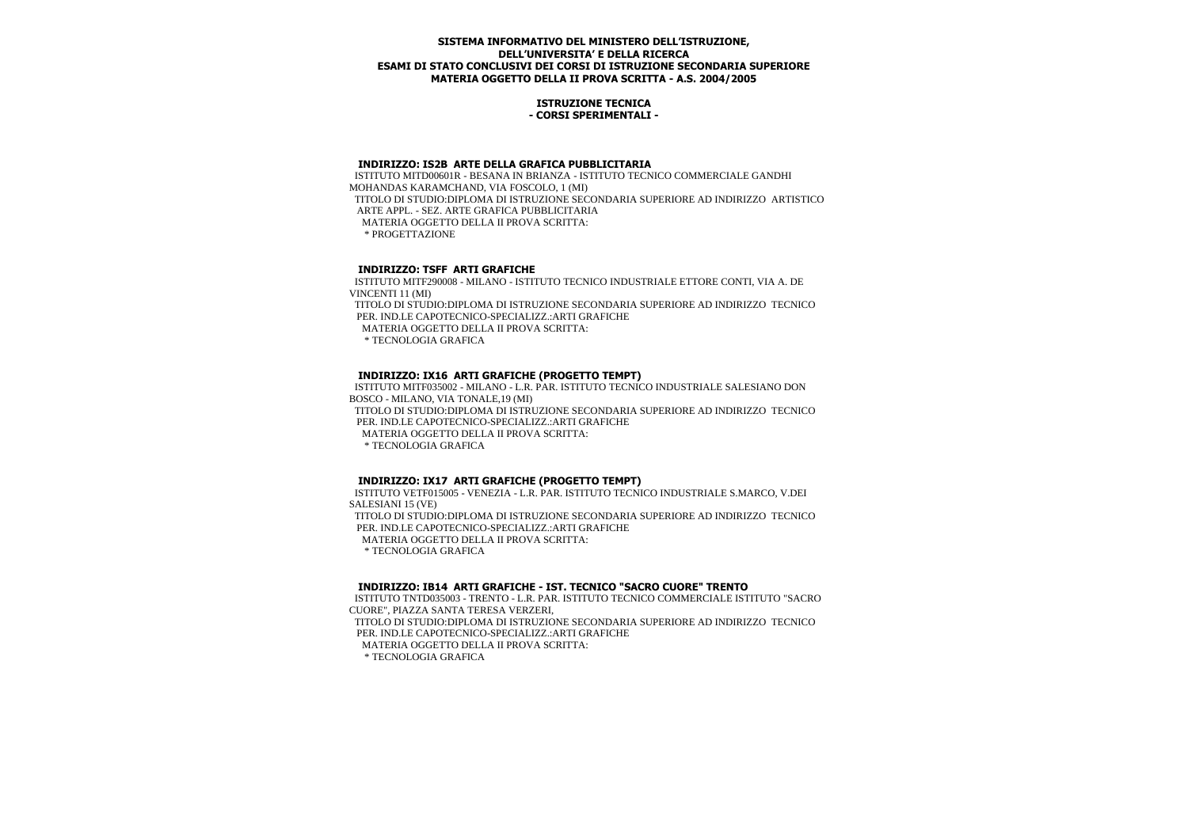## **ISTRUZIONE TECNICA - CORSI SPERIMENTALI -**

#### **INDIRIZZO: IS2B ARTE DELLA GRAFICA PUBBLICITARIA**

 ISTITUTO MITD00601R - BESANA IN BRIANZA - ISTITUTO TECNICO COMMERCIALE GANDHI MOHANDAS KARAMCHAND, VIA FOSCOLO, 1 (MI) TITOLO DI STUDIO:DIPLOMA DI ISTRUZIONE SECONDARIA SUPERIORE AD INDIRIZZO ARTISTICO ARTE APPL. - SEZ. ARTE GRAFICA PUBBLICITARIA MATERIA OGGETTO DELLA II PROVA SCRITTA: \* PROGETTAZIONE

# **INDIRIZZO: TSFF ARTI GRAFICHE**

 ISTITUTO MITF290008 - MILANO - ISTITUTO TECNICO INDUSTRIALE ETTORE CONTI, VIA A. DE VINCENTI 11 (MI) TITOLO DI STUDIO:DIPLOMA DI ISTRUZIONE SECONDARIA SUPERIORE AD INDIRIZZO TECNICO PER. IND.LE CAPOTECNICO-SPECIALIZZ.:ARTI GRAFICHE MATERIA OGGETTO DELLA II PROVA SCRITTA: \* TECNOLOGIA GRAFICA

# **INDIRIZZO: IX16 ARTI GRAFICHE (PROGETTO TEMPT)**

 ISTITUTO MITF035002 - MILANO - L.R. PAR. ISTITUTO TECNICO INDUSTRIALE SALESIANO DON BOSCO - MILANO, VIA TONALE,19 (MI)

 TITOLO DI STUDIO:DIPLOMA DI ISTRUZIONE SECONDARIA SUPERIORE AD INDIRIZZO TECNICO PER. IND.LE CAPOTECNICO-SPECIALIZZ.:ARTI GRAFICHE

MATERIA OGGETTO DELLA II PROVA SCRITTA:

\* TECNOLOGIA GRAFICA

## **INDIRIZZO: IX17 ARTI GRAFICHE (PROGETTO TEMPT)**

 ISTITUTO VETF015005 - VENEZIA - L.R. PAR. ISTITUTO TECNICO INDUSTRIALE S.MARCO, V.DEI SALESIANI 15 (VE) TITOLO DI STUDIO:DIPLOMA DI ISTRUZIONE SECONDARIA SUPERIORE AD INDIRIZZO TECNICO PER. IND.LE CAPOTECNICO-SPECIALIZZ.:ARTI GRAFICHE MATERIA OGGETTO DELLA II PROVA SCRITTA: \* TECNOLOGIA GRAFICA

## **INDIRIZZO: IB14 ARTI GRAFICHE - IST. TECNICO "SACRO CUORE" TRENTO**

 ISTITUTO TNTD035003 - TRENTO - L.R. PAR. ISTITUTO TECNICO COMMERCIALE ISTITUTO "SACRO CUORE", PIAZZA SANTA TERESA VERZERI,

 TITOLO DI STUDIO:DIPLOMA DI ISTRUZIONE SECONDARIA SUPERIORE AD INDIRIZZO TECNICO PER. IND.LE CAPOTECNICO-SPECIALIZZ.:ARTI GRAFICHE

MATERIA OGGETTO DELLA II PROVA SCRITTA:

\* TECNOLOGIA GRAFICA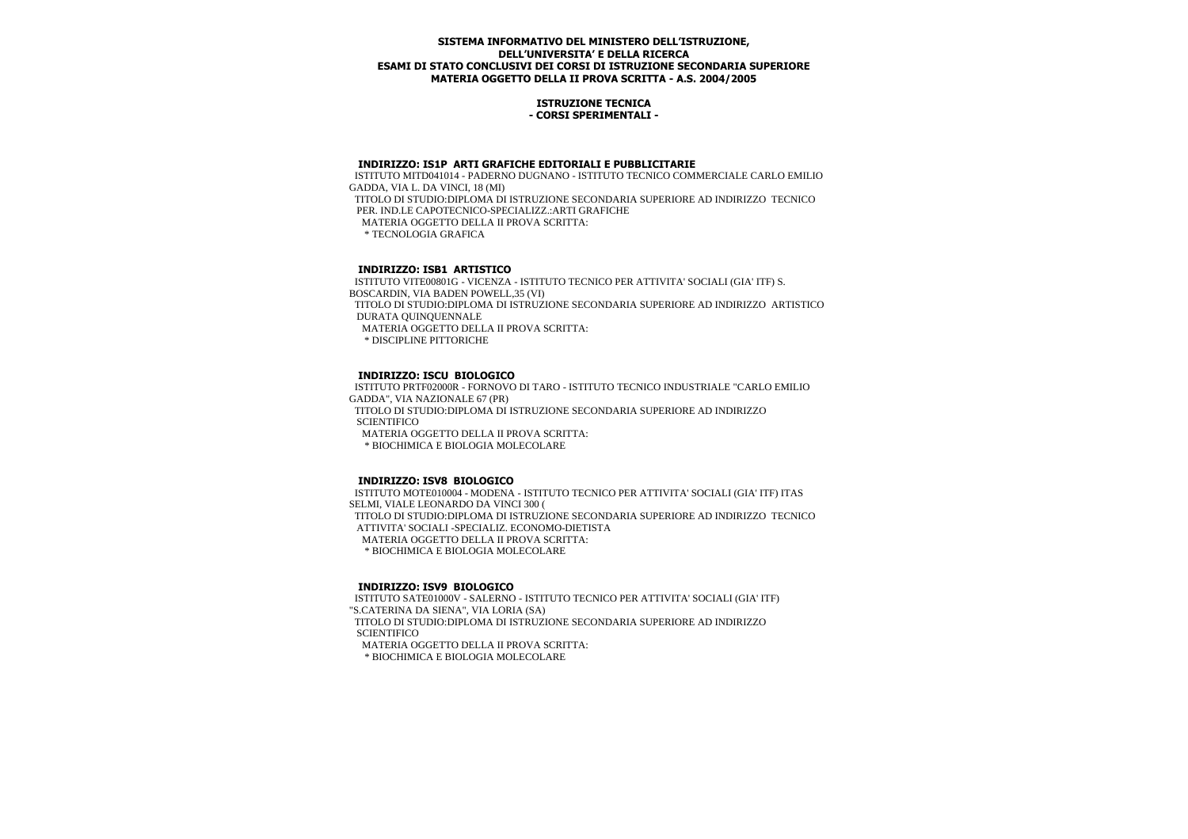## **ISTRUZIONE TECNICA - CORSI SPERIMENTALI -**

#### **INDIRIZZO: IS1P ARTI GRAFICHE EDITORIALI E PUBBLICITARIE**

 ISTITUTO MITD041014 - PADERNO DUGNANO - ISTITUTO TECNICO COMMERCIALE CARLO EMILIO GADDA, VIA L. DA VINCI, 18 (MI) TITOLO DI STUDIO:DIPLOMA DI ISTRUZIONE SECONDARIA SUPERIORE AD INDIRIZZO TECNICO PER. IND.LE CAPOTECNICO-SPECIALIZZ.:ARTI GRAFICHE MATERIA OGGETTO DELLA II PROVA SCRITTA: \* TECNOLOGIA GRAFICA

## **INDIRIZZO: ISB1 ARTISTICO**

 ISTITUTO VITE00801G - VICENZA - ISTITUTO TECNICO PER ATTIVITA' SOCIALI (GIA' ITF) S. BOSCARDIN, VIA BADEN POWELL,35 (VI) TITOLO DI STUDIO:DIPLOMA DI ISTRUZIONE SECONDARIA SUPERIORE AD INDIRIZZO ARTISTICO DURATA QUINQUENNALE MATERIA OGGETTO DELLA II PROVA SCRITTA: \* DISCIPLINE PITTORICHE

# **INDIRIZZO: ISCU BIOLOGICO**

 ISTITUTO PRTF02000R - FORNOVO DI TARO - ISTITUTO TECNICO INDUSTRIALE "CARLO EMILIO GADDA", VIA NAZIONALE 67 (PR) TITOLO DI STUDIO:DIPLOMA DI ISTRUZIONE SECONDARIA SUPERIORE AD INDIRIZZO **SCIENTIFICO**  MATERIA OGGETTO DELLA II PROVA SCRITTA: \* BIOCHIMICA E BIOLOGIA MOLECOLARE

## **INDIRIZZO: ISV8 BIOLOGICO**

 ISTITUTO MOTE010004 - MODENA - ISTITUTO TECNICO PER ATTIVITA' SOCIALI (GIA' ITF) ITAS SELMI, VIALE LEONARDO DA VINCI 300 ( TITOLO DI STUDIO:DIPLOMA DI ISTRUZIONE SECONDARIA SUPERIORE AD INDIRIZZO TECNICO ATTIVITA' SOCIALI -SPECIALIZ. ECONOMO-DIETISTA MATERIA OGGETTO DELLA II PROVA SCRITTA: \* BIOCHIMICA E BIOLOGIA MOLECOLARE

## **INDIRIZZO: ISV9 BIOLOGICO**

 ISTITUTO SATE01000V - SALERNO - ISTITUTO TECNICO PER ATTIVITA' SOCIALI (GIA' ITF) "S.CATERINA DA SIENA", VIA LORIA (SA) TITOLO DI STUDIO:DIPLOMA DI ISTRUZIONE SECONDARIA SUPERIORE AD INDIRIZZO **SCIENTIFICO**  MATERIA OGGETTO DELLA II PROVA SCRITTA: \* BIOCHIMICA E BIOLOGIA MOLECOLARE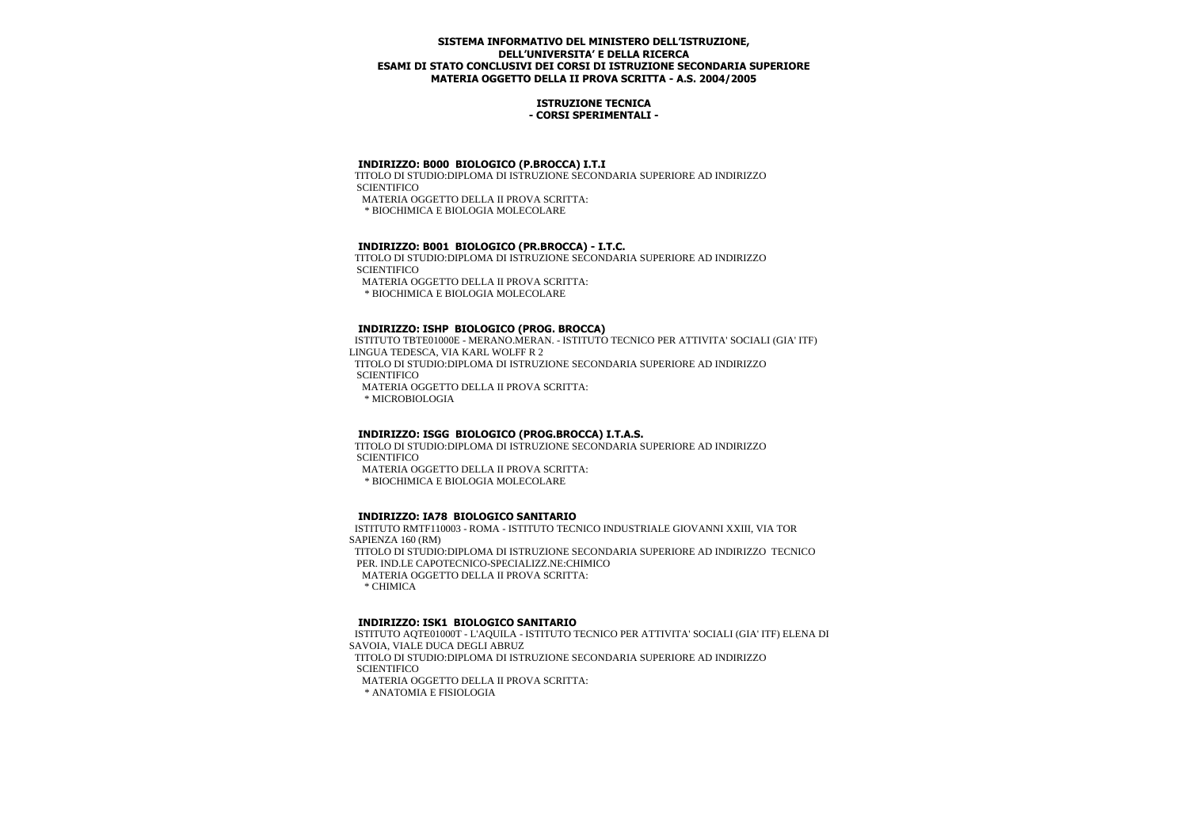## **ISTRUZIONE TECNICA - CORSI SPERIMENTALI -**

# **INDIRIZZO: B000 BIOLOGICO (P.BROCCA) I.T.I**

 TITOLO DI STUDIO:DIPLOMA DI ISTRUZIONE SECONDARIA SUPERIORE AD INDIRIZZO **SCIENTIFICO** MATERIA OGGETTO DELLA II PROVA SCRITTA:

\* BIOCHIMICA E BIOLOGIA MOLECOLARE

# **INDIRIZZO: B001 BIOLOGICO (PR.BROCCA) - I.T.C.**

 TITOLO DI STUDIO:DIPLOMA DI ISTRUZIONE SECONDARIA SUPERIORE AD INDIRIZZO **SCIENTIFICO**  MATERIA OGGETTO DELLA II PROVA SCRITTA: \* BIOCHIMICA E BIOLOGIA MOLECOLARE

# **INDIRIZZO: ISHP BIOLOGICO (PROG. BROCCA)**

 ISTITUTO TBTE01000E - MERANO.MERAN. - ISTITUTO TECNICO PER ATTIVITA' SOCIALI (GIA' ITF) LINGUA TEDESCA, VIA KARL WOLFF R 2 TITOLO DI STUDIO:DIPLOMA DI ISTRUZIONE SECONDARIA SUPERIORE AD INDIRIZZO **SCIENTIFICO**  MATERIA OGGETTO DELLA II PROVA SCRITTA: \* MICROBIOLOGIA

# **INDIRIZZO: ISGG BIOLOGICO (PROG.BROCCA) I.T.A.S.**

 TITOLO DI STUDIO:DIPLOMA DI ISTRUZIONE SECONDARIA SUPERIORE AD INDIRIZZO **SCIENTIFICO** 

MATERIA OGGETTO DELLA II PROVA SCRITTA:

\* BIOCHIMICA E BIOLOGIA MOLECOLARE

## **INDIRIZZO: IA78 BIOLOGICO SANITARIO**

 ISTITUTO RMTF110003 - ROMA - ISTITUTO TECNICO INDUSTRIALE GIOVANNI XXIII, VIA TOR SAPIENZA 160 (RM)

 TITOLO DI STUDIO:DIPLOMA DI ISTRUZIONE SECONDARIA SUPERIORE AD INDIRIZZO TECNICO PER. IND.LE CAPOTECNICO-SPECIALIZZ.NE:CHIMICO

MATERIA OGGETTO DELLA II PROVA SCRITTA:

\* CHIMICA

# **INDIRIZZO: ISK1 BIOLOGICO SANITARIO**

 ISTITUTO AQTE01000T - L'AQUILA - ISTITUTO TECNICO PER ATTIVITA' SOCIALI (GIA' ITF) ELENA DI SAVOIA, VIALE DUCA DEGLI ABRUZ

 TITOLO DI STUDIO:DIPLOMA DI ISTRUZIONE SECONDARIA SUPERIORE AD INDIRIZZO **SCIENTIFICO** 

MATERIA OGGETTO DELLA II PROVA SCRITTA:

\* ANATOMIA E FISIOLOGIA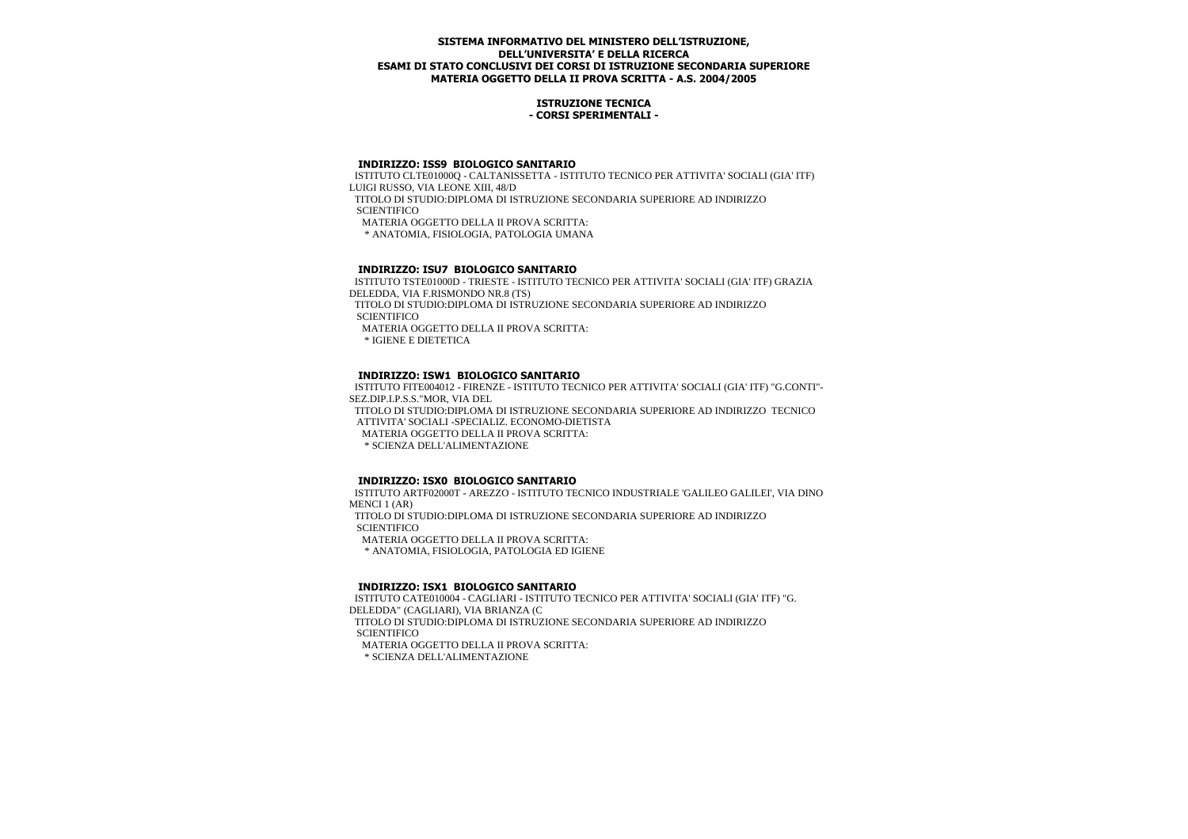## **ISTRUZIONE TECNICA - CORSI SPERIMENTALI -**

## **INDIRIZZO: ISS9 BIOLOGICO SANITARIO**

 ISTITUTO CLTE01000Q - CALTANISSETTA - ISTITUTO TECNICO PER ATTIVITA' SOCIALI (GIA' ITF) LUIGI RUSSO, VIA LEONE XIII, 48/D

 TITOLO DI STUDIO:DIPLOMA DI ISTRUZIONE SECONDARIA SUPERIORE AD INDIRIZZO **SCIENTIFICO** 

MATERIA OGGETTO DELLA II PROVA SCRITTA:

\* ANATOMIA, FISIOLOGIA, PATOLOGIA UMANA

# **INDIRIZZO: ISU7 BIOLOGICO SANITARIO**

 ISTITUTO TSTE01000D - TRIESTE - ISTITUTO TECNICO PER ATTIVITA' SOCIALI (GIA' ITF) GRAZIA DELEDDA, VIA F.RISMONDO NR.8 (TS)

 TITOLO DI STUDIO:DIPLOMA DI ISTRUZIONE SECONDARIA SUPERIORE AD INDIRIZZO **SCIENTIFICO** 

MATERIA OGGETTO DELLA II PROVA SCRITTA:

\* IGIENE E DIETETICA

# **INDIRIZZO: ISW1 BIOLOGICO SANITARIO**

 ISTITUTO FITE004012 - FIRENZE - ISTITUTO TECNICO PER ATTIVITA' SOCIALI (GIA' ITF) "G.CONTI"- SEZ.DIP.I.P.S.S."MOR, VIA DEL

 TITOLO DI STUDIO:DIPLOMA DI ISTRUZIONE SECONDARIA SUPERIORE AD INDIRIZZO TECNICO ATTIVITA' SOCIALI -SPECIALIZ. ECONOMO-DIETISTA

MATERIA OGGETTO DELLA II PROVA SCRITTA:

\* SCIENZA DELL'ALIMENTAZIONE

## **INDIRIZZO: ISX0 BIOLOGICO SANITARIO**

 ISTITUTO ARTF02000T - AREZZO - ISTITUTO TECNICO INDUSTRIALE 'GALILEO GALILEI', VIA DINO MENCI 1 (AR) TITOLO DI STUDIO:DIPLOMA DI ISTRUZIONE SECONDARIA SUPERIORE AD INDIRIZZO **SCIENTIFICO** 

MATERIA OGGETTO DELLA II PROVA SCRITTA:

\* ANATOMIA, FISIOLOGIA, PATOLOGIA ED IGIENE

## **INDIRIZZO: ISX1 BIOLOGICO SANITARIO**

 ISTITUTO CATE010004 - CAGLIARI - ISTITUTO TECNICO PER ATTIVITA' SOCIALI (GIA' ITF) "G. DELEDDA" (CAGLIARI), VIA BRIANZA (C TITOLO DI STUDIO:DIPLOMA DI ISTRUZIONE SECONDARIA SUPERIORE AD INDIRIZZO **SCIENTIFICO** MATERIA OGGETTO DELLA II PROVA SCRITTA:

\* SCIENZA DELL'ALIMENTAZIONE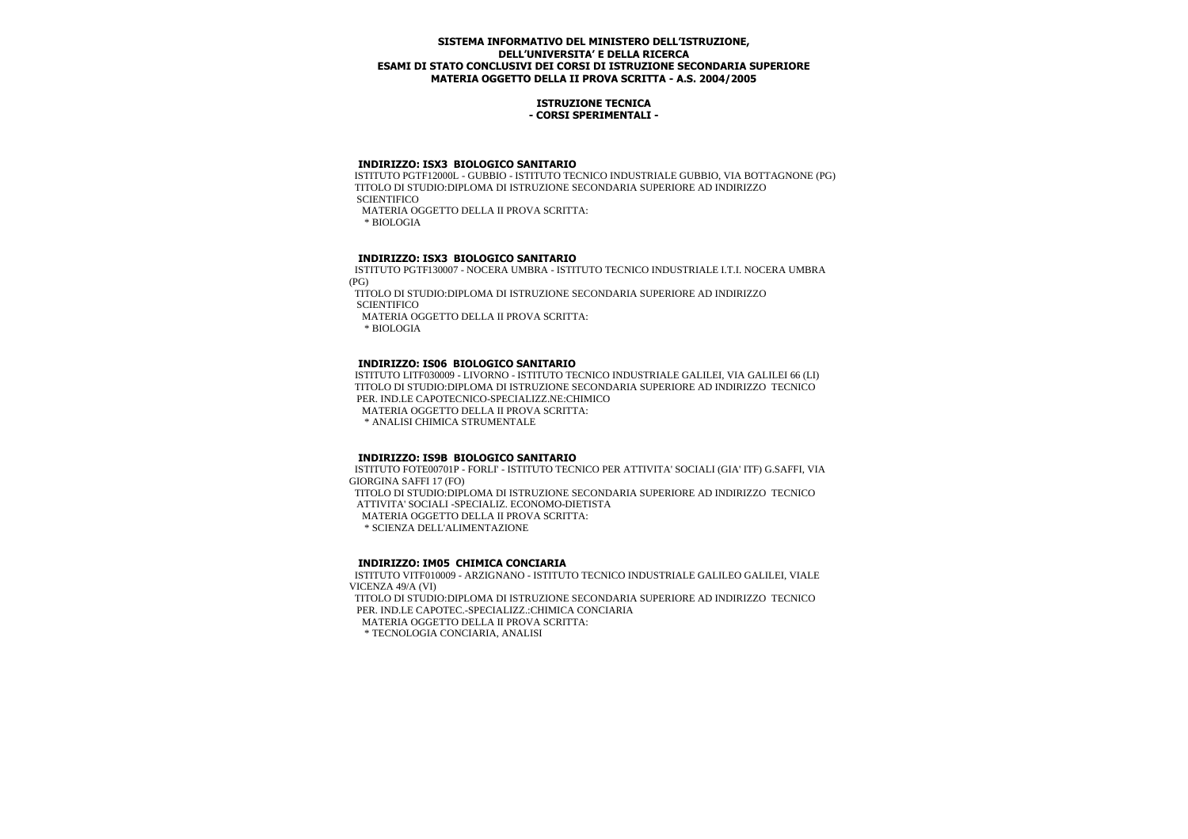## **ISTRUZIONE TECNICA - CORSI SPERIMENTALI -**

## **INDIRIZZO: ISX3 BIOLOGICO SANITARIO**

 ISTITUTO PGTF12000L - GUBBIO - ISTITUTO TECNICO INDUSTRIALE GUBBIO, VIA BOTTAGNONE (PG) TITOLO DI STUDIO:DIPLOMA DI ISTRUZIONE SECONDARIA SUPERIORE AD INDIRIZZO **SCIENTIFICO** MATERIA OGGETTO DELLA II PROVA SCRITTA:

\* BIOLOGIA

# **INDIRIZZO: ISX3 BIOLOGICO SANITARIO**

 ISTITUTO PGTF130007 - NOCERA UMBRA - ISTITUTO TECNICO INDUSTRIALE I.T.I. NOCERA UMBRA (PG)

 TITOLO DI STUDIO:DIPLOMA DI ISTRUZIONE SECONDARIA SUPERIORE AD INDIRIZZO **SCIENTIFICO** 

MATERIA OGGETTO DELLA II PROVA SCRITTA:

\* BIOLOGIA

# **INDIRIZZO: IS06 BIOLOGICO SANITARIO**

 ISTITUTO LITF030009 - LIVORNO - ISTITUTO TECNICO INDUSTRIALE GALILEI, VIA GALILEI 66 (LI) TITOLO DI STUDIO:DIPLOMA DI ISTRUZIONE SECONDARIA SUPERIORE AD INDIRIZZO TECNICO PER. IND.LE CAPOTECNICO-SPECIALIZZ.NE:CHIMICO

MATERIA OGGETTO DELLA II PROVA SCRITTA:

\* ANALISI CHIMICA STRUMENTALE

## **INDIRIZZO: IS9B BIOLOGICO SANITARIO**

 ISTITUTO FOTE00701P - FORLI' - ISTITUTO TECNICO PER ATTIVITA' SOCIALI (GIA' ITF) G.SAFFI, VIA GIORGINA SAFFI 17 (FO) TITOLO DI STUDIO:DIPLOMA DI ISTRUZIONE SECONDARIA SUPERIORE AD INDIRIZZO TECNICO ATTIVITA' SOCIALI -SPECIALIZ. ECONOMO-DIETISTA MATERIA OGGETTO DELLA II PROVA SCRITTA: \* SCIENZA DELL'ALIMENTAZIONE

## **INDIRIZZO: IM05 CHIMICA CONCIARIA**

 ISTITUTO VITF010009 - ARZIGNANO - ISTITUTO TECNICO INDUSTRIALE GALILEO GALILEI, VIALE VICENZA 49/A (VI) TITOLO DI STUDIO:DIPLOMA DI ISTRUZIONE SECONDARIA SUPERIORE AD INDIRIZZO TECNICO PER. IND.LE CAPOTEC.-SPECIALIZZ.:CHIMICA CONCIARIA MATERIA OGGETTO DELLA II PROVA SCRITTA: \* TECNOLOGIA CONCIARIA, ANALISI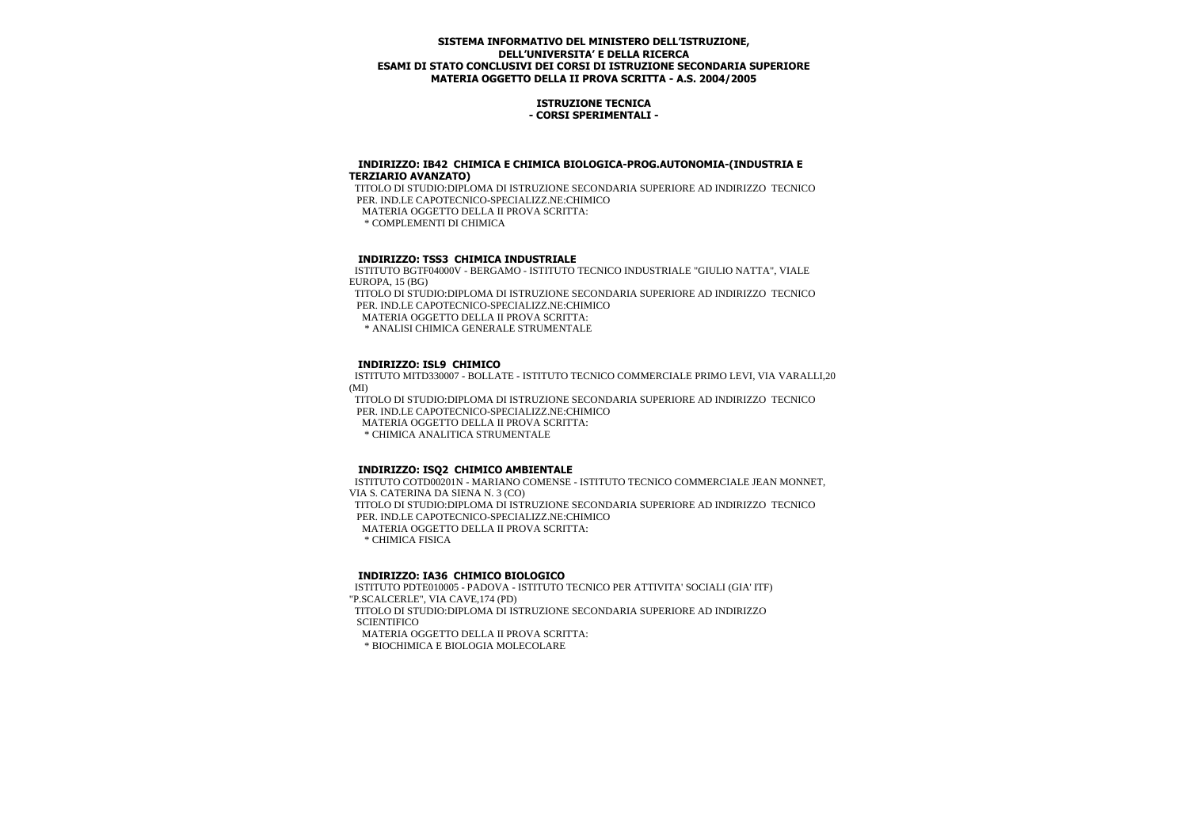## **ISTRUZIONE TECNICA - CORSI SPERIMENTALI -**

#### **INDIRIZZO: IB42 CHIMICA E CHIMICA BIOLOGICA-PROG.AUTONOMIA-(INDUSTRIA E TERZIARIO AVANZATO)**

 TITOLO DI STUDIO:DIPLOMA DI ISTRUZIONE SECONDARIA SUPERIORE AD INDIRIZZO TECNICO PER. IND.LE CAPOTECNICO-SPECIALIZZ.NE:CHIMICO MATERIA OGGETTO DELLA II PROVA SCRITTA: \* COMPLEMENTI DI CHIMICA

# **INDIRIZZO: TSS3 CHIMICA INDUSTRIALE**

 ISTITUTO BGTF04000V - BERGAMO - ISTITUTO TECNICO INDUSTRIALE "GIULIO NATTA", VIALE EUROPA, 15 (BG)

 TITOLO DI STUDIO:DIPLOMA DI ISTRUZIONE SECONDARIA SUPERIORE AD INDIRIZZO TECNICO PER. IND.LE CAPOTECNICO-SPECIALIZZ.NE:CHIMICO

MATERIA OGGETTO DELLA II PROVA SCRITTA:

\* ANALISI CHIMICA GENERALE STRUMENTALE

#### **INDIRIZZO: ISL9 CHIMICO**

 ISTITUTO MITD330007 - BOLLATE - ISTITUTO TECNICO COMMERCIALE PRIMO LEVI, VIA VARALLI,20 (MI)

 TITOLO DI STUDIO:DIPLOMA DI ISTRUZIONE SECONDARIA SUPERIORE AD INDIRIZZO TECNICO PER. IND.LE CAPOTECNICO-SPECIALIZZ.NE:CHIMICO MATERIA OGGETTO DELLA II PROVA SCRITTA: \* CHIMICA ANALITICA STRUMENTALE

## **INDIRIZZO: ISQ2 CHIMICO AMBIENTALE**

 ISTITUTO COTD00201N - MARIANO COMENSE - ISTITUTO TECNICO COMMERCIALE JEAN MONNET, VIA S. CATERINA DA SIENA N. 3 (CO) TITOLO DI STUDIO:DIPLOMA DI ISTRUZIONE SECONDARIA SUPERIORE AD INDIRIZZO TECNICO PER. IND.LE CAPOTECNICO-SPECIALIZZ.NE:CHIMICO MATERIA OGGETTO DELLA II PROVA SCRITTA: \* CHIMICA FISICA

## **INDIRIZZO: IA36 CHIMICO BIOLOGICO**

 ISTITUTO PDTE010005 - PADOVA - ISTITUTO TECNICO PER ATTIVITA' SOCIALI (GIA' ITF) "P.SCALCERLE", VIA CAVE,174 (PD) TITOLO DI STUDIO:DIPLOMA DI ISTRUZIONE SECONDARIA SUPERIORE AD INDIRIZZO **SCIENTIFICO**  MATERIA OGGETTO DELLA II PROVA SCRITTA: \* BIOCHIMICA E BIOLOGIA MOLECOLARE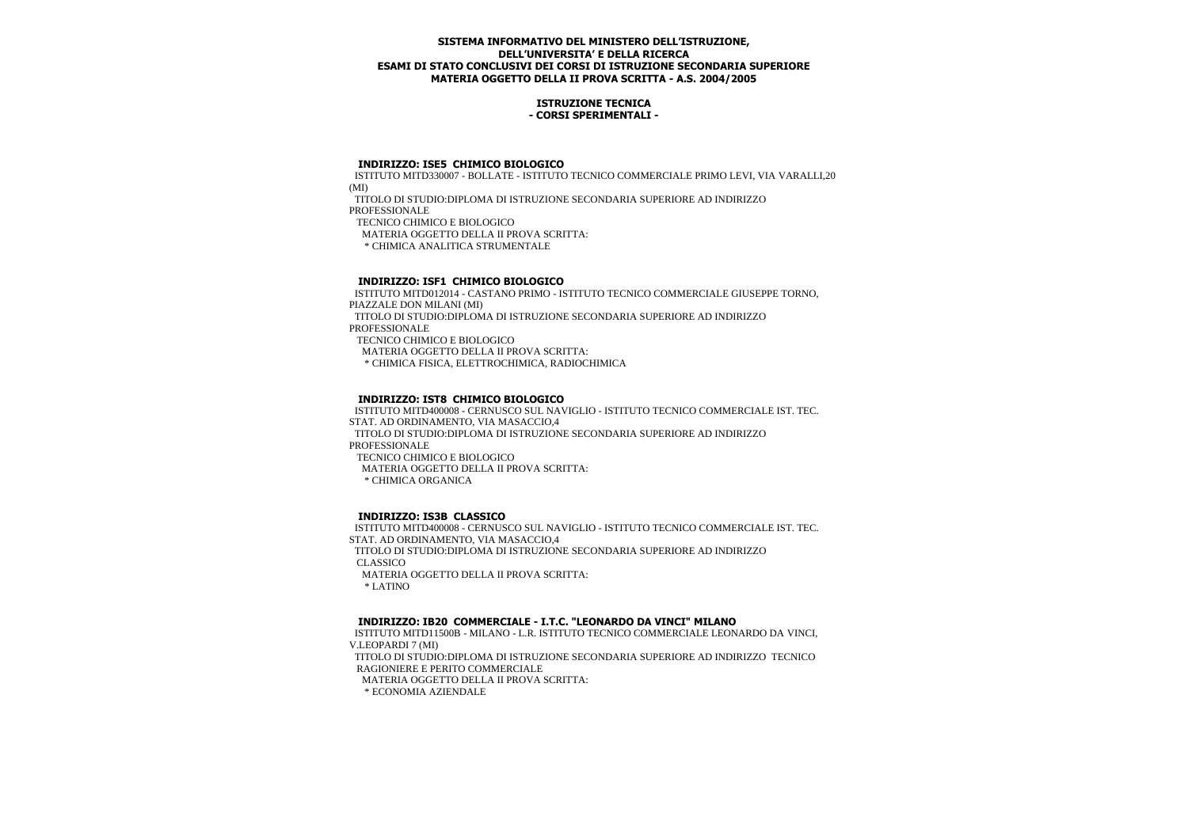## **ISTRUZIONE TECNICA - CORSI SPERIMENTALI -**

#### **INDIRIZZO: ISE5 CHIMICO BIOLOGICO**

 ISTITUTO MITD330007 - BOLLATE - ISTITUTO TECNICO COMMERCIALE PRIMO LEVI, VIA VARALLI,20 (MI)

 TITOLO DI STUDIO:DIPLOMA DI ISTRUZIONE SECONDARIA SUPERIORE AD INDIRIZZO PROFESSIONALE

TECNICO CHIMICO E BIOLOGICO

MATERIA OGGETTO DELLA II PROVA SCRITTA:

\* CHIMICA ANALITICA STRUMENTALE

## **INDIRIZZO: ISF1 CHIMICO BIOLOGICO**

 ISTITUTO MITD012014 - CASTANO PRIMO - ISTITUTO TECNICO COMMERCIALE GIUSEPPE TORNO, PIAZZALE DON MILANI (MI) TITOLO DI STUDIO:DIPLOMA DI ISTRUZIONE SECONDARIA SUPERIORE AD INDIRIZZO PROFESSIONALE TECNICO CHIMICO E BIOLOGICO MATERIA OGGETTO DELLA II PROVA SCRITTA: \* CHIMICA FISICA, ELETTROCHIMICA, RADIOCHIMICA

# **INDIRIZZO: IST8 CHIMICO BIOLOGICO**

 ISTITUTO MITD400008 - CERNUSCO SUL NAVIGLIO - ISTITUTO TECNICO COMMERCIALE IST. TEC. STAT. AD ORDINAMENTO, VIA MASACCIO,4 TITOLO DI STUDIO:DIPLOMA DI ISTRUZIONE SECONDARIA SUPERIORE AD INDIRIZZO PROFESSIONALE TECNICO CHIMICO E BIOLOGICO MATERIA OGGETTO DELLA II PROVA SCRITTA: \* CHIMICA ORGANICA

## **INDIRIZZO: IS3B CLASSICO**

 ISTITUTO MITD400008 - CERNUSCO SUL NAVIGLIO - ISTITUTO TECNICO COMMERCIALE IST. TEC. STAT. AD ORDINAMENTO, VIA MASACCIO,4 TITOLO DI STUDIO:DIPLOMA DI ISTRUZIONE SECONDARIA SUPERIORE AD INDIRIZZO CLASSICO MATERIA OGGETTO DELLA II PROVA SCRITTA: \* LATINO

## **INDIRIZZO: IB20 COMMERCIALE - I.T.C. "LEONARDO DA VINCI" MILANO**

 ISTITUTO MITD11500B - MILANO - L.R. ISTITUTO TECNICO COMMERCIALE LEONARDO DA VINCI, V.LEOPARDI 7 (MI)

 TITOLO DI STUDIO:DIPLOMA DI ISTRUZIONE SECONDARIA SUPERIORE AD INDIRIZZO TECNICO RAGIONIERE E PERITO COMMERCIALE

MATERIA OGGETTO DELLA II PROVA SCRITTA:

\* ECONOMIA AZIENDALE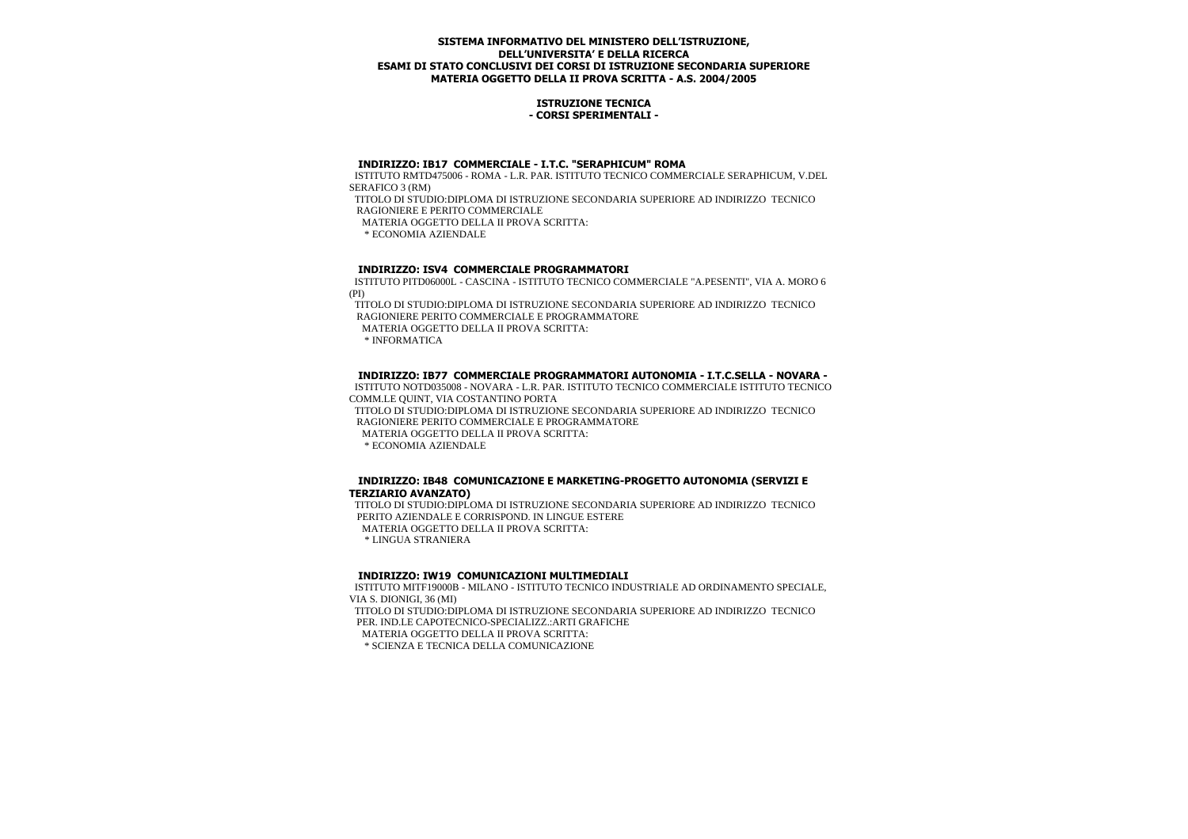### **ISTRUZIONE TECNICA - CORSI SPERIMENTALI -**

## **INDIRIZZO: IB17 COMMERCIALE - I.T.C. "SERAPHICUM" ROMA**

 ISTITUTO RMTD475006 - ROMA - L.R. PAR. ISTITUTO TECNICO COMMERCIALE SERAPHICUM, V.DEL SERAFICO 3 (RM)

 TITOLO DI STUDIO:DIPLOMA DI ISTRUZIONE SECONDARIA SUPERIORE AD INDIRIZZO TECNICO RAGIONIERE E PERITO COMMERCIALE

MATERIA OGGETTO DELLA II PROVA SCRITTA:

\* ECONOMIA AZIENDALE

## **INDIRIZZO: ISV4 COMMERCIALE PROGRAMMATORI**

 ISTITUTO PITD06000L - CASCINA - ISTITUTO TECNICO COMMERCIALE "A.PESENTI", VIA A. MORO 6 (PI)

 TITOLO DI STUDIO:DIPLOMA DI ISTRUZIONE SECONDARIA SUPERIORE AD INDIRIZZO TECNICO RAGIONIERE PERITO COMMERCIALE E PROGRAMMATORE

MATERIA OGGETTO DELLA II PROVA SCRITTA:

\* INFORMATICA

## **INDIRIZZO: IB77 COMMERCIALE PROGRAMMATORI AUTONOMIA - I.T.C.SELLA - NOVARA -**

 ISTITUTO NOTD035008 - NOVARA - L.R. PAR. ISTITUTO TECNICO COMMERCIALE ISTITUTO TECNICO COMM.LE QUINT, VIA COSTANTINO PORTA

 TITOLO DI STUDIO:DIPLOMA DI ISTRUZIONE SECONDARIA SUPERIORE AD INDIRIZZO TECNICO RAGIONIERE PERITO COMMERCIALE E PROGRAMMATORE

MATERIA OGGETTO DELLA II PROVA SCRITTA:

\* ECONOMIA AZIENDALE

## **INDIRIZZO: IB48 COMUNICAZIONE E MARKETING-PROGETTO AUTONOMIA (SERVIZI E TERZIARIO AVANZATO)**

 TITOLO DI STUDIO:DIPLOMA DI ISTRUZIONE SECONDARIA SUPERIORE AD INDIRIZZO TECNICO PERITO AZIENDALE E CORRISPOND. IN LINGUE ESTERE MATERIA OGGETTO DELLA II PROVA SCRITTA: \* LINGUA STRANIERA

## **INDIRIZZO: IW19 COMUNICAZIONI MULTIMEDIALI**

 ISTITUTO MITF19000B - MILANO - ISTITUTO TECNICO INDUSTRIALE AD ORDINAMENTO SPECIALE, VIA S. DIONIGI, 36 (MI) TITOLO DI STUDIO:DIPLOMA DI ISTRUZIONE SECONDARIA SUPERIORE AD INDIRIZZO TECNICO PER. IND.LE CAPOTECNICO-SPECIALIZZ.:ARTI GRAFICHE MATERIA OGGETTO DELLA II PROVA SCRITTA:

\* SCIENZA E TECNICA DELLA COMUNICAZIONE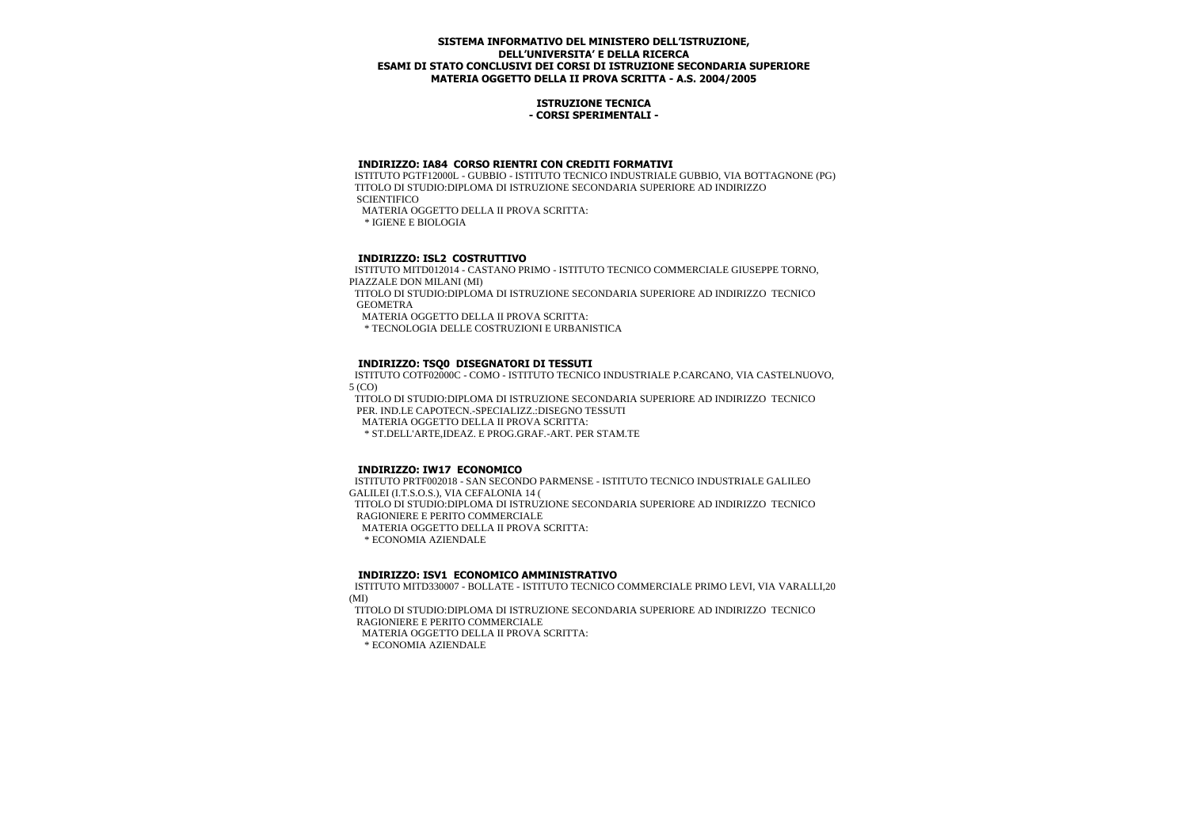## **ISTRUZIONE TECNICA - CORSI SPERIMENTALI -**

## **INDIRIZZO: IA84 CORSO RIENTRI CON CREDITI FORMATIVI**

 ISTITUTO PGTF12000L - GUBBIO - ISTITUTO TECNICO INDUSTRIALE GUBBIO, VIA BOTTAGNONE (PG) TITOLO DI STUDIO:DIPLOMA DI ISTRUZIONE SECONDARIA SUPERIORE AD INDIRIZZO **SCIENTIFICO** 

MATERIA OGGETTO DELLA II PROVA SCRITTA:

\* IGIENE E BIOLOGIA

# **INDIRIZZO: ISL2 COSTRUTTIVO**

 ISTITUTO MITD012014 - CASTANO PRIMO - ISTITUTO TECNICO COMMERCIALE GIUSEPPE TORNO, PIAZZALE DON MILANI (MI)

 TITOLO DI STUDIO:DIPLOMA DI ISTRUZIONE SECONDARIA SUPERIORE AD INDIRIZZO TECNICO GEOMETRA

MATERIA OGGETTO DELLA II PROVA SCRITTA:

\* TECNOLOGIA DELLE COSTRUZIONI E URBANISTICA

## **INDIRIZZO: TSQ0 DISEGNATORI DI TESSUTI**

 ISTITUTO COTF02000C - COMO - ISTITUTO TECNICO INDUSTRIALE P.CARCANO, VIA CASTELNUOVO, 5 (CO)

 TITOLO DI STUDIO:DIPLOMA DI ISTRUZIONE SECONDARIA SUPERIORE AD INDIRIZZO TECNICO PER. IND.LE CAPOTECN.-SPECIALIZZ.:DISEGNO TESSUTI

MATERIA OGGETTO DELLA II PROVA SCRITTA:

\* ST.DELL'ARTE,IDEAZ. E PROG.GRAF.-ART. PER STAM.TE

## **INDIRIZZO: IW17 ECONOMICO**

 ISTITUTO PRTF002018 - SAN SECONDO PARMENSE - ISTITUTO TECNICO INDUSTRIALE GALILEO GALILEI (I.T.S.O.S.), VIA CEFALONIA 14 ( TITOLO DI STUDIO:DIPLOMA DI ISTRUZIONE SECONDARIA SUPERIORE AD INDIRIZZO TECNICO RAGIONIERE E PERITO COMMERCIALE MATERIA OGGETTO DELLA II PROVA SCRITTA: \* ECONOMIA AZIENDALE

## **INDIRIZZO: ISV1 ECONOMICO AMMINISTRATIVO**

 ISTITUTO MITD330007 - BOLLATE - ISTITUTO TECNICO COMMERCIALE PRIMO LEVI, VIA VARALLI,20 (MI)

 TITOLO DI STUDIO:DIPLOMA DI ISTRUZIONE SECONDARIA SUPERIORE AD INDIRIZZO TECNICO RAGIONIERE E PERITO COMMERCIALE MATERIA OGGETTO DELLA II PROVA SCRITTA: \* ECONOMIA AZIENDALE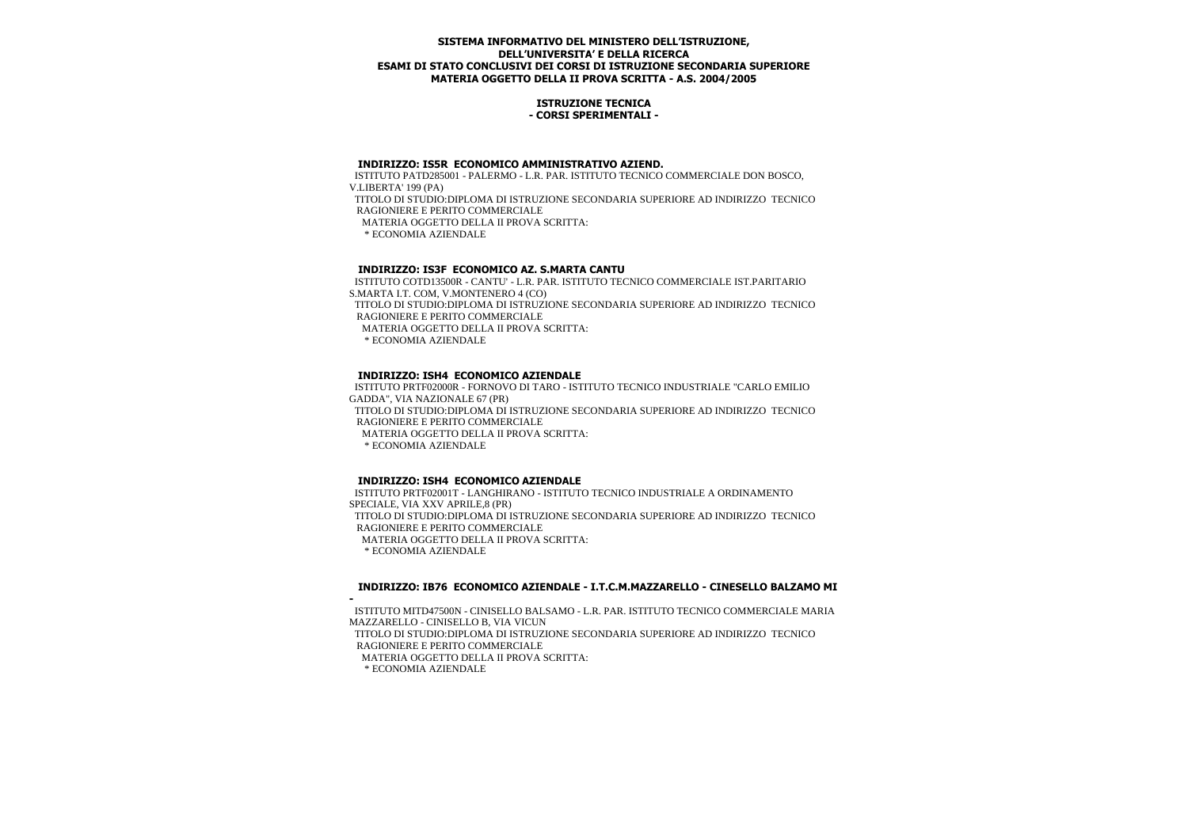## **ISTRUZIONE TECNICA - CORSI SPERIMENTALI -**

#### **INDIRIZZO: IS5R ECONOMICO AMMINISTRATIVO AZIEND.**

 ISTITUTO PATD285001 - PALERMO - L.R. PAR. ISTITUTO TECNICO COMMERCIALE DON BOSCO, V.LIBERTA' 199 (PA) TITOLO DI STUDIO:DIPLOMA DI ISTRUZIONE SECONDARIA SUPERIORE AD INDIRIZZO TECNICO RAGIONIERE E PERITO COMMERCIALE MATERIA OGGETTO DELLA II PROVA SCRITTA: \* ECONOMIA AZIENDALE

# **INDIRIZZO: IS3F ECONOMICO AZ. S.MARTA CANTU**

 ISTITUTO COTD13500R - CANTU' - L.R. PAR. ISTITUTO TECNICO COMMERCIALE IST.PARITARIO S.MARTA I.T. COM, V.MONTENERO 4 (CO) TITOLO DI STUDIO:DIPLOMA DI ISTRUZIONE SECONDARIA SUPERIORE AD INDIRIZZO TECNICO

RAGIONIERE E PERITO COMMERCIALE

MATERIA OGGETTO DELLA II PROVA SCRITTA:

\* ECONOMIA AZIENDALE

# **INDIRIZZO: ISH4 ECONOMICO AZIENDALE**

 ISTITUTO PRTF02000R - FORNOVO DI TARO - ISTITUTO TECNICO INDUSTRIALE "CARLO EMILIO GADDA", VIA NAZIONALE 67 (PR) TITOLO DI STUDIO:DIPLOMA DI ISTRUZIONE SECONDARIA SUPERIORE AD INDIRIZZO TECNICO RAGIONIERE E PERITO COMMERCIALE MATERIA OGGETTO DELLA II PROVA SCRITTA: \* ECONOMIA AZIENDALE

# **INDIRIZZO: ISH4 ECONOMICO AZIENDALE**

 ISTITUTO PRTF02001T - LANGHIRANO - ISTITUTO TECNICO INDUSTRIALE A ORDINAMENTO SPECIALE, VIA XXV APRILE,8 (PR) TITOLO DI STUDIO:DIPLOMA DI ISTRUZIONE SECONDARIA SUPERIORE AD INDIRIZZO TECNICO RAGIONIERE E PERITO COMMERCIALE MATERIA OGGETTO DELLA II PROVA SCRITTA: \* ECONOMIA AZIENDALE

## **INDIRIZZO: IB76 ECONOMICO AZIENDALE - I.T.C.M.MAZZARELLO - CINESELLO BALZAMO MI**

**-** ISTITUTO MITD47500N - CINISELLO BALSAMO - L.R. PAR. ISTITUTO TECNICO COMMERCIALE MARIA MAZZARELLO - CINISELLO B, VIA VICUN TITOLO DI STUDIO:DIPLOMA DI ISTRUZIONE SECONDARIA SUPERIORE AD INDIRIZZO TECNICO RAGIONIERE E PERITO COMMERCIALE

MATERIA OGGETTO DELLA II PROVA SCRITTA:

\* ECONOMIA AZIENDALE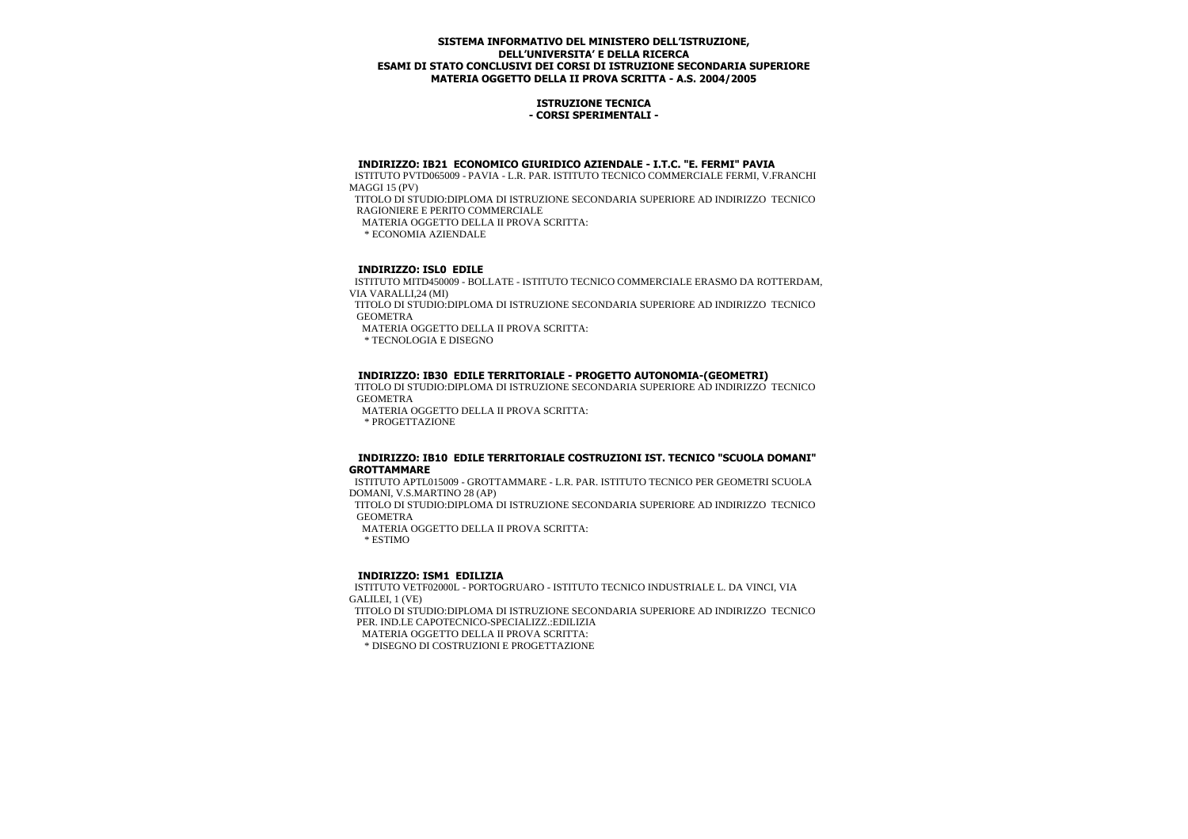## **ISTRUZIONE TECNICA - CORSI SPERIMENTALI -**

## **INDIRIZZO: IB21 ECONOMICO GIURIDICO AZIENDALE - I.T.C. "E. FERMI" PAVIA**

 ISTITUTO PVTD065009 - PAVIA - L.R. PAR. ISTITUTO TECNICO COMMERCIALE FERMI, V.FRANCHI MAGGI 15 (PV)

 TITOLO DI STUDIO:DIPLOMA DI ISTRUZIONE SECONDARIA SUPERIORE AD INDIRIZZO TECNICO RAGIONIERE E PERITO COMMERCIALE

MATERIA OGGETTO DELLA II PROVA SCRITTA:

\* ECONOMIA AZIENDALE

## **INDIRIZZO: ISL0 EDILE**

 ISTITUTO MITD450009 - BOLLATE - ISTITUTO TECNICO COMMERCIALE ERASMO DA ROTTERDAM, VIA VARALLI<sub>24</sub> (MI)

 TITOLO DI STUDIO:DIPLOMA DI ISTRUZIONE SECONDARIA SUPERIORE AD INDIRIZZO TECNICO GEOMETRA

MATERIA OGGETTO DELLA II PROVA SCRITTA:

\* TECNOLOGIA E DISEGNO

## **INDIRIZZO: IB30 EDILE TERRITORIALE - PROGETTO AUTONOMIA-(GEOMETRI)**

 TITOLO DI STUDIO:DIPLOMA DI ISTRUZIONE SECONDARIA SUPERIORE AD INDIRIZZO TECNICO GEOMETRA

MATERIA OGGETTO DELLA II PROVA SCRITTA:

\* PROGETTAZIONE

#### **INDIRIZZO: IB10 EDILE TERRITORIALE COSTRUZIONI IST. TECNICO "SCUOLA DOMANI" GROTTAMMARE**

 ISTITUTO APTL015009 - GROTTAMMARE - L.R. PAR. ISTITUTO TECNICO PER GEOMETRI SCUOLA DOMANI, V.S.MARTINO 28 (AP)

 TITOLO DI STUDIO:DIPLOMA DI ISTRUZIONE SECONDARIA SUPERIORE AD INDIRIZZO TECNICO GEOMETRA

MATERIA OGGETTO DELLA II PROVA SCRITTA:

\* ESTIMO

## **INDIRIZZO: ISM1 EDILIZIA**

 ISTITUTO VETF02000L - PORTOGRUARO - ISTITUTO TECNICO INDUSTRIALE L. DA VINCI, VIA GALILEI, 1 (VE)

 TITOLO DI STUDIO:DIPLOMA DI ISTRUZIONE SECONDARIA SUPERIORE AD INDIRIZZO TECNICO PER. IND.LE CAPOTECNICO-SPECIALIZZ.:EDILIZIA

MATERIA OGGETTO DELLA II PROVA SCRITTA:

\* DISEGNO DI COSTRUZIONI E PROGETTAZIONE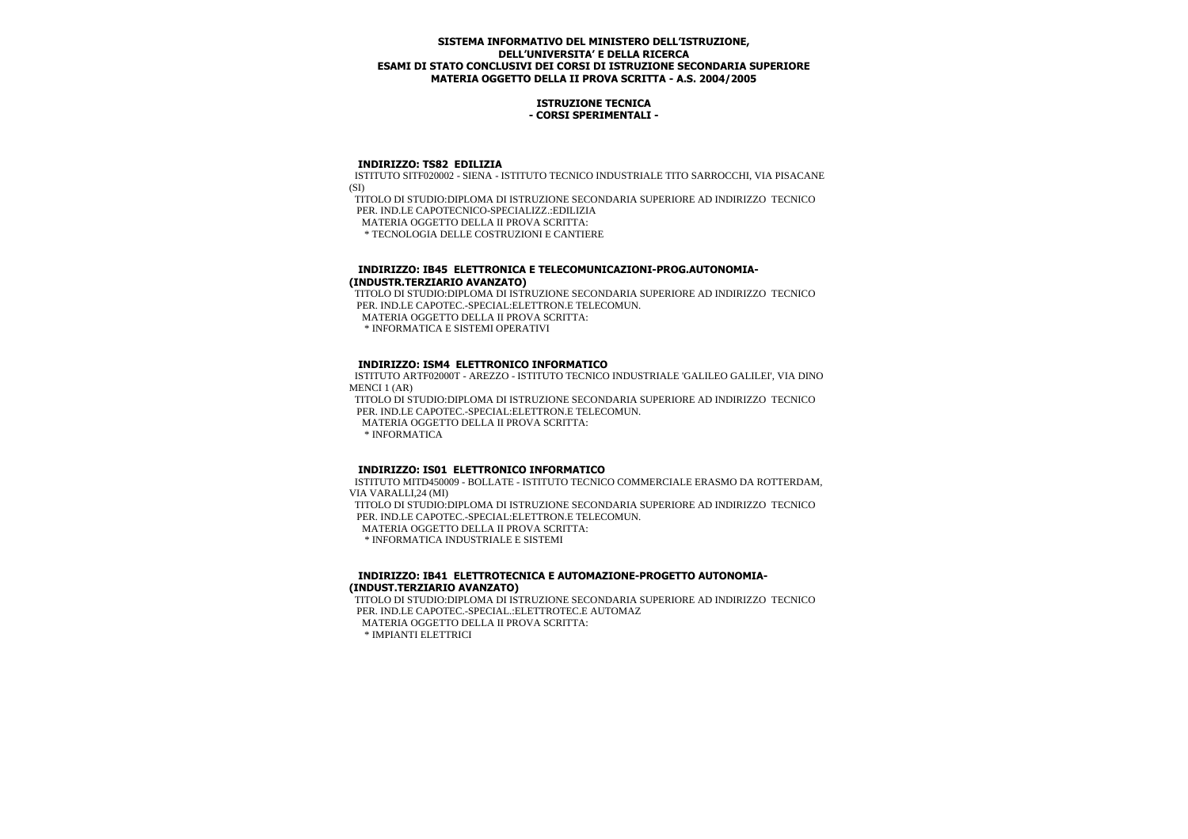## **ISTRUZIONE TECNICA - CORSI SPERIMENTALI -**

#### **INDIRIZZO: TS82 EDILIZIA**

 ISTITUTO SITF020002 - SIENA - ISTITUTO TECNICO INDUSTRIALE TITO SARROCCHI, VIA PISACANE  $(SI)$ 

 TITOLO DI STUDIO:DIPLOMA DI ISTRUZIONE SECONDARIA SUPERIORE AD INDIRIZZO TECNICO PER. IND.LE CAPOTECNICO-SPECIALIZZ.:EDILIZIA MATERIA OGGETTO DELLA II PROVA SCRITTA:

\* TECNOLOGIA DELLE COSTRUZIONI E CANTIERE

## **INDIRIZZO: IB45 ELETTRONICA E TELECOMUNICAZIONI-PROG.AUTONOMIA- (INDUSTR.TERZIARIO AVANZATO)**

 TITOLO DI STUDIO:DIPLOMA DI ISTRUZIONE SECONDARIA SUPERIORE AD INDIRIZZO TECNICO PER. IND.LE CAPOTEC -SPECIAL: ELETTRON E TELECOMUN.

MATERIA OGGETTO DELLA II PROVA SCRITTA:

\* INFORMATICA E SISTEMI OPERATIVI

## **INDIRIZZO: ISM4 ELETTRONICO INFORMATICO**

 ISTITUTO ARTF02000T - AREZZO - ISTITUTO TECNICO INDUSTRIALE 'GALILEO GALILEI', VIA DINO MENCI 1 (AR)

 TITOLO DI STUDIO:DIPLOMA DI ISTRUZIONE SECONDARIA SUPERIORE AD INDIRIZZO TECNICO PER. IND.LE CAPOTEC.-SPECIAL:ELETTRON.E TELECOMUN.

MATERIA OGGETTO DELLA II PROVA SCRITTA:

\* INFORMATICA

## **INDIRIZZO: IS01 ELETTRONICO INFORMATICO**

 ISTITUTO MITD450009 - BOLLATE - ISTITUTO TECNICO COMMERCIALE ERASMO DA ROTTERDAM, VIA VARALLI,24 (MI) TITOLO DI STUDIO:DIPLOMA DI ISTRUZIONE SECONDARIA SUPERIORE AD INDIRIZZO TECNICO PER. IND.LE CAPOTEC.-SPECIAL:ELETTRON.E TELECOMUN.

MATERIA OGGETTO DELLA II PROVA SCRITTA:

\* INFORMATICA INDUSTRIALE E SISTEMI

#### **INDIRIZZO: IB41 ELETTROTECNICA E AUTOMAZIONE-PROGETTO AUTONOMIA- (INDUST.TERZIARIO AVANZATO)**

 TITOLO DI STUDIO:DIPLOMA DI ISTRUZIONE SECONDARIA SUPERIORE AD INDIRIZZO TECNICO PER. IND.LE CAPOTEC.-SPECIAL.:ELETTROTEC.E AUTOMAZ MATERIA OGGETTO DELLA II PROVA SCRITTA: \* IMPIANTI ELETTRICI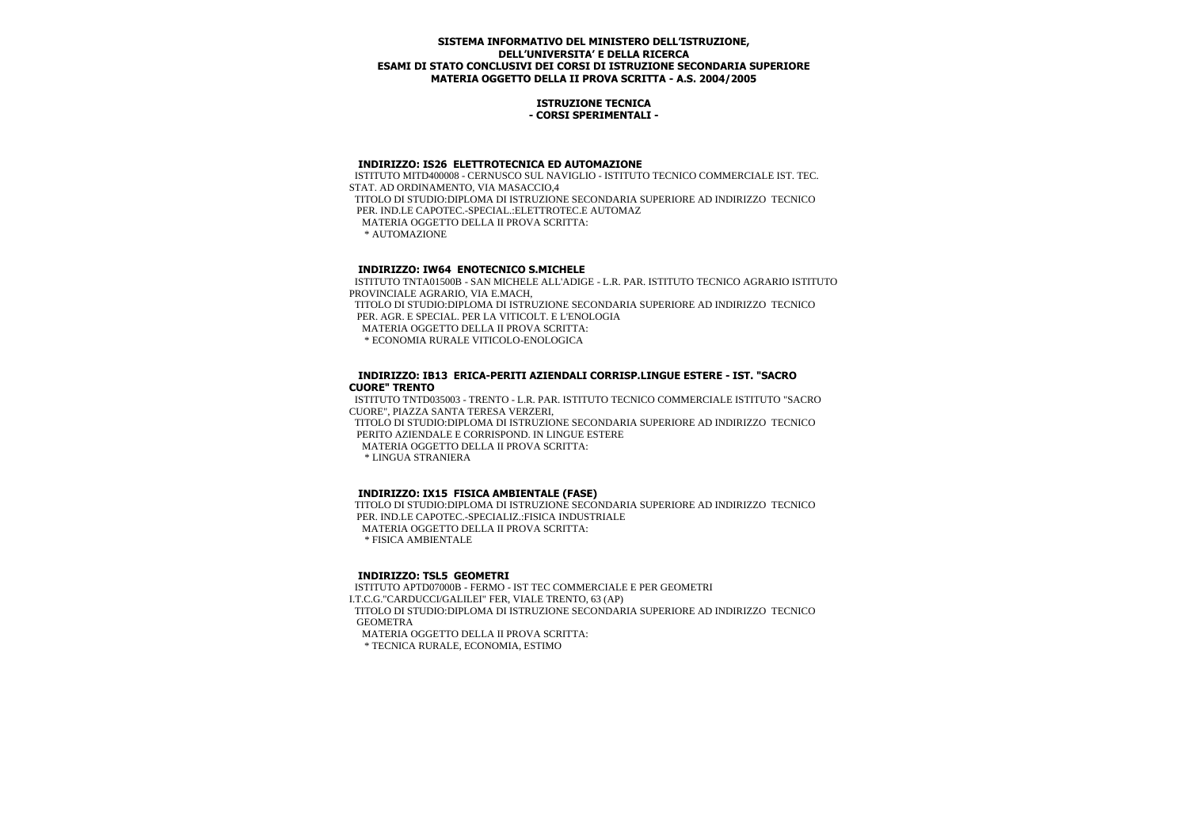### **ISTRUZIONE TECNICA - CORSI SPERIMENTALI -**

#### **INDIRIZZO: IS26 ELETTROTECNICA ED AUTOMAZIONE**

 ISTITUTO MITD400008 - CERNUSCO SUL NAVIGLIO - ISTITUTO TECNICO COMMERCIALE IST. TEC. STAT. AD ORDINAMENTO, VIA MASACCIO,4 TITOLO DI STUDIO:DIPLOMA DI ISTRUZIONE SECONDARIA SUPERIORE AD INDIRIZZO TECNICO PER. IND.LE CAPOTEC.-SPECIAL.:ELETTROTEC.E AUTOMAZ MATERIA OGGETTO DELLA II PROVA SCRITTA: \* AUTOMAZIONE

# **INDIRIZZO: IW64 ENOTECNICO S.MICHELE**

 ISTITUTO TNTA01500B - SAN MICHELE ALL'ADIGE - L.R. PAR. ISTITUTO TECNICO AGRARIO ISTITUTO PROVINCIALE AGRARIO, VIA E.MACH, TITOLO DI STUDIO:DIPLOMA DI ISTRUZIONE SECONDARIA SUPERIORE AD INDIRIZZO TECNICO PER. AGR. E SPECIAL. PER LA VITICOLT. E L'ENOLOGIA MATERIA OGGETTO DELLA II PROVA SCRITTA: \* ECONOMIA RURALE VITICOLO-ENOLOGICA

#### **INDIRIZZO: IB13 ERICA-PERITI AZIENDALI CORRISP.LINGUE ESTERE - IST. "SACRO CUORE" TRENTO**

 ISTITUTO TNTD035003 - TRENTO - L.R. PAR. ISTITUTO TECNICO COMMERCIALE ISTITUTO "SACRO CUORE", PIAZZA SANTA TERESA VERZERI,

 TITOLO DI STUDIO:DIPLOMA DI ISTRUZIONE SECONDARIA SUPERIORE AD INDIRIZZO TECNICO PERITO AZIENDALE E CORRISPOND. IN LINGUE ESTERE

MATERIA OGGETTO DELLA II PROVA SCRITTA:

\* LINGUA STRANIERA

## **INDIRIZZO: IX15 FISICA AMBIENTALE (FASE)**

 TITOLO DI STUDIO:DIPLOMA DI ISTRUZIONE SECONDARIA SUPERIORE AD INDIRIZZO TECNICO PER. IND.LE CAPOTEC.-SPECIALIZ.:FISICA INDUSTRIALE MATERIA OGGETTO DELLA II PROVA SCRITTA: \* FISICA AMBIENTALE

## **INDIRIZZO: TSL5 GEOMETRI**

 ISTITUTO APTD07000B - FERMO - IST TEC COMMERCIALE E PER GEOMETRI I.T.C.G."CARDUCCI/GALILEI" FER, VIALE TRENTO, 63 (AP) TITOLO DI STUDIO:DIPLOMA DI ISTRUZIONE SECONDARIA SUPERIORE AD INDIRIZZO TECNICO GEOMETRA MATERIA OGGETTO DELLA II PROVA SCRITTA: \* TECNICA RURALE, ECONOMIA, ESTIMO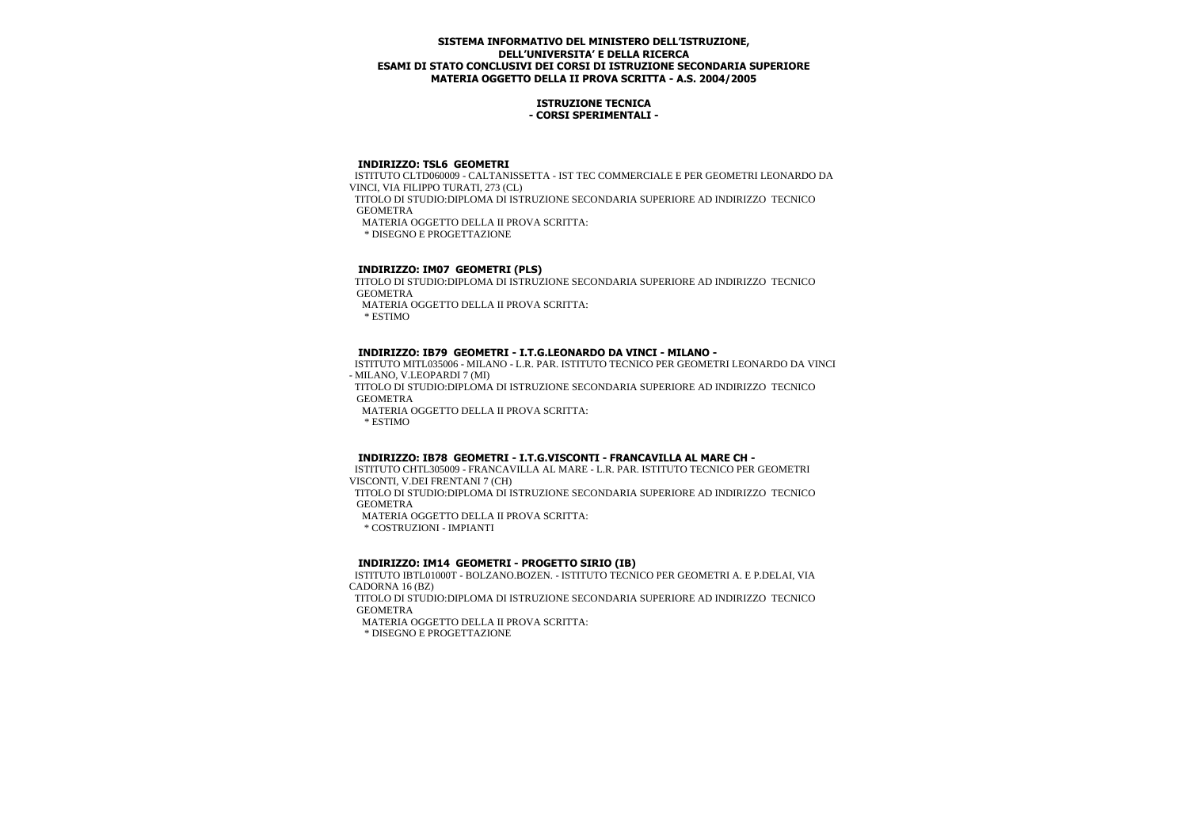## **ISTRUZIONE TECNICA - CORSI SPERIMENTALI -**

# **INDIRIZZO: TSL6 GEOMETRI**

 ISTITUTO CLTD060009 - CALTANISSETTA - IST TEC COMMERCIALE E PER GEOMETRI LEONARDO DA VINCI, VIA FILIPPO TURATI, 273 (CL)

 TITOLO DI STUDIO:DIPLOMA DI ISTRUZIONE SECONDARIA SUPERIORE AD INDIRIZZO TECNICO GEOMETRA

MATERIA OGGETTO DELLA II PROVA SCRITTA:

\* DISEGNO E PROGETTAZIONE

# **INDIRIZZO: IM07 GEOMETRI (PLS)**

 TITOLO DI STUDIO:DIPLOMA DI ISTRUZIONE SECONDARIA SUPERIORE AD INDIRIZZO TECNICO GEOMETRA

MATERIA OGGETTO DELLA II PROVA SCRITTA:

\* ESTIMO

## **INDIRIZZO: IB79 GEOMETRI - I.T.G.LEONARDO DA VINCI - MILANO -**

 ISTITUTO MITL035006 - MILANO - L.R. PAR. ISTITUTO TECNICO PER GEOMETRI LEONARDO DA VINCI - MILANO, V.LEOPARDI 7 (MI)

 TITOLO DI STUDIO:DIPLOMA DI ISTRUZIONE SECONDARIA SUPERIORE AD INDIRIZZO TECNICO GEOMETRA

MATERIA OGGETTO DELLA II PROVA SCRITTA:

\* ESTIMO

## **INDIRIZZO: IB78 GEOMETRI - I.T.G.VISCONTI - FRANCAVILLA AL MARE CH -**

 ISTITUTO CHTL305009 - FRANCAVILLA AL MARE - L.R. PAR. ISTITUTO TECNICO PER GEOMETRI VISCONTI, V.DEI FRENTANI 7 (CH) TITOLO DI STUDIO:DIPLOMA DI ISTRUZIONE SECONDARIA SUPERIORE AD INDIRIZZO TECNICO

**GEOMETRA** 

MATERIA OGGETTO DELLA II PROVA SCRITTA:

\* COSTRUZIONI - IMPIANTI

## **INDIRIZZO: IM14 GEOMETRI - PROGETTO SIRIO (IB)**

 ISTITUTO IBTL01000T - BOLZANO.BOZEN. - ISTITUTO TECNICO PER GEOMETRI A. E P.DELAI, VIA CADORNA 16 (BZ)

 TITOLO DI STUDIO:DIPLOMA DI ISTRUZIONE SECONDARIA SUPERIORE AD INDIRIZZO TECNICO GEOMETRA

MATERIA OGGETTO DELLA II PROVA SCRITTA:

\* DISEGNO E PROGETTAZIONE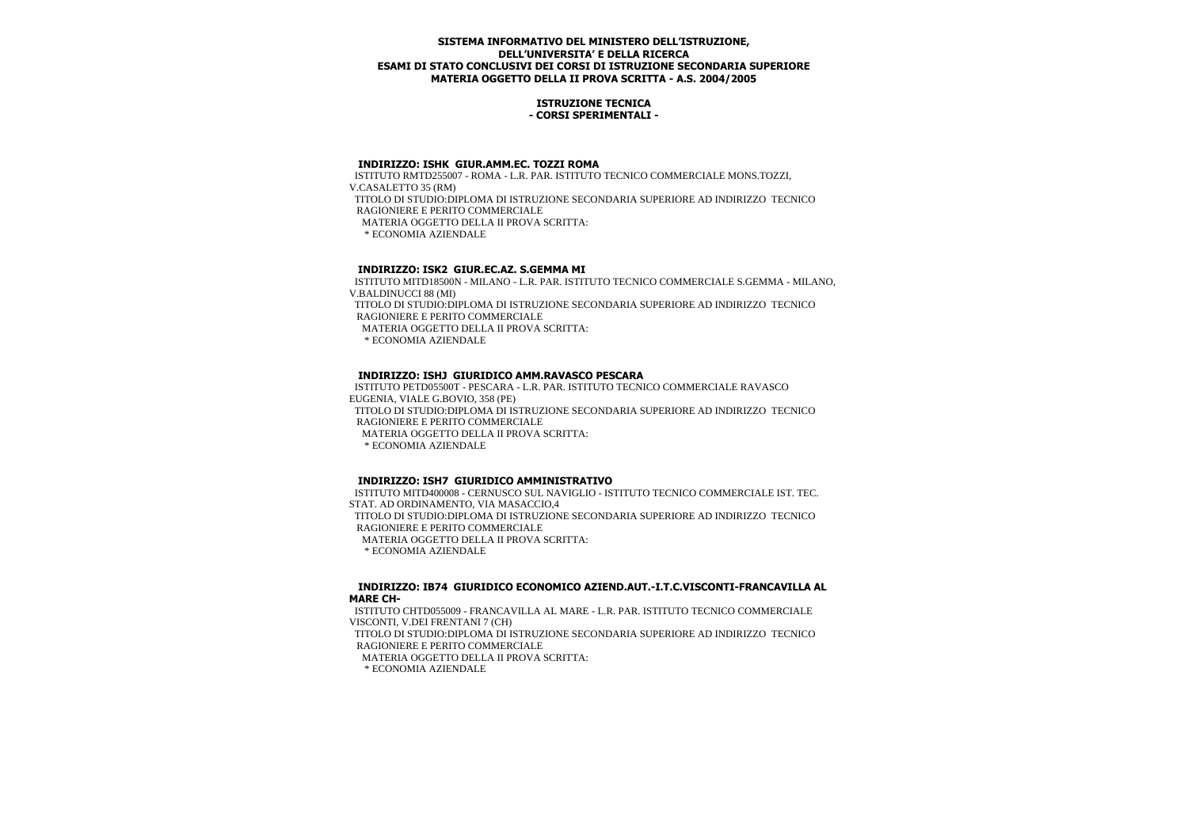## **ISTRUZIONE TECNICA - CORSI SPERIMENTALI -**

#### **INDIRIZZO: ISHK GIUR.AMM.EC. TOZZI ROMA**

 ISTITUTO RMTD255007 - ROMA - L.R. PAR. ISTITUTO TECNICO COMMERCIALE MONS.TOZZI, V.CASALETTO 35 (RM) TITOLO DI STUDIO:DIPLOMA DI ISTRUZIONE SECONDARIA SUPERIORE AD INDIRIZZO TECNICO RAGIONIERE E PERITO COMMERCIALE MATERIA OGGETTO DELLA II PROVA SCRITTA: \* ECONOMIA AZIENDALE

# **INDIRIZZO: ISK2 GIUR.EC.AZ. S.GEMMA MI**

 ISTITUTO MITD18500N - MILANO - L.R. PAR. ISTITUTO TECNICO COMMERCIALE S.GEMMA - MILANO, V.BALDINUCCI 88 (MI)

 TITOLO DI STUDIO:DIPLOMA DI ISTRUZIONE SECONDARIA SUPERIORE AD INDIRIZZO TECNICO RAGIONIERE E PERITO COMMERCIALE

MATERIA OGGETTO DELLA II PROVA SCRITTA:

\* ECONOMIA AZIENDALE

## **INDIRIZZO: ISHJ GIURIDICO AMM.RAVASCO PESCARA**

 ISTITUTO PETD05500T - PESCARA - L.R. PAR. ISTITUTO TECNICO COMMERCIALE RAVASCO EUGENIA, VIALE G.BOVIO, 358 (PE) TITOLO DI STUDIO:DIPLOMA DI ISTRUZIONE SECONDARIA SUPERIORE AD INDIRIZZO TECNICO RAGIONIERE E PERITO COMMERCIALE MATERIA OGGETTO DELLA II PROVA SCRITTA: \* ECONOMIA AZIENDALE

## **INDIRIZZO: ISH7 GIURIDICO AMMINISTRATIVO**

 ISTITUTO MITD400008 - CERNUSCO SUL NAVIGLIO - ISTITUTO TECNICO COMMERCIALE IST. TEC. STAT. AD ORDINAMENTO, VIA MASACCIO,4 TITOLO DI STUDIO:DIPLOMA DI ISTRUZIONE SECONDARIA SUPERIORE AD INDIRIZZO TECNICO RAGIONIERE E PERITO COMMERCIALE MATERIA OGGETTO DELLA II PROVA SCRITTA: \* ECONOMIA AZIENDALE

 **INDIRIZZO: IB74 GIURIDICO ECONOMICO AZIEND.AUT.-I.T.C.VISCONTI-FRANCAVILLA AL MARE CH-**

 ISTITUTO CHTD055009 - FRANCAVILLA AL MARE - L.R. PAR. ISTITUTO TECNICO COMMERCIALE VISCONTI, V.DEI FRENTANI 7 (CH) TITOLO DI STUDIO:DIPLOMA DI ISTRUZIONE SECONDARIA SUPERIORE AD INDIRIZZO TECNICO

RAGIONIERE E PERITO COMMERCIALE

MATERIA OGGETTO DELLA II PROVA SCRITTA:

\* ECONOMIA AZIENDALE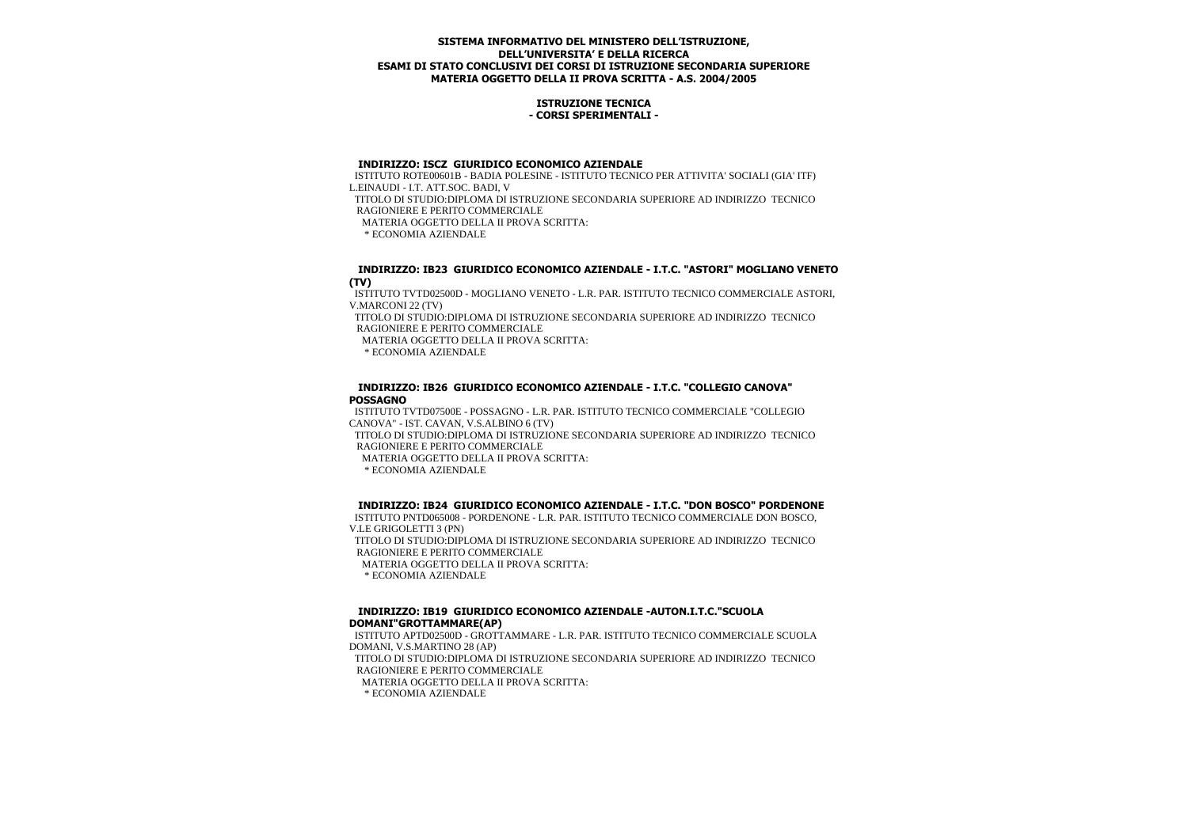## **ISTRUZIONE TECNICA - CORSI SPERIMENTALI -**

# **INDIRIZZO: ISCZ GIURIDICO ECONOMICO AZIENDALE**

 ISTITUTO ROTE00601B - BADIA POLESINE - ISTITUTO TECNICO PER ATTIVITA' SOCIALI (GIA' ITF) L.EINAUDI - I.T. ATT.SOC. BADI, V

 TITOLO DI STUDIO:DIPLOMA DI ISTRUZIONE SECONDARIA SUPERIORE AD INDIRIZZO TECNICO RAGIONIERE E PERITO COMMERCIALE

MATERIA OGGETTO DELLA II PROVA SCRITTA:

\* ECONOMIA AZIENDALE

## **INDIRIZZO: IB23 GIURIDICO ECONOMICO AZIENDALE - I.T.C. "ASTORI" MOGLIANO VENETO (TV)**

 ISTITUTO TVTD02500D - MOGLIANO VENETO - L.R. PAR. ISTITUTO TECNICO COMMERCIALE ASTORI, V.MARCONI 22 (TV)

 TITOLO DI STUDIO:DIPLOMA DI ISTRUZIONE SECONDARIA SUPERIORE AD INDIRIZZO TECNICO RAGIONIERE E PERITO COMMERCIALE

MATERIA OGGETTO DELLA II PROVA SCRITTA:

\* ECONOMIA AZIENDALE

## **INDIRIZZO: IB26 GIURIDICO ECONOMICO AZIENDALE - I.T.C. "COLLEGIO CANOVA" POSSAGNO**

 ISTITUTO TVTD07500E - POSSAGNO - L.R. PAR. ISTITUTO TECNICO COMMERCIALE "COLLEGIO CANOVA" - IST. CAVAN, V.S.ALBINO 6 (TV)

 TITOLO DI STUDIO:DIPLOMA DI ISTRUZIONE SECONDARIA SUPERIORE AD INDIRIZZO TECNICO RAGIONIERE E PERITO COMMERCIALE

MATERIA OGGETTO DELLA II PROVA SCRITTA:

\* ECONOMIA AZIENDALE

# **INDIRIZZO: IB24 GIURIDICO ECONOMICO AZIENDALE - I.T.C. "DON BOSCO" PORDENONE**

 ISTITUTO PNTD065008 - PORDENONE - L.R. PAR. ISTITUTO TECNICO COMMERCIALE DON BOSCO, V.LE GRIGOLETTI 3 (PN)

 TITOLO DI STUDIO:DIPLOMA DI ISTRUZIONE SECONDARIA SUPERIORE AD INDIRIZZO TECNICO RAGIONIERE E PERITO COMMERCIALE

MATERIA OGGETTO DELLA II PROVA SCRITTA:

\* ECONOMIA AZIENDALE

# **INDIRIZZO: IB19 GIURIDICO ECONOMICO AZIENDALE -AUTON.I.T.C."SCUOLA DOMANI"GROTTAMMARE(AP)**

 ISTITUTO APTD02500D - GROTTAMMARE - L.R. PAR. ISTITUTO TECNICO COMMERCIALE SCUOLA DOMANI, V.S.MARTINO 28 (AP)

 TITOLO DI STUDIO:DIPLOMA DI ISTRUZIONE SECONDARIA SUPERIORE AD INDIRIZZO TECNICO RAGIONIERE E PERITO COMMERCIALE

MATERIA OGGETTO DELLA II PROVA SCRITTA:

\* ECONOMIA AZIENDALE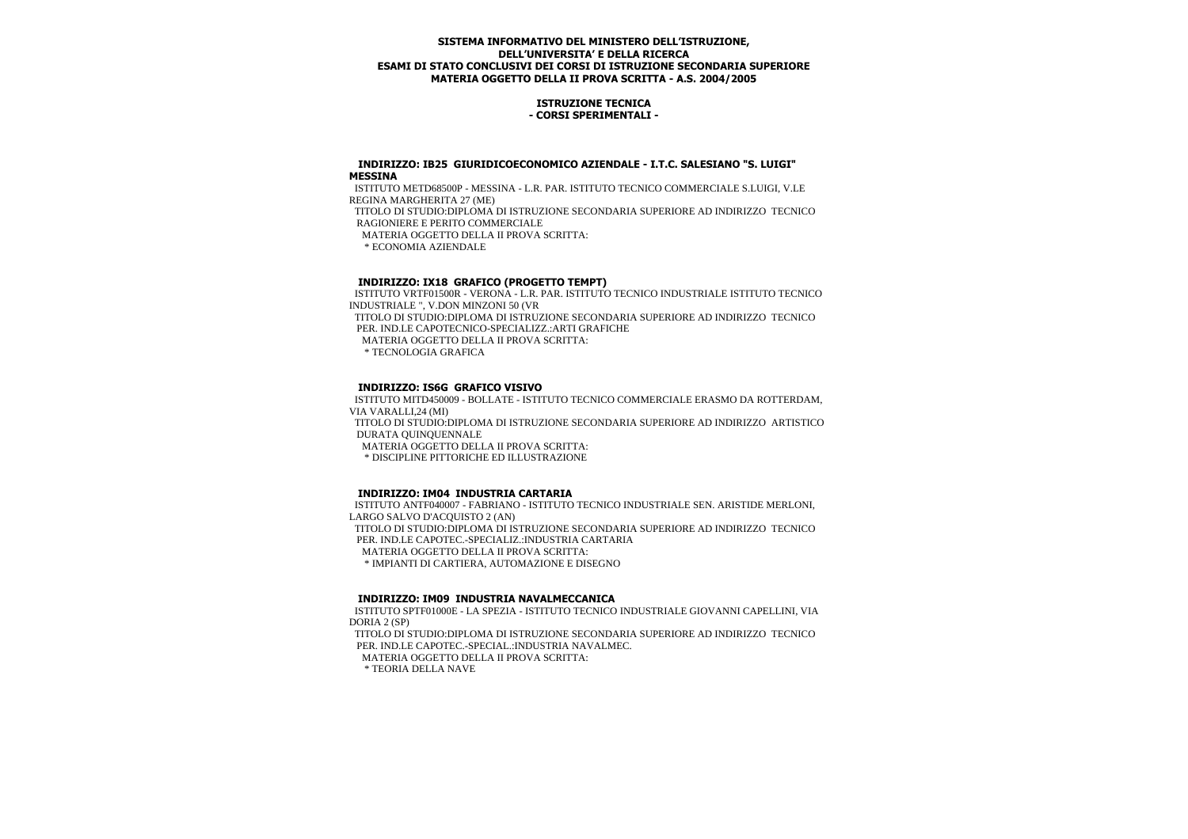## **ISTRUZIONE TECNICA - CORSI SPERIMENTALI -**

#### **INDIRIZZO: IB25 GIURIDICOECONOMICO AZIENDALE - I.T.C. SALESIANO "S. LUIGI" MESSINA**

 ISTITUTO METD68500P - MESSINA - L.R. PAR. ISTITUTO TECNICO COMMERCIALE S.LUIGI, V.LE REGINA MARGHERITA 27 (ME) TITOLO DI STUDIO:DIPLOMA DI ISTRUZIONE SECONDARIA SUPERIORE AD INDIRIZZO TECNICO

RAGIONIERE E PERITO COMMERCIALE

MATERIA OGGETTO DELLA II PROVA SCRITTA:

\* ECONOMIA AZIENDALE

# **INDIRIZZO: IX18 GRAFICO (PROGETTO TEMPT)**

 ISTITUTO VRTF01500R - VERONA - L.R. PAR. ISTITUTO TECNICO INDUSTRIALE ISTITUTO TECNICO INDUSTRIALE ", V.DON MINZONI 50 (VR TITOLO DI STUDIO:DIPLOMA DI ISTRUZIONE SECONDARIA SUPERIORE AD INDIRIZZO TECNICO PER. IND.LE CAPOTECNICO-SPECIALIZZ.:ARTI GRAFICHE MATERIA OGGETTO DELLA II PROVA SCRITTA: \* TECNOLOGIA GRAFICA

# **INDIRIZZO: IS6G GRAFICO VISIVO**

 ISTITUTO MITD450009 - BOLLATE - ISTITUTO TECNICO COMMERCIALE ERASMO DA ROTTERDAM, VIA VARALLI,24 (MI) TITOLO DI STUDIO:DIPLOMA DI ISTRUZIONE SECONDARIA SUPERIORE AD INDIRIZZO ARTISTICO DURATA QUINQUENNALE

MATERIA OGGETTO DELLA II PROVA SCRITTA:

\* DISCIPLINE PITTORICHE ED ILLUSTRAZIONE

# **INDIRIZZO: IM04 INDUSTRIA CARTARIA**

 ISTITUTO ANTF040007 - FABRIANO - ISTITUTO TECNICO INDUSTRIALE SEN. ARISTIDE MERLONI, LARGO SALVO D'ACQUISTO 2 (AN) TITOLO DI STUDIO:DIPLOMA DI ISTRUZIONE SECONDARIA SUPERIORE AD INDIRIZZO TECNICO PER. IND.LE CAPOTEC.-SPECIALIZ.:INDUSTRIA CARTARIA MATERIA OGGETTO DELLA II PROVA SCRITTA: \* IMPIANTI DI CARTIERA, AUTOMAZIONE E DISEGNO

## **INDIRIZZO: IM09 INDUSTRIA NAVALMECCANICA**

 ISTITUTO SPTF01000E - LA SPEZIA - ISTITUTO TECNICO INDUSTRIALE GIOVANNI CAPELLINI, VIA DORIA 2 (SP)

 TITOLO DI STUDIO:DIPLOMA DI ISTRUZIONE SECONDARIA SUPERIORE AD INDIRIZZO TECNICO PER. IND.LE CAPOTEC.-SPECIAL.:INDUSTRIA NAVALMEC.

MATERIA OGGETTO DELLA II PROVA SCRITTA:

\* TEORIA DELLA NAVE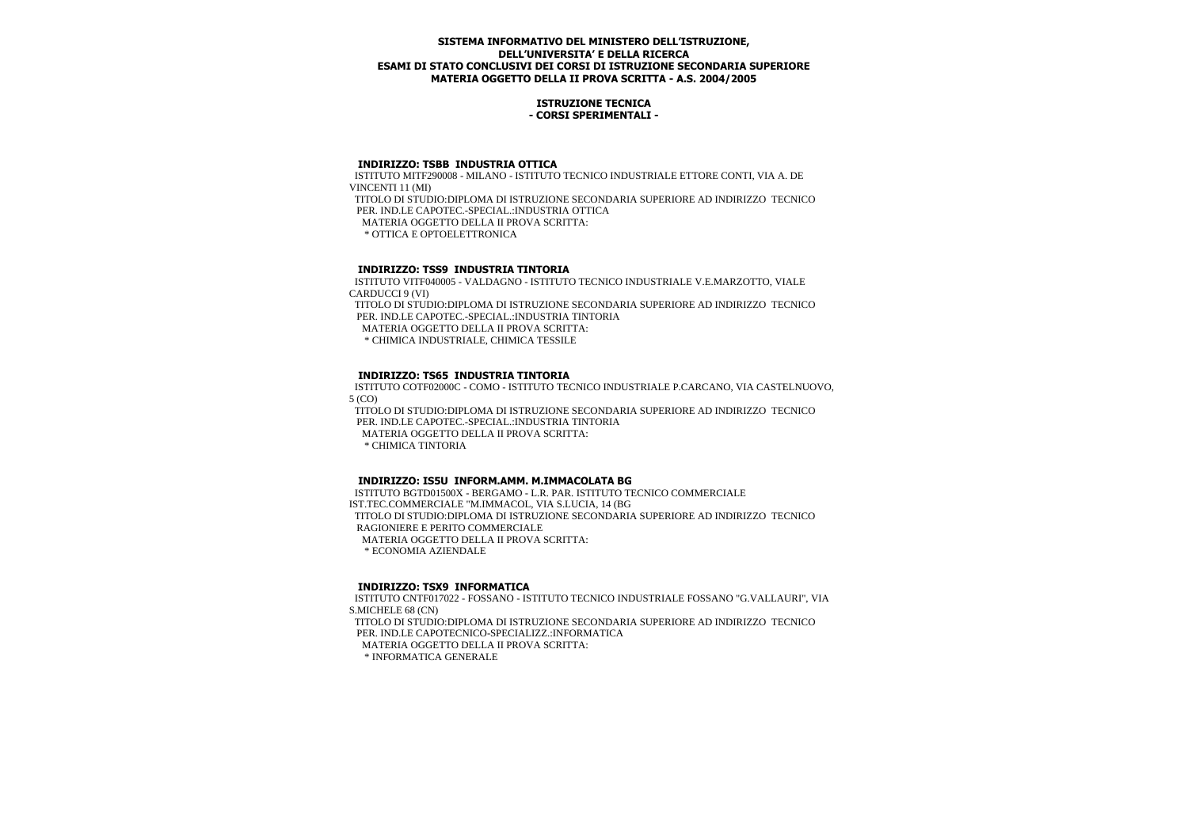## **ISTRUZIONE TECNICA - CORSI SPERIMENTALI -**

## **INDIRIZZO: TSBB INDUSTRIA OTTICA**

 ISTITUTO MITF290008 - MILANO - ISTITUTO TECNICO INDUSTRIALE ETTORE CONTI, VIA A. DE VINCENTI 11 (MI) TITOLO DI STUDIO:DIPLOMA DI ISTRUZIONE SECONDARIA SUPERIORE AD INDIRIZZO TECNICO PER. IND.LE CAPOTEC.-SPECIAL.:INDUSTRIA OTTICA MATERIA OGGETTO DELLA II PROVA SCRITTA: \* OTTICA E OPTOELETTRONICA

# **INDIRIZZO: TSS9 INDUSTRIA TINTORIA**

 ISTITUTO VITF040005 - VALDAGNO - ISTITUTO TECNICO INDUSTRIALE V.E.MARZOTTO, VIALE CARDUCCI 9 (VI)

 TITOLO DI STUDIO:DIPLOMA DI ISTRUZIONE SECONDARIA SUPERIORE AD INDIRIZZO TECNICO PER. IND.LE CAPOTEC.-SPECIAL.:INDUSTRIA TINTORIA

MATERIA OGGETTO DELLA II PROVA SCRITTA:

\* CHIMICA INDUSTRIALE, CHIMICA TESSILE

# **INDIRIZZO: TS65 INDUSTRIA TINTORIA**

 ISTITUTO COTF02000C - COMO - ISTITUTO TECNICO INDUSTRIALE P.CARCANO, VIA CASTELNUOVO, 5 (CO)

 TITOLO DI STUDIO:DIPLOMA DI ISTRUZIONE SECONDARIA SUPERIORE AD INDIRIZZO TECNICO PER. IND.LE CAPOTEC.-SPECIAL.:INDUSTRIA TINTORIA

MATERIA OGGETTO DELLA II PROVA SCRITTA:

\* CHIMICA TINTORIA

## **INDIRIZZO: IS5U INFORM.AMM. M.IMMACOLATA BG**

 ISTITUTO BGTD01500X - BERGAMO - L.R. PAR. ISTITUTO TECNICO COMMERCIALE IST.TEC.COMMERCIALE "M.IMMACOL, VIA S.LUCIA, 14 (BG TITOLO DI STUDIO:DIPLOMA DI ISTRUZIONE SECONDARIA SUPERIORE AD INDIRIZZO TECNICO RAGIONIERE E PERITO COMMERCIALE MATERIA OGGETTO DELLA II PROVA SCRITTA: \* ECONOMIA AZIENDALE

## **INDIRIZZO: TSX9 INFORMATICA**

 ISTITUTO CNTF017022 - FOSSANO - ISTITUTO TECNICO INDUSTRIALE FOSSANO "G.VALLAURI", VIA S.MICHELE 68 (CN)

 TITOLO DI STUDIO:DIPLOMA DI ISTRUZIONE SECONDARIA SUPERIORE AD INDIRIZZO TECNICO PER. IND.LE CAPOTECNICO-SPECIALIZZ.:INFORMATICA

MATERIA OGGETTO DELLA II PROVA SCRITTA:

\* INFORMATICA GENERALE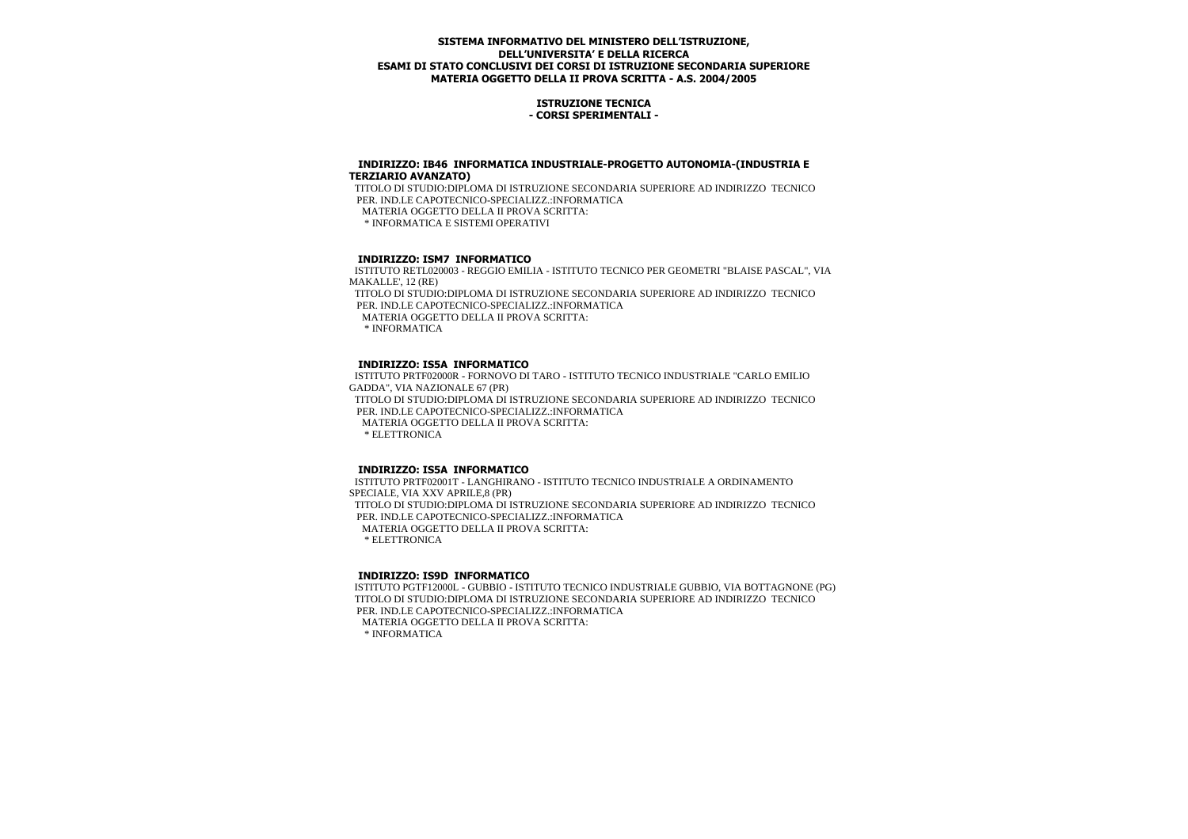## **ISTRUZIONE TECNICA - CORSI SPERIMENTALI -**

#### **INDIRIZZO: IB46 INFORMATICA INDUSTRIALE-PROGETTO AUTONOMIA-(INDUSTRIA E TERZIARIO AVANZATO)**

 TITOLO DI STUDIO:DIPLOMA DI ISTRUZIONE SECONDARIA SUPERIORE AD INDIRIZZO TECNICO PER. IND.LE CAPOTECNICO-SPECIALIZZ.:INFORMATICA MATERIA OGGETTO DELLA II PROVA SCRITTA: \* INFORMATICA E SISTEMI OPERATIVI

# **INDIRIZZO: ISM7 INFORMATICO**

 ISTITUTO RETL020003 - REGGIO EMILIA - ISTITUTO TECNICO PER GEOMETRI "BLAISE PASCAL", VIA MAKALLE', 12 (RE) TITOLO DI STUDIO:DIPLOMA DI ISTRUZIONE SECONDARIA SUPERIORE AD INDIRIZZO TECNICO PER. IND.LE CAPOTECNICO-SPECIALIZZ.:INFORMATICA MATERIA OGGETTO DELLA II PROVA SCRITTA: \* INFORMATICA

## **INDIRIZZO: IS5A INFORMATICO**

 ISTITUTO PRTF02000R - FORNOVO DI TARO - ISTITUTO TECNICO INDUSTRIALE "CARLO EMILIO GADDA", VIA NAZIONALE 67 (PR) TITOLO DI STUDIO:DIPLOMA DI ISTRUZIONE SECONDARIA SUPERIORE AD INDIRIZZO TECNICO PER. IND.LE CAPOTECNICO-SPECIALIZZ.:INFORMATICA MATERIA OGGETTO DELLA II PROVA SCRITTA: \* ELETTRONICA

## **INDIRIZZO: IS5A INFORMATICO**

 ISTITUTO PRTF02001T - LANGHIRANO - ISTITUTO TECNICO INDUSTRIALE A ORDINAMENTO SPECIALE, VIA XXV APRILE,8 (PR) TITOLO DI STUDIO:DIPLOMA DI ISTRUZIONE SECONDARIA SUPERIORE AD INDIRIZZO TECNICO PER. IND.LE CAPOTECNICO-SPECIALIZZ.:INFORMATICA MATERIA OGGETTO DELLA II PROVA SCRITTA: \* ELETTRONICA

## **INDIRIZZO: IS9D INFORMATICO**

 ISTITUTO PGTF12000L - GUBBIO - ISTITUTO TECNICO INDUSTRIALE GUBBIO, VIA BOTTAGNONE (PG) TITOLO DI STUDIO:DIPLOMA DI ISTRUZIONE SECONDARIA SUPERIORE AD INDIRIZZO TECNICO PER. IND.LE CAPOTECNICO-SPECIALIZZ.: INFORMATICA MATERIA OGGETTO DELLA II PROVA SCRITTA: \* INFORMATICA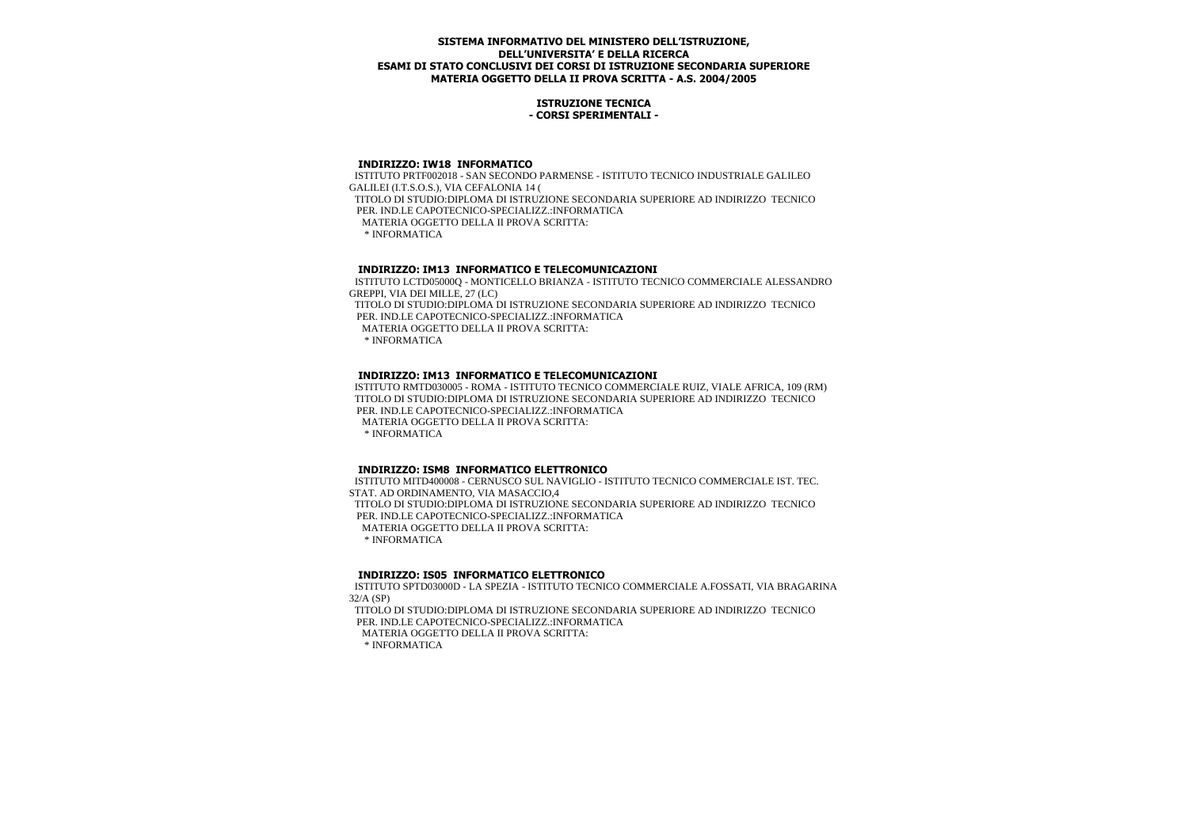## **ISTRUZIONE TECNICA - CORSI SPERIMENTALI -**

#### **INDIRIZZO: IW18 INFORMATICO**

 ISTITUTO PRTF002018 - SAN SECONDO PARMENSE - ISTITUTO TECNICO INDUSTRIALE GALILEO GALILEI (I.T.S.O.S.), VIA CEFALONIA 14 ( TITOLO DI STUDIO:DIPLOMA DI ISTRUZIONE SECONDARIA SUPERIORE AD INDIRIZZO TECNICO PER. IND.LE CAPOTECNICO-SPECIALIZZ.:INFORMATICA MATERIA OGGETTO DELLA II PROVA SCRITTA: \* INFORMATICA

## **INDIRIZZO: IM13 INFORMATICO E TELECOMUNICAZIONI**

 ISTITUTO LCTD05000Q - MONTICELLO BRIANZA - ISTITUTO TECNICO COMMERCIALE ALESSANDRO GREPPI, VIA DEI MILLE, 27 (LC) TITOLO DI STUDIO:DIPLOMA DI ISTRUZIONE SECONDARIA SUPERIORE AD INDIRIZZO TECNICO PER. IND.LE CAPOTECNICO-SPECIALIZZ.:INFORMATICA MATERIA OGGETTO DELLA II PROVA SCRITTA: \* INFORMATICA

## **INDIRIZZO: IM13 INFORMATICO E TELECOMUNICAZIONI**

 ISTITUTO RMTD030005 - ROMA - ISTITUTO TECNICO COMMERCIALE RUIZ, VIALE AFRICA, 109 (RM) TITOLO DI STUDIO:DIPLOMA DI ISTRUZIONE SECONDARIA SUPERIORE AD INDIRIZZO TECNICO PER. IND.LE CAPOTECNICO-SPECIALIZZ.:INFORMATICA MATERIA OGGETTO DELLA II PROVA SCRITTA: \* INFORMATICA

## **INDIRIZZO: ISM8 INFORMATICO ELETTRONICO**

 ISTITUTO MITD400008 - CERNUSCO SUL NAVIGLIO - ISTITUTO TECNICO COMMERCIALE IST. TEC. STAT. AD ORDINAMENTO, VIA MASACCIO,4 TITOLO DI STUDIO:DIPLOMA DI ISTRUZIONE SECONDARIA SUPERIORE AD INDIRIZZO TECNICO PER. IND.LE CAPOTECNICO-SPECIALIZZ.:INFORMATICA MATERIA OGGETTO DELLA II PROVA SCRITTA: \* INFORMATICA

## **INDIRIZZO: IS05 INFORMATICO ELETTRONICO**

 ISTITUTO SPTD03000D - LA SPEZIA - ISTITUTO TECNICO COMMERCIALE A.FOSSATI, VIA BRAGARINA 32/A (SP)

 TITOLO DI STUDIO:DIPLOMA DI ISTRUZIONE SECONDARIA SUPERIORE AD INDIRIZZO TECNICO PER. IND.LE CAPOTECNICO-SPECIALIZZ.:INFORMATICA MATERIA OGGETTO DELLA II PROVA SCRITTA: \* INFORMATICA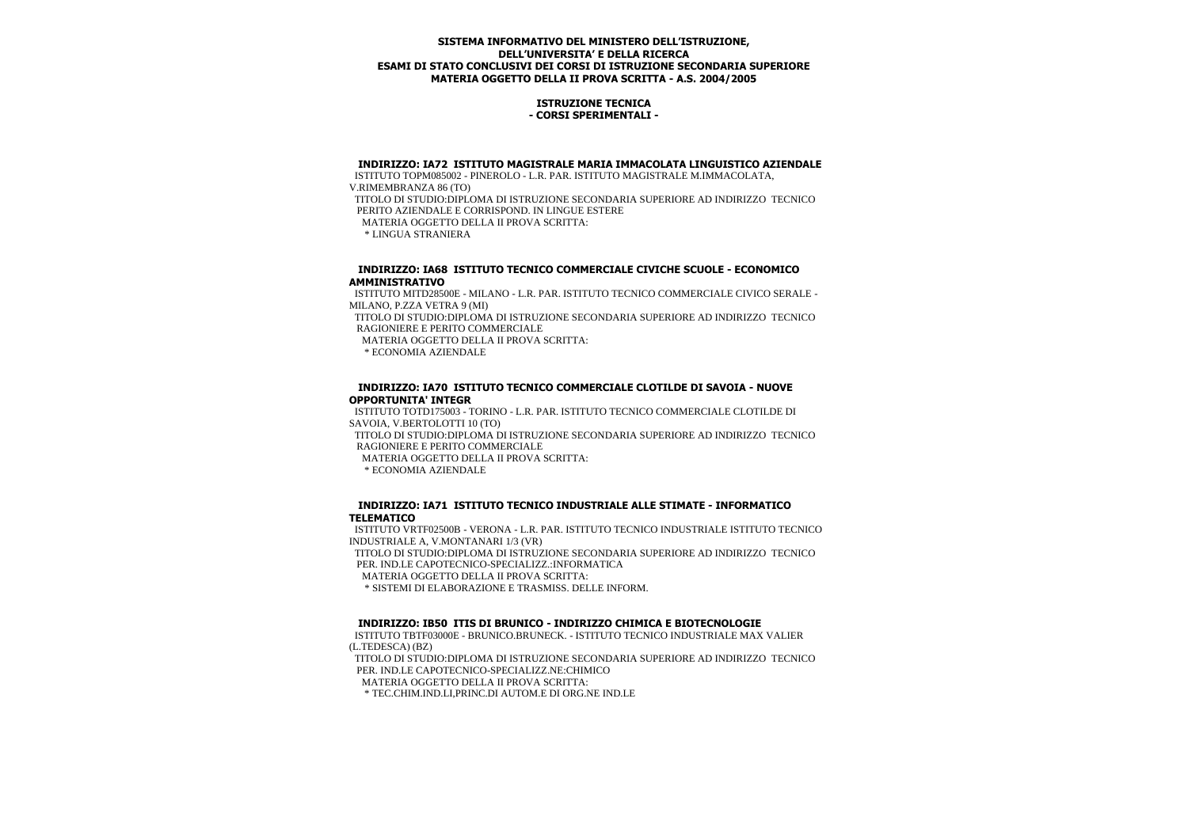## **ISTRUZIONE TECNICA - CORSI SPERIMENTALI -**

#### **INDIRIZZO: IA72 ISTITUTO MAGISTRALE MARIA IMMACOLATA LINGUISTICO AZIENDALE**

 ISTITUTO TOPM085002 - PINEROLO - L.R. PAR. ISTITUTO MAGISTRALE M.IMMACOLATA, V.RIMEMBRANZA 86 (TO) TITOLO DI STUDIO:DIPLOMA DI ISTRUZIONE SECONDARIA SUPERIORE AD INDIRIZZO TECNICO PERITO AZIENDALE E CORRISPOND. IN LINGUE ESTERE MATERIA OGGETTO DELLA II PROVA SCRITTA: \* LINGUA STRANIERA

 **INDIRIZZO: IA68 ISTITUTO TECNICO COMMERCIALE CIVICHE SCUOLE - ECONOMICO AMMINISTRATIVO**

 ISTITUTO MITD28500E - MILANO - L.R. PAR. ISTITUTO TECNICO COMMERCIALE CIVICO SERALE - MILANO, P.ZZA VETRA 9 (MI)

 TITOLO DI STUDIO:DIPLOMA DI ISTRUZIONE SECONDARIA SUPERIORE AD INDIRIZZO TECNICO RAGIONIERE E PERITO COMMERCIALE

MATERIA OGGETTO DELLA II PROVA SCRITTA:

\* ECONOMIA AZIENDALE

## **INDIRIZZO: IA70 ISTITUTO TECNICO COMMERCIALE CLOTILDE DI SAVOIA - NUOVE OPPORTUNITA' INTEGR**

 ISTITUTO TOTD175003 - TORINO - L.R. PAR. ISTITUTO TECNICO COMMERCIALE CLOTILDE DI SAVOIA, V.BERTOLOTTI 10 (TO)

 TITOLO DI STUDIO:DIPLOMA DI ISTRUZIONE SECONDARIA SUPERIORE AD INDIRIZZO TECNICO RAGIONIERE E PERITO COMMERCIALE

MATERIA OGGETTO DELLA II PROVA SCRITTA:

\* ECONOMIA AZIENDALE

## **INDIRIZZO: IA71 ISTITUTO TECNICO INDUSTRIALE ALLE STIMATE - INFORMATICO TELEMATICO**

 ISTITUTO VRTF02500B - VERONA - L.R. PAR. ISTITUTO TECNICO INDUSTRIALE ISTITUTO TECNICO INDUSTRIALE A, V.MONTANARI 1/3 (VR)

 TITOLO DI STUDIO:DIPLOMA DI ISTRUZIONE SECONDARIA SUPERIORE AD INDIRIZZO TECNICO PER. IND.LE CAPOTECNICO-SPECIALIZZ.:INFORMATICA

MATERIA OGGETTO DELLA II PROVA SCRITTA:

\* SISTEMI DI ELABORAZIONE E TRASMISS. DELLE INFORM.

## **INDIRIZZO: IB50 ITIS DI BRUNICO - INDIRIZZO CHIMICA E BIOTECNOLOGIE**

 ISTITUTO TBTF03000E - BRUNICO.BRUNECK. - ISTITUTO TECNICO INDUSTRIALE MAX VALIER (L.TEDESCA) (BZ)

 TITOLO DI STUDIO:DIPLOMA DI ISTRUZIONE SECONDARIA SUPERIORE AD INDIRIZZO TECNICO PER. IND.LE CAPOTECNICO-SPECIALIZZ.NE:CHIMICO

MATERIA OGGETTO DELLA II PROVA SCRITTA:

\* TEC.CHIM.IND.LI,PRINC.DI AUTOM.E DI ORG.NE IND.LE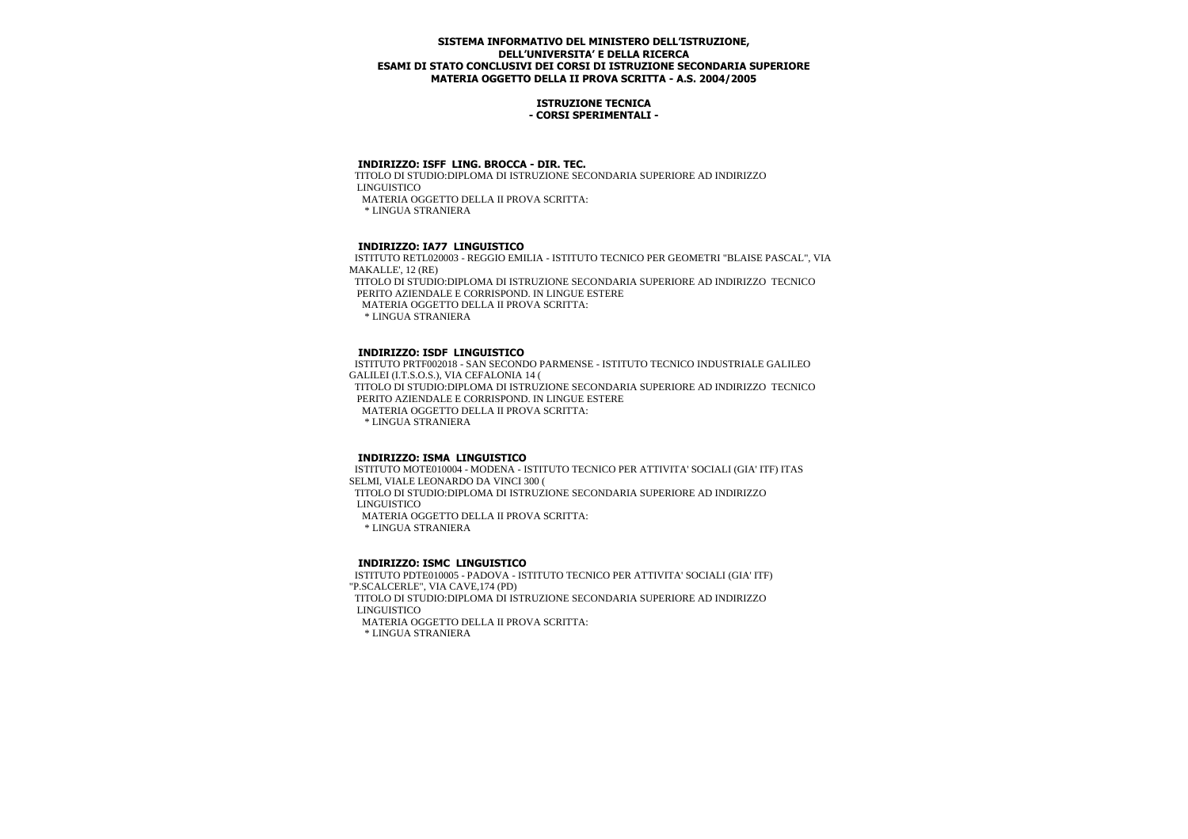## **ISTRUZIONE TECNICA - CORSI SPERIMENTALI -**

## **INDIRIZZO: ISFF LING. BROCCA - DIR. TEC.**

 TITOLO DI STUDIO:DIPLOMA DI ISTRUZIONE SECONDARIA SUPERIORE AD INDIRIZZO LINGUISTICO MATERIA OGGETTO DELLA II PROVA SCRITTA:

\* LINGUA STRANIERA

# **INDIRIZZO: IA77 LINGUISTICO**

 ISTITUTO RETL020003 - REGGIO EMILIA - ISTITUTO TECNICO PER GEOMETRI "BLAISE PASCAL", VIA MAKALLE', 12 (RE) TITOLO DI STUDIO:DIPLOMA DI ISTRUZIONE SECONDARIA SUPERIORE AD INDIRIZZO TECNICO PERITO AZIENDALE E CORRISPOND. IN LINGUE ESTERE MATERIA OGGETTO DELLA II PROVA SCRITTA: \* LINGUA STRANIERA

## **INDIRIZZO: ISDF LINGUISTICO**

 ISTITUTO PRTF002018 - SAN SECONDO PARMENSE - ISTITUTO TECNICO INDUSTRIALE GALILEO GALILEI (I.T.S.O.S.), VIA CEFALONIA 14 ( TITOLO DI STUDIO:DIPLOMA DI ISTRUZIONE SECONDARIA SUPERIORE AD INDIRIZZO TECNICO PERITO AZIENDALE E CORRISPOND. IN LINGUE ESTERE MATERIA OGGETTO DELLA II PROVA SCRITTA: \* LINGUA STRANIERA

## **INDIRIZZO: ISMA LINGUISTICO**

 ISTITUTO MOTE010004 - MODENA - ISTITUTO TECNICO PER ATTIVITA' SOCIALI (GIA' ITF) ITAS SELMI, VIALE LEONARDO DA VINCI 300 ( TITOLO DI STUDIO:DIPLOMA DI ISTRUZIONE SECONDARIA SUPERIORE AD INDIRIZZO LINGUISTICO MATERIA OGGETTO DELLA II PROVA SCRITTA:

\* LINGUA STRANIERA

#### **INDIRIZZO: ISMC LINGUISTICO**

 ISTITUTO PDTE010005 - PADOVA - ISTITUTO TECNICO PER ATTIVITA' SOCIALI (GIA' ITF) "P.SCALCERLE", VIA CAVE,174 (PD) TITOLO DI STUDIO:DIPLOMA DI ISTRUZIONE SECONDARIA SUPERIORE AD INDIRIZZO LINGUISTICO MATERIA OGGETTO DELLA II PROVA SCRITTA: \* LINGUA STRANIERA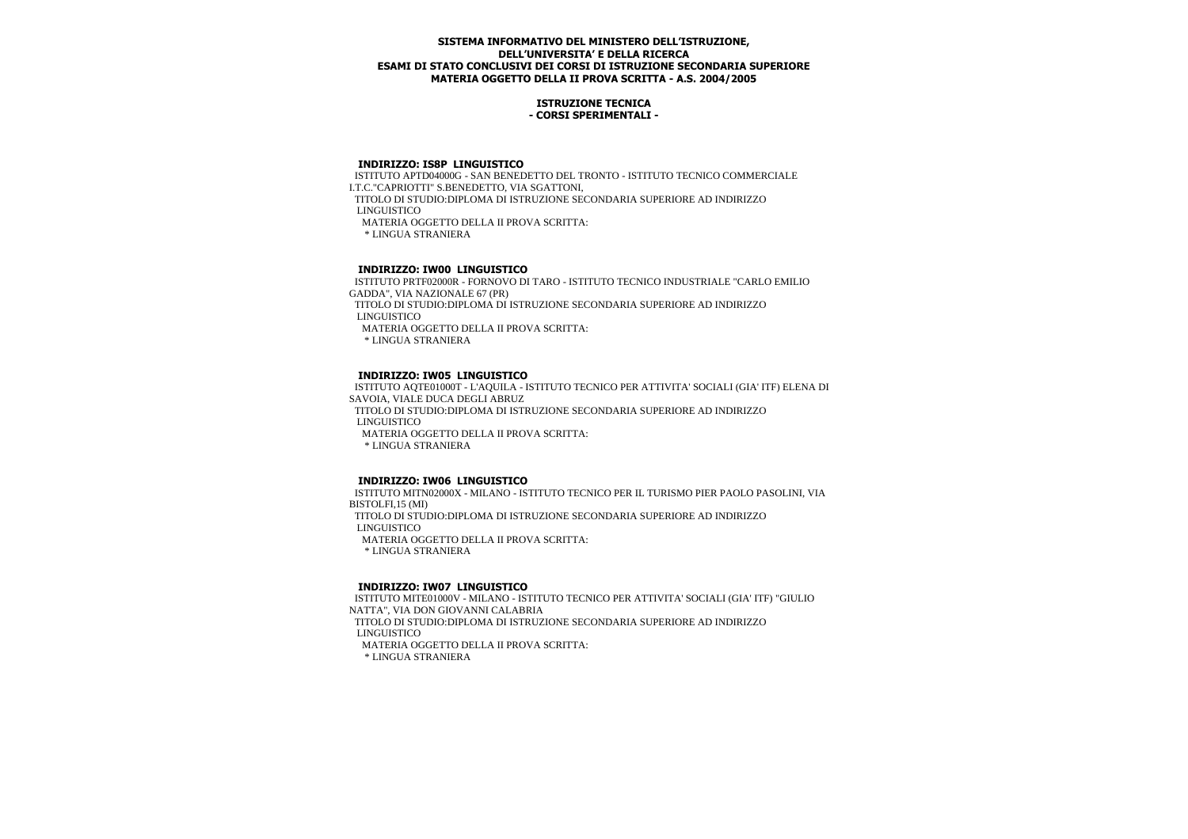## **ISTRUZIONE TECNICA - CORSI SPERIMENTALI -**

#### **INDIRIZZO: IS8P LINGUISTICO**

 ISTITUTO APTD04000G - SAN BENEDETTO DEL TRONTO - ISTITUTO TECNICO COMMERCIALE I.T.C."CAPRIOTTI" S.BENEDETTO, VIA SGATTONI, TITOLO DI STUDIO:DIPLOMA DI ISTRUZIONE SECONDARIA SUPERIORE AD INDIRIZZO LINGUISTICO MATERIA OGGETTO DELLA II PROVA SCRITTA: \* LINGUA STRANIERA

# **INDIRIZZO: IW00 LINGUISTICO**

 ISTITUTO PRTF02000R - FORNOVO DI TARO - ISTITUTO TECNICO INDUSTRIALE "CARLO EMILIO GADDA", VIA NAZIONALE 67 (PR)

 TITOLO DI STUDIO:DIPLOMA DI ISTRUZIONE SECONDARIA SUPERIORE AD INDIRIZZO LINGUISTICO

MATERIA OGGETTO DELLA II PROVA SCRITTA:

\* LINGUA STRANIERA

#### **INDIRIZZO: IW05 LINGUISTICO**

 ISTITUTO AQTE01000T - L'AQUILA - ISTITUTO TECNICO PER ATTIVITA' SOCIALI (GIA' ITF) ELENA DI SAVOIA, VIALE DUCA DEGLI ABRUZ

 TITOLO DI STUDIO:DIPLOMA DI ISTRUZIONE SECONDARIA SUPERIORE AD INDIRIZZO LINGUISTICO

MATERIA OGGETTO DELLA II PROVA SCRITTA:

\* LINGUA STRANIERA

## **INDIRIZZO: IW06 LINGUISTICO**

 ISTITUTO MITN02000X - MILANO - ISTITUTO TECNICO PER IL TURISMO PIER PAOLO PASOLINI, VIA BISTOLFI,15 (MI) TITOLO DI STUDIO:DIPLOMA DI ISTRUZIONE SECONDARIA SUPERIORE AD INDIRIZZO LINGUISTICO MATERIA OGGETTO DELLA II PROVA SCRITTA: \* LINGUA STRANIERA

## **INDIRIZZO: IW07 LINGUISTICO**

 ISTITUTO MITE01000V - MILANO - ISTITUTO TECNICO PER ATTIVITA' SOCIALI (GIA' ITF) "GIULIO NATTA", VIA DON GIOVANNI CALABRIA

 TITOLO DI STUDIO:DIPLOMA DI ISTRUZIONE SECONDARIA SUPERIORE AD INDIRIZZO LINGUISTICO

 MATERIA OGGETTO DELLA II PROVA SCRITTA: \* LINGUA STRANIERA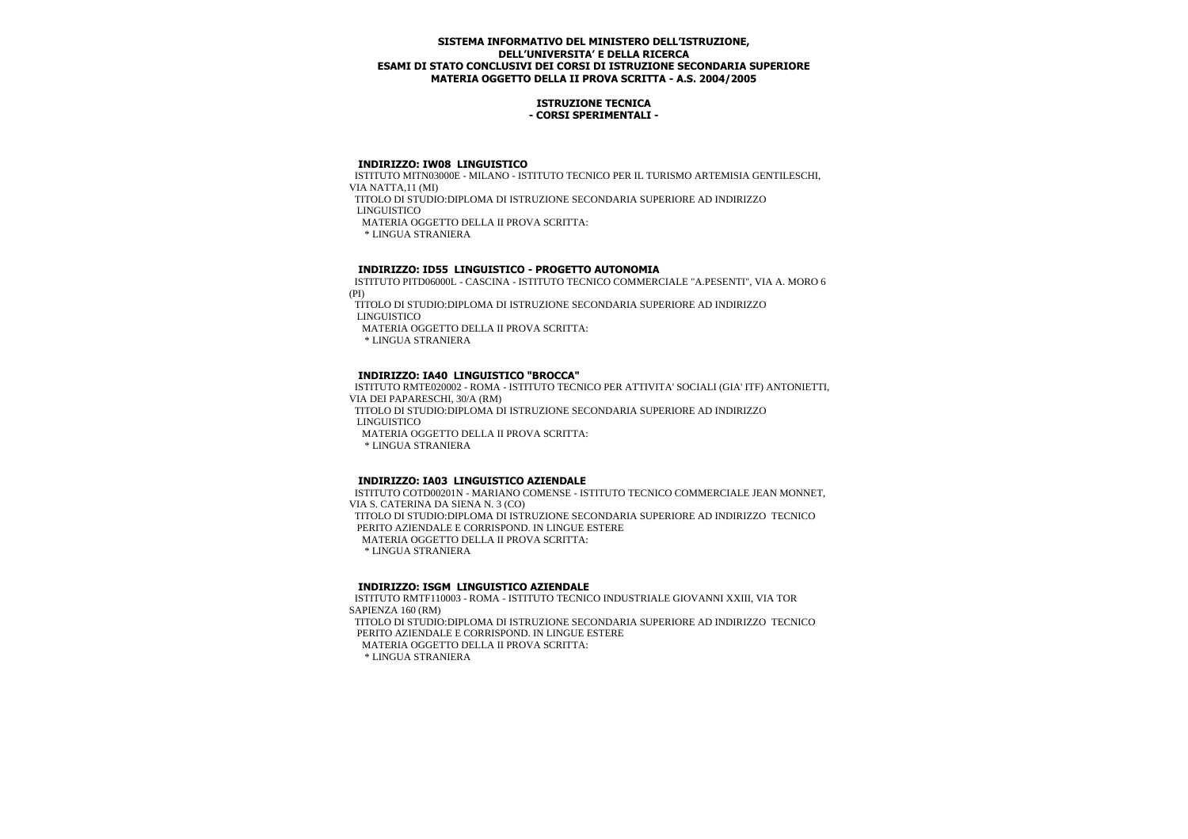## **ISTRUZIONE TECNICA - CORSI SPERIMENTALI -**

## **INDIRIZZO: IW08 LINGUISTICO**

 ISTITUTO MITN03000E - MILANO - ISTITUTO TECNICO PER IL TURISMO ARTEMISIA GENTILESCHI, VIA NATTA,11 (MI)

TITOLO DI STUDIO:DIPLOMA DI ISTRUZIONE SECONDARIA SUPERIORE AD INDIRIZZO

LINGUISTICO

MATERIA OGGETTO DELLA II PROVA SCRITTA:

\* LINGUA STRANIERA

# **INDIRIZZO: ID55 LINGUISTICO - PROGETTO AUTONOMIA**

 ISTITUTO PITD06000L - CASCINA - ISTITUTO TECNICO COMMERCIALE "A.PESENTI", VIA A. MORO 6 (PI)

 TITOLO DI STUDIO:DIPLOMA DI ISTRUZIONE SECONDARIA SUPERIORE AD INDIRIZZO LINGUISTICO

MATERIA OGGETTO DELLA II PROVA SCRITTA:

\* LINGUA STRANIERA

# **INDIRIZZO: IA40 LINGUISTICO "BROCCA"**

 ISTITUTO RMTE020002 - ROMA - ISTITUTO TECNICO PER ATTIVITA' SOCIALI (GIA' ITF) ANTONIETTI, VIA DEI PAPARESCHI, 30/A (RM)

 TITOLO DI STUDIO:DIPLOMA DI ISTRUZIONE SECONDARIA SUPERIORE AD INDIRIZZO LINGUISTICO

MATERIA OGGETTO DELLA II PROVA SCRITTA:

\* LINGUA STRANIERA

## **INDIRIZZO: IA03 LINGUISTICO AZIENDALE**

 ISTITUTO COTD00201N - MARIANO COMENSE - ISTITUTO TECNICO COMMERCIALE JEAN MONNET, VIA S. CATERINA DA SIENA N. 3 (CO) TITOLO DI STUDIO:DIPLOMA DI ISTRUZIONE SECONDARIA SUPERIORE AD INDIRIZZO TECNICO PERITO AZIENDALE E CORRISPOND. IN LINGUE ESTERE MATERIA OGGETTO DELLA II PROVA SCRITTA: \* LINGUA STRANIERA

## **INDIRIZZO: ISGM LINGUISTICO AZIENDALE**

 ISTITUTO RMTF110003 - ROMA - ISTITUTO TECNICO INDUSTRIALE GIOVANNI XXIII, VIA TOR SAPIENZA 160 (RM)

 TITOLO DI STUDIO:DIPLOMA DI ISTRUZIONE SECONDARIA SUPERIORE AD INDIRIZZO TECNICO PERITO AZIENDALE E CORRISPOND. IN LINGUE ESTERE

MATERIA OGGETTO DELLA II PROVA SCRITTA: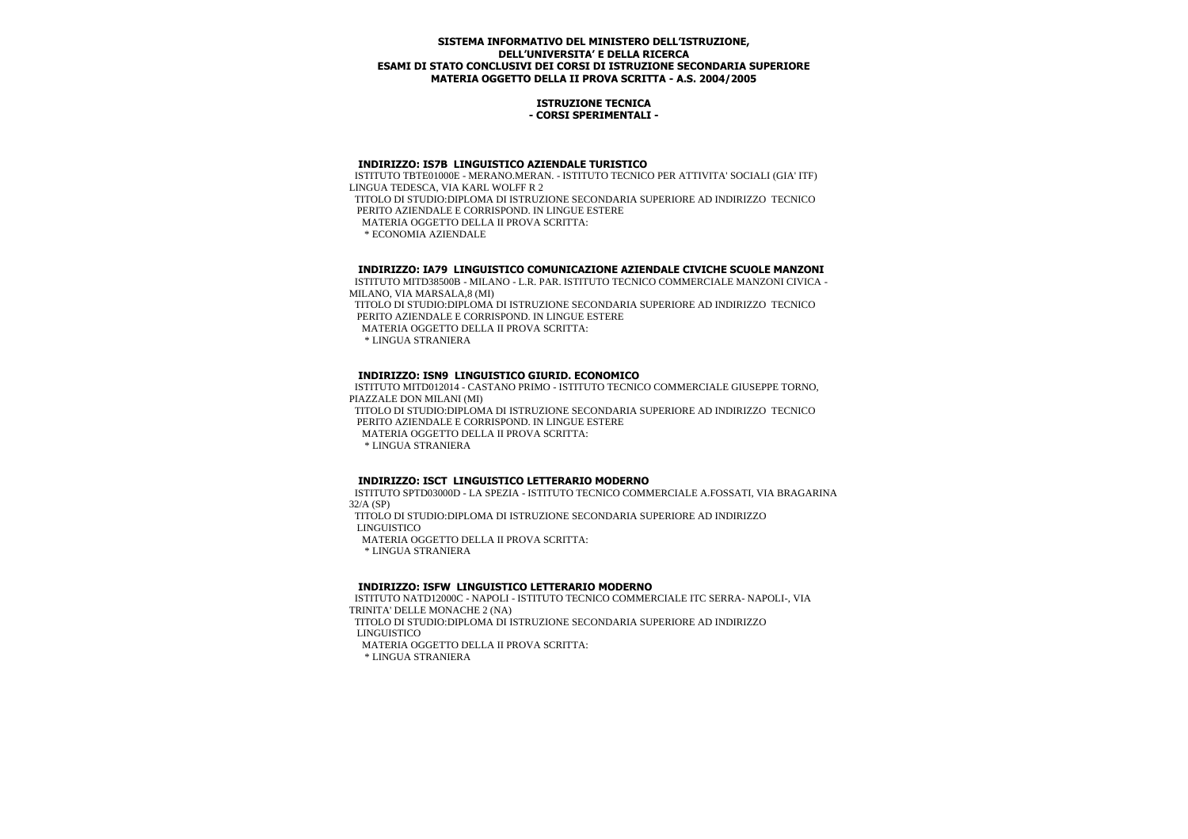#### **ISTRUZIONE TECNICA - CORSI SPERIMENTALI -**

#### **INDIRIZZO: IS7B LINGUISTICO AZIENDALE TURISTICO**

 ISTITUTO TBTE01000E - MERANO.MERAN. - ISTITUTO TECNICO PER ATTIVITA' SOCIALI (GIA' ITF) LINGUA TEDESCA, VIA KARL WOLFF R 2 TITOLO DI STUDIO:DIPLOMA DI ISTRUZIONE SECONDARIA SUPERIORE AD INDIRIZZO TECNICO PERITO AZIENDALE E CORRISPOND. IN LINGUE ESTERE MATERIA OGGETTO DELLA II PROVA SCRITTA: \* ECONOMIA AZIENDALE

## **INDIRIZZO: IA79 LINGUISTICO COMUNICAZIONE AZIENDALE CIVICHE SCUOLE MANZONI**

 ISTITUTO MITD38500B - MILANO - L.R. PAR. ISTITUTO TECNICO COMMERCIALE MANZONI CIVICA - MILANO, VIA MARSALA,8 (MI)

 TITOLO DI STUDIO:DIPLOMA DI ISTRUZIONE SECONDARIA SUPERIORE AD INDIRIZZO TECNICO PERITO AZIENDALE E CORRISPOND. IN LINGUE ESTERE

MATERIA OGGETTO DELLA II PROVA SCRITTA:

\* LINGUA STRANIERA

## **INDIRIZZO: ISN9 LINGUISTICO GIURID. ECONOMICO**

 ISTITUTO MITD012014 - CASTANO PRIMO - ISTITUTO TECNICO COMMERCIALE GIUSEPPE TORNO, PIAZZALE DON MILANI (MI)

 TITOLO DI STUDIO:DIPLOMA DI ISTRUZIONE SECONDARIA SUPERIORE AD INDIRIZZO TECNICO PERITO AZIENDALE E CORRISPOND. IN LINGUE ESTERE

MATERIA OGGETTO DELLA II PROVA SCRITTA:

\* LINGUA STRANIERA

## **INDIRIZZO: ISCT LINGUISTICO LETTERARIO MODERNO**

 ISTITUTO SPTD03000D - LA SPEZIA - ISTITUTO TECNICO COMMERCIALE A.FOSSATI, VIA BRAGARINA 32/A (SP)

 TITOLO DI STUDIO:DIPLOMA DI ISTRUZIONE SECONDARIA SUPERIORE AD INDIRIZZO LINGUISTICO

MATERIA OGGETTO DELLA II PROVA SCRITTA:

\* LINGUA STRANIERA

## **INDIRIZZO: ISFW LINGUISTICO LETTERARIO MODERNO**

 ISTITUTO NATD12000C - NAPOLI - ISTITUTO TECNICO COMMERCIALE ITC SERRA- NAPOLI-, VIA TRINITA' DELLE MONACHE 2 (NA)

 TITOLO DI STUDIO:DIPLOMA DI ISTRUZIONE SECONDARIA SUPERIORE AD INDIRIZZO LINGUISTICO

MATERIA OGGETTO DELLA II PROVA SCRITTA: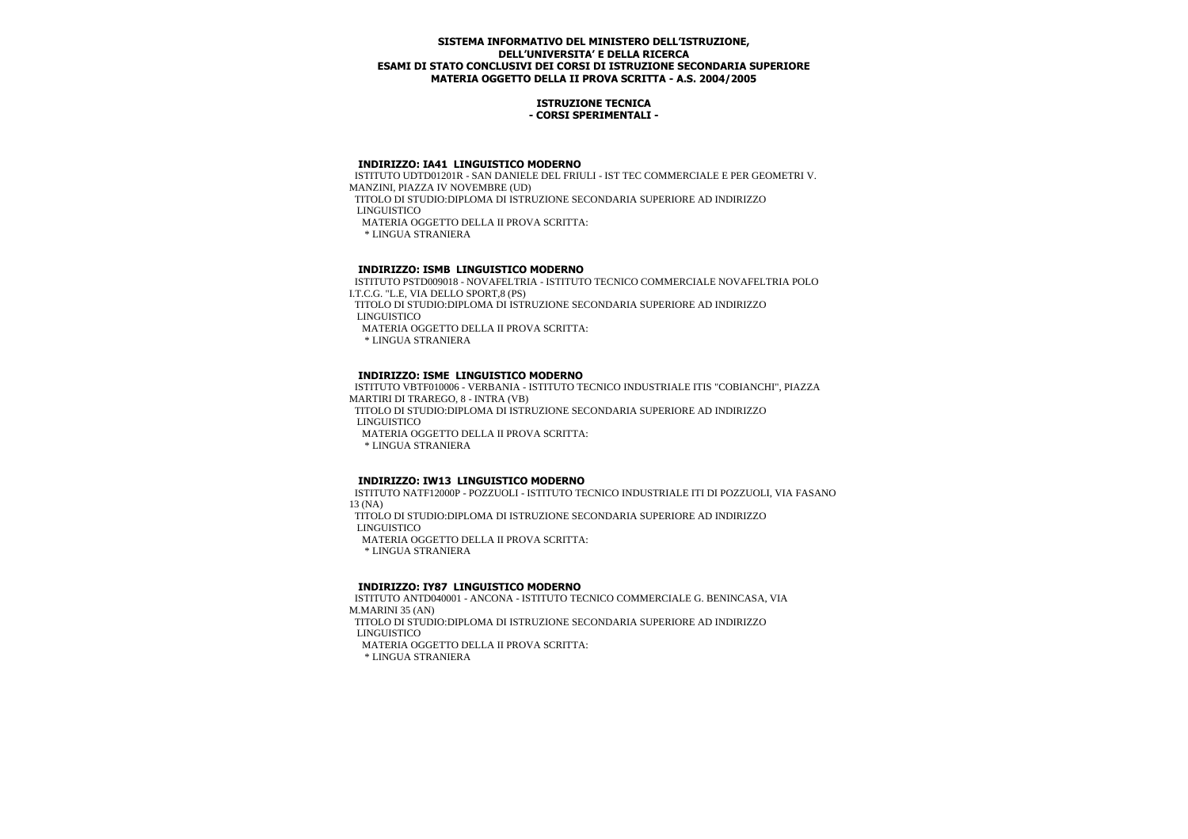## **ISTRUZIONE TECNICA - CORSI SPERIMENTALI -**

#### **INDIRIZZO: IA41 LINGUISTICO MODERNO**

 ISTITUTO UDTD01201R - SAN DANIELE DEL FRIULI - IST TEC COMMERCIALE E PER GEOMETRI V. MANZINI, PIAZZA IV NOVEMBRE (UD) TITOLO DI STUDIO:DIPLOMA DI ISTRUZIONE SECONDARIA SUPERIORE AD INDIRIZZO LINGUISTICO MATERIA OGGETTO DELLA II PROVA SCRITTA:

\* LINGUA STRANIERA

# **INDIRIZZO: ISMB LINGUISTICO MODERNO**

 ISTITUTO PSTD009018 - NOVAFELTRIA - ISTITUTO TECNICO COMMERCIALE NOVAFELTRIA POLO I.T.C.G. "L.E, VIA DELLO SPORT,8 (PS)

 TITOLO DI STUDIO:DIPLOMA DI ISTRUZIONE SECONDARIA SUPERIORE AD INDIRIZZO LINGUISTICO

MATERIA OGGETTO DELLA II PROVA SCRITTA:

\* LINGUA STRANIERA

## **INDIRIZZO: ISME LINGUISTICO MODERNO**

 ISTITUTO VBTF010006 - VERBANIA - ISTITUTO TECNICO INDUSTRIALE ITIS "COBIANCHI", PIAZZA MARTIRI DI TRAREGO, 8 - INTRA (VB)

 TITOLO DI STUDIO:DIPLOMA DI ISTRUZIONE SECONDARIA SUPERIORE AD INDIRIZZO LINGUISTICO

MATERIA OGGETTO DELLA II PROVA SCRITTA:

\* LINGUA STRANIERA

## **INDIRIZZO: IW13 LINGUISTICO MODERNO**

 ISTITUTO NATF12000P - POZZUOLI - ISTITUTO TECNICO INDUSTRIALE ITI DI POZZUOLI, VIA FASANO 13 (NA)

 TITOLO DI STUDIO:DIPLOMA DI ISTRUZIONE SECONDARIA SUPERIORE AD INDIRIZZO LINGUISTICO

MATERIA OGGETTO DELLA II PROVA SCRITTA:

\* LINGUA STRANIERA

## **INDIRIZZO: IY87 LINGUISTICO MODERNO**

 ISTITUTO ANTD040001 - ANCONA - ISTITUTO TECNICO COMMERCIALE G. BENINCASA, VIA M.MARINI 35 (AN)

 TITOLO DI STUDIO:DIPLOMA DI ISTRUZIONE SECONDARIA SUPERIORE AD INDIRIZZO LINGUISTICO

MATERIA OGGETTO DELLA II PROVA SCRITTA: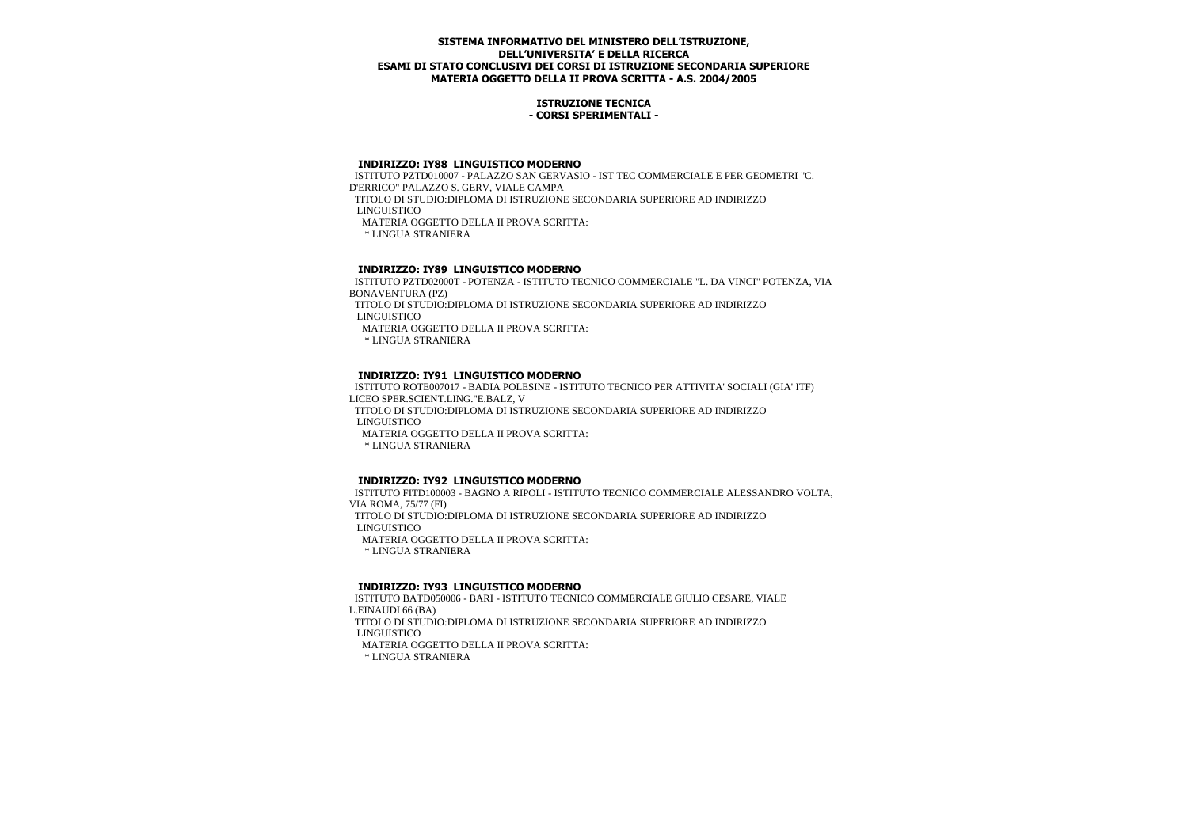## **ISTRUZIONE TECNICA - CORSI SPERIMENTALI -**

#### **INDIRIZZO: IY88 LINGUISTICO MODERNO**

 ISTITUTO PZTD010007 - PALAZZO SAN GERVASIO - IST TEC COMMERCIALE E PER GEOMETRI "C. D'ERRICO" PALAZZO S. GERV, VIALE CAMPA TITOLO DI STUDIO:DIPLOMA DI ISTRUZIONE SECONDARIA SUPERIORE AD INDIRIZZO LINGUISTICO MATERIA OGGETTO DELLA II PROVA SCRITTA: \* LINGUA STRANIERA

# **INDIRIZZO: IY89 LINGUISTICO MODERNO**

 ISTITUTO PZTD02000T - POTENZA - ISTITUTO TECNICO COMMERCIALE "L. DA VINCI" POTENZA, VIA BONAVENTURA (PZ)

 TITOLO DI STUDIO:DIPLOMA DI ISTRUZIONE SECONDARIA SUPERIORE AD INDIRIZZO LINGUISTICO

MATERIA OGGETTO DELLA II PROVA SCRITTA:

\* LINGUA STRANIERA

## **INDIRIZZO: IY91 LINGUISTICO MODERNO**

 ISTITUTO ROTE007017 - BADIA POLESINE - ISTITUTO TECNICO PER ATTIVITA' SOCIALI (GIA' ITF) LICEO SPER.SCIENT.LING."E.BALZ, V

 TITOLO DI STUDIO:DIPLOMA DI ISTRUZIONE SECONDARIA SUPERIORE AD INDIRIZZO LINGUISTICO

MATERIA OGGETTO DELLA II PROVA SCRITTA:

\* LINGUA STRANIERA

## **INDIRIZZO: IY92 LINGUISTICO MODERNO**

 ISTITUTO FITD100003 - BAGNO A RIPOLI - ISTITUTO TECNICO COMMERCIALE ALESSANDRO VOLTA, VIA ROMA, 75/77 (FI) TITOLO DI STUDIO:DIPLOMA DI ISTRUZIONE SECONDARIA SUPERIORE AD INDIRIZZO LINGUISTICO MATERIA OGGETTO DELLA II PROVA SCRITTA: \* LINGUA STRANIERA

## **INDIRIZZO: IY93 LINGUISTICO MODERNO**

 ISTITUTO BATD050006 - BARI - ISTITUTO TECNICO COMMERCIALE GIULIO CESARE, VIALE L.EINAUDI 66 (BA)

 TITOLO DI STUDIO:DIPLOMA DI ISTRUZIONE SECONDARIA SUPERIORE AD INDIRIZZO LINGUISTICO

MATERIA OGGETTO DELLA II PROVA SCRITTA: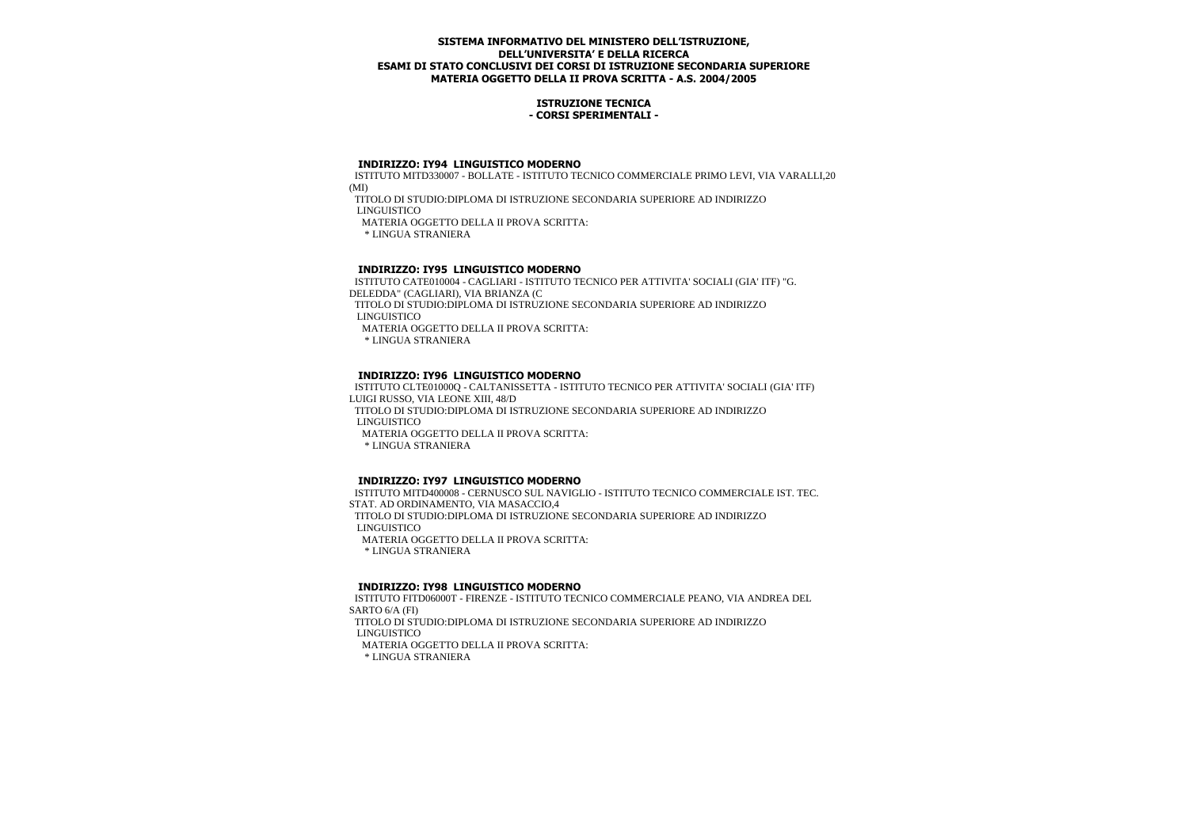## **ISTRUZIONE TECNICA - CORSI SPERIMENTALI -**

#### **INDIRIZZO: IY94 LINGUISTICO MODERNO**

 ISTITUTO MITD330007 - BOLLATE - ISTITUTO TECNICO COMMERCIALE PRIMO LEVI, VIA VARALLI,20 (MI)

TITOLO DI STUDIO:DIPLOMA DI ISTRUZIONE SECONDARIA SUPERIORE AD INDIRIZZO

LINGUISTICO

MATERIA OGGETTO DELLA II PROVA SCRITTA:

\* LINGUA STRANIERA

# **INDIRIZZO: IY95 LINGUISTICO MODERNO**

 ISTITUTO CATE010004 - CAGLIARI - ISTITUTO TECNICO PER ATTIVITA' SOCIALI (GIA' ITF) "G. DELEDDA" (CAGLIARI), VIA BRIANZA (C TITOLO DI STUDIO:DIPLOMA DI ISTRUZIONE SECONDARIA SUPERIORE AD INDIRIZZO

LINGUISTICO

MATERIA OGGETTO DELLA II PROVA SCRITTA:

\* LINGUA STRANIERA

# **INDIRIZZO: IY96 LINGUISTICO MODERNO**

 ISTITUTO CLTE01000Q - CALTANISSETTA - ISTITUTO TECNICO PER ATTIVITA' SOCIALI (GIA' ITF) LUIGI RUSSO, VIA LEONE XIII, 48/D

 TITOLO DI STUDIO:DIPLOMA DI ISTRUZIONE SECONDARIA SUPERIORE AD INDIRIZZO LINGUISTICO

MATERIA OGGETTO DELLA II PROVA SCRITTA:

\* LINGUA STRANIERA

## **INDIRIZZO: IY97 LINGUISTICO MODERNO**

 ISTITUTO MITD400008 - CERNUSCO SUL NAVIGLIO - ISTITUTO TECNICO COMMERCIALE IST. TEC. STAT. AD ORDINAMENTO, VIA MASACCIO,4 TITOLO DI STUDIO:DIPLOMA DI ISTRUZIONE SECONDARIA SUPERIORE AD INDIRIZZO LINGUISTICO MATERIA OGGETTO DELLA II PROVA SCRITTA: \* LINGUA STRANIERA

## **INDIRIZZO: IY98 LINGUISTICO MODERNO**

 ISTITUTO FITD06000T - FIRENZE - ISTITUTO TECNICO COMMERCIALE PEANO, VIA ANDREA DEL SARTO 6/A (FI)

 TITOLO DI STUDIO:DIPLOMA DI ISTRUZIONE SECONDARIA SUPERIORE AD INDIRIZZO LINGUISTICO

MATERIA OGGETTO DELLA II PROVA SCRITTA: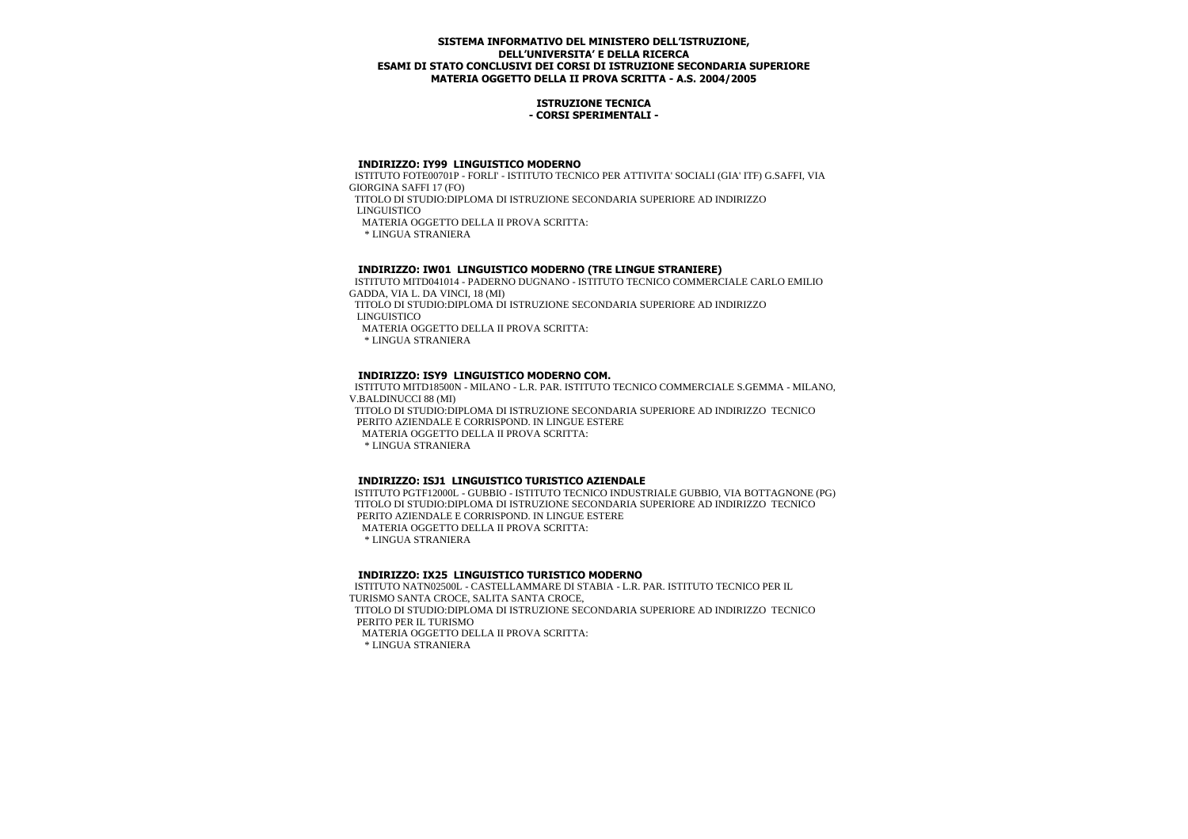## **ISTRUZIONE TECNICA - CORSI SPERIMENTALI -**

#### **INDIRIZZO: IY99 LINGUISTICO MODERNO**

 ISTITUTO FOTE00701P - FORLI' - ISTITUTO TECNICO PER ATTIVITA' SOCIALI (GIA' ITF) G.SAFFI, VIA GIORGINA SAFFI 17 (FO)

TITOLO DI STUDIO:DIPLOMA DI ISTRUZIONE SECONDARIA SUPERIORE AD INDIRIZZO

LINGUISTICO

MATERIA OGGETTO DELLA II PROVA SCRITTA:

\* LINGUA STRANIERA

# **INDIRIZZO: IW01 LINGUISTICO MODERNO (TRE LINGUE STRANIERE)**

 ISTITUTO MITD041014 - PADERNO DUGNANO - ISTITUTO TECNICO COMMERCIALE CARLO EMILIO GADDA, VIA L. DA VINCI, 18 (MI)

 TITOLO DI STUDIO:DIPLOMA DI ISTRUZIONE SECONDARIA SUPERIORE AD INDIRIZZO LINGUISTICO

MATERIA OGGETTO DELLA II PROVA SCRITTA:

\* LINGUA STRANIERA

# **INDIRIZZO: ISY9 LINGUISTICO MODERNO COM.**

 ISTITUTO MITD18500N - MILANO - L.R. PAR. ISTITUTO TECNICO COMMERCIALE S.GEMMA - MILANO, V.BALDINUCCI 88 (MI)

 TITOLO DI STUDIO:DIPLOMA DI ISTRUZIONE SECONDARIA SUPERIORE AD INDIRIZZO TECNICO PERITO AZIENDALE E CORRISPOND. IN LINGUE ESTERE

MATERIA OGGETTO DELLA II PROVA SCRITTA:

\* LINGUA STRANIERA

## **INDIRIZZO: ISJ1 LINGUISTICO TURISTICO AZIENDALE**

 ISTITUTO PGTF12000L - GUBBIO - ISTITUTO TECNICO INDUSTRIALE GUBBIO, VIA BOTTAGNONE (PG) TITOLO DI STUDIO:DIPLOMA DI ISTRUZIONE SECONDARIA SUPERIORE AD INDIRIZZO TECNICO PERITO AZIENDALE E CORRISPOND. IN LINGUE ESTERE MATERIA OGGETTO DELLA II PROVA SCRITTA: \* LINGUA STRANIERA

## **INDIRIZZO: IX25 LINGUISTICO TURISTICO MODERNO**

 ISTITUTO NATN02500L - CASTELLAMMARE DI STABIA - L.R. PAR. ISTITUTO TECNICO PER IL TURISMO SANTA CROCE, SALITA SANTA CROCE, TITOLO DI STUDIO:DIPLOMA DI ISTRUZIONE SECONDARIA SUPERIORE AD INDIRIZZO TECNICO PERITO PER IL TURISMO MATERIA OGGETTO DELLA II PROVA SCRITTA: \* LINGUA STRANIERA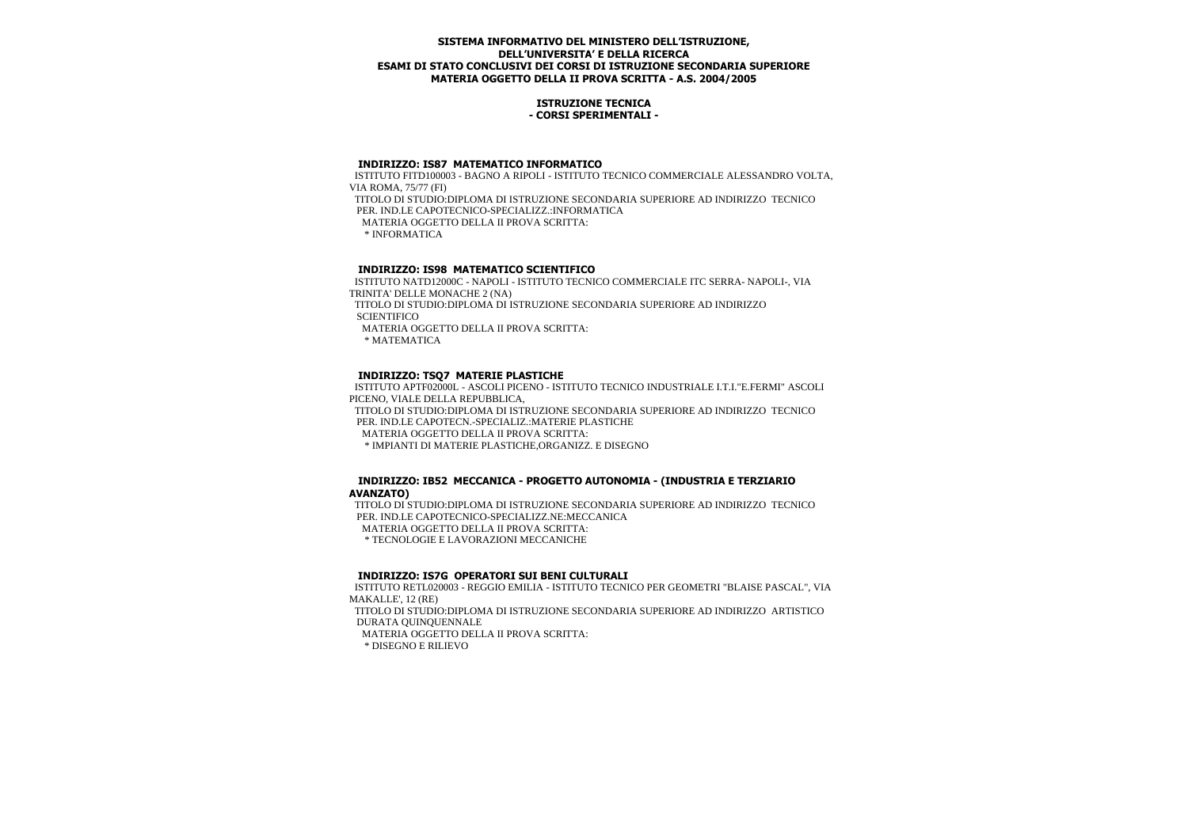## **ISTRUZIONE TECNICA - CORSI SPERIMENTALI -**

#### **INDIRIZZO: IS87 MATEMATICO INFORMATICO**

 ISTITUTO FITD100003 - BAGNO A RIPOLI - ISTITUTO TECNICO COMMERCIALE ALESSANDRO VOLTA, VIA ROMA, 75/77 (FI) TITOLO DI STUDIO:DIPLOMA DI ISTRUZIONE SECONDARIA SUPERIORE AD INDIRIZZO TECNICO PER. IND.LE CAPOTECNICO-SPECIALIZZ.:INFORMATICA MATERIA OGGETTO DELLA II PROVA SCRITTA: \* INFORMATICA

# **INDIRIZZO: IS98 MATEMATICO SCIENTIFICO**

 ISTITUTO NATD12000C - NAPOLI - ISTITUTO TECNICO COMMERCIALE ITC SERRA- NAPOLI-, VIA TRINITA' DELLE MONACHE 2 (NA)

 TITOLO DI STUDIO:DIPLOMA DI ISTRUZIONE SECONDARIA SUPERIORE AD INDIRIZZO **SCIENTIFICO** 

MATERIA OGGETTO DELLA II PROVA SCRITTA:

\* MATEMATICA

## **INDIRIZZO: TSQ7 MATERIE PLASTICHE**

 ISTITUTO APTF02000L - ASCOLI PICENO - ISTITUTO TECNICO INDUSTRIALE I.T.I."E.FERMI" ASCOLI PICENO, VIALE DELLA REPUBBLICA,

 TITOLO DI STUDIO:DIPLOMA DI ISTRUZIONE SECONDARIA SUPERIORE AD INDIRIZZO TECNICO PER. IND.LE CAPOTECN.-SPECIALIZ.:MATERIE PLASTICHE

MATERIA OGGETTO DELLA II PROVA SCRITTA:

\* IMPIANTI DI MATERIE PLASTICHE,ORGANIZZ. E DISEGNO

## **INDIRIZZO: IB52 MECCANICA - PROGETTO AUTONOMIA - (INDUSTRIA E TERZIARIO AVANZATO)**

 TITOLO DI STUDIO:DIPLOMA DI ISTRUZIONE SECONDARIA SUPERIORE AD INDIRIZZO TECNICO PER. IND.LE CAPOTECNICO-SPECIALIZZ.NE:MECCANICA MATERIA OGGETTO DELLA II PROVA SCRITTA: \* TECNOLOGIE E LAVORAZIONI MECCANICHE

#### **INDIRIZZO: IS7G OPERATORI SUI BENI CULTURALI**

ISTITUTO RETL020003 - REGGIO EMILIA - ISTITUTO TECNICO PER GEOMETRI "BLAISE PASCAL", VIA MAKALLE', 12 (RE) TITOLO DI STUDIO:DIPLOMA DI ISTRUZIONE SECONDARIA SUPERIORE AD INDIRIZZO ARTISTICO DURATA QUINQUENNALE MATERIA OGGETTO DELLA II PROVA SCRITTA: \* DISEGNO E RILIEVO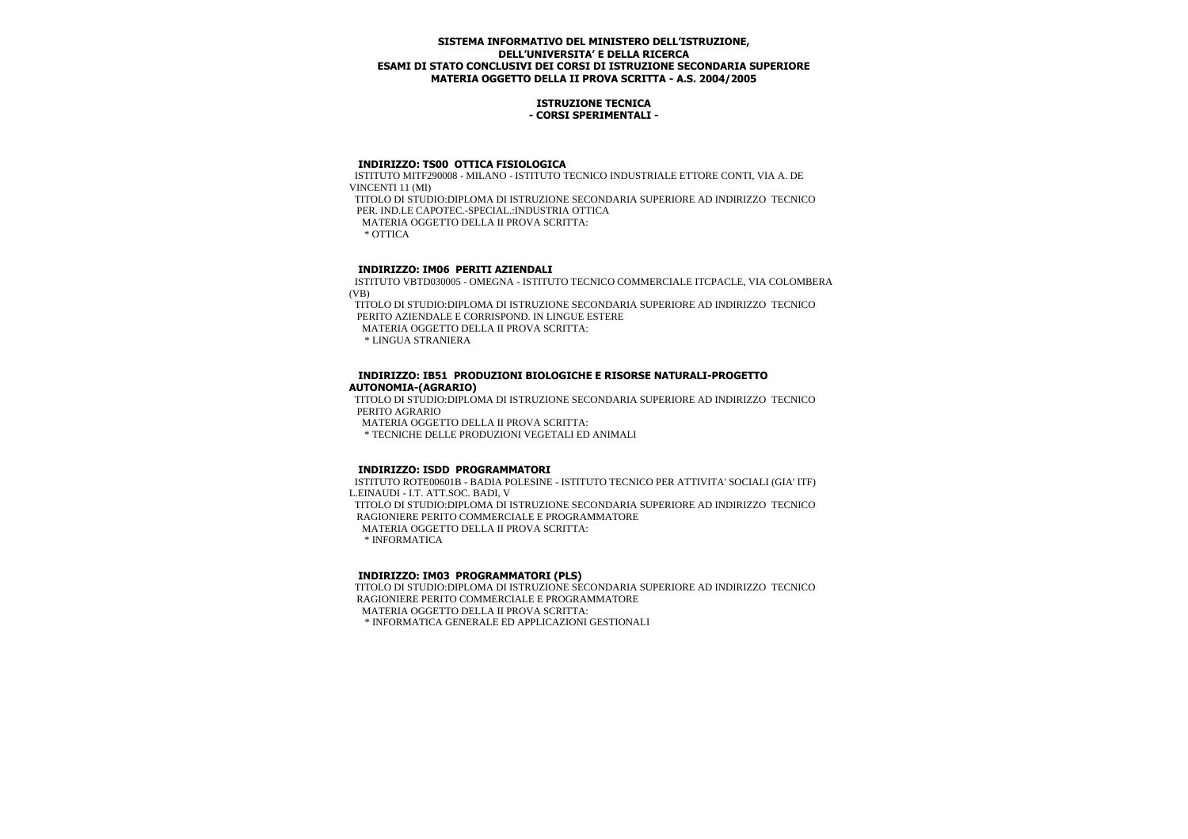## **ISTRUZIONE TECNICA - CORSI SPERIMENTALI -**

## **INDIRIZZO: TS00 OTTICA FISIOLOGICA**

 ISTITUTO MITF290008 - MILANO - ISTITUTO TECNICO INDUSTRIALE ETTORE CONTI, VIA A. DE VINCENTI 11 (MI) TITOLO DI STUDIO:DIPLOMA DI ISTRUZIONE SECONDARIA SUPERIORE AD INDIRIZZO TECNICO PER. IND.LE CAPOTEC.-SPECIAL.:INDUSTRIA OTTICA MATERIA OGGETTO DELLA II PROVA SCRITTA: \* OTTICA

# **INDIRIZZO: IM06 PERITI AZIENDALI**

 ISTITUTO VBTD030005 - OMEGNA - ISTITUTO TECNICO COMMERCIALE ITCPACLE, VIA COLOMBERA (VB)

 TITOLO DI STUDIO:DIPLOMA DI ISTRUZIONE SECONDARIA SUPERIORE AD INDIRIZZO TECNICO PERITO AZIENDALE E CORRISPOND. IN LINGUE ESTERE

MATERIA OGGETTO DELLA II PROVA SCRITTA:

\* LINGUA STRANIERA

## **INDIRIZZO: IB51 PRODUZIONI BIOLOGICHE E RISORSE NATURALI-PROGETTO AUTONOMIA-(AGRARIO)**

 TITOLO DI STUDIO:DIPLOMA DI ISTRUZIONE SECONDARIA SUPERIORE AD INDIRIZZO TECNICO PERITO AGRARIO MATERIA OGGETTO DELLA II PROVA SCRITTA:

\* TECNICHE DELLE PRODUZIONI VEGETALI ED ANIMALI

## **INDIRIZZO: ISDD PROGRAMMATORI**

 ISTITUTO ROTE00601B - BADIA POLESINE - ISTITUTO TECNICO PER ATTIVITA' SOCIALI (GIA' ITF) L.EINAUDI - I.T. ATT.SOC. BADI, V TITOLO DI STUDIO:DIPLOMA DI ISTRUZIONE SECONDARIA SUPERIORE AD INDIRIZZO TECNICO RAGIONIERE PERITO COMMERCIALE E PROGRAMMATORE MATERIA OGGETTO DELLA II PROVA SCRITTA: \* INFORMATICA

## **INDIRIZZO: IM03 PROGRAMMATORI (PLS)**

 TITOLO DI STUDIO:DIPLOMA DI ISTRUZIONE SECONDARIA SUPERIORE AD INDIRIZZO TECNICO RAGIONIERE PERITO COMMERCIALE E PROGRAMMATORE MATERIA OGGETTO DELLA II PROVA SCRITTA: \* INFORMATICA GENERALE ED APPLICAZIONI GESTIONALI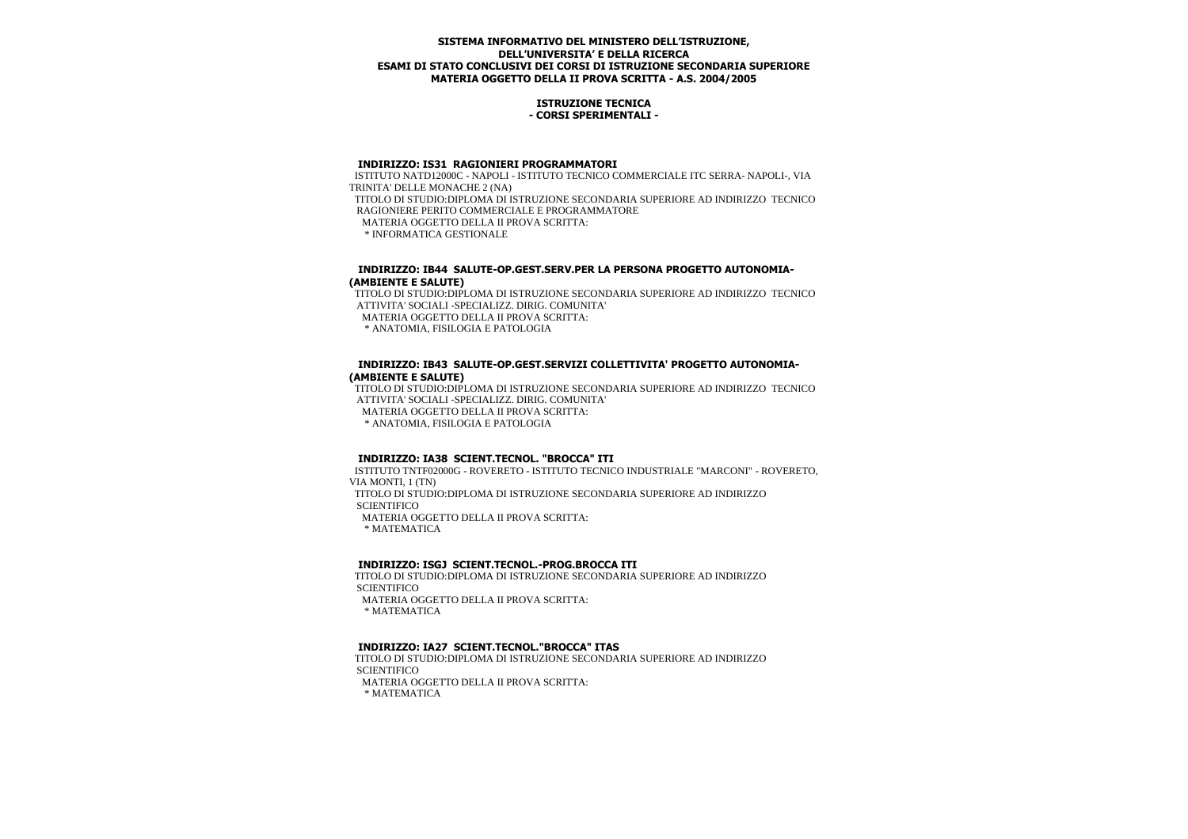#### **ISTRUZIONE TECNICA - CORSI SPERIMENTALI -**

#### **INDIRIZZO: IS31 RAGIONIERI PROGRAMMATORI**

 ISTITUTO NATD12000C - NAPOLI - ISTITUTO TECNICO COMMERCIALE ITC SERRA- NAPOLI-, VIA TRINITA' DELLE MONACHE 2 (NA) TITOLO DI STUDIO:DIPLOMA DI ISTRUZIONE SECONDARIA SUPERIORE AD INDIRIZZO TECNICO RAGIONIERE PERITO COMMERCIALE E PROGRAMMATORE MATERIA OGGETTO DELLA II PROVA SCRITTA: \* INFORMATICA GESTIONALE

## **INDIRIZZO: IB44 SALUTE-OP.GEST.SERV.PER LA PERSONA PROGETTO AUTONOMIA- (AMBIENTE E SALUTE)**

 TITOLO DI STUDIO:DIPLOMA DI ISTRUZIONE SECONDARIA SUPERIORE AD INDIRIZZO TECNICO ATTIVITA' SOCIALI -SPECIALIZZ. DIRIG. COMUNITA' MATERIA OGGETTO DELLA II PROVA SCRITTA:

\* ANATOMIA, FISILOGIA E PATOLOGIA

# **INDIRIZZO: IB43 SALUTE-OP.GEST.SERVIZI COLLETTIVITA' PROGETTO AUTONOMIA- (AMBIENTE E SALUTE)**

 TITOLO DI STUDIO:DIPLOMA DI ISTRUZIONE SECONDARIA SUPERIORE AD INDIRIZZO TECNICO ATTIVITA' SOCIALI -SPECIALIZZ. DIRIG. COMUNITA' MATERIA OGGETTO DELLA II PROVA SCRITTA: \* ANATOMIA, FISILOGIA E PATOLOGIA

## **INDIRIZZO: IA38 SCIENT.TECNOL. "BROCCA" ITI**

 ISTITUTO TNTF02000G - ROVERETO - ISTITUTO TECNICO INDUSTRIALE "MARCONI" - ROVERETO, VIA MONTI, 1 (TN) TITOLO DI STUDIO:DIPLOMA DI ISTRUZIONE SECONDARIA SUPERIORE AD INDIRIZZO **SCIENTIFICO** MATERIA OGGETTO DELLA II PROVA SCRITTA:

\* MATEMATICA

## **INDIRIZZO: ISGJ SCIENT.TECNOL.-PROG.BROCCA ITI**

 TITOLO DI STUDIO:DIPLOMA DI ISTRUZIONE SECONDARIA SUPERIORE AD INDIRIZZO **SCIENTIFICO**  MATERIA OGGETTO DELLA II PROVA SCRITTA: \* MATEMATICA

## **INDIRIZZO: IA27 SCIENT.TECNOL."BROCCA" ITAS**

 TITOLO DI STUDIO:DIPLOMA DI ISTRUZIONE SECONDARIA SUPERIORE AD INDIRIZZO **SCIENTIFICO** MATERIA OGGETTO DELLA II PROVA SCRITTA:

\* MATEMATICA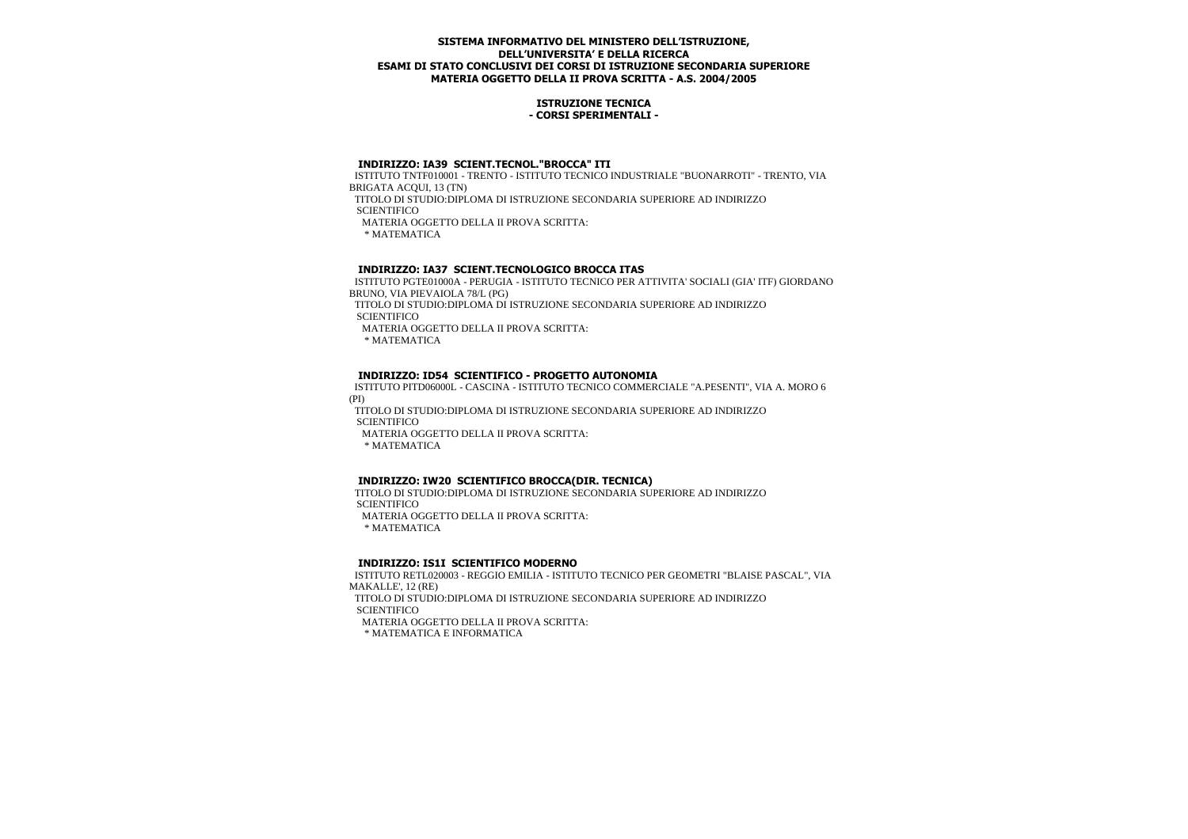## **ISTRUZIONE TECNICA - CORSI SPERIMENTALI -**

# **INDIRIZZO: IA39 SCIENT.TECNOL."BROCCA" ITI**

 ISTITUTO TNTF010001 - TRENTO - ISTITUTO TECNICO INDUSTRIALE "BUONARROTI" - TRENTO, VIA BRIGATA ACQUI, 13 (TN)

TITOLO DI STUDIO:DIPLOMA DI ISTRUZIONE SECONDARIA SUPERIORE AD INDIRIZZO

**SCIENTIFICO** 

MATERIA OGGETTO DELLA II PROVA SCRITTA:

\* MATEMATICA

# **INDIRIZZO: IA37 SCIENT.TECNOLOGICO BROCCA ITAS**

 ISTITUTO PGTE01000A - PERUGIA - ISTITUTO TECNICO PER ATTIVITA' SOCIALI (GIA' ITF) GIORDANO BRUNO, VIA PIEVAIOLA 78/L (PG)

 TITOLO DI STUDIO:DIPLOMA DI ISTRUZIONE SECONDARIA SUPERIORE AD INDIRIZZO **SCIENTIFICO** 

MATERIA OGGETTO DELLA II PROVA SCRITTA:

\* MATEMATICA

# **INDIRIZZO: ID54 SCIENTIFICO - PROGETTO AUTONOMIA**

 ISTITUTO PITD06000L - CASCINA - ISTITUTO TECNICO COMMERCIALE "A.PESENTI", VIA A. MORO 6 (PI)

 TITOLO DI STUDIO:DIPLOMA DI ISTRUZIONE SECONDARIA SUPERIORE AD INDIRIZZO **SCIENTIFICO** 

MATERIA OGGETTO DELLA II PROVA SCRITTA:

\* MATEMATICA

# **INDIRIZZO: IW20 SCIENTIFICO BROCCA(DIR. TECNICA)**

 TITOLO DI STUDIO:DIPLOMA DI ISTRUZIONE SECONDARIA SUPERIORE AD INDIRIZZO **SCIENTIFICO** 

MATERIA OGGETTO DELLA II PROVA SCRITTA:

\* MATEMATICA

## **INDIRIZZO: IS1I SCIENTIFICO MODERNO**

 ISTITUTO RETL020003 - REGGIO EMILIA - ISTITUTO TECNICO PER GEOMETRI "BLAISE PASCAL", VIA MAKALLE', 12 (RE) TITOLO DI STUDIO:DIPLOMA DI ISTRUZIONE SECONDARIA SUPERIORE AD INDIRIZZO **SCIENTIFICO** 

MATERIA OGGETTO DELLA II PROVA SCRITTA:

\* MATEMATICA E INFORMATICA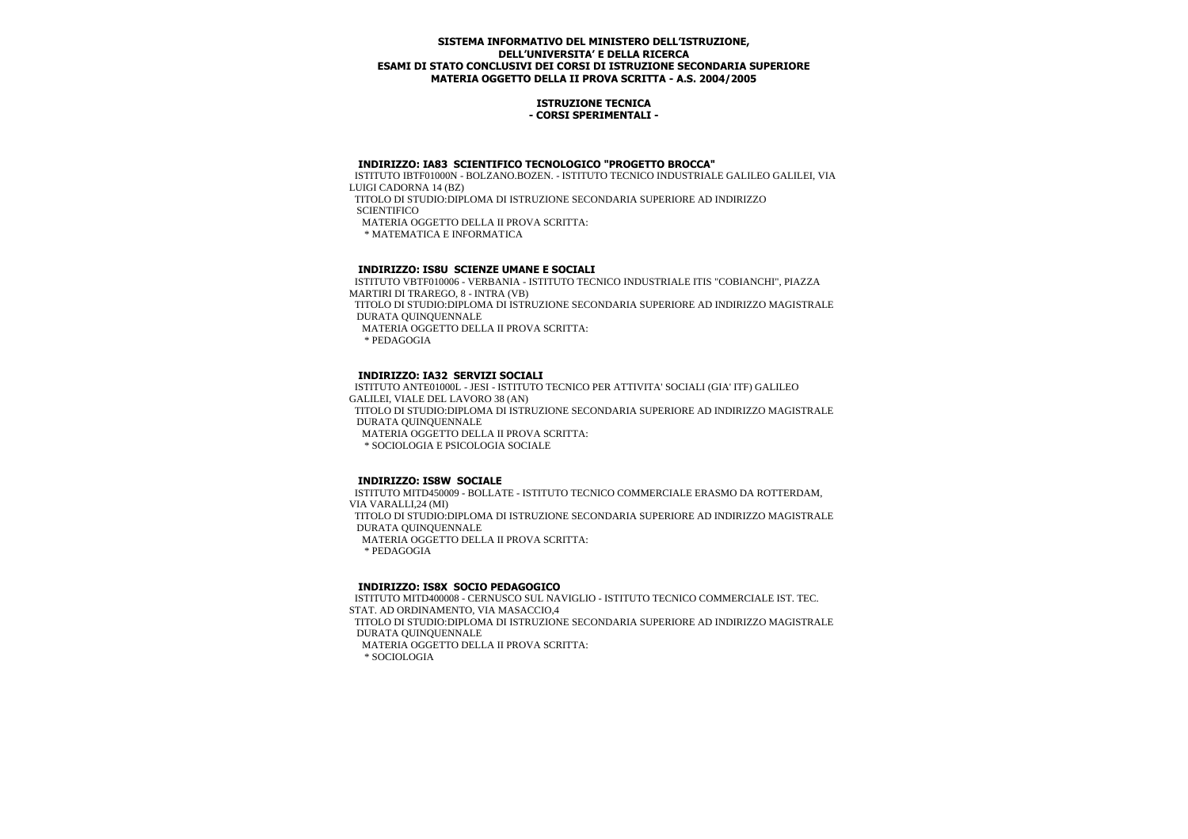## **ISTRUZIONE TECNICA - CORSI SPERIMENTALI -**

# **INDIRIZZO: IA83 SCIENTIFICO TECNOLOGICO "PROGETTO BROCCA"**

 ISTITUTO IBTF01000N - BOLZANO.BOZEN. - ISTITUTO TECNICO INDUSTRIALE GALILEO GALILEI, VIA LUIGI CADORNA 14 (BZ)

 TITOLO DI STUDIO:DIPLOMA DI ISTRUZIONE SECONDARIA SUPERIORE AD INDIRIZZO **SCIENTIFICO** 

MATERIA OGGETTO DELLA II PROVA SCRITTA:

\* MATEMATICA E INFORMATICA

# **INDIRIZZO: IS8U SCIENZE UMANE E SOCIALI**

 ISTITUTO VBTF010006 - VERBANIA - ISTITUTO TECNICO INDUSTRIALE ITIS "COBIANCHI", PIAZZA MARTIRI DI TRAREGO, 8 - INTRA (VB) TITOLO DI STUDIO:DIPLOMA DI ISTRUZIONE SECONDARIA SUPERIORE AD INDIRIZZO MAGISTRALE DURATA QUINQUENNALE MATERIA OGGETTO DELLA II PROVA SCRITTA:

\* PEDAGOGIA

# **INDIRIZZO: IA32 SERVIZI SOCIALI**

 ISTITUTO ANTE01000L - JESI - ISTITUTO TECNICO PER ATTIVITA' SOCIALI (GIA' ITF) GALILEO GALILEI, VIALE DEL LAVORO 38 (AN) TITOLO DI STUDIO:DIPLOMA DI ISTRUZIONE SECONDARIA SUPERIORE AD INDIRIZZO MAGISTRALE DURATA QUINQUENNALE MATERIA OGGETTO DELLA II PROVA SCRITTA: \* SOCIOLOGIA E PSICOLOGIA SOCIALE

## **INDIRIZZO: IS8W SOCIALE**

 ISTITUTO MITD450009 - BOLLATE - ISTITUTO TECNICO COMMERCIALE ERASMO DA ROTTERDAM, VIA VARALLI,24 (MI) TITOLO DI STUDIO:DIPLOMA DI ISTRUZIONE SECONDARIA SUPERIORE AD INDIRIZZO MAGISTRALE DURATA QUINQUENNALE MATERIA OGGETTO DELLA II PROVA SCRITTA: \* PEDAGOGIA

## **INDIRIZZO: IS8X SOCIO PEDAGOGICO**

 ISTITUTO MITD400008 - CERNUSCO SUL NAVIGLIO - ISTITUTO TECNICO COMMERCIALE IST. TEC. STAT. AD ORDINAMENTO, VIA MASACCIO,4 TITOLO DI STUDIO:DIPLOMA DI ISTRUZIONE SECONDARIA SUPERIORE AD INDIRIZZO MAGISTRALE DURATA QUINQUENNALE MATERIA OGGETTO DELLA II PROVA SCRITTA: \* SOCIOLOGIA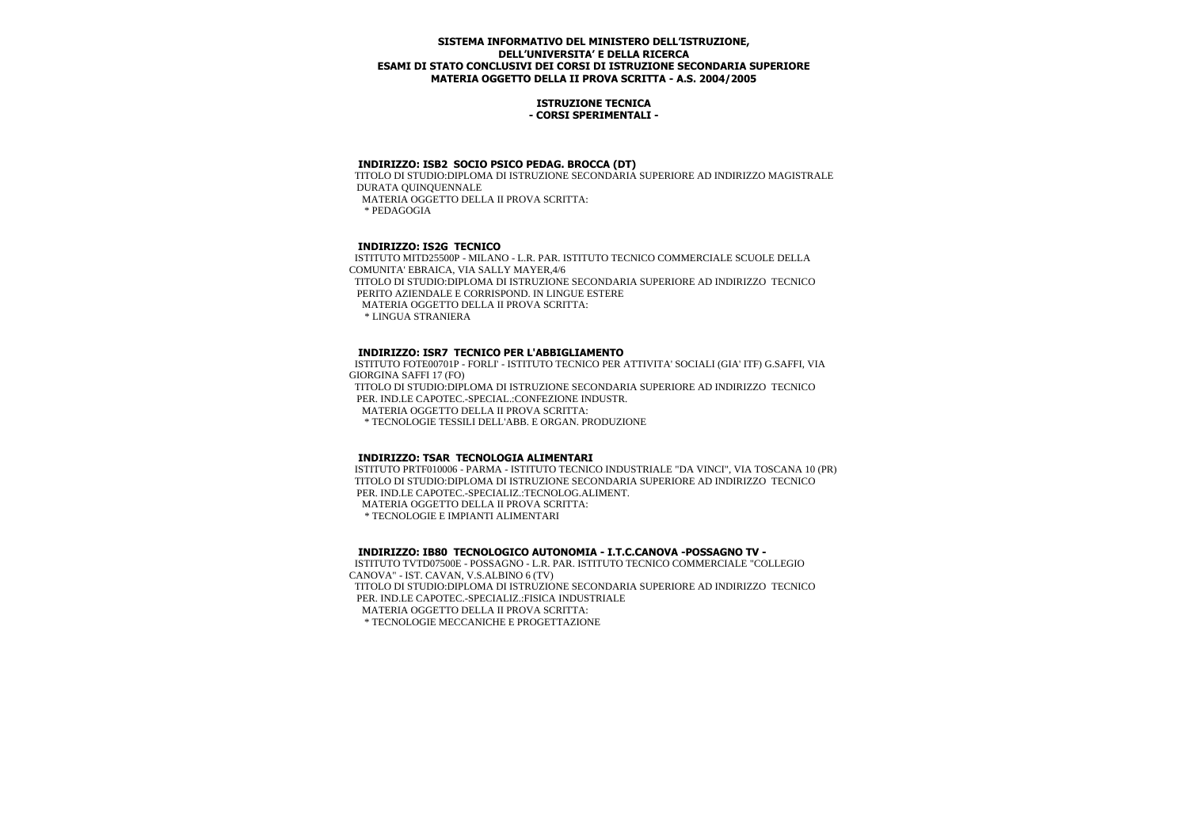#### **ISTRUZIONE TECNICA - CORSI SPERIMENTALI -**

## **INDIRIZZO: ISB2 SOCIO PSICO PEDAG. BROCCA (DT)**

 TITOLO DI STUDIO:DIPLOMA DI ISTRUZIONE SECONDARIA SUPERIORE AD INDIRIZZO MAGISTRALE DURATA QUINQUENNALE MATERIA OGGETTO DELLA II PROVA SCRITTA:

\* PEDAGOGIA

# **INDIRIZZO: IS2G TECNICO**

 ISTITUTO MITD25500P - MILANO - L.R. PAR. ISTITUTO TECNICO COMMERCIALE SCUOLE DELLA COMUNITA' EBRAICA, VIA SALLY MAYER,4/6 TITOLO DI STUDIO:DIPLOMA DI ISTRUZIONE SECONDARIA SUPERIORE AD INDIRIZZO TECNICO PERITO AZIENDALE E CORRISPOND. IN LINGUE ESTERE MATERIA OGGETTO DELLA II PROVA SCRITTA: \* LINGUA STRANIERA

## **INDIRIZZO: ISR7 TECNICO PER L'ABBIGLIAMENTO**

 ISTITUTO FOTE00701P - FORLI' - ISTITUTO TECNICO PER ATTIVITA' SOCIALI (GIA' ITF) G.SAFFI, VIA GIORGINA SAFFI 17 (FO) TITOLO DI STUDIO:DIPLOMA DI ISTRUZIONE SECONDARIA SUPERIORE AD INDIRIZZO TECNICO PER. IND.LE CAPOTEC.-SPECIAL.:CONFEZIONE INDUSTR. MATERIA OGGETTO DELLA II PROVA SCRITTA: \* TECNOLOGIE TESSILI DELL'ABB. E ORGAN. PRODUZIONE

# **INDIRIZZO: TSAR TECNOLOGIA ALIMENTARI**

 ISTITUTO PRTF010006 - PARMA - ISTITUTO TECNICO INDUSTRIALE "DA VINCI", VIA TOSCANA 10 (PR) TITOLO DI STUDIO:DIPLOMA DI ISTRUZIONE SECONDARIA SUPERIORE AD INDIRIZZO TECNICO PER. IND.LE CAPOTEC.-SPECIALIZ.:TECNOLOG.ALIMENT. MATERIA OGGETTO DELLA II PROVA SCRITTA:

\* TECNOLOGIE E IMPIANTI ALIMENTARI

 **INDIRIZZO: IB80 TECNOLOGICO AUTONOMIA - I.T.C.CANOVA -POSSAGNO TV -**

 ISTITUTO TVTD07500E - POSSAGNO - L.R. PAR. ISTITUTO TECNICO COMMERCIALE "COLLEGIO CANOVA" - IST. CAVAN, V.S.ALBINO 6 (TV)

 TITOLO DI STUDIO:DIPLOMA DI ISTRUZIONE SECONDARIA SUPERIORE AD INDIRIZZO TECNICO PER. IND.LE CAPOTEC.-SPECIALIZ.:FISICA INDUSTRIALE

MATERIA OGGETTO DELLA II PROVA SCRITTA:

\* TECNOLOGIE MECCANICHE E PROGETTAZIONE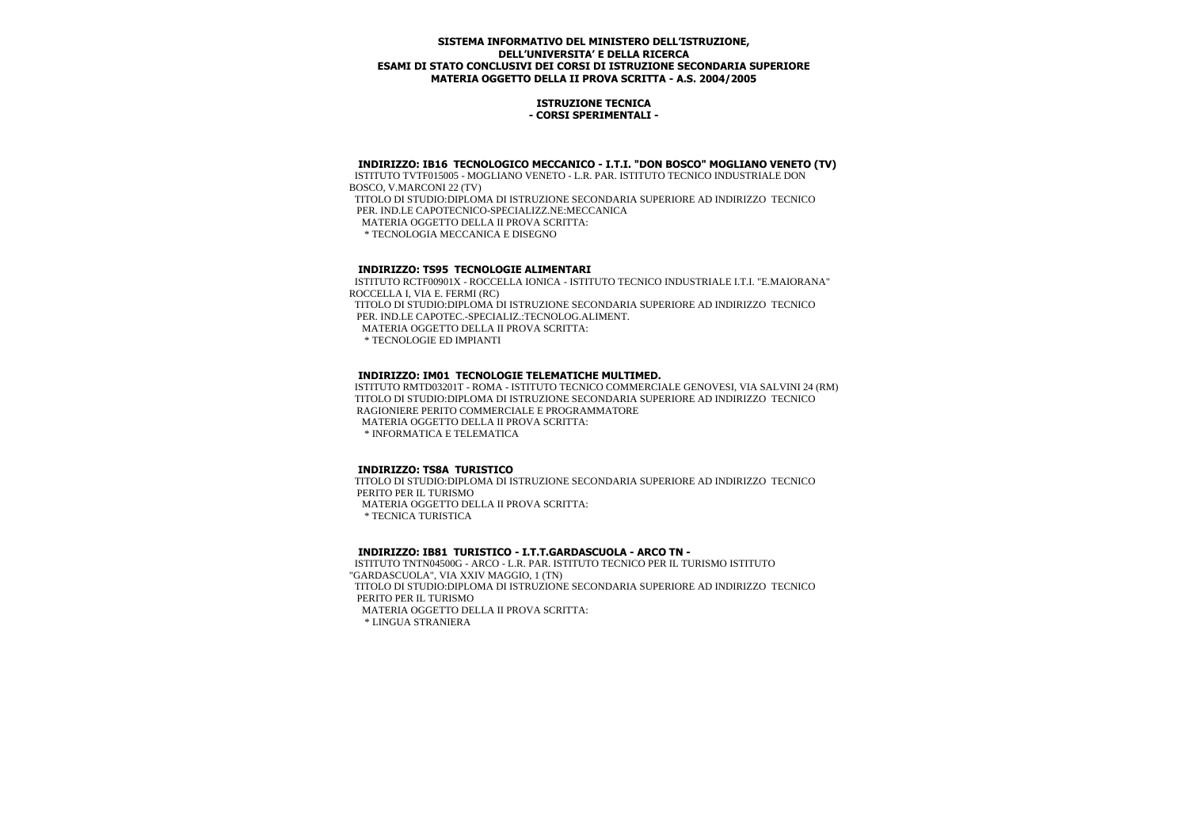## **ISTRUZIONE TECNICA - CORSI SPERIMENTALI -**

# **INDIRIZZO: IB16 TECNOLOGICO MECCANICO - I.T.I. "DON BOSCO" MOGLIANO VENETO (TV)**

 ISTITUTO TVTF015005 - MOGLIANO VENETO - L.R. PAR. ISTITUTO TECNICO INDUSTRIALE DON BOSCO, V.MARCONI 22 (TV) TITOLO DI STUDIO:DIPLOMA DI ISTRUZIONE SECONDARIA SUPERIORE AD INDIRIZZO TECNICO PER. IND.LE CAPOTECNICO-SPECIALIZZ.NE:MECCANICA MATERIA OGGETTO DELLA II PROVA SCRITTA: \* TECNOLOGIA MECCANICA E DISEGNO

# **INDIRIZZO: TS95 TECNOLOGIE ALIMENTARI**

 ISTITUTO RCTF00901X - ROCCELLA IONICA - ISTITUTO TECNICO INDUSTRIALE I.T.I. "E.MAIORANA" ROCCELLA I, VIA E. FERMI (RC)

 TITOLO DI STUDIO:DIPLOMA DI ISTRUZIONE SECONDARIA SUPERIORE AD INDIRIZZO TECNICO PER. IND.LE CAPOTEC.-SPECIALIZ.:TECNOLOG.ALIMENT.

MATERIA OGGETTO DELLA II PROVA SCRITTA:

\* TECNOLOGIE ED IMPIANTI

#### **INDIRIZZO: IM01 TECNOLOGIE TELEMATICHE MULTIMED.**

 ISTITUTO RMTD03201T - ROMA - ISTITUTO TECNICO COMMERCIALE GENOVESI, VIA SALVINI 24 (RM) TITOLO DI STUDIO:DIPLOMA DI ISTRUZIONE SECONDARIA SUPERIORE AD INDIRIZZO TECNICO RAGIONIERE PERITO COMMERCIALE E PROGRAMMATORE MATERIA OGGETTO DELLA II PROVA SCRITTA:

\* INFORMATICA E TELEMATICA

#### **INDIRIZZO: TS8A TURISTICO**

 TITOLO DI STUDIO:DIPLOMA DI ISTRUZIONE SECONDARIA SUPERIORE AD INDIRIZZO TECNICO PERITO PER IL TURISMO MATERIA OGGETTO DELLA II PROVA SCRITTA:

\* TECNICA TURISTICA

#### **INDIRIZZO: IB81 TURISTICO - I.T.T.GARDASCUOLA - ARCO TN -**

 ISTITUTO TNTN04500G - ARCO - L.R. PAR. ISTITUTO TECNICO PER IL TURISMO ISTITUTO "GARDASCUOLA", VIA XXIV MAGGIO, 1 (TN) TITOLO DI STUDIO:DIPLOMA DI ISTRUZIONE SECONDARIA SUPERIORE AD INDIRIZZO TECNICO PERITO PER IL TURISMO MATERIA OGGETTO DELLA II PROVA SCRITTA: \* LINGUA STRANIERA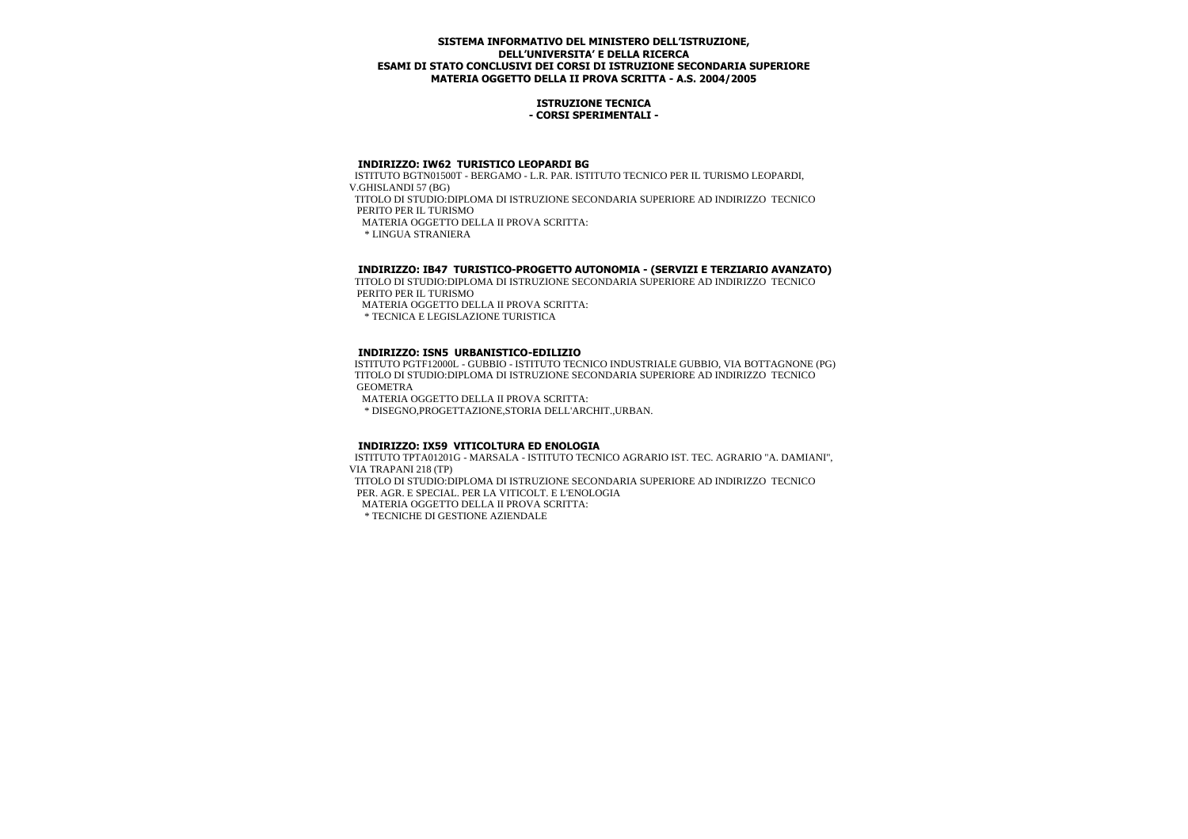## **ISTRUZIONE TECNICA - CORSI SPERIMENTALI -**

#### **INDIRIZZO: IW62 TURISTICO LEOPARDI BG**

 ISTITUTO BGTN01500T - BERGAMO - L.R. PAR. ISTITUTO TECNICO PER IL TURISMO LEOPARDI, V.GHISLANDI 57 (BG) TITOLO DI STUDIO:DIPLOMA DI ISTRUZIONE SECONDARIA SUPERIORE AD INDIRIZZO TECNICO PERITO PER IL TURISMO MATERIA OGGETTO DELLA II PROVA SCRITTA: \* LINGUA STRANIERA

## **INDIRIZZO: IB47 TURISTICO-PROGETTO AUTONOMIA - (SERVIZI E TERZIARIO AVANZATO)**

 TITOLO DI STUDIO:DIPLOMA DI ISTRUZIONE SECONDARIA SUPERIORE AD INDIRIZZO TECNICO PERITO PER IL TURISMO

MATERIA OGGETTO DELLA II PROVA SCRITTA:

\* TECNICA E LEGISLAZIONE TURISTICA

## **INDIRIZZO: ISN5 URBANISTICO-EDILIZIO**

 ISTITUTO PGTF12000L - GUBBIO - ISTITUTO TECNICO INDUSTRIALE GUBBIO, VIA BOTTAGNONE (PG) TITOLO DI STUDIO:DIPLOMA DI ISTRUZIONE SECONDARIA SUPERIORE AD INDIRIZZO TECNICO GEOMETRA

MATERIA OGGETTO DELLA II PROVA SCRITTA:

\* DISEGNO,PROGETTAZIONE,STORIA DELL'ARCHIT.,URBAN.

## **INDIRIZZO: IX59 VITICOLTURA ED ENOLOGIA**

 ISTITUTO TPTA01201G - MARSALA - ISTITUTO TECNICO AGRARIO IST. TEC. AGRARIO "A. DAMIANI", VIA TRAPANI 218 (TP) TITOLO DI STUDIO:DIPLOMA DI ISTRUZIONE SECONDARIA SUPERIORE AD INDIRIZZO TECNICO PER. AGR. E SPECIAL. PER LA VITICOLT. E L'ENOLOGIA MATERIA OGGETTO DELLA II PROVA SCRITTA:

\* TECNICHE DI GESTIONE AZIENDALE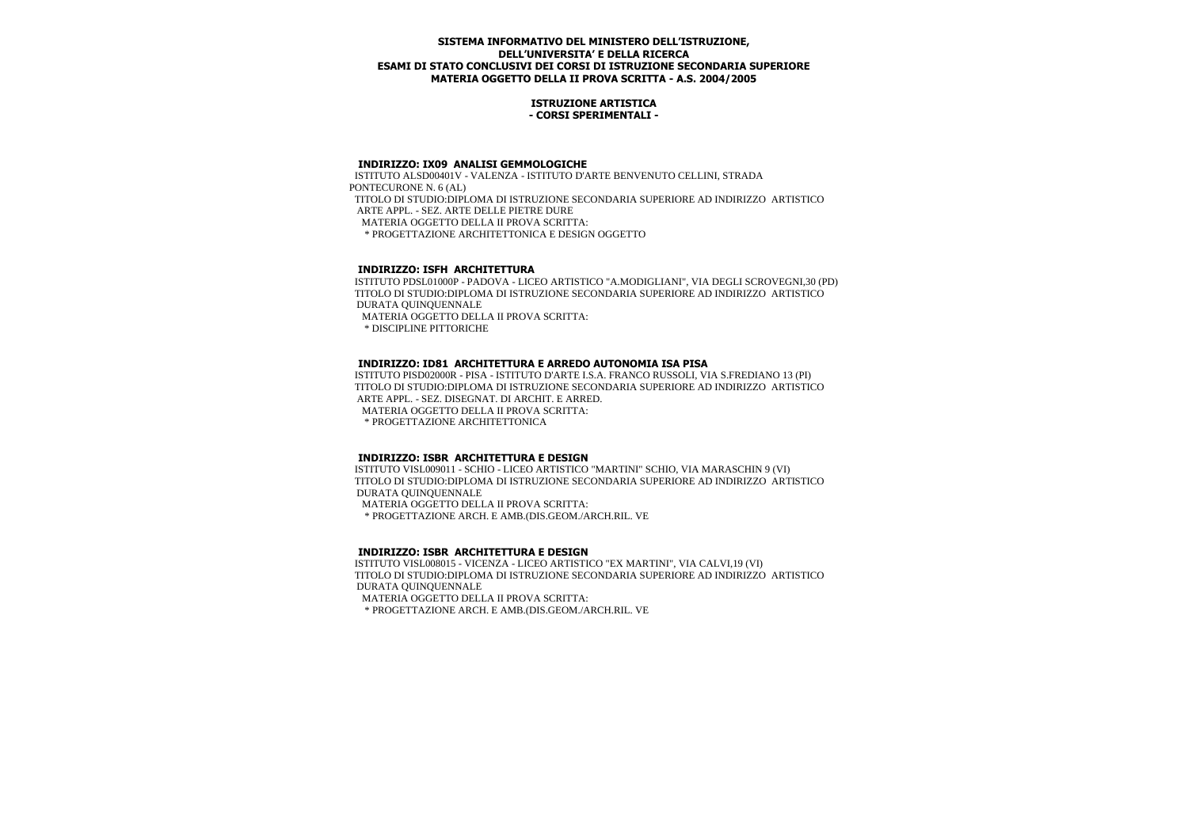#### **ISTRUZIONE ARTISTICA - CORSI SPERIMENTALI -**

#### **INDIRIZZO: IX09 ANALISI GEMMOLOGICHE**

 ISTITUTO ALSD00401V - VALENZA - ISTITUTO D'ARTE BENVENUTO CELLINI, STRADA PONTECURONE N. 6 (AL) TITOLO DI STUDIO:DIPLOMA DI ISTRUZIONE SECONDARIA SUPERIORE AD INDIRIZZO ARTISTICO ARTE APPL. - SEZ. ARTE DELLE PIETRE DURE MATERIA OGGETTO DELLA II PROVA SCRITTA: \* PROGETTAZIONE ARCHITETTONICA E DESIGN OGGETTO

## **INDIRIZZO: ISFH ARCHITETTURA**

 ISTITUTO PDSL01000P - PADOVA - LICEO ARTISTICO "A.MODIGLIANI", VIA DEGLI SCROVEGNI,30 (PD) TITOLO DI STUDIO:DIPLOMA DI ISTRUZIONE SECONDARIA SUPERIORE AD INDIRIZZO ARTISTICO DURATA QUINQUENNALE

MATERIA OGGETTO DELLA II PROVA SCRITTA:

\* DISCIPLINE PITTORICHE

## **INDIRIZZO: ID81 ARCHITETTURA E ARREDO AUTONOMIA ISA PISA**

 ISTITUTO PISD02000R - PISA - ISTITUTO D'ARTE I.S.A. FRANCO RUSSOLI, VIA S.FREDIANO 13 (PI) TITOLO DI STUDIO:DIPLOMA DI ISTRUZIONE SECONDARIA SUPERIORE AD INDIRIZZO ARTISTICO ARTE APPL. - SEZ. DISEGNAT. DI ARCHIT. E ARRED.

MATERIA OGGETTO DELLA II PROVA SCRITTA:

\* PROGETTAZIONE ARCHITETTONICA

# **INDIRIZZO: ISBR ARCHITETTURA E DESIGN**

 ISTITUTO VISL009011 - SCHIO - LICEO ARTISTICO "MARTINI" SCHIO, VIA MARASCHIN 9 (VI) TITOLO DI STUDIO:DIPLOMA DI ISTRUZIONE SECONDARIA SUPERIORE AD INDIRIZZO ARTISTICO DURATA QUINQUENNALE

 MATERIA OGGETTO DELLA II PROVA SCRITTA: \* PROGETTAZIONE ARCH. E AMB.(DIS.GEOM./ARCH.RIL. VE

## **INDIRIZZO: ISBR ARCHITETTURA E DESIGN**

 ISTITUTO VISL008015 - VICENZA - LICEO ARTISTICO "EX MARTINI", VIA CALVI,19 (VI) TITOLO DI STUDIO:DIPLOMA DI ISTRUZIONE SECONDARIA SUPERIORE AD INDIRIZZO ARTISTICO DURATA QUINQUENNALE MATERIA OGGETTO DELLA II PROVA SCRITTA:

\* PROGETTAZIONE ARCH. E AMB.(DIS.GEOM./ARCH.RIL. VE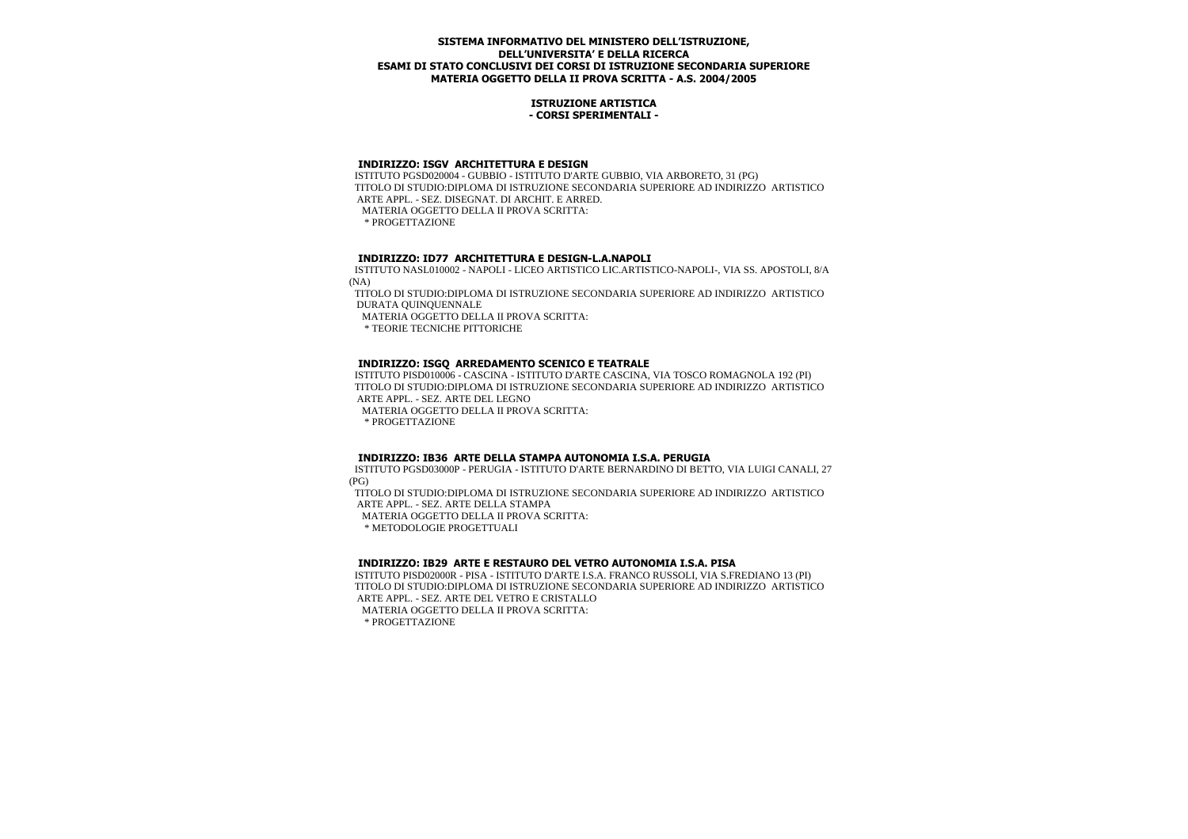#### **ISTRUZIONE ARTISTICA - CORSI SPERIMENTALI -**

# **INDIRIZZO: ISGV ARCHITETTURA E DESIGN**

 ISTITUTO PGSD020004 - GUBBIO - ISTITUTO D'ARTE GUBBIO, VIA ARBORETO, 31 (PG) TITOLO DI STUDIO:DIPLOMA DI ISTRUZIONE SECONDARIA SUPERIORE AD INDIRIZZO ARTISTICO ARTE APPL. - SEZ. DISEGNAT. DI ARCHIT. E ARRED. MATERIA OGGETTO DELLA II PROVA SCRITTA:

\* PROGETTAZIONE

# **INDIRIZZO: ID77 ARCHITETTURA E DESIGN-L.A.NAPOLI**

 ISTITUTO NASL010002 - NAPOLI - LICEO ARTISTICO LIC.ARTISTICO-NAPOLI-, VIA SS. APOSTOLI, 8/A (NA)

 TITOLO DI STUDIO:DIPLOMA DI ISTRUZIONE SECONDARIA SUPERIORE AD INDIRIZZO ARTISTICO DURATA QUINQUENNALE

MATERIA OGGETTO DELLA II PROVA SCRITTA:

\* TEORIE TECNICHE PITTORICHE

# **INDIRIZZO: ISGQ ARREDAMENTO SCENICO E TEATRALE**

 ISTITUTO PISD010006 - CASCINA - ISTITUTO D'ARTE CASCINA, VIA TOSCO ROMAGNOLA 192 (PI) TITOLO DI STUDIO:DIPLOMA DI ISTRUZIONE SECONDARIA SUPERIORE AD INDIRIZZO ARTISTICO ARTE APPL. - SEZ. ARTE DEL LEGNO

MATERIA OGGETTO DELLA II PROVA SCRITTA:

\* PROGETTAZIONE

## **INDIRIZZO: IB36 ARTE DELLA STAMPA AUTONOMIA I.S.A. PERUGIA**

 ISTITUTO PGSD03000P - PERUGIA - ISTITUTO D'ARTE BERNARDINO DI BETTO, VIA LUIGI CANALI, 27 (PG)

 TITOLO DI STUDIO:DIPLOMA DI ISTRUZIONE SECONDARIA SUPERIORE AD INDIRIZZO ARTISTICO ARTE APPL. - SEZ. ARTE DELLA STAMPA

MATERIA OGGETTO DELLA II PROVA SCRITTA:

\* METODOLOGIE PROGETTUALI

## **INDIRIZZO: IB29 ARTE E RESTAURO DEL VETRO AUTONOMIA I.S.A. PISA**

 ISTITUTO PISD02000R - PISA - ISTITUTO D'ARTE I.S.A. FRANCO RUSSOLI, VIA S.FREDIANO 13 (PI) TITOLO DI STUDIO:DIPLOMA DI ISTRUZIONE SECONDARIA SUPERIORE AD INDIRIZZO ARTISTICO ARTE APPL. - SEZ. ARTE DEL VETRO E CRISTALLO MATERIA OGGETTO DELLA II PROVA SCRITTA:

\* PROGETTAZIONE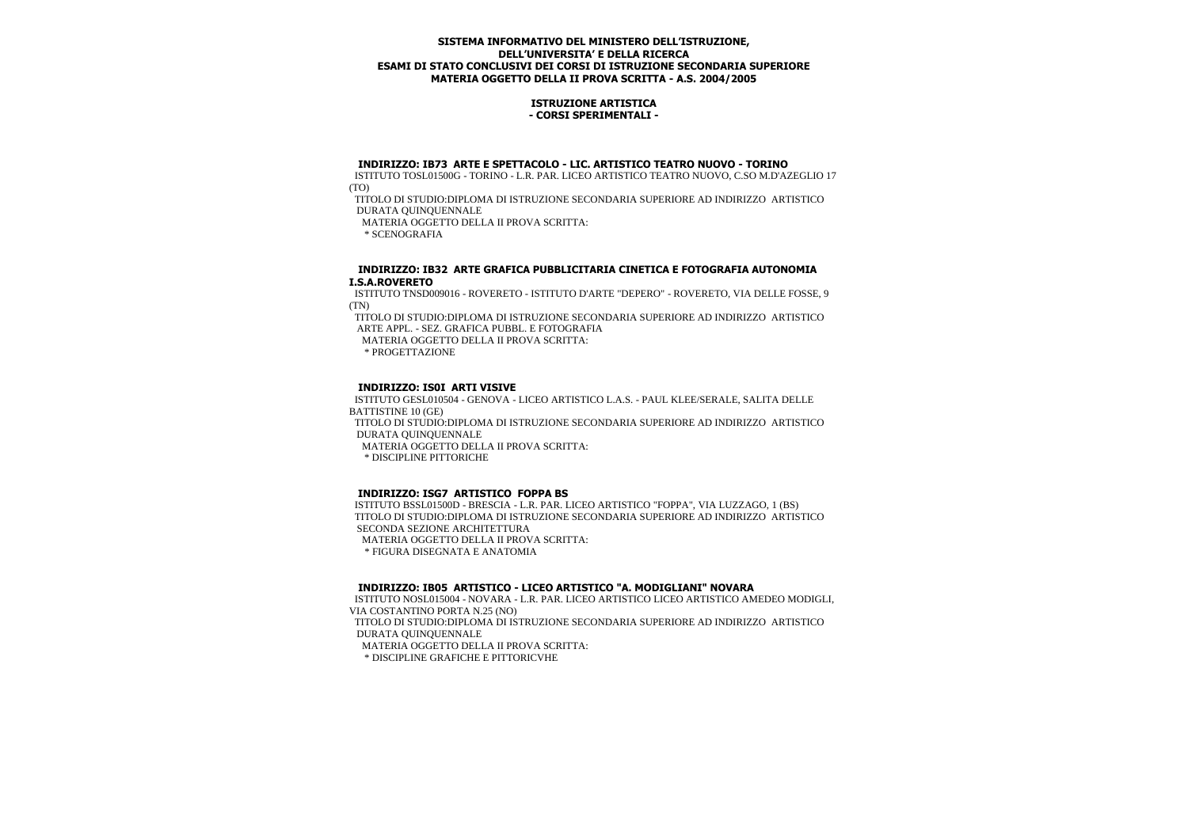## **ISTRUZIONE ARTISTICA - CORSI SPERIMENTALI -**

#### **INDIRIZZO: IB73 ARTE E SPETTACOLO - LIC. ARTISTICO TEATRO NUOVO - TORINO**

 ISTITUTO TOSL01500G - TORINO - L.R. PAR. LICEO ARTISTICO TEATRO NUOVO, C.SO M.D'AZEGLIO 17 (TO)

 TITOLO DI STUDIO:DIPLOMA DI ISTRUZIONE SECONDARIA SUPERIORE AD INDIRIZZO ARTISTICO DURATA QUINQUENNALE

MATERIA OGGETTO DELLA II PROVA SCRITTA:

\* SCENOGRAFIA

#### **INDIRIZZO: IB32 ARTE GRAFICA PUBBLICITARIA CINETICA E FOTOGRAFIA AUTONOMIA I.S.A.ROVERETO**

 ISTITUTO TNSD009016 - ROVERETO - ISTITUTO D'ARTE "DEPERO" - ROVERETO, VIA DELLE FOSSE, 9 (TN)

 TITOLO DI STUDIO:DIPLOMA DI ISTRUZIONE SECONDARIA SUPERIORE AD INDIRIZZO ARTISTICO ARTE APPL. - SEZ. GRAFICA PUBBL. E FOTOGRAFIA

MATERIA OGGETTO DELLA II PROVA SCRITTA:

\* PROGETTAZIONE

#### **INDIRIZZO: IS0I ARTI VISIVE**

 ISTITUTO GESL010504 - GENOVA - LICEO ARTISTICO L.A.S. - PAUL KLEE/SERALE, SALITA DELLE BATTISTINE 10 (GE)

 TITOLO DI STUDIO:DIPLOMA DI ISTRUZIONE SECONDARIA SUPERIORE AD INDIRIZZO ARTISTICO DURATA QUINQUENNALE

MATERIA OGGETTO DELLA II PROVA SCRITTA:

\* DISCIPLINE PITTORICHE

## **INDIRIZZO: ISG7 ARTISTICO FOPPA BS**

 ISTITUTO BSSL01500D - BRESCIA - L.R. PAR. LICEO ARTISTICO "FOPPA", VIA LUZZAGO, 1 (BS) TITOLO DI STUDIO:DIPLOMA DI ISTRUZIONE SECONDARIA SUPERIORE AD INDIRIZZO ARTISTICO SECONDA SEZIONE ARCHITETTURA MATERIA OGGETTO DELLA II PROVA SCRITTA:

\* FIGURA DISEGNATA E ANATOMIA

# **INDIRIZZO: IB05 ARTISTICO - LICEO ARTISTICO "A. MODIGLIANI" NOVARA**

 ISTITUTO NOSL015004 - NOVARA - L.R. PAR. LICEO ARTISTICO LICEO ARTISTICO AMEDEO MODIGLI, VIA COSTANTINO PORTA N.25 (NO)

 TITOLO DI STUDIO:DIPLOMA DI ISTRUZIONE SECONDARIA SUPERIORE AD INDIRIZZO ARTISTICO DURATA QUINQUENNALE

MATERIA OGGETTO DELLA II PROVA SCRITTA:

\* DISCIPLINE GRAFICHE E PITTORICVHE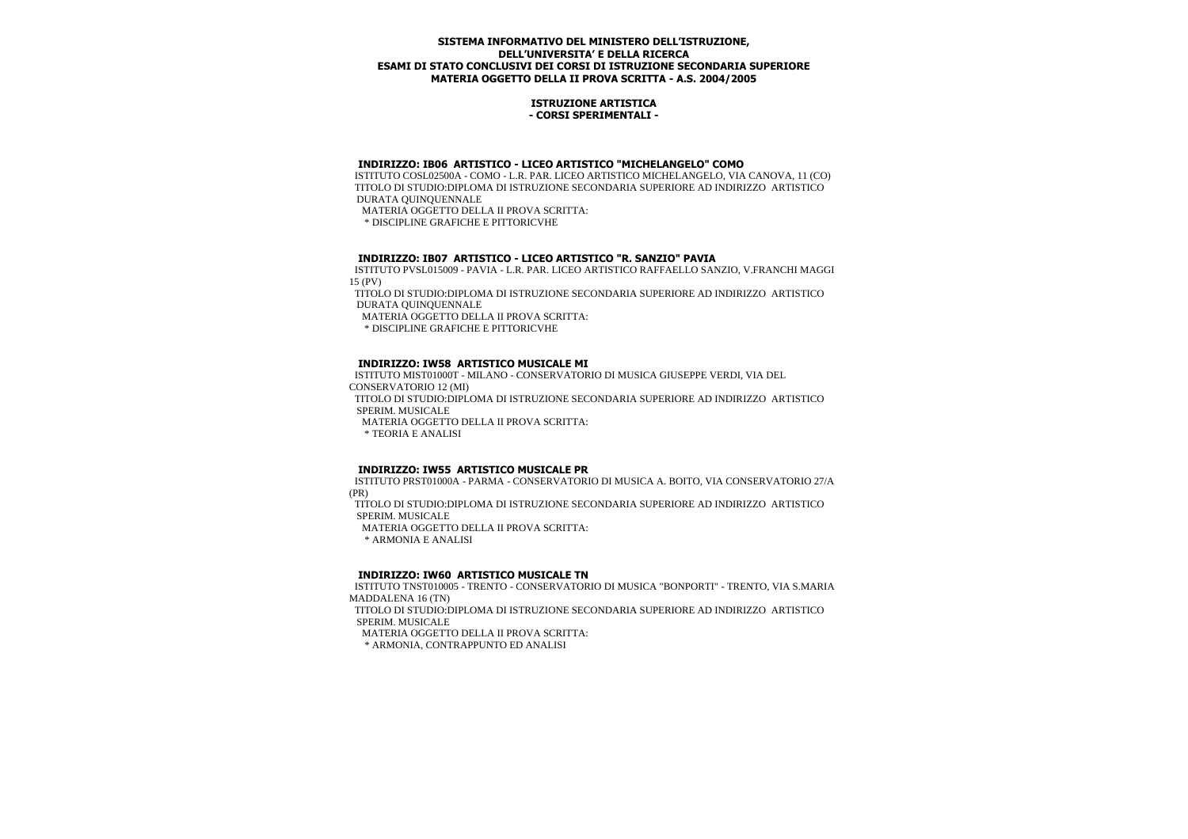#### **ISTRUZIONE ARTISTICA - CORSI SPERIMENTALI -**

# **INDIRIZZO: IB06 ARTISTICO - LICEO ARTISTICO "MICHELANGELO" COMO**

 ISTITUTO COSL02500A - COMO - L.R. PAR. LICEO ARTISTICO MICHELANGELO, VIA CANOVA, 11 (CO) TITOLO DI STUDIO:DIPLOMA DI ISTRUZIONE SECONDARIA SUPERIORE AD INDIRIZZO ARTISTICO DURATA QUINQUENNALE

MATERIA OGGETTO DELLA II PROVA SCRITTA:

\* DISCIPLINE GRAFICHE E PITTORICVHE

# **INDIRIZZO: IB07 ARTISTICO - LICEO ARTISTICO "R. SANZIO" PAVIA**

 ISTITUTO PVSL015009 - PAVIA - L.R. PAR. LICEO ARTISTICO RAFFAELLO SANZIO, V.FRANCHI MAGGI 15 (PV)

 TITOLO DI STUDIO:DIPLOMA DI ISTRUZIONE SECONDARIA SUPERIORE AD INDIRIZZO ARTISTICO DURATA QUINQUENNALE

MATERIA OGGETTO DELLA II PROVA SCRITTA:

\* DISCIPLINE GRAFICHE E PITTORICVHE

## **INDIRIZZO: IW58 ARTISTICO MUSICALE MI**

 ISTITUTO MIST01000T - MILANO - CONSERVATORIO DI MUSICA GIUSEPPE VERDI, VIA DEL CONSERVATORIO 12 (MI) TITOLO DI STUDIO:DIPLOMA DI ISTRUZIONE SECONDARIA SUPERIORE AD INDIRIZZO ARTISTICO SPERIM. MUSICALE MATERIA OGGETTO DELLA II PROVA SCRITTA: \* TEORIA E ANALISI

## **INDIRIZZO: IW55 ARTISTICO MUSICALE PR**

 ISTITUTO PRST01000A - PARMA - CONSERVATORIO DI MUSICA A. BOITO, VIA CONSERVATORIO 27/A (PR)

 TITOLO DI STUDIO:DIPLOMA DI ISTRUZIONE SECONDARIA SUPERIORE AD INDIRIZZO ARTISTICO SPERIM. MUSICALE

MATERIA OGGETTO DELLA II PROVA SCRITTA:

\* ARMONIA E ANALISI

## **INDIRIZZO: IW60 ARTISTICO MUSICALE TN**

 ISTITUTO TNST010005 - TRENTO - CONSERVATORIO DI MUSICA "BONPORTI" - TRENTO, VIA S.MARIA MADDALENA 16 (TN) TITOLO DI STUDIO:DIPLOMA DI ISTRUZIONE SECONDARIA SUPERIORE AD INDIRIZZO ARTISTICO SPERIM. MUSICALE MATERIA OGGETTO DELLA II PROVA SCRITTA: \* ARMONIA, CONTRAPPUNTO ED ANALISI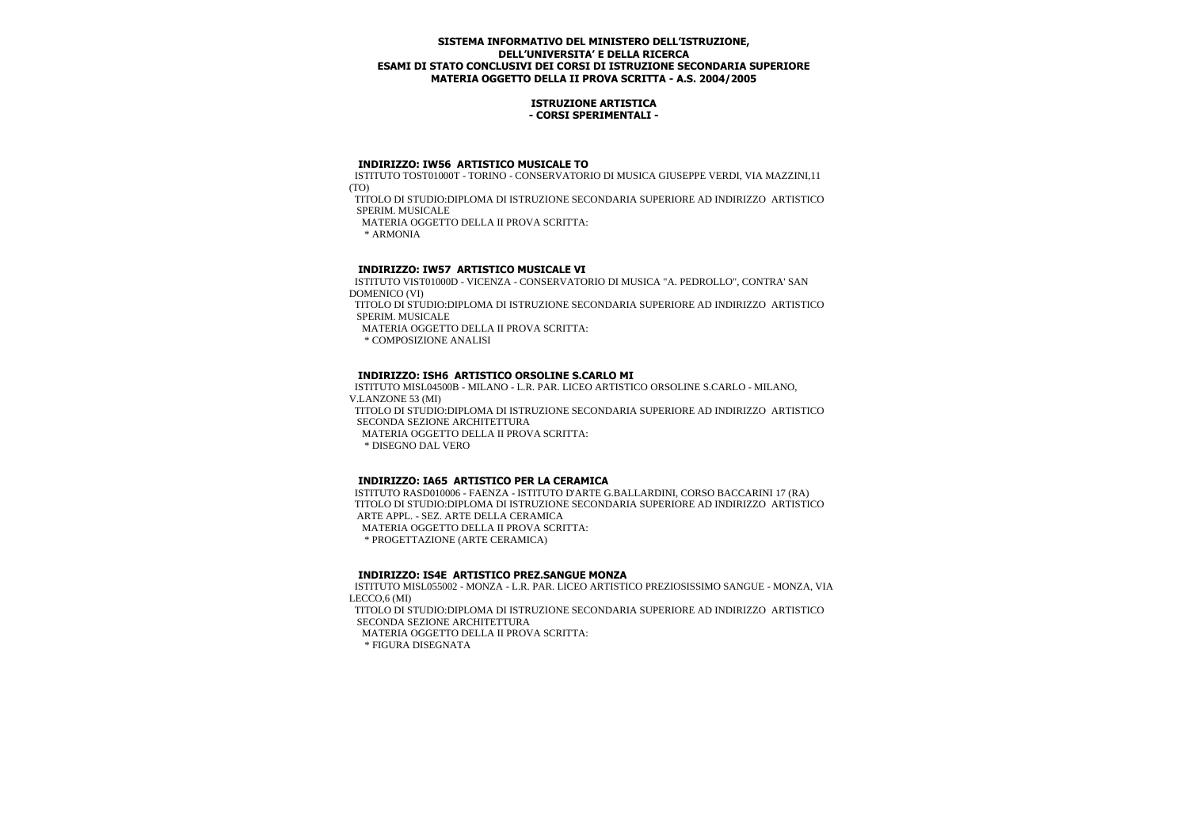## **ISTRUZIONE ARTISTICA - CORSI SPERIMENTALI -**

#### **INDIRIZZO: IW56 ARTISTICO MUSICALE TO**

 ISTITUTO TOST01000T - TORINO - CONSERVATORIO DI MUSICA GIUSEPPE VERDI, VIA MAZZINI,11 (TO)

 TITOLO DI STUDIO:DIPLOMA DI ISTRUZIONE SECONDARIA SUPERIORE AD INDIRIZZO ARTISTICO SPERIM. MUSICALE

MATERIA OGGETTO DELLA II PROVA SCRITTA:

\* ARMONIA

# **INDIRIZZO: IW57 ARTISTICO MUSICALE VI**

 ISTITUTO VIST01000D - VICENZA - CONSERVATORIO DI MUSICA "A. PEDROLLO", CONTRA' SAN DOMENICO (VI)

 TITOLO DI STUDIO:DIPLOMA DI ISTRUZIONE SECONDARIA SUPERIORE AD INDIRIZZO ARTISTICO SPERIM. MUSICALE

MATERIA OGGETTO DELLA II PROVA SCRITTA:

\* COMPOSIZIONE ANALISI

## **INDIRIZZO: ISH6 ARTISTICO ORSOLINE S.CARLO MI**

 ISTITUTO MISL04500B - MILANO - L.R. PAR. LICEO ARTISTICO ORSOLINE S.CARLO - MILANO, V.LANZONE 53 (MI)

 TITOLO DI STUDIO:DIPLOMA DI ISTRUZIONE SECONDARIA SUPERIORE AD INDIRIZZO ARTISTICO SECONDA SEZIONE ARCHITETTURA

MATERIA OGGETTO DELLA II PROVA SCRITTA:

\* DISEGNO DAL VERO

## **INDIRIZZO: IA65 ARTISTICO PER LA CERAMICA**

 ISTITUTO RASD010006 - FAENZA - ISTITUTO D'ARTE G.BALLARDINI, CORSO BACCARINI 17 (RA) TITOLO DI STUDIO:DIPLOMA DI ISTRUZIONE SECONDARIA SUPERIORE AD INDIRIZZO ARTISTICO ARTE APPL. - SEZ. ARTE DELLA CERAMICA MATERIA OGGETTO DELLA II PROVA SCRITTA: \* PROGETTAZIONE (ARTE CERAMICA)

#### **INDIRIZZO: IS4E ARTISTICO PREZ.SANGUE MONZA**

 ISTITUTO MISL055002 - MONZA - L.R. PAR. LICEO ARTISTICO PREZIOSISSIMO SANGUE - MONZA, VIA LECCO,6 (MI) TITOLO DI STUDIO:DIPLOMA DI ISTRUZIONE SECONDARIA SUPERIORE AD INDIRIZZO ARTISTICO

SECONDA SEZIONE ARCHITETTURA

MATERIA OGGETTO DELLA II PROVA SCRITTA:

\* FIGURA DISEGNATA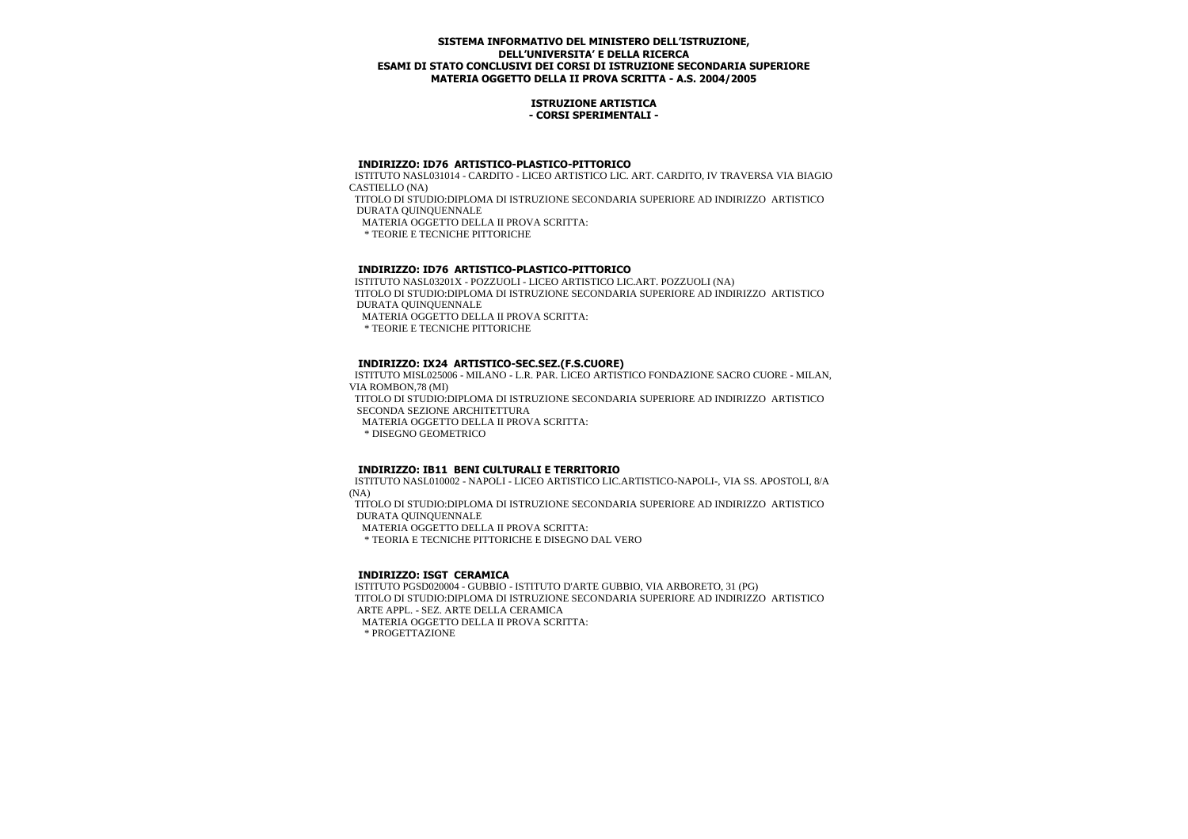#### **ISTRUZIONE ARTISTICA - CORSI SPERIMENTALI -**

# **INDIRIZZO: ID76 ARTISTICO-PLASTICO-PITTORICO**

 ISTITUTO NASL031014 - CARDITO - LICEO ARTISTICO LIC. ART. CARDITO, IV TRAVERSA VIA BIAGIO CASTIELLO (NA)

 TITOLO DI STUDIO:DIPLOMA DI ISTRUZIONE SECONDARIA SUPERIORE AD INDIRIZZO ARTISTICO DURATA QUINQUENNALE

MATERIA OGGETTO DELLA II PROVA SCRITTA:

\* TEORIE E TECNICHE PITTORICHE

# **INDIRIZZO: ID76 ARTISTICO-PLASTICO-PITTORICO**

 ISTITUTO NASL03201X - POZZUOLI - LICEO ARTISTICO LIC.ART. POZZUOLI (NA) TITOLO DI STUDIO:DIPLOMA DI ISTRUZIONE SECONDARIA SUPERIORE AD INDIRIZZO ARTISTICO DURATA QUINQUENNALE MATERIA OGGETTO DELLA II PROVA SCRITTA: \* TEORIE E TECNICHE PITTORICHE

# **INDIRIZZO: IX24 ARTISTICO-SEC.SEZ.(F.S.CUORE)**

 ISTITUTO MISL025006 - MILANO - L.R. PAR. LICEO ARTISTICO FONDAZIONE SACRO CUORE - MILAN, VIA ROMBON,78 (MI) TITOLO DI STUDIO:DIPLOMA DI ISTRUZIONE SECONDARIA SUPERIORE AD INDIRIZZO ARTISTICO SECONDA SEZIONE ARCHITETTURA MATERIA OGGETTO DELLA II PROVA SCRITTA: \* DISEGNO GEOMETRICO

## **INDIRIZZO: IB11 BENI CULTURALI E TERRITORIO**

 ISTITUTO NASL010002 - NAPOLI - LICEO ARTISTICO LIC.ARTISTICO-NAPOLI-, VIA SS. APOSTOLI, 8/A (NA)

 TITOLO DI STUDIO:DIPLOMA DI ISTRUZIONE SECONDARIA SUPERIORE AD INDIRIZZO ARTISTICO DURATA QUINQUENNALE

MATERIA OGGETTO DELLA II PROVA SCRITTA:

\* TEORIA E TECNICHE PITTORICHE E DISEGNO DAL VERO

# **INDIRIZZO: ISGT CERAMICA**

 ISTITUTO PGSD020004 - GUBBIO - ISTITUTO D'ARTE GUBBIO, VIA ARBORETO, 31 (PG) TITOLO DI STUDIO:DIPLOMA DI ISTRUZIONE SECONDARIA SUPERIORE AD INDIRIZZO ARTISTICO ARTE APPL. - SEZ. ARTE DELLA CERAMICA MATERIA OGGETTO DELLA II PROVA SCRITTA:

\* PROGETTAZIONE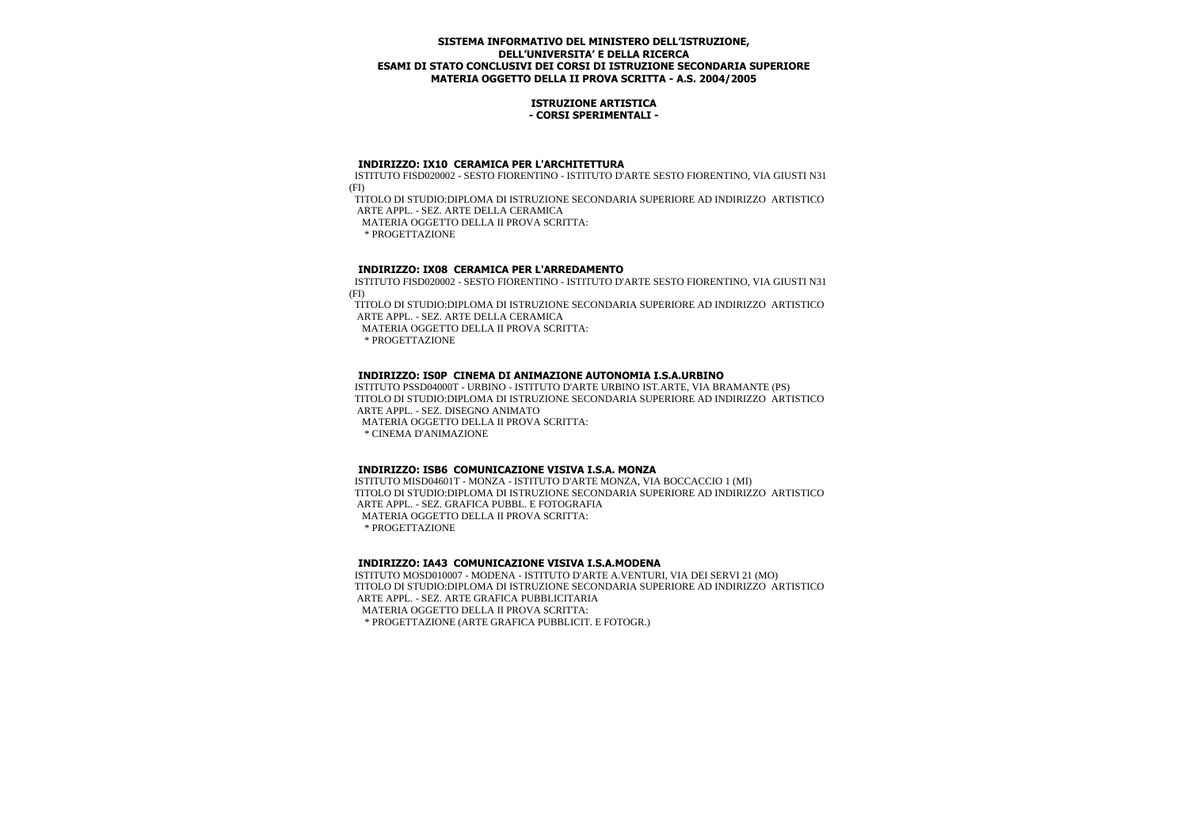#### **ISTRUZIONE ARTISTICA - CORSI SPERIMENTALI -**

#### **INDIRIZZO: IX10 CERAMICA PER L'ARCHITETTURA**

 ISTITUTO FISD020002 - SESTO FIORENTINO - ISTITUTO D'ARTE SESTO FIORENTINO, VIA GIUSTI N31 (FI)

 TITOLO DI STUDIO:DIPLOMA DI ISTRUZIONE SECONDARIA SUPERIORE AD INDIRIZZO ARTISTICO ARTE APPL. - SEZ. ARTE DELLA CERAMICA

MATERIA OGGETTO DELLA II PROVA SCRITTA:

\* PROGETTAZIONE

# **INDIRIZZO: IX08 CERAMICA PER L'ARREDAMENTO**

 ISTITUTO FISD020002 - SESTO FIORENTINO - ISTITUTO D'ARTE SESTO FIORENTINO, VIA GIUSTI N31 (FI)

 TITOLO DI STUDIO:DIPLOMA DI ISTRUZIONE SECONDARIA SUPERIORE AD INDIRIZZO ARTISTICO ARTE APPL. - SEZ. ARTE DELLA CERAMICA

MATERIA OGGETTO DELLA II PROVA SCRITTA:

\* PROGETTAZIONE

## **INDIRIZZO: IS0P CINEMA DI ANIMAZIONE AUTONOMIA I.S.A.URBINO**

 ISTITUTO PSSD04000T - URBINO - ISTITUTO D'ARTE URBINO IST.ARTE, VIA BRAMANTE (PS) TITOLO DI STUDIO:DIPLOMA DI ISTRUZIONE SECONDARIA SUPERIORE AD INDIRIZZO ARTISTICO ARTE APPL. - SEZ. DISEGNO ANIMATO

MATERIA OGGETTO DELLA II PROVA SCRITTA:

\* CINEMA D'ANIMAZIONE

## **INDIRIZZO: ISB6 COMUNICAZIONE VISIVA I.S.A. MONZA**

 ISTITUTO MISD04601T - MONZA - ISTITUTO D'ARTE MONZA, VIA BOCCACCIO 1 (MI) TITOLO DI STUDIO:DIPLOMA DI ISTRUZIONE SECONDARIA SUPERIORE AD INDIRIZZO ARTISTICO ARTE APPL. - SEZ. GRAFICA PUBBL. E FOTOGRAFIA MATERIA OGGETTO DELLA II PROVA SCRITTA: \* PROGETTAZIONE

# **INDIRIZZO: IA43 COMUNICAZIONE VISIVA I.S.A.MODENA**

 ISTITUTO MOSD010007 - MODENA - ISTITUTO D'ARTE A.VENTURI, VIA DEI SERVI 21 (MO) TITOLO DI STUDIO:DIPLOMA DI ISTRUZIONE SECONDARIA SUPERIORE AD INDIRIZZO ARTISTICO ARTE APPL. - SEZ. ARTE GRAFICA PUBBLICITARIA MATERIA OGGETTO DELLA II PROVA SCRITTA:

\* PROGETTAZIONE (ARTE GRAFICA PUBBLICIT. E FOTOGR.)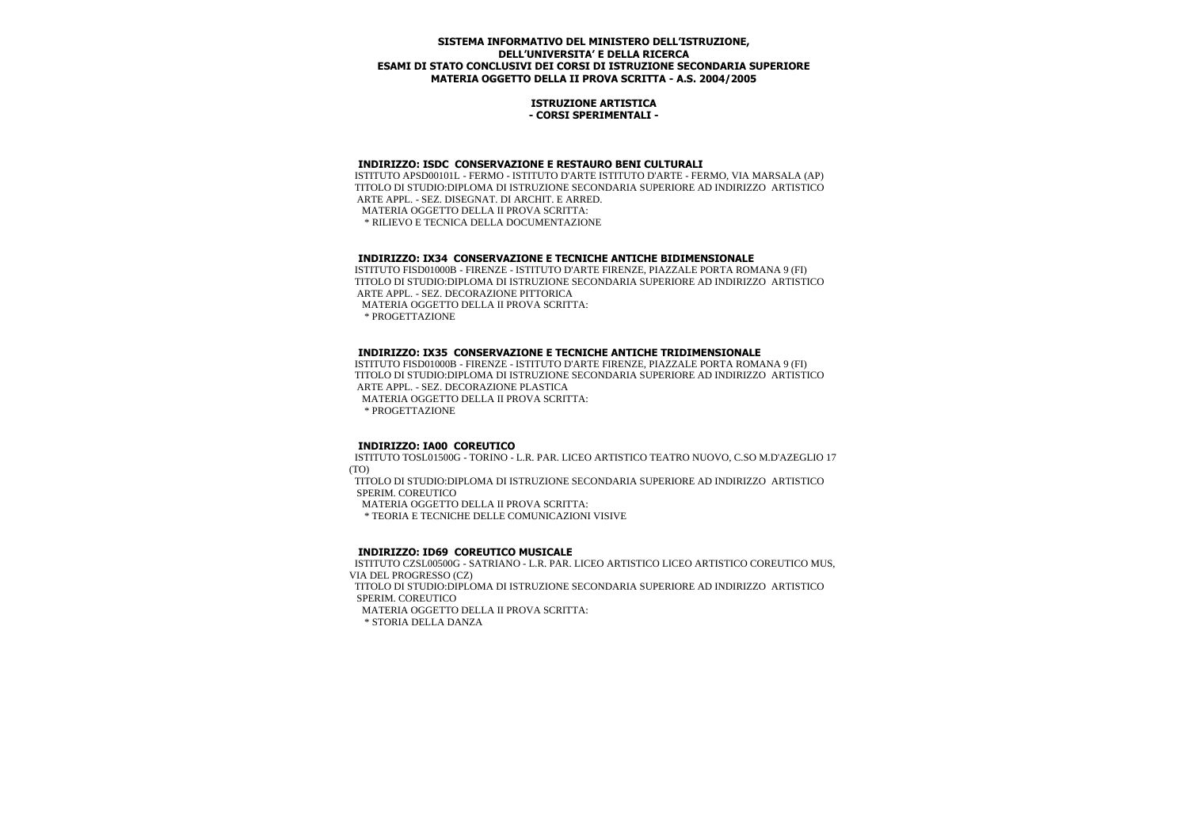#### **ISTRUZIONE ARTISTICA - CORSI SPERIMENTALI -**

#### **INDIRIZZO: ISDC CONSERVAZIONE E RESTAURO BENI CULTURALI**

 ISTITUTO APSD00101L - FERMO - ISTITUTO D'ARTE ISTITUTO D'ARTE - FERMO, VIA MARSALA (AP) TITOLO DI STUDIO:DIPLOMA DI ISTRUZIONE SECONDARIA SUPERIORE AD INDIRIZZO ARTISTICO ARTE APPL. - SEZ. DISEGNAT. DI ARCHIT. E ARRED. MATERIA OGGETTO DELLA II PROVA SCRITTA: \* RILIEVO E TECNICA DELLA DOCUMENTAZIONE

## **INDIRIZZO: IX34 CONSERVAZIONE E TECNICHE ANTICHE BIDIMENSIONALE**

 ISTITUTO FISD01000B - FIRENZE - ISTITUTO D'ARTE FIRENZE, PIAZZALE PORTA ROMANA 9 (FI) TITOLO DI STUDIO:DIPLOMA DI ISTRUZIONE SECONDARIA SUPERIORE AD INDIRIZZO ARTISTICO ARTE APPL. - SEZ. DECORAZIONE PITTORICA MATERIA OGGETTO DELLA II PROVA SCRITTA: \* PROGETTAZIONE

#### **INDIRIZZO: IX35 CONSERVAZIONE E TECNICHE ANTICHE TRIDIMENSIONALE**

 ISTITUTO FISD01000B - FIRENZE - ISTITUTO D'ARTE FIRENZE, PIAZZALE PORTA ROMANA 9 (FI) TITOLO DI STUDIO:DIPLOMA DI ISTRUZIONE SECONDARIA SUPERIORE AD INDIRIZZO ARTISTICO ARTE APPL. - SEZ. DECORAZIONE PLASTICA MATERIA OGGETTO DELLA II PROVA SCRITTA:

\* PROGETTAZIONE

## **INDIRIZZO: IA00 COREUTICO**

 ISTITUTO TOSL01500G - TORINO - L.R. PAR. LICEO ARTISTICO TEATRO NUOVO, C.SO M.D'AZEGLIO 17 (TO)

 TITOLO DI STUDIO:DIPLOMA DI ISTRUZIONE SECONDARIA SUPERIORE AD INDIRIZZO ARTISTICO SPERIM. COREUTICO

MATERIA OGGETTO DELLA II PROVA SCRITTA:

\* TEORIA E TECNICHE DELLE COMUNICAZIONI VISIVE

## **INDIRIZZO: ID69 COREUTICO MUSICALE**

 ISTITUTO CZSL00500G - SATRIANO - L.R. PAR. LICEO ARTISTICO LICEO ARTISTICO COREUTICO MUS, VIA DEL PROGRESSO (CZ)

 TITOLO DI STUDIO:DIPLOMA DI ISTRUZIONE SECONDARIA SUPERIORE AD INDIRIZZO ARTISTICO SPERIM. COREUTICO

MATERIA OGGETTO DELLA II PROVA SCRITTA:

\* STORIA DELLA DANZA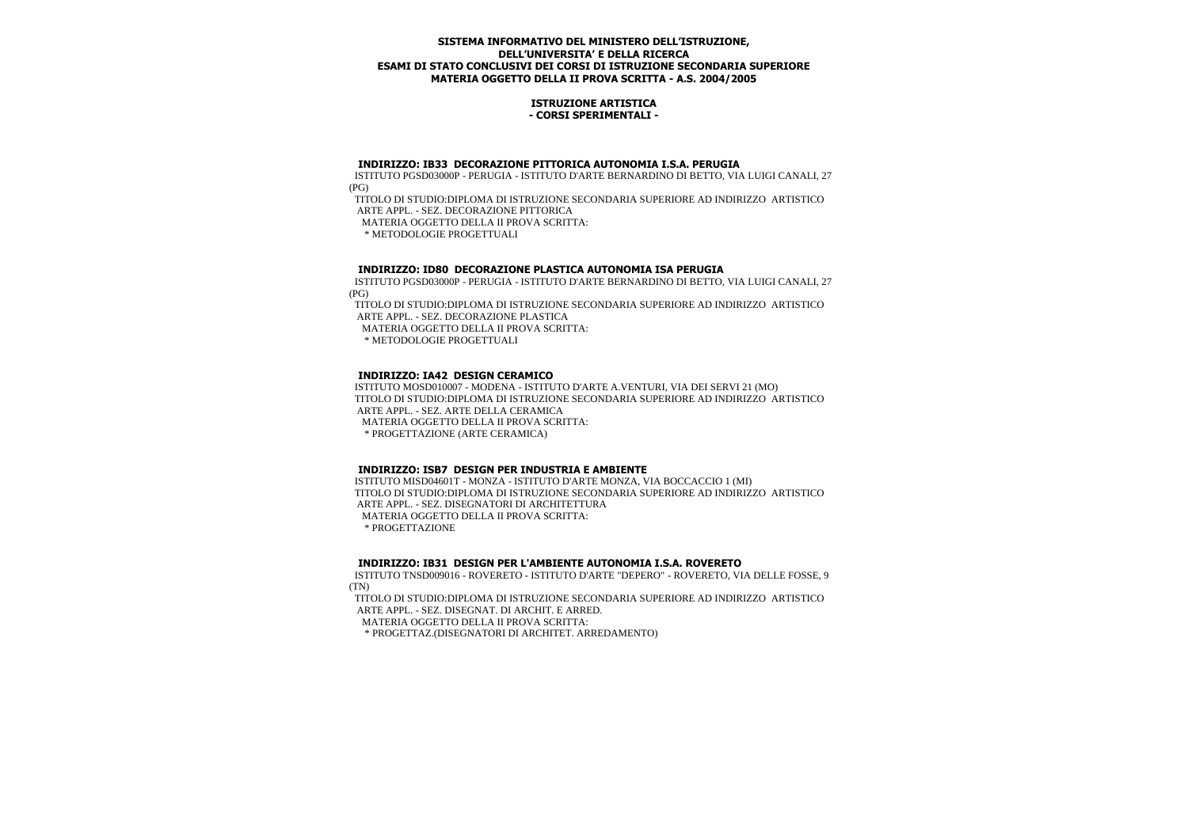#### **ISTRUZIONE ARTISTICA - CORSI SPERIMENTALI -**

#### **INDIRIZZO: IB33 DECORAZIONE PITTORICA AUTONOMIA I.S.A. PERUGIA**

 ISTITUTO PGSD03000P - PERUGIA - ISTITUTO D'ARTE BERNARDINO DI BETTO, VIA LUIGI CANALI, 27 (PG)

 TITOLO DI STUDIO:DIPLOMA DI ISTRUZIONE SECONDARIA SUPERIORE AD INDIRIZZO ARTISTICO ARTE APPL. - SEZ. DECORAZIONE PITTORICA

MATERIA OGGETTO DELLA II PROVA SCRITTA:

\* METODOLOGIE PROGETTUALI

# **INDIRIZZO: ID80 DECORAZIONE PLASTICA AUTONOMIA ISA PERUGIA**

 ISTITUTO PGSD03000P - PERUGIA - ISTITUTO D'ARTE BERNARDINO DI BETTO, VIA LUIGI CANALI, 27 (PG)

 TITOLO DI STUDIO:DIPLOMA DI ISTRUZIONE SECONDARIA SUPERIORE AD INDIRIZZO ARTISTICO ARTE APPL. - SEZ. DECORAZIONE PLASTICA

MATERIA OGGETTO DELLA II PROVA SCRITTA:

\* METODOLOGIE PROGETTUALI

# **INDIRIZZO: IA42 DESIGN CERAMICO**

 ISTITUTO MOSD010007 - MODENA - ISTITUTO D'ARTE A.VENTURI, VIA DEI SERVI 21 (MO) TITOLO DI STUDIO:DIPLOMA DI ISTRUZIONE SECONDARIA SUPERIORE AD INDIRIZZO ARTISTICO ARTE APPL. - SEZ. ARTE DELLA CERAMICA MATERIA OGGETTO DELLA II PROVA SCRITTA: \* PROGETTAZIONE (ARTE CERAMICA)

## **INDIRIZZO: ISB7 DESIGN PER INDUSTRIA E AMBIENTE**

 ISTITUTO MISD04601T - MONZA - ISTITUTO D'ARTE MONZA, VIA BOCCACCIO 1 (MI) TITOLO DI STUDIO:DIPLOMA DI ISTRUZIONE SECONDARIA SUPERIORE AD INDIRIZZO ARTISTICO ARTE APPL. - SEZ. DISEGNATORI DI ARCHITETTURA MATERIA OGGETTO DELLA II PROVA SCRITTA:

\* PROGETTAZIONE

# **INDIRIZZO: IB31 DESIGN PER L'AMBIENTE AUTONOMIA I.S.A. ROVERETO**

 ISTITUTO TNSD009016 - ROVERETO - ISTITUTO D'ARTE "DEPERO" - ROVERETO, VIA DELLE FOSSE, 9 (TN)

 TITOLO DI STUDIO:DIPLOMA DI ISTRUZIONE SECONDARIA SUPERIORE AD INDIRIZZO ARTISTICO ARTE APPL. - SEZ. DISEGNAT. DI ARCHIT. E ARRED.

MATERIA OGGETTO DELLA II PROVA SCRITTA:

\* PROGETTAZ.(DISEGNATORI DI ARCHITET. ARREDAMENTO)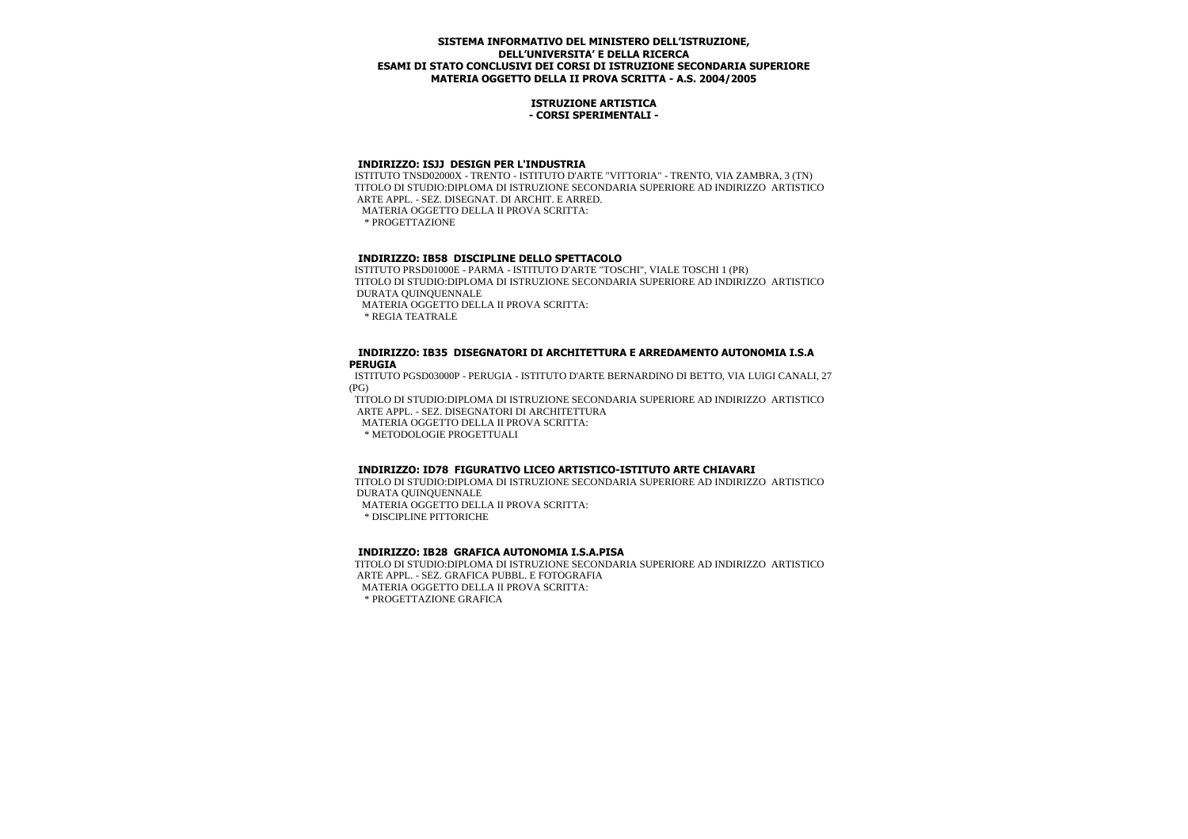#### **ISTRUZIONE ARTISTICA - CORSI SPERIMENTALI -**

#### **INDIRIZZO: ISJJ DESIGN PER L'INDUSTRIA**

 ISTITUTO TNSD02000X - TRENTO - ISTITUTO D'ARTE "VITTORIA" - TRENTO, VIA ZAMBRA, 3 (TN) TITOLO DI STUDIO:DIPLOMA DI ISTRUZIONE SECONDARIA SUPERIORE AD INDIRIZZO ARTISTICO ARTE APPL. - SEZ. DISEGNAT. DI ARCHIT. E ARRED. MATERIA OGGETTO DELLA II PROVA SCRITTA:

\* PROGETTAZIONE

# **INDIRIZZO: IB58 DISCIPLINE DELLO SPETTACOLO**

 ISTITUTO PRSD01000E - PARMA - ISTITUTO D'ARTE "TOSCHI", VIALE TOSCHI 1 (PR) TITOLO DI STUDIO:DIPLOMA DI ISTRUZIONE SECONDARIA SUPERIORE AD INDIRIZZO ARTISTICO DURATA QUINQUENNALE

MATERIA OGGETTO DELLA II PROVA SCRITTA:

\* REGIA TEATRALE

#### **INDIRIZZO: IB35 DISEGNATORI DI ARCHITETTURA E ARREDAMENTO AUTONOMIA I.S.A PERUGIA**

 ISTITUTO PGSD03000P - PERUGIA - ISTITUTO D'ARTE BERNARDINO DI BETTO, VIA LUIGI CANALI, 27 (PG)

 TITOLO DI STUDIO:DIPLOMA DI ISTRUZIONE SECONDARIA SUPERIORE AD INDIRIZZO ARTISTICO ARTE APPL. - SEZ. DISEGNATORI DI ARCHITETTURA

MATERIA OGGETTO DELLA II PROVA SCRITTA:

\* METODOLOGIE PROGETTUALI

## **INDIRIZZO: ID78 FIGURATIVO LICEO ARTISTICO-ISTITUTO ARTE CHIAVARI**

 TITOLO DI STUDIO:DIPLOMA DI ISTRUZIONE SECONDARIA SUPERIORE AD INDIRIZZO ARTISTICO DURATA QUINQUENNALE

MATERIA OGGETTO DELLA II PROVA SCRITTA:

\* DISCIPLINE PITTORICHE

# **INDIRIZZO: IB28 GRAFICA AUTONOMIA I.S.A.PISA**

 TITOLO DI STUDIO:DIPLOMA DI ISTRUZIONE SECONDARIA SUPERIORE AD INDIRIZZO ARTISTICO ARTE APPL. - SEZ. GRAFICA PUBBL. E FOTOGRAFIA MATERIA OGGETTO DELLA II PROVA SCRITTA:

\* PROGETTAZIONE GRAFICA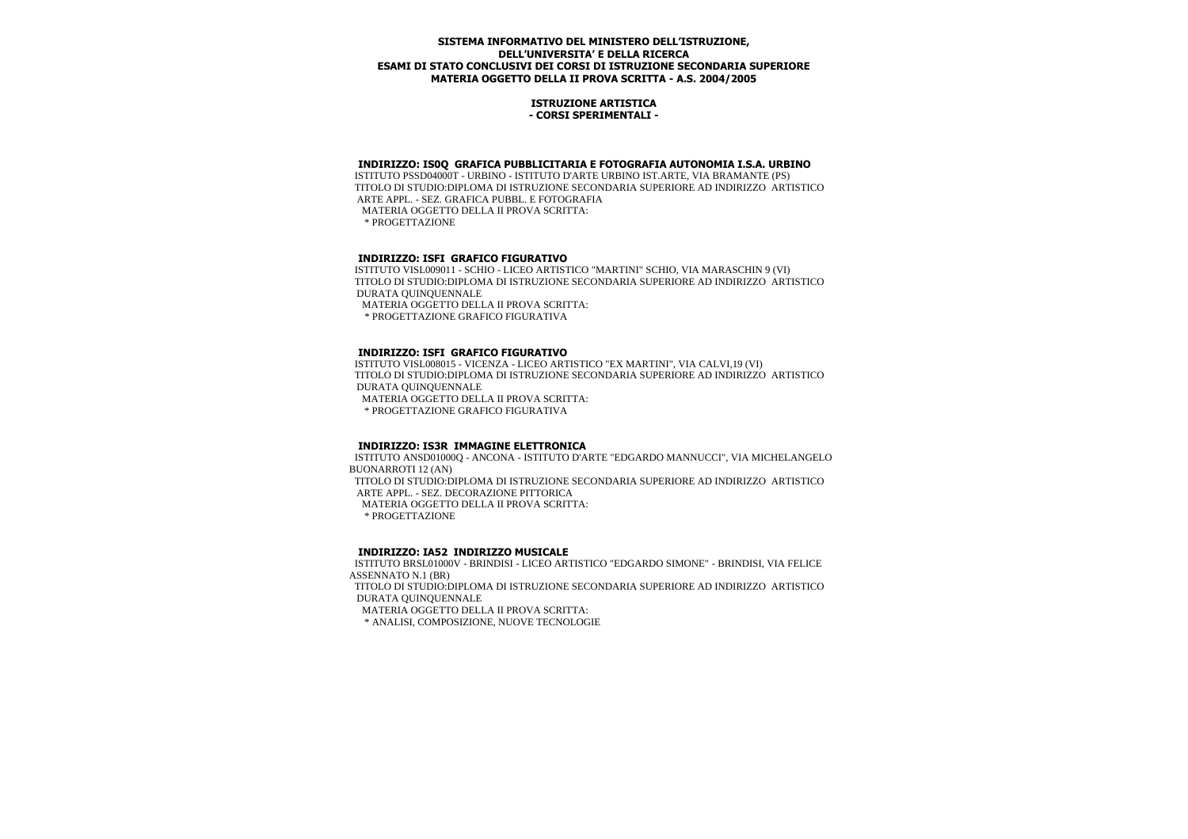#### **ISTRUZIONE ARTISTICA - CORSI SPERIMENTALI -**

#### **INDIRIZZO: IS0Q GRAFICA PUBBLICITARIA E FOTOGRAFIA AUTONOMIA I.S.A. URBINO**

 ISTITUTO PSSD04000T - URBINO - ISTITUTO D'ARTE URBINO IST.ARTE, VIA BRAMANTE (PS) TITOLO DI STUDIO:DIPLOMA DI ISTRUZIONE SECONDARIA SUPERIORE AD INDIRIZZO ARTISTICO ARTE APPL. - SEZ. GRAFICA PUBBL. E FOTOGRAFIA MATERIA OGGETTO DELLA II PROVA SCRITTA:

\* PROGETTAZIONE

#### **INDIRIZZO: ISFI GRAFICO FIGURATIVO**

 ISTITUTO VISL009011 - SCHIO - LICEO ARTISTICO "MARTINI" SCHIO, VIA MARASCHIN 9 (VI) TITOLO DI STUDIO:DIPLOMA DI ISTRUZIONE SECONDARIA SUPERIORE AD INDIRIZZO ARTISTICO DURATA QUINQUENNALE

MATERIA OGGETTO DELLA II PROVA SCRITTA:

\* PROGETTAZIONE GRAFICO FIGURATIVA

#### **INDIRIZZO: ISFI GRAFICO FIGURATIVO**

 ISTITUTO VISL008015 - VICENZA - LICEO ARTISTICO "EX MARTINI", VIA CALVI,19 (VI) TITOLO DI STUDIO:DIPLOMA DI ISTRUZIONE SECONDARIA SUPERIORE AD INDIRIZZO ARTISTICO DURATA QUINQUENNALE MATERIA OGGETTO DELLA II PROVA SCRITTA:

\* PROGETTAZIONE GRAFICO FIGURATIVA

## **INDIRIZZO: IS3R IMMAGINE ELETTRONICA**

 ISTITUTO ANSD01000Q - ANCONA - ISTITUTO D'ARTE "EDGARDO MANNUCCI", VIA MICHELANGELO BUONARROTI 12 (AN) TITOLO DI STUDIO:DIPLOMA DI ISTRUZIONE SECONDARIA SUPERIORE AD INDIRIZZO ARTISTICO ARTE APPL. - SEZ. DECORAZIONE PITTORICA MATERIA OGGETTO DELLA II PROVA SCRITTA: \* PROGETTAZIONE

## **INDIRIZZO: IA52 INDIRIZZO MUSICALE**

 ISTITUTO BRSL01000V - BRINDISI - LICEO ARTISTICO "EDGARDO SIMONE" - BRINDISI, VIA FELICE ASSENNATO N.1 (BR)

 TITOLO DI STUDIO:DIPLOMA DI ISTRUZIONE SECONDARIA SUPERIORE AD INDIRIZZO ARTISTICO DURATA QUINQUENNALE

MATERIA OGGETTO DELLA II PROVA SCRITTA:

\* ANALISI, COMPOSIZIONE, NUOVE TECNOLOGIE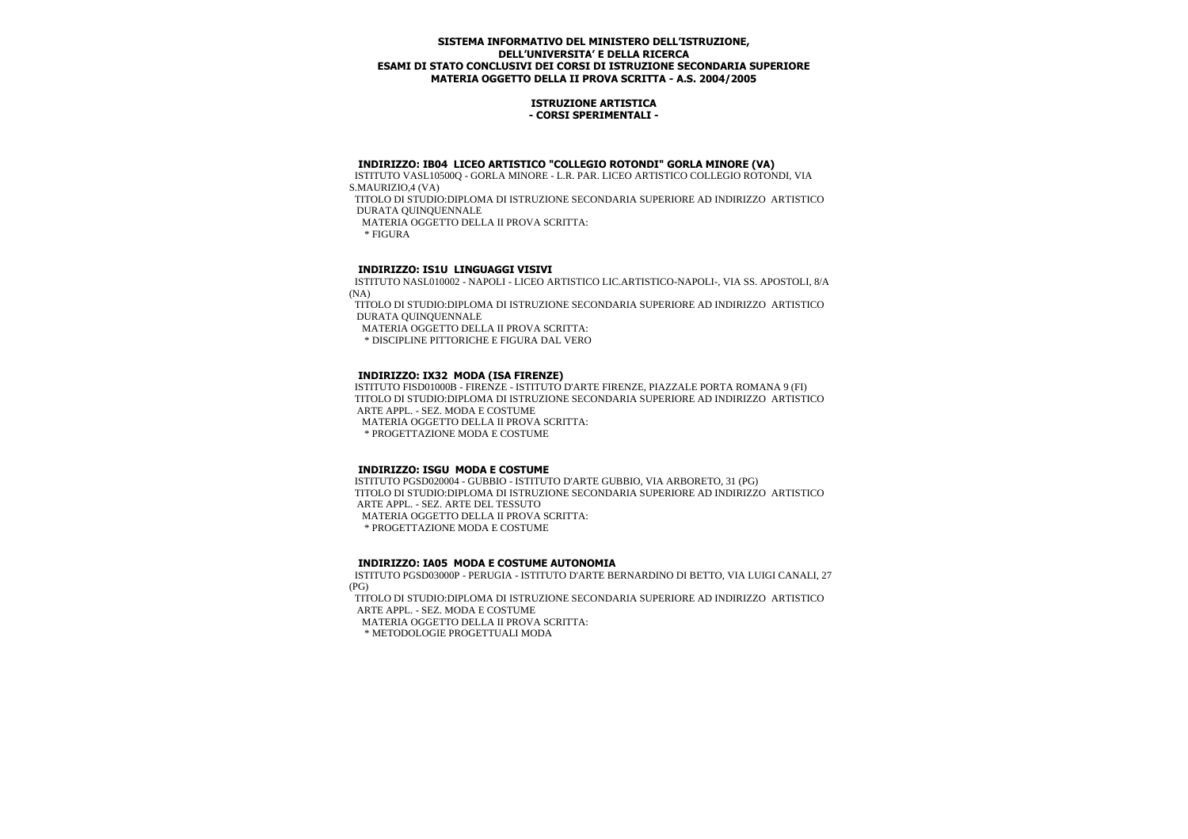## **ISTRUZIONE ARTISTICA - CORSI SPERIMENTALI -**

## **INDIRIZZO: IB04 LICEO ARTISTICO "COLLEGIO ROTONDI" GORLA MINORE (VA)**

 ISTITUTO VASL10500Q - GORLA MINORE - L.R. PAR. LICEO ARTISTICO COLLEGIO ROTONDI, VIA S.MAURIZIO,4 (VA)

 TITOLO DI STUDIO:DIPLOMA DI ISTRUZIONE SECONDARIA SUPERIORE AD INDIRIZZO ARTISTICO DURATA QUINQUENNALE

MATERIA OGGETTO DELLA II PROVA SCRITTA:

 $*$  FIGURA

# **INDIRIZZO: IS1U LINGUAGGI VISIVI**

 ISTITUTO NASL010002 - NAPOLI - LICEO ARTISTICO LIC.ARTISTICO-NAPOLI-, VIA SS. APOSTOLI, 8/A (NA)

 TITOLO DI STUDIO:DIPLOMA DI ISTRUZIONE SECONDARIA SUPERIORE AD INDIRIZZO ARTISTICO DURATA QUINQUENNALE

MATERIA OGGETTO DELLA II PROVA SCRITTA:

\* DISCIPLINE PITTORICHE E FIGURA DAL VERO

## **INDIRIZZO: IX32 MODA (ISA FIRENZE)**

 ISTITUTO FISD01000B - FIRENZE - ISTITUTO D'ARTE FIRENZE, PIAZZALE PORTA ROMANA 9 (FI) TITOLO DI STUDIO:DIPLOMA DI ISTRUZIONE SECONDARIA SUPERIORE AD INDIRIZZO ARTISTICO ARTE APPL. - SEZ. MODA E COSTUME

MATERIA OGGETTO DELLA II PROVA SCRITTA:

\* PROGETTAZIONE MODA E COSTUME

## **INDIRIZZO: ISGU MODA E COSTUME**

 ISTITUTO PGSD020004 - GUBBIO - ISTITUTO D'ARTE GUBBIO, VIA ARBORETO, 31 (PG) TITOLO DI STUDIO:DIPLOMA DI ISTRUZIONE SECONDARIA SUPERIORE AD INDIRIZZO ARTISTICO ARTE APPL. - SEZ. ARTE DEL TESSUTO MATERIA OGGETTO DELLA II PROVA SCRITTA:

\* PROGETTAZIONE MODA E COSTUME

# **INDIRIZZO: IA05 MODA E COSTUME AUTONOMIA**

 ISTITUTO PGSD03000P - PERUGIA - ISTITUTO D'ARTE BERNARDINO DI BETTO, VIA LUIGI CANALI, 27 (PG)

 TITOLO DI STUDIO:DIPLOMA DI ISTRUZIONE SECONDARIA SUPERIORE AD INDIRIZZO ARTISTICO ARTE APPL. - SEZ. MODA E COSTUME

MATERIA OGGETTO DELLA II PROVA SCRITTA:

\* METODOLOGIE PROGETTUALI MODA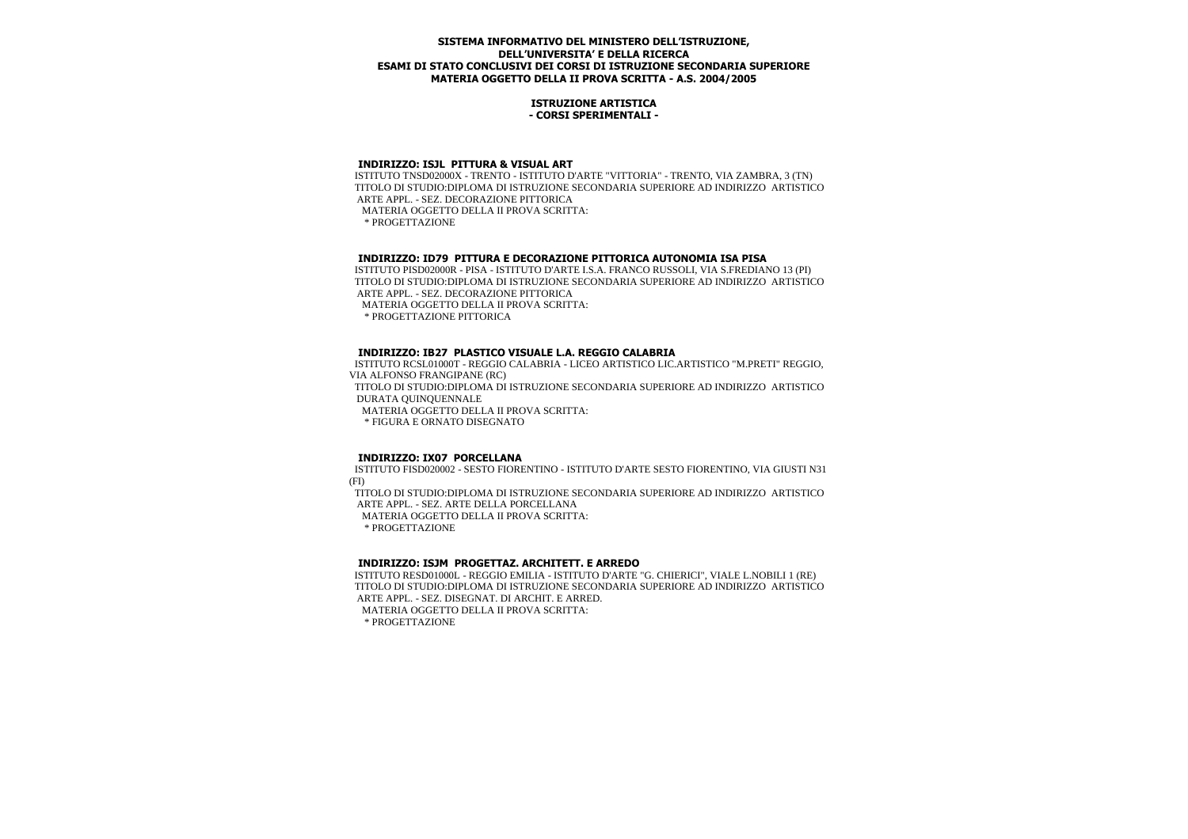#### **ISTRUZIONE ARTISTICA - CORSI SPERIMENTALI -**

#### **INDIRIZZO: ISJL PITTURA & VISUAL ART**

 ISTITUTO TNSD02000X - TRENTO - ISTITUTO D'ARTE "VITTORIA" - TRENTO, VIA ZAMBRA, 3 (TN) TITOLO DI STUDIO:DIPLOMA DI ISTRUZIONE SECONDARIA SUPERIORE AD INDIRIZZO ARTISTICO ARTE APPL. - SEZ. DECORAZIONE PITTORICA MATERIA OGGETTO DELLA II PROVA SCRITTA: \* PROGETTAZIONE

# **INDIRIZZO: ID79 PITTURA E DECORAZIONE PITTORICA AUTONOMIA ISA PISA**

 ISTITUTO PISD02000R - PISA - ISTITUTO D'ARTE I.S.A. FRANCO RUSSOLI, VIA S.FREDIANO 13 (PI) TITOLO DI STUDIO:DIPLOMA DI ISTRUZIONE SECONDARIA SUPERIORE AD INDIRIZZO ARTISTICO ARTE APPL. - SEZ. DECORAZIONE PITTORICA MATERIA OGGETTO DELLA II PROVA SCRITTA: \* PROGETTAZIONE PITTORICA

## **INDIRIZZO: IB27 PLASTICO VISUALE L.A. REGGIO CALABRIA**

 ISTITUTO RCSL01000T - REGGIO CALABRIA - LICEO ARTISTICO LIC.ARTISTICO "M.PRETI" REGGIO, VIA ALFONSO FRANGIPANE (RC) TITOLO DI STUDIO:DIPLOMA DI ISTRUZIONE SECONDARIA SUPERIORE AD INDIRIZZO ARTISTICO DURATA QUINQUENNALE MATERIA OGGETTO DELLA II PROVA SCRITTA: \* FIGURA E ORNATO DISEGNATO

# **INDIRIZZO: IX07 PORCELLANA**

 ISTITUTO FISD020002 - SESTO FIORENTINO - ISTITUTO D'ARTE SESTO FIORENTINO, VIA GIUSTI N31 (FI)

 TITOLO DI STUDIO:DIPLOMA DI ISTRUZIONE SECONDARIA SUPERIORE AD INDIRIZZO ARTISTICO ARTE APPL. - SEZ. ARTE DELLA PORCELLANA

MATERIA OGGETTO DELLA II PROVA SCRITTA:

\* PROGETTAZIONE

# **INDIRIZZO: ISJM PROGETTAZ. ARCHITETT. E ARREDO**

 ISTITUTO RESD01000L - REGGIO EMILIA - ISTITUTO D'ARTE "G. CHIERICI", VIALE L.NOBILI 1 (RE) TITOLO DI STUDIO:DIPLOMA DI ISTRUZIONE SECONDARIA SUPERIORE AD INDIRIZZO ARTISTICO ARTE APPL. - SEZ. DISEGNAT. DI ARCHIT. E ARRED.

MATERIA OGGETTO DELLA II PROVA SCRITTA:

\* PROGETTAZIONE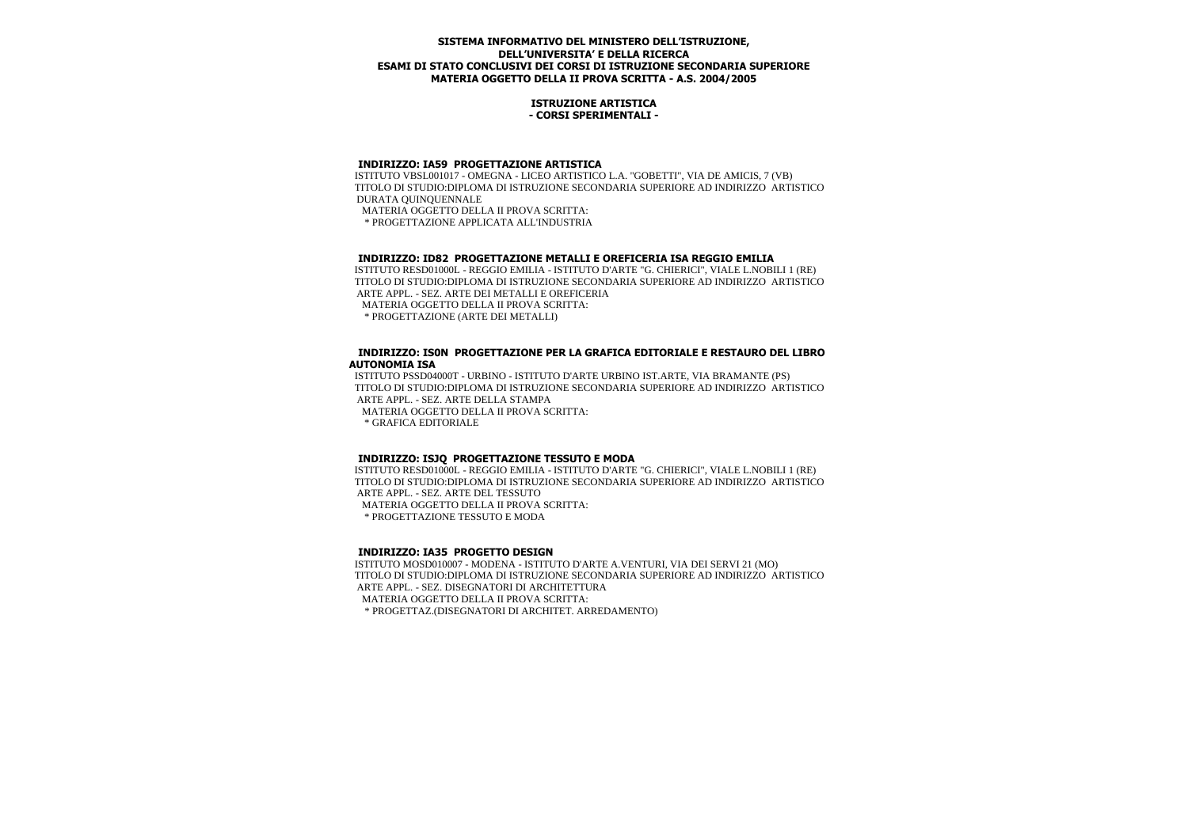#### **ISTRUZIONE ARTISTICA - CORSI SPERIMENTALI -**

#### **INDIRIZZO: IA59 PROGETTAZIONE ARTISTICA**

 ISTITUTO VBSL001017 - OMEGNA - LICEO ARTISTICO L.A. "GOBETTI", VIA DE AMICIS, 7 (VB) TITOLO DI STUDIO:DIPLOMA DI ISTRUZIONE SECONDARIA SUPERIORE AD INDIRIZZO ARTISTICO DURATA QUINQUENNALE MATERIA OGGETTO DELLA II PROVA SCRITTA:

\* PROGETTAZIONE APPLICATA ALL'INDUSTRIA

# **INDIRIZZO: ID82 PROGETTAZIONE METALLI E OREFICERIA ISA REGGIO EMILIA**

 ISTITUTO RESD01000L - REGGIO EMILIA - ISTITUTO D'ARTE "G. CHIERICI", VIALE L.NOBILI 1 (RE) TITOLO DI STUDIO:DIPLOMA DI ISTRUZIONE SECONDARIA SUPERIORE AD INDIRIZZO ARTISTICO ARTE APPL. - SEZ. ARTE DEI METALLI E OREFICERIA MATERIA OGGETTO DELLA II PROVA SCRITTA: \* PROGETTAZIONE (ARTE DEI METALLI)

#### **INDIRIZZO: IS0N PROGETTAZIONE PER LA GRAFICA EDITORIALE E RESTAURO DEL LIBRO AUTONOMIA ISA**

 ISTITUTO PSSD04000T - URBINO - ISTITUTO D'ARTE URBINO IST.ARTE, VIA BRAMANTE (PS) TITOLO DI STUDIO:DIPLOMA DI ISTRUZIONE SECONDARIA SUPERIORE AD INDIRIZZO ARTISTICO ARTE APPL. - SEZ. ARTE DELLA STAMPA

MATERIA OGGETTO DELLA II PROVA SCRITTA:

\* GRAFICA EDITORIALE

## **INDIRIZZO: ISJQ PROGETTAZIONE TESSUTO E MODA**

 ISTITUTO RESD01000L - REGGIO EMILIA - ISTITUTO D'ARTE "G. CHIERICI", VIALE L.NOBILI 1 (RE) TITOLO DI STUDIO:DIPLOMA DI ISTRUZIONE SECONDARIA SUPERIORE AD INDIRIZZO ARTISTICO ARTE APPL. - SEZ. ARTE DEL TESSUTO MATERIA OGGETTO DELLA II PROVA SCRITTA:

\* PROGETTAZIONE TESSUTO E MODA

# **INDIRIZZO: IA35 PROGETTO DESIGN**

 ISTITUTO MOSD010007 - MODENA - ISTITUTO D'ARTE A.VENTURI, VIA DEI SERVI 21 (MO) TITOLO DI STUDIO:DIPLOMA DI ISTRUZIONE SECONDARIA SUPERIORE AD INDIRIZZO ARTISTICO ARTE APPL. - SEZ. DISEGNATORI DI ARCHITETTURA MATERIA OGGETTO DELLA II PROVA SCRITTA: \* PROGETTAZ.(DISEGNATORI DI ARCHITET. ARREDAMENTO)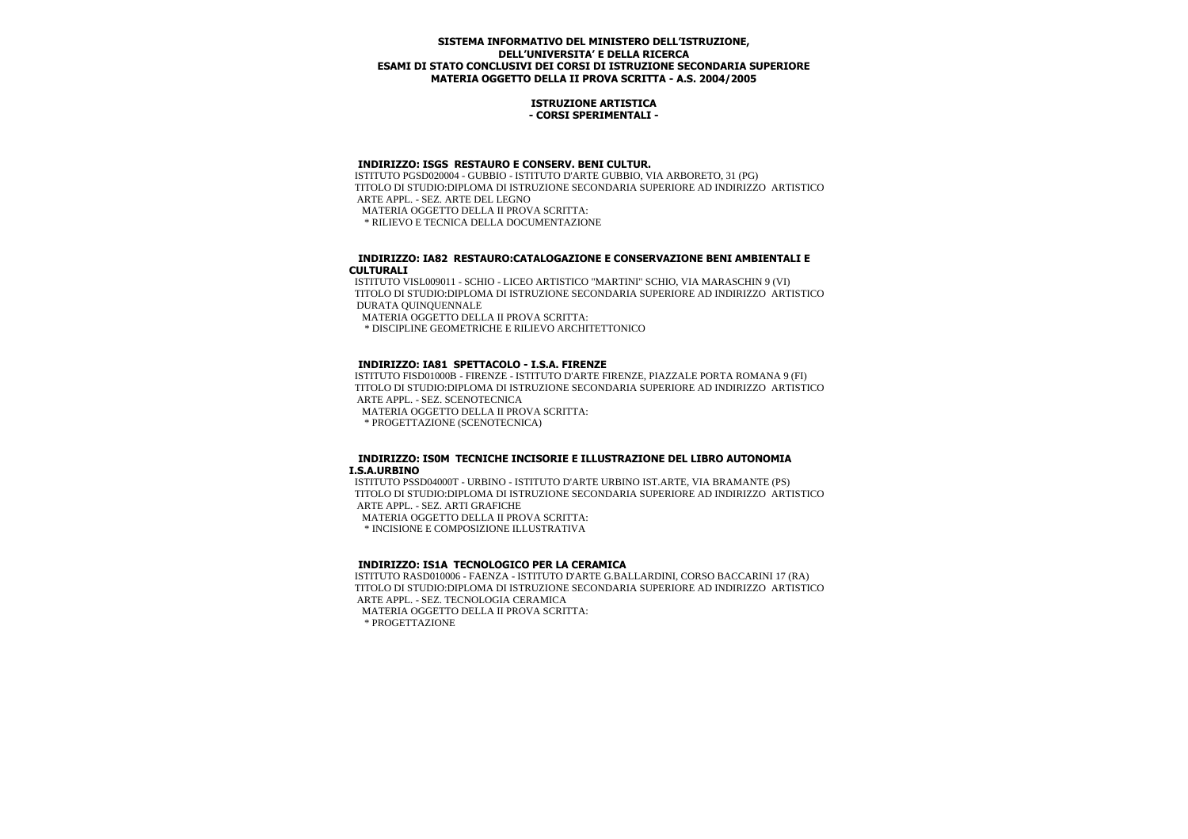#### **ISTRUZIONE ARTISTICA - CORSI SPERIMENTALI -**

## **INDIRIZZO: ISGS RESTAURO E CONSERV. BENI CULTUR.**

 ISTITUTO PGSD020004 - GUBBIO - ISTITUTO D'ARTE GUBBIO, VIA ARBORETO, 31 (PG) TITOLO DI STUDIO:DIPLOMA DI ISTRUZIONE SECONDARIA SUPERIORE AD INDIRIZZO ARTISTICO ARTE APPL. - SEZ. ARTE DEL LEGNO MATERIA OGGETTO DELLA II PROVA SCRITTA:

\* RILIEVO E TECNICA DELLA DOCUMENTAZIONE

## **INDIRIZZO: IA82 RESTAURO:CATALOGAZIONE E CONSERVAZIONE BENI AMBIENTALI E CULTURALI**

 ISTITUTO VISL009011 - SCHIO - LICEO ARTISTICO "MARTINI" SCHIO, VIA MARASCHIN 9 (VI) TITOLO DI STUDIO:DIPLOMA DI ISTRUZIONE SECONDARIA SUPERIORE AD INDIRIZZO ARTISTICO DURATA QUINQUENNALE

MATERIA OGGETTO DELLA II PROVA SCRITTA:

\* DISCIPLINE GEOMETRICHE E RILIEVO ARCHITETTONICO

## **INDIRIZZO: IA81 SPETTACOLO - I.S.A. FIRENZE**

 ISTITUTO FISD01000B - FIRENZE - ISTITUTO D'ARTE FIRENZE, PIAZZALE PORTA ROMANA 9 (FI) TITOLO DI STUDIO:DIPLOMA DI ISTRUZIONE SECONDARIA SUPERIORE AD INDIRIZZO ARTISTICO ARTE APPL. - SEZ. SCENOTECNICA

MATERIA OGGETTO DELLA II PROVA SCRITTA:

\* PROGETTAZIONE (SCENOTECNICA)

#### **INDIRIZZO: IS0M TECNICHE INCISORIE E ILLUSTRAZIONE DEL LIBRO AUTONOMIA I.S.A.URBINO**

 ISTITUTO PSSD04000T - URBINO - ISTITUTO D'ARTE URBINO IST.ARTE, VIA BRAMANTE (PS) TITOLO DI STUDIO:DIPLOMA DI ISTRUZIONE SECONDARIA SUPERIORE AD INDIRIZZO ARTISTICO ARTE APPL. - SEZ. ARTI GRAFICHE

MATERIA OGGETTO DELLA II PROVA SCRITTA:

\* INCISIONE E COMPOSIZIONE ILLUSTRATIVA

## **INDIRIZZO: IS1A TECNOLOGICO PER LA CERAMICA**

 ISTITUTO RASD010006 - FAENZA - ISTITUTO D'ARTE G.BALLARDINI, CORSO BACCARINI 17 (RA) TITOLO DI STUDIO:DIPLOMA DI ISTRUZIONE SECONDARIA SUPERIORE AD INDIRIZZO ARTISTICO ARTE APPL. - SEZ. TECNOLOGIA CERAMICA

MATERIA OGGETTO DELLA II PROVA SCRITTA:

\* PROGETTAZIONE